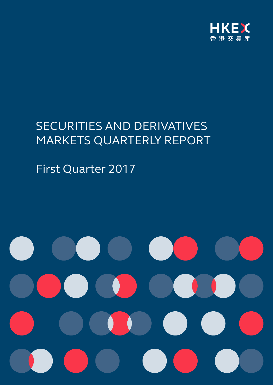

# SECURITIES AND DERIVATIVES MARKETS QUARTERLY REPORT

# First Quarter 2017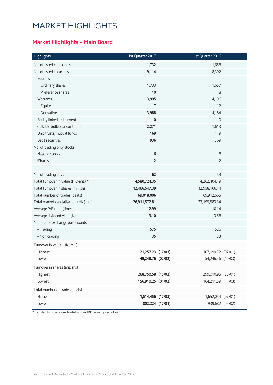### MARKET HIGHLIGHTS

#### **Market Highlights – Main Board**

| <b>Highlights</b>                      | 1st Quarter 2017   | 1st Quarter 2016   |  |
|----------------------------------------|--------------------|--------------------|--|
| No. of listed companies                | 1,732              | 1,656              |  |
| No. of listed securities               | 9,114              | 8,392              |  |
| Equities                               |                    |                    |  |
| Ordinary shares                        | 1,733              | 1,657              |  |
| Preference shares                      | 10                 | 8                  |  |
| Warrants                               | 3,995              | 4,196              |  |
| Equity                                 | 7                  | 12                 |  |
| Derivative                             | 3,988              | 4,184              |  |
| Equity linked instrument               | 0                  | $\mathbf 0$        |  |
| Callable bull/bear contracts           | 2,271              | 1,613              |  |
| Unit trusts/mutual funds               | 169                | 149                |  |
| Debt securities                        | 936                | 769                |  |
| No. of trading only stocks             |                    |                    |  |
| Nasdaq stocks                          | $\bf 6$            | 6                  |  |
| <b>iShares</b>                         | $\overline{2}$     | $\overline{2}$     |  |
|                                        |                    |                    |  |
| No. of trading days                    | 62                 | 59                 |  |
| Total turnover in value (HK\$mil.) *   | 4,580,724.35       | 4,262,404.49       |  |
| Total turnover in shares (mil. shs)    | 12,466,547.39      | 12,958,166.14      |  |
| Total number of trades (deals)         | 69,018,006         | 69,912,665         |  |
| Total market capitalisation (HK\$mil.) | 26,911,572.81      | 23, 195, 583. 34   |  |
| Average P/E ratio (times)              | 12.99              | 10.14              |  |
| Average dividend yield (%)             | 3.10               | 3.56               |  |
| Number of exchange participants        |                    |                    |  |
| - Trading                              | 575                | 526                |  |
| - Non-trading                          | 35                 | 33                 |  |
| Turnover in value (HK\$mil.)           |                    |                    |  |
| Highest                                | 121,257.23 (17/03) | 107,199.72 (07/01) |  |
| Lowest                                 | 49,248.76 (02/02)  | 54,246.46 (10/03)  |  |
| Turnover in shares (mil. shs)          |                    |                    |  |
| Highest                                | 268,750.58 (15/02) | 299,010.95 (20/01) |  |
| Lowest                                 | 156,910.25 (01/02) | 164,211.59 (11/03) |  |
|                                        |                    |                    |  |
| Total number of trades (deals)         |                    |                    |  |
| Highest                                | 1,514,456 (17/03)  | 1,652,054 (07/01)  |  |
| Lowest                                 | 802,324 (17/01)    | 939,682 (05/02)    |  |

\* Included turnover value traded in non-HKD currency securities.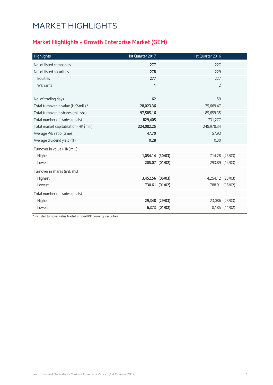### MARKET HIGHLIGHTS

#### **Market Highlights – Growth Enterprise Market (GEM)**

| <b>Highlights</b>                      | 1st Quarter 2017 |                | 1st Quarter 2016 |                |
|----------------------------------------|------------------|----------------|------------------|----------------|
| No. of listed companies                | 277              |                | 227              |                |
| No. of listed securities               | 278              |                | 229              |                |
| Equities                               | 277              |                | 227              |                |
| Warrants                               | $\mathbf{1}$     |                | $\overline{2}$   |                |
|                                        |                  |                |                  |                |
| No. of trading days                    | 62               |                | 59               |                |
| Total turnover in value (HK\$mil.) *   | 28,023.36        |                | 25,669.47        |                |
| Total turnover in shares (mil. shs)    | 97,585.16        |                | 85,659.35        |                |
| Total number of trades (deals)         | 829,405          |                | 731,277          |                |
| Total market capitalisation (HK\$mil.) | 324,082.25       |                | 248,978.34       |                |
| Average P/E ratio (times)              | 47.70            |                | 57.93            |                |
| Average dividend yield (%)             | 0.28             |                | 0.30             |                |
| Turnover in value (HK\$mil.)           |                  |                |                  |                |
| Highest                                | 1,054.14 (30/03) |                |                  | 714.28 (23/03) |
| Lowest                                 |                  | 205.07 (01/02) |                  | 293.89 (14/03) |
| Turnover in shares (mil. shs)          |                  |                |                  |                |
| Highest                                | 3,452.56 (06/03) |                | 4,254.12 (23/03) |                |
| Lowest                                 |                  | 730.61 (01/02) |                  | 788.91 (15/02) |
| Total number of trades (deals)         |                  |                |                  |                |
| Highest                                |                  | 29,348 (29/03) |                  | 23,086 (23/03) |
| Lowest                                 |                  | 6,373 (01/02)  |                  | 8,185 (11/02)  |
|                                        |                  |                |                  |                |

\* Included turnover value traded in non-HKD currency securities.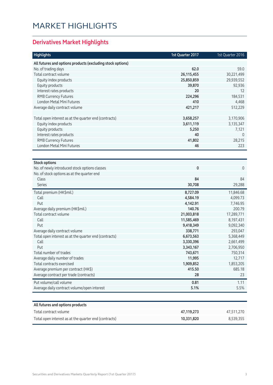## MARKET HIGHLIGHTS

### **Derivatives Market Highlights**

| <b>Highlights</b>                                                                      | 1st Quarter 2017       | 1st Quarter 2016       |
|----------------------------------------------------------------------------------------|------------------------|------------------------|
| All futures and options products (excluding stock options)                             |                        |                        |
| No. of trading days                                                                    | 62.0                   | 59.0                   |
| Total contract volume                                                                  | 26,115,455             | 30,221,499             |
| Equity index products                                                                  | 25,850,859             | 29,939,552             |
| Equity products                                                                        | 39,870                 | 92,936                 |
| Interest rates products                                                                | 20                     | 12                     |
| <b>RMB Currency Futures</b>                                                            | 224,296                | 184,531                |
| <b>London Metal Mini Futures</b>                                                       | 410                    | 4,468                  |
| Average daily contract volume                                                          | 421,217                | 512,229                |
|                                                                                        |                        |                        |
| Total open interest as at the quarter end (contracts)                                  | 3,658,257              | 3,170,906              |
| Equity index products                                                                  | 3,611,119              | 3,135,347              |
| Equity products                                                                        | 5,250                  | 7,121                  |
| Interest rates products                                                                | 40                     | $\mathbf 0$            |
| <b>RMB Currency Futures</b>                                                            | 41,802                 | 28,215                 |
| London Metal Mini Futures                                                              | 46                     | 223                    |
|                                                                                        |                        |                        |
| <b>Stock options</b>                                                                   |                        |                        |
| No. of newly introduced stock options classes                                          | 0                      | $\mathbf 0$            |
| No. of stock options as at the quarter end                                             |                        |                        |
| Class<br>Series                                                                        | 84                     | 84                     |
|                                                                                        | 30,708                 | 29,288                 |
| Total premium (HK\$mil.)                                                               | 8,727.09               | 11,846.68              |
| Call                                                                                   | 4,584.19               | 4,099.73               |
| Put                                                                                    | 4,142.91               | 7,746.95               |
| Average daily premium (HK\$mil.)                                                       | 140.76                 | 200.79                 |
| Total contract volume                                                                  | 21,003,818             | 17,289,771             |
| Call                                                                                   | 11,585,469             | 8,197,431              |
| Put                                                                                    | 9,418,349              | 9,092,340              |
| Average daily contract volume<br>Total open interest as at the quarter end (contracts) | 338,771                | 293,047                |
| Call                                                                                   | 6,673,563              | 5,368,449              |
| Put                                                                                    | 3,330,396<br>3,343,167 | 2,661,499<br>2,706,950 |
| Total number of trades                                                                 | 743,671                | 750,314                |
| Average daily number of trades                                                         | 11,995                 | 12,717                 |
| Total contracts exercised                                                              | 1,909,852              | 1,853,205              |
| Average premium per contract (HK\$)                                                    | 415.50                 | 685.18                 |
| Average contract per trade (contracts)                                                 | 28                     | 23                     |
|                                                                                        |                        |                        |
| Put volume/call volume                                                                 | 0.81                   | 1.11                   |
| Average daily contract volume/open interest                                            | 5.1%                   | 5.5%                   |
|                                                                                        |                        |                        |
| All futures and options products                                                       |                        |                        |
| Total contract volume                                                                  | 47,119,273             | 47,511,270             |
| Total open interest as at the quarter end (contracts)                                  | 10,331,820             | 8,539,355              |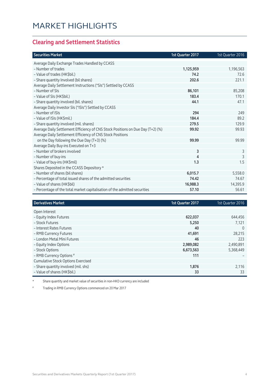#### **Clearing and Settlement Statistics**

| <b>Securities Market</b>                                                        | 1st Quarter 2017 | 1st Quarter 2016 |
|---------------------------------------------------------------------------------|------------------|------------------|
| Average Daily Exchange Trades Handled by CCASS                                  |                  |                  |
| - Number of trades                                                              | 1,125,959        | 1,196,563        |
| - Value of trades (HK\$bil.)                                                    | 74.2             | 72.6             |
| - Share quantity Involved (bil shares)                                          | 202.6            | 221.1            |
| Average Daily Settlement Instructions ("SIs") Settled by CCASS                  |                  |                  |
| - Number of SIs                                                                 | 86,101           | 85,208           |
| - Value of SIs (HK\$bil.)                                                       | 183.4            | 170.1            |
| - Share quantity involved (bil. shares)                                         | 44.1             | 47.1             |
| Average Daily Investor SIs ("ISIs") Settled by CCASS                            |                  |                  |
| - Number of ISIs                                                                | 294              | 249              |
| - Value of ISIs (HK\$mil.)                                                      | 184.4            | 89.2             |
| - Share quantity involved (mil. shares)                                         | 279.5            | 129.9            |
| Average Daily Settlement Efficiency of CNS Stock Positions on Due Day (T+2) (%) | 99.92            | 99.93            |
| Average Daily Settlement Efficiency of CNS Stock Positions                      |                  |                  |
| on the Day following the Due Day (T+3) (%)                                      | 99.99            | 99.99            |
| Average Daily Buy-ins Executed on T+3                                           |                  |                  |
| - Number of brokers involved                                                    | 3                | 3                |
| - Number of buy-ins                                                             | 4                | 3                |
| - Value of buy-ins (HK\$mil)                                                    | 1.3              | 1.5              |
| Shares Deposited in the CCASS Depository *                                      |                  |                  |
| - Number of shares (bil shares)                                                 | 6,015.7          | 5,558.0          |
| - Percentage of total issued shares of the admitted securities                  | 74.42            | 74.67            |
| - Value of shares (HK\$bil)                                                     | 16,988.3         | 14,395.9         |
| - Percentage of the total market capitalisation of the admitted securities      | 57.10            | 56.61            |

| <b>Derivatives Market</b>                 | 1st Quarter 2017 | 1st Quarter 2016 |
|-------------------------------------------|------------------|------------------|
| Open Interest                             |                  |                  |
| - Equity Index Futures                    | 622,037          | 644,456          |
| - Stock Futures                           | 5,250            | 7,121            |
| - Interest Rates Futures                  | 40               | 0                |
| - RMB Currency Futures                    | 41,691           | 28,215           |
| - London Metal Mini Futures               | 46               | 223              |
| - Equity Index Options                    | 2,989,082        | 2,490,891        |
| - Stock Options                           | 6,673,563        | 5,368,449        |
| - RMB Currency Options #                  | 111              |                  |
| <b>Cumulative Stock Options Exercised</b> |                  |                  |
| - Share quantity involved (mil. shs)      | 1,876            | 2,116            |
| - Value of shares (HK\$bil.)              | 33               | 33               |

Share quantity and market value of securities in non-HKD currency are included

Trading in RMB Currency Options commenced on 20 Mar 2017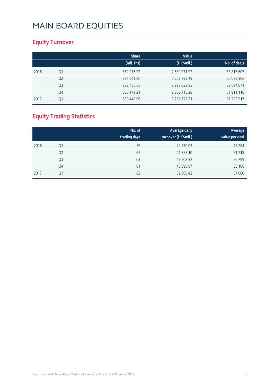#### **Equity Turnover**

|      |                | <b>Share</b> | Value        |              |
|------|----------------|--------------|--------------|--------------|
|      |                | (mil. shs)   | (HK\$mil.)   | No. of deals |
| 2016 | Q1             | 862,976.22   | 2,639,071.92 | 55,813,607   |
|      | Q <sub>2</sub> | 781,041.26   | 2,563,892.49 | 50,058,306   |
|      | Q <sub>3</sub> | 822,456.65   | 2,993,023.85 | 52,694,671   |
|      | Q4             | 806,179.21   | 2,860,715.28 | 51,911,116   |
| 2017 | Q1             | 880,448.96   | 3,261,722.31 | 57,223,517   |

### **Equity Trading Statistics**

|      |                | No. of<br>trading days | Average daily<br>turnover (HK\$mil.) | Average<br>value per deal |
|------|----------------|------------------------|--------------------------------------|---------------------------|
| 2016 | Q1             | 59                     | 44,730.03                            | 47,284                    |
|      | Q <sub>2</sub> | 62                     | 41,353.10                            | 51,218                    |
|      | Q <sub>3</sub> | 63                     | 47,508.32                            | 56,799                    |
|      | Q4             | 61                     | 46,896.97                            | 55,108                    |
| 2017 | Q1             | 62                     | 52,608.42                            | 57,000                    |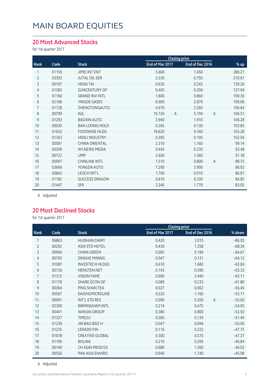#### **20 Most Advanced Stocks**

for 1st quarter 2017

|                |       |                        | <b>Closing price</b>     |                 |                          |
|----------------|-------|------------------------|--------------------------|-----------------|--------------------------|
| Rank           | Code  | <b>Stock</b>           | End of Mar 2017          | End of Dec 2016 | % up                     |
| 1              | 01159 | <b>JIMEI INT ENT</b>   | 5.600                    | 1.450           | 286.21                   |
| $\overline{2}$ | 03303 | <b>JUTAL OIL SER</b>   | 2.330                    | 0.750           | 210.67                   |
| 3              | 00197 | <b>HENG TAI</b>        | 0.630                    | 0.243           | 159.26                   |
| $\overline{4}$ | 01383 | <b>SUNCENTURY GP</b>   | 0.465                    | 0.204           | 127.94                   |
| 5              | 01160 | <b>GRAND INV INTL</b>  | 1.800                    | 0.860           | 109.30                   |
| 6              | 02168 | YINGDE GASES           | 6.000                    | 2.870           | 109.06                   |
| 7              | 01728 | ZHENGTONGAUTO          | 4.670                    | 2.260           | 106.64                   |
| 8              | 00799 | IGG                    | 10.726<br>$\overline{A}$ | 5.194           | $\overline{A}$<br>106.51 |
| 9              | 01293 | <b>BAOXIN AUTO</b>     | 3.940                    | 1.910           | 106.28                   |
| 10             | 00030 | <b>BAN LOONG HOLD</b>  | 0.265                    | 0.130           | 103.85                   |
| 11             | 01632 | <b>FOODWISE HLDG</b>   | 18.620                   | 9.160           | 103.28                   |
| 12             | 01393 | <b>HIDILI INDUSTRY</b> | 0.395                    | 0.195           | 102.56                   |
| 13             | 00581 | <b>CHINA ORIENTAL</b>  | 2.310                    | 1.160           | 99.14                    |
| 14             | 00309 | <b>XH NEWS MEDIA</b>   | 0.445                    | 0.230           | 93.48                    |
| 15             | 00722 | <b>UMP</b>             | 2.600                    | 1.360           | 91.18                    |
| 16             | 00997 | <b>CHINLINK INTL</b>   | 1.510                    | 0.800           | 88.75<br>$\overline{A}$  |
| 17             | 03669 | YONGDA AUTO            | 7.290                    | 3.900           | 86.92                    |
| 18             | 00842 | <b>LEOCH INT'L</b>     | 1.700                    | 0.910           | 86.81                    |
| 19             | 01182 | <b>SUCCESS DRAGON</b>  | 0.610                    | 0.330           | 84.85                    |
| 20             | 01447 | <b>SFK</b>             | 3.240                    | 1.770           | 83.05                    |
|                |       |                        |                          |                 |                          |

A Adjusted

#### **20 Most Declined Stocks**

for 1st quarter 2017

|                |       |                        | <b>Closing price</b> |                         |          |
|----------------|-------|------------------------|----------------------|-------------------------|----------|
| Rank           | Code  | <b>Stock</b>           | End of Mar 2017      | End of Dec 2016         | % down   |
| 1              | 06863 | <b>HUISHAN DAIRY</b>   | 0.420                | 3.010                   | $-86.05$ |
| $\overline{2}$ | 00292 | <b>ASIA STD HOTEL</b>  | 0.430                | 1.358                   | $-68.34$ |
| 3              | 00904 | <b>CHINA GREEN</b>     | 0.065                | 0.184                   | $-64.67$ |
| $\overline{4}$ | 00705 | DINGHE MINING          | 0.047                | 0.131                   | $-64.12$ |
| 5              | 01087 | <b>INVESTECH HLDGS</b> | 0.610                | 1.680                   | $-63.69$ |
| 6              | 00136 | <b>HENGTEN NET</b>     | 0.143                | 0.390                   | $-63.33$ |
| $\overline{7}$ | 01315 | <b>VISION FAME</b>     | 0.900                | 2.440                   | $-63.11$ |
| 8              | 01178 | <b>SHARE ECON GP</b>   | 0.089                | 0.233                   | $-61.80$ |
| 9              | 00364 | PING SHAN TEA          | 0.027                | 0.062                   | $-56.45$ |
| 10             | 00567 | <b>DAISHOMICROLINE</b> | 0.520                | 1.160                   | $-55.17$ |
| 11             | 00091 | <b>INT'L STD RES</b>   | 0.090                | 0.200<br>$\overline{A}$ | $-55.00$ |
| 12             | 02309 | <b>BIRMINGHAM INTL</b> | 0.214                | 0.475                   | $-54.95$ |
| 13             | 00401 | <b>WANJIA GROUP</b>    | 0.380                | 0.800                   | $-52.50$ |
| 14             | 01327 | TIME2U                 | 0.065                | 0.134                   | $-51.49$ |
| 15             | 01239 | <b>JIN BAO BAO H</b>   | 0.047                | 0.094                   | $-50.00$ |
| 16             | 01225 | <b>LERADO FIN</b>      | 0.116                | 0.222                   | $-47.75$ |
| 17             | 01678 | <b>CREATIVE GLOBAL</b> | 0.300                | 0.570                   | $-47.37$ |
| 18             | 01190 | <b>BOLINA</b>          | 0.210                | 0.395                   | $-46.84$ |
| 19             | 00149 | CH AGRI-PROD EX        | 0.680                | 1.260                   | $-46.03$ |
| 20             | 00556 | PAN ASIA ENVIRO        | 0.940                | 1.740                   | $-45.98$ |

A Adjusted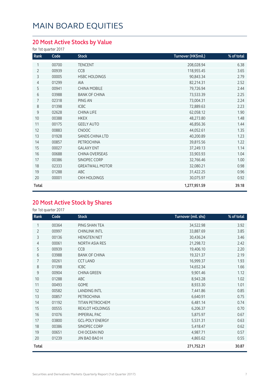### **20 Most Active Stocks by Value**

for 1st quarter 2017

| Rank           | Code  | <b>Stock</b>           | Turnover (HK\$mil.) | % of total |
|----------------|-------|------------------------|---------------------|------------|
| 1              | 00700 | <b>TENCENT</b>         | 208,028.94          | 6.38       |
| $\overline{2}$ | 00939 | CCB                    | 118,955.45          | 3.65       |
| 3              | 00005 | <b>HSBC HOLDINGS</b>   | 90,843.34           | 2.79       |
| $\overline{4}$ | 01299 | AIA                    | 82,214.31           | 2.52       |
| 5              | 00941 | <b>CHINA MOBILE</b>    | 79,726.94           | 2.44       |
| 6              | 03988 | <b>BANK OF CHINA</b>   | 73,533.39           | 2.25       |
| $\overline{7}$ | 02318 | PING AN                | 73,004.31           | 2.24       |
| 8              | 01398 | <b>ICBC</b>            | 72,889.63           | 2.23       |
| 9              | 02628 | CHINA LIFE             | 62,058.12           | 1.90       |
| 10             | 00388 | <b>HKEX</b>            | 48,273.80           | 1.48       |
| 11             | 00175 | <b>GEELY AUTO</b>      | 46,856.36           | 1.44       |
| 12             | 00883 | <b>CNOOC</b>           | 44,052.61           | 1.35       |
| 13             | 01928 | SANDS CHINA LTD        | 40,200.89           | 1.23       |
| 14             | 00857 | PETROCHINA             | 39,815.56           | 1.22       |
| 15             | 00027 | <b>GALAXY ENT</b>      | 37,249.13           | 1.14       |
| 16             | 00688 | CHINA OVERSEAS         | 33,903.93           | 1.04       |
| 17             | 00386 | SINOPEC CORP           | 32,766.46           | 1.00       |
| 18             | 02333 | <b>GREATWALL MOTOR</b> | 32,080.21           | 0.98       |
| 19             | 01288 | ABC                    | 31,422.25           | 0.96       |
| 20             | 00001 | <b>CKH HOLDINGS</b>    | 30,075.97           | 0.92       |
| Total          |       |                        | 1,277,951.59        | 39.18      |

#### **20 Most Active Stock by Shares**

| Rank           | Code  | <b>Stock</b>           | Turnover (mil. shs) | % of total |
|----------------|-------|------------------------|---------------------|------------|
|                | 00364 | PING SHAN TEA          | 34,522.98           | 3.92       |
| $\overline{2}$ | 00997 | <b>CHINLINK INTL</b>   | 33,887.69           | 3.85       |
| 3              | 00136 | <b>HENGTEN NET</b>     | 30,436.24           | 3.46       |
| 4              | 00061 | NORTH ASIA RES         | 21,298.72           | 2.42       |
| 5              | 00939 | CCB                    | 19,406.10           | 2.20       |
| 6              | 03988 | <b>BANK OF CHINA</b>   | 19,321.37           | 2.19       |
| 7              | 00261 | <b>CCT LAND</b>        | 16,999.37           | 1.93       |
| 8              | 01398 | <b>ICBC</b>            | 14,652.34           | 1.66       |
| 9              | 00904 | <b>CHINA GREEN</b>     | 9,901.46            | 1.12       |
| 10             | 01288 | ABC                    | 8,943.28            | 1.02       |
| 11             | 00493 | <b>GOME</b>            | 8,933.30            | 1.01       |
| 12             | 00582 | <b>LANDING INTL</b>    | 7,441.86            | 0.85       |
| 13             | 00857 | PETROCHINA             | 6,640.91            | 0.75       |
| 14             | 01192 | TITAN PETROCHEM        | 6,481.14            | 0.74       |
| 15             | 00555 | REXLOT HOLDINGS        | 6,206.37            | 0.70       |
| 16             | 01076 | <b>IMPERIAL PAC</b>    | 5,875.97            | 0.67       |
| 17             | 03800 | <b>GCL-POLY ENERGY</b> | 5,531.31            | 0.63       |
| 18             | 00386 | SINOPEC CORP           | 5,418.47            | 0.62       |
| 19             | 00651 | CHI OCEAN IND          | 4,987.71            | 0.57       |
| 20             | 01239 | JIN BAO BAO H          | 4,865.62            | 0.55       |
| Total          |       |                        | 271,752.21          | 30.87      |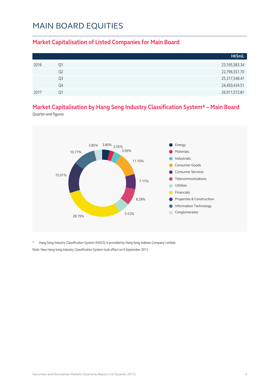#### **Market Capitalisation of Listed Companies for Main Board**

|      |    | HK\$mil.         |
|------|----|------------------|
| 2016 | Q1 | 23, 195, 583. 34 |
|      | Q2 | 22,796,551.70    |
|      | Q3 | 25,317,548.47    |
|      | Q4 | 24,450,434.51    |
| 2017 | 01 | 26,911,572.81    |

#### **Market Capitalisation by Hang Seng Industry Classification System\* – Main Board**

Quarter-end figures



\* Hang Seng Industry Classification System (HSICS) is provided by Hang Seng Indexes Company Limited. Note: New Hang Seng Industry Classification System took effect on 9 September 2013.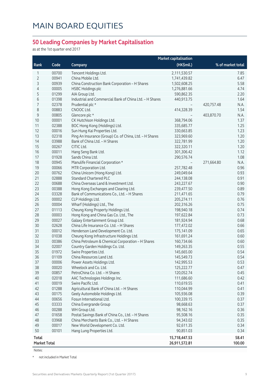#### **50 Leading Companies by Market Capitalisation**

as at the 1st quarter end 2017

|                     |       |                                                         | <b>Market capitalisation</b> |                    |
|---------------------|-------|---------------------------------------------------------|------------------------------|--------------------|
| Rank                | Code  | Company                                                 | (HK\$mil.)                   | % of market total  |
| 1                   | 00700 | Tencent Holdings Ltd.                                   | 2,111,530.57                 | 7.85               |
| 2                   | 00941 | China Mobile Ltd.                                       | 1,741,439.82                 | 6.47               |
| 3                   | 00939 | China Construction Bank Corporation - H Shares          | 1,502,608.25                 | 5.58               |
| 4                   | 00005 | <b>HSBC Holdings plc</b>                                | 1,276,881.66                 | 4.74               |
| 5                   | 01299 | AIA Group Ltd.                                          | 590,862.35                   | 2.20               |
| 6                   | 01398 | Industrial and Commercial Bank of China Ltd. - H Shares | 440,913.75                   | 1.64               |
| 7                   | 02378 | Prudential plc *                                        |                              | N.A.<br>420,757.48 |
| 8                   | 00883 | CNOOC Ltd.                                              | 414,328.39                   | 1.54               |
| $\mathsf 9$         | 00805 | Glencore plc *                                          |                              | 403,870.70<br>N.A. |
| 10                  | 00001 | CK Hutchison Holdings Ltd.                              | 368,794.06                   | 1.37               |
| 11                  | 02388 | BOC Hong Kong (Holdings) Ltd.                           | 335,685.77                   | 1.25               |
| 12                  | 00016 | Sun Hung Kai Properties Ltd.                            | 330,663.85                   | 1.23               |
| 13                  | 02318 | Ping An Insurance (Group) Co. of China, Ltd. - H Shares | 323,969.60                   | 1.20               |
| 14                  | 03988 | Bank of China Ltd. - H Shares                           | 322,781.99                   | 1.20               |
| 15                  | 00267 | CITIC Ltd.                                              | 322,320.11                   | 1.20               |
| 16                  | 00011 | Hang Seng Bank Ltd.                                     | 301,306.42                   | 1.12               |
| 17                  | 01928 | Sands China Ltd.                                        | 290,576.74                   | 1.08               |
| 18                  | 00945 | Manulife Financial Corporation *                        |                              | 271,664.80<br>N.A. |
| 19                  | 00066 | MTR Corporation Ltd.                                    | 257,782.48                   | 0.96               |
| 20                  | 00762 | China Unicom (Hong Kong) Ltd.                           | 249,049.64                   | 0.93               |
| 21                  | 02888 | <b>Standard Chartered PLC</b>                           | 244,138.08                   | 0.91               |
| 22                  | 00688 | China Overseas Land & Investment Ltd.                   | 243,227.67                   | 0.90               |
| 23                  | 00388 | Hong Kong Exchanges and Clearing Ltd.                   | 239,477.50                   | 0.89               |
| 24                  | 03328 | Bank of Communications Co., Ltd. - H Shares             | 211,471.65                   | 0.79               |
| 25                  | 00002 | CLP Holdings Ltd.                                       | 205,274.11                   | 0.76               |
| 26                  | 00004 | Wharf (Holdings) Ltd., The                              | 202,316.26                   | 0.75               |
| 27                  | 01113 | Cheung Kong Property Holdings Ltd.                      | 198,940.18                   | 0.74               |
| 28                  | 00003 | Hong Kong and China Gas Co. Ltd., The                   | 197,622.84                   | 0.73               |
| 29                  | 00027 | Galaxy Entertainment Group Ltd.                         | 181,924.94                   | 0.68               |
| 30                  | 02628 | China Life Insurance Co. Ltd. - H Shares                | 177,472.02                   | 0.66               |
| 31                  | 00012 | Henderson Land Development Co. Ltd.                     | 175,141.09                   | 0.65               |
| 32                  | 01038 | Cheung Kong Infrastructure Holdings Ltd.                | 161,691.24                   | 0.60               |
| 33                  | 00386 | China Petroleum & Chemical Corporation - H Shares       | 160,734.66                   | 0.60               |
| 34                  | 02007 | Country Garden Holdings Co. Ltd.                        | 149,263.35                   | 0.55               |
| 35                  | 01972 | Swire Properties Ltd.                                   | 145,665.00                   | 0.54               |
| 36                  | 01109 | China Resources Land Ltd.                               | 145,549.73                   | 0.54               |
| 37                  | 00006 | Power Assets Holdings Ltd.                              | 142,995.53                   | 0.53               |
| 38                  | 00020 | Wheelock and Co. Ltd.                                   | 125,222.77                   | 0.47               |
| 39                  | 00857 | PetroChina Co. Ltd. - H Shares                          | 120,052.74                   | 0.45               |
| 40                  | 02018 | AAC Technologies Holdings Inc.                          | 111,686.60                   | 0.42               |
| 41                  | 00019 | Swire Pacific Ltd.                                      | 110,619.55                   | 0.41               |
| 42                  | 01288 | Agricultural Bank of China Ltd. - H Shares              | 110,044.99                   | 0.41               |
| 43                  | 00175 | Geely Automobile Holdings Ltd.                          | 105,936.08                   | 0.39               |
| 44                  | 00656 | Fosun International Ltd.                                | 100,339.15                   | 0.37               |
| 45                  | 03333 | China Evergrande Group                                  | 98,668.63                    | 0.37               |
| 46                  | 00288 | WH Group Ltd.                                           | 98,162.16                    | 0.36               |
| 47                  | 01658 | Postal Savings Bank of China Co., Ltd. - H Shares       | 95,508.16                    | 0.35               |
| 48                  | 03968 | China Merchants Bank Co., Ltd. - H Shares               | 94,343.02                    | 0.35               |
| 49                  | 00017 | New World Development Co. Ltd.                          | 92,611.35                    | 0.34               |
| 50                  | 00101 | Hang Lung Properties Ltd.                               | 90,851.03                    | 0.34               |
| Total               |       |                                                         | 15,718,447.53                | 58.41              |
| <b>Market Total</b> |       |                                                         | 26,911,572.81                | 100.00             |

Notes:

\* not included in Market Total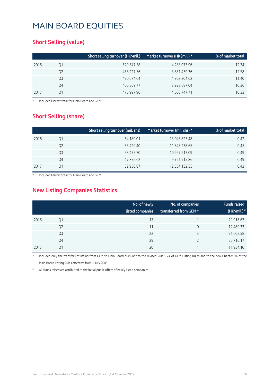#### **Short Selling (value)**

| Short selling turnover (HK\$mil.) | Market turnover (HK\$mil.) * | % of market total |
|-----------------------------------|------------------------------|-------------------|
| 529,347.58                        | 4,288,073.96                 | 12.34             |
| 488,227.56                        | 3,881,459.36                 | 12.58             |
| 490,674.64                        | 4,303,204.62                 | 11.40             |
| 406,569.77                        | 3,923,687.04                 | 10.36             |
| 475,997.96                        | 4,608,747.71                 | 10.33             |
|                                   |                              |                   |

**Included Market total for Main Board and GEM** 

#### **Short Selling (share)**

|      |    | Short selling turnover (mil. shs) | Market turnover (mil. shs) $\star$ | % of market total |
|------|----|-----------------------------------|------------------------------------|-------------------|
| 2016 | Q1 | 54,180.01                         | 13,043,825.48                      | 0.42              |
|      | Q2 | 53,429.40                         | 11,848,238.65                      | 0.45              |
|      | Q3 | 53,475.70                         | 10,997,917.09                      | 0.49              |
|      | Q4 | 47,872.62                         | 9,721,915.86                       | 0.49              |
| 2017 | Ο1 | 52,950.87                         | 12,564,132.55                      | 0.42              |

Included Market total for Main Board and GEM

#### **New Listing Companies Statistics**

|      |                | No. of newly<br>listed companies | No. of companies<br>transferred from GEM * | <b>Funds raised</b><br>(HK\$mil.) # |
|------|----------------|----------------------------------|--------------------------------------------|-------------------------------------|
| 2016 | Q1             | 13                               |                                            | 29,916.67                           |
|      | Q <sub>2</sub> | 11                               | $\Omega$                                   | 12,489.33                           |
|      | Q <sub>3</sub> | 22                               | 3                                          | 91,602.58                           |
|      | Q4             | 29                               |                                            | 56,716.17                           |
| 2017 | Q1             | 20                               |                                            | 11,954.10                           |

Included only the transfers of listing from GEM to Main Board pursuant to the revised Rule 9.24 of GEM Listing Rules and to the new Chapter 9A of the Main Board Listing Rules effective from 1 July 2008

All funds raised are attributed to the initial public offers of newly listed companies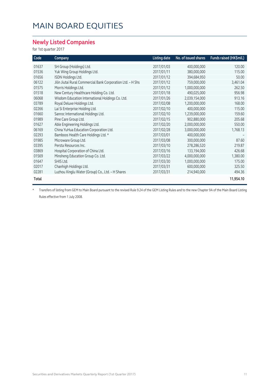#### **Newly Listed Companies**

for 1st quarter 2017

| Code  | Company                                                     | <b>Listing date</b> | No. of issued shares | Funds raised (HK\$mil.) |
|-------|-------------------------------------------------------------|---------------------|----------------------|-------------------------|
| 01637 | SH Group (Holdings) Ltd.                                    | 2017/01/03          | 400,000,000          | 120.00                  |
| 01536 | Yuk Wing Group Holdings Ltd.                                | 2017/01/11          | 380,000,000          | 115.00                  |
| 01656 | ISDN Holdings Ltd.                                          | 2017/01/12          | 394,684,950          | 50.00                   |
| 06122 | Jilin Jiutai Rural Commercial Bank Corporation Ltd. - H Shs | 2017/01/12          | 759,000,000          | 3,461.04                |
| 01575 | Morris Holdings Ltd.                                        | 2017/01/12          | 1,000,000,000        | 262.50                  |
| 01518 | New Century Healthcare Holding Co. Ltd.                     | 2017/01/18          | 490,025,000          | 956.98                  |
| 06068 | Wisdom Education International Holdings Co. Ltd.            | 2017/01/26          | 2,039,154,000        | 913.16                  |
| 03789 | Royal Deluxe Holdings Ltd.                                  | 2017/02/08          | 1,200,000,000        | 168.00                  |
| 02266 | Lai Si Enterprise Holding Ltd.                              | 2017/02/10          | 400,000,000          | 115.00                  |
| 01660 | Sanroc International Holdings Ltd.                          | 2017/02/10          | 1,239,000,000        | 159.60                  |
| 01989 | Pine Care Group Ltd.                                        | 2017/02/15          | 902,880,000          | 205.68                  |
| 01627 | Able Engineering Holdings Ltd.                              | 2017/02/20          | 2,000,000,000        | 550.00                  |
| 06169 | China YuHua Education Corporation Ltd.                      | 2017/02/28          | 3,000,000,000        | 1,768.13                |
| 02293 | Bamboos Health Care Holdings Ltd. *                         | 2017/03/01          | 400,000,000          |                         |
| 01985 | Microware Group Ltd.                                        | 2017/03/08          | 300,000,000          | 87.60                   |
| 03395 | Persta Resources Inc.                                       | 2017/03/10          | 278,286,520          | 219.87                  |
| 03869 | Hospital Corporation of China Ltd.                          | 2017/03/16          | 133,194,000          | 426.68                  |
| 01569 | Minsheng Education Group Co. Ltd.                           | 2017/03/22          | 4,000,000,000        | 1,380.00                |
| 01647 | SHIS Ltd.                                                   | 2017/03/30          | 1,000,000,000        | 175.00                  |
| 02017 | Chanhigh Holdings Ltd.                                      | 2017/03/31          | 600,000,000          | 325.50                  |
| 02281 | Luzhou Xinglu Water (Group) Co., Ltd. - H Shares            | 2017/03/31          | 214,940,000          | 494.36                  |
| Total |                                                             |                     |                      | 11,954.10               |

\* Transfers of listing from GEM to Main Board pursuant to the revised Rule 9.24 of the GEM Listing Rules and to the new Chapter 9A of the Main Board Listing Rules effective from 1 July 2008.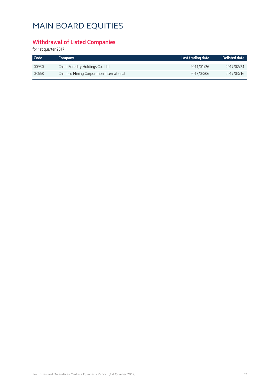#### **Withdrawal of Listed Companies**

| Code  | Company                                   | Last trading date | <b>Delisted date</b> |
|-------|-------------------------------------------|-------------------|----------------------|
| 00930 | China Forestry Holdings Co., Ltd.         | 2011/01/26        | 2017/02/24           |
| 03668 | Chinalco Mining Corporation International | 2017/03/06        | 2017/03/16           |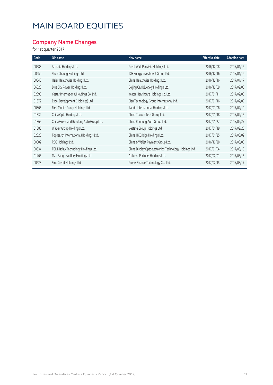#### **Company Name Changes**

| Code  | Old name                                | New name                                               | <b>Effective date</b> | <b>Adoption date</b> |
|-------|-----------------------------------------|--------------------------------------------------------|-----------------------|----------------------|
| 00583 | Armada Holdings Ltd.                    | Great Wall Pan Asia Holdings Ltd.                      | 2016/12/08            | 2017/01/16           |
| 00650 | Shun Cheong Holdings Ltd.               | IDG Energy Investment Group Ltd.                       | 2016/12/16            | 2017/01/16           |
| 00348 | Haier Healthwise Holdings Ltd.          | China Healthwise Holdings Ltd.                         | 2016/12/16            | 2017/01/17           |
| 06828 | Blue Sky Power Holdings Ltd.            | Beijing Gas Blue Sky Holdings Ltd.                     | 2016/12/09            | 2017/02/03           |
| 02393 | Yestar International Holdings Co. Ltd.  | Yestar Healthcare Holdings Co. Ltd.                    | 2017/01/11            | 2017/02/03           |
| 01372 | Excel Development (Holdings) Ltd.       | Bisu Technology Group International Ltd.               | 2017/01/16            | 2017/02/09           |
| 00865 | First Mobile Group Holdings Ltd.        | Jiande International Holdings Ltd.                     | 2017/01/06            | 2017/02/10           |
| 01332 | China Opto Holdings Ltd.                | China Touyun Tech Group Ltd.                           | 2017/01/18            | 2017/02/15           |
| 01365 | China Greenland Rundong Auto Group Ltd. | China Rundong Auto Group Ltd.                          | 2017/01/27            | 2017/02/27           |
| 01386 | Walker Group Holdings Ltd.              | Vestate Group Holdings Ltd.                            | 2017/01/19            | 2017/02/28           |
| 02323 | Topsearch International (Holdings) Ltd. | China HKBridge Holdings Ltd.                           | 2017/01/25            | 2017/03/02           |
| 00802 | RCG Holdings Ltd.                       | China e-Wallet Payment Group Ltd.                      | 2016/12/28            | 2017/03/08           |
| 00334 | TCL Display Technology Holdings Ltd.    | China Display Optoelectronics Technology Holdings Ltd. | 2017/01/04            | 2017/03/10           |
| 01466 | Man Sang Jewellery Holdings Ltd.        | Affluent Partners Holdings Ltd.                        | 2017/02/01            | 2017/03/15           |
| 00628 | Sino Credit Holdings Ltd.               | Gome Finance Technology Co., Ltd.                      | 2017/02/15            | 2017/03/17           |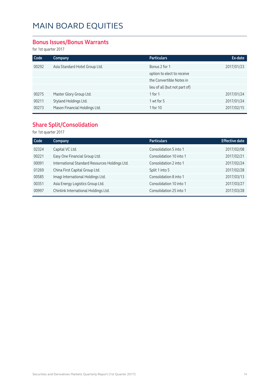#### **Bonus Issues/Bonus Warrants**

for 1st quarter 2017

| Code  | Company                        | <b>Particulars</b>            | Ex-date    |
|-------|--------------------------------|-------------------------------|------------|
| 00292 | Asia Standard Hotel Group Ltd. | Bonus 2 for 1                 | 2017/01/23 |
|       |                                | option to elect to receive    |            |
|       |                                | the Convertible Notes in      |            |
|       |                                | lieu of all (but not part of) |            |
| 00275 | Master Glory Group Ltd.        | 1 for $1$                     | 2017/01/24 |
| 00211 | Styland Holdings Ltd.          | 1 wt for 5                    | 2017/01/24 |
| 00273 | Mason Financial Holdings Ltd.  | 1 for 10                      | 2017/02/15 |

#### **Share Split/Consolidation**

| Code  | Company                                        | <b>Particulars</b>      | <b>Effective date</b> |
|-------|------------------------------------------------|-------------------------|-----------------------|
| 02324 | Capital VC Ltd.                                | Consolidation 5 into 1  | 2017/02/08            |
| 00221 | Easy One Financial Group Ltd.                  | Consolidation 10 into 1 | 2017/02/21            |
| 00091 | International Standard Resources Holdings Ltd. | Consolidation 2 into 1  | 2017/02/24            |
| 01269 | China First Capital Group Ltd.                 | Split 1 into 5          | 2017/02/28            |
| 00585 | Imagi International Holdings Ltd.              | Consolidation 8 into 1  | 2017/03/13            |
| 00351 | Asia Energy Logistics Group Ltd.               | Consolidation 10 into 1 | 2017/03/27            |
| 00997 | Chinlink International Holdings Ltd.           | Consolidation 25 into 1 | 2017/03/28            |
|       |                                                |                         |                       |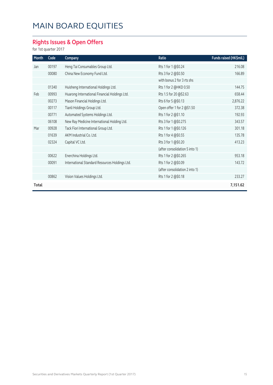### **Rights Issues & Open Offers**

| Month        | Code  | Company                                        | Ratio                          | Funds raised (HK\$mil.) |
|--------------|-------|------------------------------------------------|--------------------------------|-------------------------|
| Jan          | 00197 | Heng Tai Consumables Group Ltd.                | Rts 1 for 1 @\$0.24            | 216.08                  |
|              | 00080 | China New Economy Fund Ltd.                    | Rts 3 for 2 @\$0.50            | 166.89                  |
|              |       |                                                | with bonus 2 for 3 rts shs     |                         |
|              | 01340 | Huisheng International Holdings Ltd.           | Rts 1 for 2 @HKD 0.50          | 144.75                  |
| Feb          | 00993 | Huarong International Financial Holdings Ltd.  | Rts 1.5 for 20 @\$2.63         | 658.44                  |
|              | 00273 | Mason Financial Holdings Ltd.                  | Rts 6 for 5 @\$0.13            | 2,876.22                |
|              | 00117 | Tianli Holdings Group Ltd.                     | Open offer 1 for 2 @\$1.50     | 372.38                  |
|              | 00771 | Automated Systems Holdings Ltd.                | Rts 1 for 2 @\$1.10            | 192.93                  |
|              | 06108 | New Ray Medicine International Holding Ltd.    | Rts 3 for 1 @\$0.275           | 343.57                  |
| Mar          | 00928 | Tack Fiori International Group Ltd.            | Rts 1 for 1 @\$0.126           | 301.18                  |
|              | 01639 | AKM Industrial Co. Ltd.                        | Rts 1 for 4 @\$0.55            | 135.78                  |
|              | 02324 | Capital VC Ltd.                                | Rts 3 for 1 @\$0.20            | 413.23                  |
|              |       |                                                | (after consolidation 5 into 1) |                         |
|              | 00622 | Enerchina Holdings Ltd.                        | Rts 1 for 2 @\$0.265           | 953.18                  |
|              | 00091 | International Standard Resources Holdings Ltd. | Rts 1 for 2 @\$0.09            | 143.72                  |
|              |       |                                                | (after consolidation 2 into 1) |                         |
|              | 00862 | Vision Values Holdings Ltd.                    | Rts 1 for 2 @\$0.18            | 233.27                  |
| <b>Total</b> |       |                                                |                                | 7,151.62                |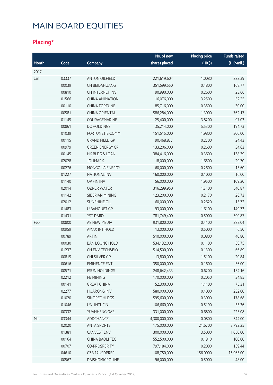### **Placing\***

|       |       |                        | No. of new    | <b>Placing price</b> | <b>Funds raised</b> |
|-------|-------|------------------------|---------------|----------------------|---------------------|
| Month | Code  | Company                | shares placed | (HK\$)               | (HK\$mil.)          |
| 2017  |       |                        |               |                      |                     |
| Jan   | 03337 | <b>ANTON OILFIELD</b>  | 221,619,604   | 1.0080               | 223.39              |
|       | 00039 | CH BEIDAHUANG          | 351,599,550   | 0.4800               | 168.77              |
|       | 00810 | CH INTERNET INV        | 90,990,000    | 0.2600               | 23.66               |
|       | 01566 | <b>CHINA ANIMATION</b> | 16,076,000    | 3.2500               | 52.25               |
|       | 00110 | <b>CHINA FORTUNE</b>   | 85,716,000    | 0.3500               | 30.00               |
|       | 00581 | CHINA ORIENTAL         | 586,284,000   | 1.3000               | 762.17              |
|       | 01145 | COURAGEMARINE          | 25,400,000    | 3.8200               | 97.03               |
|       | 00861 | DC HOLDINGS            | 35,214,000    | 5.5300               | 194.73              |
|       | 01039 | FORTUNET E-COMM        | 151,515,000   | 1.9800               | 300.00              |
|       | 00115 | <b>GRAND FIELD GP</b>  | 90,468,877    | 0.2700               | 24.43               |
|       | 00979 | <b>GREEN ENERGY GP</b> | 133,206,000   | 0.2600               | 34.63               |
|       | 00145 | HK BLDG & LOAN         | 384,416,000   | 0.3600               | 138.39              |
|       | 02028 | <b>JOLIMARK</b>        | 18,000,000    | 1.6500               | 29.70               |
|       | 00276 | MONGOLIA ENERGY        | 60,000,000    | 0.2600               | 15.60               |
|       | 01227 | <b>NATIONAL INV</b>    | 160,000,000   | 0.1000               | 16.00               |
|       | 01140 | OP FIN INV             | 56,000,000    | 1.9500               | 109.20              |
|       | 02014 | <b>OZNER WATER</b>     | 316,299,950   | 1.7100               | 540.87              |
|       | 01142 | SIBERIAN MINING        | 123,200,000   | 0.2170               | 26.73               |
|       | 02012 | <b>SUNSHINE OIL</b>    | 60,000,000    | 0.2620               | 15.72               |
|       | 01483 | U BANQUET GP           | 93,000,000    | 1.6100               | 149.73              |
|       | 01431 | <b>YST DAIRY</b>       | 781,749,400   | 0.5000               | 390.87              |
| Feb   | 00800 | A8 NEW MEDIA           | 931,800,000   | 0.4100               | 382.04              |
|       | 00959 | AMAX INT HOLD          | 13,000,000    | 0.5000               | 6.50                |
|       | 00789 | <b>ARTINI</b>          | 510,000,000   | 0.0800               | 40.80               |
|       | 00030 | <b>BAN LOONG HOLD</b>  | 534,132,000   | 0.1100               | 58.75               |
|       | 01237 | CH ENV TECH&BIO        | 514,500,000   | 0.1300               | 66.89               |
|       | 00815 | CHI SILVER GP          | 13,800,000    | 1.5100               | 20.84               |
|       | 00616 | <b>EMINENCE ENT</b>    | 350,000,000   | 0.1600               | 56.00               |
|       | 00571 | <b>ESUN HOLDINGS</b>   | 248,642,433   | 0.6200               | 154.16              |
|       | 02212 | FB MINING              | 170,000,000   | 0.2050               | 34.85               |
|       | 00141 | <b>GREAT CHINA</b>     | 52,300,000    | 1.4400               | 75.31               |
|       | 02277 | <b>HUARONG INV</b>     | 580,000,000   | 0.4000               | 232.00              |
|       | 01020 | SINOREF HLDGS          | 595,600,000   | 0.3000               | 178.68              |
|       | 01046 | UNI INTL FIN           | 106,660,000   | 0.5190               | 55.36               |
|       | 00332 | YUANHENG GAS           | 331,000,000   | 0.6800               | 225.08              |
| Mar   | 03344 | ADDCHANCE              | 4,300,000,000 | 0.0800               | 344.00              |
|       | 02020 | <b>ANTA SPORTS</b>     | 175,000,000   | 21.6700              | 3,792.25            |
|       | 01381 | <b>CANVEST ENV</b>     | 300,000,000   | 3.5000               | 1,050.00            |
|       | 00164 | CHINA BAOLI TEC        | 552,500,000   | 0.1810               | 100.00              |
|       | 00707 | CO-PROSPERITY          | 797,184,000   | 0.2000               | 159.44              |
|       | 04610 | CZB 17USDPREF          | 108,750,000   | 156.0000             | 16,965.00           |
|       | 00567 | DAISHOMICROLINE        | 96,000,000    | 0.5000               | 48.00               |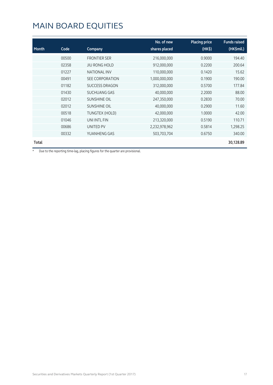| Month | Code  | Company                | No. of new<br>shares placed | <b>Placing price</b><br>(HK <sub>5</sub> ) | <b>Funds raised</b><br>(HK\$mil.) |
|-------|-------|------------------------|-----------------------------|--------------------------------------------|-----------------------------------|
|       |       |                        |                             |                                            |                                   |
|       | 00500 | <b>FRONTIER SER</b>    | 216,000,000                 | 0.9000                                     | 194.40                            |
|       | 02358 | <b>JIU RONG HOLD</b>   | 912,000,000                 | 0.2200                                     | 200.64                            |
|       | 01227 | <b>NATIONAL INV</b>    | 110,000,000                 | 0.1420                                     | 15.62                             |
|       | 00491 | <b>SEE CORPORATION</b> | 1,000,000,000               | 0.1900                                     | 190.00                            |
|       | 01182 | <b>SUCCESS DRAGON</b>  | 312,000,000                 | 0.5700                                     | 177.84                            |
|       | 01430 | <b>SUCHUANG GAS</b>    | 40,000,000                  | 2.2000                                     | 88.00                             |
|       | 02012 | <b>SUNSHINE OIL</b>    | 247,350,000                 | 0.2830                                     | 70.00                             |
|       | 02012 | <b>SUNSHINE OIL</b>    | 40,000,000                  | 0.2900                                     | 11.60                             |
|       | 00518 | <b>TUNGTEX (HOLD)</b>  | 42,000,000                  | 1.0000                                     | 42.00                             |
|       | 01046 | UNI INTL FIN           | 213,320,000                 | 0.5190                                     | 110.71                            |
|       | 00686 | UNITED PV              | 2,232,978,962               | 0.5814                                     | 1,298.25                          |
|       | 00332 | YUANHENG GAS           | 503,703,704                 | 0.6750                                     | 340.00                            |
| Total |       |                        |                             |                                            | 30,128.89                         |

\* Due to the reporting time-lag, placing figures for the quarter are provisional.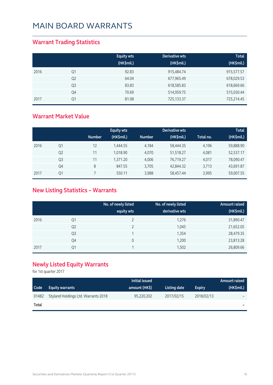#### **Warrant Trading Statistics**

|      |                | <b>Equity wts</b><br>(HK\$mil.) | Derivative wts<br>(HK\$mil.) | <b>Total</b><br>(HK\$mil.) |
|------|----------------|---------------------------------|------------------------------|----------------------------|
| 2016 | Q1             | 92.83                           | 915,484.74                   | 915,577.57                 |
|      | Q <sub>2</sub> | 64.04                           | 677,965.49                   | 678,029.53                 |
|      | Q <sub>3</sub> | 83.83                           | 618,585.83                   | 618,669.66                 |
|      | Q4             | 70.69                           | 514,959.75                   | 515,030.44                 |
| 2017 | Q1             | 81.08                           | 725,133.37                   | 725,214.45                 |

#### **Warrant Market Value**

|      |                |               | <b>Equity wts</b> |               | Derivative wts |           | <b>Total</b> |
|------|----------------|---------------|-------------------|---------------|----------------|-----------|--------------|
|      |                | <b>Number</b> | (HK\$mil.)        | <b>Number</b> | (HK\$mil.)     | Total no. | (HK\$mil.)   |
| 2016 | Q1             | 12            | 1,444.55          | 4,184         | 58,444.35      | 4,196     | 59,888.90    |
|      | Q <sub>2</sub> | 11            | 1.018.90          | 4.070         | 51,518.27      | 4.081     | 52,537.17    |
|      | Q <sub>3</sub> | 11            | 1,371.20          | 4,006         | 76,719.27      | 4,017     | 78,090.47    |
|      | Q4             | 8             | 847.55            | 3,705         | 42,844.32      | 3,713     | 43,691.87    |
| 2017 | Q1             |               | 550.11            | 3,988         | 58,457.44      | 3,995     | 59,007.55    |

#### **New Listing Statistics – Warrants**

|      |                | No. of newly listed<br>equity wts | No. of newly listed<br>derivative wts | <b>Amount raised</b><br>(HK\$mil.) |
|------|----------------|-----------------------------------|---------------------------------------|------------------------------------|
| 2016 | Q1             |                                   | 1,276                                 | 31,890.47                          |
|      | Q <sub>2</sub> |                                   | 1,045                                 | 21,652.05                          |
|      | Q <sub>3</sub> |                                   | 1,354                                 | 28,479.35                          |
|      | Q4             | 0                                 | 1,200                                 | 23,813.28                          |
| 2017 | Q1             |                                   | 1,502                                 | 26,809.66                          |

#### **Newly Listed Equity Warrants**

|       |                                     | Initial issued |              |               | Amount raised            |
|-------|-------------------------------------|----------------|--------------|---------------|--------------------------|
| Code  | <b>Equity warrants</b>              | amount (HK\$)  | Listing date | <b>Expiry</b> | (HK\$mil.)               |
| 01482 | Styland Holdings Ltd. Warrants 2018 | 95,220,202     | 2017/02/15   | 2018/02/13    | $\overline{\phantom{0}}$ |
| Total |                                     |                |              |               | $\sim$                   |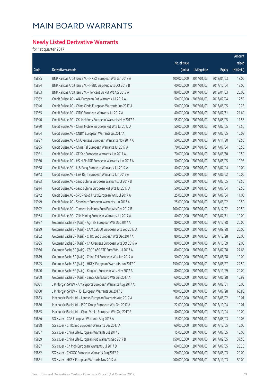#### **Newly Listed Derivative Warrants**

|       |                                                               |              |                     |               | Amount     |
|-------|---------------------------------------------------------------|--------------|---------------------|---------------|------------|
|       |                                                               | No. of issue |                     |               | raised     |
| Code  | Derivative warrants                                           | (units)      | <b>Listing date</b> | <b>Expiry</b> | (HK\$mil.) |
| 15885 | BNP Paribas Arbit Issu B.V. - HKEX European Wts Jan 2018 A    | 100,000,000  | 2017/01/03          | 2018/01/03    | 18.00      |
| 15884 | BNP Paribas Arbit Issu B.V. - HSBC Euro Put Wts Oct 2017 B    | 40,000,000   | 2017/01/03          | 2017/10/04    | 18.00      |
| 15883 | BNP Paribas Arbit Issu B.V. - Tencent Eu Put Wt Apr 2018 A    | 80,000,000   | 2017/01/03          | 2018/04/03    | 20.00      |
| 15932 | Credit Suisse AG - AIA European Put Warrants Jul 2017 A       | 50,000,000   | 2017/01/03          | 2017/07/04    | 12.50      |
| 15946 | Credit Suisse AG - China Cinda European Warrants Jun 2017 A   | 50,000,000   | 2017/01/03          | 2017/06/05    | 10.25      |
| 15965 | Credit Suisse AG - CITIC European Warrants Jul 2017 A         | 40,000,000   | 2017/01/03          | 2017/07/31    | 21.60      |
| 15940 | Credit Suisse AG - CKI Holdings European Warrants May 2017 A  | 55,000,000   | 2017/01/03          | 2017/05/05    | 11.55      |
| 15920 | Credit Suisse AG - China Mobile European Put Wts Jul 2017 A   | 50,000,000   | 2017/01/03          | 2017/07/05    | 12.50      |
| 15954 | Credit Suisse AG - CNBM European Warrants Jul 2017 A          | 36,000,000   | 2017/01/03          | 2017/07/05    | 10.08      |
| 15937 | Credit Suisse AG - Ch Overseas European Warrants Nov 2017 A   | 50,000,000   | 2017/01/03          | 2017/11/30    | 12.50      |
| 15955 | Credit Suisse AG - China Tel European Warrants Jul 2017 A     | 70,000,000   | 2017/01/03          | 2017/07/04    | 10.50      |
| 15951 | Credit Suisse AG - GF Sec European Warrants Jun 2017 A        | 70,000,000   | 2017/01/03          | 2017/06/30    | 10.50      |
| 15950 | Credit Suisse AG - HS H-SHARE European Warrants Jun 2017 A    | 30,000,000   | 2017/01/03          | 2017/06/05    | 10.95      |
| 15938 | Credit Suisse AG - Li & Fung European Warrants Jul 2017 A     | 40,000,000   | 2017/01/03          | 2017/07/04    | 10.00      |
| 15943 | Credit Suisse AG - Link REIT European Warrants Jun 2017 A     | 50,000,000   | 2017/01/03          | 2017/06/02    | 10.00      |
| 15933 | Credit Suisse AG - Sands China European Warrants Jul 2017 B   | 50,000,000   | 2017/01/03          | 2017/07/05    | 12.50      |
| 15914 | Credit Suisse AG - Sands China European Put Wts Jul 2017 A    | 50,000,000   | 2017/01/03          | 2017/07/04    | 12.50      |
| 15942 | Credit Suisse AG - SPDR Gold Trust European Wts Jul 2017 A    | 25,000,000   | 2017/01/03          | 2017/07/04    | 11.00      |
| 15949 | Credit Suisse AG - Stanchart European Warrants Jun 2017 A     | 25,000,000   | 2017/01/03          | 2017/06/02    | 10.50      |
| 15922 | Credit Suisse AG - Tencent Holdings Euro Put Wts Dec 2017 B   | 100,000,000  | 2017/01/03          | 2017/12/22    | 20.50      |
| 15964 | Credit Suisse AG - Zijin Mining European Warrants Jul 2017 A  | 40,000,000   | 2017/01/03          | 2017/07/31    | 10.00      |
| 15987 | Goldman Sachs SP (Asia) - Agri Bk European Wts Dec 2017 A     | 80,000,000   | 2017/01/03          | 2017/12/28    | 20.00      |
| 15829 | Goldman Sachs SP (Asia) - CAM CSI300 European Wts Sep 2017 A  | 80,000,000   | 2017/01/03          | 2017/09/28    | 20.00      |
| 15832 | Goldman Sachs SP (Asia) - CITIC Sec European Wts Dec 2017 A   | 80,000,000   | 2017/01/03          | 2017/12/28    | 20.00      |
| 15985 | Goldman Sachs SP (Asia) - Ch Overseas European Wts Oct 2017 A | 80,000,000   | 2017/01/03          | 2017/10/09    | 12.00      |
| 15966 | Goldman Sachs SP (Asia) - CSOP A50 ETF Euro Wts Jul 2017 A    | 80,000,000   | 2017/01/03          | 2017/07/28    | 27.68      |
| 15819 | Goldman Sachs SP (Asia) - China Tel European Wts Jun 2017 A   | 50,000,000   | 2017/01/03          | 2017/06/28    | 10.00      |
| 15825 | Goldman Sachs SP (Asia) - HKEX European Warrants Jun 2017 C   | 150,000,000  | 2017/01/03          | 2017/06/27    | 22.50      |
| 15820 | Goldman Sachs SP (Asia) - Kingsoft European Wts Nov 2017 A    | 80,000,000   | 2017/01/03          | 2017/11/29    | 20.00      |
| 15968 | Goldman Sachs SP (Asia) - Sands China Euro Wts Jun 2017 A     | 60,000,000   | 2017/01/03          | 2017/06/28    | 10.92      |
| 16001 | J P Morgan SP BV - Anta Sports European Warrants Aug 2017 A   | 60,000,000   | 2017/01/03          | 2017/08/01    | 15.06      |
| 16000 | J P Morgan SP BV - HSI European Warrants Jul 2017 B           | 400,000,000  | 2017/01/03          | 2017/07/28    | 60.80      |
| 15853 | Macquarie Bank Ltd. - Lenovo European Warrants Aug 2017 A     | 18,000,000   | 2017/01/03          | 2017/08/02    | 10.01      |
| 15856 | Macquarie Bank Ltd. - PICC Group European Wts Oct 2017 A      | 22,000,000   | 2017/01/03          | 2017/10/04    | 10.01      |
| 15835 | Macquarie Bank Ltd. - China Vanke European Wts Oct 2017 A     | 40,000,000   | 2017/01/03          | 2017/10/04    | 10.00      |
| 15886 | SG Issuer - CGS European Warrants Aug 2017 A                  | 15,000,000   | 2017/01/03          | 2017/08/03    | 10.05      |
| 15888 | SG Issuer - CITIC Sec European Warrants Dec 2017 A            | 60,000,000   | 2017/01/03          | 2017/12/05    | 15.00      |
| 15857 | SG Issuer - China Life European Warrants Jul 2017 C           | 15,000,000   | 2017/01/03          | 2017/07/05    | 10.05      |
| 15859 | SG Issuer - China Life European Put Warrants Sep 2017 B       | 150,000,000  | 2017/01/03          | 2017/09/05    | 37.50      |
| 15887 | SG Issuer - Ch Mob European Warrants Jul 2017 D               | 60,000,000   | 2017/01/03          | 2017/07/05    | 28.20      |
| 15862 | SG Issuer - CNOOC European Warrants Aug 2017 A                | 20,000,000   | 2017/01/03          | 2017/08/03    | 20.00      |
| 15881 | SG Issuer - HKEX European Warrants Nov 2017 A                 | 200,000,000  | 2017/01/03          | 2017/11/03    | 50.00      |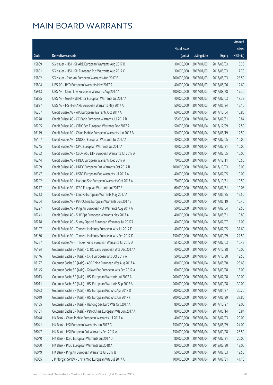|       |                                                              |              |                       |               | <b>Amount</b> |
|-------|--------------------------------------------------------------|--------------|-----------------------|---------------|---------------|
|       |                                                              | No. of issue |                       |               | raised        |
| Code  | Derivative warrants                                          | (units)      | <b>Listing date</b>   | <b>Expiry</b> | (HK\$mil.)    |
| 15889 | SG Issuer - HS H-SHARE European Warrants Aug 2017 B          | 30,000,000   | 2017/01/03            | 2017/08/03    | 15.30         |
| 15891 | SG Issuer - HS H-SH European Put Warrants Aug 2017 C         | 30,000,000   | 2017/01/03            | 2017/08/03    | 17.70         |
| 15892 | SG Issuer - Ping An European Warrants Aug 2017 B             | 100,000,000  | 2017/01/03            | 2017/08/03    | 28.50         |
| 15894 | UBS AG - BYD European Warrants May 2017 A                    | 40,000,000   | 2017/01/03            | 2017/05/26    | 12.60         |
| 15913 | UBS AG - China Life European Warrants Aug 2017 A             | 100,000,000  | 2017/01/03            | 2017/08/28    | 17.30         |
| 15895 | UBS AG - Greatwall Motor European Warrants Jul 2017 A        | 40,000,000   | 2017/01/03            | 2017/07/03    | 13.32         |
| 15897 | UBS AG - HS H-SHARE European Warrants May 2017 A             | 50,000,000   | 2017/01/03            | 2017/05/24    | 15.10         |
| 16207 | Credit Suisse AG - AIA European Warrants Oct 2017 A          | 60,000,000   | 2017/01/04            | 2017/10/04    | 10.80         |
| 16278 | Credit Suisse AG - CC Bank European Warrants Jul 2017 B      | 55,000,000   | 2017/01/04            | 2017/07/31    | 10.84         |
| 16295 | Credit Suisse AG - CITIC Sec European Warrants Dec 2017 A    | 50,000,000   | 2017/01/04            | 2017/12/29    | 12.50         |
| 16179 | Credit Suisse AG - China Mobile European Warrants Jun 2017 B | 50,000,000   | 2017/01/04            | 2017/06/19    | 12.50         |
| 16167 | Credit Suisse AG - CNOOC European Warrants Jul 2017 A        | 40,000,000   | 2017/01/04            | 2017/07/05    | 10.00         |
| 16245 | Credit Suisse AG - CPIC European Warrants Jul 2017 A         | 40,000,000   | 2017/01/04            | 2017/07/31    | 10.00         |
| 16352 | Credit Suisse AG - CSOP A50 ETF European Warrants Jul 2017 A | 40,000,000   | 2017/01/04            | 2017/07/05    | 10.00         |
| 16244 | Credit Suisse AG - HKEX European Warrants Dec 2017 A         | 70,000,000   | 2017/01/04            | 2017/12/11    | 10.50         |
| 16209 | Credit Suisse AG - HKEX European Put Warrants Oct 2017 B     | 100,000,000  | 2017/01/04            | 2017/10/03    | 15.00         |
| 16347 | Credit Suisse AG - HSBC European Put Warrants Jul 2017 A     | 40,000,000   | 2017/01/04            | 2017/07/05    | 10.00         |
| 16292 | Credit Suisse AG - Haitong Sec European Warrants Oct 2017 A  | 70,000,000   | 2017/01/04            | 2017/10/31    | 10.50         |
| 16277 | Credit Suisse AG - ICBC European Warrants Jul 2017 B         | 60,000,000   | 2017/01/04            | 2017/07/31    | 10.08         |
| 16213 | Credit Suisse AG - Lenovo European Warrants May 2017 A       | 50,000,000   | 2017/01/04            | 2017/05/25    | 12.50         |
| 16204 | Credit Suisse AG - PetroChina European Warrants Jun 2017 B   | 40,000,000   | 2017/01/04            | 2017/06/19    | 10.40         |
| 16297 | Credit Suisse AG - Ping An European Put Warrants Aug 2017 A  | 50,000,000   | 2017/01/04            | 2017/08/04    | 12.50         |
| 16241 | Credit Suisse AG - SHK Ppt European Warrants May 2017 A      | 40,000,000   | 2017/01/04            | 2017/05/31    | 10.80         |
| 16218 | Credit Suisse AG - Sunny Optical European Warrants Jul 2017A | 40,000,000   | 2017/01/04            | 2017/07/07    | 11.00         |
| 16197 | Credit Suisse AG - Tencent Holdings European Wts Jul 2017 F  | 40,000,000   | 2017/01/04            | 2017/07/05    | 31.60         |
| 16160 | Credit Suisse AG - Tencent Holdings European Wts Sep 2017 D  | 150,000,000  | 2017/01/04            | 2017/09/29    | 22.50         |
| 16257 | Credit Suisse AG - Tracker Fund European Warrants Jul 2017 A |              | 55,000,000 2017/01/04 | 2017/07/03    | 10.45         |
| 16124 | Goldman Sachs SP (Asia) - CITIC Bank European Wts Dec 2017 A | 40,000,000   | 2017/01/04            | 2017/12/28    | 10.00         |
| 16146 | Goldman Sachs SP (Asia) - CKH European Wts Oct 2017 A        | 50,000,000   | 2017/01/04            | 2017/10/30    | 12.50         |
| 16127 | Goldman Sachs SP (Asia) - A50 China European Wts Aug 2017 A  | 80,000,000   | 2017/01/04            | 2017/08/30    | 23.68         |
| 16145 | Goldman Sachs SP (Asia) - Galaxy Ent European Wts Sep 2017 A | 60,000,000   | 2017/01/04            | 2017/09/28    | 15.00         |
| 16013 | Goldman Sachs SP (Asia) - HSI European Warrants Jul 2017 A   | 200,000,000  | 2017/01/04            | 2017/07/28    | 30.00         |
| 16011 | Goldman Sachs SP (Asia) - HSI European Warrants Sep 2017 A   | 200,000,000  | 2017/01/04            | 2017/09/28    | 30.00         |
| 16023 | Goldman Sachs SP (Asia) - HSI European Put Wts Apr 2017 D    | 200,000,000  | 2017/01/04            | 2017/04/27    | 30.20         |
| 16019 | Goldman Sachs SP (Asia) - HSI European Put Wts Jun 2017 F    | 200,000,000  | 2017/01/04            | 2017/06/29    | 37.80         |
| 16155 | Goldman Sachs SP (Asia) - Haitong Sec Euro Wts Oct 2017 A    | 80,000,000   | 2017/01/04            | 2017/10/27    | 12.00         |
| 16131 | Goldman Sachs SP (Asia) - PetroChina European Wts Jun 2017 A | 80,000,000   | 2017/01/04            | 2017/06/14    | 13.84         |
| 16048 | HK Bank - China Mobile European Warrants Jul 2017 A          | 40,000,000   | 2017/01/04            | 2017/07/03    | 20.00         |
| 16041 | HK Bank - HSI European Warrants Jun 2017 G                   | 150,000,000  | 2017/01/04            | 2017/06/29    | 24.00         |
| 16047 | HK Bank - HSI European Put Warrants Sep 2017 A               | 150,000,000  | 2017/01/04            | 2017/09/28    | 25.50         |
| 16040 | HK Bank - ICBC European Warrants Jul 2017 D                  | 80,000,000   | 2017/01/04            | 2017/07/31    | 20.00         |
| 16050 | HK Bank - PICC European Warrants Jul 2018 A                  | 80,000,000   | 2017/01/04            | 2018/07/30    | 12.00         |
| 16049 | HK Bank - Ping An European Warrants Jul 2017 B               | 50,000,000   | 2017/01/04            | 2017/07/03    | 12.50         |
| 16065 | J P Morgan SP BV - China Mob European Wts Jul 2017 A         | 100,000,000  | 2017/01/04            | 2017/07/31    | 41.10         |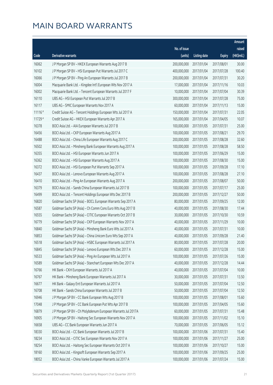|         |                                                              |              |                       |               | Amount     |
|---------|--------------------------------------------------------------|--------------|-----------------------|---------------|------------|
|         |                                                              | No. of issue |                       |               | raised     |
| Code    | Derivative warrants                                          | (units)      | <b>Listing date</b>   | <b>Expiry</b> | (HK\$mil.) |
| 16062   | J P Morgan SP BV - HKEX European Warrants Aug 2017 B         | 200,000,000  | 2017/01/04            | 2017/08/01    | 30.00      |
| 16102   | J P Morgan SP BV - HSI European Put Warrants Jul 2017 C      | 400,000,000  | 2017/01/04            | 2017/07/28    | 100.40     |
| 16066   | J P Morgan SP BV - Ping An European Warrants Jul 2017 B      | 200,000,000  | 2017/01/04            | 2017/07/31    | 30.20      |
| 16004   | Macquarie Bank Ltd. - Kingdee Int'l European Wts Nov 2017 A  | 17,000,000   | 2017/01/04            | 2017/11/16    | 10.03      |
| 16002   | Macquarie Bank Ltd. - Tencent European Warrants Jul 2017 F   | 10,000,000   | 2017/01/04            | 2017/07/04    | 30.39      |
| 16110   | UBS AG - HSI European Put Warrants Jul 2017 B                | 300,000,000  | 2017/01/04            | 2017/07/28    | 75.00      |
| 16117   | UBS AG - SMIC European Warrants Nov 2017 A                   | 60,000,000   | 2017/01/04            | 2017/11/13    | 15.00      |
| 11116 # | Credit Suisse AG - Tencent Holdings European Wts Jul 2017 A  | 150,000,000  | 2017/01/04            | 2017/07/31    | 22.05      |
| 11729 # | Credit Suisse AG - HKEX European Warrants Apr 2017 A         | 165,000,000  | 2017/01/04            | 2017/04/05    | 10.07      |
| 16378   | BOCI Asia Ltd. - AIA European Warrants Jul 2017 B            | 100,000,000  | 2017/01/05            | 2017/07/31    | 25.00      |
| 16456   | BOCI Asia Ltd. - CKP European Warrants Aug 2017 A            | 100,000,000  | 2017/01/05            | 2017/08/21    | 29.70      |
| 16488   | BOCI Asia Ltd. - China Life European Warrants Aug 2017 C     | 200,000,000  | 2017/01/05            | 2017/08/28    | 32.60      |
| 16502   | BOCI Asia Ltd. - Minsheng Bank European Warrants Aug 2017 A  | 100,000,000  | 2017/01/05            | 2017/08/28    | 58.50      |
| 16355   | BOCI Asia Ltd. - HSI European Warrants Jun 2017 A            | 100,000,000  | 2017/01/05            | 2017/06/29    | 15.00      |
| 16362   | BOCI Asia Ltd. - HSI European Warrants Aug 2017 A            | 100,000,000  | 2017/01/05            | 2017/08/30    | 15.00      |
| 16372   | BOCI Asia Ltd. - HSI European Put Warrants Sep 2017 A        | 100,000,000  | 2017/01/05            | 2017/09/28    | 17.10      |
| 16437   | BOCI Asia Ltd. - Lenovo European Warrants Aug 2017 A         | 100,000,000  | 2017/01/05            | 2017/08/28    | 27.10      |
| 16410   | BOCI Asia Ltd. - Ping An European Warrants Aug 2017 A        | 200,000,000  | 2017/01/05            | 2017/08/07    | 50.00      |
| 16379   | BOCI Asia Ltd. - Sands China European Warrants Jul 2017 B    | 100,000,000  | 2017/01/05            | 2017/07/17    | 25.00      |
| 16499   | BOCI Asia Ltd. - Tencent Holdings European Wts Dec 2017 B    | 200,000,000  | 2017/01/05            | 2017/12/27    | 50.00      |
| 16820   | Goldman Sachs SP (Asia) - BOCL European Warrants Sep 2017 A  | 80,000,000   | 2017/01/05            | 2017/09/25    | 12.00      |
| 16587   | Goldman Sachs SP (Asia) - Ch Comm Cons Euro Wts Aug 2017 B   | 40,000,000   | 2017/01/05            | 2017/08/30    | 17.44      |
| 16555   | Goldman Sachs SP (Asia) - CITIC European Warrants Oct 2017 B | 30,000,000   | 2017/01/05            | 2017/10/30    | 10.59      |
| 16779   | Goldman Sachs SP (Asia) - CKP European Warrants Nov 2017 A   | 40,000,000   | 2017/01/05            | 2017/11/29    | 10.00      |
| 16840   | Goldman Sachs SP (Asia) - Minsheng Bank Euro Wts Jul 2017 A  | 40,000,000   | 2017/01/05            | 2017/07/31    | 10.00      |
| 16853   | Goldman Sachs SP (Asia) - China Unicom Euro Wts Sep 2017 A   | 40,000,000   | 2017/01/05            | 2017/09/28    | 21.40      |
| 16518   | Goldman Sachs SP (Asia) - HSBC European Warrants Jul 2017 A  |              | 80,000,000 2017/01/05 | 2017/07/28    | 20.00      |
| 16845   | Goldman Sachs SP (Asia) - Lenovo European Wts Dec 2017 A     | 60,000,000   | 2017/01/05            | 2017/12/28    | 15.00      |
| 16533   | Goldman Sachs SP (Asia) - Ping An European Wts Jul 2017 A    | 100,000,000  | 2017/01/05            | 2017/07/26    | 15.00      |
| 16589   | Goldman Sachs SP (Asia) - Stanchart European Wts Dec 2017 A  | 40,000,000   | 2017/01/05            | 2017/12/28    | 14.44      |
| 16766   | HK Bank - CKH European Warrants Jul 2017 A                   | 40,000,000   | 2017/01/05            | 2017/07/04    | 10.00      |
| 16767   | HK Bank - Minsheng Bank European Warrants Jul 2017 A         | 30,000,000   | 2017/01/05            | 2017/07/31    | 13.50      |
| 16677   | HK Bank - Galaxy Ent European Warrants Jul 2017 A            | 50,000,000   | 2017/01/05            | 2017/07/04    | 12.50      |
| 16708   | HK Bank - Sands China European Warrants Jul 2017 B           | 50,000,000   | 2017/01/05            | 2017/07/04    | 12.50      |
| 16946   | J P Morgan SP BV - CC Bank European Wts Aug 2017 B           | 100,000,000  | 2017/01/05            | 2017/08/01    | 15.60      |
| 17048   | J P Morgan SP BV - CC Bank European Put Wts Apr 2017 B       | 100,000,000  | 2017/01/05            | 2017/04/05    | 15.60      |
| 16879   | J P Morgan SP BV - Ch Molybdenum European Warrants Jul 2017A | 60,000,000   | 2017/01/05            | 2017/07/31    | 15.48      |
| 16905   | J P Morgan SP BV - Haitong Sec European Warrants Nov 2017 A  | 100,000,000  | 2017/01/05            | 2017/11/02    | 15.10      |
| 16658   | UBS AG - CC Bank European Warrants Jun 2017 A                | 70,000,000   | 2017/01/05            | 2017/06/05    | 15.12      |
| 18330   | BOCI Asia Ltd. - CC Bank European Warrants Jul 2017 B        | 100,000,000  | 2017/01/06            | 2017/07/31    | 15.40      |
| 18234   | BOCI Asia Ltd. - CITIC Sec European Warrants Nov 2017 A      | 100,000,000  | 2017/01/06            | 2017/11/27    | 25.00      |
| 18254   | BOCI Asia Ltd. - Haitong Sec European Warrants Oct 2017 A    | 100,000,000  | 2017/01/06            | 2017/10/27    | 15.00      |
| 18160   | BOCI Asia Ltd. - Kingsoft European Warrants Sep 2017 A       | 100,000,000  | 2017/01/06            | 2017/09/25    | 25.00      |
| 18052   | BOCI Asia Ltd. - China Vanke European Warrants Jul 2017 A    | 100,000,000  | 2017/01/06            | 2017/07/24    | 15.00      |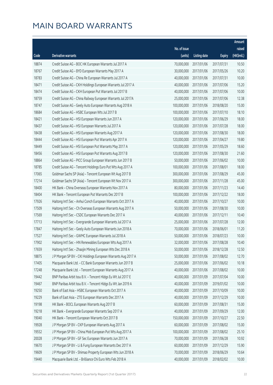|       |                                                              |              |                       |               | Amount     |
|-------|--------------------------------------------------------------|--------------|-----------------------|---------------|------------|
|       |                                                              | No. of issue |                       |               | raised     |
| Code  | <b>Derivative warrants</b>                                   | (units)      | <b>Listing date</b>   | <b>Expiry</b> | (HK\$mil.) |
| 18874 | Credit Suisse AG - BOC HK European Warrants Jul 2017 A       | 70,000,000   | 2017/01/06            | 2017/07/31    | 10.50      |
| 18767 | Credit Suisse AG - BYD European Warrants May 2017 A          | 30,000,000   | 2017/01/06            | 2017/05/26    | 10.20      |
| 18783 | Credit Suisse AG - China Re European Warrants Jul 2017 A     | 40,000,000   | 2017/01/06            | 2017/07/31    | 10.00      |
| 18471 | Credit Suisse AG - CKH Holdings European Warrants Jul 2017 A | 40,000,000   | 2017/01/06            | 2017/07/06    | 15.20      |
| 18474 | Credit Suisse AG - CKH European Put Warrants Jul 2017 B      | 40,000,000   | 2017/01/06            | 2017/07/06    | 10.00      |
| 18759 | Credit Suisse AG - China Railway European Warrants Jul 2017A | 25,000,000   | 2017/01/06            | 2017/07/06    | 12.38      |
| 18747 | Credit Suisse AG - Geely Auto European Warrants Aug 2018 A   | 100,000,000  | 2017/01/06            | 2018/08/20    | 15.00      |
| 18684 | Credit Suisse AG - HSBC European Wts Jul 2017 B              | 100,000,000  | 2017/01/06            | 2017/07/10    | 18.10      |
| 18421 | Credit Suisse AG - HSI European Warrants Jun 2017 A          | 120,000,000  | 2017/01/06            | 2017/06/29    | 18.00      |
| 18437 | Credit Suisse AG - HSI European Warrants Jul 2017 A          | 120,000,000  | 2017/01/06            | 2017/07/28    | 18.00      |
| 18438 | Credit Suisse AG - HSI European Warrants Aug 2017 A          | 120,000,000  | 2017/01/06            | 2017/08/30    | 18.00      |
| 18444 | Credit Suisse AG - HSI European Put Warrants Apr 2017 A      | 120,000,000  | 2017/01/06            | 2017/04/27    | 19.80      |
| 18449 | Credit Suisse AG - HSI European Put Warrants May 2017 A      | 120,000,000  | 2017/01/06            | 2017/05/29    | 18.60      |
| 18456 | Credit Suisse AG - HSI European Put Warrants Aug 2017 B      | 120,000,000  | 2017/01/06            | 2017/08/30    | 21.60      |
| 18864 | Credit Suisse AG - PICC Group European Warrants Jun 2017 B   | 50,000,000   | 2017/01/06            | 2017/06/02    | 10.00      |
| 18785 | Credit Suisse AG - Tencent Holdings Euro Put Wts Aug 2017 A  | 100,000,000  | 2017/01/06            | 2017/08/01    | 18.00      |
| 17065 | Goldman Sachs SP (Asia) - Tencent European Wt Aug 2017 B     | 300,000,000  | 2017/01/06            | 2017/08/29    | 45.00      |
| 17214 | Goldman Sachs SP (Asia) - Tencent European Wt Nov 2017 A     | 300,000,000  | 2017/01/06            | 2017/11/28    | 45.00      |
| 18400 | HK Bank - China Overseas European Warrants Nov 2017 A        | 80,000,000   | 2017/01/06            | 2017/11/23    | 14.40      |
| 18404 | HK Bank - Tencent European Put Warrants Dec 2017 B           | 100,000,000  | 2017/01/06            | 2017/12/22    | 18.00      |
| 17926 | Haitong Int'l Sec - Anhui Conch European Warrants Oct 2017 A | 40,000,000   | 2017/01/06            | 2017/10/27    | 10.00      |
| 17509 | Haitong Int'l Sec - Ch Overseas European Warrants Aug 2017 A | 50,000,000   | 2017/01/06            | 2017/08/30    | 10.00      |
| 17569 | Haitong Int'l Sec - CSDC European Warrants Dec 2017 A        | 40,000,000   | 2017/01/06            | 2017/12/11    | 10.40      |
| 17713 | Haitong Int'l Sec - Evergrande European Warrants Jul 2017 A  | 25,000,000   | 2017/01/06            | 2017/07/28    | 12.00      |
| 17847 | Haitong Int'l Sec - Geely Auto European Warrants Jun 2018 A  | 70,000,000   | 2017/01/06            | 2018/06/01    | 11.20      |
| 17527 | Haitong Int'l Sec - GWMC European Warrants Jul 2018 A        | 50,000,000   | 2017/01/06            | 2018/07/23    | 10.00      |
| 17902 | Haitong Int'l Sec - HN Renewables European Wts Aug 2017 A    |              | 32,000,000 2017/01/06 | 2017/08/28    | 10.40      |
| 17659 | Haitong Int'l Sec - Zhaojin Mining European Wts Dec 2018 A   | 50,000,000   | 2017/01/06            | 2018/12/28    | 12.50      |
| 18875 | J P Morgan SP BV - CKI Holdings European Warrants Aug 2017 A | 50,000,000   | 2017/01/06            | 2017/08/02    | 12.70      |
| 17405 | Macquarie Bank Ltd. - CC Bank European Warrants Jun 2017 B   | 25,000,000   | 2017/01/06            | 2017/06/02    | 10.18      |
| 17248 | Macquarie Bank Ltd. - Tencent European Warrants Aug 2017 A   | 40,000,000   | 2017/01/06            | 2017/08/02    | 10.00      |
| 19442 | BNP Paribas Arbit Issu B.V. - Tencent Hldgs Eu Wt Jul 2017 E | 40,000,000   | 2017/01/09            | 2017/07/04    | 10.00      |
| 19467 | BNP Paribas Arbit Issu B.V. - Tencent Hldgs Eu Wt Jan 2019 A | 40,000,000   | 2017/01/09            | 2019/01/02    | 10.00      |
| 19250 | Bank of East Asia - HSBC European Warrants Oct 2017 A        | 40,000,000   | 2017/01/09            | 2017/10/09    | 10.00      |
| 19229 | Bank of East Asia - ZTE European Warrants Dec 2017 A         | 40,000,000   | 2017/01/09            | 2017/12/29    | 10.00      |
| 19198 | HK Bank - BOCL European Warrants Aug 2017 B                  | 60,000,000   | 2017/01/09            | 2017/08/31    | 15.00      |
| 19218 | HK Bank - Evergrande European Warrants Sep 2017 A            | 40,000,000   | 2017/01/09            | 2017/09/29    | 12.00      |
| 19040 | HK Bank - Tencent European Warrants Oct 2017 B               | 150,000,000  | 2017/01/09            | 2017/10/27    | 22.50      |
| 19928 | J P Morgan SP BV - CKP European Warrants Aug 2017 A          | 60,000,000   | 2017/01/09            | 2017/08/02    | 15.00      |
| 19552 | J P Morgan SP BV - China Mob European Put Wts Aug 2017 A     | 100,000,000  | 2017/01/09            | 2017/08/02    | 25.10      |
| 20028 | J P Morgan SP BV - GF Sec European Warrants Jun 2017 A       | 70,000,000   | 2017/01/09            | 2017/06/28    | 10.92      |
| 19670 | J P Morgan SP BV - Li & Fung European Warrants Dec 2017 A    | 60,000,000   | 2017/01/09            | 2017/12/29    | 15.90      |
| 19609 | J P Morgan SP BV - Shimao Property European Wts Jun 2018 A   | 70,000,000   | 2017/01/09            | 2018/06/29    | 10.64      |
| 19440 | Macquarie Bank Ltd. - Brilliance Chi Euro Wts Feb 2018 A     | 40,000,000   | 2017/01/09            | 2018/02/02    | 10.00      |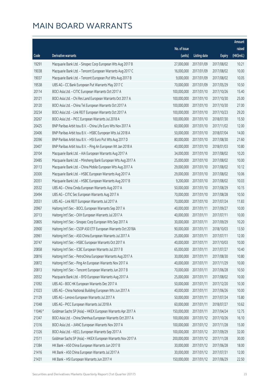|         |                                                              |              |                       |               | Amount     |
|---------|--------------------------------------------------------------|--------------|-----------------------|---------------|------------|
|         |                                                              | No. of issue |                       |               | raised     |
| Code    | <b>Derivative warrants</b>                                   | (units)      | <b>Listing date</b>   | <b>Expiry</b> | (HK\$mil.) |
| 19291   | Macquarie Bank Ltd. - Sinopec Corp European Wts Aug 2017 B   | 27,000,000   | 2017/01/09            | 2017/08/02    | 10.21      |
| 19038   | Macquarie Bank Ltd. - Tencent European Warrants Aug 2017 C   | 16,000,000   | 2017/01/09            | 2017/08/02    | 10.00      |
| 19037   | Macquarie Bank Ltd. - Tencent European Put Wts Aug 2017 B    | 9,000,000    | 2017/01/09            | 2017/08/02    | 10.05      |
| 19538   | UBS AG - CC Bank European Put Warrants May 2017 C            | 70,000,000   | 2017/01/09            | 2017/05/29    | 10.50      |
| 20114   | BOCI Asia Ltd. - CITIC European Warrants Oct 2017 A          | 100,000,000  | 2017/01/10            | 2017/10/26    | 15.40      |
| 20121   | BOCI Asia Ltd. - Chi Res Land European Warrants Oct 2017 A   | 100,000,000  | 2017/01/10            | 2017/10/30    | 25.00      |
| 20120   | BOCI Asia Ltd. - China Tel European Warrants Oct 2017 A      | 100,000,000  | 2017/01/10            | 2017/10/30    | 27.00      |
| 20234   | BOCI Asia Ltd. - Link REIT European Warrants Oct 2017 A      | 100,000,000  | 2017/01/10            | 2017/10/23    | 29.20      |
| 20267   | BOCI Asia Ltd. - PICC European Warrants Jul 2018 A           | 100,000,000  | 2017/01/10            | 2018/07/30    | 15.50      |
| 20425   | BNP Paribas Arbit Issu B.V. - China Life Euro Wts Nov 2017 A | 60,000,000   | 2017/01/10            | 2017/11/02    | 12.00      |
| 20406   | BNP Paribas Arbit Issu B.V. - HSBC European Wts Jul 2018 A   | 50,000,000   | 2017/01/10            | 2018/07/04    | 14.00      |
| 20396   | BNP Paribas Arbit Issu B.V. - HSI Euro Put Wts Aug 2017 D    | 80,000,000   | 2017/01/10            | 2017/08/30    | 21.60      |
| 20407   | BNP Paribas Arbit Issu B.V. - Ping An European Wt Jan 2018 A | 40,000,000   | 2017/01/10            | 2018/01/03    | 10.80      |
| 20104   | Macquarie Bank Ltd. - AIA European Warrants Aug 2017 A       | 34,000,000   | 2017/01/10            | 2017/08/02    | 10.20      |
| 20485   | Macquarie Bank Ltd. - Minsheng Bank European Wts Aug 2017 A  | 25,000,000   | 2017/01/10            | 2017/08/02    | 10.00      |
| 20113   | Macquarie Bank Ltd. - China Mobile European Wts Aug 2017 A   | 29,000,000   | 2017/01/10            | 2017/08/02    | 10.12      |
| 20300   | Macquarie Bank Ltd. - HSBC European Warrants Aug 2017 A      | 29,000,000   | 2017/01/10            | 2017/08/02    | 10.06      |
| 20351   | Macquarie Bank Ltd. - HSBC European Warrants Aug 2017 B      | 9,200,000    | 2017/01/10            | 2017/08/02    | 10.03      |
| 20532   | UBS AG - China Cinda European Warrants Aug 2017 A            | 50,000,000   | 2017/01/10            | 2017/08/29    | 10.15      |
| 20494   | UBS AG - CITIC Sec European Warrants Aug 2017 A              | 70,000,000   | 2017/01/10            | 2017/08/28    | 10.50      |
| 20551   | UBS AG - Link REIT European Warrants Jul 2017 A              | 70,000,000   | 2017/01/10            | 2017/07/24    | 11.83      |
| 20967   | Haitong Int'l Sec - BOCL European Warrants Sep 2017 A        | 40,000,000   | 2017/01/11            | 2017/09/27    | 10.00      |
| 20713   | Haitong Int'l Sec - CKH European Warrants Jul 2017 A         | 40,000,000   | 2017/01/11            | 2017/07/11    | 10.00      |
| 20805   | Haitong Int'l Sec - Sinopec Corp European Wts Sep 2017 A     | 30,000,000   | 2017/01/11            | 2017/09/29    | 10.20      |
| 20900   | Haitong Int'l Sec - CSOP A50 ETF European Warrants Oct 2018A | 90,000,000   | 2017/01/11            | 2018/10/03    | 13.50      |
| 20961   | Haitong Int'l Sec - A50 China European Warrants Jul 2017 A   | 25,000,000   | 2017/01/11            | 2017/07/11    | 12.00      |
| 20747   | Haitong Int'l Sec - HSBC European Warrants Oct 2017 A        |              | 40,000,000 2017/01/11 | 2017/10/03    | 10.00      |
| 20858   | Haitong Int'l Sec - ICBC European Warrants Jul 2017 B        | 65,000,000   | 2017/01/11            | 2017/07/27    | 10.40      |
| 20816   | Haitong Int'l Sec - PetroChina European Warrants Aug 2017 A  | 30,000,000   | 2017/01/11            | 2017/08/30    | 10.80      |
| 20872   | Haitong Int'l Sec - Ping An European Warrants Nov 2017 A     | 40,000,000   | 2017/01/11            | 2017/11/29    | 10.00      |
| 20813   | Haitong Int'l Sec - Tencent European Warrants Jun 2017 B     | 70,000,000   | 2017/01/11            | 2017/06/28    | 10.50      |
| 20552   | Macquarie Bank Ltd. - BYD European Warrants Aug 2017 A       | 25,000,000   | 2017/01/11            | 2017/08/02    | 10.00      |
| 21092   | UBS AG - BOC HK European Warrants Dec 2017 A                 | 50,000,000   | 2017/01/11            | 2017/12/20    | 10.30      |
| 21023   | UBS AG - China National Building European Wts Jun 2017 A     | 40,000,000   | 2017/01/11            | 2017/06/26    | 10.00      |
| 21129   | UBS AG - Lenovo European Warrants Jul 2017 A                 | 50,000,000   | 2017/01/11            | 2017/07/24    | 15.80      |
| 21048   | UBS AG - PICC European Warrants Jul 2018 A                   | 60,000,000   | 2017/01/11            | 2018/07/27    | 10.62      |
| 11046 # | Goldman Sachs SP (Asia) - HKEX European Warrants Apr 2017 A  | 150,000,000  | 2017/01/11            | 2017/04/24    | 12.75      |
| 21347   | BOCI Asia Ltd. - China Shenhua European Warrants Oct 2017 A  | 100,000,000  | 2017/01/12            | 2017/10/26    | 16.10      |
| 21316   | BOCI Asia Ltd. - JIANC European Warrants Nov 2017 A          | 100,000,000  | 2017/01/12            | 2017/11/28    | 15.00      |
| 21326   | BOCI Asia Ltd. - KECL European Warrants Sep 2017 A           | 100,000,000  | 2017/01/12            | 2017/09/29    | 32.00      |
| 21511   | Goldman Sachs SP (Asia) - HKEX European Warrants Nov 2017 A  | 200,000,000  | 2017/01/12            | 2017/11/28    | 30.00      |
| 21384   | HK Bank - A50 China European Warrants Jun 2017 B             | 30,000,000   | 2017/01/12            | 2017/06/28    | 18.00      |
| 21416   | HK Bank - A50 China European Warrants Jul 2017 A             | 30,000,000   | 2017/01/12            | 2017/07/31    | 12.00      |
| 21431   | HK Bank - HSI European Warrants Jun 2017 H                   | 150,000,000  | 2017/01/12            | 2017/06/29    | 22.50      |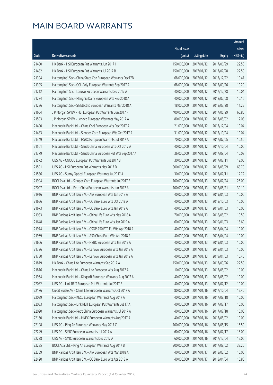|       |                                                               |              |                       |               | Amount     |
|-------|---------------------------------------------------------------|--------------|-----------------------|---------------|------------|
|       |                                                               | No. of issue |                       |               | raised     |
| Code  | Derivative warrants                                           | (units)      | <b>Listing date</b>   | <b>Expiry</b> | (HK\$mil.) |
| 21450 | HK Bank - HSI European Put Warrants Jun 2017 I                | 150,000,000  | 2017/01/12            | 2017/06/29    | 22.50      |
| 21452 | HK Bank - HSI European Put Warrants Jul 2017 B                | 150,000,000  | 2017/01/12            | 2017/07/28    | 22.50      |
| 21304 | Haitong Int'l Sec - China State Con European Warrants Dec17B  | 68,000,000   | 2017/01/12            | 2017/12/22    | 10.47      |
| 21305 | Haitong Int'l Sec - GCL-Poly European Warrants Sep 2017 A     | 68,000,000   | 2017/01/12            | 2017/09/26    | 10.20      |
| 21212 | Haitong Int'l Sec - Lenovo European Warrants Dec 2017 A       | 40,000,000   | 2017/01/12            | 2017/12/28    | 10.04      |
| 21284 | Haitong Int'l Sec - Mengniu Dairy European Wts Feb 2018 A     | 40,000,000   | 2017/01/12            | 2018/02/08    | 10.16      |
| 21286 | Haitong Int'l Sec - Sh Electric European Warrants Mar 2018 A  | 18,000,000   | 2017/01/12            | 2018/03/28    | 11.25      |
| 21604 | J P Morgan SP BV - HSI European Put Warrants Jun 2017 F       | 400,000,000  | 2017/01/12            | 2017/06/29    | 60.80      |
| 21593 | J P Morgan SP BV - Lenovo European Warrants May 2017 A        | 80,000,000   | 2017/01/12            | 2017/05/02    | 12.08      |
| 21490 | Macquarie Bank Ltd. - China Coal European Wts Dec 2017 A      | 21,000,000   | 2017/01/12            | 2017/12/04    | 10.04      |
| 21483 | Macquarie Bank Ltd. - Sinopec Corp European Wts Oct 2017 A    | 31,000,000   | 2017/01/12            | 2017/10/04    | 10.04      |
| 21349 | Macquarie Bank Ltd. - HSBC European Warrants Jul 2017 A       | 70,000,000   | 2017/01/12            | 2017/07/05    | 10.50      |
| 21501 | Macquarie Bank Ltd. - Sands China European Wts Oct 2017 A     | 40,000,000   | 2017/01/12            | 2017/10/04    | 10.00      |
| 21379 | Macquarie Bank Ltd. - Sands China European Put Wts Sep 2017 A | 36,000,000   | 2017/01/12            | 2017/09/04    | 10.08      |
| 21572 | UBS AG - CNOOC European Put Warrants Jul 2017 B               | 30,000,000   | 2017/01/12            | 2017/07/11    | 12.00      |
| 21591 | UBS AG - HSI European Put Warrants May 2017 D                 | 300,000,000  | 2017/01/12            | 2017/05/29    | 68.70      |
| 21536 | UBS AG - Sunny Optical European Warrants Jul 2017 A           | 30,000,000   | 2017/01/12            | 2017/07/11    | 12.72      |
| 21994 | BOCI Asia Ltd. - Sinopec Corp European Warrants Jul 2017 B    | 100,000,000  | 2017/01/13            | 2017/07/24    | 26.00      |
| 22007 | BOCI Asia Ltd. - PetroChina European Warrants Jun 2017 A      | 100,000,000  | 2017/01/13            | 2017/06/21    | 30.10      |
| 21916 | BNP Paribas Arbit Issu B.V. - AIA European Wts Jan 2019 A     | 40,000,000   | 2017/01/13            | 2019/01/03    | 10.00      |
| 21656 | BNP Paribas Arbit Issu B.V. - CC Bank Euro Wts Oct 2018 A     | 40,000,000   | 2017/01/13            | 2018/10/03    | 10.00      |
| 21673 | BNP Paribas Arbit Issu B.V. - CC Bank Euro Wts Jan 2019 A     | 40,000,000   | 2017/01/13            | 2019/01/03    | 10.00      |
| 21983 | BNP Paribas Arbit Issu B.V. - China Life Euro Wts May 2018 A  | 70,000,000   | 2017/01/13            | 2018/05/02    | 10.50      |
| 21648 | BNP Paribas Arbit Issu B.V. - China Life Euro Wts Jan 2019 A  | 60,000,000   | 2017/01/13            | 2019/01/03    | 15.60      |
| 21974 | BNP Paribas Arbit Issu B.V. - CSOP A50 ETF Eu Wts Apr 2018 A  | 40,000,000   | 2017/01/13            | 2018/04/04    | 10.00      |
| 21969 | BNP Paribas Arbit Issu B.V. - A50 China Euro Wts Apr 2018 A   | 40,000,000   | 2017/01/13            | 2018/04/04    | 10.00      |
| 21606 | BNP Paribas Arbit Issu B.V. - HSBC European Wts Jan 2019 A    |              | 40,000,000 2017/01/13 | 2019/01/03    | 10.00      |
| 21726 | BNP Paribas Arbit Issu B.V. - Lenovo European Wts Jan 2018 A  | 40,000,000   | 2017/01/13            | 2018/01/03    | 10.00      |
| 21780 | BNP Paribas Arbit Issu B.V. - Lenovo European Wts Jan 2019 A  | 40,000,000   | 2017/01/13            | 2019/01/03    | 10.40      |
| 21819 | HK Bank - China Life European Warrants Sep 2017 A             | 150,000,000  | 2017/01/13            | 2017/09/26    | 22.50      |
| 21816 | Macquarie Bank Ltd. - China Life European Wts Aug 2017 A      | 10,000,000   | 2017/01/13            | 2017/08/02    | 10.00      |
| 21964 | Macquarie Bank Ltd. - Kingsoft European Warrants Aug 2017 A   | 40,000,000   | 2017/01/13            | 2017/08/02    | 10.00      |
| 22082 | UBS AG - Link REIT European Put Warrants Jul 2017 B           | 40,000,000   | 2017/01/13            | 2017/07/12    | 10.00      |
| 22176 | Credit Suisse AG - China Life European Warrants Oct 2017 A    | 80,000,000   | 2017/01/16            | 2017/10/04    | 12.40      |
| 22089 | Haitong Int'l Sec - KECL European Warrants Aug 2017 A         | 40,000,000   | 2017/01/16            | 2017/08/18    | 10.00      |
| 22083 | Haitong Int'l Sec - Link REIT European Put Warrants Jul 17 A  | 40,000,000   | 2017/01/16            | 2017/07/17    | 10.00      |
| 22090 | Haitong Int'l Sec - PetroChina European Warrants Jul 2017 A   | 40,000,000   | 2017/01/16            | 2017/07/18    | 10.00      |
| 22160 | Macquarie Bank Ltd. - HKEX European Warrants Aug 2017 A       | 40,000,000   | 2017/01/16            | 2017/08/02    | 10.00      |
| 22198 | UBS AG - Ping An European Warrants May 2017 C                 | 100,000,000  | 2017/01/16            | 2017/05/15    | 16.50      |
| 22249 | UBS AG - SMIC European Warrants Jul 2017 A                    | 60,000,000   | 2017/01/16            | 2017/07/17    | 15.00      |
| 22238 | UBS AG - SMIC European Warrants Dec 2017 A                    | 60,000,000   | 2017/01/16            | 2017/12/04    | 15.06      |
| 22285 | BOCI Asia Ltd. - Ping An European Warrants Aug 2017 B         | 200,000,000  | 2017/01/17            | 2017/08/02    | 33.20      |
| 22359 | BNP Paribas Arbit Issu B.V. - AIA European Wts Mar 2018 A     | 40,000,000   | 2017/01/17            | 2018/03/02    | 10.00      |
| 22420 | BNP Paribas Arbit Issu B.V. - CC Bank Euro Wts Apr 2018 A     | 40,000,000   | 2017/01/17            | 2018/04/04    | 10.80      |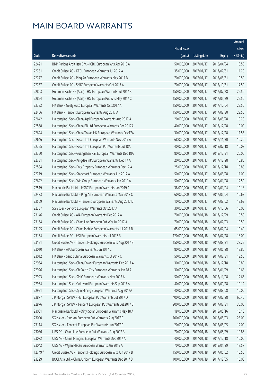|         |                                                              |                        |                     |               | Amount     |
|---------|--------------------------------------------------------------|------------------------|---------------------|---------------|------------|
|         |                                                              | No. of issue           |                     |               | raised     |
| Code    | <b>Derivative warrants</b>                                   | (units)                | <b>Listing date</b> | <b>Expiry</b> | (HK\$mil.) |
| 22421   | BNP Paribas Arbit Issu B.V. - ICBC European Wts Apr 2018 A   | 50,000,000             | 2017/01/17          | 2018/04/04    | 13.50      |
| 22761   | Credit Suisse AG - KECL European Warrants Jul 2017 A         | 35,000,000             | 2017/01/17          | 2017/07/31    | 11.20      |
| 22777   | Credit Suisse AG - Ping An European Warrants May 2017 B      | 70,000,000             | 2017/01/17          | 2017/05/31    | 10.50      |
| 22757   | Credit Suisse AG - SMIC European Warrants Oct 2017 A         | 70,000,000             | 2017/01/17          | 2017/10/31    | 17.50      |
| 22863   | Goldman Sachs SP (Asia) - HSI European Warrants Jul 2017 B   | 150,000,000            | 2017/01/17          | 2017/07/28    | 22.50      |
| 22854   | Goldman Sachs SP (Asia) - HSI European Put Wts May 2017 C    | 150,000,000            | 2017/01/17          | 2017/05/29    | 22.50      |
| 22782   | HK Bank - Geely Auto European Warrants Oct 2017 A            | 150,000,000            | 2017/01/17          | 2017/10/04    | 22.50      |
| 22466   | HK Bank - Tencent European Warrants Aug 2017 A               | 150,000,000            | 2017/01/17          | 2017/08/30    | 22.50      |
| 22642   | Haitong Int'l Sec - China Agri European Warrants Aug 2017 A  | 20,000,000             | 2017/01/17          | 2017/08/28    | 10.20      |
| 22568   | Haitong Int'l Sec - China EB Ltd European Warrants Dec 2017A | 40,000,000             | 2017/01/17          | 2017/12/28    | 10.00      |
| 22624   | Haitong Int'l Sec - China Travel HK European Warrants Dec17A | 30,000,000             | 2017/01/17          | 2017/12/28    | 11.55      |
| 22646   | Haitong Int'l Sec - Fosun Intl European Warrants Nov 2017 A  | 68,000,000             | 2017/01/17          | 2017/11/30    | 10.20      |
| 22755   | Haitong Int'l Sec - Fosun Intl European Put Warrants Jul 18A | 40,000,000             | 2017/01/17          | 2018/07/18    | 10.08      |
| 22750   | Haitong Int'l Sec - Guangshen Rail European Warrants Dec 18A | 80,000,000             | 2017/01/17          | 2018/12/31    | 20.00      |
| 22731   | Haitong Int'l Sec - Kingdee Int'l European Warrants Dec 17 A | 20,000,000             | 2017/01/17          | 2017/12/28    | 10.80      |
| 22534   | Haitong Int'l Sec - Poly Property European Warrants Dec 17 A | 25,000,000             | 2017/01/17          | 2017/12/18    | 10.88      |
| 22719   | Haitong Int'l Sec - Stanchart European Warrants Jun 2017 A   | 50,000,000             | 2017/01/17          | 2017/06/28    | 11.00      |
| 22622   | Haitong Int'l Sec - WH Group European Warrants Jan 2019 A    | 50,000,000             | 2017/01/17          | 2019/01/08    | 12.50      |
| 22519   | Macquarie Bank Ltd. - HSBC European Warrants Jan 2019 A      | 38,000,000             | 2017/01/17          | 2019/01/04    | 10.18      |
| 22473   | Macquarie Bank Ltd. - Ping An European Warrants May 2017 C   | 60,000,000             | 2017/01/17          | 2017/05/04    | 10.68      |
| 22509   | Macquarie Bank Ltd. - Tencent European Warrants Aug 2017 D   | 10,000,000             | 2017/01/17          | 2017/08/02    | 13.63      |
| 22357   | SG Issuer - Lenovo European Warrants Oct 2017 A              | 30,000,000             | 2017/01/17          | 2017/10/06    | 10.05      |
| 23146   | Credit Suisse AG - AIA European Warrants Dec 2017 A          | 70,000,000             | 2017/01/18          | 2017/12/29    | 10.50      |
| 23164   | Credit Suisse AG - China Life European Put Wts Jul 2017 A    | 70,000,000             | 2017/01/18          | 2017/07/03    | 10.50      |
| 23125   | Credit Suisse AG - China Mobile European Warrants Jul 2017 B | 65,000,000             | 2017/01/18          | 2017/07/04    | 10.40      |
| 23154   | Credit Suisse AG - HSI European Warrants Jul 2017 B          | 120,000,000            | 2017/01/18          | 2017/07/28    | 18.00      |
| 23121   | Credit Suisse AG - Tencent Holdings European Wts Aug 2017 B  | 150,000,000 2017/01/18 |                     | 2017/08/31    | 23.25      |
| 23010   | HK Bank - AIA European Warrants Jun 2017 C                   | 80,000,000             | 2017/01/18          | 2017/06/28    | 12.80      |
| 23012   | HK Bank - Sands China European Warrants Jul 2017 C           | 50,000,000             | 2017/01/18          | 2017/07/31    | 12.50      |
| 22964   | Haitong Int'l Sec - China Power European Warrants Dec 2017 A | 30,000,000             | 2017/01/18          | 2017/12/18    | 10.89      |
| 22926   | Haitong Int'l Sec - Ch South City European Warrants Jan 18 A | 30,000,000             | 2017/01/18          | 2018/01/29    | 10.68      |
| 22923   | Haitong Int'l Sec - SMIC European Warrants Nov 2017 A        | 50,000,000             | 2017/01/18          | 2017/11/08    | 12.65      |
| 22954   | Haitong Int'l Sec - Goldwind European Warrants Sep 2017 A    | 40,000,000             | 2017/01/18          | 2017/09/28    | 10.12      |
| 22991   | Haitong Int'l Sec - Zijin Mining European Warrants Aug 2017A | 40,000,000             | 2017/01/18          | 2017/08/08    | 10.00      |
| 22877   | J P Morgan SP BV - HSI European Put Warrants Jul 2017 D      | 400,000,000            | 2017/01/18          | 2017/07/28    | 60.40      |
| 22876   | J P Morgan SP BV - Tencent European Put Warrants Jul 2017 B  | 200,000,000            | 2017/01/18          | 2017/07/31    | 30.00      |
| 23031   | Macquarie Bank Ltd. - Xinyi Solar European Warrants May 18 A | 18,000,000             | 2017/01/18          | 2018/05/16    | 10.10      |
| 23090   | SG Issuer - Ping An European Put Warrants Aug 2017 C         | 100,000,000            | 2017/01/18          | 2017/08/03    | 25.00      |
| 23114   | SG Issuer - Tencent European Put Warrants Jun 2017 C         | 20,000,000             | 2017/01/18          | 2017/06/05    | 12.00      |
| 23036   | UBS AG - China Life European Put Warrants Aug 2017 B         | 70,000,000             | 2017/01/18          | 2017/08/29    | 10.85      |
| 23072   | UBS AG - China Mengniu European Warrants Dec 2017 A          | 40,000,000             | 2017/01/18          | 2017/12/18    | 10.00      |
| 23042   | UBS AG - Wynn Macau European Warrants Jan 2018 A             | 70,000,000             | 2017/01/18          | 2018/01/29    | 17.57      |
| 12749 # | Credit Suisse AG - Tencent Holdings European Wts Jun 2017 B  | 150,000,000            | 2017/01/18          | 2017/06/02    | 10.50      |
| 23229   | BOCI Asia Ltd. - China Unicom European Warrants Dec 2017 B   | 100,000,000            | 2017/01/19          | 2017/12/05    | 15.00      |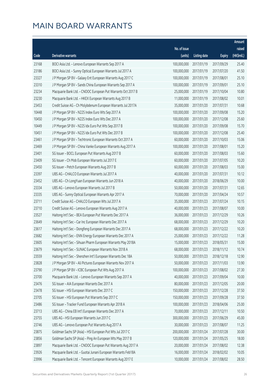|       |                                                              |              |                       |               | <b>Amount</b> |
|-------|--------------------------------------------------------------|--------------|-----------------------|---------------|---------------|
|       |                                                              | No. of issue |                       |               | raised        |
| Code  | <b>Derivative warrants</b>                                   | (units)      | <b>Listing date</b>   | <b>Expiry</b> | (HK\$mil.)    |
| 23168 | BOCI Asia Ltd. - Lenovo European Warrants Sep 2017 A         | 100,000,000  | 2017/01/19            | 2017/09/29    | 25.40         |
| 23186 | BOCI Asia Ltd. - Sunny Optical European Warrants Jul 2017 A  | 100,000,000  | 2017/01/19            | 2017/07/20    | 41.50         |
| 23327 | J P Morgan SP BV - Galaxy Ent European Warrants Aug 2017 C   | 100,000,000  | 2017/01/19            | 2017/08/01    | 25.10         |
| 23310 | J P Morgan SP BV - Sands China European Warrants Sep 2017 A  | 100,000,000  | 2017/01/19            | 2017/09/01    | 25.10         |
| 23234 | Macquarie Bank Ltd. - CNOOC European Put Warrants Oct 2017 B | 25,000,000   | 2017/01/19            | 2017/10/04    | 10.80         |
| 23230 | Macquarie Bank Ltd. - HKEX European Warrants Aug 2017 B      | 11,000,000   | 2017/01/19            | 2017/08/02    | 10.01         |
| 23453 | Credit Suisse AG - Ch Molybdenum European Warrants Jul 2017A | 35,000,000   | 2017/01/20            | 2017/07/31    | 10.68         |
| 10448 | J P Morgan SP BV - N225 Index Euro Wts Sep 2017 A            | 100,000,000  | 2017/01/20            | 2017/09/08    | 15.20         |
| 10450 | J P Morgan SP BV - N225 Index Euro Wts Dec 2017 A            | 100,000,000  | 2017/01/20            | 2017/12/08    | 25.60         |
| 10449 | J P Morgan SP BV - N225 Idx Euro Put Wts Sep 2017 B          | 100,000,000  | 2017/01/20            | 2017/09/08    | 15.70         |
| 10451 | J P Morgan SP BV - N225 Idx Euro Put Wts Dec 2017 B          | 100,000,000  | 2017/01/20            | 2017/12/08    | 25.40         |
| 23461 | J P Morgan SP BV - Techtronic European Warrants Oct 2017 A   | 60,000,000   | 2017/01/20            | 2017/10/03    | 15.06         |
| 23469 | J P Morgan SP BV - China Vanke European Warrants Aug 2017 A  | 100,000,000  | 2017/01/20            | 2017/08/01    | 15.20         |
| 23401 | SG Issuer - BOCL European Put Warrants Aug 2017 B            | 60,000,000   | 2017/01/20            | 2017/08/03    | 15.60         |
| 23409 | SG Issuer - Ch Mob European Warrants Jul 2017 E              | 60,000,000   | 2017/01/20            | 2017/07/05    | 10.20         |
| 23450 | SG Issuer - Petch European Warrants Aug 2017 B               | 60,000,000   | 2017/01/20            | 2017/08/03    | 15.00         |
| 23397 | UBS AG - CHALCO European Warrants Jul 2017 A                 | 40,000,000   | 2017/01/20            | 2017/07/31    | 10.12         |
| 23452 | UBS AG - Ch LongYuan European Warrants Jun 2018 A            | 40,000,000   | 2017/01/20            | 2018/06/29    | 10.00         |
| 23334 | UBS AG - Lenovo European Warrants Jul 2017 B                 | 50,000,000   | 2017/01/20            | 2017/07/31    | 12.65         |
| 23335 | UBS AG - Sunny Optical European Warrants Apr 2017 A          | 70,000,000   | 2017/01/20            | 2017/04/24    | 10.57         |
| 23711 | Credit Suisse AG - CHALCO European Wts Jul 2017 A            | 35,000,000   | 2017/01/23            | 2017/07/24    | 10.15         |
| 23710 | Credit Suisse AG - Lenovo European Warrants Aug 2017 A       | 40,000,000   | 2017/01/23            | 2017/08/07    | 10.00         |
| 23527 | Haitong Int'l Sec - BEA European Put Warrants Dec 2017 A     | 36,000,000   | 2017/01/23            | 2017/12/29    | 10.26         |
| 23649 | Haitong Int'l Sec - Car Inc European Warrants Dec 2017 A     | 68,000,000   | 2017/01/23            | 2017/12/29    | 10.20         |
| 23617 | Haitong Int'l Sec - Dongfeng European Warrants Dec 2017 A    | 68,000,000   | 2017/01/23            | 2017/12/22    | 10.20         |
| 23682 | Haitong Int'l Sec - ENN Energy European Warrants Dec 2017 A  | 25,000,000   | 2017/01/23            | 2017/12/22    | 11.28         |
| 23605 | Haitong Int'l Sec - Sihuan Pharm European Warrants May 2018A |              | 15,000,000 2017/01/23 | 2018/05/31    | 15.00         |
| 23679 | Haitong Int'l Sec - SUNAC European Warrants Nov 2018 A       | 68,000,000   | 2017/01/23            | 2018/11/12    | 10.74         |
| 23559 | Haitong Int'l Sec - Shenzhen Int'l European Warrants Dec 18A | 50,000,000   | 2017/01/23            | 2018/12/18    | 12.90         |
| 23828 | J P Morgan SP BV - Ali Pictures European Warrants Nov 2017 A | 50,000,000   | 2017/01/23            | 2017/11/03    | 13.90         |
| 23790 | J P Morgan SP BV - ICBC European Put Wts Aug 2017 A          | 100,000,000  | 2017/01/23            | 2017/08/02    | 27.30         |
| 23700 | Macquarie Bank Ltd. - Lenovo European Warrants Sep 2017 A    | 40,000,000   | 2017/01/23            | 2017/09/04    | 10.00         |
| 23476 | SG Issuer - AIA European Warrants Dec 2017 A                 | 80,000,000   | 2017/01/23            | 2017/12/05    | 20.00         |
| 23478 | SG Issuer - HSI European Warrants Dec 2017 C                 | 150,000,000  | 2017/01/23            | 2017/12/28    | 37.50         |
| 23705 | SG Issuer - HSI European Put Warrants Sep 2017 C             | 150,000,000  | 2017/01/23            | 2017/09/28    | 37.50         |
| 23486 | SG Issuer - Tracker Fund European Warrants Apr 2018 A        | 100,000,000  | 2017/01/23            | 2018/04/06    | 25.00         |
| 23713 | UBS AG - China EB Int'l European Warrants Dec 2017 A         | 70,000,000   | 2017/01/23            | 2017/12/11    | 10.50         |
| 23755 | UBS AG - HSI European Warrants Jun 2017 C                    | 300,000,000  | 2017/01/23            | 2017/06/29    | 45.00         |
| 23746 | UBS AG - Lenovo European Put Warrants Aug 2017 A             | 30,000,000   | 2017/01/23            | 2017/08/07    | 11.25         |
| 23875 | Goldman Sachs SP (Asia) - HSI European Put Wts Jul 2017 C    | 200,000,000  | 2017/01/24            | 2017/07/28    | 30.00         |
| 23856 | Goldman Sachs SP (Asia) - Ping An European Wts May 2017 B    | 120,000,000  | 2017/01/24            | 2017/05/25    | 18.00         |
| 23897 | Macquarie Bank Ltd. - CNOOC European Put Warrants Aug 2017 A | 20,000,000   | 2017/01/24            | 2017/08/02    | 12.38         |
| 23926 | Macquarie Bank Ltd. - Guotai Junani European Warrants Feb18A | 16,000,000   | 2017/01/24            | 2018/02/02    | 10.05         |
| 23996 | Macquarie Bank Ltd. - Tencent European Warrants Aug 2017 E   | 10,000,000   | 2017/01/24            | 2017/08/02    | 28.50         |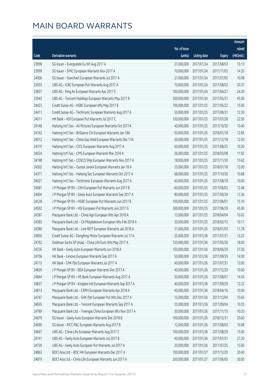|       |                                                              |              |                        |               | Amount     |
|-------|--------------------------------------------------------------|--------------|------------------------|---------------|------------|
|       |                                                              | No. of issue |                        |               | raised     |
| Code  | Derivative warrants                                          | (units)      | <b>Listing date</b>    | <b>Expiry</b> | (HK\$mil.) |
| 23998 | SG Issuer - Evergrande Eu Wt Aug 2017 A                      | 27,000,000   | 2017/01/24             | 2017/08/03    | 10.13      |
| 23999 | SG Issuer - SMIC European Warrants Nov 2017 A                | 70,000,000   | 2017/01/24             | 2017/11/03    | 14.35      |
| 24006 | SG Issuer - Stanchart European Warrants Jul 2017 A           | 21,000,000   | 2017/01/24             | 2017/07/05    | 10.08      |
| 23933 | UBS AG - ICBC European Put Warrants Aug 2017 A               | 70,000,000   | 2017/01/24             | 2017/08/02    | 20.37      |
| 23837 | UBS AG - Ping An European Warrants Apr 2017 E                | 100,000,000  | 2017/01/24             | 2017/04/27    | 24.30      |
| 23943 | UBS AG - Tencent Holdings European Warrants May 2017 B       | 300,000,000  | 2017/01/24             | 2017/05/31    | 45.00      |
| 24423 | Credit Suisse AG - HSBC European Wts May 2017 B              | 100,000,000  | 2017/01/25             | 2017/05/22    | 15.00      |
| 24411 | Credit Suisse AG - Techtronic European Warrants Aug 2017 A   | 50,000,000   | 2017/01/25             | 2017/08/31    | 12.50      |
| 24011 | HK Bank - HSI European Put Warrants Jul 2017 C               | 150,000,000  | 2017/01/25             | 2017/07/28    | 22.50      |
| 24148 | Haitong Int'l Sec - Ali Pictures European Warrants Oct 2017A | 40,000,000   | 2017/01/25             | 2017/10/30    | 10.40      |
| 24162 | Haitong Int'l Sec - Brilliance Chi European Warrants Jan 18A | 50,000,000   | 2017/01/25             | 2018/01/18    | 12.85      |
| 24012 | Haitong Int'l Sec - China Gas Hold European Warrants Dec 17A | 50,000,000   | 2017/01/25             | 2017/12/18    | 12.50      |
| 24319 | Haitong Int'l Sec - CICC European Warrants Aug 2017 A        | 60,000,000   | 2017/01/25             | 2017/08/25    | 10.20      |
| 24024 | Haitong Int'l Sec - CMS European Warrants Mar 2018 A         | 36,000,000   | 2017/01/25             | 2018/03/08    | 11.92      |
| 24198 | Haitong Int'l Sec - COSCO Ship European Warrants Nov 2017 A  | 18,000,000   | 2017/01/25             | 2017/11/30    | 10.62      |
| 24302 | Haitong Int'l Sec - Guotai Junani European Warrants Jan 18 A | 25,000,000   | 2017/01/25             | 2018/01/18    | 12.00      |
| 24371 | Haitong Int'l Sec - Haitong Sec European Warrants Oct 2017 A | 68,000,000   | 2017/01/25             | 2017/10/30    | 10.68      |
| 24021 | Haitong Int'l Sec - Techtronic European Warrants Aug 2017 A  | 40,000,000   | 2017/01/25             | 2017/08/18    | 10.00      |
| 24581 | J P Morgan SP BV - CKH European Put Warrants Jun 2017 B      | 60,000,000   | 2017/01/25             | 2017/06/02    | 12.48      |
| 24604 | J P Morgan SP BV - Geely Auto European Warrants Sep 2017 A   | 80,000,000   | 2017/01/25             | 2017/09/29    | 13.36      |
| 24528 | J P Morgan SP BV - HSBC European Put Warrants Jun 2017 B     | 100,000,000  | 2017/01/25             | 2017/06/01    | 15.10      |
| 24592 | J P Morgan SP BV - HSI European Put Warrants Jun 2017 G      | 300,000,000  | 2017/01/25             | 2017/06/29    | 45.00      |
| 24387 | Macquarie Bank Ltd. - China Agri European Wts Apr 2018 A     | 13,000,000   | 2017/01/25             | 2018/04/04    | 10.02      |
| 24383 | Macquarie Bank Ltd. - Ch Molybdenum European Wts Feb 2018 A  | 30,000,000   | 2017/01/25             | 2018/02/15    | 10.11      |
| 24386 | Macquarie Bank Ltd. - Link REIT European Warrants Jan 2018 A | 31,000,000   | 2017/01/25             | 2018/01/03    | 11.78      |
| 24850 | Credit Suisse AG - Dongfeng Motor European Warrants Jul 17 A | 25,000,000   | 2017/01/26             | 2017/07/31    | 13.25      |
| 24762 | Goldman Sachs SP (Asia) - China Life Euro Wts May 2017 A     |              | 120,000,000 2017/01/26 | 2017/05/26    | 18.00      |
| 24726 | HK Bank - Geely Auto European Warrants Jun 2018 A            | 150,000,000  | 2017/01/26             | 2018/06/29    | 37.50      |
| 24706 | HK Bank - Lenovo European Warrants Sep 2017 A                | 50,000,000   | 2017/01/26             | 2017/09/29    | 14.00      |
| 24715 | HK Bank - SHK Ppt European Warrants Jul 2017 A               | 40,000,000   | 2017/01/26             | 2017/07/31    | 12.00      |
| 24839 | J P Morgan SP BV - BEA European Warrants Dec 2017 A          | 40,000,000   | 2017/01/26             | 2017/12/29    | 10.00      |
| 24844 | J P Morgan SP BV - HS Bank European Warrants Aug 2017 A      | 30,000,000   | 2017/01/26             | 2017/08/01    | 14.43      |
| 24837 | J P Morgan SP BV - Kingdee Intl European Warrants Sep 2017 A | 40,000,000   | 2017/01/26             | 2017/09/29    | 12.32      |
| 24813 | Macquarie Bank Ltd. - CRPH European Warrants Apr 2018 A      | 40,000,000   | 2017/01/26             | 2018/04/16    | 10.00      |
| 24767 | Macquarie Bank Ltd. - SHK Ppt European Put Wts Dec 2017 A    | 15,000,000   | 2017/01/26             | 2017/12/04    | 10.43      |
| 24695 | Macquarie Bank Ltd. - Tencent European Warrants Sep 2017 A   | 25,000,000   | 2017/01/26             | 2017/09/04    | 10.03      |
| 24789 | Macquarie Bank Ltd. - Towngas China European Wts Nov 2017 A  | 30,000,000   | 2017/01/26             | 2017/11/15    | 10.20      |
| 24679 | SG Issuer - Geely Auto European Warrants Dec 2018 B          | 100,000,000  | 2017/01/26             | 2018/12/31    | 20.00      |
| 24690 | SG Issuer - PICC P&C European Warrants Aug 2017 B            | 12,000,000   | 2017/01/26             | 2017/08/03    | 10.08      |
| 24667 | UBS AG - China Life European Warrants Aug 2017 C             | 100,000,000  | 2017/01/26             | 2017/08/29    | 15.00      |
| 24741 | UBS AG - Geely Auto European Warrants Jul 2017 B             | 40,000,000   | 2017/01/26             | 2017/07/31    | 27.20      |
| 24730 | UBS AG - Geely Auto European Put Warrants Jul 2017 A         | 20,000,000   | 2017/01/26             | 2017/07/25    | 13.60      |
| 24863 | BOCI Asia Ltd. - BOC HK European Warrants Dec 2017 A         | 100,000,000  | 2017/01/27             | 2017/12/20    | 20.40      |
| 24879 | BOCI Asia Ltd. - China Life European Warrants Jun 2017 A     | 200,000,000  | 2017/01/27             | 2017/06/05    | 30.00      |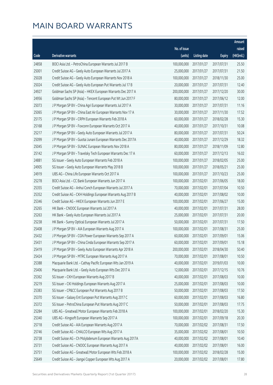|       |                                                              |              |                       |               | Amount     |
|-------|--------------------------------------------------------------|--------------|-----------------------|---------------|------------|
|       |                                                              | No. of issue |                       |               | raised     |
| Code  | <b>Derivative warrants</b>                                   | (units)      | <b>Listing date</b>   | <b>Expiry</b> | (HK\$mil.) |
| 24858 | BOCI Asia Ltd. - PetroChina European Warrants Jul 2017 B     | 100,000,000  | 2017/01/27            | 2017/07/31    | 25.50      |
| 25001 | Credit Suisse AG - Geely Auto European Warrants Jul 2017 A   | 25,000,000   | 2017/01/27            | 2017/07/31    | 21.50      |
| 25028 | Credit Suisse AG - Geely Auto European Warrants Nov 2018 A   | 100,000,000  | 2017/01/27            | 2018/11/30    | 25.00      |
| 25024 | Credit Suisse AG - Geely Auto European Put Warrants Jul 17 B | 20,000,000   | 2017/01/27            | 2017/07/31    | 12.40      |
| 24927 | Goldman Sachs SP (Asia) - HKEX European Warrants Dec 2017 A  | 200,000,000  | 2017/01/27            | 2017/12/20    | 30.00      |
| 24956 | Goldman Sachs SP (Asia) - Tencent European Put Wt Jun 2017 F | 80,000,000   | 2017/01/27            | 2017/06/12    | 12.00      |
| 25073 | J P Morgan SP BV - China Agri European Warrants Jul 2017 A   | 30,000,000   | 2017/01/27            | 2017/07/31    | 11.16      |
| 25065 | J P Morgan SP BV - China East Air European Warrants Nov 17 A | 30,000,000   | 2017/01/27            | 2017/11/30    | 17.52      |
| 25175 | J P Morgan SP BV - CRPH European Warrants Feb 2018 A         | 60,000,000   | 2017/01/27            | 2018/02/28    | 15.30      |
| 25168 | J P Morgan SP BV - Foxconn European Warrants Oct 2017 A      | 40,000,000   | 2017/01/27            | 2017/10/31    | 10.08      |
| 25217 | J P Morgan SP BV - Geely Auto European Warrants Jul 2017 A   | 80,000,000   | 2017/01/27            | 2017/07/31    | 50.24      |
| 25099 | J P Morgan SP BV - Guotai Junani European Warrants Dec 2017A | 40,000,000   | 2017/01/27            | 2017/12/29    | 18.32      |
| 25045 | J P Morgan SP BV - SUNAC European Warrants Nov 2018 A        | 80,000,000   | 2017/01/27            | 2018/11/09    | 12.80      |
| 25142 | J P Morgan SP BV - Travelsky Tech European Warrants Dec 17 A | 60,000,000   | 2017/01/27            | 2017/12/13    | 16.02      |
| 24881 | SG Issuer - Geely Auto European Warrants Feb 2018 A          | 100,000,000  | 2017/01/27            | 2018/02/05    | 25.00      |
| 24905 | SG Issuer - Geely Auto European Warrants May 2018 B          | 100,000,000  | 2017/01/27            | 2018/05/21    | 25.00      |
| 24919 | UBS AG - China Life European Warrants Oct 2017 A             | 100,000,000  | 2017/01/27            | 2017/10/23    | 25.00      |
| 25278 | BOCI Asia Ltd. - CC Bank European Warrants Jun 2017 A        | 100,000,000  | 2017/02/01            | 2017/06/05    | 18.00      |
| 25355 | Credit Suisse AG - Anhui Conch European Warrants Jul 2017 A  | 70,000,000   | 2017/02/01            | 2017/07/04    | 10.50      |
| 25352 | Credit Suisse AG - CKH Holdings European Warrants Aug 2017 B | 40,000,000   | 2017/02/01            | 2017/08/02    | 10.00      |
| 25346 | Credit Suisse AG - HKEX European Warrants Jun 2017 E         | 100,000,000  | 2017/02/01            | 2017/06/27    | 15.00      |
| 25265 | HK Bank - CNOOC European Warrants Jul 2017 A                 | 40,000,000   | 2017/02/01            | 2017/07/31    | 28.00      |
| 25263 | HK Bank - Geely Auto European Warrants Jul 2017 A            | 25,000,000   | 2017/02/01            | 2017/07/31    | 20.00      |
| 25238 | HK Bank - Sunny Optical European Warrants Jul 2017 A         | 50,000,000   | 2017/02/01            | 2017/07/31    | 17.50      |
| 25408 | J P Morgan SP BV - AIA European Warrants Aug 2017 A          | 100,000,000  | 2017/02/01            | 2017/08/31    | 25.00      |
| 25432 | J P Morgan SP BV - CGN Power European Warrants Sep 2017 A    | 60,000,000   | 2017/02/01            | 2017/09/01    | 15.06      |
| 25431 | J P Morgan SP BV - China Cinda European Warrants Sep 2017 A  |              | 60,000,000 2017/02/01 | 2017/09/01    | 15.18      |
| 25419 | J P Morgan SP BV - Geely Auto European Warrants Apr 2018 A   | 200,000,000  | 2017/02/01            | 2018/04/30    | 50.40      |
| 25424 | J P Morgan SP BV - MTRC European Warrants Aug 2017 A         | 70,000,000   | 2017/02/01            | 2017/08/01    | 10.50      |
| 25388 | Macquarie Bank Ltd. - Cathay Pacific European Wts Jan 2019 A | 40,000,000   | 2017/02/01            | 2019/01/03    | 10.00      |
| 25406 | Macquarie Bank Ltd. - Geely Auto European Wts Dec 2017 A     | 12,000,000   | 2017/02/01            | 2017/12/15    | 10.76      |
| 25362 | SG Issuer - CKH European Warrants Aug 2017 B                 | 40,000,000   | 2017/02/01            | 2017/08/03    | 10.00      |
| 25219 | SG Issuer - CKI Holdings European Warrants Aug 2017 A        | 25,000,000   | 2017/02/01            | 2017/08/03    | 10.00      |
| 25383 | SG Issuer - CP&CC European Put Warrants Aug 2017 B           | 50,000,000   | 2017/02/01            | 2017/08/03    | 17.50      |
| 25370 | SG Issuer - Galaxy Ent European Put Warrants Aug 2017 C      | 60,000,000   | 2017/02/01            | 2017/08/03    | 16.80      |
| 25372 | SG Issuer - PetroChina European Put Warrants Aug 2017 C      | 50,000,000   | 2017/02/01            | 2017/08/03    | 17.75      |
| 25284 | UBS AG - Greatwall Motor European Warrants Feb 2018 A        | 100,000,000  | 2017/02/01            | 2018/02/20    | 15.30      |
| 25340 | UBS AG - Kingsoft European Warrants Sep 2017 A               | 100,000,000  | 2017/02/01            | 2017/09/18    | 20.30      |
| 25718 | Credit Suisse AG - AIA European Warrants Aug 2017 A          | 70,000,000   | 2017/02/02            | 2017/08/31    | 17.50      |
| 25746 | Credit Suisse AG - CHALCO European Wts Aug 2017 A            | 35,000,000   | 2017/02/02            | 2017/08/01    | 10.50      |
| 25738 | Credit Suisse AG - Ch Molybdenum European Warrants Aug 2017A | 40,000,000   | 2017/02/02            | 2017/08/01    | 10.40      |
| 25731 | Credit Suisse AG - CNOOC European Warrants Aug 2017 A        | 40,000,000   | 2017/02/02            | 2017/08/01    | 16.00      |
| 25751 | Credit Suisse AG - Greatwall Motor European Wts Feb 2018 A   | 100,000,000  | 2017/02/02            | 2018/02/28    | 15.00      |
| 25649 | Credit Suisse AG - Jiangxi Copper European Wts Aug 2017 A    | 20,000,000   | 2017/02/02            | 2017/08/01    | 17.80      |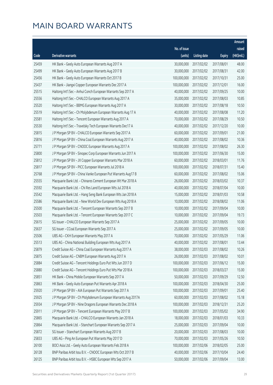|       |                                                              |              |                       |               | Amount     |
|-------|--------------------------------------------------------------|--------------|-----------------------|---------------|------------|
|       |                                                              | No. of issue |                       |               | raised     |
| Code  | Derivative warrants                                          | (units)      | <b>Listing date</b>   | <b>Expiry</b> | (HK\$mil.) |
| 25459 | HK Bank - Geely Auto European Warrants Aug 2017 A            | 30,000,000   | 2017/02/02            | 2017/08/01    | 48.00      |
| 25499 | HK Bank - Geely Auto European Warrants Aug 2017 B            | 30,000,000   | 2017/02/02            | 2017/08/31    | 42.00      |
| 25456 | HK Bank - Geely Auto European Warrants Oct 2017 B            | 100,000,000  | 2017/02/02            | 2017/10/31    | 25.00      |
| 25437 | HK Bank - Jiangxi Copper European Warrants Dec 2017 A        | 100,000,000  | 2017/02/02            | 2017/12/01    | 16.00      |
| 25515 | Haitong Int'l Sec - Anhui Conch European Warrants Sep 2017 A | 40,000,000   | 2017/02/02            | 2017/09/25    | 10.00      |
| 25556 | Haitong Int'l Sec - CHALCO European Warrants Aug 2017 A      | 35,000,000   | 2017/02/02            | 2017/08/03    | 10.85      |
| 25520 | Haitong Int'l Sec - BBMG European Warrants Aug 2017 A        | 30,000,000   | 2017/02/02            | 2017/08/18    | 10.50      |
| 25519 | Haitong Int'l Sec - Ch Molybdenum European Warrants Aug 17 A | 40,000,000   | 2017/02/02            | 2017/08/08    | 11.20      |
| 25581 | Haitong Int'l Sec - Tencent European Warrants Aug 2017 A     | 70,000,000   | 2017/02/02            | 2017/08/29    | 10.50      |
| 25530 | Haitong Int'l Sec - Travelsky Tech European Warrants Dec17 A | 40,000,000   | 2017/02/02            | 2017/12/20    | 10.00      |
| 25815 | J P Morgan SP BV - CHALCO European Warrants Sep 2017 A       | 60,000,000   | 2017/02/02            | 2017/09/01    | 21.00      |
| 25816 | J P Morgan SP BV - China Coal European Warrants Aug 2017 A   | 40,000,000   | 2017/02/02            | 2017/08/02    | 10.36      |
| 25771 | J P Morgan SP BV - CNOOC European Warrants Aug 2017 A        | 100,000,000  | 2017/02/02            | 2017/08/02    | 26.30      |
| 25800 | J P Morgan SP BV - Sinopec Corp European Warrants Jun 2017 A | 100,000,000  | 2017/02/02            | 2017/06/30    | 15.00      |
| 25812 | J P Morgan SP BV - JX Copper European Warrants Mar 2018 A    | 60,000,000   | 2017/02/02            | 2018/03/01    | 11.76      |
| 25817 | J P Morgan SP BV - PICC European Warrants Jul 2018 A         | 100,000,000  | 2017/02/02            | 2018/07/31    | 15.40      |
| 25768 | J P Morgan SP BV - China Vanke European Put Warrants Aug17 B | 60,000,000   | 2017/02/02            | 2017/08/02    | 15.06      |
| 25555 | Macquarie Bank Ltd. - Chinares Cement European Wt Mar 2018 A | 26,000,000   | 2017/02/02            | 2018/03/02    | 10.37      |
| 25592 | Macquarie Bank Ltd. - Chi Res Land European Wts Jul 2018 A   | 40,000,000   | 2017/02/02            | 2018/07/04    | 10.00      |
| 25542 | Macquarie Bank Ltd. - Hang Seng Bank European Wts Jan 2018 A | 15,000,000   | 2017/02/02            | 2018/01/03    | 10.58      |
| 25586 | Macquarie Bank Ltd. - New World Dev European Wts Aug 2018 A  | 10,000,000   | 2017/02/02            | 2018/08/02    | 11.06      |
| 25500 | Macquarie Bank Ltd. - Tencent European Warrants Sep 2017 B   | 10,000,000   | 2017/02/02            | 2017/09/04    | 10.00      |
| 25503 | Macquarie Bank Ltd. - Tencent European Warrants Sep 2017 C   | 10,000,000   | 2017/02/02            | 2017/09/04    | 19.73      |
| 25615 | SG Issuer - CHALCO European Warrants Sep 2017 A              | 25,000,000   | 2017/02/02            | 2017/09/05    | 10.00      |
| 25637 | SG Issuer - CCoal European Warrants Sep 2017 A               | 25,000,000   | 2017/02/02            | 2017/09/05    | 10.00      |
| 25506 | UBS AG - CKH European Warrants May 2017 A                    | 70,000,000   | 2017/02/02            | 2017/05/29    | 11.06      |
| 25513 | UBS AG - China National Building European Wts Aug 2017 A     |              | 40,000,000 2017/02/02 | 2017/08/01    | 13.44      |
| 25879 | Credit Suisse AG - China Coal European Warrants Aug 2017 A   | 38,000,000   | 2017/02/03            | 2017/08/02    | 10.26      |
| 25875 | Credit Suisse AG - CNBM European Warrants Aug 2017 A         | 26,000,000   | 2017/02/03            | 2017/08/02    | 10.01      |
| 25884 | Credit Suisse AG - Tencent Holdings Euro Put Wts Jun 2017 D  | 100,000,000  | 2017/02/03            | 2017/06/12    | 15.00      |
| 25880 | Credit Suisse AG - Tencent Holdings Euro Put Wts Mar 2018 A  | 100,000,000  | 2017/02/03            | 2018/03/27    | 15.00      |
| 25851 | HK Bank - China Mobile European Warrants Sep 2017 A          | 50,000,000   | 2017/02/03            | 2017/09/29    | 12.50      |
| 25863 | HK Bank - Geely Auto European Put Warrants Apr 2018 A        | 100,000,000  | 2017/02/03            | 2018/04/30    | 25.00      |
| 25920 | J P Morgan SP BV - AIA European Put Warrants Sep 2017 A      | 100,000,000  | 2017/02/03            | 2017/09/01    | 25.40      |
| 25925 | J P Morgan SP BV - Ch Molybdenum European Warrants Aug 2017A | 60,000,000   | 2017/02/03            | 2017/08/02    | 15.18      |
| 25934 | J P Morgan SP BV - Nine Dragons European Warrants Dec 2018 A | 100,000,000  | 2017/02/03            | 2018/12/31    | 25.20      |
| 25911 | J P Morgan SP BV - Tencent European Warrants May 2017 B      | 100,000,000  | 2017/02/03            | 2017/05/02    | 34.90      |
| 25865 | Macquarie Bank Ltd. - CHALCO European Warrants Jan 2018 A    | 18,000,000   | 2017/02/03            | 2018/01/03    | 10.33      |
| 25864 | Macquarie Bank Ltd. - Stanchart European Warrants Sep 2017 A | 25,000,000   | 2017/02/03            | 2017/09/04    | 10.00      |
| 25872 | SG Issuer - Stanchart European Warrants Aug 2017 B           | 20,000,000   | 2017/02/03            | 2017/08/03    | 10.00      |
| 25833 | UBS AG - Ping An European Put Warrants May 2017 D            | 70,000,000   | 2017/02/03            | 2017/05/26    | 10.50      |
| 26100 | BOCI Asia Ltd. - Geely Auto European Warrants Feb 2018 A     | 100,000,000  | 2017/02/06            | 2018/02/05    | 25.00      |
| 26128 | BNP Paribas Arbit Issu B.V. - CNOOC European Wts Oct 2017 B  | 40,000,000   | 2017/02/06            | 2017/10/04    | 24.40      |
| 26125 | BNP Paribas Arbit Issu B.V. - HSBC European Wts Sep 2017 A   | 50,000,000   | 2017/02/06            | 2017/09/04    | 13.00      |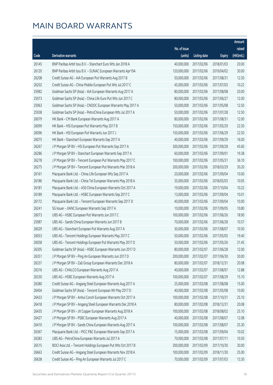|       |                                                               |              |                       |               | Amount     |
|-------|---------------------------------------------------------------|--------------|-----------------------|---------------|------------|
|       |                                                               | No. of issue |                       |               | raised     |
| Code  | <b>Derivative warrants</b>                                    | (units)      | <b>Listing date</b>   | <b>Expiry</b> | (HK\$mil.) |
| 26145 | BNP Paribas Arbit Issu B.V. - Stanchart Euro Wts Jan 2018 A   | 40,000,000   | 2017/02/06            | 2018/01/03    | 20.00      |
| 26120 | BNP Paribas Arbit Issu B.V. - SUNAC European Warrants Apr19A  | 120,000,000  | 2017/02/06            | 2019/04/02    | 30.00      |
| 26208 | Credit Suisse AG - AIA European Put Warrants Aug 2017 B       | 50,000,000   | 2017/02/06            | 2017/08/31    | 12.50      |
| 26202 | Credit Suisse AG - China Mobile European Put Wts Jul 2017 C   | 45,000,000   | 2017/02/06            | 2017/07/03    | 10.22      |
| 25982 | Goldman Sachs SP (Asia) - AIA European Warrants Aug 2017 A    | 80,000,000   | 2017/02/06            | 2017/08/08    | 20.00      |
| 25973 | Goldman Sachs SP (Asia) - China Life Euro Put Wts Jun 2017 C  | 80,000,000   | 2017/02/06            | 2017/06/27    | 12.00      |
| 25963 | Goldman Sachs SP (Asia) - CNOOC European Warrants May 2017 A  | 50,000,000   | 2017/02/06            | 2017/05/08    | 12.50      |
| 25938 | Goldman Sachs SP (Asia) - PetroChina European Wts Jul 2017 A  | 50,000,000   | 2017/02/06            | 2017/07/28    | 12.50      |
| 26079 | HK Bank - CM Bank European Warrants Aug 2017 A                | 80,000,000   | 2017/02/06            | 2017/08/31    | 12.00      |
| 26099 | HK Bank - HSI European Put Warrants May 2017 B                | 150,000,000  | 2017/02/06            | 2017/05/29    | 22.50      |
| 26096 | HK Bank - HSI European Put Warrants Jun 2017 J                | 150,000,000  | 2017/02/06            | 2017/06/29    | 22.50      |
| 26075 | HK Bank - Stanchart European Warrants Sep 2017 A              | 40,000,000   | 2017/02/06            | 2017/09/29    | 16.00      |
| 26267 | J P Morgan SP BV - HSI European Put Warrants Sep 2017 A       | 300,000,000  | 2017/02/06            | 2017/09/28    | 45.60      |
| 26286 | J P Morgan SP BV - Stanchart European Warrants Sep 2017 A     | 60,000,000   | 2017/02/06            | 2017/09/01    | 19.38      |
| 26278 | J P Morgan SP BV - Tencent European Put Warrants May 2017 C   | 100,000,000  | 2017/02/06            | 2017/05/31    | 36.10      |
| 26275 | J P Morgan SP BV - Tencent European Put Warrants Mar 2018 A   | 200,000,000  | 2017/02/06            | 2018/03/29    | 30.20      |
| 26161 | Macquarie Bank Ltd. - China Life European Wts Sep 2017 A      | 20,000,000   | 2017/02/06            | 2017/09/04    | 10.00      |
| 26186 | Macquarie Bank Ltd. - China Tel European Warrants May 2018 A  | 35,000,000   | 2017/02/06            | 2018/05/03    | 10.05      |
| 26181 | Macquarie Bank Ltd. - A50 China European Warrants Oct 2017 A  | 19,000,000   | 2017/02/06            | 2017/10/04    | 10.22      |
| 26189 | Macquarie Bank Ltd. - HSBC European Warrants Sep 2017 C       | 13,000,000   | 2017/02/06            | 2017/09/04    | 10.01      |
| 26172 | Macquarie Bank Ltd. - Tencent European Warrants Sep 2017 D    | 40,000,000   | 2017/02/06            | 2017/09/04    | 10.00      |
| 26241 | SG Issuer - JIANC European Warrants Sep 2017 A                | 10,000,000   | 2017/02/06            | 2017/09/05    | 10.80      |
| 26073 | UBS AG - HSBC European Put Warrants Jun 2017 C                | 100,000,000  | 2017/02/06            | 2017/06/26    | 18.90      |
| 25987 | UBS AG - Sands China European Warrants Jun 2017 B             | 70,000,000   | 2017/02/06            | 2017/06/28    | 10.57      |
| 26029 | UBS AG - Stanchart European Put Warrants Aug 2017 A           | 30,000,000   | 2017/02/06            | 2017/08/07    | 10.50      |
| 26053 | UBS AG - Tencent Holdings European Warrants May 2017 C        | 50,000,000   | 2017/02/06            | 2017/05/05    | 19.40      |
| 26058 | UBS AG - Tencent Holdings European Put Warrants May 2017 D    |              | 50,000,000 2017/02/06 | 2017/05/26    | 31.45      |
| 26305 | Goldman Sachs SP (Asia) - HSBC European Warrants Jun 2017 D   | 80,000,000   | 2017/02/07            | 2017/06/28    | 12.00      |
| 26351 | J P Morgan SP BV - Ping An European Warrants Jun 2017 D       | 200,000,000  | 2017/02/07            | 2017/06/30    | 30.00      |
| 26337 | J P Morgan SP BV - Zall Group European Warrants Dec 2018 A    | 80,000,000   | 2017/02/07            | 2018/12/31    | 20.08      |
| 26316 | UBS AG - CHALCO European Warrants Aug 2017 A                  | 40,000,000   | 2017/02/07            | 2017/08/07    | 12.88      |
| 26330 | UBS AG - HSBC European Warrants Aug 2017 A                    | 100,000,000  | 2017/02/07            | 2017/08/29    | 15.10      |
| 26380 | Credit Suisse AG - Angang Steel European Warrants Aug 2017 A  | 25,000,000   | 2017/02/08            | 2017/08/08    | 15.00      |
| 26404 | Goldman Sachs SP (Asia) - Tencent European Wt May 2017 D      | 40,000,000   | 2017/02/08            | 2017/05/08    | 10.00      |
| 26433 | J P Morgan SP BV - Anhui Conch European Warrants Oct 2017 A   | 100,000,000  | 2017/02/08            | 2017/10/31    | 25.10      |
| 26418 | J P Morgan SP BV - Angang Steel European Warrants Dec 2018 A  | 80,000,000   | 2017/02/08            | 2018/12/31    | 20.08      |
| 26435 | J P Morgan SP BV - JX Copper European Warrants Aug 2018 A     | 100,000,000  | 2017/02/08            | 2018/08/02    | 25.10      |
| 26427 | J P Morgan SP BV - PSBC European Warrants Aug 2017 A          | 40,000,000   | 2017/02/08            | 2017/08/07    | 12.08      |
| 26410 | J P Morgan SP BV - Sands China European Warrants Aug 2017 A   | 100,000,000  | 2017/02/08            | 2017/08/07    | 25.30      |
| 26367 | Macquarie Bank Ltd. - PICC P&C European Warrants Sep 2017 A   | 15,000,000   | 2017/02/08            | 2017/09/04    | 10.02      |
| 26383 | UBS AG - PetroChina European Warrants Jul 2017 A              | 70,000,000   | 2017/02/08            | 2017/07/11    | 10.50      |
| 26515 | BOCI Asia Ltd. - Tencent Holdings European Put Wts Oct 2017 B | 200,000,000  | 2017/02/09            | 2017/10/30    | 30.00      |
| 26663 | Credit Suisse AG - Angang Steel European Warrants Nov 2018 A  | 100,000,000  | 2017/02/09            | 2018/11/30    | 25.00      |
| 26638 | Credit Suisse AG - Ping An European Warrants Jul 2017 C       | 70,000,000   | 2017/02/09            | 2017/07/03    | 13.30      |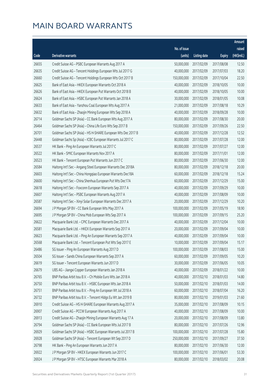|       |                                                              |              |                       |               | Amount     |
|-------|--------------------------------------------------------------|--------------|-----------------------|---------------|------------|
|       |                                                              | No. of issue |                       |               | raised     |
| Code  | <b>Derivative warrants</b>                                   | (units)      | <b>Listing date</b>   | <b>Expiry</b> | (HK\$mil.) |
| 26655 | Credit Suisse AG - PSBC European Warrants Aug 2017 A         | 50,000,000   | 2017/02/09            | 2017/08/08    | 12.50      |
| 26635 | Credit Suisse AG - Tencent Holdings European Wts Jul 2017 G  | 40,000,000   | 2017/02/09            | 2017/07/03    | 18.20      |
| 26660 | Credit Suisse AG - Tencent Holdings European Wts Oct 2017 B  | 150,000,000  | 2017/02/09            | 2017/10/04    | 22.50      |
| 26625 | Bank of East Asia - HKEX European Warrants Oct 2018 A        | 40,000,000   | 2017/02/09            | 2018/10/05    | 10.00      |
| 26626 | Bank of East Asia - HKEX European Put Warrants Oct 2018 B    | 40,000,000   | 2017/02/09            | 2018/10/05    | 10.00      |
| 26624 | Bank of East Asia - HSBC European Put Warrants Jan 2018 A    | 30,000,000   | 2017/02/09            | 2018/01/05    | 10.08      |
| 26633 | Bank of East Asia - Yanzhou Coal European Wts Aug 2017 A     | 21,000,000   | 2017/02/09            | 2017/08/18    | 10.29      |
| 26632 | Bank of East Asia - Zhaojin Mining European Wts Sep 2018 A   | 40,000,000   | 2017/02/09            | 2018/09/28    | 10.00      |
| 26714 | Goldman Sachs SP (Asia) - CC Bank European Wts Aug 2017 A    | 80,000,000   | 2017/02/09            | 2017/08/30    | 20.00      |
| 26464 | Goldman Sachs SP (Asia) - China Life Euro Wts Sep 2017 B     | 150,000,000  | 2017/02/09            | 2017/09/26    | 22.50      |
| 26701 | Goldman Sachs SP (Asia) - HS H-SHARE European Wts Dec 2017 B | 40,000,000   | 2017/02/09            | 2017/12/28    | 12.52      |
| 26448 | Goldman Sachs Sp (Asia) - ICBC European Warrants Jul 2017 C  | 80,000,000   | 2017/02/09            | 2017/07/28    | 12.00      |
| 26537 | HK Bank - Ping An European Warrants Jul 2017 C               | 80,000,000   | 2017/02/09            | 2017/07/27    | 12.00      |
| 26522 | HK Bank - SMIC European Warrants Nov 2017 A                  | 80,000,000   | 2017/02/09            | 2017/11/01    | 12.00      |
| 26523 | HK Bank - Tencent European Put Warrants Jun 2017 C           | 80,000,000   | 2017/02/09            | 2017/06/30    | 12.00      |
| 26584 | Haitong Int'l Sec - Angang Steel European Warrants Dec 2018A | 80,000,000   | 2017/02/09            | 2018/12/18    | 20.00      |
| 26603 | Haitong Int'l Sec - China Hongqiao European Warrants Dec18A  | 60,000,000   | 2017/02/09            | 2018/12/18    | 15.24      |
| 26600 | Haitong Int'l Sec - China Shenhua European Put Wts Dec17A    | 60,000,000   | 2017/02/09            | 2017/12/29    | 15.00      |
| 26618 | Haitong Int'l Sec - Foxconn European Warrants Sep 2017 A     | 40,000,000   | 2017/02/09            | 2017/09/29    | 10.00      |
| 26607 | Haitong Int'l Sec - PSBC European Warrants Aug 2017 A        | 40,000,000   | 2017/02/09            | 2017/08/09    | 10.00      |
| 26587 | Haitong Int'l Sec - Xinyi Solar European Warrants Dec 2017 A | 20,000,000   | 2017/02/09            | 2017/12/29    | 10.20      |
| 26694 | J P Morgan SP BV - CC Bank European Wts May 2017 A           | 100,000,000  | 2017/02/09            | 2017/05/19    | 18.90      |
| 26695 | J P Morgan SP BV - China Mob European Wts Sep 2017 A         | 100,000,000  | 2017/02/09            | 2017/09/15    | 25.20      |
| 26622 | Macquarie Bank Ltd. - CPIC European Warrants Dec 2017 A      | 40,000,000   | 2017/02/09            | 2017/12/04    | 10.00      |
| 26581 | Macquarie Bank Ltd. - HKEX European Warrants Sep 2017 A      | 20,000,000   | 2017/02/09            | 2017/09/04    | 10.00      |
| 26623 | Macquarie Bank Ltd. - Ping An European Warrants Sep 2017 A   | 40,000,000   | 2017/02/09            | 2017/09/04    | 10.00      |
| 26568 | Macquarie Bank Ltd. - Tencent European Put Wts Sep 2017 E    |              | 10,000,000 2017/02/09 | 2017/09/04    | 15.17      |
| 26486 | SG Issuer - Ping An European Warrants Aug 2017 D             | 100,000,000  | 2017/02/09            | 2017/08/03    | 15.00      |
| 26504 | SG Issuer - Sands China European Warrants Sep 2017 A         | 60,000,000   | 2017/02/09            | 2017/09/05    | 10.20      |
| 26619 | SG Issuer - Tencent European Warrants Jun 2017 D             | 30,000,000   | 2017/02/09            | 2017/06/05    | 10.05      |
| 26679 | UBS AG - Jiangxi Copper European Warrants Jan 2018 A         | 40,000,000   | 2017/02/09            | 2018/01/22    | 10.00      |
| 26765 | BNP Paribas Arbit Issu B.V. - Ch Mobile Euro Wts Jan 2018 A  | 40,000,000   | 2017/02/10            | 2018/01/03    | 14.80      |
| 26750 | BNP Paribas Arbit Issu B.V. - HSBC European Wts Jan 2018 A   | 50,000,000   | 2017/02/10            | 2018/01/03    | 14.00      |
| 26751 | BNP Paribas Arbit Issu B.V. - Ping An European Wt Jul 2018 A | 60,000,000   | 2017/02/10            | 2018/07/04    | 16.20      |
| 26732 | BNP Paribas Arbit Issu B.V. - Tencent Hldgs Eu Wt Jan 2019 B | 80,000,000   | 2017/02/10            | 2019/01/03    | 21.60      |
| 26910 | Credit Suisse AG - HS H-SHARE European Warrants Aug 2017 A   | 35,000,000   | 2017/02/10            | 2017/08/09    | 10.15      |
| 26907 | Credit Suisse AG - PCCW European Warrants Aug 2017 A         | 40,000,000   | 2017/02/10            | 2017/08/09    | 10.00      |
| 26913 | Credit Suisse AG - Zhaojin Mining European Warrants Aug 17 A | 20,000,000   | 2017/02/10            | 2017/08/09    | 13.80      |
| 26794 | Goldman Sachs SP (Asia) - CC Bank European Wts Jul 2017 B    | 80,000,000   | 2017/02/10            | 2017/07/26    | 12.96      |
| 26929 | Goldman Sachs SP (Asia) - HSBC European Warrants Jul 2017 B  | 100,000,000  | 2017/02/10            | 2017/07/28    | 15.80      |
| 26928 | Goldman Sachs SP (Asia) - Tencent European Wt Sep 2017 D     | 250,000,000  | 2017/02/10            | 2017/09/27    | 37.50      |
| 26798 | HK Bank - Ping An European Warrants Jun 2017 A               | 80,000,000   | 2017/02/10            | 2017/06/30    | 12.00      |
| 26922 | J P Morgan SP BV - HKEX European Warrants Jun 2017 C         | 100,000,000  | 2017/02/10            | 2017/06/01    | 53.30      |
| 26924 | J P Morgan SP BV - HTSC European Warrants Mar 2018 A         | 80,000,000   | 2017/02/10            | 2018/03/02    | 20.08      |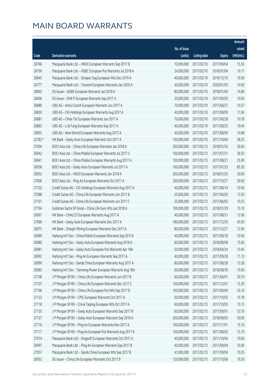|         |                                                              |              |                       |               | Amount     |
|---------|--------------------------------------------------------------|--------------|-----------------------|---------------|------------|
|         |                                                              | No. of issue |                       |               | raised     |
| Code    | Derivative warrants                                          | (units)      | <b>Listing date</b>   | <b>Expiry</b> | (HK\$mil.) |
| 26766   | Macquarie Bank Ltd. - HKEX European Warrants Sep 2017 B      | 10,000,000   | 2017/02/10            | 2017/09/04    | 15.35      |
| 26799   | Macquarie Bank Ltd. - HSBC European Put Warrants Jul 2018 A  | 34,000,000   | 2017/02/10            | 2018/07/04    | 10.17      |
| 26845   | Macquarie Bank Ltd. - Sinopec Seg European Wts Dec 2019 A    | 40,000,000   | 2017/02/10            | 2019/12/16    | 10.00      |
| 26777   | Macquarie Bank Ltd. - Tencent European Warrants Jan 2020 A   | 40,000,000   | 2017/02/10            | 2020/01/03    | 10.00      |
| 26892   | SG Issuer - AGBK European Warrants Jan 2018 A                | 80,000,000   | 2017/02/10            | 2018/01/04    | 14.80      |
| 26906   | SG Issuer - SHK P European Warrants Sep 2017 A               | 20,000,000   | 2017/02/10            | 2017/09/05    | 10.00      |
| 26889   | UBS AG - Anhui Conch European Warrants Jun 2017 A            | 70,000,000   | 2017/02/10            | 2017/06/27    | 10.57      |
| 26859   | UBS AG - CKI Holdings European Warrants Aug 2017 A           | 40,000,000   | 2017/02/10            | 2017/08/09    | 11.04      |
| 26881   | UBS AG - China Tel European Warrants Jun 2017 A              | 70,000,000   | 2017/02/10            | 2017/06/28    | 10.78      |
| 26863   | UBS AG - Li & Fung European Warrants Sep 2017 A              | 40,000,000   | 2017/02/10            | 2017/09/25    | 10.04      |
| 26855   | UBS AG - New World European Warrants Aug 2017 A              | 40,000,000   | 2017/02/10            | 2017/08/09    | 10.68      |
| 22782 # | HK Bank - Geely Auto European Warrants Oct 2017 A            | 150,000,000  | 2017/02/10            | 2017/10/04    | 38.25      |
| 27004   | BOCI Asia Ltd. - China Life European Warrants Jan 2018 A     | 200,000,000  | 2017/02/13            | 2018/01/30    | 36.00      |
| 26942   | BOCI Asia Ltd. - China Mobile European Warrants Jul 2017 C   | 100,000,000  | 2017/02/13            | 2017/07/31    | 28.50      |
| 26941   | BOCI Asia Ltd. - China Mobile European Warrants Aug 2017 A   | 100,000,000  | 2017/02/13            | 2017/08/21    | 25.00      |
| 26938   | BOCI Asia Ltd. - Geely Auto European Warrants Jul 2017 A     | 100,000,000  | 2017/02/13            | 2017/07/25    | 85.30      |
| 26952   | BOCI Asia Ltd. - HKEX European Warrants Jan 2018 A           | 200,000,000  | 2017/02/13            | 2018/01/29    | 30.00      |
| 27006   | BOCI Asia Ltd. - Ping An European Warrants Oct 2017 A        | 200,000,000  | 2017/02/13            | 2017/10/27    | 50.00      |
| 27102   | Credit Suisse AG - CKI Holdings European Warrants Aug 2017 A | 40,000,000   | 2017/02/13            | 2017/08/14    | 10.00      |
| 27088   | Credit Suisse AG - China Life European Warrants Jun 2017 B   | 25,000,000   | 2017/02/13            | 2017/06/02    | 13.50      |
| 27101   | Credit Suisse AG - China Life European Warrants Jun 2017 C   | 25,000,000   | 2017/02/13            | 2017/06/05    | 10.25      |
| 27104   | Goldman Sachs SP (Asia) - China Life Euro Wts Jan 2018 A     | 100,000,000  | 2017/02/13            | 2018/01/29    | 15.10      |
| 26967   | HK Bank - CHALCO European Warrants Aug 2017 A                | 40,000,000   | 2017/02/13            | 2017/08/31    | 12.00      |
| 27086   | HK Bank - Geely Auto European Warrants Dec 2017 A            | 180,000,000  | 2017/02/13            | 2017/12/29    | 45.00      |
| 26975   | HK Bank - Zhaojin Mining European Warrants Dec 2017 A        | 80,000,000   | 2017/02/13            | 2017/12/27    | 12.00      |
| 26989   | Haitong Int'l Sec - China Mobile European Warrants Sep 2017A | 40,000,000   | 2017/02/13            | 2017/09/18    | 10.00      |
| 26980   | Haitong Int'l Sec - Geely Auto European Warrants Aug 2018 A  |              | 60,000,000 2017/02/13 | 2018/08/08    | 15.00      |
| 26981   | Haitong Int'l Sec - Geely Auto European Put Warrants Apr 18A | 50,000,000   | 2017/02/13            | 2018/04/24    | 10.45      |
| 26992   | Haitong Int'l Sec - Ping An European Warrants Sep 2017 A     | 40,000,000   | 2017/02/13            | 2017/09/28    | 11.12      |
| 26990   | Haitong Int'l Sec - Sands China European Warrants Aug 2017 A | 80,000,000   | 2017/02/13            | 2017/08/28    | 13.28      |
| 26983   | Haitong Int'l Sec - Tianneng Power European Warrants Aug 18A | 60,000,000   | 2017/02/13            | 2018/08/30    | 15.00      |
| 27108   | J P Morgan SP BV - China Life European Warrants Jun 2017 B   | 60,000,000   | 2017/02/13            | 2017/06/01    | 29.70      |
| 27107   | J P Morgan SP BV - China Life European Warrants Dec 2017 C   | 100,000,000  | 2017/02/13            | 2017/12/01    | 15.30      |
| 27106   | J P Morgan SP BV - China Life European Put Wts Sep 2017 B    | 100,000,000  | 2017/02/13            | 2017/09/04    | 25.10      |
| 27122   | J P Morgan SP BV - CPIC European Warrants Oct 2017 A         | 60,000,000   | 2017/02/13            | 2017/10/03    | 15.18      |
| 27118   | J P Morgan SP BV - China Taiping European Wts Oct 2017 A     | 60,000,000   | 2017/02/13            | 2017/10/03    | 15.12      |
| 27135   | J P Morgan SP BV - Geely Auto European Warrants Sep 2017 B   | 60,000,000   | 2017/02/13            | 2017/09/01    | 53.70      |
| 27127   | J P Morgan SP BV - Geely Auto European Warrants Sep 2018 A   | 200,000,000  | 2017/02/13            | 2018/09/03    | 50.00      |
| 27116   | J P Morgan SP BV - Ping An European Warrants Nov 2017 A      | 100,000,000  | 2017/02/13            | 2017/11/01    | 15.10      |
| 27117   | J P Morgan SP BV - Ping An European Put Warrants Aug 2017 B  | 100,000,000  | 2017/02/13            | 2017/08/02    | 15.10      |
| 27074   | Macquarie Bank Ltd. - Kingsoft European Warrants Oct 2017 A  | 40,000,000   | 2017/02/13            | 2017/10/04    | 10.00      |
| 26997   | Macquarie Bank Ltd. - Ping An European Warrants Sep 2017 B   | 40,000,000   | 2017/02/13            | 2017/09/04    | 10.00      |
| 27057   | Macquarie Bank Ltd. - Sands China European Wts Sep 2017 B    | 41,000,000   | 2017/02/13            | 2017/09/04    | 10.25      |
| 26953   | SG Issuer - China Life European Warrants Oct 2017 B          | 120,000,000  | 2017/02/13            | 2017/10/06    | 19.20      |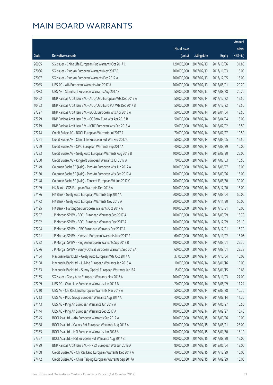|       |                                                               |                        |                     |               | Amount     |
|-------|---------------------------------------------------------------|------------------------|---------------------|---------------|------------|
|       |                                                               | No. of issue           |                     |               | raised     |
| Code  | Derivative warrants                                           | (units)                | <b>Listing date</b> | <b>Expiry</b> | (HK\$mil.) |
| 26955 | SG Issuer - China Life European Put Warrants Oct 2017 C       | 120,000,000            | 2017/02/13          | 2017/10/06    | 31.80      |
| 27036 | SG Issuer - Ping An European Warrants Nov 2017 B              | 100,000,000            | 2017/02/13          | 2017/11/03    | 15.00      |
| 27007 | SG Issuer - Ping An European Warrants Dec 2017 A              | 100,000,000            | 2017/02/13          | 2017/12/05    | 15.00      |
| 27085 | UBS AG - AIA European Warrants Aug 2017 A                     | 100,000,000            | 2017/02/13          | 2017/08/01    | 20.20      |
| 27083 | UBS AG - Stanchart European Warrants Aug 2017 B               | 50,000,000             | 2017/02/13          | 2017/08/28    | 20.20      |
| 10452 | BNP Paribas Arbit Issu B.V. - AUD/USD European Wts Dec 2017 A | 50,000,000             | 2017/02/14          | 2017/12/22    | 12.50      |
| 10453 | BNP Paribas Arbit Issu B.V. - AUD/USD Euro Put Wts Dec 2017 B | 50,000,000             | 2017/02/14          | 2017/12/22    | 12.50      |
| 27227 | BNP Paribas Arbit Issu B.V. - BOCL European Wts Apr 2018 A    | 50,000,000             | 2017/02/14          | 2018/04/04    | 13.50      |
| 27229 | BNP Paribas Arbit Issu B.V. - CC Bank Euro Wts Apr 2018 B     | 50,000,000             | 2017/02/14          | 2018/04/04    | 15.00      |
| 27219 | BNP Paribas Arbit Issu B.V. - ICBC European Wts Feb 2018 A    | 50,000,000             | 2017/02/14          | 2018/02/02    | 13.50      |
| 27274 | Credit Suisse AG - BOCL European Warrants Jul 2017 A          | 70,000,000             | 2017/02/14          | 2017/07/27    | 10.50      |
| 27251 | Credit Suisse AG - China Life European Put Wts Sep 2017 C     | 50,000,000             | 2017/02/14          | 2017/09/05    | 12.50      |
| 27259 | Credit Suisse AG - CPIC European Warrants Sep 2017 A          | 40,000,000             | 2017/02/14          | 2017/09/29    | 10.00      |
| 27233 | Credit Suisse AG - Geely Auto European Warrants Aug 2018 B    | 100,000,000            | 2017/02/14          | 2018/08/30    | 25.00      |
| 27260 | Credit Suisse AG - Kingsoft European Warrants Jul 2017 A      | 70,000,000             | 2017/02/14          | 2017/07/03    | 10.50      |
| 27149 | Goldman Sachs SP (Asia) - Ping An European Wts Jun 2017 A     | 100,000,000            | 2017/02/14          | 2017/06/27    | 15.00      |
| 27150 | Goldman Sachs SP (Asia) - Ping An European Wts Sep 2017 A     | 100,000,000            | 2017/02/14          | 2017/09/26    | 15.00      |
| 27148 | Goldman Sachs SP (Asia) - Tencent European Wt Jun 2017 G      | 200,000,000            | 2017/02/14          | 2017/06/30    | 30.00      |
| 27199 | HK Bank - CGS European Warrants Dec 2018 A                    | 100,000,000            | 2017/02/14          | 2018/12/20    | 15.00      |
| 27176 | HK Bank - Geely Auto European Warrants Sep 2017 A             | 200,000,000            | 2017/02/14          | 2017/09/04    | 50.00      |
| 27172 | HK Bank - Geely Auto European Warrants Nov 2017 A             | 200,000,000            | 2017/02/14          | 2017/11/30    | 50.00      |
| 27195 | HK Bank - Haitong Sec European Warrants Oct 2017 A            | 100,000,000            | 2017/02/14          | 2017/10/31    | 15.00      |
| 27297 | J P Morgan SP BV - BOCL European Warrants Sep 2017 A          | 100,000,000            | 2017/02/14          | 2017/09/29    | 15.70      |
| 27302 | J P Morgan SP BV - BOCL European Warrants Dec 2017 A          | 100,000,000            | 2017/02/14          | 2017/12/29    | 25.10      |
| 27294 | J P Morgan SP BV - ICBC European Warrants Dec 2017 A          | 100,000,000            | 2017/02/14          | 2017/12/01    | 16.70      |
| 27291 | J P Morgan SP BV - Kingsoft European Warrants Nov 2017 A      | 60,000,000             | 2017/02/14          | 2017/11/02    | 15.06      |
| 27292 | J P Morgan SP BV - Ping An European Warrants Sep 2017 B       | 100,000,000 2017/02/14 |                     | 2017/09/01    | 25.30      |
| 27276 | J P Morgan SP BV - Sunny Optical European Warrants Sep 2017A  | 60,000,000             | 2017/02/14          | 2017/09/01    | 22.38      |
| 27164 | Macquarie Bank Ltd. - Geely Auto European Wts Oct 2017 A      | 37,000,000             | 2017/02/14          | 2017/10/04    | 10.03      |
| 27198 | Macquarie Bank Ltd. - Li Ning European Warrants Jan 2018 A    | 10,000,000             | 2017/02/14          | 2018/01/16    | 10.00      |
| 27163 | Macquarie Bank Ltd. - Sunny Optical European Warrants Jan18A  | 15,000,000             | 2017/02/14          | 2018/01/15    | 10.68      |
| 27165 | SG Issuer - Geely Auto European Warrants Nov 2017 A           | 100,000,000            | 2017/02/14          | 2017/11/03    | 27.00      |
| 27209 | UBS AG - China Life European Warrants Jun 2017 B              | 20,000,000             | 2017/02/14          | 2017/06/09    | 11.24      |
| 27210 | UBS AG - Chi Res Land European Warrants Mar 2018 A            | 50,000,000             | 2017/02/14          | 2018/03/28    | 10.70      |
| 27213 | UBS AG - PICC Group European Warrants Aug 2017 A              | 40,000,000             | 2017/02/14          | 2017/08/14    | 11.36      |
| 27143 | UBS AG - Ping An European Warrants Jun 2017 A                 | 100,000,000            | 2017/02/14          | 2017/06/27    | 15.50      |
| 27144 | UBS AG - Ping An European Warrants Sep 2017 A                 | 100,000,000            | 2017/02/14          | 2017/09/27    | 15.40      |
| 27345 | BOCI Asia Ltd. - AIA European Warrants Sep 2017 A             | 100,000,000            | 2017/02/15          | 2017/09/26    | 19.00      |
| 27338 | BOCI Asia Ltd. - Galaxy Ent European Warrants Aug 2017 A      | 100,000,000            | 2017/02/15          | 2017/08/21    | 25.00      |
| 27355 | BOCI Asia Ltd. - HSI European Warrants Jan 2018 A             | 100,000,000            | 2017/02/15          | 2018/01/30    | 15.10      |
| 27357 | BOCI Asia Ltd. - HSI European Put Warrants Aug 2017 B         | 100,000,000            | 2017/02/15          | 2017/08/30    | 15.00      |
| 27499 | BNP Paribas Arbit Issu B.V. - HKEX European Wts Jun 2018 A    | 80,000,000             | 2017/02/15          | 2018/06/04    | 12.00      |
| 27468 | Credit Suisse AG - Chi Res Land European Warrants Dec 2017 A  | 40,000,000             | 2017/02/15          | 2017/12/29    | 10.00      |
| 27442 | Credit Suisse AG - China Taiping European Warrants Sep 2017A  | 40,000,000             | 2017/02/15          | 2017/09/29    | 10.00      |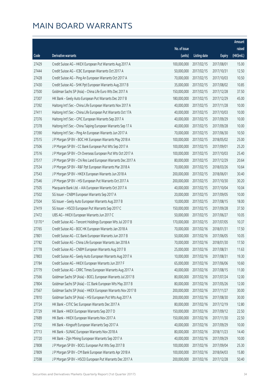|         |                                                              |              |                       |               | Amount     |
|---------|--------------------------------------------------------------|--------------|-----------------------|---------------|------------|
|         |                                                              | No. of issue |                       |               | raised     |
| Code    | Derivative warrants                                          | (units)      | <b>Listing date</b>   | <b>Expiry</b> | (HK\$mil.) |
| 27429   | Credit Suisse AG - HKEX European Put Warrants Aug 2017 A     | 100,000,000  | 2017/02/15            | 2017/08/01    | 15.00      |
| 27444   | Credit Suisse AG - ICBC European Warrants Oct 2017 A         | 50,000,000   | 2017/02/15            | 2017/10/31    | 12.50      |
| 27428   | Credit Suisse AG - Ping An European Warrants Oct 2017 A      | 70,000,000   | 2017/02/15            | 2017/10/03    | 10.50      |
| 27430   | Credit Suisse AG - SHK Ppt European Warrants Aug 2017 B      | 35,000,000   | 2017/02/15            | 2017/08/02    | 10.85      |
| 27500   | Goldman Sachs SP (Asia) - China Life Euro Wts Dec 2017 A     | 150,000,000  | 2017/02/15            | 2017/12/28    | 37.50      |
| 27307   | HK Bank - Geely Auto European Put Warrants Dec 2017 B        | 180,000,000  | 2017/02/15            | 2017/12/29    | 45.00      |
| 27392   | Haitong Int'l Sec - China Life European Warrants Nov 2017 A  | 40,000,000   | 2017/02/15            | 2017/11/28    | 10.00      |
| 27411   | Haitong Int'l Sec - China Life European Put Warrants Oct 17A | 40,000,000   | 2017/02/15            | 2017/10/03    | 10.00      |
| 27376   | Haitong Int'l Sec - CPIC European Warrants Sep 2017 A        | 40,000,000   | 2017/02/15            | 2017/09/29    | 10.00      |
| 27378   | Haitong Int'l Sec - China Taiping European Warrants Sep 17 A | 40,000,000   | 2017/02/15            | 2017/09/28    | 10.00      |
| 27390   | Haitong Int'l Sec - Ping An European Warrants Jun 2017 A     | 70,000,000   | 2017/02/15            | 2017/06/30    | 10.50      |
| 27515   | J P Morgan SP BV - BOC HK European Warrants May 2018 A       | 100,000,000  | 2017/02/15            | 2018/05/02    | 25.00      |
| 27506   | J P Morgan SP BV - CC Bank European Put Wts Sep 2017 A       | 100,000,000  | 2017/02/15            | 2017/09/01    | 25.20      |
| 27516   | J P Morgan SP BV - Ch Overseas European Put Wts Oct 2017 A   | 100,000,000  | 2017/02/15            | 2017/10/03    | 25.40      |
| 27517   | J P Morgan SP BV - Chi Res Land European Warrants Dec 2017 A | 80,000,000   | 2017/02/15            | 2017/12/29    | 20.64      |
| 27534   | J P Morgan SP BV - R&F Ppt European Warrants Mar 2018 A      | 70,000,000   | 2017/02/15            | 2018/03/26    | 10.64      |
| 27543   | J P Morgan SP BV - HKEX European Warrants Jun 2018 A         | 200,000,000  | 2017/02/15            | 2018/06/01    | 30.40      |
| 27546   | J P Morgan SP BV - HSI European Put Warrants Oct 2017 A      | 200,000,000  | 2017/02/15            | 2017/10/30    | 30.20      |
| 27505   | Macquarie Bank Ltd. - AIA European Warrants Oct 2017 A       | 40,000,000   | 2017/02/15            | 2017/10/04    | 10.04      |
| 27502   | SG Issuer - CNBM European Warrants Sep 2017 A                | 20,000,000   | 2017/02/15            | 2017/09/05    | 10.00      |
| 27504   | SG Issuer - Geely Auto European Warrants Aug 2017 B          | 10,000,000   | 2017/02/15            | 2017/08/15    | 18.00      |
| 27419   | SG Issuer - HSCEI European Put Warrants Sep 2017 C           | 150,000,000  | 2017/02/15            | 2017/09/28    | 37.50      |
| 27472   | UBS AG - HKEX European Warrants Jun 2017 C                   | 50,000,000   | 2017/02/15            | 2017/06/27    | 10.05      |
| 13170 # | Credit Suisse AG - Tencent Holdings European Wts Jul 2017 B  | 170,000,000  | 2017/02/15            | 2017/07/05    | 10.37      |
| 27765   | Credit Suisse AG - BOC HK European Warrants Jan 2018 A       | 70,000,000   | 2017/02/16            | 2018/01/31    | 17.50      |
| 27801   | Credit Suisse AG - CC Bank European Warrants Jun 2017 B      | 50,000,000   | 2017/02/16            | 2017/06/05    | 10.05      |
| 27782   | Credit Suisse AG - China Life European Warrants Jan 2018 A   |              | 70,000,000 2017/02/16 | 2018/01/30    | 17.50      |
| 27778   | Credit Suisse AG - CNBM European Warrants Aug 2017 B         | 25,000,000   | 2017/02/16            | 2017/08/31    | 11.63      |
| 27803   | Credit Suisse AG - Geely Auto European Warrants Aug 2017 A   | 10,000,000   | 2017/02/16            | 2017/08/31    | 19.30      |
| 27784   | Credit Suisse AG - HKEX European Warrants Jun 2017 F         | 65,000,000   | 2017/02/16            | 2017/06/06    | 10.60      |
| 27779   | Credit Suisse AG - CRRC Times European Warrants Aug 2017 A   | 40,000,000   | 2017/02/16            | 2017/08/15    | 11.00      |
| 27566   | Goldman Sachs SP (Asia) - BOCL European Warrants Jul 2017 B  | 80,000,000   | 2017/02/16            | 2017/07/24    | 12.00      |
| 27804   | Goldman Sachs SP (Asia) - CC Bank European Wts May 2017 B    | 80,000,000   | 2017/02/16            | 2017/05/26    | 12.00      |
| 27567   | Goldman Sachs SP (Asia) - HKEX European Warrants Nov 2017 B  | 200,000,000  | 2017/02/16            | 2017/11/27    | 30.00      |
| 27810   | Goldman Sachs SP (Asia) - HSI European Put Wts Aug 2017 A    | 200,000,000  | 2017/02/16            | 2017/08/30    | 30.00      |
| 27724   | HK Bank - CITIC Sec European Warrants Dec 2017 A             | 80,000,000   | 2017/02/16            | 2017/12/19    | 12.80      |
| 27729   | HK Bank - HKEX European Warrants Sep 2017 D                  | 150,000,000  | 2017/02/16            | 2017/09/12    | 22.50      |
| 27689   | HK Bank - HKEX European Warrants Nov 2017 A                  | 150,000,000  | 2017/02/16            | 2017/11/30    | 22.50      |
| 27702   | HK Bank - Kingsoft European Warrants Sep 2017 A              | 40,000,000   | 2017/02/16            | 2017/09/29    | 10.00      |
| 27713   | HK Bank - SUNAC European Warrants Nov 2018 A                 | 80,000,000   | 2017/02/16            | 2018/11/23    | 14.40      |
| 27720   | HK Bank - Zijin Mining European Warrants Sep 2017 A          | 40,000,000   | 2017/02/16            | 2017/09/29    | 10.00      |
| 27808   | J P Morgan SP BV - BOCL European Put Wts Sep 2017 B          | 100,000,000  | 2017/02/16            | 2017/09/04    | 25.30      |
| 27809   | J P Morgan SP BV - CM Bank European Warrants Apr 2018 A      | 100,000,000  | 2017/02/16            | 2018/04/03    | 15.80      |
| 27598   | J P Morgan SP BV - HSCEI European Put Warrants Dec 2017 A    | 200,000,000  | 2017/02/16            | 2017/12/28    | 50.40      |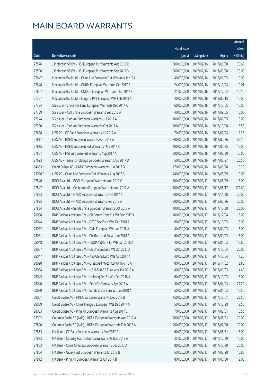|         |                                                               |              |                       |               | Amount     |
|---------|---------------------------------------------------------------|--------------|-----------------------|---------------|------------|
|         |                                                               | No. of issue |                       |               | raised     |
| Code    | Derivative warrants                                           | (units)      | <b>Listing date</b>   | <b>Expiry</b> | (HK\$mil.) |
| 27576   | J P Morgan SP BV - HSI European Put Warrants Aug 2017 B       | 300,000,000  | 2017/02/16            | 2017/08/30    | 75.60      |
| 27590   | J P Morgan SP BV - HSI European Put Warrants Sep 2017 B       | 300,000,000  | 2017/02/16            | 2017/09/28    | 75.00      |
| 27647   | Macquarie Bank Ltd. - China Life European Put Warrants Jan18A | 40,000,000   | 2017/02/16            | 2018/01/03    | 10.00      |
| 27648   | Macquarie Bank Ltd. - CNBM European Warrants Oct 2017 A       | 24,000,000   | 2017/02/16            | 2017/10/04    | 10.01      |
| 27667   | Macquarie Bank Ltd. - CNOOC European Warrants Dec 2017 B      | 21,000,000   | 2017/02/16            | 2017/12/04    | 10.10      |
| 27757   | Macquarie Bank Ltd. - Longfor PPT European Wts Feb 2018 A     | 40,000,000   | 2017/02/16            | 2018/02/15    | 10.00      |
| 27734   | SG Issuer - China Res Land European Warrants Dec 2017 A       | 60,000,000   | 2017/02/16            | 2017/12/05    | 15.00      |
| 27739   | SG Issuer - A50 China European Warrants Sep 2017 A            | 40,000,000   | 2017/02/16            | 2017/09/05    | 10.00      |
| 27744   | SG Issuer - Ping An European Warrants Jul 2017 A              | 100,000,000  | 2017/02/16            | 2017/07/05    | 15.00      |
| 27750   | SG Issuer - Ping An European Warrants Oct 2017 A              | 100,000,000  | 2017/02/16            | 2017/10/06    | 16.50      |
| 27638   | UBS AG - CC Bank European Warrants Jul 2017 A                 | 70,000,000   | 2017/02/16            | 2017/07/24    | 11.76      |
| 27611   | UBS AG - HKEX European Warrants Feb 2018 A                    | 300,000,000  | 2017/02/16            | 2018/02/26    | 59.10      |
| 27615   | UBS AG - HKEX European Put Warrants May 2017 B                | 100,000,000  | 2017/02/16            | 2017/05/25    | 15.00      |
| 27601   | UBS AG - HSI European Put Warrants Aug 2017 A                 | 300,000,000  | 2017/02/16            | 2017/08/30    | 75.00      |
| 27623   | UBS AG - Tencent Holdings European Warrants Jun 2017 D        | 50,000,000   | 2017/02/16            | 2017/06/27    | 25.50      |
| 14663 # | Credit Suisse AG - HKEX European Warrants Jun 2017 D          | 170,000,000  | 2017/02/16            | 2017/06/28    | 10.20      |
| 23036 # | UBS AG - China Life European Put Warrants Aug 2017 B          | 140,000,000  | 2017/02/16            | 2017/08/29    | 10.08      |
| 27846   | BOCI Asia Ltd. - BOCL European Warrants Aug 2017 C            | 100,000,000  | 2017/02/17            | 2017/08/29    | 15.00      |
| 27847   | BOCI Asia Ltd. - Geely Auto European Warrants Aug 2017 A      | 100,000,000  | 2017/02/17            | 2017/08/17    | 171.60     |
| 27823   | BOCI Asia Ltd. - HKEX European Warrants Nov 2017 A            | 200,000,000  | 2017/02/17            | 2017/11/28    | 30.00      |
| 27825   | BOCI Asia Ltd. - HKEX European Warrants Feb 2018 A            | 200,000,000  | 2017/02/17            | 2018/02/26    | 30.00      |
| 27834   | BOCI Asia Ltd. - Sands China European Warrants Oct 2017 A     | 100,000,000  | 2017/02/17            | 2017/10/30    | 25.00      |
| 28058   | BNP Paribas Arbit Issu B.V. - Ch Comm Cons Eur Wt Dec 2017 A  | 100,000,000  | 2017/02/17            | 2017/12/04    | 16.00      |
| 28044   | BNP Paribas Arbit Issu B.V. - CITIC Sec Euro Wts Oct 2018 A   | 60,000,000   | 2017/02/17            | 2018/10/03    | 15.00      |
| 28032   | BNP Paribas Arbit Issu B.V. - CKH European Wts Jan 2018 A     | 40,000,000   | 2017/02/17            | 2018/01/03    | 16.00      |
| 28031   | BNP Paribas Arbit Issu B.V. - Chi Res Land Eu Wt Jan 2018 A   | 60,000,000   | 2017/02/17            | 2018/01/03    | 15.00      |
| 28048   | BNP Paribas Arbit Issu B.V. - CSOP A50 ETF Eu Wts Jan 2018 A  |              | 40,000,000 2017/02/17 | 2018/01/03    | 12.80      |
| 28057   | BNP Paribas Arbit Issu B.V. - Ch Unicom Euro Wt Oct 2017 A    | 50,000,000   | 2017/02/17            | 2017/10/04    | 26.00      |
| 28047   | BNP Paribas Arbit Issu B.V. - A50 China Euro Wts Oct 2017 A   | 40,000,000   | 2017/02/17            | 2017/10/04    | 11.20      |
| 28028   | BNP Paribas Arbit Issu B.V. - Greatwall Motor Eu Wt Nov 18 A  | 80,000,000   | 2017/02/17            | 2018/11/02    | 12.80      |
| 28054   | BNP Paribas Arbit Issu B.V. - HS H-SHARE Euro Wts Jan 2018 A  | 40,000,000   | 2017/02/17            | 2018/01/03    | 14.40      |
| 28045   | BNP Paribas Arbit Issu B.V. - Haitong Sec Eu Wts Oct 2018 A   | 60,000,000   | 2017/02/17            | 2018/10/03    | 15.00      |
| 28040   | BNP Paribas Arbit Issu B.V. - PetroCh Euro Wts Apr 2018 A     | 40,000,000   | 2017/02/17            | 2018/04/04    | 21.20      |
| 28030   | BNP Paribas Arbit Issu B.V. - Sands China Euro Wt Jan 2018 A  | 50,000,000   | 2017/02/17            | 2018/01/03    | 12.50      |
| 28061   | Credit Suisse AG - HKEX European Warrants Dec 2017 B          | 150,000,000  | 2017/02/17            | 2017/12/01    | 22.50      |
| 28069   | Credit Suisse AG - China Mengniu European Wts Dec 2017 A      | 50,000,000   | 2017/02/17            | 2017/12/29    | 12.50      |
| 28063   | Credit Suisse AG - Ping An European Warrants Aug 2017 B       | 70,000,000   | 2017/02/17            | 2017/08/01    | 10.50      |
| 27992   | Goldman Sachs SP (Asia) - HKEX European Warrants Aug 2017 A   | 200,000,000  | 2017/02/17            | 2017/08/01    | 30.00      |
| 27820   | Goldman Sachs SP (Asia) - HKEX European Warrants Feb 2018 A   | 200,000,000  | 2017/02/17            | 2018/02/26    | 30.00      |
| 27863   | HK Bank - CC Bank European Warrants Aug 2017 C                | 60,000,000   | 2017/02/17            | 2017/08/31    | 15.00      |
| 27873   | HK Bank - Country Garden European Warrants Dec 2017 A         | 25,000,000   | 2017/02/17            | 2017/12/29    | 10.00      |
| 27853   | HK Bank - China Overseas European Warrants Dec 2017 A         | 80,000,000   | 2017/02/17            | 2017/12/29    | 20.00      |
| 27864   | HK Bank - Galaxy Ent European Warrants Jul 2017 B             | 60,000,000   | 2017/02/17            | 2017/07/28    | 10.80      |
| 27912   | HK Bank - Ping An European Warrants Jun 2017 B                | 80,000,000   | 2017/02/17            | 2017/06/30    | 12.00      |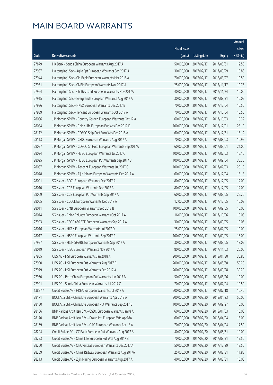|         |                                                              |              |                       |               | Amount     |
|---------|--------------------------------------------------------------|--------------|-----------------------|---------------|------------|
|         |                                                              | No. of issue |                       |               | raised     |
| Code    | Derivative warrants                                          | (units)      | <b>Listing date</b>   | <b>Expiry</b> | (HK\$mil.) |
| 27879   | HK Bank - Sands China European Warrants Aug 2017 A           | 50,000,000   | 2017/02/17            | 2017/08/31    | 12.50      |
| 27937   | Haitong Int'l Sec - Agile Ppt European Warrants Sep 2017 A   | 30,000,000   | 2017/02/17            | 2017/09/29    | 10.83      |
| 27944   | Haitong Int'l Sec - CM Bank European Warrants Mar 2018 A     | 70,000,000   | 2017/02/17            | 2018/03/27    | 10.50      |
| 27951   | Haitong Int'l Sec - CNBM European Warrants Nov 2017 A        | 25,000,000   | 2017/02/17            | 2017/11/17    | 10.75      |
| 27924   | Haitong Int'l Sec - Chi Res Land European Warrants Nov 2017A | 40,000,000   | 2017/02/17            | 2017/11/24    | 10.00      |
| 27915   | Haitong Int'l Sec - Evergrande European Warrants Aug 2017 A  | 30,000,000   | 2017/02/17            | 2017/08/31    | 10.05      |
| 27936   | Haitong Int'l Sec - HKEX European Warrants Dec 2017 B        | 70,000,000   | 2017/02/17            | 2017/12/04    | 10.50      |
| 27939   | Haitong Int'l Sec - Tencent European Warrants Oct 2017 A     | 70,000,000   | 2017/02/17            | 2017/10/04    | 10.50      |
| 28086   | J P Morgan SP BV - Country Garden European Warrants Oct 17 A | 60,000,000   | 2017/02/17            | 2017/10/03    | 19.32      |
| 28084   | J P Morgan SP BV - China Life European Put Wts Dec 2017 D    | 100,000,000  | 2017/02/17            | 2017/12/01    | 25.10      |
| 28112   | J P Morgan SP BV - COSCO Ship Port Euro Wts Dec 2018 A       | 60,000,000   | 2017/02/17            | 2018/12/31    | 15.12      |
| 28113   | J P Morgan SP BV - CSDC European Warrants Aug 2017 A         | 70,000,000   | 2017/02/17            | 2017/08/03    | 10.92      |
| 28097   | J P Morgan SP BV - COSCO Sh Hold European Warrants Sep 2017A | 60,000,000   | 2017/02/17            | 2017/09/01    | 21.06      |
| 28094   | J P Morgan SP BV - HSBC European Warrants Jul 2017 C         | 100,000,000  | 2017/02/17            | 2017/07/03    | 15.10      |
| 28095   | J P Morgan SP BV - HSBC European Put Warrants Sep 2017 B     | 100,000,000  | 2017/02/17            | 2017/09/04    | 35.30      |
| 28087   | J P Morgan SP BV - Tencent European Warrants Jul 2017 C      | 100,000,000  | 2017/02/17            | 2017/07/03    | 29.10      |
| 28078   | J P Morgan SP BV - Zijin Mining European Warrants Dec 2017 A | 60,000,000   | 2017/02/17            | 2017/12/04    | 15.18      |
| 28001   | SG Issuer - BOCL European Warrants Dec 2017 A                | 80,000,000   | 2017/02/17            | 2017/12/05    | 12.00      |
| 28010   | SG Issuer - CCB European Warrants Dec 2017 A                 | 80,000,000   | 2017/02/17            | 2017/12/05    | 12.00      |
| 28009   | SG Issuer - CCB European Put Warrants Sep 2017 A             | 60,000,000   | 2017/02/17            | 2017/09/05    | 25.20      |
| 28005   | SG Issuer - CCCCL European Warrants Dec 2017 A               | 12,000,000   | 2017/02/17            | 2017/12/05    | 10.08      |
| 28011   | SG Issuer - CMB European Warrants Sep 2017 B                 | 100,000,000  | 2017/02/17            | 2017/09/05    | 15.00      |
| 28014   | SG Issuer - China Railway European Warrants Oct 2017 A       | 16,000,000   | 2017/02/17            | 2017/10/06    | 10.08      |
| 27993   | SG Issuer - CSOP A50 ETF European Warrants Sep 2017 A        | 30,000,000   | 2017/02/17            | 2017/09/05    | 10.05      |
| 28016   | SG Issuer - HKEX European Warrants Jul 2017 D                | 25,000,000   | 2017/02/17            | 2017/07/05    | 10.00      |
| 28017   | SG Issuer - HSBC European Warrants Sep 2017 A                | 100,000,000  | 2017/02/17            | 2017/09/05    | 15.00      |
| 27997   | SG Issuer - HS H-SHARE European Warrants Sep 2017 A          |              | 30,000,000 2017/02/17 | 2017/09/05    | 13.05      |
| 28019   | SG Issuer - ICBC European Warrants Nov 2017 A                | 80,000,000   | 2017/02/17            | 2017/11/03    | 20.00      |
| 27955   | UBS AG - HSI European Warrants Jan 2018 A                    | 200,000,000  | 2017/02/17            | 2018/01/30    | 30.80      |
| 27990   | UBS AG - HSI European Put Warrants Aug 2017 B                | 200,000,000  | 2017/02/17            | 2017/08/30    | 50.20      |
| 27979   | UBS AG - HSI European Put Warrants Sep 2017 A                | 200,000,000  | 2017/02/17            | 2017/09/28    | 30.20      |
| 27960   | UBS AG - PetroChina European Put Warrants Jun 2017 B         | 50,000,000   | 2017/02/17            | 2017/06/26    | 10.00      |
| 27991   | UBS AG - Sands China European Warrants Jul 2017 C            | 70,000,000   | 2017/02/17            | 2017/07/04    | 10.50      |
| 13897 # | Credit Suisse AG - HKEX European Warrants Jul 2017 A         | 200,000,000  | 2017/02/17            | 2017/07/18    | 10.40      |
| 28171   | BOCI Asia Ltd. - China Life European Warrants Apr 2018 A     | 200,000,000  | 2017/02/20            | 2018/04/23    | 50.00      |
| 28180   | BOCI Asia Ltd. - China Life European Put Warrants Sep 2017 B | 100,000,000  | 2017/02/20            | 2017/09/27    | 15.00      |
| 28166   | BNP Paribas Arbit Issu B.V. - CSDC European Warrants Jan18 A | 60,000,000   | 2017/02/20            | 2018/01/03    | 15.00      |
| 28170   | BNP Paribas Arbit Issu B.V. - Fosun Intl European Wts Apr18A | 60,000,000   | 2017/02/20            | 2018/04/04    | 15.00      |
| 28169   | BNP Paribas Arbit Issu B.V. - GAC European Warrants Apr 18 A | 70,000,000   | 2017/02/20            | 2018/04/04    | 17.50      |
| 28204   | Credit Suisse AG - CC Bank European Put Warrants Aug 2017 A  | 40,000,000   | 2017/02/20            | 2017/08/31    | 10.00      |
| 28223   | Credit Suisse AG - China Life European Put Wts Aug 2017 B    | 70,000,000   | 2017/02/20            | 2017/08/31    | 17.50      |
| 28200   | Credit Suisse AG - Ch Overseas European Warrants Dec 2017 A  | 50,000,000   | 2017/02/20            | 2017/12/29    | 12.50      |
| 28209   | Credit Suisse AG - China Railway European Warrants Aug 2017A | 25,000,000   | 2017/02/20            | 2017/08/31    | 11.88      |
| 28213   | Credit Suisse AG - Zijin Mining European Warrants Aug 2017 A | 40,000,000   | 2017/02/20            | 2017/08/31    | 10.00      |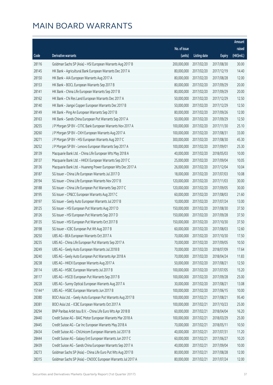|         |                                                              |              |                       |               | Amount     |
|---------|--------------------------------------------------------------|--------------|-----------------------|---------------|------------|
|         |                                                              | No. of issue |                       |               | raised     |
| Code    | Derivative warrants                                          | (units)      | <b>Listing date</b>   | <b>Expiry</b> | (HK\$mil.) |
| 28116   | Goldman Sachs SP (Asia) - HSI European Warrants Aug 2017 B   | 200,000,000  | 2017/02/20            | 2017/08/30    | 30.00      |
| 28145   | HK Bank - Agricultural Bank European Warrants Dec 2017 A     | 80,000,000   | 2017/02/20            | 2017/12/19    | 14.40      |
| 28150   | HK Bank - AIA European Warrants Aug 2017 A                   | 80,000,000   | 2017/02/20            | 2017/08/28    | 12.00      |
| 28153   | HK Bank - BOCL European Warrants Sep 2017 B                  | 80,000,000   | 2017/02/20            | 2017/09/29    | 20.00      |
| 28141   | HK Bank - China Life European Warrants Sep 2017 B            | 80,000,000   | 2017/02/20            | 2017/09/29    | 20.00      |
| 28162   | HK Bank - Chi Res Land European Warrants Dec 2017 A          | 50,000,000   | 2017/02/20            | 2017/12/29    | 12.50      |
| 28140   | HK Bank - Jiangxi Copper European Warrants Dec 2017 B        | 50,000,000   | 2017/02/20            | 2017/12/29    | 12.50      |
| 28149   | HK Bank - Ping An European Warrants Sep 2017 B               | 80,000,000   | 2017/02/20            | 2017/09/26    | 12.00      |
| 28163   | HK Bank - Sands China European Put Warrants Sep 2017 A       | 50,000,000   | 2017/02/20            | 2017/09/29    | 12.50      |
| 28255   | J P Morgan SP BV - CITIC Bank European Warrants Nov 2017 A   | 100,000,000  | 2017/02/20            | 2017/11/30    | 25.10      |
| 28260   | J P Morgan SP BV - CKH European Warrants Aug 2017 A          | 100,000,000  | 2017/02/20            | 2017/08/31    | 33.00      |
| 28271   | J P Morgan SP BV - HSI European Warrants Aug 2017 C          | 300,000,000  | 2017/02/20            | 2017/08/30    | 45.30      |
| 28252   | J P Morgan SP BV - Lenovo European Warrants Sep 2017 A       | 100,000,000  | 2017/02/20            | 2017/09/01    | 25.30      |
| 28139   | Macquarie Bank Ltd. - China Life European Wts May 2018 A     | 40,000,000   | 2017/02/20            | 2018/05/03    | 10.00      |
| 28137   | Macquarie Bank Ltd. - HKEX European Warrants Sep 2017 C      | 25,000,000   | 2017/02/20            | 2017/09/04    | 10.05      |
| 28136   | Macquarie Bank Ltd. - Huaneng Power European Wts Dec 2017 A  | 26,000,000   | 2017/02/20            | 2017/12/04    | 10.04      |
| 28187   | SG Issuer - China Life European Warrants Jul 2017 D          | 18,000,000   | 2017/02/20            | 2017/07/03    | 10.08      |
| 28194   | SG Issuer - China Life European Warrants Nov 2017 B          | 120,000,000  | 2017/02/20            | 2017/11/03    | 30.00      |
| 28188   | SG Issuer - China Life European Put Warrants Sep 2017 C      | 120,000,000  | 2017/02/20            | 2017/09/05    | 30.00      |
| 28195   | SG Issuer - CP&CC European Warrants Aug 2017 C               | 60,000,000   | 2017/02/20            | 2017/08/03    | 21.60      |
| 28197   | SG Issuer - Geely Auto European Warrants Jul 2017 B          | 10,000,000   | 2017/02/20            | 2017/07/24    | 13.00      |
| 28125   | SG Issuer - HSI European Put Warrants Aug 2017 D             | 150,000,000  | 2017/02/20            | 2017/08/30    | 37.50      |
| 28126   | SG Issuer - HSI European Put Warrants Sep 2017 D             | 150,000,000  | 2017/02/20            | 2017/09/28    | 37.50      |
| 28135   | SG Issuer - HSI European Put Warrants Oct 2017 B             | 150,000,000  | 2017/02/20            | 2017/10/30    | 37.50      |
| 28198   | SG Issuer - ICBC European Put Wt Aug 2017 B                  | 60,000,000   | 2017/02/20            | 2017/08/03    | 12.60      |
| 28250   | UBS AG - BEA European Warrants Oct 2017 A                    | 70,000,000   | 2017/02/20            | 2017/10/30    | 17.50      |
| 28235   | UBS AG - China Life European Put Warrants Sep 2017 A         |              | 70,000,000 2017/02/20 | 2017/09/05    | 10.50      |
| 28249   | UBS AG - Geely Auto European Warrants Jul 2018 B             | 70,000,000   | 2017/02/20            | 2018/07/09    | 17.64      |
| 28240   | UBS AG - Geely Auto European Put Warrants Apr 2018 A         | 70,000,000   | 2017/02/20            | 2018/04/24    | 11.83      |
| 28238   | UBS AG - HKEX European Warrants Aug 2017 A                   | 50,000,000   | 2017/02/20            | 2017/08/21    | 12.50      |
| 28114   | UBS AG - HSBC European Warrants Jul 2017 B                   | 100,000,000  | 2017/02/20            | 2017/07/05    | 15.20      |
| 28117   | UBS AG - HSCEI European Put Warrants Sep 2017 B              | 100,000,000  | 2017/02/20            | 2017/09/28    | 25.00      |
| 28228   | UBS AG - Sunny Optical European Warrants Aug 2017 A          | 30,000,000   | 2017/02/20            | 2017/08/21    | 13.08      |
| 15144 # | UBS AG - HSBC European Warrants Jun 2017 B                   | 100,000,000  | 2017/02/20            | 2017/06/15    | 10.00      |
| 28380   | BOCI Asia Ltd. - Geely Auto European Put Warrants Aug 2017 B | 100,000,000  | 2017/02/21            | 2017/08/21    | 95.40      |
| 28381   | BOCI Asia Ltd. - ICBC European Warrants Oct 2017 A           | 100,000,000  | 2017/02/21            | 2017/10/23    | 25.00      |
| 28294   | BNP Paribas Arbit Issu B.V. - China Life Euro Wts Apr 2018 B | 60,000,000   | 2017/02/21            | 2018/04/04    | 16.20      |
| 28440   | Credit Suisse AG - BAIC Motor European Warrants Mar 2018 A   | 100,000,000  | 2017/02/21            | 2018/03/29    | 25.00      |
| 28445   | Credit Suisse AG - Car Inc European Warrants May 2018 A      | 70,000,000   | 2017/02/21            | 2018/05/11    | 10.50      |
| 28434   | Credit Suisse AG - ChiUnicom European Warrants Jul 2017 B    | 40,000,000   | 2017/02/21            | 2017/07/31    | 11.20      |
| 28444   | Credit Suisse AG - Galaxy Ent European Warrants Jun 2017 C   | 60,000,000   | 2017/02/21            | 2017/06/27    | 10.20      |
| 28439   | Credit Suisse AG - Sands China European Warrants Sep 2017 A  | 40,000,000   | 2017/02/21            | 2017/09/04    | 10.00      |
| 28273   | Goldman Sachs SP (Asia) - China Life Euro Put Wts Aug 2017 B | 80,000,000   | 2017/02/21            | 2017/08/28    | 12.00      |
| 28315   | Goldman Sachs SP (Asia) - CNOOC European Warrants Jul 2017 A | 80,000,000   | 2017/02/21            | 2017/07/24    | 12.00      |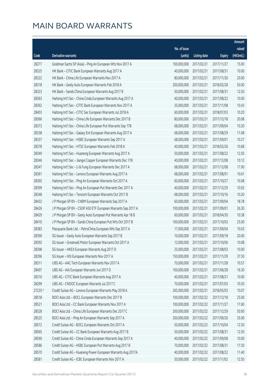|           |                                                              |              |                       |               | Amount     |
|-----------|--------------------------------------------------------------|--------------|-----------------------|---------------|------------|
|           |                                                              | No. of issue |                       |               | raised     |
| Code      | Derivative warrants                                          | (units)      | <b>Listing date</b>   | <b>Expiry</b> | (HK\$mil.) |
| 28277     | Goldman Sachs SP (Asia) - Ping An European Wts Nov 2017 A    | 100,000,000  | 2017/02/21            | 2017/11/27    | 15.00      |
| 28325     | HK Bank - CITIC Bank European Warrants Aug 2017 A            | 40,000,000   | 2017/02/21            | 2017/08/31    | 10.00      |
| 28322     | HK Bank - China Life European Warrants Nov 2017 A            | 80,000,000   | 2017/02/21            | 2017/11/30    | 20.00      |
| 28318     | HK Bank - Geely Auto European Warrants Feb 2018 A            | 200,000,000  | 2017/02/21            | 2018/02/28    | 50.00      |
| 28323     | HK Bank - Sands China European Warrants Aug 2017 B           | 50,000,000   | 2017/02/21            | 2017/08/31    | 12.50      |
| 28363     | Haitong Int'l Sec - China Cinda European Warrants Aug 2017 A | 40,000,000   | 2017/02/21            | 2017/08/22    | 10.00      |
| 28362     | Haitong Int'l Sec - CITIC Bank European Warrants Nov 2017 A  | 35,000,000   | 2017/02/21            | 2017/11/08    | 10.43      |
| 28403     | Haitong Int'l Sec - CITIC Sec European Warrants Jul 2018 A   | 60,000,000   | 2017/02/21            | 2018/07/03    | 10.20      |
| 28366     | Haitong Int'l Sec - China Life European Warrants Dec 2017 B  | 80,000,000   | 2017/02/21            | 2017/12/18    | 20.08      |
| 28373     | Haitong Int'l Sec - China Life European Put Warrants Sep 17B | 68,000,000   | 2017/02/21            | 2017/09/04    | 10.20      |
| 28338     | Haitong Int'l Sec - Galaxy Ent European Warrants Aug 2017 A  | 68,000,000   | 2017/02/21            | 2017/08/29    | 11.08      |
| 28337     | Haitong Int'l Sec - HSBC European Warrants Sep 2017 A        | 68,000,000   | 2017/02/21            | 2017/09/01    | 10.27      |
| 28378     | Haitong Int'l Sec - HTSC European Warrants Feb 2018 A        | 40,000,000   | 2017/02/21            | 2018/02/26    | 10.68      |
| 28349     | Haitong Int'l Sec - Huaneng European Warrants Aug 2017 A     | 50,000,000   | 2017/02/21            | 2017/08/22    | 12.50      |
| 28346     | Haitong Int'l Sec - Jiangxi Copper European Warrants Dec 17B | 40,000,000   | 2017/02/21            | 2017/12/08    | 10.12      |
| 28347     | Haitong Int'l Sec - Li & Fung European Warrants Dec 2017 A   | 68,000,000   | 2017/02/21            | 2017/12/08    | 17.00      |
| 28361     | Haitong Int'l Sec - Lenovo European Warrants Aug 2017 A      | 68,000,000   | 2017/02/21            | 2017/08/01    | 10.61      |
| 28365     | Haitong Int'l Sec - Ping An European Warrants Oct 2017 A     | 60,000,000   | 2017/02/21            | 2017/10/27    | 10.08      |
| 28399     | Haitong Int'l Sec - Ping An European Put Warrants Dec 2017 A | 40,000,000   | 2017/02/21            | 2017/12/29    | 10.92      |
| 28348     | Haitong Int'l Sec - Tencent European Warrants Oct 2017 B     | 68,000,000   | 2017/02/21            | 2017/10/16    | 10.20      |
| 28432     | J P Morgan SP BV - CNBM European Warrants Sep 2017 A         | 60,000,000   | 2017/02/21            | 2017/09/04    | 18.78      |
| 28426     | J P Morgan SP BV - CSOP A50 ETF European Warrants Sep 2017 A | 100,000,000  | 2017/02/21            | 2017/09/01    | 26.30      |
| 28429     | J P Morgan SP BV - Geely Auto European Put Warrants Apr 18 B | 60,000,000   | 2017/02/21            | 2018/04/30    | 10.38      |
| 28410     | J P Morgan SP BV - Sands China European Put Wts Oct 2017 B   | 100,000,000  | 2017/02/21            | 2017/10/03    | 25.00      |
| 28383     | Macquarie Bank Ltd. - PetroChina European Wts Sep 2017 A     | 17,000,000   | 2017/02/21            | 2017/09/04    | 10.03      |
| 28390     | SG Issuer - Geely Auto European Warrants Sep 2017 B          | 10,000,000   | 2017/02/21            | 2017/09/18    | 20.00      |
| 28392     | SG Issuer - Greatwall Motor European Warrants Oct 2017 A     |              | 12,000,000 2017/02/21 | 2017/10/06    | 10.08      |
| 28398     | SG Issuer - HKEX European Warrants Aug 2017 D                | 25,000,000   | 2017/02/21            | 2017/08/03    | 10.00      |
| 28396     | SG Issuer - HSI European Warrants Nov 2017 A                 | 150,000,000  | 2017/02/21            | 2017/11/29    | 37.50      |
| 28311     | UBS AG - AAC Tech European Warrants Nov 2017 A               | 70,000,000   | 2017/02/21            | 2017/11/28    | 10.57      |
| 28407     | UBS AG - AIA European Warrants Jun 2017 D                    | 100,000,000  | 2017/02/21            | 2017/06/28    | 16.30      |
| 28310     | UBS AG - CITIC Bank European Warrants Aug 2017 A             | 40,000,000   | 2017/02/21            | 2017/08/21    | 10.00      |
| 28299     | UBS AG - CNOOC European Warrants Jul 2017 C                  | 70,000,000   | 2017/02/21            | 2017/07/03    | 10.50      |
| $27235$ # | Credit Suisse AG - Lenovo European Warrants May 2018 A       | 265,000,000  | 2017/02/21            | 2018/05/03    | 10.07      |
| 28518     | BOCI Asia Ltd. - BOCL European Warrants Dec 2017 B           | 100,000,000  | 2017/02/22            | 2017/12/18    | 25.00      |
| 28521     | BOCI Asia Ltd. - CC Bank European Warrants Nov 2017 A        | 100,000,000  | 2017/02/22            | 2017/11/27    | 17.60      |
| 28528     | BOCI Asia Ltd. - China Life European Warrants Dec 2017 C     | 200,000,000  | 2017/02/22            | 2017/12/29    | 50.00      |
| 28525     | BOCI Asia Ltd. - Ping An European Warrants Sep 2017 A        | 200,000,000  | 2017/02/22            | 2017/09/26    | 35.00      |
| 28572     | Credit Suisse AG - BOCL European Warrants Oct 2017 A         | 50,000,000   | 2017/02/22            | 2017/10/04    | 12.50      |
| 28565     | Credit Suisse AG - CC Bank European Warrants Aug 2017 B      | 50,000,000   | 2017/02/22            | 2017/08/31    | 12.50      |
| 28590     | Credit Suisse AG - China Cinda European Warrants Sep 2017 A  | 40,000,000   | 2017/02/22            | 2017/09/08    | 10.00      |
| 28586     | Credit Suisse AG - HSBC European Put Warrants Aug 2017 B     | 70,000,000   | 2017/02/22            | 2017/08/31    | 17.50      |
| 28570     | Credit Suisse AG - Huaneng Power European Warrants Aug 2017A | 40,000,000   | 2017/02/22            | 2017/08/22    | 11.40      |
| 28581     | Credit Suisse AG - ICBC European Warrants Nov 2017 A         | 50,000,000   | 2017/02/22            | 2017/11/02    | 12.50      |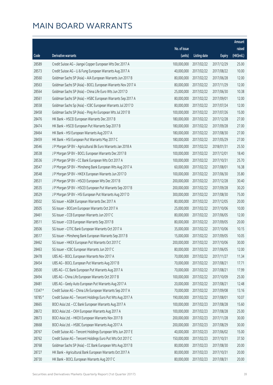|         |                                                             |                        |                     |               | Amount     |
|---------|-------------------------------------------------------------|------------------------|---------------------|---------------|------------|
|         |                                                             | No. of issue           |                     |               | raised     |
| Code    | Derivative warrants                                         | (units)                | <b>Listing date</b> | <b>Expiry</b> | (HK\$mil.) |
| 28589   | Credit Suisse AG - Jiangxi Copper European Wts Dec 2017 A   | 100,000,000            | 2017/02/22          | 2017/12/29    | 25.00      |
| 28573   | Credit Suisse AG - Li & Fung European Warrants Aug 2017 A   | 40,000,000             | 2017/02/22          | 2017/08/22    | 10.00      |
| 28560   | Goldman Sachs SP (Asia) - AIA European Warrants Jun 2017 B  | 80,000,000             | 2017/02/22          | 2017/06/28    | 12.00      |
| 28563   | Goldman Sachs SP (Asia) - BOCL European Warrants Nov 2017 A | 80,000,000             | 2017/02/22          | 2017/11/29    | 12.00      |
| 28564   | Goldman Sachs SP (Asia) - China Life Euro Wts Jun 2017 D    | 25,000,000             | 2017/02/22          | 2017/06/30    | 10.38      |
| 28561   | Goldman Sachs SP (Asia) - HSBC European Warrants Sep 2017 A | 80,000,000             | 2017/02/22          | 2017/09/01    | 12.00      |
| 28558   | Goldman Sachs Sp (Asia) - ICBC European Warrants Jul 2017 D | 80,000,000             | 2017/02/22          | 2017/07/24    | 12.00      |
| 28458   | Goldman Sachs SP (Asia) - Ping An European Wts Jul 2017 B   | 100,000,000            | 2017/02/22          | 2017/07/26    | 15.00      |
| 28476   | HK Bank - HSCEI European Warrants Dec 2017 B                | 180,000,000            | 2017/02/22          | 2017/12/28    | 27.00      |
| 28474   | HK Bank - HSCEI European Put Warrants Sep 2017 B            | 180,000,000            | 2017/02/22          | 2017/09/28    | 27.00      |
| 28464   | HK Bank - HSI European Warrants Aug 2017 A                  | 180,000,000            | 2017/02/22          | 2017/08/30    | 27.00      |
| 28459   | HK Bank - HSI European Put Warrants May 2017 C              | 180,000,000            | 2017/02/22          | 2017/05/29    | 27.00      |
| 28546   | J P Morgan SP BV - Agricultural Bk Euro Warrants Jan 2018 A | 100,000,000            | 2017/02/22          | 2018/01/31    | 25.50      |
| 28538   | J P Morgan SP BV - BOCL European Warrants Dec 2017 B        | 100,000,000            | 2017/02/22          | 2017/12/01    | 18.40      |
| 28536   | J P Morgan SP BV - CC Bank European Wts Oct 2017 A          | 100,000,000            | 2017/02/22          | 2017/10/31    | 25.70      |
| 28547   | J P Morgan SP BV - Minsheng Bank European Wts Aug 2017 A    | 60,000,000             | 2017/02/22          | 2017/08/01    | 16.38      |
| 28548   | J P Morgan SP BV - HKEX European Warrants Jun 2017 D        | 100,000,000            | 2017/02/22          | 2017/06/30    | 35.80      |
| 28531   | J P Morgan SP BV - HSCEI European Wts Dec 2017 B            | 200,000,000            | 2017/02/22          | 2017/12/28    | 30.40      |
| 28535   | J P Morgan SP BV - HSCEI European Put Warrants Sep 2017 B   | 200,000,000            | 2017/02/22          | 2017/09/28    | 30.20      |
| 28529   | J P Morgan SP BV - HSI European Put Warrants Aug 2017 D     | 300,000,000            | 2017/02/22          | 2017/08/30    | 75.00      |
| 28502   | SG Issuer - AGBK European Warrants Dec 2017 A               | 80,000,000             | 2017/02/22          | 2017/12/05    | 20.00      |
| 28505   | SG Issuer - BOCom European Warrants Oct 2017 A              | 25,000,000             | 2017/02/22          | 2017/10/06    | 10.00      |
| 28461   | SG Issuer - CCB European Warrants Jun 2017 C                | 80,000,000             | 2017/02/22          | 2017/06/05    | 12.00      |
| 28511   | SG Issuer - CCB European Warrants Sep 2017 B                | 80,000,000             | 2017/02/22          | 2017/09/05    | 20.00      |
| 28506   | SG Issuer - CITIC Bank European Warrants Oct 2017 A         | 35,000,000             | 2017/02/22          | 2017/10/06    | 10.15      |
| 28517   | SG Issuer - Minsheng Bank European Warrants Sep 2017 B      | 15,000,000             | 2017/02/22          | 2017/09/05    | 10.05      |
| 28462   | SG Issuer - HKEX European Put Warrants Oct 2017 C           | 200,000,000 2017/02/22 |                     | 2017/10/06    | 30.00      |
| 28463   | SG Issuer - ICBC European Warrants Jun 2017 C               | 80,000,000             | 2017/02/22          | 2017/06/05    | 12.00      |
| 28478   | UBS AG - BOCL European Warrants Nov 2017 A                  | 70,000,000             | 2017/02/22          | 2017/11/27    | 11.34      |
| 28454   | UBS AG - BOCL European Put Warrants Aug 2017 B              | 70,000,000             | 2017/02/22          | 2017/08/21    | 17.71      |
| 28500   | UBS AG - CC Bank European Put Warrants Aug 2017 A           | 70,000,000             | 2017/02/22          | 2017/08/21    | 17.99      |
| 28494   | UBS AG - China Life European Warrants Oct 2017 B            | 100,000,000            | 2017/02/22          | 2017/10/09    | 25.00      |
| 28481   | UBS AG - Geely Auto European Put Warrants Aug 2017 A        | 20,000,000             | 2017/02/22          | 2017/08/21    | 12.48      |
| 13347 # | Credit Suisse AG - China Life European Warrants Sep 2017 A  | 70,000,000             | 2017/02/22          | 2017/09/08    | 13.16      |
| 18785 # | Credit Suisse AG - Tencent Holdings Euro Put Wts Aug 2017 A | 190,000,000            | 2017/02/22          | 2017/08/01    | 10.07      |
| 28665   | BOCI Asia Ltd. - CC Bank European Warrants Aug 2017 A       | 100,000,000            | 2017/02/23          | 2017/08/28    | 15.60      |
| 28672   | BOCI Asia Ltd. - CKH European Warrants Aug 2017 A           | 100,000,000            | 2017/02/23          | 2017/08/28    | 25.00      |
| 28673   | BOCI Asia Ltd. - HKEX European Warrants Nov 2017 B          | 200,000,000            | 2017/02/23          | 2017/11/28    | 30.00      |
| 28668   | BOCI Asia Ltd. - HSBC European Warrants Aug 2017 A          | 200,000,000            | 2017/02/23          | 2017/08/29    | 30.00      |
| 28767   | Credit Suisse AG - Tencent Holdings European Wts Jun 2017 E | 40,000,000             | 2017/02/23          | 2017/06/02    | 15.00      |
| 28762   | Credit Suisse AG - Tencent Holdings Euro Put Wts Oct 2017 C | 150,000,000            | 2017/02/23          | 2017/10/31    | 37.50      |
| 28768   | Goldman Sachs SP (Asia) - CC Bank European Wts Aug 2017 B   | 80,000,000             | 2017/02/23          | 2017/08/30    | 20.00      |
| 28727   | HK Bank - Agricultural Bank European Warrants Oct 2017 A    | 80,000,000             | 2017/02/23          | 2017/10/31    | 20.00      |
| 28730   | HK Bank - BOCL European Warrants Aug 2017 C                 | 80,000,000             | 2017/02/23          | 2017/08/31    | 20.00      |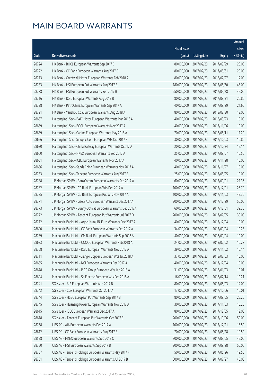|       |                                                                |              |                       |               | Amount     |
|-------|----------------------------------------------------------------|--------------|-----------------------|---------------|------------|
|       |                                                                | No. of issue |                       |               | raised     |
| Code  | Derivative warrants                                            | (units)      | <b>Listing date</b>   | <b>Expiry</b> | (HK\$mil.) |
| 28724 | HK Bank - BOCL European Warrants Sep 2017 C                    | 80,000,000   | 2017/02/23            | 2017/09/29    | 20.00      |
| 28722 | HK Bank - CC Bank European Warrants Aug 2017 D                 | 80,000,000   | 2017/02/23            | 2017/08/31    | 20.00      |
| 28713 | HK Bank - Greatwall Motor European Warrants Feb 2018 A         | 80,000,000   | 2017/02/23            | 2018/02/27    | 12.00      |
| 28733 | HK Bank - HSI European Put Warrants Aug 2017 B                 | 180,000,000  | 2017/02/23            | 2017/08/30    | 45.00      |
| 28738 | HK Bank - HSI European Put Warrants Sep 2017 B                 | 250,000,000  | 2017/02/23            | 2017/09/28    | 45.00      |
| 28716 | HK Bank - ICBC European Warrants Aug 2017 B                    | 80,000,000   | 2017/02/23            | 2017/08/31    | 20.80      |
| 28728 | HK Bank - PetroChina European Warrants Sep 2017 A              | 40,000,000   | 2017/02/23            | 2017/09/29    | 21.60      |
| 28721 | HK Bank - Yanzhou Coal European Warrants Aug 2018 A            | 80,000,000   | 2017/02/23            | 2018/08/30    | 12.00      |
| 28657 | Haitong Int'l Sec - BAIC Motor European Warrants Mar 2018 A    | 40,000,000   | 2017/02/23            | 2018/03/23    | 10.00      |
| 28659 | Haitong Int'l Sec - BOCL European Warrants Nov 2017 A          | 40,000,000   | 2017/02/23            | 2017/11/06    | 10.00      |
| 28639 | Haitong Int'l Sec - Car Inc European Warrants May 2018 A       | 70,000,000   | 2017/02/23            | 2018/05/11    | 11.20      |
| 28626 | Haitong Int'l Sec - Sinopec Corp European Wts Oct 2017 B       | 30,000,000   | 2017/02/23            | 2017/10/03    | 10.80      |
| 28630 | Haitong Int'l Sec - China Railway European Warrants Oct 17 A   | 20,000,000   | 2017/02/23            | 2017/10/24    | 12.14      |
| 28660 | Haitong Int'l Sec - HKEX European Warrants Sep 2017 A          | 25,000,000   | 2017/02/23            | 2017/09/07    | 10.50      |
| 28651 | Haitong Int'l Sec - ICBC European Warrants Nov 2017 A          | 40,000,000   | 2017/02/23            | 2017/11/28    | 10.00      |
| 28656 | Haitong Int'l Sec - Sands China European Warrants Nov 2017 A   | 40,000,000   | 2017/02/23            | 2017/11/27    | 10.00      |
| 28753 | Haitong Int'l Sec - Tencent European Warrants Aug 2017 B       | 25,000,000   | 2017/02/23            | 2017/08/25    | 10.00      |
| 28788 | J P Morgan SP BV - BankComm European Warrants Sep 2017 A       | 60,000,000   | 2017/02/23            | 2017/09/01    | 21.36      |
| 28782 | J P Morgan SP BV - CC Bank European Wts Dec 2017 A             | 100,000,000  | 2017/02/23            | 2017/12/01    | 25.70      |
| 28785 | J P Morgan SP BV - CC Bank European Put Wts Nov 2017 A         | 100,000,000  | 2017/02/23            | 2017/11/03    | 49.30      |
| 28771 | J P Morgan SP BV - Geely Auto European Warrants Dec 2017 A     | 200,000,000  | 2017/02/23            | 2017/12/29    | 50.00      |
| 28773 | J P Morgan SP BV - Sunny Optical European Warrants Dec 2017A   | 60,000,000   | 2017/02/23            | 2017/12/01    | 39.30      |
| 28772 | J P Morgan SP BV - Tencent European Put Warrants Jul 2017 D    | 200,000,000  | 2017/02/23            | 2017/07/05    | 30.00      |
| 28712 | Macquarie Bank Ltd. - Agricultural Bk Euro Warrants Dec 2017 A | 40,000,000   | 2017/02/23            | 2017/12/04    | 10.00      |
| 28690 | Macquarie Bank Ltd. - CC Bank European Warrants Sep 2017 A     | 34,000,000   | 2017/02/23            | 2017/09/04    | 10.23      |
| 28739 | Macquarie Bank Ltd. - CM Bank European Warrants Sep 2018 A     | 40,000,000   | 2017/02/23            | 2018/09/04    | 10.00      |
| 28683 | Macquarie Bank Ltd. - CNOOC European Warrants Feb 2018 A       |              | 24,000,000 2017/02/23 | 2018/02/02    | 10.27      |
| 28708 | Macquarie Bank Ltd. - ICBC European Warrants Nov 2017 A        | 39,000,000   | 2017/02/23            | 2017/11/02    | 10.14      |
| 28711 | Macquarie Bank Ltd. - Jiangxi Copper European Wts Jul 2018 A   | 37,000,000   | 2017/02/23            | 2018/07/03    | 10.06      |
| 28685 | Macquarie Bank Ltd. - NCI European Warrants Dec 2017 A         | 40,000,000   | 2017/02/23            | 2017/12/04    | 10.00      |
| 28678 | Macquarie Bank Ltd. - PICC Group European Wts Jan 2018 A       | 31,000,000   | 2017/02/23            | 2018/01/03    | 10.01      |
| 28694 | Macquarie Bank Ltd. - Sh Electric European Wts Feb 2018 A      | 16,000,000   | 2017/02/23            | 2018/02/14    | 10.21      |
| 28741 | SG Issuer - AIA European Warrants Aug 2017 B                   | 80,000,000   | 2017/02/23            | 2017/08/03    | 12.00      |
| 28742 | SG Issuer - CGS European Warrants Oct 2017 A                   | 13,000,000   | 2017/02/23            | 2017/10/06    | 10.01      |
| 28744 | SG Issuer - HSBC European Put Warrants Sep 2017 B              | 80,000,000   | 2017/02/23            | 2017/09/05    | 25.20      |
| 28745 | SG Issuer - Huaneng Power European Warrants Nov 2017 A         | 30,000,000   | 2017/02/23            | 2017/11/03    | 10.20      |
| 28615 | SG Issuer - ICBC European Warrants Dec 2017 A                  | 80,000,000   | 2017/02/23            | 2017/12/05    | 12.00      |
| 28618 | SG Issuer - Tencent European Put Warrants Oct 2017 E           | 200,000,000  | 2017/02/23            | 2017/10/06    | 50.00      |
| 28758 | UBS AG - AIA European Warrants Dec 2017 A                      | 100,000,000  | 2017/02/23            | 2017/12/21    | 15.50      |
| 28612 | UBS AG - CC Bank European Warrants Aug 2017 B                  | 70,000,000   | 2017/02/23            | 2017/08/28    | 10.50      |
| 28598 | UBS AG - HKEX European Warrants Sep 2017 C                     | 300,000,000  | 2017/02/23            | 2017/09/05    | 45.00      |
| 28750 | UBS AG - HSI European Warrants Sep 2017 B                      | 200,000,000  | 2017/02/23            | 2017/09/28    | 50.00      |
| 28757 | UBS AG - Tencent Holdings European Warrants May 2017 F         | 50,000,000   | 2017/02/23            | 2017/05/26    | 19.50      |
| 28751 | UBS AG - Tencent Holdings European Warrants Jul 2017 B         | 300,000,000  | 2017/02/23            | 2017/07/27    | 45.00      |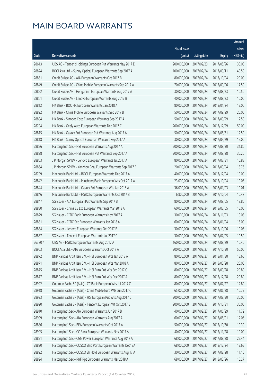|         |                                                              |                        |                     |               | Amount     |
|---------|--------------------------------------------------------------|------------------------|---------------------|---------------|------------|
|         |                                                              | No. of issue           |                     |               | raised     |
| Code    | <b>Derivative warrants</b>                                   | (units)                | <b>Listing date</b> | <b>Expiry</b> | (HK\$mil.) |
| 28613   | UBS AG - Tencent Holdings European Put Warrants May 2017 E   | 200,000,000            | 2017/02/23          | 2017/05/26    | 30.00      |
| 28824   | BOCI Asia Ltd. - Sunny Optical European Warrants Sep 2017 A  | 100,000,000            | 2017/02/24          | 2017/09/11    | 49.50      |
| 28851   | Credit Suisse AG - AIA European Warrants Oct 2017 B          | 80,000,000             | 2017/02/24          | 2017/10/04    | 20.00      |
| 28849   | Credit Suisse AG - China Mobile European Warrants Sep 2017 A | 70,000,000             | 2017/02/24          | 2017/09/06    | 17.50      |
| 28852   | Credit Suisse AG - Henganintl European Warrants Aug 2017 A   | 30,000,000             | 2017/02/24          | 2017/08/23    | 10.50      |
| 28861   | Credit Suisse AG - Lenovo European Warrants Aug 2017 B       | 40,000,000             | 2017/02/24          | 2017/08/23    | 10.00      |
| 28812   | HK Bank - BOC HK European Warrants Jan 2018 A                | 80,000,000             | 2017/02/24          | 2018/01/24    | 12.00      |
| 28822   | HK Bank - China Mobile European Warrants Sep 2017 B          | 50,000,000             | 2017/02/24          | 2017/09/29    | 20.00      |
| 28804   | HK Bank - Sinopec Corp European Warrants Sep 2017 A          | 50,000,000             | 2017/02/24          | 2017/09/29    | 12.50      |
| 28794   | HK Bank - Geely Auto European Warrants Dec 2017 C            | 200,000,000            | 2017/02/24          | 2017/12/29    | 50.00      |
| 28815   | HK Bank - Galaxy Ent European Put Warrants Aug 2017 A        | 50,000,000             | 2017/02/24          | 2017/08/31    | 12.50      |
| 28818   | HK Bank - Sunny Optical European Warrants Sep 2017 A         | 30,000,000             | 2017/02/24          | 2017/09/29    | 15.00      |
| 28826   | Haitong Int'l Sec - HSI European Warrants Aug 2017 A         | 200,000,000            | 2017/02/24          | 2017/08/30    | 31.80      |
| 28828   | Haitong Int'l Sec - HSI European Put Warrants Sep 2017 A     | 200,000,000            | 2017/02/24          | 2017/09/28    | 30.20      |
| 28863   | J P Morgan SP BV - Lenovo European Warrants Jul 2017 A       | 80,000,000             | 2017/02/24          | 2017/07/31    | 16.88      |
| 28864   | J P Morgan SP BV - Yanzhou Coal European Warrants Sep 2017 B | 20,000,000             | 2017/02/24          | 2017/09/04    | 13.76      |
| 28799   | Macquarie Bank Ltd. - BOCL European Warrants Dec 2017 A      | 40,000,000             | 2017/02/24          | 2017/12/04    | 10.00      |
| 28842   | Macquarie Bank Ltd. - Minsheng Bank European Wts Oct 2017 A  | 23,000,000             | 2017/02/24          | 2017/10/04    | 10.05      |
| 28844   | Macquarie Bank Ltd. - Galaxy Ent European Wts Jan 2018 A     | 36,000,000             | 2017/02/24          | 2018/01/03    | 10.01      |
| 28846   | Macquarie Bank Ltd. - HSBC European Warrants Oct 2017 B      | 6,800,000              | 2017/02/24          | 2017/10/04    | 10.47      |
| 28847   | SG Issuer - AIA European Put Warrants Sep 2017 B             | 80,000,000             | 2017/02/24          | 2017/09/05    | 18.80      |
| 28830   | SG Issuer - China EB Ltd European Warrants Mar 2018 A        | 60,000,000             | 2017/02/24          | 2018/03/05    | 15.00      |
| 28829   | SG Issuer - CITIC Bank European Warrants Nov 2017 A          | 30,000,000             | 2017/02/24          | 2017/11/03    | 10.05      |
| 28831   | SG Issuer - CITIC Sec European Warrants Jan 2018 A           | 60,000,000             | 2017/02/24          | 2018/01/04    | 15.00      |
| 28834   | SG Issuer - Lenovo European Warrants Oct 2017 B              | 30,000,000             | 2017/02/24          | 2017/10/06    | 10.05      |
| 28837   | SG Issuer - Tencent European Warrants Jul 2017 G             | 30,000,000             | 2017/02/24          | 2017/07/05    | 10.50      |
| 26330 # | UBS AG - HSBC European Warrants Aug 2017 A                   | 160,000,000 2017/02/24 |                     | 2017/08/29    | 10.40      |
| 28903   | BOCI Asia Ltd. - AIA European Warrants Oct 2017 A            | 200,000,000            | 2017/02/27          | 2017/10/30    | 50.00      |
| 28872   | BNP Paribas Arbit Issu B.V. - HSI European Wts Jan 2018 A    | 80,000,000             | 2017/02/27          | 2018/01/30    | 13.60      |
| 28871   | BNP Paribas Arbit Issu B.V. - HSI European Wts Mar 2018 A    | 80,000,000             | 2017/02/27          | 2018/03/28    | 20.00      |
| 28875   | BNP Paribas Arbit Issu B.V. - HSI Euro Put Wts Sep 2017 C    | 80,000,000             | 2017/02/27          | 2017/09/28    | 20.80      |
| 28877   | BNP Paribas Arbit Issu B.V. - HSI Euro Put Wts Dec 2017 A    | 80,000,000             | 2017/02/27          | 2017/12/28    | 20.80      |
| 28922   | Goldman Sachs SP (Asia) - CC Bank European Wts Jul 2017 C    | 80,000,000             | 2017/02/27          | 2017/07/27    | 12.80      |
| 28918   | Goldman Sachs SP (Asia) - China Mobile Euro Wts Jun 2017 C   | 65,000,000             | 2017/02/27          | 2017/06/28    | 10.79      |
| 28923   | Goldman Sachs SP (Asia) - HSI European Put Wts Aug 2017 C    | 200,000,000            | 2017/02/27          | 2017/08/30    | 30.00      |
| 28920   | Goldman Sachs SP (Asia) - Tencent European Wt Oct 2017 B     | 200,000,000            | 2017/02/27          | 2017/10/31    | 30.00      |
| 28910   | Haitong Int'l Sec - AIA European Warrants Jun 2017 B         | 40,000,000             | 2017/02/27          | 2017/06/29    | 11.72      |
| 28909   | Haitong Int'l Sec - AIA European Warrants Aug 2017 A         | 60,000,000             | 2017/02/27          | 2017/08/01    | 12.06      |
| 28886   | Haitong Int'l Sec - BEA European Warrants Oct 2017 A         | 50,000,000             | 2017/02/27          | 2017/10/30    | 10.30      |
| 28905   | Haitong Int'l Sec - CC Bank European Warrants Nov 2017 A     | 40,000,000             | 2017/02/27          | 2017/11/28    | 10.00      |
| 28891   | Haitong Int'l Sec - CGN Power European Warrants Aug 2017 A   | 68,000,000             | 2017/02/27          | 2017/08/28    | 22.44      |
| 28890   | Haitong Int'l Sec - COSCO Ship Port European Warrants Dec18A | 68,000,000             | 2017/02/27          | 2018/12/24    | 12.65      |
| 28892   | Haitong Int'l Sec - COSCO Sh Hold European Warrants Aug 17 A | 30,000,000             | 2017/02/27          | 2017/08/28    | 11.10      |
| 28894   | Haitong Int'l Sec - R&F Ppt European Warrants Mar 2018 A     | 68,000,000             | 2017/02/27          | 2018/03/26    | 10.27      |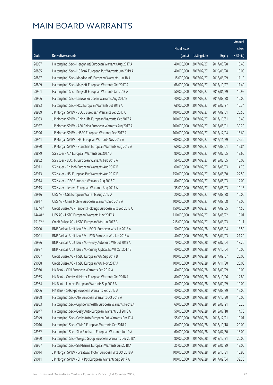|         |                                                              |              |                       |               | Amount     |
|---------|--------------------------------------------------------------|--------------|-----------------------|---------------|------------|
|         |                                                              | No. of issue |                       |               | raised     |
| Code    | Derivative warrants                                          | (units)      | <b>Listing date</b>   | <b>Expiry</b> | (HK\$mil.) |
| 28907   | Haitong Int'l Sec - Henganintl European Warrants Aug 2017 A  | 40,000,000   | 2017/02/27            | 2017/08/28    | 10.48      |
| 28885   | Haitong Int'l Sec - HS Bank European Put Warrants Jun 2019 A | 40,000,000   | 2017/02/27            | 2019/06/28    | 10.00      |
| 28887   | Haitong Int'l Sec - Kingdee Int'l European Warrants Jun 18 A | 15,000,000   | 2017/02/27            | 2018/06/29    | 11.10      |
| 28899   | Haitong Int'l Sec - Kingsoft European Warrants Oct 2017 A    | 68,000,000   | 2017/02/27            | 2017/10/27    | 11.49      |
| 28901   | Haitong Int'l Sec - Kingsoft European Warrants Jan 2018 A    | 50,000,000   | 2017/02/27            | 2018/01/29    | 10.95      |
| 28906   | Haitong Int'l Sec - Lenovo European Warrants Aug 2017 B      | 40,000,000   | 2017/02/27            | 2017/08/28    | 10.00      |
| 28893   | Haitong Int'l Sec - PICC European Warrants Jul 2018 A        | 68,000,000   | 2017/02/27            | 2018/07/27    | 10.34      |
| 28939   | J P Morgan SP BV - BOCL European Warrants Sep 2017 C         | 100,000,000  | 2017/02/27            | 2017/09/01    | 25.50      |
| 28933   | J P Morgan SP BV - China Life European Warrants Oct 2017 A   | 100,000,000  | 2017/02/27            | 2017/10/31    | 15.40      |
| 28937   | J P Morgan SP BV - A50 China European Warrants Aug 2017 A    | 100,000,000  | 2017/02/27            | 2017/08/01    | 30.20      |
| 28926   | J P Morgan SP BV - HSBC European Warrants Dec 2017 A         | 100,000,000  | 2017/02/27            | 2017/12/04    | 15.60      |
| 28941   | J P Morgan SP BV - HSI European Warrants Nov 2017 A          | 300,000,000  | 2017/02/27            | 2017/11/29    | 75.30      |
| 28930   | J P Morgan SP BV - Stanchart European Warrants Aug 2017 A    | 60,000,000   | 2017/02/27            | 2017/08/01    | 12.84      |
| 28879   | SG Issuer - AIA European Warrants Jul 2017 D                 | 80,000,000   | 2017/02/27            | 2017/07/05    | 13.60      |
| 28882   | SG Issuer - BOCHK European Warrants Feb 2018 A               | 56,000,000   | 2017/02/27            | 2018/02/05    | 10.08      |
| 28911   | SG Issuer - Ch Mob European Warrants Aug 2017 B              | 60,000,000   | 2017/02/27            | 2017/08/03    | 14.70      |
| 28913   | SG Issuer - HSI European Put Warrants Aug 2017 E             | 150,000,000  | 2017/02/27            | 2017/08/30    | 22.50      |
| 28914   | SG Issuer - ICBC European Warrants Aug 2017 C                | 80,000,000   | 2017/02/27            | 2017/08/03    | 12.00      |
| 28915   | SG Issuer - Lenovo European Warrants Aug 2017 A              | 35,000,000   | 2017/02/27            | 2017/08/03    | 10.15      |
| 28916   | UBS AG - CGS European Warrants Aug 2017 A                    | 20,000,000   | 2017/02/27            | 2017/08/28    | 10.00      |
| 28917   | UBS AG - China Mobile European Warrants Sep 2017 A           | 100,000,000  | 2017/02/27            | 2017/09/08    | 18.00      |
| 13344 # | Credit Suisse AG - Tencent Holdings European Wts Sep 2017 C  | 150,000,000  | 2017/02/27            | 2017/09/05    | 14.55      |
| 14448 # | UBS AG - HSBC European Warrants May 2017 A                   | 110,000,000  | 2017/02/27            | 2017/05/22    | 10.01      |
| 15182 # | Credit Suisse AG - HSBC European Wts Jun 2017 B              | 215,000,000  | 2017/02/27            | 2017/06/23    | 10.11      |
| 29000   | BNP Paribas Arbit Issu B.V. - BOCL European Wts Jun 2018 A   | 50,000,000   | 2017/02/28            | 2018/06/04    | 13.50      |
| 29001   | BNP Paribas Arbit Issu B.V. - BYD European Wts Jan 2018 A    | 40,000,000   | 2017/02/28            | 2018/01/03    | 21.20      |
| 28996   | BNP Paribas Arbit Issu B.V. - Geely Auto Euro Wts Jul 2018 A |              | 70,000,000 2017/02/28 | 2018/07/04    | 18.20      |
| 28997   | BNP Paribas Arbit Issu B.V. - Sunny Optical Eu Wt Oct 2017 B | 40,000,000   | 2017/02/28            | 2017/10/04    | 16.00      |
| 29007   | Credit Suisse AG - HSBC European Wts Sep 2017 B              | 100,000,000  | 2017/02/28            | 2017/09/07    | 25.00      |
| 29008   | Credit Suisse AG - HSBC European Wts Nov 2017 A              | 100,000,000  | 2017/02/28            | 2017/11/30    | 25.00      |
| 28960   | HK Bank - CKH European Warrants Sep 2017 A                   | 40,000,000   | 2017/02/28            | 2017/09/29    | 10.00      |
| 28965   | HK Bank - Greatwall Motor European Warrants Oct 2018 A       | 80,000,000   | 2017/02/28            | 2018/10/26    | 12.80      |
| 28964   | HK Bank - Lenovo European Warrants Sep 2017 B                | 40,000,000   | 2017/02/28            | 2017/09/29    | 10.00      |
| 29006   | HK Bank - SHK Ppt European Warrants Sep 2017 A               | 40,000,000   | 2017/02/28            | 2017/09/29    | 12.00      |
| 28958   | Haitong Int'l Sec - AIA European Warrants Oct 2017 A         | 40,000,000   | 2017/02/28            | 2017/10/30    | 10.00      |
| 28953   | Haitong Int'l Sec - Crphoenixhealth European Warrants Feb18A | 60,000,000   | 2017/02/28            | 2018/02/21    | 10.20      |
| 28947   | Haitong Int'l Sec - Geely Auto European Warrants Jul 2018 A  | 50,000,000   | 2017/02/28            | 2018/07/18    | 14.70      |
| 28949   | Haitong Int'l Sec - Geely Auto European Put Warrants Dec17 A | 55,000,000   | 2017/02/28            | 2017/12/21    | 10.01      |
| 29010   | Haitong Int'l Sec - GWMC European Warrants Oct 2018 A        | 80,000,000   | 2017/02/28            | 2018/10/18    | 20.00      |
| 28952   | Haitong Int'l Sec - Sino Biopharm European Warrants Jul 19 A | 60,000,000   | 2017/02/28            | 2019/07/30    | 15.00      |
| 28950   | Haitong Int'l Sec - Weigao Group European Warrants Dec 2018A | 80,000,000   | 2017/02/28            | 2018/12/31    | 20.00      |
| 28957   | Haitong Int'l Sec - Sh Pharma European Warrants Jun 2018 A   | 25,000,000   | 2017/02/28            | 2018/06/29    | 12.00      |
| 29014   | J P Morgan SP BV - Greatwall Motor European Wts Oct 2018 A   | 100,000,000  | 2017/02/28            | 2018/10/31    | 16.90      |
| 29011   | J P Morgan SP BV - SHK Ppt European Warrants Sep 2017 A      | 100,000,000  | 2017/02/28            | 2017/09/04    | 32.30      |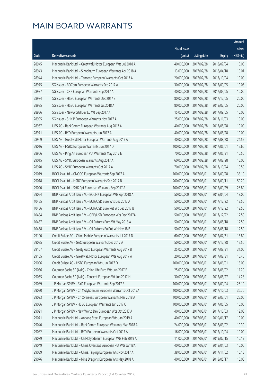|       |                                                               |              |                       |               | Amount     |
|-------|---------------------------------------------------------------|--------------|-----------------------|---------------|------------|
|       |                                                               | No. of issue |                       |               | raised     |
| Code  | Derivative warrants                                           | (units)      | <b>Listing date</b>   | <b>Expiry</b> | (HK\$mil.) |
| 28945 | Macquarie Bank Ltd. - Greatwall Motor European Wts Jul 2018 A | 40,000,000   | 2017/02/28            | 2018/07/04    | 10.00      |
| 28943 | Macquarie Bank Ltd. - Sinopharm European Warrants Apr 2018 A  | 13,000,000   | 2017/02/28            | 2018/04/18    | 10.01      |
| 28944 | Macquarie Bank Ltd. - Tencent European Warrants Oct 2017 A    | 20,000,000   | 2017/02/28            | 2017/10/04    | 10.00      |
| 28975 | SG Issuer - BOCom European Warrants Sep 2017 A                | 30,000,000   | 2017/02/28            | 2017/09/05    | 10.05      |
| 28977 | SG Issuer - CKP European Warrants Sep 2017 A                  | 40,000,000   | 2017/02/28            | 2017/09/05    | 10.00      |
| 28984 | SG Issuer - HSBC European Warrants Dec 2017 B                 | 80,000,000   | 2017/02/28            | 2017/12/05    | 20.00      |
| 28985 | SG Issuer - HSBC European Warrants Jul 2018 A                 | 80,000,000   | 2017/02/28            | 2018/07/05    | 20.00      |
| 28986 | SG Issuer - NewWorld Dev Eu Wt Sep 2017 A                     | 15,000,000   | 2017/02/28            | 2017/09/05    | 10.05      |
| 28995 | SG Issuer - SHK P European Warrants Nov 2017 A                | 25,000,000   | 2017/02/28            | 2017/11/03    | 10.00      |
| 28967 | UBS AG - BankComm European Warrants Aug 2017 A                | 40,000,000   | 2017/02/28            | 2017/08/28    | 10.00      |
| 28971 | UBS AG - BYD European Warrants Jun 2017 A                     | 40,000,000   | 2017/02/28            | 2017/06/28    | 10.00      |
| 28969 | UBS AG - Greatwall Motor European Warrants Aug 2017 A         | 40,000,000   | 2017/02/28            | 2017/08/28    | 24.52      |
| 29016 | UBS AG - HSBC European Warrants Jun 2017 D                    | 100,000,000  | 2017/02/28            | 2017/06/01    | 15.60      |
| 28966 | UBS AG - Ping An European Put Warrants May 2017 E             | 70,000,000   | 2017/02/28            | 2017/05/31    | 10.50      |
| 29015 | UBS AG - SMIC European Warrants Aug 2017 A                    | 60,000,000   | 2017/02/28            | 2017/08/28    | 15.00      |
| 28970 | UBS AG - SMIC European Warrants Oct 2017 A                    | 70,000,000   | 2017/02/28            | 2017/10/24    | 10.50      |
| 29019 | BOCI Asia Ltd. - CNOOC European Warrants Sep 2017 A           | 100,000,000  | 2017/03/01            | 2017/09/28    | 33.10      |
| 29018 | BOCI Asia Ltd. - HSBC European Warrants Sep 2017 B            | 200,000,000  | 2017/03/01            | 2017/09/11    | 50.20      |
| 29020 | BOCI Asia Ltd. - SHK Ppt European Warrants Sep 2017 A         | 100,000,000  | 2017/03/01            | 2017/09/29    | 28.80      |
| 29054 | BNP Paribas Arbit Issu B.V. - BOCHK European Wts Apr 2018 A   | 50,000,000   | 2017/03/01            | 2018/04/04    | 13.00      |
| 10455 | BNP Paribas Arbit Issu B.V. - EUR/USD Euro Wts Dec 2017 A     | 50,000,000   | 2017/03/01            | 2017/12/22    | 12.50      |
| 10456 | BNP Paribas Arbit Issu B.V. - EUR/USD Euro Put Wt Dec 2017 B  | 50,000,000   | 2017/03/01            | 2017/12/22    | 12.50      |
| 10454 | BNP Paribas Arbit Issu B.V. - GBP/USD European Wts Dec 2017A  | 50,000,000   | 2017/03/01            | 2017/12/22    | 12.50      |
| 10457 | BNP Paribas Arbit Issu B.V. - Oil Futures Euro Wt May 2018 A  | 50,000,000   | 2017/03/01            | 2018/05/18    | 12.50      |
| 10458 | BNP Paribas Arbit Issu B.V. - Oil Futures Eu Put Wt May 18 B  | 50,000,000   | 2017/03/01            | 2018/05/18    | 12.50      |
| 29100 | Credit Suisse AG - China Mobile European Warrants Jul 2017 D  | 60,000,000   | 2017/03/01            | 2017/07/31    | 13.80      |
| 29095 | Credit Suisse AG - GAC European Warrants Dec 2017 A           |              | 50,000,000 2017/03/01 | 2017/12/28    | 12.50      |
| 29107 | Credit Suisse AG - Geely Auto European Warrants Aug 2017 B    | 25,000,000   | 2017/03/01            | 2017/08/31    | 31.00      |
| 29105 | Credit Suisse AG - Greatwall Motor European Wts Aug 2017 A    | 20,000,000   | 2017/03/01            | 2017/08/31    | 15.40      |
| 29096 | Credit Suisse AG - HSBC European Wts Jun 2017 D               | 100,000,000  | 2017/03/01            | 2017/06/01    | 15.00      |
| 29056 | Goldman Sachs SP (Asia) - China Life Euro Wts Jun 2017 E      | 25,000,000   | 2017/03/01            | 2017/06/02    | 11.20      |
| 29055 | Goldman Sachs SP (Asia) - Tencent European Wt Jun 2017 H      | 30,000,000   | 2017/03/01            | 2017/06/27    | 14.28      |
| 29089 | J P Morgan SP BV - BYD European Warrants Sep 2017 B           | 100,000,000  | 2017/03/01            | 2017/09/04    | 25.10      |
| 29090 | J P Morgan SP BV - Ch Molybdenum European Warrants Oct 2017A  | 100,000,000  | 2017/03/01            | 2017/10/03    | 36.70      |
| 29093 | J P Morgan SP BV - Ch Overseas European Warrants Mar 2018 A   | 100,000,000  | 2017/03/01            | 2018/03/01    | 25.00      |
| 29086 | J P Morgan SP BV - HSBC European Warrants Jun 2017 C          | 100,000,000  | 2017/03/01            | 2017/06/05    | 16.00      |
| 29091 | J P Morgan SP BV - New World Dev European Wts Oct 2017 A      | 40,000,000   | 2017/03/01            | 2017/10/03    | 12.08      |
| 29071 | Macquarie Bank Ltd. - Angang Steel European Wts Jan 2019 A    | 40,000,000   | 2017/03/01            | 2019/01/17    | 10.00      |
| 29040 | Macquarie Bank Ltd. - BankComm European Warrants Mar 2018 A   | 24,000,000   | 2017/03/01            | 2018/03/02    | 10.30      |
| 29082 | Macquarie Bank Ltd. - BYD European Warrants Oct 2017 A        | 16,000,000   | 2017/03/01            | 2017/10/04    | 10.00      |
| 29079 | Macquarie Bank Ltd. - Ch Molybdenum European Wts Feb 2019 A   | 11,000,000   | 2017/03/01            | 2019/02/15    | 10.19      |
| 29049 | Macquarie Bank Ltd. - China Overseas European Put Wts Jan18A  | 40,000,000   | 2017/03/01            | 2018/01/03    | 10.00      |
| 29039 | Macquarie Bank Ltd. - China Taiping European Wts Nov 2017 A   | 38,000,000   | 2017/03/01            | 2017/11/02    | 10.15      |
| 29076 | Macquarie Bank Ltd. - Nine Dragons European Wts May 2018 A    | 40,000,000   | 2017/03/01            | 2018/05/17    | 10.00      |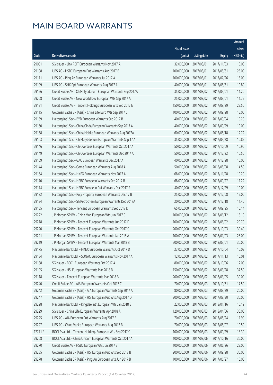|          |                                                              |                        |                     |               | Amount     |
|----------|--------------------------------------------------------------|------------------------|---------------------|---------------|------------|
|          |                                                              | No. of issue           |                     |               | raised     |
| Code     | Derivative warrants                                          | (units)                | <b>Listing date</b> | <b>Expiry</b> | (HK\$mil.) |
| 29051    | SG Issuer - Link REIT European Warrants Nov 2017 A           | 32,000,000             | 2017/03/01          | 2017/11/03    | 10.08      |
| 29108    | UBS AG - HSBC European Put Warrants Aug 2017 B               | 100,000,000            | 2017/03/01          | 2017/08/31    | 26.00      |
| 29111    | UBS AG - Ping An European Warrants Jul 2017 A                | 100,000,000            | 2017/03/01          | 2017/07/26    | 15.00      |
| 29109    | UBS AG - SHK Ppt European Warrants Aug 2017 A                | 40,000,000             | 2017/03/01          | 2017/08/31    | 10.80      |
| 29196    | Credit Suisse AG - Ch Molybdenum European Warrants Sep 2017A | 35,000,000             | 2017/03/02          | 2017/09/01    | 11.20      |
| 29208    | Credit Suisse AG - New World Dev European Wts Sep 2017 A     | 25,000,000             | 2017/03/02          | 2017/09/01    | 11.75      |
| 29131    | Credit Suisse AG - Tencent Holdings European Wts Sep 2017 E  | 150,000,000            | 2017/03/02          | 2017/09/29    | 22.50      |
| 29115    | Goldman Sachs SP (Asia) - China Life Euro Wts Sep 2017 C     | 100,000,000            | 2017/03/02          | 2017/09/28    | 15.00      |
| 29159    | Haitong Int'l Sec - BYD European Warrants Sep 2017 B         | 40,000,000             | 2017/03/02          | 2017/09/04    | 10.20      |
| 29160    | Haitong Int'l Sec - China Cinda European Warrants Sep 2017 A | 40,000,000             | 2017/03/02          | 2017/09/29    | 10.00      |
| 29158    | Haitong Int'l Sec - China Mobile European Warrants Aug 2017A | 60,000,000             | 2017/03/02          | 2017/08/18    | 12.72      |
| 29163    | Haitong Int'l Sec - Ch Molybdenum European Warrants Sep 17 A | 35,000,000             | 2017/03/02          | 2017/09/28    | 10.85      |
| 29146    | Haitong Int'l Sec - Ch Overseas European Warrants Oct 2017 A | 50,000,000             | 2017/03/02          | 2017/10/09    | 10.90      |
| 29149    | Haitong Int'l Sec - Ch Overseas European Warrants Dec 2017 A | 50,000,000             | 2017/03/02          | 2017/12/22    | 10.50      |
| 29169    | Haitong Int'l Sec - GAC European Warrants Dec 2017 A         | 40,000,000             | 2017/03/02          | 2017/12/28    | 10.00      |
| 29144    | Haitong Int'l Sec - Gome European Warrants Aug 2018 A        | 50,000,000             | 2017/03/02          | 2018/08/08    | 14.50      |
| 29164    | Haitong Int'l Sec - HKEX European Warrants Nov 2017 A        | 68,000,000             | 2017/03/02          | 2017/11/28    | 10.20      |
| 29170    | Haitong Int'l Sec - HSBC European Warrants Sep 2017 B        | 68,000,000             | 2017/03/02          | 2017/09/27    | 11.22      |
| 29174    | Haitong Int'l Sec - HSBC European Put Warrants Dec 2017 A    | 40,000,000             | 2017/03/02          | 2017/12/29    | 10.00      |
| 29132    | Haitong Int'l Sec - Poly Property European Warrants Dec 17 B | 25,000,000             | 2017/03/02          | 2017/12/08    | 12.00      |
| 29134    | Haitong Int'l Sec - Sh Petrochem European Warrants Dec 2017A | 20,000,000             | 2017/03/02          | 2017/12/18    | 11.40      |
| 29155    | Haitong Int'l Sec - Tencent European Warrants Sep 2017 D     | 65,000,000             | 2017/03/02          | 2017/09/25    | 10.14      |
| 29222    | J P Morgan SP BV - China Mob European Wts Jun 2017 C         | 100,000,000            | 2017/03/02          | 2017/06/12    | 15.10      |
| 29218    | J P Morgan SP BV - Tencent European Warrants Jun 2017 F      | 100,000,000            | 2017/03/02          | 2017/06/02    | 20.70      |
| 29220    | J P Morgan SP BV - Tencent European Warrants Oct 2017 C      | 200,000,000            | 2017/03/02          | 2017/10/03    | 30.40      |
| 29221    | J P Morgan SP BV - Tencent European Warrants Jan 2018 A      | 100,000,000            | 2017/03/02          | 2018/01/03    | 25.00      |
| 29219    | J P Morgan SP BV - Tencent European Warrants Mar 2018 B      | 200,000,000 2017/03/02 |                     | 2018/03/01    | 30.00      |
| 29175    | Macquarie Bank Ltd. - HKEX European Warrants Oct 2017 D      | 23,000,000             | 2017/03/02          | 2017/10/04    | 10.03      |
| 29184    | Macquarie Bank Ltd. - SUNAC European Warrants Nov 2017 A     | 12,000,000             | 2017/03/02          | 2017/11/13    | 10.01      |
| 29188    | SG Issuer - BOCL European Warrants Oct 2017 A                | 80,000,000             | 2017/03/02          | 2017/10/06    | 12.00      |
| 29195    | SG Issuer - HSI European Warrants Mar 2018 B                 | 150,000,000            | 2017/03/02          | 2018/03/28    | 37.50      |
| 29118    | SG Issuer - Tencent European Warrants Mar 2018 B             | 200,000,000            | 2017/03/02          | 2018/03/05    | 30.00      |
| 29240    | Credit Suisse AG - AIA European Warrants Oct 2017 C          | 70,000,000             | 2017/03/03          | 2017/10/31    | 17.50      |
| 29242    | Goldman Sachs SP (Asia) - AIA European Warrants Sep 2017 A   | 80,000,000             | 2017/03/03          | 2017/09/29    | 20.00      |
| 29247    | Goldman Sachs SP (Asia) - HSI European Put Wts Aug 2017 D    | 200,000,000            | 2017/03/03          | 2017/08/30    | 30.00      |
| 29228    | Macquarie Bank Ltd. - Kingdee Int'l European Wts Jan 2018 B  | 22,000,000             | 2017/03/03          | 2018/01/16    | 10.12      |
| 29229    | SG Issuer - China Life European Warrants Apr 2018 A          | 120,000,000            | 2017/03/03          | 2018/04/06    | 30.00      |
| 29225    | UBS AG - AIA European Put Warrants Aug 2017 B                | 70,000,000             | 2017/03/03          | 2017/08/24    | 11.90      |
| 29227    | UBS AG - China Vanke European Warrants Aug 2017 B            | 70,000,000             | 2017/03/03          | 2017/08/07    | 10.50      |
| $12771*$ | BOCI Asia Ltd. - Tencent Holdings European Wts Sep 2017 C    | 100,000,000            | 2017/03/03          | 2017/09/29    | 13.30      |
| 29268    | BOCI Asia Ltd. - China Unicom European Warrants Oct 2017 A   | 100,000,000            | 2017/03/06          | 2017/10/16    | 36.00      |
| 29270    | Credit Suisse AG - HSBC European Wts Jun 2017 E              | 100,000,000            | 2017/03/06          | 2017/06/26    | 22.00      |
| 29285    | Goldman Sachs SP (Asia) - HSI European Put Wts Sep 2017 B    | 200,000,000            | 2017/03/06          | 2017/09/28    | 30.00      |
| 29278    | Goldman Sachs SP (Asia) - Ping An European Wts Jun 2017 B    | 100,000,000            | 2017/03/06          | 2017/06/27    | 15.00      |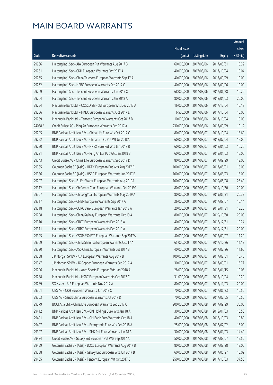|         |                                                              |              |                       |               | Amount     |
|---------|--------------------------------------------------------------|--------------|-----------------------|---------------|------------|
|         |                                                              | No. of issue |                       |               | raised     |
| Code    | <b>Derivative warrants</b>                                   | (units)      | <b>Listing date</b>   | <b>Expiry</b> | (HK\$mil.) |
| 29266   | Haitong Int'l Sec - AIA European Put Warrants Aug 2017 B     | 60,000,000   | 2017/03/06            | 2017/08/31    | 10.32      |
| 29261   | Haitong Int'l Sec - CKH European Warrants Oct 2017 A         | 40,000,000   | 2017/03/06            | 2017/10/04    | 10.04      |
| 29265   | Haitong Int'l Sec - China Telecom European Warrants Sep 17 A | 40,000,000   | 2017/03/06            | 2017/09/29    | 10.00      |
| 29262   | Haitong Int'l Sec - HSBC European Warrants Sep 2017 C        | 40,000,000   | 2017/03/06            | 2017/09/06    | 10.00      |
| 29269   | Haitong Int'l Sec - Tencent European Warrants Jun 2017 C     | 68,000,000   | 2017/03/06            | 2017/06/28    | 10.20      |
| 29264   | Haitong Int'l Sec - Tencent European Warrants Jan 2018 A     | 80,000,000   | 2017/03/06            | 2018/01/03    | 20.00      |
| 29254   | Macquarie Bank Ltd. - COSCO Sh Hold European Wts Dec 2017 A  | 16,000,000   | 2017/03/06            | 2017/12/04    | 10.18      |
| 29256   | Macquarie Bank Ltd. - HKEX European Warrants Oct 2017 E      | 6,500,000    | 2017/03/06            | 2017/10/04    | 10.00      |
| 29259   | Macquarie Bank Ltd. - Tencent European Warrants Oct 2017 B   | 10,000,000   | 2017/03/06            | 2017/10/04    | 10.00      |
| 24058 # | Credit Suisse AG - Ping An European Warrants Sep 2017 A      | 230,000,000  | 2017/03/06            | 2017/09/29    | 10.12      |
| 29295   | BNP Paribas Arbit Issu B.V. - China Life Euro Wts Oct 2017 C | 80,000,000   | 2017/03/07            | 2017/10/04    | 13.60      |
| 29292   | BNP Paribas Arbit Issu B.V. - China Life Eu Put Wt Jul 2018A | 60,000,000   | 2017/03/07            | 2018/07/04    | 15.00      |
| 29290   | BNP Paribas Arbit Issu B.V. - HKEX Euro Put Wts Jan 2018 B   | 60,000,000   | 2017/03/07            | 2018/01/03    | 10.20      |
| 29291   | BNP Paribas Arbit Issu B.V. - Ping An Eur Put Wts Jan 2018 B | 60,000,000   | 2017/03/07            | 2018/01/03    | 15.00      |
| 29343   | Credit Suisse AG - China Life European Warrants Sep 2017 D   | 80,000,000   | 2017/03/07            | 2017/09/29    | 12.00      |
| 29335   | Goldman Sachs SP (Asia) - HKEX European Put Wts Aug 2017 B   | 100,000,000  | 2017/03/07            | 2017/08/01    | 15.00      |
| 29336   | Goldman Sachs SP (Asia) - HSBC European Warrants Jun 2017 E  | 100,000,000  | 2017/03/07            | 2017/06/23    | 15.00      |
| 29297   | Haitong Int'l Sec - BJ Ent Water European Warrants Aug 2019A | 100,000,000  | 2017/03/07            | 2019/08/08    | 25.40      |
| 29312   | Haitong Int'l Sec - Ch Comm Cons European Warrants Oct 2019A | 80,000,000   | 2017/03/07            | 2019/10/30    | 20.00      |
| 29307   | Haitong Int'l Sec - Ch LongYuan European Warrants May 2019 A | 80,000,000   | 2017/03/07            | 2019/05/31    | 20.32      |
| 29317   | Haitong Int'l Sec - CNBM European Warrants Sep 2017 A        | 26,000,000   | 2017/03/07            | 2017/09/07    | 10.14      |
| 29318   | Haitong Int'l Sec - CQRC Bank European Warrants Jan 2018 A   | 20,000,000   | 2017/03/07            | 2018/01/31    | 13.20      |
| 29298   | Haitong Int'l Sec - China Railway European Warrants Oct 19 A | 80,000,000   | 2017/03/07            | 2019/10/30    | 20.00      |
| 29310   | Haitong Int'l Sec - CRCC European Warrants Dec 2018 A        | 40,000,000   | 2017/03/07            | 2018/12/31    | 10.24      |
| 29311   | Haitong Int'l Sec - CRRC European Warrants Dec 2019 A        | 80,000,000   | 2017/03/07            | 2019/12/31    | 20.00      |
| 29325   | Haitong Int'l Sec - CSOP A50 ETF European Warrants Sep 2017A | 40,000,000   | 2017/03/07            | 2017/09/07    | 11.20      |
| 29309   | Haitong Int'l Sec - China Shenhua European Warrants Oct 17 A |              | 65,000,000 2017/03/07 | 2017/10/26    | 11.12      |
| 29320   | Haitong Int'l Sec - A50 China European Warrants Jul 2017 B   | 40,000,000   | 2017/03/07            | 2017/07/26    | 11.60      |
| 29358   | J P Morgan SP BV - AIA European Warrants Aug 2017 B          | 100,000,000  | 2017/03/07            | 2017/08/01    | 15.40      |
| 29347   | J P Morgan SP BV - JX Copper European Warrants Sep 2017 A    | 30,000,000   | 2017/03/07            | 2017/09/01    | 16.77      |
| 29296   | Macquarie Bank Ltd. - Anta Sports European Wts Jan 2018 A    | 28,000,000   | 2017/03/07            | 2018/01/15    | 10.05      |
| 29288   | Macquarie Bank Ltd. - HSBC European Warrants Oct 2017 C      | 31,000,000   | 2017/03/07            | 2017/10/04    | 10.29      |
| 29289   | SG Issuer - AIA European Warrants Nov 2017 A                 | 80,000,000   | 2017/03/07            | 2017/11/03    | 20.00      |
| 29361   | UBS AG - CKH European Warrants Jun 2017 C                    | 70,000,000   | 2017/03/07            | 2017/06/23    | 10.50      |
| 29363   | UBS AG - Sands China European Warrants Jul 2017 D            | 70,000,000   | 2017/03/07            | 2017/07/05    | 10.50      |
| 29379   | BOCI Asia Ltd. - China Life European Warrants Sep 2017 C     | 200,000,000  | 2017/03/08            | 2017/09/29    | 30.00      |
| 29412   | BNP Paribas Arbit Issu B.V. - CKI Holdings Euro Wts Jan 18 A | 30,000,000   | 2017/03/08            | 2018/01/03    | 10.50      |
| 29401   | BNP Paribas Arbit Issu B.V. - CM Bank Euro Warrants Oct 18 A | 40,000,000   | 2017/03/08            | 2018/10/03    | 10.80      |
| 29407   | BNP Paribas Arbit Issu B.V. - Evergrande Euro Wts Feb 2018 A | 25,000,000   | 2017/03/08            | 2018/02/02    | 15.00      |
| 29397   | BNP Paribas Arbit Issu B.V. - SHK Ppt Euro Warrants Jan 18 A | 30,000,000   | 2017/03/08            | 2018/01/03    | 14.40      |
| 29434   | Credit Suisse AG - Galaxy Ent European Put Wts Sep 2017 A    | 50,000,000   | 2017/03/08            | 2017/09/07    | 12.50      |
| 29459   | Goldman Sachs SP (Asia) - BOCL European Warrants Aug 2017 B  | 80,000,000   | 2017/03/08            | 2017/08/28    | 12.00      |
| 29388   | Goldman Sachs SP (Asia) - Galaxy Ent European Wts Jun 2017 B | 60,000,000   | 2017/03/08            | 2017/06/27    | 10.02      |
| 29435   | Goldman Sachs SP (Asia) - Tencent European Wt Oct 2017 C     | 250,000,000  | 2017/03/08            | 2017/10/03    | 37.50      |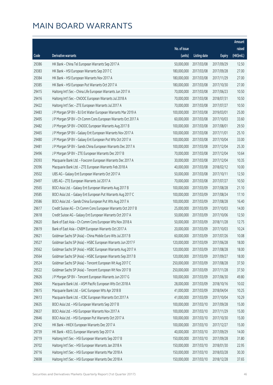|       |                                                              |                        |                     |               | Amount     |
|-------|--------------------------------------------------------------|------------------------|---------------------|---------------|------------|
|       |                                                              | No. of issue           |                     |               | raised     |
| Code  | Derivative warrants                                          | (units)                | <b>Listing date</b> | <b>Expiry</b> | (HK\$mil.) |
| 29386 | HK Bank - China Tel European Warrants Sep 2017 A             | 50,000,000             | 2017/03/08          | 2017/09/29    | 12.50      |
| 29383 | HK Bank - HSI European Warrants Sep 2017 C                   | 180,000,000            | 2017/03/08          | 2017/09/28    | 27.00      |
| 29384 | HK Bank - HSI European Warrants Nov 2017 A                   | 180,000,000            | 2017/03/08          | 2017/11/29    | 27.00      |
| 29385 | HK Bank - HSI European Put Warrants Oct 2017 A               | 180,000,000            | 2017/03/08          | 2017/10/30    | 27.00      |
| 29415 | Haitong Int'l Sec - China Life European Warrants Jun 2017 A  | 70,000,000             | 2017/03/08          | 2017/06/23    | 10.50      |
| 29416 | Haitong Int'l Sec - CNOOC European Warrants Jul 2018 A       | 70,000,000             | 2017/03/08          | 2018/07/31    | 10.50      |
| 29422 | Haitong Int'l Sec - ZTE European Warrants Jul 2017 A         | 70,000,000             | 2017/03/08          | 2017/07/27    | 10.50      |
| 29483 | J P Morgan SP BV - BJ Ent Water European Warrants Mar 2019 A | 100,000,000            | 2017/03/08          | 2019/03/01    | 25.00      |
| 29495 | J P Morgan SP BV - Ch Comm Cons European Warrants Oct 2017 A | 60,000,000             | 2017/03/08          | 2017/10/03    | 33.60      |
| 29482 | J P Morgan SP BV - CNOOC European Warrants Aug 2017 B        | 100,000,000            | 2017/03/08          | 2017/08/01    | 29.50      |
| 29465 | J P Morgan SP BV - Galaxy Ent European Warrants Nov 2017 A   | 100,000,000            | 2017/03/08          | 2017/11/01    | 25.10      |
| 29480 | J P Morgan SP BV - Galaxy Ent European Put Wts Oct 2017 A    | 100,000,000            | 2017/03/08          | 2017/10/04    | 33.00      |
| 29481 | J P Morgan SP BV - Sands China European Warrants Dec 2017 A  | 100,000,000            | 2017/03/08          | 2017/12/04    | 25.30      |
| 29496 | J P Morgan SP BV - ZTE European Warrants Dec 2017 B          | 70,000,000             | 2017/03/08          | 2017/12/04    | 10.64      |
| 29393 | Macquarie Bank Ltd. - Foxconn European Warrants Dec 2017 A   | 30,000,000             | 2017/03/08          | 2017/12/04    | 10.35      |
| 29396 | Macquarie Bank Ltd. - ZTE European Warrants Feb 2018 A       | 40,000,000             | 2017/03/08          | 2018/02/12    | 10.00      |
| 29502 | UBS AG - Galaxy Ent European Warrants Oct 2017 A             | 50,000,000             | 2017/03/08          | 2017/10/11    | 12.50      |
| 29497 | UBS AG - ZTE European Warrants Jul 2017 A                    | 70,000,000             | 2017/03/08          | 2017/07/27    | 10.50      |
| 29565 | BOCI Asia Ltd. - Galaxy Ent European Warrants Aug 2017 B     | 100,000,000            | 2017/03/09          | 2017/08/28    | 21.10      |
| 29585 | BOCI Asia Ltd. - Galaxy Ent European Put Warrants Aug 2017 C | 100,000,000            | 2017/03/09          | 2017/08/24    | 17.10      |
| 29586 | BOCI Asia Ltd. - Sands China European Put Wts Aug 2017 A     | 100,000,000            | 2017/03/09          | 2017/08/28    | 16.40      |
| 29617 | Credit Suisse AG - Ch Comm Cons European Warrants Oct 2017 B | 25,000,000             | 2017/03/09          | 2017/10/03    | 14.00      |
| 29618 | Credit Suisse AG - Galaxy Ent European Warrants Oct 2017 A   | 50,000,000             | 2017/03/09          | 2017/10/06    | 12.50      |
| 29620 | Bank of East Asia - Ch Comm Cons European Wts Nov 2018 A     | 50,000,000             | 2017/03/09          | 2018/11/28    | 12.75      |
| 29619 | Bank of East Asia - CNBM European Warrants Oct 2017 A        | 20,000,000             | 2017/03/09          | 2017/10/03    | 10.24      |
| 29621 | Goldman Sachs SP (Asia) - China Mobile Euro Wts Jul 2017 B   | 60,000,000             | 2017/03/09          | 2017/07/26    | 10.08      |
| 29527 | Goldman Sachs SP (Asia) - HSBC European Warrants Jun 2017 F  | 120,000,000 2017/03/09 |                     | 2017/06/28    | 18.00      |
| 29562 | Goldman Sachs SP (Asia) - HSBC European Warrants Aug 2017 A  | 120,000,000            | 2017/03/09          | 2017/08/28    | 18.00      |
| 29564 | Goldman Sachs SP (Asia) - HSBC European Warrants Sep 2017 B  | 120,000,000            | 2017/03/09          | 2017/09/27    | 18.00      |
| 29524 | Goldman Sachs SP (Asia) - Tencent European Wt Aug 2017 C     | 250,000,000            | 2017/03/09          | 2017/08/28    | 37.50      |
| 29522 | Goldman Sachs SP (Asia) - Tencent European Wt Nov 2017 B     | 250,000,000            | 2017/03/09          | 2017/11/28    | 37.50      |
| 29626 | J P Morgan SP BV - Tencent European Warrants Jun 2017 G      | 100,000,000            | 2017/03/09          | 2017/06/30    | 49.80      |
| 29604 | Macquarie Bank Ltd. - ASM Pacific European Wts Oct 2018 A    | 28,000,000             | 2017/03/09          | 2018/10/16    | 10.02      |
| 29615 | Macquarie Bank Ltd. - GAC European Wts Apr 2018 B            | 41,000,000             | 2017/03/09          | 2018/04/04    | 10.25      |
| 29613 | Macquarie Bank Ltd. - ICBC European Warrants Oct 2017 A      | 41,000,000             | 2017/03/09          | 2017/10/04    | 10.29      |
| 29635 | BOCI Asia Ltd. - HSI European Warrants Sep 2017 B            | 100,000,000            | 2017/03/10          | 2017/09/28    | 15.00      |
| 29637 | BOCI Asia Ltd. - HSI European Warrants Nov 2017 A            | 100,000,000            | 2017/03/10          | 2017/11/29    | 15.00      |
| 29646 | BOCI Asia Ltd. - HSI European Put Warrants Oct 2017 A        | 100,000,000            | 2017/03/10          | 2017/10/30    | 15.00      |
| 29742 | HK Bank - HKEX European Warrants Dec 2017 A                  | 100,000,000            | 2017/03/10          | 2017/12/27    | 15.00      |
| 29739 | HK Bank - KECL European Warrants Sep 2017 A                  | 40,000,000             | 2017/03/10          | 2017/09/29    | 14.00      |
| 29719 | Haitong Int'l Sec - HSI European Warrants Sep 2017 B         | 150,000,000            | 2017/03/10          | 2017/09/28    | 31.80      |
| 29702 | Haitong Int'l Sec - HSI European Warrants Jan 2018 A         | 150,000,000            | 2017/03/10          | 2018/01/30    | 22.95      |
| 29716 | Haitong Int'l Sec - HSI European Warrants Mar 2018 A         | 150,000,000            | 2017/03/10          | 2018/03/28    | 30.30      |
| 29698 | Haitong Int'l Sec - HSI European Warrants Dec 2018 A         | 150,000,000            | 2017/03/10          | 2018/12/28    | 37.65      |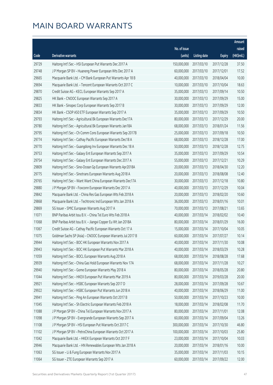|       |                                                              |              |                       |               | Amount     |
|-------|--------------------------------------------------------------|--------------|-----------------------|---------------|------------|
|       |                                                              | No. of issue |                       |               | raised     |
| Code  | Derivative warrants                                          | (units)      | <b>Listing date</b>   | <b>Expiry</b> | (HK\$mil.) |
| 29729 | Haitong Int'l Sec - HSI European Put Warrants Dec 2017 A     | 150,000,000  | 2017/03/10            | 2017/12/28    | 37.50      |
| 29748 | J P Morgan SP BV - Huaneng Power European Wts Dec 2017 A     | 60,000,000   | 2017/03/10            | 2017/12/01    | 17.52      |
| 29665 | Macquarie Bank Ltd. - CM Bank European Put Warrants Apr 18 B | 40,000,000   | 2017/03/10            | 2018/04/04    | 10.00      |
| 29694 | Macquarie Bank Ltd. - Tencent European Warrants Oct 2017 C   | 10,000,000   | 2017/03/10            | 2017/10/04    | 18.63      |
| 29870 | Credit Suisse AG - KECL European Warrants Sep 2017 A         | 35,000,000   | 2017/03/13            | 2017/09/14    | 10.50      |
| 29825 | HK Bank - CNOOC European Warrants Sep 2017 A                 | 30,000,000   | 2017/03/13            | 2017/09/29    | 15.00      |
| 29833 | HK Bank - Sinopec Corp European Warrants Sep 2017 B          | 30,000,000   | 2017/03/13            | 2017/09/29    | 12.00      |
| 29834 | HK Bank - CSOP A50 ETF European Warrants Sep 2017 A          | 35,000,000   | 2017/03/13            | 2017/09/29    | 10.50      |
| 29793 | Haitong Int'l Sec - Agricultural Bk European Warrants Dec17A | 80,000,000   | 2017/03/13            | 2017/12/29    | 20.00      |
| 29780 | Haitong Int'l Sec - Agricultural Bk European Warrants Jan18A | 68,000,000   | 2017/03/13            | 2018/01/24    | 11.56      |
| 29795 | Haitong Int'l Sec - Ch Comm Cons European Warrants Sep 2017B | 25,000,000   | 2017/03/13            | 2017/09/18    | 10.50      |
| 29774 | Haitong Int'l Sec - Cathay Pacific European Warrants Dec18 A | 68,000,000   | 2017/03/13            | 2018/12/28    | 17.00      |
| 29770 | Haitong Int'l Sec - Guangdong Inv European Warrants Dec 18 A | 50,000,000   | 2017/03/13            | 2018/12/28    | 12.75      |
| 29753 | Haitong Int'l Sec - Galaxy Ent European Warrants Sep 2017 A  | 35,000,000   | 2017/03/13            | 2017/09/29    | 10.54      |
| 29754 | Haitong Int'l Sec - Galaxy Ent European Warrants Dec 2017 A  | 55,000,000   | 2017/03/13            | 2017/12/21    | 10.29      |
| 29809 | Haitong Int'l Sec - Sino-Ocean Gp European Warrants Apr2018A | 20,000,000   | 2017/03/13            | 2018/04/30    | 12.20      |
| 29775 | Haitong Int'l Sec - Sinotrans European Warrants Aug 2018 A   | 20,000,000   | 2017/03/13            | 2018/08/08    | 12.40      |
| 29765 | Haitong Int'l Sec - Want Want China European Warrants Dec17A | 30,000,000   | 2017/03/13            | 2017/12/18    | 10.80      |
| 29880 | J P Morgan SP BV - Foxconn European Warrants Dec 2017 A      | 40,000,000   | 2017/03/13            | 2017/12/29    | 10.04      |
| 29842 | Macquarie Bank Ltd. - China Res Gas European Wts Feb 2018 A  | 20,000,000   | 2017/03/13            | 2018/02/20    | 10.60      |
| 29868 | Macquarie Bank Ltd. - Techtronic Ind European Wts Jan 2018 A | 36,000,000   | 2017/03/13            | 2018/01/16    | 10.01      |
| 29869 | SG Issuer - SMIC European Warrants Aug 2017 A                | 70,000,000   | 2017/03/13            | 2017/08/21    | 13.65      |
| 11071 | BNP Paribas Arbit Issu B.V. - China Tel Euro Wts Feb 2018 A  | 40,000,000   | 2017/03/14            | 2018/02/02    | 10.40      |
| 11068 | BNP Paribas Arbit Issu B.V. - Jiangxi Copper Eu Wt Jan 2018A | 80,000,000   | 2017/03/14            | 2018/01/29    | 16.00      |
| 11067 | Credit Suisse AG - Cathay Pacific European Warrants Oct 17 A | 15,000,000   | 2017/03/14            | 2017/10/04    | 10.05      |
| 11075 | Goldman Sachs SP (Asia) - CNOOC European Warrants Jul 2017 B | 60,000,000   | 2017/03/14            | 2017/07/27    | 10.14      |
| 29944 | Haitong Int'l Sec - BOC HK European Warrants Nov 2017 A      |              | 40,000,000 2017/03/14 | 2017/11/30    | 10.08      |
| 29943 | Haitong Int'l Sec - BOC HK European Put Warrants Mar 2018 A  | 40,000,000   | 2017/03/14            | 2018/03/29    | 10.28      |
| 11059 | Haitong Int'l Sec - BOCL European Warrants Aug 2018 A        | 68,000,000   | 2017/03/14            | 2018/08/28    | 17.68      |
| 29939 | Haitong Int'l Sec - China Gas Hold European Warrants Nov 17A | 68,000,000   | 2017/03/14            | 2017/11/28    | 10.27      |
| 29940 | Haitong Int'l Sec - Gome European Warrants May 2018 A        | 80,000,000   | 2017/03/14            | 2018/05/28    | 20.80      |
| 11044 | Haitong Int'l Sec - HKEX European Put Warrants Mar 2019 A    | 80,000,000   | 2017/03/14            | 2019/03/28    | 20.00      |
| 29921 | Haitong Int'l Sec - HSBC European Warrants Sep 2017 D        | 28,000,000   | 2017/03/14            | 2017/09/28    | 10.67      |
| 29922 | Haitong Int'l Sec - HSBC European Put Warrants Jun 2018 A    | 40,000,000   | 2017/03/14            | 2018/06/29    | 11.00      |
| 29941 | Haitong Int'l Sec - Ping An European Warrants Oct 2017 B     | 50,000,000   | 2017/03/14            | 2017/10/23    | 10.00      |
| 11045 | Haitong Int'l Sec - Sh Electric European Warrants Feb 2018 A | 18,000,000   | 2017/03/14            | 2018/02/08    | 11.70      |
| 11088 | J P Morgan SP BV - China Tel European Warrants Nov 2017 A    | 80,000,000   | 2017/03/14            | 2017/11/01    | 12.08      |
| 11098 | J P Morgan SP BV - Evergrande European Warrants Sep 2017 A   | 60,000,000   | 2017/03/14            | 2017/09/04    | 13.26      |
| 11108 | J P Morgan SP BV - HSI European Put Warrants Oct 2017 C      | 300,000,000  | 2017/03/14            | 2017/10/30    | 46.80      |
| 11102 | J P Morgan SP BV - PetroChina European Warrants Oct 2017 A   | 100,000,000  | 2017/03/14            | 2017/10/03    | 25.80      |
| 11042 | Macquarie Bank Ltd. - HKEX European Warrants Oct 2017 F      | 23,000,000   | 2017/03/14            | 2017/10/04    | 10.03      |
| 29946 | Macquarie Bank Ltd. - HN Renewables European Wts Jan 2018 A  | 20,000,000   | 2017/03/14            | 2018/01/16    | 10.00      |
| 11063 | SG Issuer - Li & Fung European Warrants Nov 2017 A           | 35,000,000   | 2017/03/14            | 2017/11/03    | 10.15      |
| 11064 | SG Issuer - ZTE European Warrants Sep 2017 A                 | 60,000,000   | 2017/03/14            | 2017/09/22    | 12.00      |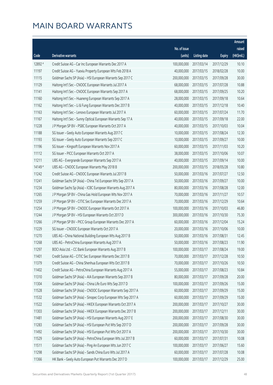|          |                                                                |              |                       |               | Amount     |
|----------|----------------------------------------------------------------|--------------|-----------------------|---------------|------------|
|          |                                                                | No. of issue |                       |               | raised     |
| Code     | Derivative warrants                                            | (units)      | <b>Listing date</b>   | <b>Expiry</b> | (HK\$mil.) |
| 12892 #  | Credit Suisse AG - Car Inc European Warrants Dec 2017 A        | 100,000,000  | 2017/03/14            | 2017/12/29    | 10.10      |
| 11197    | Credit Suisse AG - Yuexiu Property European Wts Feb 2018 A     | 40,000,000   | 2017/03/15            | 2018/02/28    | 10.00      |
| 11115    | Goldman Sachs SP (Asia) - HSI European Warrants Sep 2017 C     | 200,000,000  | 2017/03/15            | 2017/09/28    | 30.00      |
| 11129    | Haitong Int'l Sec - CNOOC European Warrants Jul 2017 A         | 68,000,000   | 2017/03/15            | 2017/07/28    | 10.88      |
| 11141    | Haitong Int'l Sec - CNOOC European Warrants Sep 2017 A         | 68,000,000   | 2017/03/15            | 2017/09/25    | 10.20      |
| 11160    | Haitong Int'l Sec - Huaneng European Warrants Sep 2017 A       | 28,000,000   | 2017/03/15            | 2017/09/18    | 10.64      |
| 11162    | Haitong Int'l Sec - Li & Fung European Warrants Dec 2017 B     | 40,000,000   | 2017/03/15            | 2017/12/18    | 10.40      |
| 11163    | Haitong Int'l Sec - Lenovo European Warrants Jul 2017 A        | 60,000,000   | 2017/03/15            | 2017/07/24    | 11.70      |
| 11167    | Haitong Int'l Sec - Sunny Optical European Warrants Sep 17 A   | 40,000,000   | 2017/03/15            | 2017/09/18    | 22.00      |
| 11228    | J P Morgan SP BV - PSBC European Warrants Oct 2017 A           | 40,000,000   | 2017/03/15            | 2017/10/03    | 10.04      |
| 11188    | SG Issuer - Geely Auto European Warrants Aug 2017 C            | 10,000,000   | 2017/03/15            | 2017/08/24    | 12.30      |
| 11193    | SG Issuer - Geely Auto European Warrants Sep 2017 C            | 10,000,000   | 2017/03/15            | 2017/09/27    | 10.00      |
| 11196    | SG Issuer - Kingsoft European Warrants Nov 2017 A              | 60,000,000   | 2017/03/15            | 2017/11/03    | 10.20      |
| 11112    | SG Issuer - PICC European Warrants Oct 2017 A                  | 38,000,000   | 2017/03/15            | 2017/10/06    | 10.07      |
| 11211    | UBS AG - Evergrande European Warrants Sep 2017 A               | 40,000,000   | 2017/03/15            | 2017/09/14    | 10.00      |
| $14149*$ | UBS AG - CNOOC European Warrants May 2018 B                    | 200,000,000  | 2017/03/15            | 2018/05/28    | 10.80      |
| 11242    | Credit Suisse AG - CNOOC European Warrants Jul 2017 B          | 50,000,000   | 2017/03/16            | 2017/07/27    | 12.50      |
| 11241    | Goldman Sachs SP (Asia) - China Tel European Wts Sep 2017 A    | 50,000,000   | 2017/03/16            | 2017/09/27    | 10.00      |
| 11234    | Goldman Sachs Sp (Asia) - ICBC European Warrants Aug 2017 A    | 80,000,000   | 2017/03/16            | 2017/08/28    | 12.00      |
| 11265    | J P Morgan SP BV - China Gas Hold European Wts Nov 2017 A      | 70,000,000   | 2017/03/16            | 2017/11/27    | 10.57      |
| 11259    | J P Morgan SP BV - CITIC Sec European Warrants Dec 2017 A      | 70,000,000   | 2017/03/16            | 2017/12/29    | 10.64      |
| 11254    | J P Morgan SP BV - CNOOC European Warrants Oct 2017 A          | 100,000,000  | 2017/03/16            | 2017/10/03    | 46.80      |
| 11244    | J P Morgan SP BV - HSI European Warrants Oct 2017 D            | 300,000,000  | 2017/03/16            | 2017/10/30    | 75.30      |
| 11266    | J P Morgan SP BV - PICC Group European Warrants Dec 2017 A     | 60,000,000   | 2017/03/16            | 2017/12/04    | 15.24      |
| 11229    | SG Issuer - CNOOC European Warrants Oct 2017 A                 | 20,000,000   | 2017/03/16            | 2017/10/06    | 10.00      |
| 11270    | UBS AG - China National Building European Wts Aug 2017 B       | 50,000,000   | 2017/03/16            | 2017/08/31    | 12.45      |
| 11268    | UBS AG - PetroChina European Warrants Aug 2017 A               |              | 50,000,000 2017/03/16 | 2017/08/23    | 11.90      |
| 11297    | BOCI Asia Ltd. - CC Bank European Warrants Aug 2017 B          | 100,000,000  | 2017/03/17            | 2017/08/24    | 19.00      |
| 11401    | Credit Suisse AG - CITIC Sec European Warrants Dec 2017 B      | 70,000,000   | 2017/03/17            | 2017/12/28    | 10.50      |
| 11379    | Credit Suisse AG - China Shenhua European Wts Oct 2017 B       | 70,000,000   | 2017/03/17            | 2017/10/26    | 10.50      |
| 11402    | Credit Suisse AG - PetroChina European Warrants Aug 2017 A     | 55,000,000   | 2017/03/17            | 2017/08/23    | 10.84      |
| 11310    | Goldman Sachs SP (Asia) - AIA European Warrants Sep 2017 B     | 80,000,000   | 2017/03/17            | 2017/09/28    | 20.00      |
| 11304    | Goldman Sachs SP (Asia) - China Life Euro Wts Sep 2017 D       | 100,000,000  | 2017/03/17            | 2017/09/26    | 15.00      |
| 11528    | Goldman Sachs SP (Asia) - CNOOC European Warrants Sep 2017 A   | 60,000,000   | 2017/03/17            | 2017/09/29    | 15.00      |
| 11532    | Goldman Sachs SP (Asia) - Sinopec Corp European Wts Sep 2017 A | 60,000,000   | 2017/03/17            | 2017/09/29    | 15.00      |
| 11522    | Goldman Sachs SP (Asia) - HKEX European Warrants Oct 2017 A    | 200,000,000  | 2017/03/17            | 2017/10/27    | 30.00      |
| 11303    | Goldman Sachs SP (Asia) - HKEX European Warrants Dec 2017 B    | 200,000,000  | 2017/03/17            | 2017/12/11    | 30.00      |
| 11481    | Goldman Sachs SP (Asia) - HSI European Warrants Aug 2017 E     | 200,000,000  | 2017/03/17            | 2017/08/30    | 30.00      |
| 11283    | Goldman Sachs SP (Asia) - HSI European Put Wts Sep 2017 D      | 200,000,000  | 2017/03/17            | 2017/09/28    | 30.00      |
| 11492    | Goldman Sachs SP (Asia) - HSI European Put Wts Oct 2017 A      | 200,000,000  | 2017/03/17            | 2017/10/30    | 30.00      |
| 11529    | Goldman Sachs SP (Asia) - PetroChina European Wts Jul 2017 B   | 60,000,000   | 2017/03/17            | 2017/07/31    | 10.08      |
| 11511    | Goldman Sachs SP (Asia) - Ping An European Wts Jun 2017 C      | 100,000,000  | 2017/03/17            | 2017/06/27    | 15.60      |
| 11298    | Goldman Sachs SP (Asia) - Sands China Euro Wts Jul 2017 A      | 60,000,000   | 2017/03/17            | 2017/07/28    | 10.08      |
| 11366    | HK Bank - Geely Auto European Put Warrants Dec 2017 D          | 100,000,000  | 2017/03/17            | 2017/12/29    | 25.00      |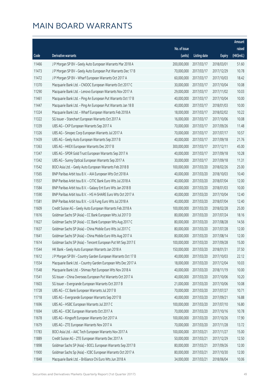|       |                                                              |                        |                     |               | Amount     |
|-------|--------------------------------------------------------------|------------------------|---------------------|---------------|------------|
|       |                                                              | No. of issue           |                     |               | raised     |
| Code  | Derivative warrants                                          | (units)                | <b>Listing date</b> | <b>Expiry</b> | (HK\$mil.) |
| 11466 | J P Morgan SP BV - Geely Auto European Warrants Mar 2018 A   | 200,000,000            | 2017/03/17          | 2018/03/01    | 51.60      |
| 11473 | J P Morgan SP BV - Geely Auto European Put Warrants Dec 17 B | 70,000,000             | 2017/03/17          | 2017/12/29    | 10.78      |
| 11472 | J P Morgan SP BV - Wharf European Warrants Oct 2017 A        | 60,000,000             | 2017/03/17          | 2017/10/03    | 18.42      |
| 11370 | Macquarie Bank Ltd. - CNOOC European Warrants Oct 2017 C     | 30,000,000             | 2017/03/17          | 2017/10/04    | 10.08      |
| 11290 | Macquarie Bank Ltd. - Lenovo European Warrants Nov 2017 A    | 29,000,000             | 2017/03/17          | 2017/11/02    | 10.03      |
| 11461 | Macquarie Bank Ltd. - Ping An European Put Warrants Oct 17 B | 40,000,000             | 2017/03/17          | 2017/10/04    | 10.00      |
| 11447 | Macquarie Bank Ltd. - Ping An European Put Warrants Jan 18 B | 40,000,000             | 2017/03/17          | 2018/01/03    | 10.00      |
| 11324 | Macquarie Bank Ltd. - Wharf European Warrants Feb 2018 A     | 18,000,000             | 2017/03/17          | 2018/02/02    | 10.22      |
| 11322 | SG Issuer - Stanchart European Warrants Oct 2017 A           | 16,000,000             | 2017/03/17          | 2017/10/06    | 10.08      |
| 11339 | UBS AG - CKP European Warrants Sep 2017 A                    | 70,000,000             | 2017/03/17          | 2017/09/26    | 11.48      |
| 11326 | UBS AG - Sinopec Corp European Warrants Jul 2017 A           | 70,000,000             | 2017/03/17          | 2017/07/17    | 10.57      |
| 11439 | UBS AG - Geely Auto European Warrants Sep 2017 B             | 40,000,000             | 2017/03/17          | 2017/09/18    | 21.76      |
| 11363 | UBS AG - HKEX European Warrants Dec 2017 B                   | 300,000,000            | 2017/03/17          | 2017/12/11    | 45.00      |
| 11347 | UBS AG - SPDR Gold Trust European Warrants Sep 2017 A        | 40,000,000             | 2017/03/17          | 2017/09/18    | 10.28      |
| 11342 | UBS AG - Sunny Optical European Warrants Sep 2017 A          | 30,000,000             | 2017/03/17          | 2017/09/18    | 11.31      |
| 11542 | BOCI Asia Ltd. - Geely Auto European Warrants Feb 2018 B     | 100,000,000            | 2017/03/20          | 2018/02/26    | 25.00      |
| 11565 | BNP Paribas Arbit Issu B.V. - AIA European Wts Oct 2018 A    | 40,000,000             | 2017/03/20          | 2018/10/03    | 10.40      |
| 11557 | BNP Paribas Arbit Issu B.V. - CITIC Bank Euro Wts Jul 2018 A | 40,000,000             | 2017/03/20          | 2018/07/04    | 12.00      |
| 11584 | BNP Paribas Arbit Issu B.V. - Galaxy Ent Euro Wts Jan 2018 B | 40,000,000             | 2017/03/20          | 2018/01/03    | 10.00      |
| 11590 | BNP Paribas Arbit Issu B.V. - HS H-SHARE Euro Wts Oct 2017 A | 40,000,000             | 2017/03/20          | 2017/10/04    | 12.40      |
| 11581 | BNP Paribas Arbit Issu B.V. - Li & Fung Euro Wts Jul 2018 A  | 40,000,000             | 2017/03/20          | 2018/07/04    | 12.40      |
| 11609 | Credit Suisse AG - Geely Auto European Warrants Feb 2018 A   | 100,000,000            | 2017/03/20          | 2018/02/28    | 25.00      |
| 11616 | Goldman Sachs SP (Asia) - CC Bank European Wts Jul 2017 D    | 80,000,000             | 2017/03/20          | 2017/07/24    | 18.16      |
| 11627 | Goldman Sachs SP (Asia) - CC Bank European Wts Aug 2017 C    | 80,000,000             | 2017/03/20          | 2017/08/28    | 14.56      |
| 11637 | Goldman Sachs SP (Asia) - China Mobile Euro Wts Jul 2017 C   | 80,000,000             | 2017/03/20          | 2017/07/28    | 12.00      |
| 11641 | Goldman Sachs SP (Asia) - China Mobile Euro Wts Aug 2017 A   | 80,000,000             | 2017/03/20          | 2017/08/14    | 12.00      |
| 11614 | Goldman Sachs SP (Asia) - Tencent European Put Wt Sep 2017 E | 100,000,000 2017/03/20 |                     | 2017/09/28    | 15.00      |
| 11544 | HK Bank - Geely Auto European Warrants Jan 2018 A            | 150,000,000            | 2017/03/20          | 2018/01/31    | 37.50      |
| 11612 | J P Morgan SP BV - Country Garden European Warrants Oct 17 B | 40,000,000             | 2017/03/20          | 2017/10/03    | 22.12      |
| 11554 | Macquarie Bank Ltd. - Country Garden European Wts Dec 2017 A | 18,000,000             | 2017/03/20          | 2017/12/04    | 10.03      |
| 11548 | Macquarie Bank Ltd. - Shimao Ppt European Wts Nov 2018 A     | 40,000,000             | 2017/03/20          | 2018/11/19    | 10.00      |
| 11541 | SG Issuer - China Overseas European Put Warrants Oct 2017 A  | 40,000,000             | 2017/03/20          | 2017/10/06    | 10.20      |
| 11603 | SG Issuer - Evergrande European Warrants Oct 2017 B          | 21,000,000             | 2017/03/20          | 2017/10/06    | 10.08      |
| 11728 | UBS AG - CC Bank European Warrants Jul 2017 B                | 70,000,000             | 2017/03/20          | 2017/07/27    | 10.71      |
| 11718 | UBS AG - Evergrande European Warrants Sep 2017 B             | 40,000,000             | 2017/03/20          | 2017/09/21    | 16.88      |
| 11696 | UBS AG - HSBC European Warrants Jul 2017 C                   | 100,000,000            | 2017/03/20          | 2017/07/10    | 16.80      |
| 11694 | UBS AG - ICBC European Warrants Oct 2017 A                   | 70,000,000             | 2017/03/20          | 2017/10/16    | 10.78      |
| 11678 | UBS AG - Kingsoft European Warrants Oct 2017 A               | 100,000,000            | 2017/03/20          | 2017/10/26    | 17.90      |
| 11679 | UBS AG - ZTE European Warrants Nov 2017 A                    | 70,000,000             | 2017/03/20          | 2017/11/28    | 13.72      |
| 11783 | BOCI Asia Ltd. - AAC Tech European Warrants Nov 2017 A       | 100,000,000            | 2017/03/21          | 2017/11/27    | 15.00      |
| 11889 | Credit Suisse AG - ZTE European Warrants Dec 2017 A          | 50,000,000             | 2017/03/21          | 2017/12/29    | 12.50      |
| 11898 | Goldman Sachs SP (Asia) - BOCL European Warrants Sep 2017 B  | 80,000,000             | 2017/03/21          | 2017/09/26    | 12.00      |
| 11900 | Goldman Sachs Sp (Asia) - ICBC European Warrants Oct 2017 A  | 80,000,000             | 2017/03/21          | 2017/10/30    | 12.00      |
| 11848 | Macquarie Bank Ltd. - Brilliance Chi Euro Wts Jun 2018 A     | 34,000,000             | 2017/03/21          | 2018/06/04    | 10.06      |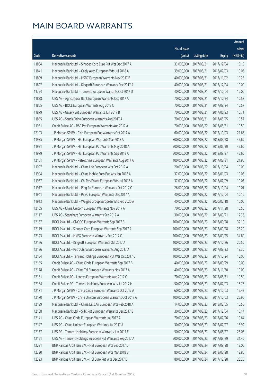|       |                                                               |                        |                     |               | Amount     |
|-------|---------------------------------------------------------------|------------------------|---------------------|---------------|------------|
|       |                                                               | No. of issue           |                     |               | raised     |
| Code  | Derivative warrants                                           | (units)                | <b>Listing date</b> | <b>Expiry</b> | (HK\$mil.) |
| 11864 | Macquarie Bank Ltd. - Sinopec Corp Euro Put Wts Dec 2017 A    | 33,000,000             | 2017/03/21          | 2017/12/04    | 10.10      |
| 11841 | Macquarie Bank Ltd. - Geely Auto European Wts Jul 2018 A      | 39,000,000             | 2017/03/21          | 2018/07/03    | 10.06      |
| 11809 | Macquarie Bank Ltd. - HSBC European Warrants Nov 2017 B       | 40,000,000             | 2017/03/21          | 2017/11/02    | 10.28      |
| 11807 | Macquarie Bank Ltd. - Kingsoft European Warrants Dec 2017 A   | 40,000,000             | 2017/03/21          | 2017/12/04    | 10.00      |
| 11794 | Macquarie Bank Ltd. - Tencent European Warrants Oct 2017 D    | 40,000,000             | 2017/03/21          | 2017/10/04    | 10.00      |
| 11888 | UBS AG - Agricultural Bank European Warrants Oct 2017 A       | 70,000,000             | 2017/03/21          | 2017/10/24    | 10.57      |
| 11865 | UBS AG - BOCL European Warrants Aug 2017 C                    | 70,000,000             | 2017/03/21          | 2017/08/24    | 10.57      |
| 11879 | UBS AG - Galaxy Ent European Warrants Jun 2017 B              | 70,000,000             | 2017/03/21          | 2017/06/23    | 10.71      |
| 11885 | UBS AG - Sands China European Warrants Aug 2017 A             | 70,000,000             | 2017/03/21          | 2017/08/25    | 10.57      |
| 11961 | Credit Suisse AG - R&F Ppt European Warrants Aug 2017 A       | 70,000,000             | 2017/03/22          | 2017/08/31    | 10.50      |
| 12103 | J P Morgan SP BV - CKH European Put Warrants Oct 2017 A       | 60,000,000             | 2017/03/22          | 2017/10/03    | 21.66      |
| 11985 | J P Morgan SP BV - HSI European Warrants Mar 2018 A           | 300,000,000            | 2017/03/22          | 2018/03/28    | 45.60      |
| 11981 | J P Morgan SP BV - HSI European Put Warrants May 2018 A       | 300,000,000            | 2017/03/22          | 2018/05/30    | 45.60      |
| 11979 | J P Morgan SP BV - HSI European Put Warrants Sep 2018 A       | 300,000,000            | 2017/03/22          | 2018/09/27    | 45.60      |
| 12101 | J P Morgan SP BV - PetroChina European Warrants Aug 2017 A    | 100,000,000            | 2017/03/22          | 2017/08/31    | 21.90      |
| 11907 | Macquarie Bank Ltd. - China Life European Wts Oct 2017 A      | 20,000,000             | 2017/03/22          | 2017/10/04    | 10.00      |
| 11904 | Macquarie Bank Ltd. - China Mobile Euro Put Wts Jan 2018 A    | 37,000,000             | 2017/03/22          | 2018/01/03    | 10.03      |
| 11957 | Macquarie Bank Ltd. - Chi Res Power European Wts Jul 2018 A   | 37,000,000             | 2017/03/22          | 2018/07/09    | 10.03      |
| 11917 | Macquarie Bank Ltd. - Ping An European Warrants Oct 2017 C    | 26,000,000             | 2017/03/22          | 2017/10/04    | 10.01      |
| 11941 | Macquarie Bank Ltd. - PSBC European Warrants Dec 2017 A       | 40,000,000             | 2017/03/22          | 2017/12/04    | 10.16      |
| 11913 | Macquarie Bank Ltd. - Weigao Group European Wts Feb 2020 A    | 40,000,000             | 2017/03/22          | 2020/02/18    | 10.00      |
| 12105 | UBS AG - China Unicom European Warrants Nov 2017 A            | 70,000,000             | 2017/03/22          | 2017/11/28    | 10.50      |
| 12117 | UBS AG - Stanchart European Warrants Sep 2017 A               | 30,000,000             | 2017/03/22          | 2017/09/21    | 12.36      |
| 12137 | BOCI Asia Ltd. - CNOOC European Warrants Sep 2017 B           | 100,000,000            | 2017/03/23          | 2017/09/28    | 32.10      |
| 12119 | BOCI Asia Ltd. - Sinopec Corp European Warrants Sep 2017 A    | 100,000,000            | 2017/03/23          | 2017/09/28    | 25.20      |
| 12123 | BOCI Asia Ltd. - HKEX European Warrants Sep 2017 C            | 100,000,000            | 2017/03/23          | 2017/09/25    | 34.60      |
| 12156 | BOCI Asia Ltd. - Kingsoft European Warrants Oct 2017 A        | 100,000,000 2017/03/23 |                     | 2017/10/26    | 20.50      |
| 12136 | BOCI Asia Ltd. - PetroChina European Warrants Aug 2017 A      | 100,000,000            | 2017/03/23          | 2017/08/23    | 18.30      |
| 12154 | BOCI Asia Ltd. - Tencent Holdings European Put Wts Oct 2017 C | 100,000,000            | 2017/03/23          | 2017/10/24    | 15.00      |
| 12185 | Credit Suisse AG - China Cinda European Warrants Sep 2017 B   | 40,000,000             | 2017/03/23          | 2017/09/29    | 10.00      |
| 12178 | Credit Suisse AG - China Tel European Warrants Nov 2017 A     | 40,000,000             | 2017/03/23          | 2017/11/30    | 10.00      |
| 12181 | Credit Suisse AG - Lenovo European Warrants Aug 2017 C        | 70,000,000             | 2017/03/23          | 2017/08/31    | 10.50      |
| 12184 | Credit Suisse AG - Tencent Holdings European Wts Jul 2017 H   | 50,000,000             | 2017/03/23          | 2017/07/03    | 15.75      |
| 12171 | J P Morgan SP BV - China Cinda European Warrants Oct 2017 A   | 60,000,000             | 2017/03/23          | 2017/10/03    | 15.42      |
| 12170 | J P Morgan SP BV - China Unicom European Warrants Oct 2017 A  | 100,000,000            | 2017/03/23          | 2017/10/03    | 26.90      |
| 12139 | Macquarie Bank Ltd. - China East Air European Wts Feb 2018 A  | 14,000,000             | 2017/03/23          | 2018/02/05    | 10.50      |
| 12138 | Macquarie Bank Ltd. - SHK Ppt European Warrants Dec 2017 B    | 30,000,000             | 2017/03/23          | 2017/12/04    | 10.14      |
| 12141 | UBS AG - China Cinda European Warrants Jul 2017 A             | 70,000,000             | 2017/03/23          | 2017/07/26    | 10.64      |
| 12147 | UBS AG - China Unicom European Warrants Jul 2017 A            | 30,000,000             | 2017/03/23          | 2017/07/27    | 13.92      |
| 12157 | UBS AG - Tencent Holdings European Warrants Jun 2017 E        | 50,000,000             | 2017/03/23          | 2017/06/27    | 23.05      |
| 12161 | UBS AG - Tencent Holdings European Put Warrants Sep 2017 A    | 200,000,000            | 2017/03/23          | 2017/09/29    | 31.40      |
| 12291 | BNP Paribas Arbit Issu B.V. - HSI European Wts Sep 2017 D     | 80,000,000             | 2017/03/24          | 2017/09/28    | 12.00      |
| 12320 | BNP Paribas Arbit Issu B.V. - HSI European Wts Mar 2018 B     | 80,000,000             | 2017/03/24          | 2018/03/28    | 12.80      |
| 12323 | BNP Paribas Arbit Issu B.V. - HSI Euro Put Wts Dec 2017 B     | 80,000,000             | 2017/03/24          | 2017/12/28    | 23.20      |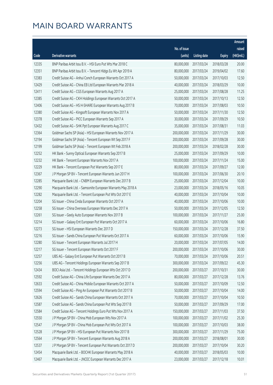|       |                                                              |              |                       |               | Amount     |
|-------|--------------------------------------------------------------|--------------|-----------------------|---------------|------------|
|       |                                                              | No. of issue |                       |               | raised     |
| Code  | Derivative warrants                                          | (units)      | <b>Listing date</b>   | <b>Expiry</b> | (HK\$mil.) |
| 12335 | BNP Paribas Arbit Issu B.V. - HSI Euro Put Wts Mar 2018 C    | 80,000,000   | 2017/03/24            | 2018/03/28    | 20.00      |
| 12351 | BNP Paribas Arbit Issu B.V. - Tencent Hldgs Eu Wt Apr 2019 A | 80,000,000   | 2017/03/24            | 2019/04/02    | 17.60      |
| 12383 | Credit Suisse AG - Anhui Conch European Warrants Oct 2017 A  | 50,000,000   | 2017/03/24            | 2017/10/03    | 12.50      |
| 12429 | Credit Suisse AG - China EB Ltd European Warrants Mar 2018 A | 40,000,000   | 2017/03/24            | 2018/03/29    | 10.00      |
| 12411 | Credit Suisse AG - CGS European Warrants Aug 2017 A          | 25,000,000   | 2017/03/24            | 2017/08/28    | 11.25      |
| 12385 | Credit Suisse AG - CKH Holdings European Warrants Oct 2017 A | 50,000,000   | 2017/03/24            | 2017/10/13    | 12.50      |
| 12406 | Credit Suisse AG - HS H-SHARE European Warrants Aug 2017 B   | 70,000,000   | 2017/03/24            | 2017/08/03    | 10.50      |
| 12380 | Credit Suisse AG - Kingsoft European Warrants Nov 2017 A     | 50,000,000   | 2017/03/24            | 2017/11/30    | 12.50      |
| 12378 | Credit Suisse AG - PICC European Warrants Sep 2017 A         | 30,000,000   | 2017/03/24            | 2017/09/29    | 10.50      |
| 12432 | Credit Suisse AG - SHK Ppt European Warrants Aug 2017 C      | 35,000,000   | 2017/03/24            | 2017/08/31    | 11.03      |
| 12364 | Goldman Sachs SP (Asia) - HSI European Warrants Nov 2017 A   | 200,000,000  | 2017/03/24            | 2017/11/29    | 30.00      |
| 12194 | Goldman Sachs SP (Asia) - Tencent European Wt Sep 2017 F     | 200,000,000  | 2017/03/24            | 2017/09/28    | 30.00      |
| 12199 | Goldman Sachs SP (Asia) - Tencent European Wt Feb 2018 A     | 200,000,000  | 2017/03/24            | 2018/02/28    | 30.00      |
| 12252 | HK Bank - Sunny Optical European Warrants Sep 2017 B         | 25,000,000   | 2017/03/24            | 2017/09/29    | 10.00      |
| 12232 | HK Bank - Tencent European Warrants Nov 2017 A               | 100,000,000  | 2017/03/24            | 2017/11/24    | 15.00      |
| 12229 | HK Bank - Tencent European Put Warrants Sep 2017 E           | 80,000,000   | 2017/03/24            | 2017/09/27    | 12.00      |
| 12367 | J P Morgan SP BV - Tencent European Warrants Jun 2017 H      | 100,000,000  | 2017/03/24            | 2017/06/30    | 20.10      |
| 12285 | Macquarie Bank Ltd. - CNBM European Warrants Dec 2017 B      | 25,000,000   | 2017/03/24            | 2017/12/04    | 10.00      |
| 12290 | Macquarie Bank Ltd. - Samsonite European Warrants May 2018 A | 23,000,000   | 2017/03/24            | 2018/05/16    | 10.05      |
| 12282 | Macquarie Bank Ltd. - Tencent European Put Wts Oct 2017 E    | 40,000,000   | 2017/03/24            | 2017/10/04    | 10.00      |
| 12204 | SG Issuer - China Cinda European Warrants Oct 2017 A         | 40,000,000   | 2017/03/24            | 2017/10/06    | 10.00      |
| 12258 | SG Issuer - China Overseas European Warrants Dec 2017 A      | 50,000,000   | 2017/03/24            | 2017/12/05    | 12.50      |
| 12261 | SG Issuer - Geely Auto European Warrants Nov 2017 B          | 100,000,000  | 2017/03/24            | 2017/11/27    | 25.00      |
| 12214 | SG Issuer - Galaxy Ent European Put Warrants Oct 2017 A      | 60,000,000   | 2017/03/24            | 2017/10/06    | 16.80      |
| 12273 | SG Issuer - HSI European Warrants Dec 2017 D                 | 150,000,000  | 2017/03/24            | 2017/12/28    | 37.50      |
| 12216 | SG Issuer - Sands China European Put Warrants Oct 2017 A     | 60,000,000   | 2017/03/24            | 2017/10/06    | 15.90      |
| 12280 | SG Issuer - Tencent European Warrants Jul 2017 H             |              | 20,000,000 2017/03/24 | 2017/07/05    | 14.00      |
| 12217 | SG Issuer - Tencent European Warrants Oct 2017 F             | 200,000,000  | 2017/03/24            | 2017/10/06    | 30.00      |
| 12257 | UBS AG - Galaxy Ent European Put Warrants Oct 2017 B         | 70,000,000   | 2017/03/24            | 2017/10/06    | 20.51      |
| 12256 | UBS AG - Tencent Holdings European Warrants Sep 2017 B       | 300,000,000  | 2017/03/24            | 2017/09/22    | 45.30      |
| 12434 | BOCI Asia Ltd. - Tencent Holdings European Wts Oct 2017 D    | 200,000,000  | 2017/03/27            | 2017/10/31    | 30.00      |
| 12592 | Credit Suisse AG - China Life European Warrants Dec 2017 A   | 80,000,000   | 2017/03/27            | 2017/12/28    | 13.76      |
| 12633 | Credit Suisse AG - China Mobile European Warrants Oct 2017 A | 50,000,000   | 2017/03/27            | 2017/10/09    | 12.50      |
| 12594 | Credit Suisse AG - Ping An European Put Warrants Oct 2017 B  | 50,000,000   | 2017/03/27            | 2017/10/04    | 14.00      |
| 12626 | Credit Suisse AG - Sands China European Warrants Oct 2017 A  | 70,000,000   | 2017/03/27            | 2017/10/04    | 10.50      |
| 12587 | Credit Suisse AG - Sands China European Put Wts Sep 2017 B   | 50,000,000   | 2017/03/27            | 2017/09/29    | 17.00      |
| 12584 | Credit Suisse AG - Tencent Holdings Euro Put Wts Nov 2017 A  | 150,000,000  | 2017/03/27            | 2017/11/03    | 37.50      |
| 12550 | J P Morgan SP BV - China Mob European Wts Nov 2017 A         | 100,000,000  | 2017/03/27            | 2017/11/02    | 25.30      |
| 12547 | J P Morgan SP BV - China Mob European Put Wts Oct 2017 A     | 100,000,000  | 2017/03/27            | 2017/10/03    | 38.00      |
| 12528 | J P Morgan SP BV - HSI European Put Warrants Nov 2017 B      | 300,000,000  | 2017/03/27            | 2017/11/29    | 75.00      |
| 12564 | J P Morgan SP BV - Tencent European Warrants Aug 2018 A      | 200,000,000  | 2017/03/27            | 2018/08/01    | 30.00      |
| 12537 | J P Morgan SP BV - Tencent European Put Warrants Oct 2017 D  | 200,000,000  | 2017/03/27            | 2017/10/04    | 30.20      |
| 12454 | Macquarie Bank Ltd. - BOCHK European Warrants May 2018 A     | 40,000,000   | 2017/03/27            | 2018/05/03    | 10.00      |
| 12467 | Macquarie Bank Ltd. - JNCEC European Warrants Dec 2017 A     | 23,000,000   | 2017/03/27            | 2017/12/18    | 10.01      |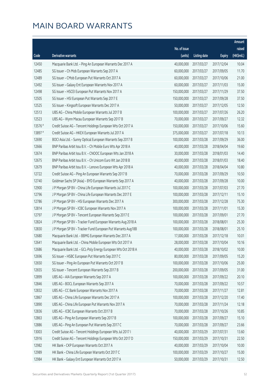|         |                                                               |              |                       |               | Amount     |
|---------|---------------------------------------------------------------|--------------|-----------------------|---------------|------------|
|         |                                                               | No. of issue |                       |               | raised     |
| Code    | Derivative warrants                                           | (units)      | <b>Listing date</b>   | <b>Expiry</b> | (HK\$mil.) |
| 12450   | Macquarie Bank Ltd. - Ping An European Warrants Dec 2017 A    | 40,000,000   | 2017/03/27            | 2017/12/04    | 10.04      |
| 12485   | SG Issuer - Ch Mob European Warrants Sep 2017 A               | 60,000,000   | 2017/03/27            | 2017/09/05    | 11.70      |
| 12489   | SG Issuer - CMob European Put Warrants Oct 2017 A             | 60,000,000   | 2017/03/27            | 2017/10/06    | 21.00      |
| 12492   | SG Issuer - Galaxy Ent European Warrants Nov 2017 A           | 60,000,000   | 2017/03/27            | 2017/11/03    | 15.00      |
| 12498   | SG Issuer - HSCEI European Put Warrants Nov 2017 A            | 150,000,000  | 2017/03/27            | 2017/11/29    | 37.50      |
| 12505   | SG Issuer - HSI European Put Warrants Sep 2017 E              | 150,000,000  | 2017/03/27            | 2017/09/28    | 37.50      |
| 12525   | SG Issuer - Kingsoft European Warrants Dec 2017 A             | 50,000,000   | 2017/03/27            | 2017/12/05    | 12.50      |
| 12513   | UBS AG - China Mobile European Warrants Jul 2017 B            | 100,000,000  | 2017/03/27            | 2017/07/26    | 26.20      |
| 12523   | UBS AG - Wynn Macau European Warrants Sep 2017 B              | 70,000,000   | 2017/03/27            | 2017/09/27    | 12.32      |
| 13576 # | Credit Suisse AG - Tencent Holdings European Wts Oct 2017 A   | 150,000,000  | 2017/03/27            | 2017/10/06    | 15.60      |
| 13897 # | Credit Suisse AG - HKEX European Warrants Jul 2017 A          | 375,000,000  | 2017/03/27            | 2017/07/18    | 10.13      |
| 12690   | BOCI Asia Ltd. - Sunny Optical European Warrants Sep 2017 B   | 100,000,000  | 2017/03/28            | 2017/09/29    | 36.00      |
| 12666   | BNP Paribas Arbit Issu B.V. - Ch Mobile Euro Wts Apr 2018 A   | 40,000,000   | 2017/03/28            | 2018/04/04    | 19.60      |
| 12674   | BNP Paribas Arbit Issu B.V. - CNOOC European Wts Jan 2018 A   | 30,000,000   | 2017/03/28            | 2018/01/03    | 14.40      |
| 12675   | BNP Paribas Arbit Issu B.V. - Ch Unicom Euro Wt Jan 2018 B    | 40,000,000   | 2017/03/28            | 2018/01/03    | 18.40      |
| 12679   | BNP Paribas Arbit Issu B.V. - Lenovo European Wts Apr 2018 A  | 40,000,000   | 2017/03/28            | 2018/04/04    | 10.80      |
| 12722   | Credit Suisse AG - Ping An European Warrants Sep 2017 B       | 70,000,000   | 2017/03/28            | 2017/09/29    | 10.50      |
| 12740   | Goldman Sachs SP (Asia) - BYD European Warrants Sep 2017 A    | 40,000,000   | 2017/03/28            | 2017/09/28    | 10.00      |
| 12900   | J P Morgan SP BV - China Life European Warrants Jul 2017 C    | 100,000,000  | 2017/03/28            | 2017/07/03    | 27.70      |
| 12796   | J P Morgan SP BV - China Life European Warrants Dec 2017 E    | 100,000,000  | 2017/03/28            | 2017/12/11    | 15.10      |
| 12786   | J P Morgan SP BV - HSI European Warrants Dec 2017 A           | 300,000,000  | 2017/03/28            | 2017/12/28    | 75.30      |
| 12814   | J P Morgan SP BV - ICBC European Warrants Nov 2017 A          | 100,000,000  | 2017/03/28            | 2017/11/01    | 15.30      |
| 12797   | J P Morgan SP BV - Tencent European Warrants Sep 2017 E       | 100,000,000  | 2017/03/28            | 2017/09/01    | 27.70      |
| 12824   | J P Morgan SP BV - Tracker Fund European Warrants Aug 2018 A  | 100,000,000  | 2017/03/28            | 2018/08/01    | 25.30      |
| 12830   | J P Morgan SP BV - Tracker Fund European Put Warrants Aug18B  | 100,000,000  | 2017/03/28            | 2018/08/01    | 25.10      |
| 12680   | Macquarie Bank Ltd. - BBMG European Warrants Dec 2017 A       | 17,000,000   | 2017/03/28            | 2017/12/18    | 10.01      |
| 12641   | Macquarie Bank Ltd. - China Mobile European Wts Oct 2017 A    |              | 28,000,000 2017/03/28 | 2017/10/04    | 10.16      |
| 12686   | Macquarie Bank Ltd. - GCL-Poly Energy European Wts Oct 2018 A | 40,000,000   | 2017/03/28            | 2018/10/02    | 10.00      |
| 12696   | SG Issuer - HSBC European Put Warrants Sep 2017 C             | 80,000,000   | 2017/03/28            | 2017/09/05    | 15.20      |
| 12650   | SG Issuer - Ping An European Put Warrants Oct 2017 B          | 100,000,000  | 2017/03/28            | 2017/10/06    | 25.00      |
| 12655   | SG Issuer - Tencent European Warrants Sep 2017 B              | 200,000,000  | 2017/03/28            | 2017/09/05    | 31.00      |
| 12899   | UBS AG - AIA European Warrants Sep 2017 A                     | 100,000,000  | 2017/03/28            | 2017/09/22    | 20.10      |
| 12846   | UBS AG - BOCL European Warrants Sep 2017 A                    | 70,000,000   | 2017/03/28            | 2017/09/22    | 10.57      |
| 12832   | UBS AG - CC Bank European Warrants Nov 2017 A                 | 70,000,000   | 2017/03/28            | 2017/11/27    | 12.81      |
| 12867   | UBS AG - China Life European Warrants Dec 2017 A              | 100,000,000  | 2017/03/28            | 2017/12/20    | 17.40      |
| 12890   | UBS AG - China Life European Put Warrants Nov 2017 A          | 70,000,000   | 2017/03/28            | 2017/11/24    | 12.18      |
| 12836   | UBS AG - ICBC European Warrants Oct 2017 B                    | 70,000,000   | 2017/03/28            | 2017/10/26    | 10.85      |
| 12863   | UBS AG - Ping An European Warrants Sep 2017 B                 | 100,000,000  | 2017/03/28            | 2017/09/27    | 15.10      |
| 12886   | UBS AG - Ping An European Put Warrants Sep 2017 C             | 70,000,000   | 2017/03/28            | 2017/09/27    | 23.66      |
| 13003   | Credit Suisse AG - Tencent Holdings European Wts Jul 2017 I   | 40,000,000   | 2017/03/29            | 2017/07/31    | 13.60      |
| 12916   | Credit Suisse AG - Tencent Holdings European Wts Oct 2017 D   | 150,000,000  | 2017/03/29            | 2017/10/31    | 22.50      |
| 12982   | HK Bank - CKP European Warrants Oct 2017 A                    | 40,000,000   | 2017/03/29            | 2017/10/04    | 10.00      |
| 12989   | HK Bank - China Life European Warrants Oct 2017 C             | 100,000,000  | 2017/03/29            | 2017/10/27    | 15.00      |
| 12984   | HK Bank - Galaxy Ent European Warrants Oct 2017 A             | 50,000,000   | 2017/03/29            | 2017/10/31    | 12.50      |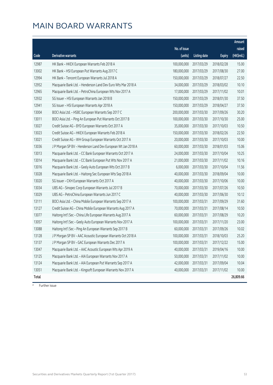|       |                                                              |                        |                     |               | Amount     |
|-------|--------------------------------------------------------------|------------------------|---------------------|---------------|------------|
|       |                                                              | No. of issue           |                     |               | raised     |
| Code  | Derivative warrants                                          | (units)                | <b>Listing date</b> | <b>Expiry</b> | (HK\$mil.) |
| 12987 | HK Bank - HKEX European Warrants Feb 2018 A                  | 100,000,000            | 2017/03/29          | 2018/02/28    | 15.00      |
| 13002 | HK Bank - HSI European Put Warrants Aug 2017 C               | 180,000,000            | 2017/03/29          | 2017/08/30    | 27.00      |
| 12994 | HK Bank - Tencent European Warrants Jul 2018 A               | 150,000,000            | 2017/03/29          | 2018/07/27    | 22.50      |
| 12952 | Macquarie Bank Ltd. - Henderson Land Dev Euro Wts Mar 2018 A | 34,000,000             | 2017/03/29          | 2018/03/02    | 10.10      |
| 12965 | Macquarie Bank Ltd. - PetroChina European Wts Nov 2017 A     | 17,000,000             | 2017/03/29          | 2017/11/02    | 10.01      |
| 12932 | SG Issuer - HSI European Warrants Jan 2018 B                 | 150,000,000            | 2017/03/29          | 2018/01/30    | 37.50      |
| 12941 | SG Issuer - HSI European Warrants Apr 2018 A                 | 150,000,000            | 2017/03/29          | 2018/04/27    | 37.50      |
| 13004 | BOCI Asia Ltd. - HSBC European Warrants Sep 2017 C           | 200,000,000            | 2017/03/30          | 2017/09/26    | 30.20      |
| 13011 | BOCI Asia Ltd. - Ping An European Put Warrants Oct 2017 B    | 100,000,000            | 2017/03/30          | 2017/10/30    | 25.00      |
| 13027 | Credit Suisse AG - BYD European Warrants Oct 2017 A          | 35,000,000             | 2017/03/30          | 2017/10/03    | 10.50      |
| 13023 | Credit Suisse AG - HKEX European Warrants Feb 2018 A         | 150,000,000            | 2017/03/30          | 2018/02/26    | 22.50      |
| 13021 | Credit Suisse AG - WH Group European Warrants Oct 2017 A     | 20,000,000             | 2017/03/30          | 2017/10/03    | 10.00      |
| 13036 | J P Morgan SP BV - Henderson Land Dev European Wt Jan 2018 A | 60,000,000             | 2017/03/30          | 2018/01/03    | 15.06      |
| 13013 | Macquarie Bank Ltd. - CC Bank European Warrants Oct 2017 A   | 24,000,000             | 2017/03/30          | 2017/10/04    | 10.25      |
| 13014 | Macquarie Bank Ltd. - CC Bank European Put Wts Nov 2017 A    | 21,000,000             | 2017/03/30          | 2017/11/02    | 10.16      |
| 13016 | Macquarie Bank Ltd. - Geely Auto European Wts Oct 2017 B     | 6,000,000              | 2017/03/30          | 2017/10/04    | 11.56      |
| 13028 | Macquarie Bank Ltd. - Haitong Sec European Wts Sep 2018 A    | 40,000,000             | 2017/03/30          | 2018/09/04    | 10.00      |
| 13020 | SG Issuer - CKH European Warrants Oct 2017 A                 | 40,000,000             | 2017/03/30          | 2017/10/06    | 10.00      |
| 13034 | UBS AG - Sinopec Corp European Warrants Jul 2017 B           | 70,000,000             | 2017/03/30          | 2017/07/26    | 10.50      |
| 13029 | UBS AG - PetroChina European Warrants Jun 2017 C             | 40,000,000             | 2017/03/30          | 2017/06/30    | 10.12      |
| 13111 | BOCI Asia Ltd. - China Mobile European Warrants Sep 2017 A   | 100,000,000            | 2017/03/31          | 2017/09/29    | 31.60      |
| 13127 | Credit Suisse AG - China Mobile European Warrants Aug 2017 A | 70,000,000             | 2017/03/31          | 2017/08/14    | 10.50      |
| 13077 | Haitong Int'l Sec - China Life European Warrants Aug 2017 A  | 60,000,000             | 2017/03/31          | 2017/08/29    | 10.20      |
| 13057 | Haitong Int'l Sec - Geely Auto European Warrants Nov 2017 A  | 100,000,000            | 2017/03/31          | 2017/11/20    | 23.00      |
| 13088 | Haitong Int'l Sec - Ping An European Warrants Sep 2017 B     | 60,000,000             | 2017/03/31          | 2017/09/26    | 10.02      |
| 13128 | J P Morgan SP BV - AAC Acoustic European Warrants Oct 2018 A | 100,000,000            | 2017/03/31          | 2018/10/03    | 25.20      |
| 13137 | J P Morgan SP BV - GAC European Warrants Dec 2017 A          | 100,000,000 2017/03/31 |                     | 2017/12/22    | 15.00      |
| 13047 | Macquarie Bank Ltd. - AAC Acoustic European Wts Apr 2019 A   | 40,000,000             | 2017/03/31          | 2019/04/16    | 10.00      |
| 13125 | Macquarie Bank Ltd. - AIA European Warrants Nov 2017 A       | 50,000,000             | 2017/03/31          | 2017/11/02    | 10.00      |
| 13124 | Macquarie Bank Ltd. - AIA European Put Warrants Sep 2017 A   | 42,000,000             | 2017/03/31          | 2017/09/04    | 10.04      |
| 13051 | Macquarie Bank Ltd. - Kingsoft European Warrants Nov 2017 A  | 40,000,000             | 2017/03/31          | 2017/11/02    | 10.00      |
| Total |                                                              |                        |                     |               | 26,809.66  |

# Further issue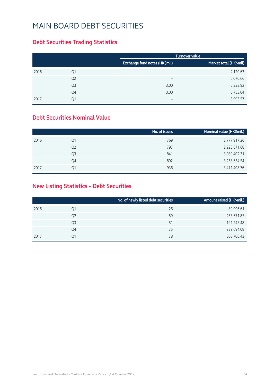#### **Debt Securities Trading Statistics**

|      |                |                               | <b>Turnover value</b>  |
|------|----------------|-------------------------------|------------------------|
|      |                | Exchange fund notes (HK\$mil) | Market total (HK\$mil) |
| 2016 | Q1             | $\overline{\phantom{m}}$      | 2,120.63               |
|      | Q <sub>2</sub> | $\overline{\phantom{m}}$      | 6,070.66               |
|      | Q <sub>3</sub> | 3.00                          | 6,333.92               |
|      | Q4             | 3.00                          | 6,753.04               |
| 2017 | Q1             | $\overline{\phantom{0}}$      | 8,993.57               |

#### **Debt Securities Nominal Value**

|      |                | No. of issues | Nominal value (HK\$mil.) |
|------|----------------|---------------|--------------------------|
| 2016 | Q1             | 769           | 2,777,917.26             |
|      | Q <sub>2</sub> | 797           | 2,923,871.68             |
|      | Q3             | 841           | 3,089,402.31             |
|      | Q4             | 892           | 3,258,654.54             |
| 2017 | Ο1             | 936           | 3,471,408.76             |

#### **New Listing Statistics – Debt Securities**

|      |                | No. of newly listed debt securities | Amount raised (HK\$mil.) |
|------|----------------|-------------------------------------|--------------------------|
| 2016 | Q1             | 26                                  | 89,996.61                |
|      | Q <sub>2</sub> | 59                                  | 253,671.85               |
|      | Q3             | 51                                  | 191,245.48               |
|      | Q4             | 75                                  | 239,694.08               |
| 2017 | Q1             | 78                                  | 308,706.43               |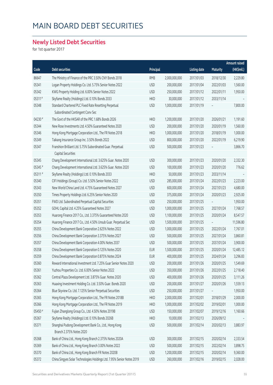#### **Newly Listed Debt Securities**

for 1st quarter 2017

|         |                                                                        |            |               |                     |            | Amount raised |
|---------|------------------------------------------------------------------------|------------|---------------|---------------------|------------|---------------|
| Code    | <b>Debt securities</b>                                                 | Principal  |               | <b>Listing date</b> | Maturity   | (HK\$mil.)    |
| 86647   | The Ministry of Finance of the PRC 3.50% CNY Bonds 2018                | <b>RMB</b> | 2,000,000,000 | 2017/01/03          | 2018/12/30 | 2,229.80      |
| 05341   | Logan Property Holdings Co. Ltd. 5.75% Senior Notes 2022               | <b>USD</b> | 200,000,000   | 2017/01/04          | 2022/01/03 | 1,560.00      |
| 05342   | KWG Property Holding Ltd. 6.00% Senior Notes 2022                      | <b>USD</b> | 250,000,000   | 2017/01/12          | 2022/01/11 | 1,950.00      |
| 05311#  | Skyfame Realty (Holdings) Ltd. 0.10% Bonds 2033                        | <b>HKD</b> | 30,000,000    | 2017/01/12          | 2033/11/14 |               |
| 05348   | Standard Chartered PLC Fixed Rate Resetting Perpetual                  | <b>USD</b> | 1,000,000,000 | 2017/01/19          |            | 7,800.00      |
|         | Subordinated Contingent Conv Sec                                       |            |               |                     |            |               |
| 04230 # | The Govt of the HKSAR of the PRC 1.68% Bonds 2026                      | <b>HKD</b> | 1,200,000,000 | 2017/01/20          | 2026/01/21 | 1,191.60      |
| 05344   | New Rose Investments Ltd. 4.50% Guaranteed Notes 2020                  | <b>USD</b> | 200,000,000   | 2017/01/20          | 2020/01/19 | 1,560.00      |
| 05346   | Hong Kong Mortgage Corporation Ltd., The FR Notes 2018                 | <b>HKD</b> | 1,000,000,000 | 2017/01/20          | 2018/01/19 | 1,000.00      |
| 05349   | Taikang Insurance Group Inc. 3.50% Bonds 2022                          | <b>USD</b> | 800,000,000   | 2017/01/20          | 2022/01/19 | 6,219.90      |
| 05347   | Franshion Brilliant Ltd. 5.75% Subordinated Guar. Perpetual            | <b>USD</b> | 500,000,000   | 2017/01/23          |            | 3,866.70      |
|         | Capital Securities                                                     |            |               |                     |            |               |
| 05345   | Chang Development International Ltd. 3.625% Guar. Notes 2020           | <b>USD</b> | 300,000,000   | 2017/01/23          | 2020/01/20 | 2,332.30      |
| 05345 # | Chang Development International Ltd. 3.625% Guar. Notes 2020           | <b>USD</b> | 100,000,000   | 2017/01/23          | 2020/01/20 | 776.62        |
| 05311#  | Skyfame Realty (Holdings) Ltd. 0.10% Bonds 2033                        | <b>HKD</b> | 50,000,000    | 2017/01/23          | 2033/11/14 |               |
| 05340   | CIFI Holdings (Group) Co. Ltd. 5.50% Senior Notes 2022                 | <b>USD</b> | 285,000,000   | 2017/01/24          | 2022/01/23 | 2,223.00      |
| 05343   | New World China Land Ltd. 4.75% Guaranteed Notes 2027                  | <b>USD</b> | 600,000,000   | 2017/01/24          | 2027/01/23 | 4,680.00      |
| 05350   | Times Property Holdings Ltd. 6.25% Senior Notes 2020                   | <b>USD</b> | 375,000,000   | 2017/01/24          | 2020/01/23 | 2,925.00      |
| 05351   | FWD Ltd. Subordinated Perpetual Capital Securities                     | <b>USD</b> | 250,000,000   | 2017/01/25          |            | 1,950.00      |
| 05352   | GOHL Capital Ltd. 4.25% Guaranteed Notes 2027                          | <b>USD</b> | 1,000,000,000 | 2017/01/25          | 2027/01/24 | 7,768.57      |
| 05353   | Huarong Finance 2017 Co., Ltd. 3.375% Guaranteed Notes 2020            | <b>USD</b> | 1,100,000,000 | 2017/01/25          | 2020/01/24 | 8,547.57      |
| 05354   | Huarong Finance 2017 Co., Ltd. 4.50% Unsub Guar. Perpetual Sec         | <b>USD</b> | 1,500,000,000 | 2017/01/25          |            | 11,596.80     |
| 05355   | China Development Bank Corporation 2.625% Notes 2022                   | <b>USD</b> | 1,000,000,000 | 2017/01/25          | 2022/01/24 | 7,767.01      |
| 05356   | China Development Bank Corporation 3.375% Notes 2027                   | <b>USD</b> | 500,000,000   | 2017/01/25          | 2027/01/24 | 3,860.81      |
| 05357   | China Development Bank Corporation 4.00% Notes 2037                    | <b>USD</b> | 500,000,000   | 2017/01/25          | 2037/01/24 | 3,900.00      |
| 05358   | China Development Bank Corporation 0.125% Notes 2020                   | <b>EUR</b> | 1,500,000,000 | 2017/01/25          | 2020/01/24 | 12,485.12     |
| 05359   | China Development Bank Corporation 0.875% Notes 2024                   | <b>EUR</b> | 400,000,000   | 2017/01/25          | 2024/01/24 | 3,296.83      |
| 05360   | Reward International Investment Ltd. 7.25% Guar Senior Notes 2020      | <b>USD</b> | 200,000,000   | 2017/01/26          | 2020/01/25 | 1,549.69      |
| 05361   | Yuzhou Properties Co. Ltd. 6.00% Senior Notes 2022                     | <b>USD</b> | 350,000,000   | 2017/01/26          | 2022/01/25 | 2,718.40      |
| 05362   | Central Plaza Development Ltd. 3.875% Guar. Notes 2020                 | <b>USD</b> | 400,000,000   | 2017/01/26          | 2020/01/25 | 3,111.26      |
| 05363   | Huaxing Investment Holding Co. Ltd. 3.50% Guar. Bonds 2020             | <b>USD</b> | 200,000,000   | 2017/01/27          | 2020/01/26 | 1,559.13      |
| 05364   | Blue Skyview Co. Ltd. 7.125% Senior Perpetual Securities               | <b>USD</b> | 250,000,000   | 2017/01/27          |            | 1,950.00      |
| 05365   | Hong Kong Mortgage Corporation Ltd., The FR Notes 2018B                | <b>HKD</b> | 2,000,000,000 | 2017/02/01          | 2018/01/29 | 2,000.00      |
| 05366   | Hong Kong Mortgage Corporation Ltd., The FR Notes 2019                 | <b>HKD</b> | 1,000,000,000 | 2017/02/02          | 2019/02/01 | 1,000.00      |
| 05450 # | Fujian Zhanglong Group Co., Ltd. 4.50% Notes 2019B                     | <b>USD</b> | 150,000,000   | 2017/02/07          | 2019/12/16 | 1,160.66      |
| 05367   | Skyfame Realty (Holdings) Ltd. 0.10% Bonds 2026B                       | <b>HKD</b> | 10,000,000    | 2017/02/13          | 2026/09/12 |               |
| 05371   | Shanghai Pudong Development Bank Co., Ltd., Hong Kong                  | <b>USD</b> | 500,000,000   | 2017/02/14          | 2020/02/13 | 3,883.97      |
|         | Branch 2.375% Notes 2020                                               |            |               |                     |            |               |
| 05368   | Bank of China Ltd., Hong Kong Branch 2.375% Notes 2020A                | <b>USD</b> | 300,000,000   | 2017/02/15          | 2020/02/14 | 2,333.54      |
| 05369   | Bank of China Ltd., Hong Kong Branch 3.00% Notes 2022                  | <b>USD</b> | 500,000,000   | 2017/02/15          | 2022/02/14 | 3,898.75      |
| 05370   | Bank of China Ltd., Hong Kong Branch FR Notes 2020B                    | <b>USD</b> | 1,200,000,000 | 2017/02/15          | 2020/02/14 | 9,360.00      |
| 05372   | China Singyes Solar Technologies Holdings Ltd. 7.95% Senior Notes 2019 | <b>USD</b> | 260,000,000   | 2017/02/16          | 2019/02/15 | 2,028.00      |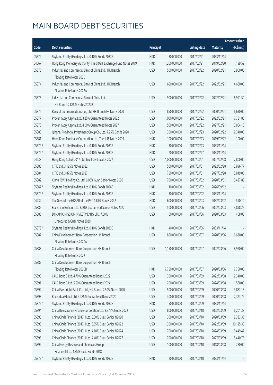|         |                                                                  |            |               |                     |                 | <b>Amount raised</b> |
|---------|------------------------------------------------------------------|------------|---------------|---------------------|-----------------|----------------------|
| Code    | <b>Debt securities</b>                                           | Principal  |               | <b>Listing date</b> | <b>Maturity</b> | (HK\$mil.)           |
| 05379   | Skyfame Realty (Holdings) Ltd. 0.10% Bonds 2033B                 | <b>HKD</b> | 30,000,000    | 2017/02/21          | 2033/11/14      |                      |
| 04067   | Hong Kong Monetary Authority, The 0.99% Exchange Fund Notes 2019 | <b>HKD</b> | 1,200,000,000 | 2017/02/21          | 2019/02/20      | 1,199.52             |
| 05373   | Industrial and Commercial Bank of China Ltd., HK Branch          | <b>USD</b> | 500,000,000   | 2017/02/22          | 2020/02/21      | 3,900.00             |
|         | Floating Rate Notes 2020                                         |            |               |                     |                 |                      |
| 05374   | Industrial and Commercial Bank of China Ltd., HK Branch          | <b>USD</b> | 600,000,000   | 2017/02/22          | 2022/02/21      | 4,680.00             |
|         | Floating Rate Notes 2022A                                        |            |               |                     |                 |                      |
| 05375   | Industrial and Commercial Bank of China Ltd.,                    | <b>USD</b> | 900,000,000   | 2017/02/22          | 2022/02/21      | 6,991.50             |
|         | HK Branch 2.875% Notes 2022B                                     |            |               |                     |                 |                      |
| 05376   | Bank of Communications Co., Ltd. HK Branch FR Notes 2020         | <b>USD</b> | 850,000,000   | 2017/02/22          | 2020/02/21      | 6,630.00             |
| 05377   | Proven Glory Capital Ltd. 3.25% Guaranteed Notes 2022            | <b>USD</b> | 1,000,000,000 | 2017/02/22          | 2022/02/21      | 7,781.83             |
| 05378   | Proven Glory Capital Ltd. 4.00% Guaranteed Notes 2027            | <b>USD</b> | 500,000,000   | 2017/02/22          | 2027/02/21      | 3,864.16             |
| 05380   | Qinghai Provincial Investment Group Co., Ltd. 7.25% Bonds 2020   | <b>USD</b> | 300,000,000   | 2017/02/23          | 2020/02/22      | 2,340.00             |
| 05381   | Hong Kong Mortgage Corporation Ltd., The 1.48 Notes 2019         | <b>HKD</b> | 100,000,000   | 2017/02/23          | 2019/02/22      | 100.00               |
| 05379 # | Skyfame Realty (Holdings) Ltd. 0.10% Bonds 2033B                 | <b>HKD</b> | 30,000,000    | 2017/02/23          | 2033/11/14      |                      |
| 05379 # | Skyfame Realty (Holdings) Ltd. 0.10% Bonds 2033B                 | <b>HKD</b> | 20,000,000    | 2017/02/27          | 2033/11/14      |                      |
| 04233   | Hong Kong Sukuk 2017 Ltd. Trust Certificates 2027                | <b>USD</b> | 1,000,000,000 | 2017/03/01          | 2027/02/28      | 7,800.00             |
| 05383   | CITIC Ltd. 3.125% Notes 2022                                     | <b>USD</b> | 500,000,000   | 2017/03/01          | 2022/02/28      | 3,896.77             |
| 05384   | CITIC Ltd. 3.875% Notes 2027                                     | <b>USD</b> | 750,000,000   | 2017/03/01          | 2027/02/28      | 5,849.06             |
| 05382   | Xinhu (BVI) Holding Co. Ltd. 6.00% Guar. Senior Notes 2020       | <b>USD</b> | 700,000,000   | 2017/03/02          | 2020/03/01      | 5,437.89             |
| 05367 # | Skyfame Realty (Holdings) Ltd. 0.10% Bonds 2026B                 | <b>HKD</b> | 10,000,000    | 2017/03/02          | 2026/09/12      |                      |
| 05379 # | Skyfame Realty (Holdings) Ltd. 0.10% Bonds 2033B                 | <b>HKD</b> | 30,000,000    | 2017/03/02          | 2033/11/14      |                      |
| 04232   | The Govt of the HKSAR of the PRC 1.89% Bonds 2032                | <b>HKD</b> | 600,000,000   | 2017/03/03          | 2032/03/02      | 590.10               |
| 05385   | Franshion Brilliant Ltd. 3.60% Guaranteed Senior Notes 2022      | <b>USD</b> | 500,000,000   | 2017/03/06          | 2022/03/03      | 3,898.25             |
| 05386   | DYNAMIC MISSION INVESTMENTS LTD. 7.50%                           | <b>USD</b> | 60,000,000    | 2017/03/06          | 2020/03/03      | 468.00               |
|         | Unsecured & Guar Notes 2020                                      |            |               |                     |                 |                      |
| 05379#  | Skyfame Realty (Holdings) Ltd. 0.10% Bonds 2033B                 | <b>HKD</b> | 40,000,000    | 2017/03/06          | 2033/11/14      |                      |
| 05387   | China Development Bank Corporation HK Branch                     | <b>USD</b> | 850,000,000   | 2017/03/07          | 2020/03/06      | 6,630.00             |
|         | Floating Rate Notes 2020A                                        |            |               |                     |                 |                      |
| 05388   | China Development Bank Corporation HK Branch                     | <b>USD</b> | 1,150,000,000 | 2017/03/07          | 2022/03/06      | 8,970.00             |
|         | Floating Rate Notes 2022                                         |            |               |                     |                 |                      |
| 05389   | China Development Bank Corporation HK Branch                     |            |               |                     |                 |                      |
|         | Floating Rate Notes 2020B                                        | <b>HKD</b> | 7,750,000,000 | 2017/03/07          | 2020/03/06      | 7,750.00             |
| 05390   | CALC Bond 3 Ltd. 4.70% Guaranteed Bonds 2022                     | <b>USD</b> | 300,000,000   | 2017/03/09          | 2022/03/08      | 2,340.00             |
| 05391   | CALC Bond 3 Ltd. 5.50% Guaranteed Bonds 2024                     | <b>USD</b> | 200,000,000   | 2017/03/09          | 2024/03/08      | 1,560.00             |
| 05392   | China Everbright Bank Co. Ltd., HK Branch 2.50% Notes 2020       | <b>USD</b> | 500,000,000   | 2017/03/09          | 2020/03/08      | 3,887.13             |
| 05393   | Keen Idea Global Ltd. 4.375% Guaranteed Bonds 2020               | <b>USD</b> | 300,000,000   | 2017/03/09          | 2020/03/08      | 2,323.79             |
| 05379 # | Skyfame Realty (Holdings) Ltd. 0.10% Bonds 2033B                 | <b>HKD</b> | 50,000,000    | 2017/03/09          | 2033/11/14      |                      |
| 05394   | China Reinsurance Finance Corporation Ltd. 3.375% Notes 2022     | <b>USD</b> | 800,000,000   | 2017/03/10          | 2022/03/09      | 6,201.38             |
| 05395   | China Cinda Finance (2017) I Ltd. 3.00% Guar. Senior N2020       | <b>USD</b> | 300,000,000   | 2017/03/10          | 2020/03/09      | 2,333.36             |
| 05396   | China Cinda Finance (2017) I Ltd. 3.65% Guar. Senior N2022       | <b>USD</b> | 1,300,000,000 | 2017/03/10          | 2022/03/09      | 10,125.30            |
| 05397   | China Cinda Finance (2017) I Ltd. 4.10% Guar. Senior N2024       | <b>USD</b> | 700,000,000   | 2017/03/10          | 2024/03/09      | 5,449.47             |
| 05398   | China Cinda Finance (2017) I Ltd. 4.40% Guar. Senior N2027       | <b>USD</b> | 700,000,000   | 2017/03/10          | 2027/03/09      | 5,440.78             |
| 05399   | China Energy Reserve and Chemicals Group                         | <b>USD</b> | 100,000,000   | 2017/03/10          | 2018/03/08      | 780.00               |
|         | Finance III Ltd. 4.75% Guar. Bonds 2018                          |            |               |                     |                 |                      |
| 05379 # | Skyfame Realty (Holdings) Ltd. 0.10% Bonds 2033B                 | <b>HKD</b> | 20,000,000    | 2017/03/10          | 2033/11/14      |                      |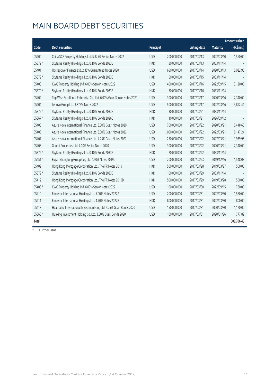|         |                                                                        |            |               |                     |                 | <b>Amount raised</b> |
|---------|------------------------------------------------------------------------|------------|---------------|---------------------|-----------------|----------------------|
| Code    | <b>Debt securities</b>                                                 | Principal  |               | <b>Listing date</b> | <b>Maturity</b> | (HK\$mil.)           |
| 05400   | China SCE Property Holdings Ltd. 5.875% Senior Notes 2022              | <b>USD</b> | 200,000,000   | 2017/03/13          | 2022/03/10      | 1,560.00             |
| 05379 # | Skyfame Realty (Holdings) Ltd. 0.10% Bonds 2033B                       | <b>HKD</b> | 30,000,000    | 2017/03/13          | 2033/11/14      |                      |
| 05401   | Horsepower Finance Ltd. 2.35% Guaranteed Notes 2020                    | <b>USD</b> | 650,000,000   | 2017/03/14          | 2020/03/13      | 5,022.95             |
| 05379 # | Skyfame Realty (Holdings) Ltd. 0.10% Bonds 2033B                       | <b>HKD</b> | 50,000,000    | 2017/03/15          | 2033/11/14      |                      |
| 05403   | KWG Property Holding Ltd. 6.00% Senior Notes 2022                      | <b>USD</b> | 400,000,000   | 2017/03/16          | 2022/09/15      | 3,120.00             |
| 05379 # | Skyfame Realty (Holdings) Ltd. 0.10% Bonds 2033B                       | <b>HKD</b> | 50,000,000    | 2017/03/16          | 2033/11/14      |                      |
| 05402   | Top Wise Excellence Enterprise Co., Ltd. 6.00% Guar. Senior Notes 2020 | <b>USD</b> | 300,000,000   | 2017/03/17          | 2020/03/16      | 2,340.00             |
| 05404   | Lenovo Group Ltd. 3.875% Notes 2022                                    | <b>USD</b> | 500,000,000   | 2017/03/17          | 2022/03/16      | 3,892.44             |
| 05379 # | Skyfame Realty (Holdings) Ltd. 0.10% Bonds 2033B                       | <b>HKD</b> | 30,000,000    | 2017/03/21          | 2033/11/14      |                      |
| 05367 # | Skyfame Realty (Holdings) Ltd. 0.10% Bonds 2026B                       | <b>HKD</b> | 10,000,000    | 2017/03/21          | 2026/09/12      |                      |
| 05405   | Azure Nova International Finance Ltd. 3.00% Guar. Notes 2020           | <b>USD</b> | 700,000,000   | 2017/03/22          | 2020/03/21      | 5,448.65             |
| 05406   | Azure Nova International Finance Ltd. 3.50% Guar. Notes 2022           | <b>USD</b> | 1,050,000,000 | 2017/03/22          | 2022/03/21      | 8,147.24             |
| 05407   | Azure Nova International Finance Ltd. 4.25% Guar. Notes 2027           | <b>USD</b> | 250,000,000   | 2017/03/22          | 2027/03/21      | 1,939.96             |
| 05408   | Guorui Properties Ltd. 7.00% Senior Notes 2020                         | <b>USD</b> | 300,000,000   | 2017/03/22          | 2020/03/21      | 2,340.00             |
| 05379 # | Skyfame Realty (Holdings) Ltd. 0.10% Bonds 2033B                       | <b>HKD</b> | 70,000,000    | 2017/03/22          | 2033/11/14      |                      |
| 05451#  | Fujian Zhanglong Group Co., Ltd. 4.50% Notes 2019C                     | <b>USD</b> | 200,000,000   | 2017/03/23          | 2019/12/16      | 1,548.03             |
| 05409   | Hong Kong Mortgage Corporation Ltd., The FR Notes 2019                 | <b>HKD</b> | 500,000,000   | 2017/03/28          | 2019/03/27      | 500.00               |
| 05379 # | Skyfame Realty (Holdings) Ltd. 0.10% Bonds 2033B                       | <b>HKD</b> | 100,000,000   | 2017/03/29          | 2033/11/14      |                      |
| 05412   | Hong Kong Mortgage Corporation Ltd., The FR Notes 2019B                | <b>HKD</b> | 500,000,000   | 2017/03/29          | 2019/03/28      | 500.00               |
| 05403 # | KWG Property Holding Ltd. 6.00% Senior Notes 2022                      | <b>USD</b> | 100,000,000   | 2017/03/30          | 2022/09/15      | 780.00               |
| 05410   | Emperor International Holdings Ltd. 5.00% Notes 2022A                  | <b>USD</b> | 200,000,000   | 2017/03/31          | 2022/03/30      | 1,560.00             |
| 05411   | Emperor International Holdings Ltd. 4.70% Notes 2022B                  | <b>HKD</b> | 800,000,000   | 2017/03/31          | 2022/03/30      | 800.00               |
| 05413   | Huantaihu International Investment Co., Ltd. 5.75% Guar. Bonds 2020    | <b>USD</b> | 150,000,000   | 2017/03/31          | 2020/03/30      | 1,170.00             |
| 05363 # | Huaxing Investment Holding Co. Ltd. 3.50% Guar. Bonds 2020             | <b>USD</b> | 100,000,000   | 2017/03/31          | 2020/01/26      | 777.89               |
| Total   |                                                                        |            |               |                     |                 | 308,706.43           |

# Further issue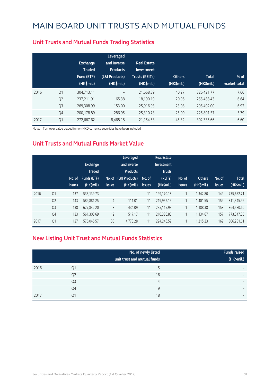|      |                | <b>Exchange</b><br><b>Traded</b><br>Fund (ETF)<br>(HK\$mil.) | Leveraged<br>and Inverse<br><b>Products</b><br>(L&I Products)<br>(HK\$mil.) | <b>Real Estate</b><br>Investment<br><b>Trusts (REITs)</b><br>(HK\$mil.) | <b>Others</b><br>(HK\$mil.) | <b>Total</b><br>(HK\$mil.) | $%$ of<br>market total |
|------|----------------|--------------------------------------------------------------|-----------------------------------------------------------------------------|-------------------------------------------------------------------------|-----------------------------|----------------------------|------------------------|
| 2016 | Q1             | 304,713.11                                                   | -                                                                           | 21,668.39                                                               | 40.27                       | 326,421.77                 | 7.66                   |
|      | Q <sub>2</sub> | 237,211.91                                                   | 65.38                                                                       | 18,190.19                                                               | 20.96                       | 255,488.43                 | 6.64                   |
|      | Q <sub>3</sub> | 269,308.99                                                   | 153.00                                                                      | 25,916.93                                                               | 23.08                       | 295,402.00                 | 6.92                   |
|      | Q4             | 200.178.89                                                   | 286.95                                                                      | 25.310.73                                                               | 25.00                       | 225,801.57                 | 5.79                   |
| 2017 | Q <sub>1</sub> | 272,667.62                                                   | 8.468.18                                                                    | 21,154.53                                                               | 45.32                       | 302,335.66                 | 6.60                   |

#### **Unit Trusts and Mutual Funds Trading Statistics**

Note: Turnover value traded in non-HKD currency securities have been included

#### **Unit Trusts and Mutual Funds Market Value**

|      |                | No. of<br><b>issues</b> | <b>Exchange</b><br><b>Traded</b><br>Funds (ETF)<br>(HK\$mil.) | No. of<br><b>issues</b> | Leveraged<br>and Inverse<br><b>Products</b><br>(L&I Products)<br>(HK\$mil.) | No. of<br><b>issues</b> | <b>Real Estate</b><br>Investment<br><b>Trusts</b><br>(REITs)<br>(HK\$mil.) | No. of<br><i>issues</i>  | <b>Others</b><br>(HK\$mil.) | No. of<br><b>issues</b> | <b>Total</b><br>(HK\$mil.) |
|------|----------------|-------------------------|---------------------------------------------------------------|-------------------------|-----------------------------------------------------------------------------|-------------------------|----------------------------------------------------------------------------|--------------------------|-----------------------------|-------------------------|----------------------------|
| 2016 | Q1             | 137                     | 535,139.73                                                    | $\qquad \qquad -$       | $\overline{\phantom{a}}$                                                    | 11                      | 199.170.18                                                                 | 1                        | 1.342.80                    | 149                     | 735.652.71                 |
|      | Q <sub>2</sub> | 143                     | 589,881.25                                                    | 4                       | 111.01                                                                      | 11                      | 219,952.15                                                                 |                          | 1,401.55                    | 159                     | 811,345.96                 |
|      | Q <sub>3</sub> | 138                     | 627,842.20                                                    | 8                       | 434.09                                                                      | 11                      | 235,115.93                                                                 | 1                        | 1,188.38                    | 158                     | 864,580.60                 |
|      | Q4             | 133                     | 561,308.69                                                    | 12                      | 517.17                                                                      | 11                      | 210,386.83                                                                 | $\overline{\phantom{a}}$ | 1,134.67                    | 157                     | 773,347.35                 |
| 2017 | Q1             | 127                     | 576,046.57                                                    | 30                      | 4,773.28                                                                    | 11                      | 224,246.52                                                                 | $\overline{ }$           | 1,215.23                    | 169                     | 806,281.61                 |

#### **New Listing Unit Trust and Mutual Funds Statistics**

|      |                | No. of newly listed<br>unit trust and mutual funds | <b>Funds raised</b><br>(HK\$mil.) |
|------|----------------|----------------------------------------------------|-----------------------------------|
| 2016 | Q1             |                                                    | $\overline{\phantom{0}}$          |
|      | Q <sub>2</sub> | 16                                                 | $\overline{\phantom{0}}$          |
|      | Q <sub>3</sub> | 4                                                  | $\overline{\phantom{0}}$          |
|      | Q4             | 9                                                  | $\overline{\phantom{0}}$          |
| 2017 | Q1             | 18                                                 | $\overline{\phantom{0}}$          |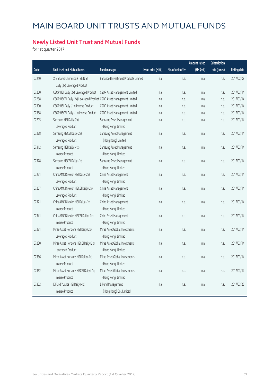#### **Newly Listed Unit Trust and Mutual Funds**

for 1st quarter 2017

|       |                                                                       |                                             |                    |                   | <b>Amount raised</b> | Subscription |                     |
|-------|-----------------------------------------------------------------------|---------------------------------------------|--------------------|-------------------|----------------------|--------------|---------------------|
| Code  | Unit trust and Mutual funds                                           | <b>Fund manager</b>                         | Issue price (HK\$) | No. of unit offer | (HK\$mil)            | rate (times) | <b>Listing date</b> |
| 07210 | XIE Shares Chimerica FTSE N Sh                                        | <b>Enhanced Investment Products Limited</b> | n.a.               | n.a.              | n.a.                 | n.a.         | 2017/02/08          |
|       | Daily (2x) Leveraged Product                                          |                                             |                    |                   |                      |              |                     |
| 07200 | CSOP HSI Daily (2x) Leveraged Product                                 | CSOP Asset Management Limited               | n.a.               | n.a.              | n.a.                 | n.a.         | 2017/03/14          |
| 07288 | CSOP HSCEI Daily (2x) Leveraged Product CSOP Asset Management Limited |                                             | n.a.               | n.a.              | n.a.                 | n.a.         | 2017/03/14          |
| 07300 | CSOP HSI Daily (-1x) Inverse Product                                  | CSOP Asset Management Limited               | n.a.               | n.a.              | n.a.                 | n.a.         | 2017/03/14          |
| 07388 | CSOP HSCEI Daily (-1x) Inverse Product                                | CSOP Asset Management Limited               | n.a.               | n.a.              | n.a.                 | n.a.         | 2017/03/14          |
| 07205 | Samsung HSI Daily (2x)                                                | Samsung Asset Management                    | n.a.               | n.a.              | n.a.                 | n.a.         | 2017/03/14          |
|       | Leveraged Product                                                     | (Hong Kong) Limited                         |                    |                   |                      |              |                     |
| 07228 | Samsung HSCEI Daily (2x)                                              | Samsung Asset Management                    | n.a.               | n.a.              | n.a.                 | n.a.         | 2017/03/14          |
|       | Leveraged Product                                                     | (Hong Kong) Limited                         |                    |                   |                      |              |                     |
| 07312 | Samsung HSI Daily (-1x)                                               | Samsung Asset Management                    | n.a.               | n.a.              | n.a.                 | n.a.         | 2017/03/14          |
|       | <b>Inverse Product</b>                                                | (Hong Kong) Limited                         |                    |                   |                      |              |                     |
| 07328 | Samsung HSCEI Daily (-1x)                                             | Samsung Asset Management                    | n.a.               | n.a.              | n.a.                 | n.a.         | 2017/03/14          |
|       | <b>Inverse Product</b>                                                | (Hong Kong) Limited                         |                    |                   |                      |              |                     |
| 07221 | ChinaAMC Direxion HSI Daily (2x)                                      | China Asset Management                      | n.a.               | n.a.              | n.a.                 | n.a.         | 2017/03/14          |
|       | Leveraged Product                                                     | (Hong Kong) Limited                         |                    |                   |                      |              |                     |
| 07267 | ChinaAMC Direxion HSCEI Daily (2x)                                    | China Asset Management                      | n.a.               | n.a.              | n.a.                 | n.a.         | 2017/03/14          |
|       | Leveraged Product                                                     | (Hong Kong) Limited                         |                    |                   |                      |              |                     |
| 07321 | ChinaAMC Direxion HSI Daily (-1x)                                     | China Asset Management                      | n.a.               | n.a.              | n.a.                 | n.a.         | 2017/03/14          |
|       | <b>Inverse Product</b>                                                | (Hong Kong) Limited                         |                    |                   |                      |              |                     |
| 07341 | ChinaAMC Direxion HSCEI Daily (-1x)                                   | China Asset Management                      | n.a.               | n.a.              | n.a.                 | n.a.         | 2017/03/14          |
|       | <b>Inverse Product</b>                                                | (Hong Kong) Limited                         |                    |                   |                      |              |                     |
| 07231 | Mirae Asset Horizons HSI Daily (2x)                                   | Mirae Asset Global Investments              | n.a.               | n.a.              | n.a.                 | n.a.         | 2017/03/14          |
|       | Leveraged Product                                                     | (Hong Kong) Limited                         |                    |                   |                      |              |                     |
| 07230 | Mirae Asset Horizons HSCEI Daily (2x)                                 | Mirae Asset Global Investments              | n.a.               | n.a.              | n.a.                 | n.a.         | 2017/03/14          |
|       | Leveraged Product                                                     | (Hong Kong) Limited                         |                    |                   |                      |              |                     |
| 07336 | Mirae Asset Horizons HSI Daily (-1x)                                  | Mirae Asset Global Investments              | n.a.               | n.a.              | n.a.                 | n.a.         | 2017/03/14          |
|       | <b>Inverse Product</b>                                                | (Hong Kong) Limited                         |                    |                   |                      |              |                     |
| 07362 | Mirae Asset Horizons HSCEI Daily (-1x)                                | Mirae Asset Global Investments              | n.a.               | n.a.              | n.a.                 | n.a.         | 2017/03/14          |
|       | <b>Inverse Product</b>                                                | (Hong Kong) Limited                         |                    |                   |                      |              |                     |
| 07302 | E Fund Yuanta HSI Daily (-1x)                                         | E Fund Management                           | n.a.               | n.a.              | n.a.                 | n.a.         | 2017/03/20          |
|       | <b>Inverse Product</b>                                                | (Hong Kong) Co., Limited                    |                    |                   |                      |              |                     |
|       |                                                                       |                                             |                    |                   |                      |              |                     |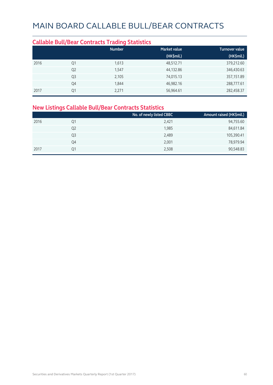#### **Callable Bull/Bear Contracts Trading Statistics Mumber Market value Turnover value (HK\$mil.) (HK\$mil.)** 2016 Q1 1,613 48,512.71 379,212.60 Q2 1,547 44,132.86 346,430.63 Q3 2,105 74,015.13 357,151.89 Q4 1,844 46,982.16 288,777.61 2017 Q1 2,271 56,964.61 282,458.37

#### **New Listings Callable Bull/Bear Contracts Statistics**

|      |                | No. of newly listed CBBC | Amount raised (HK\$mil.) |
|------|----------------|--------------------------|--------------------------|
| 2016 | Q1             | 2,421                    | 94,755.60                |
|      | Q <sub>2</sub> | 1,985                    | 84,611.84                |
|      | Q3             | 2,489                    | 105,390.41               |
|      | Q4             | 2,001                    | 78,979.94                |
| 2017 | Q1             | 2,508                    | 90,548.83                |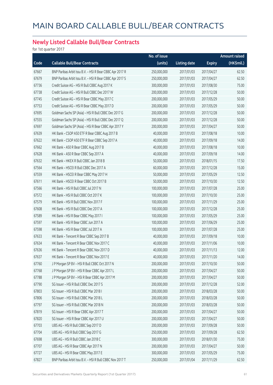#### **Newly Listed Callable Bull/Bear Contracts**

for 1st quarter 2017

|       |                                                          | No. of issue |                     |               | <b>Amount raised</b> |
|-------|----------------------------------------------------------|--------------|---------------------|---------------|----------------------|
| Code  | <b>Callable Bull/Bear Contracts</b>                      | (units)      | <b>Listing date</b> | <b>Expiry</b> | (HK\$mil.)           |
| 67667 | BNP Paribas Arbit Issu B.V. - HSI R Bear CBBC Apr 2017 R | 250,000,000  | 2017/01/03          | 2017/04/27    | 62.50                |
| 67679 | BNP Paribas Arbit Issu B.V. - HSI R Bear CBBC Apr 2017 S | 250,000,000  | 2017/01/03          | 2017/04/27    | 62.50                |
| 67736 | Credit Suisse AG - HSI R Bull CBBC Aug 2017 K            | 300,000,000  | 2017/01/03          | 2017/08/30    | 75.00                |
| 67738 | Credit Suisse AG - HSI R Bull CBBC Dec 2017 W            | 200,000,000  | 2017/01/03          | 2017/12/28    | 50.00                |
| 67745 | Credit Suisse AG - HSI R Bear CBBC May 2017 C            | 200,000,000  | 2017/01/03          | 2017/05/29    | 50.00                |
| 67753 | Credit Suisse AG - HSI R Bear CBBC May 2017 D            | 200,000,000  | 2017/01/03          | 2017/05/29    | 50.00                |
| 67695 | Goldman Sachs SP (Asia) - HSI R Bull CBBC Dec 2017 G     | 200,000,000  | 2017/01/03          | 2017/12/28    | 50.00                |
| 67555 | Goldman Sachs SP (Asia) - HSI R Bull CBBC Dec 2017 Q     | 200,000,000  | 2017/01/03          | 2017/12/28    | 50.00                |
| 67697 | Goldman Sachs SP (Asia) - HSI R Bear CBBC Apr 2017 Y     | 200,000,000  | 2017/01/03          | 2017/04/27    | 50.00                |
| 67639 | HK Bank - CSOP A50 ETF R Bear CBBC Aug 2017 B            | 40,000,000   | 2017/01/03          | 2017/08/18    | 10.00                |
| 67622 | HK Bank - CSOP A50 ETF R Bear CBBC Sep 2017 A            | 40,000,000   | 2017/01/03          | 2017/09/18    | 14.00                |
| 67662 | HK Bank - A50 R Bear CBBC Aug 2017 B                     | 40,000,000   | 2017/01/03          | 2017/08/18    | 10.00                |
| 67628 | HK Bank - A50 R Bear CBBC Sep 2017 A                     | 40,000,000   | 2017/01/03          | 2017/09/18    | 14.00                |
| 67632 | HK Bank - HKEX R Bull CBBC Jan 2018 B                    | 50,000,000   | 2017/01/03          | 2018/01/15    | 17.50                |
| 67564 | HK Bank - HSCEI R Bull CBBC Dec 2017 A                   | 60,000,000   | 2017/01/03          | 2017/12/28    | 15.00                |
| 67559 | HK Bank - HSCEI R Bear CBBC May 2017 H                   | 50,000,000   | 2017/01/03          | 2017/05/29    | 12.50                |
| 67611 | HK Bank - HSCEI R Bear CBBC Oct 2017 B                   | 50,000,000   | 2017/01/03          | 2017/10/30    | 12.50                |
| 67566 | HK Bank - HSI R Bull CBBC Jul 2017 N                     | 100,000,000  | 2017/01/03          | 2017/07/28    | 25.00                |
| 67572 | HK Bank - HSI R Bull CBBC Oct 2017 K                     | 100,000,000  | 2017/01/03          | 2017/10/30    | 25.00                |
| 67579 | HK Bank - HSI R Bull CBBC Nov 2017 F                     | 100,000,000  | 2017/01/03          | 2017/11/29    | 25.00                |
| 67608 | HK Bank - HSI R Bull CBBC Dec 2017 A                     | 100,000,000  | 2017/01/03          | 2017/12/28    | 25.00                |
| 67589 | HK Bank - HSI R Bear CBBC May 2017 I                     | 100,000,000  | 2017/01/03          | 2017/05/29    | 25.00                |
| 67597 | HK Bank - HSI R Bear CBBC Jun 2017 A                     | 100,000,000  | 2017/01/03          | 2017/06/29    | 25.00                |
| 67598 | HK Bank - HSI R Bear CBBC Jul 2017 A                     | 100,000,000  | 2017/01/03          | 2017/07/28    | 25.00                |
| 67633 | HK Bank - Tencent R Bear CBBC Sep 2017 B                 | 40,000,000   | 2017/01/03          | 2017/09/18    | 10.00                |
| 67634 | HK Bank - Tencent R Bear CBBC Nov 2017 C                 | 40,000,000   | 2017/01/03          | 2017/11/06    | 10.00                |
| 67636 | HK Bank - Tencent R Bear CBBC Nov 2017 D                 | 40,000,000   | 2017/01/03          | 2017/11/13    | 12.00                |
| 67637 | HK Bank - Tencent R Bear CBBC Nov 2017 E                 | 40,000,000   | 2017/01/03          | 2017/11/20    | 14.00                |
| 67760 | J P Morgan SP BV - HSI R Bull CBBC Oct 2017 N            | 200,000,000  | 2017/01/03          | 2017/10/30    | 50.00                |
| 67768 | J P Morgan SP BV - HSI R Bear CBBC Apr 2017 L            | 200,000,000  | 2017/01/03          | 2017/04/27    | 50.00                |
| 67788 | J P Morgan SP BV - HSI R Bear CBBC Apr 2017 M            | 200,000,000  | 2017/01/03          | 2017/04/27    | 50.00                |
| 67790 | SG Issuer - HSI R Bull CBBC Dec 2017 S                   | 200,000,000  | 2017/01/03          | 2017/12/28    | 52.00                |
| 67803 | SG Issuer - HSI R Bull CBBC Mar 2018 I                   | 200,000,000  | 2017/01/03          | 2018/03/28    | 50.00                |
| 67806 | SG Issuer - HSI R Bull CBBC Mar 2018 L                   | 200,000,000  | 2017/01/03          | 2018/03/28    | 50.00                |
| 67797 | SG Issuer - HSI R Bull CBBC Mar 2018 N                   | 200,000,000  | 2017/01/03          | 2018/03/28    | 50.00                |
| 67819 | SG Issuer - HSI R Bear CBBC Apr 2017 T                   | 200,000,000  | 2017/01/03          | 2017/04/27    | 50.00                |
| 67820 | SG Issuer - HSI R Bear CBBC Apr 2017 U                   | 200,000,000  | 2017/01/03          | 2017/04/27    | 50.00                |
| 67703 | UBS AG - HSI R Bull CBBC Sep 2017 D                      | 200,000,000  | 2017/01/03          | 2017/09/28    | 50.00                |
| 67704 | UBS AG - HSI R Bull CBBC Sep 2017 G                      | 250,000,000  | 2017/01/03          | 2017/09/28    | 62.50                |
| 67698 | UBS AG - HSI R Bull CBBC Jan 2018 C                      | 300,000,000  | 2017/01/03          | 2018/01/30    | 75.00                |
| 67707 | UBS AG - HSI R Bear CBBC Apr 2017 N                      | 200,000,000  | 2017/01/03          | 2017/04/27    | 50.00                |
| 67727 | UBS AG - HSI R Bear CBBC May 2017 E                      | 300,000,000  | 2017/01/03          | 2017/05/29    | 75.00                |
| 67827 | BNP Paribas Arbit Issu B.V. - HSI R Bull CBBC Nov 2017 T | 250,000,000  | 2017/01/04          | 2017/11/29    | 62.50                |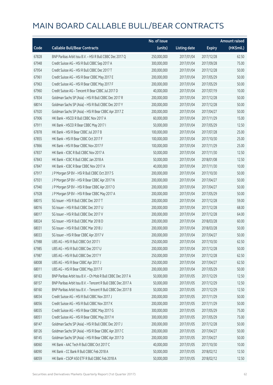|       |                                                              | No. of issue |                     |               | <b>Amount raised</b> |
|-------|--------------------------------------------------------------|--------------|---------------------|---------------|----------------------|
| Code  | <b>Callable Bull/Bear Contracts</b>                          | (units)      | <b>Listing date</b> | <b>Expiry</b> | (HK\$mil.)           |
| 67828 | BNP Paribas Arbit Issu B.V. - HSI R Bull CBBC Dec 2017 Q     | 250,000,000  | 2017/01/04          | 2017/12/28    | 62.50                |
| 67948 | Credit Suisse AG - HSI R Bull CBBC Sep 2017 A                | 300,000,000  | 2017/01/04          | 2017/09/28    | 75.00                |
| 67954 | Credit Suisse AG - HSI R Bull CBBC Dec 2017 T                | 200,000,000  | 2017/01/04          | 2017/12/28    | 50.00                |
| 67961 | Credit Suisse AG - HSI R Bear CBBC May 2017 E                | 200,000,000  | 2017/01/04          | 2017/05/29    | 50.00                |
| 67963 | Credit Suisse AG - HSI R Bear CBBC May 2017 F                | 200,000,000  | 2017/01/04          | 2017/05/29    | 50.00                |
| 67960 | Credit Suisse AG - Tencent R Bear CBBC Jul 2017 D            | 40,000,000   | 2017/01/04          | 2017/07/19    | 10.00                |
| 67834 | Goldman Sachs SP (Asia) - HSI R Bull CBBC Dec 2017 R         | 200,000,000  | 2017/01/04          | 2017/12/28    | 50.00                |
| 68014 | Goldman Sachs SP (Asia) - HSI R Bull CBBC Dec 2017 Y         | 200,000,000  | 2017/01/04          | 2017/12/28    | 50.00                |
| 67920 | Goldman Sachs SP (Asia) - HSI R Bear CBBC Apr 2017 Z         | 200,000,000  | 2017/01/04          | 2017/04/27    | 50.00                |
| 67906 | HK Bank - HSCEI R Bull CBBC Nov 2017 A                       | 60,000,000   | 2017/01/04          | 2017/11/29    | 15.00                |
| 67911 | HK Bank - HSCEI R Bear CBBC May 2017 I                       | 50,000,000   | 2017/01/04          | 2017/05/29    | 12.50                |
| 67878 | HK Bank - HSI R Bear CBBC Jul 2017 B                         | 100,000,000  | 2017/01/04          | 2017/07/28    | 25.00                |
| 67855 | HK Bank - HSI R Bear CBBC Oct 2017 F                         | 100,000,000  | 2017/01/04          | 2017/10/30    | 25.00                |
| 67866 | HK Bank - HSI R Bear CBBC Nov 2017 F                         | 100,000,000  | 2017/01/04          | 2017/11/29    | 25.00                |
| 67837 | HK Bank - ICBC R Bull CBBC Nov 2017 A                        | 50,000,000   | 2017/01/04          | 2017/11/30    | 12.50                |
| 67843 | HK Bank - ICBC R Bull CBBC Jan 2018 A                        | 50,000,000   | 2017/01/04          | 2018/01/08    | 12.50                |
| 67847 | HK Bank - ICBC R Bear CBBC Nov 2017 A                        | 40,000,000   | 2017/01/04          | 2017/11/30    | 10.00                |
| 67917 | J P Morgan SP BV - HSI R Bull CBBC Oct 2017 S                | 200,000,000  | 2017/01/04          | 2017/10/30    | 50.00                |
| 67931 | J P Morgan SP BV - HSI R Bear CBBC Apr 2017 N                | 200,000,000  | 2017/01/04          | 2017/04/27    | 50.00                |
| 67940 | J P Morgan SP BV - HSI R Bear CBBC Apr 2017 O                | 200,000,000  | 2017/01/04          | 2017/04/27    | 50.00                |
| 67928 | J P Morgan SP BV - HSI R Bear CBBC May 2017 A                | 200,000,000  | 2017/01/04          | 2017/05/29    | 50.00                |
| 68015 | SG Issuer - HSI R Bull CBBC Dec 2017 T                       | 200,000,000  | 2017/01/04          | 2017/12/28    | 59.00                |
| 68016 | SG Issuer - HSI R Bull CBBC Dec 2017 U                       | 200,000,000  | 2017/01/04          | 2017/12/28    | 68.00                |
| 68017 | SG Issuer - HSI R Bull CBBC Dec 2017 V                       | 200,000,000  | 2017/01/04          | 2017/12/28    | 64.00                |
| 68024 | SG Issuer - HSI R Bull CBBC Mar 2018 D                       | 200,000,000  | 2017/01/04          | 2018/03/28    | 60.00                |
| 68031 | SG Issuer - HSI R Bull CBBC Mar 2018 J                       | 200,000,000  | 2017/01/04          | 2018/03/28    | 50.00                |
| 68033 | SG Issuer - HSI R Bear CBBC Apr 2017 V                       | 200,000,000  | 2017/01/04          | 2017/04/27    | 50.00                |
| 67988 | UBS AG - HSLR Bull CBBC Oct 2017 L                           | 250,000,000  | 2017/01/04          | 2017/10/30    | 62.50                |
| 67985 | UBS AG - HSI R Bull CBBC Dec 2017 U                          | 200,000,000  | 2017/01/04          | 2017/12/28    | 50.00                |
| 67987 | UBS AG - HSI R Bull CBBC Dec 2017 Y                          | 250,000,000  | 2017/01/04          | 2017/12/28    | 62.50                |
| 68008 | UBS AG - HSI R Bear CBBC Apr 2017 J                          | 250,000,000  | 2017/01/04          | 2017/04/27    | 62.50                |
| 68011 | UBS AG - HSI R Bear CBBC May 2017 F                          | 200,000,000  | 2017/01/04          | 2017/05/29    | 50.00                |
| 68163 | BNP Paribas Arbit Issu B.V. - Ch Mob R Bull CBBC Dec 2017 A  | 50,000,000   | 2017/01/05          | 2017/12/29    | 12.50                |
| 68157 | BNP Paribas Arbit Issu B.V. - Tencent R Bull CBBC Dec 2017 A | 50,000,000   | 2017/01/05          | 2017/12/29    | 12.50                |
| 68160 | BNP Paribas Arbit Issu B.V. - Tencent R Bull CBBC Dec 2017 B | 50,000,000   | 2017/01/05          | 2017/12/29    | 12.50                |
| 68034 | Credit Suisse AG - HSI R Bull CBBC Nov 2017 J                | 200,000,000  | 2017/01/05          | 2017/11/29    | 50.00                |
| 68056 | Credit Suisse AG - HSI R Bull CBBC Nov 2017 K                | 200,000,000  | 2017/01/05          | 2017/11/29    | 50.00                |
| 68035 | Credit Suisse AG - HSI R Bear CBBC May 2017 G                | 300,000,000  | 2017/01/05          | 2017/05/29    | 75.00                |
| 68051 | Credit Suisse AG - HSI R Bear CBBC May 2017 H                | 300,000,000  | 2017/01/05          | 2017/05/29    | 75.00                |
| 68147 | Goldman Sachs SP (Asia) - HSI R Bull CBBC Dec 2017 J         | 200,000,000  | 2017/01/05          | 2017/12/28    | 50.00                |
| 68126 | Goldman Sachs SP (Asia) - HSI R Bear CBBC Apr 2017 C         | 200,000,000  | 2017/01/05          | 2017/04/27    | 50.00                |
| 68145 | Goldman Sachs SP (Asia) - HSI R Bear CBBC Apr 2017 D         | 200,000,000  | 2017/01/05          | 2017/04/27    | 50.00                |
| 68060 | HK Bank - AAC Tech R Bull CBBC Oct 2017 C                    | 40,000,000   | 2017/01/05          | 2017/10/30    | 10.00                |
| 68090 | HK Bank - CC Bank R Bull CBBC Feb 2018 A                     | 50,000,000   | 2017/01/05          | 2018/02/12    | 12.50                |
| 68059 | HK Bank - CSOP A50 ETF R Bull CBBC Feb 2018 A                | 50,000,000   | 2017/01/05          | 2018/02/12    | 12.50                |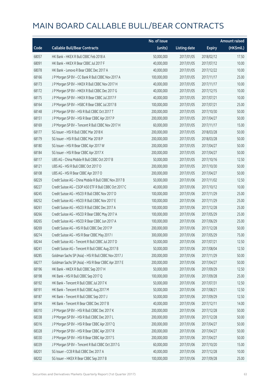|       |                                                        | No. of issue |                     |               | <b>Amount raised</b> |
|-------|--------------------------------------------------------|--------------|---------------------|---------------|----------------------|
| Code  | <b>Callable Bull/Bear Contracts</b>                    | (units)      | <b>Listing date</b> | <b>Expiry</b> | (HK\$mil.)           |
| 68057 | HK Bank - HKEX R Bull CBBC Feb 2018 A                  | 50,000,000   | 2017/01/05          | 2018/02/12    | 17.50                |
| 68091 | HK Bank - HKEX R Bear CBBC Jul 2017 F                  | 40,000,000   | 2017/01/05          | 2017/07/12    | 10.00                |
| 68078 | HK Bank - Lenovo R Bear CBBC Dec 2017 A                | 40,000,000   | 2017/01/05          | 2017/12/22    | 10.00                |
| 68166 | J P Morgan SP BV - CC Bank R Bull CBBC Nov 2017 A      | 100,000,000  | 2017/01/05          | 2017/11/17    | 25.00                |
| 68173 | J P Morgan SP BV - HKEX R Bull CBBC Nov 2017 H         | 40,000,000   | 2017/01/05          | 2017/11/17    | 10.00                |
| 68172 | J P Morgan SP BV - HKEX R Bull CBBC Dec 2017 G         | 40,000,000   | 2017/01/05          | 2017/12/15    | 10.00                |
| 68175 | J P Morgan SP BV - HKEX R Bear CBBC Jul 2017 F         | 40,000,000   | 2017/01/05          | 2017/07/21    | 10.00                |
| 68164 | J P Morgan SP BV - HSBC R Bear CBBC Jul 2017 B         | 100,000,000  | 2017/01/05          | 2017/07/21    | 25.00                |
| 68148 | J P Morgan SP BV - HSI R Bull CBBC Oct 2017 T          | 200,000,000  | 2017/01/05          | 2017/10/30    | 50.00                |
| 68151 | J P Morgan SP BV - HSI R Bear CBBC Apr 2017 P          | 200,000,000  | 2017/01/05          | 2017/04/27    | 50.00                |
| 68169 | J P Morgan SP BV - Tencent R Bull CBBC Nov 2017 H      | 60,000,000   | 2017/01/05          | 2017/11/17    | 15.00                |
| 68177 | SG Issuer - HSI R Bull CBBC Mar 2018 K                 | 200,000,000  | 2017/01/05          | 2018/03/28    | 50.00                |
| 68179 | SG Issuer - HSI R Bull CBBC Mar 2018 P                 | 200,000,000  | 2017/01/05          | 2018/03/28    | 50.00                |
| 68180 | SG Issuer - HSI R Bear CBBC Apr 2017 W                 | 200,000,000  | 2017/01/05          | 2017/04/27    | 50.00                |
| 68184 | SG Issuer - HSI R Bear CBBC Apr 2017 X                 | 200,000,000  | 2017/01/05          | 2017/04/27    | 50.00                |
| 68117 | UBS AG - China Mobile R Bull CBBC Oct 2017 B           | 50,000,000   | 2017/01/05          | 2017/10/16    | 12.50                |
| 68121 | UBS AG - HSI R Bull CBBC Oct 2017 O                    | 200,000,000  | 2017/01/05          | 2017/10/30    | 50.00                |
| 68108 | UBS AG - HSI R Bear CBBC Apr 2017 O                    | 200,000,000  | 2017/01/05          | 2017/04/27    | 50.00                |
| 68229 | Credit Suisse AG - China Mobile R Bull CBBC Nov 2017 B | 50,000,000   | 2017/01/06          | 2017/11/02    | 12.50                |
| 68227 | Credit Suisse AG - CSOP A50 ETF R Bull CBBC Oct 2017 C | 40,000,000   | 2017/01/06          | 2017/10/12    | 10.00                |
| 68245 | Credit Suisse AG - HSCEI R Bull CBBC Nov 2017 D        | 100,000,000  | 2017/01/06          | 2017/11/29    | 25.00                |
| 68252 | Credit Suisse AG - HSCEI R Bull CBBC Nov 2017 E        | 100,000,000  | 2017/01/06          | 2017/11/29    | 25.00                |
| 68261 | Credit Suisse AG - HSCEI R Bull CBBC Dec 2017 A        | 100,000,000  | 2017/01/06          | 2017/12/28    | 25.00                |
| 68266 | Credit Suisse AG - HSCEI R Bear CBBC May 2017 A        | 100,000,000  | 2017/01/06          | 2017/05/29    | 25.00                |
| 68265 | Credit Suisse AG - HSCEI R Bear CBBC Jun 2017 A        | 100,000,000  | 2017/01/06          | 2017/06/29    | 25.00                |
| 68269 | Credit Suisse AG - HSI R Bull CBBC Dec 2017 P          | 200,000,000  | 2017/01/06          | 2017/12/28    | 50.00                |
| 68274 | Credit Suisse AG - HSI R Bear CBBC May 2017 I          | 300,000,000  | 2017/01/06          | 2017/05/29    | 75.00                |
| 68244 | Credit Suisse AG - Tencent R Bull CBBC Jul 2017 D      | 50,000,000   | 2017/01/06          | 2017/07/21    | 12.50                |
| 68241 | Credit Suisse AG - Tencent R Bull CBBC Aug 2017 B      | 50,000,000   | 2017/01/06          | 2017/08/04    | 12.50                |
| 68285 | Goldman Sachs SP (Asia) - HSI R Bull CBBC Nov 2017 J   | 200,000,000  | 2017/01/06          | 2017/11/29    | 50.00                |
| 68277 | Goldman Sachs SP (Asia) - HSI R Bear CBBC Apr 2017 E   | 200,000,000  | 2017/01/06          | 2017/04/27    | 50.00                |
| 68196 | HK Bank - HKEX R Bull CBBC Sep 2017 H                  | 50,000,000   | 2017/01/06          | 2017/09/29    | 12.50                |
| 68198 | HK Bank - HSI R Bull CBBC Sep 2017 Q                   | 100,000,000  | 2017/01/06          | 2017/09/28    | 25.00                |
| 68192 | HK Bank - Tencent R Bull CBBC Jul 2017 K               | 50,000,000   | 2017/01/06          | 2017/07/31    | 12.50                |
| 68191 | HK Bank - Tencent R Bull CBBC Aug 2017 M               | 50,000,000   | 2017/01/06          | 2017/08/21    | 12.50                |
| 68187 | HK Bank - Tencent R Bull CBBC Sep 2017 J               | 50,000,000   | 2017/01/06          | 2017/09/29    | 12.50                |
| 68194 | HK Bank - Tencent R Bear CBBC Dec 2017 B               | 40,000,000   | 2017/01/06          | 2017/12/11    | 14.00                |
| 68310 | J P Morgan SP BV - HSI R Bull CBBC Dec 2017 K          | 200,000,000  | 2017/01/06          | 2017/12/28    | 50.00                |
| 68338 | J P Morgan SP BV - HSI R Bull CBBC Dec 2017 L          | 200,000,000  | 2017/01/06          | 2017/12/28    | 50.00                |
| 68316 | J P Morgan SP BV - HSI R Bear CBBC Apr 2017 Q          | 200,000,000  | 2017/01/06          | 2017/04/27    | 50.00                |
| 68328 | J P Morgan SP BV - HSI R Bear CBBC Apr 2017 R          | 200,000,000  | 2017/01/06          | 2017/04/27    | 50.00                |
| 68330 | J P Morgan SP BV - HSI R Bear CBBC Apr 2017 S          | 200,000,000  | 2017/01/06          | 2017/04/27    | 50.00                |
| 68339 | J P Morgan SP BV - Tencent R Bull CBBC Oct 2017 G      | 60,000,000   | 2017/01/06          | 2017/10/20    | 15.00                |
| 68201 | SG Issuer - CCB R Bull CBBC Dec 2017 A                 | 40,000,000   | 2017/01/06          | 2017/12/28    | 10.00                |
| 68202 | SG Issuer - HKEX R Bear CBBC Sep 2017 B                | 100,000,000  | 2017/01/06          | 2017/09/28    | 25.00                |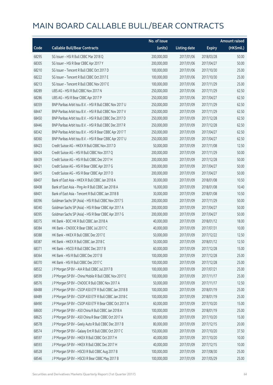|       |                                                          | No. of issue |                     |               | <b>Amount raised</b> |
|-------|----------------------------------------------------------|--------------|---------------------|---------------|----------------------|
| Code  | <b>Callable Bull/Bear Contracts</b>                      | (units)      | <b>Listing date</b> | <b>Expiry</b> | (HK\$mil.)           |
| 68295 | SG Issuer - HSI R Bull CBBC Mar 2018 Q                   | 200,000,000  | 2017/01/06          | 2018/03/28    | 50.00                |
| 68305 | SG Issuer - HSI R Bear CBBC Apr 2017 Y                   | 200,000,000  | 2017/01/06          | 2017/04/27    | 50.00                |
| 68210 | SG Issuer - Tencent R Bull CBBC Oct 2017 D               | 100,000,000  | 2017/01/06          | 2017/10/30    | 25.00                |
| 68222 | SG Issuer - Tencent R Bull CBBC Oct 2017 E               | 100,000,000  | 2017/01/06          | 2017/10/30    | 25.00                |
| 68213 | SG Issuer - Tencent R Bull CBBC Nov 2017 E               | 100,000,000  | 2017/01/06          | 2017/11/29    | 25.00                |
| 68289 | UBS AG - HSI R Bull CBBC Nov 2017 N                      | 250,000,000  | 2017/01/06          | 2017/11/29    | 62.50                |
| 68286 | UBS AG - HSI R Bear CBBC Apr 2017 P                      | 250,000,000  | 2017/01/06          | 2017/04/27    | 62.50                |
| 68359 | BNP Paribas Arbit Issu B.V. - HSI R Bull CBBC Nov 2017 U | 250,000,000  | 2017/01/09          | 2017/11/29    | 62.50                |
| 68447 | BNP Paribas Arbit Issu B.V. - HSI R Bull CBBC Nov 2017 V | 250,000,000  | 2017/01/09          | 2017/11/29    | 62.50                |
| 68450 | BNP Paribas Arbit Issu B.V. - HSI R Bull CBBC Dec 2017 D | 250,000,000  | 2017/01/09          | 2017/12/28    | 62.50                |
| 68446 | BNP Paribas Arbit Issu B.V. - HSI R Bull CBBC Dec 2017 R | 250,000,000  | 2017/01/09          | 2017/12/28    | 62.50                |
| 68342 | BNP Paribas Arbit Issu B.V. - HSI R Bear CBBC Apr 2017 T | 250,000,000  | 2017/01/09          | 2017/04/27    | 62.50                |
| 68360 | BNP Paribas Arbit Issu B.V. - HSI R Bear CBBC Apr 2017 U | 250,000,000  | 2017/01/09          | 2017/04/27    | 62.50                |
| 68423 | Credit Suisse AG - HKEX R Bull CBBC Nov 2017 D           | 50,000,000   | 2017/01/09          | 2017/11/08    | 12.50                |
| 68424 | Credit Suisse AG - HSI R Bull CBBC Nov 2017 Q            | 200,000,000  | 2017/01/09          | 2017/11/29    | 50.00                |
| 68439 | Credit Suisse AG - HSI R Bull CBBC Dec 2017 H            | 200,000,000  | 2017/01/09          | 2017/12/28    | 50.00                |
| 68421 | Credit Suisse AG - HSI R Bear CBBC Apr 2017 G            | 200,000,000  | 2017/01/09          | 2017/04/27    | 50.00                |
| 68415 | Credit Suisse AG - HSI R Bear CBBC Apr 2017 O            | 200,000,000  | 2017/01/09          | 2017/04/27    | 50.00                |
| 68407 | Bank of East Asia - HKEX R Bull CBBC Jan 2018 A          | 30,000,000   | 2017/01/09          | 2018/01/08    | 10.50                |
| 68408 | Bank of East Asia - Ping An R Bull CBBC Jan 2018 A       | 16,000,000   | 2017/01/09          | 2018/01/08    | 10.40                |
| 68401 | Bank of East Asia - Tencent R Bull CBBC Jan 2018 B       | 30,000,000   | 2017/01/09          | 2018/01/08    | 10.50                |
| 68396 | Goldman Sachs SP (Asia) - HSI R Bull CBBC Nov 2017 S     | 200,000,000  | 2017/01/09          | 2017/11/29    | 50.00                |
| 68340 | Goldman Sachs SP (Asia) - HSI R Bear CBBC Apr 2017 A     | 200,000,000  | 2017/01/09          | 2017/04/27    | 50.00                |
| 68395 | Goldman Sachs SP (Asia) - HSI R Bear CBBC Apr 2017 G     | 200,000,000  | 2017/01/09          | 2017/04/27    | 50.00                |
| 68375 | HK Bank - BOC HK R Bull CBBC Jan 2018 A                  | 40,000,000   | 2017/01/09          | 2018/01/12    | 18.00                |
| 68384 | HK Bank - CNOOC R Bear CBBC Jul 2017 C                   | 40,000,000   | 2017/01/09          | 2017/07/31    | 10.00                |
| 68388 | HK Bank - HKEX R Bull CBBC Dec 2017 E                    | 50,000,000   | 2017/01/09          | 2017/12/22    | 12.50                |
| 68387 | HK Bank - HKEX R Bull CBBC Jan 2018 C                    | 50,000,000   | 2017/01/09          | 2018/01/12    | 12.50                |
| 68371 | HK Bank - HSCEI R Bull CBBC Dec 2017 B                   | 60,000,000   | 2017/01/09          | 2017/12/28    | 15.00                |
| 68364 | HK Bank - HSI R Bull CBBC Dec 2017 B                     | 100,000,000  | 2017/01/09          | 2017/12/28    | 25.00                |
| 68370 | HK Bank - HSI R Bull CBBC Dec 2017 C                     | 100,000,000  | 2017/01/09          | 2017/12/28    | 25.00                |
| 68552 | J P Morgan SP BV - AIA R Bull CBBC Jul 2017 B            | 100,000,000  | 2017/01/09          | 2017/07/21    | 25.00                |
| 68599 | J P Morgan SP BV - China Mobile R Bull CBBC Nov 2017 E   | 100,000,000  | 2017/01/09          | 2017/11/17    | 25.00                |
| 68576 | J P Morgan SP BV - CNOOC R Bull CBBC Nov 2017 A          | 50,000,000   | 2017/01/09          | 2017/11/17    | 12.50                |
| 68488 | J P Morgan SP BV - CSOP A50 ETF R Bull CBBC Jan 2018 B   | 100,000,000  | 2017/01/09          | 2018/01/19    | 25.00                |
| 68489 | J P Morgan SP BV - CSOP A50 ETF R Bull CBBC Jan 2018 C   | 100,000,000  | 2017/01/09          | 2018/01/19    | 25.00                |
| 68490 | J P Morgan SP BV - CSOP A50 ETF R Bear CBBC Oct 2017 A   | 60,000,000   | 2017/01/09          | 2017/10/20    | 15.00                |
| 68600 | J P Morgan SP BV - A50 China R Bull CBBC Jan 2018 A      | 100,000,000  | 2017/01/09          | 2018/01/19    | 25.00                |
| 68625 | J P Morgan SP BV - A50 China R Bear CBBC Oct 2017 A      | 60,000,000   | 2017/01/09          | 2017/10/20    | 15.00                |
| 68578 | J P Morgan SP BV - Geely Auto R Bull CBBC Dec 2017 B     | 80,000,000   | 2017/01/09          | 2017/12/15    | 20.00                |
| 68574 | J P Morgan SP BV - Galaxy Ent R Bull CBBC Oct 2017 C     | 150,000,000  | 2017/01/09          | 2017/10/20    | 37.50                |
| 68597 | J P Morgan SP BV - HKEX R Bull CBBC Oct 2017 H           | 40,000,000   | 2017/01/09          | 2017/10/20    | 10.00                |
| 68593 | J P Morgan SP BV - HKEX R Bull CBBC Dec 2017 H           | 40,000,000   | 2017/01/09          | 2017/12/15    | 10.00                |
| 68528 | J P Morgan SP BV - HSCEI R Bull CBBC Aug 2017 B          | 100,000,000  | 2017/01/09          | 2017/08/30    | 25.00                |
| 68546 | J P Morgan SP BV - HSCEI R Bear CBBC May 2017 B          | 100,000,000  | 2017/01/09          | 2017/05/29    | 25.00                |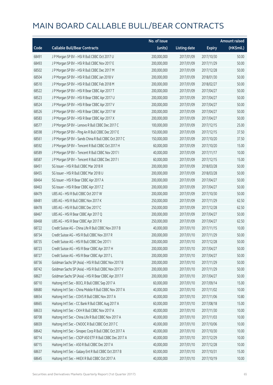|       |                                                         | No. of issue |                     |               | <b>Amount raised</b> |
|-------|---------------------------------------------------------|--------------|---------------------|---------------|----------------------|
| Code  | <b>Callable Bull/Bear Contracts</b>                     | (units)      | <b>Listing date</b> | <b>Expiry</b> | (HK\$mil.)           |
| 68491 | J P Morgan SP BV - HSI R Bull CBBC Oct 2017 U           | 200,000,000  | 2017/01/09          | 2017/10/30    | 50.00                |
| 68493 | J P Morgan SP BV - HSI R Bull CBBC Nov 2017 E           | 200,000,000  | 2017/01/09          | 2017/11/29    | 50.00                |
| 68502 | J P Morgan SP BV - HSI R Bull CBBC Dec 2017 M           | 200,000,000  | 2017/01/09          | 2017/12/28    | 50.00                |
| 68504 | J P Morgan SP BV - HSI R Bull CBBC Jan 2018 V           | 200,000,000  | 2017/01/09          | 2018/01/30    | 50.00                |
| 68510 | J P Morgan SP BV - HSI R Bull CBBC Feb 2018 M           | 200,000,000  | 2017/01/09          | 2018/02/27    | 50.00                |
| 68522 | J P Morgan SP BV - HSI R Bear CBBC Apr 2017 T           | 200,000,000  | 2017/01/09          | 2017/04/27    | 50.00                |
| 68523 | J P Morgan SP BV - HSI R Bear CBBC Apr 2017 U           | 200,000,000  | 2017/01/09          | 2017/04/27    | 50.00                |
| 68524 | J P Morgan SP BV - HSI R Bear CBBC Apr 2017 V           | 200,000,000  | 2017/01/09          | 2017/04/27    | 50.00                |
| 68526 | J P Morgan SP BV - HSI R Bear CBBC Apr 2017 W           | 200,000,000  | 2017/01/09          | 2017/04/27    | 50.00                |
| 68583 | J P Morgan SP BV - HSI R Bear CBBC Apr 2017 X           | 200,000,000  | 2017/01/09          | 2017/04/27    | 50.00                |
| 68577 | J P Morgan SP BV - Lenovo R Bull CBBC Dec 2017 C        | 100,000,000  | 2017/01/09          | 2017/12/15    | 25.00                |
| 68598 | J P Morgan SP BV - Ping An R Bull CBBC Dec 2017 E       | 150,000,000  | 2017/01/09          | 2017/12/15    | 37.50                |
| 68561 | J P Morgan SP BV - Sands China R Bull CBBC Oct 2017 C   | 150,000,000  | 2017/01/09          | 2017/10/20    | 37.50                |
| 68592 | J P Morgan SP BV - Tencent R Bull CBBC Oct 2017 H       | 60,000,000   | 2017/01/09          | 2017/10/20    | 15.00                |
| 68589 | J P Morgan SP BV - Tencent R Bull CBBC Nov 2017 I       | 40,000,000   | 2017/01/09          | 2017/11/17    | 10.00                |
| 68587 | JP Morgan SP BV - Tencent R Bull CBBC Dec 2017 I        | 60,000,000   | 2017/01/09          | 2017/12/15    | 15.00                |
| 68451 | SG Issuer - HSI R Bull CBBC Mar 2018 R                  | 200,000,000  | 2017/01/09          | 2018/03/28    | 50.00                |
| 68455 | SG Issuer - HSI R Bull CBBC Mar 2018 U                  | 200,000,000  | 2017/01/09          | 2018/03/28    | 50.00                |
| 68464 | SG Issuer - HSI R Bear CBBC Apr 2017 A                  | 200,000,000  | 2017/01/09          | 2017/04/27    | 50.00                |
| 68463 | SG Issuer - HSI R Bear CBBC Apr 2017 Z                  | 200,000,000  | 2017/01/09          | 2017/04/27    | 50.00                |
| 68479 | UBS AG - HSI R Bull CBBC Oct 2017 W                     | 200,000,000  | 2017/01/09          | 2017/10/30    | 50.00                |
| 68481 | UBS AG - HSI R Bull CBBC Nov 2017 K                     | 250,000,000  | 2017/01/09          | 2017/11/29    | 62.50                |
| 68478 | UBS AG - HSI R Bull CBBC Dec 2017 C                     | 250,000,000  | 2017/01/09          | 2017/12/28    | 62.50                |
| 68467 | UBS AG - HSI R Bear CBBC Apr 2017 Q                     | 200,000,000  | 2017/01/09          | 2017/04/27    | 50.00                |
| 68468 | UBS AG - HSI R Bear CBBC Apr 2017 R                     | 250,000,000  | 2017/01/09          | 2017/04/27    | 62.50                |
| 68722 | Credit Suisse AG - China Life R Bull CBBC Nov 2017 B    | 40,000,000   | 2017/01/10          | 2017/11/15    | 10.00                |
| 68734 | Credit Suisse AG - HSI R Bull CBBC Nov 2017 R           | 200,000,000  | 2017/01/10          | 2017/11/29    | 50.00                |
| 68735 | Credit Suisse AG - HSI R Bull CBBC Dec 2017 I           | 200,000,000  | 2017/01/10          | 2017/12/28    | 50.00                |
| 68723 | Credit Suisse AG - HSI R Bear CBBC Apr 2017 H           | 200,000,000  | 2017/01/10          | 2017/04/27    | 50.00                |
| 68727 | Credit Suisse AG - HSI R Bear CBBC Apr 2017 L           | 200,000,000  | 2017/01/10          | 2017/04/27    | 50.00                |
| 68736 | Goldman Sachs SP (Asia) - HSI R Bull CBBC Nov 2017 B    | 200,000,000  | 2017/01/10          | 2017/11/29    | 50.00                |
| 68742 | Goldman Sachs SP (Asia) - HSI R Bull CBBC Nov 2017 V    | 200,000,000  | 2017/01/10          | 2017/11/29    | 50.00                |
| 68627 | Goldman Sachs SP (Asia) - HSI R Bear CBBC Apr 2017 F    | 200,000,000  | 2017/01/10          | 2017/04/27    | 50.00                |
| 68710 | Haitong Int'l Sec - BOCL R Bull CBBC Sep 2017 A         | 60,000,000   | 2017/01/10          | 2017/09/14    | 15.00                |
| 68680 | Haitong Int'l Sec - China Mobile R Bull CBBC Nov 2017 A | 40,000,000   | 2017/01/10          | 2017/11/02    | 10.00                |
| 68654 | Haitong Int'l Sec - COVS R Bull CBBC Nov 2017 A         | 40,000,000   | 2017/01/10          | 2017/11/06    | 10.80                |
| 68665 | Haitong Int'l Sec - CC Bank R Bull CBBC Aug 2017 A      | 60,000,000   | 2017/01/10          | 2017/08/18    | 15.00                |
| 68633 | Haitong Int'l Sec - CKH R Bull CBBC Nov 2017 A          | 40,000,000   | 2017/01/10          | 2017/11/30    | 10.00                |
| 68708 | Haitong Int'l Sec - China Life R Bull CBBC Nov 2017 A   | 40,000,000   | 2017/01/10          | 2017/11/03    | 10.00                |
| 68659 | Haitong Int'l Sec - CNOOC R Bull CBBC Oct 2017 C        | 40,000,000   | 2017/01/10          | 2017/10/06    | 10.00                |
| 68642 | Haitong Int'l Sec - Sinopec Corp R Bull CBBC Oct 2017 A | 40,000,000   | 2017/01/10          | 2017/10/30    | 10.00                |
| 68714 | Haitong Int'l Sec - CSOP A50 ETF R Bull CBBC Dec 2017 A | 40,000,000   | 2017/01/10          | 2017/12/29    | 10.00                |
| 68715 | Haitong Int'l Sec - A50 R Bull CBBC Dec 2017 A          | 40,000,000   | 2017/01/10          | 2017/12/28    | 10.00                |
| 68637 | Haitong Int'l Sec - Galaxy Ent R Bull CBBC Oct 2017 B   | 60,000,000   | 2017/01/10          | 2017/10/31    | 15.00                |
| 68645 | Haitong Int'l Sec - HKEX R Bull CBBC Oct 2017 A         | 40,000,000   | 2017/01/10          | 2017/10/19    | 10.00                |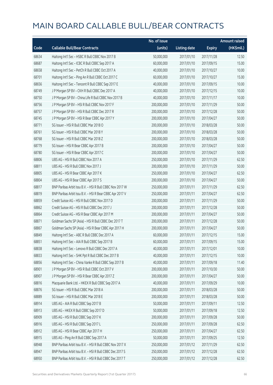|       |                                                          | No. of issue |                     |               | <b>Amount raised</b> |
|-------|----------------------------------------------------------|--------------|---------------------|---------------|----------------------|
| Code  | <b>Callable Bull/Bear Contracts</b>                      | (units)      | <b>Listing date</b> | <b>Expiry</b> | (HK\$mil.)           |
| 68634 | Haitong Int'l Sec - HSBC R Bull CBBC Nov 2017 B          | 50,000,000   | 2017/01/10          | 2017/11/28    | 12.50                |
| 68687 | Haitong Int'l Sec - ICBC R Bull CBBC Sep 2017 A          | 60,000,000   | 2017/01/10          | 2017/09/15    | 15.00                |
| 68658 | Haitong Int'l Sec - PetCh R Bull CBBC Oct 2017 A         | 40,000,000   | 2017/01/10          | 2017/10/27    | 10.00                |
| 68701 | Haitong Int'l Sec - Ping An R Bull CBBC Oct 2017 C       | 60,000,000   | 2017/01/10          | 2017/10/27    | 15.00                |
| 68656 | Haitong Int'l Sec - Tencent R Bull CBBC Sep 2017 E       | 40,000,000   | 2017/01/10          | 2017/09/15    | 10.00                |
| 68749 | J P Morgan SP BV - CKH R Bull CBBC Dec 2017 A            | 40,000,000   | 2017/01/10          | 2017/12/15    | 10.00                |
| 68750 | J P Morgan SP BV - China Life R Bull CBBC Nov 2017 B     | 40,000,000   | 2017/01/10          | 2017/11/17    | 10.00                |
| 68756 | J P Morgan SP BV - HSI R Bull CBBC Nov 2017 F            | 200,000,000  | 2017/01/10          | 2017/11/29    | 50.00                |
| 68757 | J P Morgan SP BV - HSI R Bull CBBC Dec 2017 R            | 200,000,000  | 2017/01/10          | 2017/12/28    | 50.00                |
| 68745 | J P Morgan SP BV - HSI R Bear CBBC Apr 2017 Y            | 200,000,000  | 2017/01/10          | 2017/04/27    | 50.00                |
| 68771 | SG Issuer - HSI R Bull CBBC Mar 2018 O                   | 200,000,000  | 2017/01/10          | 2018/03/28    | 50.00                |
| 68761 | SG Issuer - HSI R Bull CBBC Mar 2018 Y                   | 200,000,000  | 2017/01/10          | 2018/03/28    | 50.00                |
| 68768 | SG Issuer - HSI R Bull CBBC Mar 2018 Z                   | 200,000,000  | 2017/01/10          | 2018/03/28    | 50.00                |
| 68779 | SG Issuer - HSI R Bear CBBC Apr 2017 B                   | 200,000,000  | 2017/01/10          | 2017/04/27    | 50.00                |
| 68780 | SG Issuer - HSI R Bear CBBC Apr 2017 C                   | 200,000,000  | 2017/01/10          | 2017/04/27    | 50.00                |
| 68806 | UBS AG - HSI R Bull CBBC Nov 2017 A                      | 250,000,000  | 2017/01/10          | 2017/11/29    | 62.50                |
| 68811 | UBS AG - HSI R Bull CBBC Nov 2017 J                      | 200,000,000  | 2017/01/10          | 2017/11/29    | 50.00                |
| 68805 | UBS AG - HSI R Bear CBBC Apr 2017 K                      | 250,000,000  | 2017/01/10          | 2017/04/27    | 62.50                |
| 68804 | UBS AG - HSI R Bear CBBC Apr 2017 S                      | 200,000,000  | 2017/01/10          | 2017/04/27    | 50.00                |
| 68817 | BNP Paribas Arbit Issu B.V. - HSI R Bull CBBC Nov 2017 W | 250,000,000  | 2017/01/11          | 2017/11/29    | 62.50                |
| 68819 | BNP Paribas Arbit Issu B.V. - HSI R Bear CBBC Apr 2017 V | 250,000,000  | 2017/01/11          | 2017/04/27    | 62.50                |
| 68859 | Credit Suisse AG - HSI R Bull CBBC Nov 2017 D            | 200,000,000  | 2017/01/11          | 2017/11/29    | 50.00                |
| 68862 | Credit Suisse AG - HSI R Bull CBBC Dec 2017 J            | 200,000,000  | 2017/01/11          | 2017/12/28    | 50.00                |
| 68864 | Credit Suisse AG - HSI R Bear CBBC Apr 2017 M            | 200,000,000  | 2017/01/11          | 2017/04/27    | 50.00                |
| 68871 | Goldman Sachs SP (Asia) - HSI R Bull CBBC Dec 2017 T     | 200,000,000  | 2017/01/11          | 2017/12/28    | 50.00                |
| 68867 | Goldman Sachs SP (Asia) - HSI R Bear CBBC Apr 2017 H     | 200,000,000  | 2017/01/11          | 2017/04/27    | 50.00                |
| 68849 | Haitong Int'l Sec - ABC R Bull CBBC Dec 2017 A           | 60,000,000   | 2017/01/11          | 2017/12/15    | 15.00                |
| 68851 | Haitong Int'l Sec - AIA R Bull CBBC Sep 2017 B           | 60,000,000   | 2017/01/11          | 2017/09/15    | 15.00                |
| 68838 | Haitong Int'l Sec - Lenovo R Bull CBBC Dec 2017 A        | 40,000,000   | 2017/01/11          | 2017/12/01    | 10.00                |
| 68833 | Haitong Int'l Sec - SHK Ppt R Bull CBBC Dec 2017 B       | 40,000,000   | 2017/01/11          | 2017/12/15    | 10.00                |
| 68856 | Haitong Int'l Sec - China Vanke R Bull CBBC Sep 2017 B   | 40,000,000   | 2017/01/11          | 2017/09/18    | 11.40                |
| 68901 | J P Morgan SP BV - HSI R Bull CBBC Oct 2017 V            | 200,000,000  | 2017/01/11          | 2017/10/30    | 50.00                |
| 68907 | JP Morgan SP BV - HSIR Bear CBBC Apr 2017 Z              | 200,000,000  | 2017/01/11          | 2017/04/27    | 50.00                |
| 68816 | Macquarie Bank Ltd. - HKEX R Bull CBBC Sep 2017 A        | 40,000,000   | 2017/01/11          | 2017/09/29    | 10.00                |
| 68876 | SG Issuer - HSI R Bull CBBC Mar 2018 A                   | 200,000,000  | 2017/01/11          | 2018/03/28    | 50.00                |
| 68889 | SG Issuer - HSI R Bull CBBC Mar 2018 E                   | 200,000,000  | 2017/01/11          | 2018/03/28    | 50.00                |
| 68914 | UBS AG - AIA R Bull CBBC Sep 2017 B                      | 50,000,000   | 2017/01/11          | 2017/09/11    | 12.50                |
| 68913 | UBS AG - HKEX R Bull CBBC Sep 2017 D                     | 50,000,000   | 2017/01/11          | 2017/09/18    | 12.50                |
| 68909 | UBS AG - HSI R Bull CBBC Sep 2017 K                      | 200,000,000  | 2017/01/11          | 2017/09/28    | 50.00                |
| 68916 | UBS AG - HSI R Bull CBBC Sep 2017 L                      | 250,000,000  | 2017/01/11          | 2017/09/28    | 62.50                |
| 68912 | UBS AG - HSI R Bear CBBC Apr 2017 H                      | 250,000,000  | 2017/01/11          | 2017/04/27    | 62.50                |
| 68915 | UBS AG - Ping An R Bull CBBC Sep 2017 A                  | 50,000,000   | 2017/01/11          | 2017/09/25    | 12.50                |
| 68948 | BNP Paribas Arbit Issu B.V. - HSI R Bull CBBC Nov 2017 X | 250,000,000  | 2017/01/12          | 2017/11/29    | 62.50                |
| 68947 | BNP Paribas Arbit Issu B.V. - HSI R Bull CBBC Dec 2017 S | 250,000,000  | 2017/01/12          | 2017/12/28    | 62.50                |
| 68950 | BNP Paribas Arbit Issu B.V. - HSI R Bull CBBC Dec 2017 T | 250,000,000  | 2017/01/12          | 2017/12/28    | 62.50                |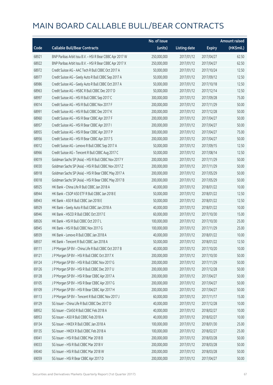|       |                                                          | No. of issue |                     |               | <b>Amount raised</b> |
|-------|----------------------------------------------------------|--------------|---------------------|---------------|----------------------|
| Code  | <b>Callable Bull/Bear Contracts</b>                      | (units)      | <b>Listing date</b> | <b>Expiry</b> | (HK\$mil.)           |
| 68921 | BNP Paribas Arbit Issu B.V. - HSI R Bear CBBC Apr 2017 W | 250,000,000  | 2017/01/12          | 2017/04/27    | 62.50                |
| 68922 | BNP Paribas Arbit Issu B.V. - HSI R Bear CBBC Apr 2017 X | 250,000,000  | 2017/01/12          | 2017/04/27    | 62.50                |
| 68972 | Credit Suisse AG - AAC Tech R Bull CBBC Oct 2017 A       | 50,000,000   | 2017/01/12          | 2017/10/24    | 12.50                |
| 68977 | Credit Suisse AG - Geely Auto R Bull CBBC Sep 2017 A     | 50,000,000   | 2017/01/12          | 2017/09/12    | 12.50                |
| 68986 | Credit Suisse AG - Geely Auto R Bull CBBC Oct 2017 A     | 50,000,000   | 2017/01/12          | 2017/10/18    | 12.50                |
| 68963 | Credit Suisse AG - HSBC R Bull CBBC Dec 2017 D           | 50,000,000   | 2017/01/12          | 2017/12/14    | 12.50                |
| 68997 | Credit Suisse AG - HSI R Bull CBBC Sep 2017 C            | 300,000,000  | 2017/01/12          | 2017/09/28    | 75.00                |
| 69014 | Credit Suisse AG - HSI R Bull CBBC Nov 2017 F            | 200,000,000  | 2017/01/12          | 2017/11/29    | 50.00                |
| 68991 | Credit Suisse AG - HSI R Bull CBBC Dec 2017 K            | 200,000,000  | 2017/01/12          | 2017/12/28    | 50.00                |
| 68960 | Credit Suisse AG - HSI R Bear CBBC Apr 2017 F            | 200,000,000  | 2017/01/12          | 2017/04/27    | 50.00                |
| 68957 | Credit Suisse AG - HSI R Bear CBBC Apr 2017 I            | 200,000,000  | 2017/01/12          | 2017/04/27    | 50.00                |
| 68955 | Credit Suisse AG - HSI R Bear CBBC Apr 2017 P            | 300,000,000  | 2017/01/12          | 2017/04/27    | 75.00                |
| 68956 | Credit Suisse AG - HSI R Bear CBBC Apr 2017 S            | 200,000,000  | 2017/01/12          | 2017/04/27    | 50.00                |
| 69012 | Credit Suisse AG - Lenovo R Bull CBBC Sep 2017 A         | 50,000,000   | 2017/01/12          | 2017/09/15    | 12.50                |
| 68966 | Credit Suisse AG - Tencent R Bull CBBC Aug 2017 C        | 50,000,000   | 2017/01/12          | 2017/08/14    | 12.50                |
| 69019 | Goldman Sachs SP (Asia) - HSI R Bull CBBC Nov 2017 Y     | 200,000,000  | 2017/01/12          | 2017/11/29    | 50.00                |
| 69030 | Goldman Sachs SP (Asia) - HSI R Bull CBBC Nov 2017 Z     | 200,000,000  | 2017/01/12          | 2017/11/29    | 50.00                |
| 68918 | Goldman Sachs SP (Asia) - HSI R Bear CBBC May 2017 A     | 200,000,000  | 2017/01/12          | 2017/05/29    | 50.00                |
| 69018 | Goldman Sachs SP (Asia) - HSI R Bear CBBC May 2017 B     | 200,000,000  | 2017/01/12          | 2017/05/29    | 50.00                |
| 68925 | HK Bank - China Life R Bull CBBC Jan 2018 A              | 40,000,000   | 2017/01/12          | 2018/01/22    | 10.00                |
| 68944 | HK Bank - CSOP A50 ETF R Bull CBBC Jan 2018 E            | 50,000,000   | 2017/01/12          | 2018/01/22    | 12.50                |
| 68943 | HK Bank - A50 R Bull CBBC Jan 2018 E                     | 50,000,000   | 2017/01/12          | 2018/01/22    | 12.50                |
| 68929 | HK Bank - Geely Auto R Bull CBBC Jan 2018 A              | 40,000,000   | 2017/01/12          | 2018/01/22    | 10.00                |
| 68946 | HK Bank - HSCEI R Bull CBBC Oct 2017 E                   | 60,000,000   | 2017/01/12          | 2017/10/30    | 15.00                |
| 68926 | HK Bank - HSI R Bull CBBC Oct 2017 L                     | 100,000,000  | 2017/01/12          | 2017/10/30    | 25.00                |
| 68945 | HK Bank - HSI R Bull CBBC Nov 2017 G                     | 100,000,000  | 2017/01/12          | 2017/11/29    | 25.00                |
| 68939 | HK Bank - Lenovo R Bull CBBC Jan 2018 A                  | 40,000,000   | 2017/01/12          | 2018/01/22    | 10.00                |
| 68937 | HK Bank - Tencent R Bull CBBC Jan 2018 A                 | 50,000,000   | 2017/01/12          | 2018/01/22    | 12.50                |
| 69111 | J P Morgan SP BV - China Life R Bull CBBC Oct 2017 B     | 40,000,000   | 2017/01/12          | 2017/10/20    | 10.00                |
| 69121 | J P Morgan SP BV - HSI R Bull CBBC Oct 2017 X            | 200,000,000  | 2017/01/12          | 2017/10/30    | 50.00                |
| 69124 | J P Morgan SP BV - HSI R Bull CBBC Nov 2017 G            | 200,000,000  | 2017/01/12          | 2017/11/29    | 50.00                |
| 69126 | J P Morgan SP BV - HSI R Bull CBBC Dec 2017 U            | 200,000,000  | 2017/01/12          | 2017/12/28    | 50.00                |
| 69128 | J P Morgan SP BV - HSI R Bear CBBC Apr 2017 A            | 200,000,000  | 2017/01/12          | 2017/04/27    | 50.00                |
| 69105 | J P Morgan SP BV - HSI R Bear CBBC Apr 2017 G            | 200,000,000  | 2017/01/12          | 2017/04/27    | 50.00                |
| 69109 | J P Morgan SP BV - HSI R Bear CBBC Apr 2017 H            | 200,000,000  | 2017/01/12          | 2017/04/27    | 50.00                |
| 69113 | J P Morgan SP BV - Tencent R Bull CBBC Nov 2017 J        | 60,000,000   | 2017/01/12          | 2017/11/17    | 15.00                |
| 69129 | SG Issuer - China Life R Bull CBBC Dec 2017 D            | 40,000,000   | 2017/01/12          | 2017/12/28    | 10.00                |
| 68952 | SG Issuer - CSA50 R Bull CBBC Feb 2018 A                 | 40,000,000   | 2017/01/12          | 2018/02/27    | 10.00                |
| 68953 | SG Issuer - A50 R Bull CBBC Feb 2018 A                   | 40,000,000   | 2017/01/12          | 2018/02/27    | 10.00                |
| 69134 | SG Issuer - HKEX R Bull CBBC Jan 2018 A                  | 100,000,000  | 2017/01/12          | 2018/01/30    | 25.00                |
| 69135 | SG Issuer - HKEX R Bull CBBC Feb 2018 A                  | 100,000,000  | 2017/01/12          | 2018/02/27    | 25.00                |
| 69041 | SG Issuer - HSI R Bull CBBC Mar 2018 B                   | 200,000,000  | 2017/01/12          | 2018/03/28    | 50.00                |
| 69033 | SG Issuer - HSI R Bull CBBC Mar 2018 V                   | 200,000,000  | 2017/01/12          | 2018/03/28    | 50.00                |
| 69040 | SG Issuer - HSI R Bull CBBC Mar 2018 W                   | 200,000,000  | 2017/01/12          | 2018/03/28    | 50.00                |
| 69059 | SG Issuer - HSI R Bear CBBC Apr 2017 D                   | 200,000,000  | 2017/01/12          | 2017/04/27    | 50.00                |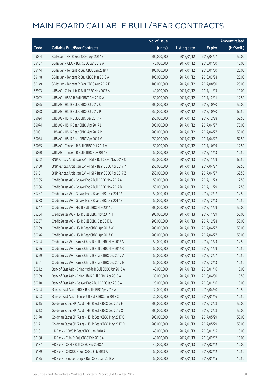| Code  |                                                          | No. of issue |                     |               | <b>Amount raised</b> |
|-------|----------------------------------------------------------|--------------|---------------------|---------------|----------------------|
|       | <b>Callable Bull/Bear Contracts</b>                      | (units)      | <b>Listing date</b> | <b>Expiry</b> | (HK\$mil.)           |
| 69064 | SG Issuer - HSI R Bear CBBC Apr 2017 E                   | 200,000,000  | 2017/01/12          | 2017/04/27    | 50.00                |
| 69137 | SG Issuer - ICBC R Bull CBBC Jan 2018 A                  | 40,000,000   | 2017/01/12          | 2018/01/30    | 10.00                |
| 69144 | SG Issuer - Tencent R Bull CBBC Jan 2018 A               | 100,000,000  | 2017/01/12          | 2018/01/30    | 25.00                |
| 69148 | SG Issuer - Tencent R Bull CBBC Mar 2018 A               | 100,000,000  | 2017/01/12          | 2018/03/28    | 25.00                |
| 69149 | SG Issuer - Tencent R Bear CBBC Aug 2017 E               | 100,000,000  | 2017/01/12          | 2017/08/30    | 25.00                |
| 68923 | UBS AG - China Life R Bull CBBC Nov 2017 A               | 40,000,000   | 2017/01/12          | 2017/11/13    | 10.00                |
| 69092 | UBS AG - HSBC R Bull CBBC Dec 2017 A                     | 50,000,000   | 2017/01/12          | 2017/12/11    | 12.50                |
| 69095 | UBS AG - HSI R Bull CBBC Oct 2017 C                      | 200,000,000  | 2017/01/12          | 2017/10/30    | 50.00                |
| 69098 | UBS AG - HSI R Bull CBBC Oct 2017 P                      | 250,000,000  | 2017/01/12          | 2017/10/30    | 62.50                |
| 69094 | UBS AG - HSI R Bull CBBC Dec 2017 N                      | 250,000,000  | 2017/01/12          | 2017/12/28    | 62.50                |
| 69074 | UBS AG - HSI R Bear CBBC Apr 2017 L                      | 300,000,000  | 2017/01/12          | 2017/04/27    | 75.00                |
| 69081 | UBS AG - HSI R Bear CBBC Apr 2017 M                      | 200,000,000  | 2017/01/12          | 2017/04/27    | 50.00                |
| 69084 | UBS AG - HSI R Bear CBBC Apr 2017 V                      | 250,000,000  | 2017/01/12          | 2017/04/27    | 62.50                |
| 69085 | UBS AG - Tencent R Bull CBBC Oct 2017 A                  | 50,000,000   | 2017/01/12          | 2017/10/09    | 12.50                |
| 69090 | UBS AG - Tencent R Bull CBBC Nov 2017 B                  | 50,000,000   | 2017/01/12          | 2017/11/13    | 12.50                |
| 69202 | BNP Paribas Arbit Issu B.V. - HSI R Bull CBBC Nov 2017 C | 250,000,000  | 2017/01/13          | 2017/11/29    | 62.50                |
| 69150 | BNP Paribas Arbit Issu B.V. - HSI R Bear CBBC Apr 2017 Y | 250,000,000  | 2017/01/13          | 2017/04/27    | 62.50                |
| 69151 | BNP Paribas Arbit Issu B.V. - HSI R Bear CBBC Apr 2017 Z | 250,000,000  | 2017/01/13          | 2017/04/27    | 62.50                |
| 69285 | Credit Suisse AG - Galaxy Ent R Bull CBBC Nov 2017 A     | 50,000,000   | 2017/01/13          | 2017/11/23    | 12.50                |
| 69286 | Credit Suisse AG - Galaxy Ent R Bull CBBC Nov 2017 B     | 50,000,000   | 2017/01/13          | 2017/11/29    | 12.50                |
| 69287 | Credit Suisse AG - Galaxy Ent R Bear CBBC Dec 2017 A     | 50,000,000   | 2017/01/13          | 2017/12/07    | 12.50                |
| 69288 | Credit Suisse AG - Galaxy Ent R Bear CBBC Dec 2017 B     | 50,000,000   | 2017/01/13          | 2017/12/13    | 12.50                |
| 69247 | Credit Suisse AG - HSI R Bull CBBC Nov 2017 G            | 200,000,000  | 2017/01/13          | 2017/11/29    | 50.00                |
| 69284 | Credit Suisse AG - HSI R Bull CBBC Nov 2017 H            | 200,000,000  | 2017/01/13          | 2017/11/29    | 50.00                |
| 69257 | Credit Suisse AG - HSI R Bull CBBC Dec 2017 L            | 200,000,000  | 2017/01/13          | 2017/12/28    | 50.00                |
| 69239 | Credit Suisse AG - HSI R Bear CBBC Apr 2017 W            | 200,000,000  | 2017/01/13          | 2017/04/27    | 50.00                |
| 69246 | Credit Suisse AG - HSI R Bear CBBC Apr 2017 X            | 200,000,000  | 2017/01/13          | 2017/04/27    | 50.00                |
| 69294 | Credit Suisse AG - Sands China R Bull CBBC Nov 2017 A    | 50,000,000   | 2017/01/13          | 2017/11/23    | 12.50                |
| 69296 | Credit Suisse AG - Sands China R Bull CBBC Nov 2017 B    | 50,000,000   | 2017/01/13          | 2017/11/29    | 12.50                |
| 69299 | Credit Suisse AG - Sands China R Bear CBBC Dec 2017 A    | 50,000,000   | 2017/01/13          | 2017/12/07    | 12.50                |
| 69301 | Credit Suisse AG - Sands China R Bear CBBC Dec 2017 B    | 50,000,000   | 2017/01/13          | 2017/12/13    | 12.50                |
| 69212 | Bank of East Asia - China Mobile R Bull CBBC Jan 2018 A  | 40,000,000   | 2017/01/13          | 2018/01/16    | 10.00                |
| 69209 | Bank of East Asia - China Life R Bull CBBC Apr 2018 A    | 30,000,000   | 2017/01/13          | 2018/04/30    | 10.50                |
| 69210 | Bank of East Asia - Galaxy Ent R Bull CBBC Jan 2018 A    | 20,000,000   | 2017/01/13          | 2018/01/16    | 10.00                |
| 69204 | Bank of East Asia - HKEX R Bull CBBC Apr 2018 A          | 30,000,000   | 2017/01/13          | 2018/04/30    | 10.50                |
| 69203 | Bank of East Asia - Tencent R Bull CBBC Jan 2018 C       | 30,000,000   | 2017/01/13          | 2018/01/16    | 10.50                |
| 69215 | Goldman Sachs SP (Asia) - HSI R Bull CBBC Dec 2017 F     | 200,000,000  | 2017/01/13          | 2017/12/28    | 50.00                |
| 69213 | Goldman Sachs SP (Asia) - HSI R Bull CBBC Dec 2017 X     | 200,000,000  | 2017/01/13          | 2017/12/28    | 50.00                |
| 69170 | Goldman Sachs SP (Asia) - HSI R Bear CBBC May 2017 C     | 200,000,000  | 2017/01/13          | 2017/05/29    | 50.00                |
| 69171 | Goldman Sachs SP (Asia) - HSI R Bear CBBC May 2017 D     | 200,000,000  | 2017/01/13          | 2017/05/29    | 50.00                |
| 69181 | HK Bank - COVS R Bear CBBC Jan 2018 A                    | 40,000,000   | 2017/01/13          | 2018/01/15    | 10.00                |
| 69188 | HK Bank - CUni R Bull CBBC Feb 2018 A                    | 40,000,000   | 2017/01/13          | 2018/02/12    | 10.00                |
| 69187 | HK Bank - CKH R Bull CBBC Feb 2018 A                     | 40,000,000   | 2017/01/13          | 2018/02/12    | 10.00                |
| 69189 | HK Bank - CNOOC R Bull CBBC Feb 2018 A                   | 50,000,000   | 2017/01/13          | 2018/02/12    | 12.50                |
| 69175 | HK Bank - Sinopec Corp R Bull CBBC Jan 2018 A            | 50,000,000   | 2017/01/13          | 2018/01/15    | 12.50                |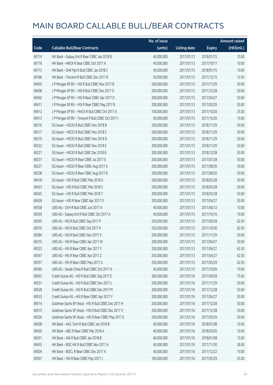|       |                                                      | No. of issue |                     |               | <b>Amount raised</b> |
|-------|------------------------------------------------------|--------------|---------------------|---------------|----------------------|
| Code  | <b>Callable Bull/Bear Contracts</b>                  | (units)      | <b>Listing date</b> | <b>Expiry</b> | (HK\$mil.)           |
| 69174 | HK Bank - Galaxy Ent R Bear CBBC Jan 2018 B          | 40,000,000   | 2017/01/13          | 2018/01/15    | 10.00                |
| 69176 | HK Bank - HKEX R Bear CBBC Oct 2017 A                | 40,000,000   | 2017/01/13          | 2017/10/17    | 10.00                |
| 69172 | HK Bank - SHK Ppt R Bull CBBC Jan 2018 C             | 40,000,000   | 2017/01/13          | 2018/01/15    | 10.00                |
| 69186 | HK Bank - Tencent R Bull CBBC Dec 2017 B             | 50,000,000   | 2017/01/13          | 2017/12/15    | 12.50                |
| 69405 | J P Morgan SP BV - HSI R Bull CBBC Nov 2017 B        | 200,000,000  | 2017/01/13          | 2017/11/29    | 50.00                |
| 69408 | J P Morgan SP BV - HSI R Bull CBBC Dec 2017 O        | 200,000,000  | 2017/01/13          | 2017/12/28    | 50.00                |
| 69402 | J P Morgan SP BV - HSI R Bear CBBC Apr 2017 D        | 200,000,000  | 2017/01/13          | 2017/04/27    | 50.00                |
| 69411 | J P Morgan SP BV - HSI R Bear CBBC May 2017 B        | 200,000,000  | 2017/01/13          | 2017/05/29    | 50.00                |
| 69412 | J P Morgan SP BV - PetCh R Bull CBBC Oct 2017 A      | 100,000,000  | 2017/01/13          | 2017/10/20    | 25.00                |
| 69413 | J P Morgan SP BV - Tencent R Bull CBBC Oct 2017 I    | 60,000,000   | 2017/01/13          | 2017/10/20    | 15.00                |
| 69216 | SG Issuer - HSCEI R Bull CBBC Nov 2018 B             | 200,000,000  | 2017/01/13          | 2018/11/29    | 50.00                |
| 69217 | SG Issuer - HSCEI R Bull CBBC Nov 2018 C             | 200,000,000  | 2017/01/13          | 2018/11/29    | 50.00                |
| 69219 | SG Issuer - HSCEI R Bull CBBC Nov 2018 D             | 200,000,000  | 2017/01/13          | 2018/11/29    | 50.00                |
| 69222 | SG Issuer - HSCEI R Bull CBBC Nov 2018 E             | 200,000,000  | 2017/01/13          | 2018/11/29    | 50.00                |
| 69221 | SG Issuer - HSCEI R Bull CBBC Dec 2018 B             | 200,000,000  | 2017/01/13          | 2018/12/28    | 50.00                |
| 69237 | SG Issuer - HSCEI R Bear CBBC Jul 2017 E             | 200,000,000  | 2017/01/13          | 2017/07/28    | 50.00                |
| 69227 | SG Issuer - HSCEI R Bear CBBC Aug 2017 A             | 200,000,000  | 2017/01/13          | 2017/08/30    | 50.00                |
| 69238 | SG Issuer - HSCEI R Bear CBBC Aug 2017 B             | 200,000,000  | 2017/01/13          | 2017/08/30    | 50.00                |
| 69418 | SG Issuer - HSI R Bull CBBC Mar 2018 G               | 200,000,000  | 2017/01/13          | 2018/03/28    | 50.00                |
| 69423 | SG Issuer - HSI R Bull CBBC Mar 2018 S               | 200,000,000  | 2017/01/13          | 2018/03/28    | 50.00                |
| 69425 | SG Issuer - HSI R Bull CBBC Mar 2018 T               | 200,000,000  | 2017/01/13          | 2018/03/28    | 50.00                |
| 69428 | SG Issuer - HSI R Bear CBBC Apr 2017 O               | 200,000,000  | 2017/01/13          | 2017/04/27    | 50.00                |
| 69358 | UBS AG - CKH R Bull CBBC Jun 2017 A                  | 40,000,000   | 2017/01/13          | 2017/06/12    | 10.00                |
| 69359 | UBS AG - Galaxy Ent R Bull CBBC Oct 2017 A           | 40,000,000   | 2017/01/13          | 2017/10/16    | 10.00                |
| 69395 | UBS AG - HSI R Bull CBBC Sep 2017 P                  | 250,000,000  | 2017/01/13          | 2017/09/28    | 62.50                |
| 69370 | UBS AG - HSI R Bull CBBC Oct 2017 K                  | 250,000,000  | 2017/01/13          | 2017/10/30    | 62.50                |
| 69384 | UBS AG - HSI R Bull CBBC Nov 2017 V                  | 200,000,000  | 2017/01/13          | 2017/11/29    | 50.00                |
| 69315 | UBS AG - HSI R Bear CBBC Apr 2017 W                  | 200,000,000  | 2017/01/13          | 2017/04/27    | 50.00                |
| 69322 | UBS AG - HSI R Bear CBBC Apr 2017 Y                  | 250,000,000  | 2017/01/13          | 2017/04/27    | 62.50                |
| 69347 | UBS AG - HSI R Bear CBBC Apr 2017 Z                  | 250,000,000  | 2017/01/13          | 2017/04/27    | 62.50                |
| 69357 | UBS AG - HSI R Bear CBBC May 2017 G                  | 250,000,000  | 2017/01/13          | 2017/05/29    | 62.50                |
| 69360 | UBS AG - Sands China R Bull CBBC Oct 2017 A          | 40,000,000   | 2017/01/13          | 2017/10/09    | 10.00                |
| 69563 | Credit Suisse AG - HSI R Bull CBBC Sep 2017 E        | 300,000,000  | 2017/01/16          | 2017/09/28    | 75.00                |
| 69531 | Credit Suisse AG - HSI R Bull CBBC Nov 2017 L        | 200,000,000  | 2017/01/16          | 2017/11/29    | 50.00                |
| 69528 | Credit Suisse AG - HSI R Bull CBBC Dec 2017 M        | 200,000,000  | 2017/01/16          | 2017/12/28    | 50.00                |
| 69533 | Credit Suisse AG - HSI R Bear CBBC Apr 2017 Y        | 200,000,000  | 2017/01/16          | 2017/04/27    | 50.00                |
| 69514 | Goldman Sachs SP (Asia) - HSI R Bull CBBC Dec 2017 H | 200,000,000  | 2017/01/16          | 2017/12/28    | 50.00                |
| 69515 | Goldman Sachs SP (Asia) - HSI R Bull CBBC Dec 2017 V | 200,000,000  | 2017/01/16          | 2017/12/28    | 50.00                |
| 69526 | Goldman Sachs SP (Asia) - HSI R Bear CBBC May 2017 E | 200,000,000  | 2017/01/16          | 2017/05/29    | 50.00                |
| 69438 | HK Bank - AAC Tech R Bull CBBC Jan 2018 B            | 40,000,000   | 2017/01/16          | 2018/01/08    | 10.00                |
| 69430 | HK Bank - ABC R Bear CBBC Mar 2018 A                 | 40,000,000   | 2017/01/16          | 2018/03/05    | 10.00                |
| 69431 | HK Bank - AIA R Bull CBBC Jan 2018 B                 | 60,000,000   | 2017/01/16          | 2018/01/08    | 15.00                |
| 69455 | HK Bank - BOC HK R Bull CBBC Nov 2017 A              | 40,000,000   | 2017/01/16          | 2017/11/30    | 28.00                |
| 69504 | HK Bank - BOCL R Bear CBBC Dec 2017 A                | 40,000,000   | 2017/01/16          | 2017/12/22    | 10.00                |
| 69507 | HK Bank - HSI R Bear CBBC May 2017 J                 | 100,000,000  | 2017/01/16          | 2017/05/29    | 25.00                |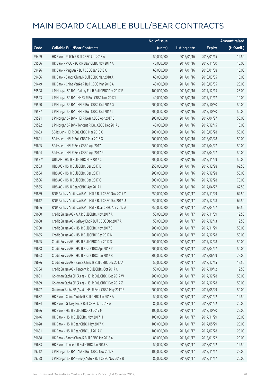| Code   |                                                          | No. of issue |                     |               | <b>Amount raised</b> |
|--------|----------------------------------------------------------|--------------|---------------------|---------------|----------------------|
|        | <b>Callable Bull/Bear Contracts</b>                      | (units)      | <b>Listing date</b> | <b>Expiry</b> | (HK\$mil.)           |
| 69429  | HK Bank - PetCh R Bull CBBC Jan 2018 A                   | 50,000,000   | 2017/01/16          | 2018/01/15    | 12.50                |
| 69506  | HK Bank - PICC P&C R R Bear CBBC Nov 2017 A              | 40,000,000   | 2017/01/16          | 2017/11/30    | 10.00                |
| 69496  | HK Bank - Ping An R Bull CBBC Jan 2018 C                 | 60,000,000   | 2017/01/16          | 2018/01/08    | 15.00                |
| 69436  | HK Bank - Sands China R Bull CBBC Mar 2018 A             | 60,000,000   | 2017/01/16          | 2018/03/05    | 15.00                |
| 69449  | HK Bank - China Vanke R Bull CBBC Mar 2018 A             | 40,000,000   | 2017/01/16          | 2018/03/05    | 20.00                |
| 69598  | J P Morgan SP BV - Galaxy Ent R Bull CBBC Dec 2017 E     | 100,000,000  | 2017/01/16          | 2017/12/15    | 25.00                |
| 69593  | J P Morgan SP BV - HKEX R Bull CBBC Nov 2017 I           | 40,000,000   | 2017/01/16          | 2017/11/17    | 10.00                |
| 69590  | J P Morgan SP BV - HSI R Bull CBBC Oct 2017 G            | 200,000,000  | 2017/01/16          | 2017/10/30    | 50.00                |
| 69587  | J P Morgan SP BV - HSI R Bull CBBC Oct 2017 L            | 200,000,000  | 2017/01/16          | 2017/10/30    | 50.00                |
| 69591  | J P Morgan SP BV - HSI R Bear CBBC Apr 2017 E            | 200,000,000  | 2017/01/16          | 2017/04/27    | 50.00                |
| 69592  | J P Morgan SP BV - Tencent R Bull CBBC Dec 2017 J        | 40,000,000   | 2017/01/16          | 2017/12/15    | 10.00                |
| 69603  | SG Issuer - HSI R Bull CBBC Mar 2018 C                   | 200,000,000  | 2017/01/16          | 2018/03/28    | 50.00                |
| 69601  | SG Issuer - HSI R Bull CBBC Mar 2018 X                   | 200,000,000  | 2017/01/16          | 2018/03/28    | 50.00                |
| 69605  | SG Issuer - HSI R Bear CBBC Apr 2017 I                   | 200,000,000  | 2017/01/16          | 2017/04/27    | 50.00                |
| 69604  | SG Issuer - HSI R Bear CBBC Apr 2017 P                   | 200,000,000  | 2017/01/16          | 2017/04/27    | 50.00                |
| 69577# | UBS AG - HSI R Bull CBBC Nov 2017 C                      | 200,000,000  | 2017/01/16          | 2017/11/29    | 50.00                |
| 69583  | UBS AG - HSI R Bull CBBC Dec 2017 B                      | 250,000,000  | 2017/01/16          | 2017/12/28    | 62.50                |
| 69584  | UBS AG - HSI R Bull CBBC Dec 2017 I                      | 200,000,000  | 2017/01/16          | 2017/12/28    | 50.00                |
| 69586  | UBS AG - HSI R Bull CBBC Dec 2017 O                      | 300,000,000  | 2017/01/16          | 2017/12/28    | 75.00                |
| 69565  | UBS AG - HSI R Bear CBBC Apr 2017 I                      | 250,000,000  | 2017/01/16          | 2017/04/27    | 62.50                |
| 69869  | BNP Paribas Arbit Issu B.V. - HSI R Bull CBBC Nov 2017 Y | 250,000,000  | 2017/01/17          | 2017/11/29    | 62.50                |
| 69612  | BNP Paribas Arbit Issu B.V. - HSI R Bull CBBC Dec 2017 U | 250,000,000  | 2017/01/17          | 2017/12/28    | 62.50                |
| 69606  | BNP Paribas Arbit Issu B.V. - HSI R Bear CBBC Apr 2017 A | 250,000,000  | 2017/01/17          | 2017/04/27    | 62.50                |
| 69680  | Credit Suisse AG - AIA R Bull CBBC Nov 2017 A            | 50,000,000   | 2017/01/17          | 2017/11/09    | 12.50                |
| 69688  | Credit Suisse AG - Galaxy Ent R Bull CBBC Dec 2017 A     | 50,000,000   | 2017/01/17          | 2017/12/13    | 12.50                |
| 69700  | Credit Suisse AG - HSI R Bull CBBC Nov 2017 E            | 200,000,000  | 2017/01/17          | 2017/11/29    | 50.00                |
| 69655  | Credit Suisse AG - HSI R Bull CBBC Dec 2017 N            | 200,000,000  | 2017/01/17          | 2017/12/28    | 50.00                |
| 69695  | Credit Suisse AG - HSI R Bull CBBC Dec 2017 S            | 200,000,000  | 2017/01/17          | 2017/12/28    | 50.00                |
| 69658  | Credit Suisse AG - HSI R Bear CBBC Apr 2017 Z            | 200,000,000  | 2017/01/17          | 2017/04/27    | 50.00                |
| 69693  | Credit Suisse AG - HSI R Bear CBBC Jun 2017 B            | 300,000,000  | 2017/01/17          | 2017/06/29    | 75.00                |
| 69686  | Credit Suisse AG - Sands China R Bull CBBC Dec 2017 A    | 50,000,000   | 2017/01/17          | 2017/12/15    | 12.50                |
| 69704  | Credit Suisse AG - Tencent R Bull CBBC Oct 2017 C        | 50,000,000   | 2017/01/17          | 2017/10/12    | 12.50                |
| 69881  | Goldman Sachs SP (Asia) - HSI R Bull CBBC Dec 2017 W     | 200,000,000  | 2017/01/17          | 2017/12/28    | 50.00                |
| 69889  | Goldman Sachs SP (Asia) - HSI R Bull CBBC Dec 2017 Z     | 200,000,000  | 2017/01/17          | 2017/12/28    | 50.00                |
| 69647  | Goldman Sachs SP (Asia) - HSI R Bear CBBC May 2017 F     | 200,000,000  | 2017/01/17          | 2017/05/29    | 50.00                |
| 69632  | HK Bank - China Mobile R Bull CBBC Jan 2018 A            | 50,000,000   | 2017/01/17          | 2018/01/22    | 12.50                |
| 69634  | HK Bank - Galaxy Ent R Bull CBBC Jan 2018 A              | 80,000,000   | 2017/01/17          | 2018/01/22    | 20.00                |
| 69626  | HK Bank - HSI R Bull CBBC Oct 2017 M                     | 100,000,000  | 2017/01/17          | 2017/10/30    | 25.00                |
| 69646  | HK Bank - HSI R Bull CBBC Nov 2017 H                     | 100,000,000  | 2017/01/17          | 2017/11/29    | 25.00                |
| 69628  | HK Bank - HSI R Bear CBBC May 2017 K                     | 100,000,000  | 2017/01/17          | 2017/05/29    | 25.00                |
| 69631  | HK Bank - HSI R Bear CBBC Jul 2017 C                     | 100,000,000  | 2017/01/17          | 2017/07/28    | 25.00                |
| 69638  | HK Bank - Sands China R Bull CBBC Jan 2018 A             | 80,000,000   | 2017/01/17          | 2018/01/22    | 20.00                |
| 69633  | HK Bank - Tencent R Bull CBBC Jan 2018 B                 | 50,000,000   | 2017/01/17          | 2018/01/22    | 12.50                |
| 69712  | J P Morgan SP BV - AIA R Bull CBBC Nov 2017 C            | 100,000,000  | 2017/01/17          | 2017/11/17    | 25.00                |
| 69728  | J P Morgan SP BV - Geely Auto R Bull CBBC Nov 2017 B     | 80,000,000   | 2017/01/17          | 2017/11/17    | 20.00                |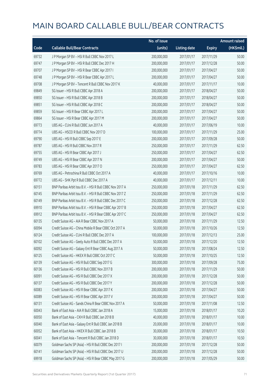| Code  |                                                          | No. of issue |                     |               | <b>Amount raised</b> |
|-------|----------------------------------------------------------|--------------|---------------------|---------------|----------------------|
|       | <b>Callable Bull/Bear Contracts</b>                      | (units)      | <b>Listing date</b> | <b>Expiry</b> | (HK\$mil.)           |
| 69732 | J P Morgan SP BV - HSI R Bull CBBC Nov 2017 L            | 200,000,000  | 2017/01/17          | 2017/11/29    | 50.00                |
| 69747 | J P Morgan SP BV - HSI R Bull CBBC Dec 2017 H            | 200,000,000  | 2017/01/17          | 2017/12/28    | 50.00                |
| 69707 | J P Morgan SP BV - HSI R Bear CBBC Apr 2017 I            | 200,000,000  | 2017/01/17          | 2017/04/27    | 50.00                |
| 69748 | J P Morgan SP BV - HSI R Bear CBBC Apr 2017 L            | 200,000,000  | 2017/01/17          | 2017/04/27    | 50.00                |
| 69708 | J P Morgan SP BV - Tencent R Bull CBBC Nov 2017 K        | 40,000,000   | 2017/01/17          | 2017/11/17    | 10.00                |
| 69849 | SG Issuer - HSI R Bull CBBC Apr 2018 A                   | 200,000,000  | 2017/01/17          | 2018/04/27    | 50.00                |
| 69850 | SG Issuer - HSI R Bull CBBC Apr 2018 B                   | 200,000,000  | 2017/01/17          | 2018/04/27    | 50.00                |
| 69851 | SG Issuer - HSI R Bull CBBC Apr 2018 C                   | 200,000,000  | 2017/01/17          | 2018/04/27    | 50.00                |
| 69859 | SG Issuer - HSI R Bear CBBC Apr 2017 L                   | 200,000,000  | 2017/01/17          | 2017/04/27    | 50.00                |
| 69864 | SG Issuer - HSI R Bear CBBC Apr 2017 M                   | 200,000,000  | 2017/01/17          | 2017/04/27    | 50.00                |
| 69773 | UBS AG - CUni R Bull CBBC Jun 2017 A                     | 40,000,000   | 2017/01/17          | 2017/06/19    | 10.00                |
| 69774 | UBS AG - HSCEI R Bull CBBC Nov 2017 D                    | 100,000,000  | 2017/01/17          | 2017/11/29    | 25.00                |
| 69790 | UBS AG - HSI R Bull CBBC Sep 2017 E                      | 200,000,000  | 2017/01/17          | 2017/09/28    | 50.00                |
| 69787 | UBS AG - HSI R Bull CBBC Nov 2017 R                      | 250,000,000  | 2017/01/17          | 2017/11/29    | 62.50                |
| 69755 | UBS AG - HSI R Bear CBBC Apr 2017 J                      | 250,000,000  | 2017/01/17          | 2017/04/27    | 62.50                |
| 69749 | UBS AG - HSI R Bear CBBC Apr 2017 N                      | 200,000,000  | 2017/01/17          | 2017/04/27    | 50.00                |
| 69783 | UBS AG - HSI R Bear CBBC Apr 2017 O                      | 250,000,000  | 2017/01/17          | 2017/04/27    | 62.50                |
| 69769 | UBS AG - Petrochina R Bull CBBC Oct 2017 A               | 40,000,000   | 2017/01/17          | 2017/10/16    | 10.00                |
| 69772 | UBS AG - SHK Ppt R Bull CBBC Dec 2017 A                  | 40,000,000   | 2017/01/17          | 2017/12/11    | 10.00                |
| 60151 | BNP Paribas Arbit Issu B.V. - HSI R Bull CBBC Nov 2017 A | 250,000,000  | 2017/01/18          | 2017/11/29    | 62.50                |
| 60145 | BNP Paribas Arbit Issu B.V. - HSI R Bull CBBC Nov 2017 Z | 250,000,000  | 2017/01/18          | 2017/11/29    | 62.50                |
| 60149 | BNP Paribas Arbit Issu B.V. - HSI R Bull CBBC Dec 2017 C | 250,000,000  | 2017/01/18          | 2017/12/28    | 62.50                |
| 69910 | BNP Paribas Arbit Issu B.V. - HSI R Bear CBBC Apr 2017 B | 250,000,000  | 2017/01/18          | 2017/04/27    | 62.50                |
| 69912 | BNP Paribas Arbit Issu B.V. - HSI R Bear CBBC Apr 2017 C | 250,000,000  | 2017/01/18          | 2017/04/27    | 62.50                |
| 60135 | Credit Suisse AG - AIA R Bear CBBC Nov 2017 A            | 50,000,000   | 2017/01/18          | 2017/11/29    | 12.50                |
| 60094 | Credit Suisse AG - China Mobile R Bear CBBC Oct 2017 A   | 50,000,000   | 2017/01/18          | 2017/10/26    | 12.50                |
| 60124 | Credit Suisse AG - CUni R Bull CBBC Dec 2017 A           | 100,000,000  | 2017/01/18          | 2017/12/13    | 25.00                |
| 60102 | Credit Suisse AG - Geely Auto R Bull CBBC Dec 2017 A     | 50,000,000   | 2017/01/18          | 2017/12/20    | 12.50                |
| 60092 | Credit Suisse AG - Galaxy Ent R Bear CBBC Aug 2017 A     | 50,000,000   | 2017/01/18          | 2017/08/24    | 12.50                |
| 60125 | Credit Suisse AG - HKEX R Bull CBBC Oct 2017 C           | 50,000,000   | 2017/01/18          | 2017/10/25    | 12.50                |
| 60139 | Credit Suisse AG - HSI R Bull CBBC Sep 2017 G            | 300,000,000  | 2017/01/18          | 2017/09/28    | 75.00                |
| 60136 | Credit Suisse AG - HSI R Bull CBBC Nov 2017 B            | 200,000,000  | 2017/01/18          | 2017/11/29    | 50.00                |
| 60091 | Credit Suisse AG - HSI R Bull CBBC Dec 2017 X            | 200,000,000  | 2017/01/18          | 2017/12/28    | 50.00                |
| 60137 | Credit Suisse AG - HSI R Bull CBBC Dec 2017 Y            | 200,000,000  | 2017/01/18          | 2017/12/28    | 50.00                |
| 60083 | Credit Suisse AG - HSI R Bear CBBC Apr 2017 K            | 200,000,000  | 2017/01/18          | 2017/04/27    | 50.00                |
| 60089 | Credit Suisse AG - HSI R Bear CBBC Apr 2017 V            | 200,000,000  | 2017/01/18          | 2017/04/27    | 50.00                |
| 60131 | Credit Suisse AG - Sands China R Bear CBBC Nov 2017 A    | 50,000,000   | 2017/01/18          | 2017/11/08    | 12.50                |
| 60043 | Bank of East Asia - AIA R Bull CBBC Jan 2018 A           | 15,000,000   | 2017/01/18          | 2018/01/17    | 10.20                |
| 60050 | Bank of East Asia - CKH R Bull CBBC Jan 2018 B           | 40,000,000   | 2017/01/18          | 2018/01/17    | 10.00                |
| 60040 | Bank of East Asia - Galaxy Ent R Bull CBBC Jan 2018 B    | 20,000,000   | 2017/01/18          | 2018/01/17    | 10.00                |
| 60052 | Bank of East Asia - HKEX R Bull CBBC Jan 2018 B          | 30,000,000   | 2017/01/18          | 2018/01/17    | 10.50                |
| 60041 | Bank of East Asia - Tencent R Bull CBBC Jan 2018 D       | 30,000,000   | 2017/01/18          | 2018/01/17    | 10.50                |
| 60079 | Goldman Sachs SP (Asia) - HSI R Bull CBBC Dec 2017 I     | 200,000,000  | 2017/01/18          | 2017/12/28    | 50.00                |
| 60141 | Goldman Sachs SP (Asia) - HSI R Bull CBBC Dec 2017 U     | 200,000,000  | 2017/01/18          | 2017/12/28    | 50.00                |
| 69918 | Goldman Sachs SP (Asia) - HSI R Bear CBBC May 2017 G     | 200,000,000  | 2017/01/18          | 2017/05/29    | 50.00                |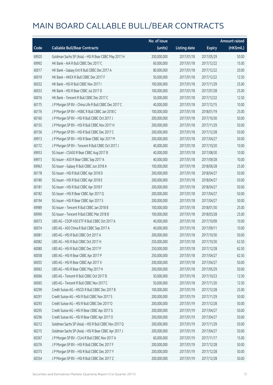|       |                                                      | No. of issue |                     |               | <b>Amount raised</b> |
|-------|------------------------------------------------------|--------------|---------------------|---------------|----------------------|
| Code  | <b>Callable Bull/Bear Contracts</b>                  | (units)      | <b>Listing date</b> | <b>Expiry</b> | (HK\$mil.)           |
| 69920 | Goldman Sachs SP (Asia) - HSI R Bear CBBC May 2017 H | 200,000,000  | 2017/01/18          | 2017/05/29    | 50.00                |
| 69992 | HK Bank - AIA R Bull CBBC Dec 2017 C                 | 60,000,000   | 2017/01/18          | 2017/12/22    | 15.00                |
| 60017 | HK Bank - Galaxy Ent R Bull CBBC Dec 2017 A          | 80,000,000   | 2017/01/18          | 2017/12/22    | 20.00                |
| 60019 | HK Bank - HKEX R Bull CBBC Dec 2017 F                | 50,000,000   | 2017/01/18          | 2017/12/22    | 12.50                |
| 60032 | HK Bank - HSI R Bull CBBC Nov 2017 I                 | 100,000,000  | 2017/01/18          | 2017/11/29    | 25.00                |
| 60033 | HK Bank - HSI R Bear CBBC Jul 2017 D                 | 100,000,000  | 2017/01/18          | 2017/07/28    | 25.00                |
| 60016 | HK Bank - Tencent R Bull CBBC Dec 2017 C             | 50,000,000   | 2017/01/18          | 2017/12/22    | 12.50                |
| 60175 | J P Morgan SP BV - China Life R Bull CBBC Dec 2017 C | 40,000,000   | 2017/01/18          | 2017/12/15    | 10.00                |
| 60176 | J P Morgan SP BV - HSBC R Bull CBBC Jan 2018 C       | 100,000,000  | 2017/01/18          | 2018/01/19    | 25.00                |
| 60160 | JP Morgan SP BV - HSIR Bull CBBC Oct 2017 J          | 200,000,000  | 2017/01/18          | 2017/10/30    | 50.00                |
| 60155 | J P Morgan SP BV - HSI R Bull CBBC Nov 2017 H        | 200,000,000  | 2017/01/18          | 2017/11/29    | 50.00                |
| 60156 | J P Morgan SP BV - HSI R Bull CBBC Dec 2017 C        | 200,000,000  | 2017/01/18          | 2017/12/28    | 50.00                |
| 69913 | JP Morgan SP BV - HSIR Bear CBBC Apr 2017 M          | 200,000,000  | 2017/01/18          | 2017/04/27    | 50.00                |
| 60172 | J P Morgan SP BV - Tencent R Bull CBBC Oct 2017 J    | 40,000,000   | 2017/01/18          | 2017/10/20    | 10.00                |
| 69953 | SG Issuer - CSA50 R Bear CBBC Aug 2017 B             | 40,000,000   | 2017/01/18          | 2017/08/30    | 10.00                |
| 69973 | SG Issuer - A50 R Bear CBBC Sep 2017 A               | 40,000,000   | 2017/01/18          | 2017/09/28    | 10.00                |
| 69963 | SG Issuer - Galaxy R Bull CBBC Jun 2018 A            | 100,000,000  | 2017/01/18          | 2018/06/28    | 25.00                |
| 60178 | SG Issuer - HSI R Bull CBBC Apr 2018 D               | 200,000,000  | 2017/01/18          | 2018/04/27    | 50.00                |
| 60180 | SG Issuer - HSI R Bull CBBC Apr 2018 E               | 200,000,000  | 2017/01/18          | 2018/04/27    | 50.00                |
| 60181 | SG Issuer - HSI R Bull CBBC Apr 2018 F               | 200,000,000  | 2017/01/18          | 2018/04/27    | 50.00                |
| 60182 | SG Issuer - HSI R Bear CBBC Apr 2017 Q               | 200,000,000  | 2017/01/18          | 2017/04/27    | 50.00                |
| 60194 | SG Issuer - HSI R Bear CBBC Apr 2017 S               | 200,000,000  | 2017/01/18          | 2017/04/27    | 50.00                |
| 69989 | SG Issuer - Tencent R Bull CBBC Jan 2018 B           | 100,000,000  | 2017/01/18          | 2018/01/30    | 25.00                |
| 69990 | SG Issuer - Tencent R Bull CBBC Mar 2018 B           | 100,000,000  | 2017/01/18          | 2018/03/28    | 25.00                |
| 60073 | UBS AG - CSOP A50 ETF R Bull CBBC Oct 2017 A         | 40,000,000   | 2017/01/18          | 2017/10/09    | 10.00                |
| 60074 | UBS AG - A50 China R Bull CBBC Sep 2017 A            | 40,000,000   | 2017/01/18          | 2017/09/11    | 10.00                |
| 60081 | UBS AG - HSI R Bull CBBC Oct 2017 A                  | 200,000,000  | 2017/01/18          | 2017/10/30    | 50.00                |
| 60082 | UBS AG - HSI R Bull CBBC Oct 2017 H                  | 250,000,000  | 2017/01/18          | 2017/10/30    | 62.50                |
| 60080 | UBS AG - HSI R Bull CBBC Dec 2017 P                  | 250,000,000  | 2017/01/18          | 2017/12/28    | 62.50                |
| 60058 | UBS AG - HSI R Bear CBBC Apr 2017 P                  | 250,000,000  | 2017/01/18          | 2017/04/27    | 62.50                |
| 60055 | UBS AG - HSI R Bear CBBC Apr 2017 X                  | 200,000,000  | 2017/01/18          | 2017/04/27    | 50.00                |
| 60063 | UBS AG - HSI R Bear CBBC May 2017 H                  | 200,000,000  | 2017/01/18          | 2017/05/29    | 50.00                |
| 60066 | UBS AG - Tencent R Bull CBBC Oct 2017 B              | 50,000,000   | 2017/01/18          | 2017/10/23    | 12.50                |
| 60065 | UBS AG - Tencent R Bull CBBC Nov 2017 C              | 50,000,000   | 2017/01/18          | 2017/11/20    | 12.50                |
| 60299 | Credit Suisse AG - HSCEI R Bull CBBC Dec 2017 B      | 100,000,000  | 2017/01/19          | 2017/12/28    | 25.00                |
| 60291 | Credit Suisse AG - HSI R Bull CBBC Nov 2017 S        | 200,000,000  | 2017/01/19          | 2017/11/29    | 50.00                |
| 60293 | Credit Suisse AG - HSI R Bull CBBC Dec 2017 O        | 200,000,000  | 2017/01/19          | 2017/12/28    | 50.00                |
| 60295 | Credit Suisse AG - HSI R Bear CBBC Apr 2017 G        | 200,000,000  | 2017/01/19          | 2017/04/27    | 50.00                |
| 60296 | Credit Suisse AG - HSI R Bear CBBC Apr 2017 O        | 200,000,000  | 2017/01/19          | 2017/04/27    | 50.00                |
| 60212 | Goldman Sachs SP (Asia) - HSI R Bull CBBC Nov 2017 Q | 200,000,000  | 2017/01/19          | 2017/11/29    | 50.00                |
| 60215 | Goldman Sachs SP (Asia) - HSI R Bear CBBC Apr 2017 J | 200,000,000  | 2017/01/19          | 2017/04/27    | 50.00                |
| 60367 | J P Morgan SP BV - CUni R Bull CBBC Nov 2017 A       | 60,000,000   | 2017/01/19          | 2017/11/17    | 15.00                |
| 60376 | J P Morgan SP BV - HSI R Bull CBBC Dec 2017 F        | 200,000,000  | 2017/01/19          | 2017/12/28    | 50.00                |
| 60375 | J P Morgan SP BV - HSI R Bull CBBC Dec 2017 Y        | 200,000,000  | 2017/01/19          | 2017/12/28    | 50.00                |
| 60354 | J P Morgan SP BV - HSI R Bull CBBC Dec 2017 Z        | 200,000,000  | 2017/01/19          | 2017/12/28    | 50.00                |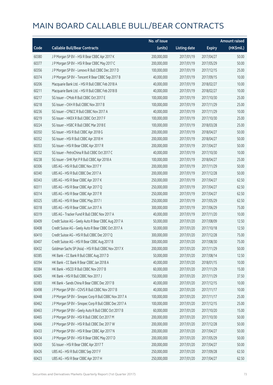|       |                                                        | No. of issue |                     |               | <b>Amount raised</b> |
|-------|--------------------------------------------------------|--------------|---------------------|---------------|----------------------|
| Code  | <b>Callable Bull/Bear Contracts</b>                    | (units)      | <b>Listing date</b> | <b>Expiry</b> | (HK\$mil.)           |
| 60380 | J P Morgan SP BV - HSI R Bear CBBC Apr 2017 K          | 200,000,000  | 2017/01/19          | 2017/04/27    | 50.00                |
| 60377 | JP Morgan SP BV - HSIR Bear CBBC May 2017 C            | 200,000,000  | 2017/01/19          | 2017/05/29    | 50.00                |
| 60356 | J P Morgan SP BV - Lenovo R Bull CBBC Dec 2017 D       | 100,000,000  | 2017/01/19          | 2017/12/15    | 25.00                |
| 60374 | J P Morgan SP BV - Tencent R Bear CBBC Sep 2017 B      | 40,000,000   | 2017/01/19          | 2017/09/15    | 10.00                |
| 60206 | Macquarie Bank Ltd. - HSI R Bull CBBC Feb 2018 A       | 40,000,000   | 2017/01/19          | 2018/02/27    | 10.00                |
| 60211 | Macquarie Bank Ltd. - HSI R Bull CBBC Feb 2018 B       | 40,000,000   | 2017/01/19          | 2018/02/27    | 10.00                |
| 60217 | SG Issuer - CMob R Bull CBBC Oct 2017 E                | 100,000,000  | 2017/01/19          | 2017/10/30    | 25.00                |
| 60218 | SG Issuer - CKH R Bull CBBC Nov 2017 B                 | 100,000,000  | 2017/01/19          | 2017/11/29    | 25.00                |
| 60236 | SG Issuer - CP&CC R Bull CBBC Nov 2017 A               | 40,000,000   | 2017/01/19          | 2017/11/29    | 10.00                |
| 60219 | SG Issuer - HKEX R Bull CBBC Oct 2017 F                | 100,000,000  | 2017/01/19          | 2017/10/30    | 25.00                |
| 60224 | SG Issuer - HSBC R Bull CBBC Mar 2018 E                | 100,000,000  | 2017/01/19          | 2018/03/28    | 25.00                |
| 60350 | SG Issuer - HSI R Bull CBBC Apr 2018 G                 | 200,000,000  | 2017/01/19          | 2018/04/27    | 50.00                |
| 60352 | SG Issuer - HSI R Bull CBBC Apr 2018 H                 | 200,000,000  | 2017/01/19          | 2018/04/27    | 50.00                |
| 60353 | SG Issuer - HSI R Bear CBBC Apr 2017 R                 | 200,000,000  | 2017/01/19          | 2017/04/27    | 50.00                |
| 60232 | SG Issuer - PetroChina R Bull CBBC Oct 2017 C          | 40,000,000   | 2017/01/19          | 2017/10/30    | 10.00                |
| 60238 | SG Issuer - SHK Ppt P R Bull CBBC Apr 2018 A           | 100,000,000  | 2017/01/19          | 2018/04/27    | 25.00                |
| 60306 | UBS AG - HSI R Bull CBBC Nov 2017 Y                    | 200,000,000  | 2017/01/19          | 2017/11/29    | 50.00                |
| 60340 | UBS AG - HSI R Bull CBBC Dec 2017 A                    | 200,000,000  | 2017/01/19          | 2017/12/28    | 50.00                |
| 60343 | UBS AG - HSI R Bear CBBC Apr 2017 K                    | 250,000,000  | 2017/01/19          | 2017/04/27    | 62.50                |
| 60311 | UBS AG - HSI R Bear CBBC Apr 2017 Q                    | 250,000,000  | 2017/01/19          | 2017/04/27    | 62.50                |
| 60314 | UBS AG - HSI R Bear CBBC Apr 2017 R                    | 250,000,000  | 2017/01/19          | 2017/04/27    | 62.50                |
| 60325 | UBS AG - HSI R Bear CBBC May 2017 I                    | 250,000,000  | 2017/01/19          | 2017/05/29    | 62.50                |
| 60318 | UBS AG - HSI R Bear CBBC Jun 2017 A                    | 300,000,000  | 2017/01/19          | 2017/06/29    | 75.00                |
| 60319 | UBS AG - Tracker Fund R Bull CBBC Nov 2017 A           | 40,000,000   | 2017/01/19          | 2017/11/20    | 10.00                |
| 60409 | Credit Suisse AG - Geely Auto R Bear CBBC Aug 2017 A   | 50,000,000   | 2017/01/20          | 2017/08/09    | 12.50                |
| 60408 | Credit Suisse AG - Geely Auto R Bear CBBC Oct 2017 A   | 50,000,000   | 2017/01/20          | 2017/10/18    | 12.50                |
| 60410 | Credit Suisse AG - HSI R Bull CBBC Dec 2017 Q          | 300,000,000  | 2017/01/20          | 2017/12/28    | 75.00                |
| 60407 | Credit Suisse AG - HSI R Bear CBBC Aug 2017 B          | 300,000,000  | 2017/01/20          | 2017/08/30    | 75.00                |
| 60432 | Goldman Sachs SP (Asia) - HSI R Bull CBBC Nov 2017 X   | 200,000,000  | 2017/01/20          | 2017/11/29    | 50.00                |
| 60385 | HK Bank - CC Bank R Bull CBBC Aug 2017 D               | 50,000,000   | 2017/01/20          | 2017/08/14    | 12.50                |
| 60394 | HK Bank - CC Bank R Bear CBBC Jan 2018 A               | 40,000,000   | 2017/01/20          | 2018/01/15    | 10.00                |
| 60384 | HK Bank - HSCEI R Bull CBBC Nov 2017 B                 | 60,000,000   | 2017/01/20          | 2017/11/29    | 15.00                |
| 60405 | HK Bank - HSI R Bull CBBC Nov 2017 J                   | 150,000,000  | 2017/01/20          | 2017/11/29    | 37.50                |
| 60383 | HK Bank - Sands China R Bear CBBC Dec 2017 B           | 40,000,000   | 2017/01/20          | 2017/12/15    | 10.00                |
| 60498 | J P Morgan SP BV - COVS R Bull CBBC Nov 2017 B         | 40,000,000   | 2017/01/20          | 2017/11/17    | 10.00                |
| 60448 | J P Morgan SP BV - Sinopec Corp R Bull CBBC Nov 2017 A | 100,000,000  | 2017/01/20          | 2017/11/17    | 25.00                |
| 60462 | J P Morgan SP BV - Sinopec Corp R Bull CBBC Dec 2017 A | 100,000,000  | 2017/01/20          | 2017/12/15    | 25.00                |
| 60463 | J P Morgan SP BV - Geely Auto R Bull CBBC Oct 2017 B   | 60,000,000   | 2017/01/20          | 2017/10/20    | 15.00                |
| 60465 | J P Morgan SP BV - HSI R Bull CBBC Oct 2017 M          | 200,000,000  | 2017/01/20          | 2017/10/30    | 50.00                |
| 60466 | J P Morgan SP BV - HSI R Bull CBBC Dec 2017 W          | 200,000,000  | 2017/01/20          | 2017/12/28    | 50.00                |
| 60433 | J P Morgan SP BV - HSI R Bear CBBC Apr 2017 N          | 200,000,000  | 2017/01/20          | 2017/04/27    | 50.00                |
| 60434 | J P Morgan SP BV - HSI R Bear CBBC May 2017 D          | 200,000,000  | 2017/01/20          | 2017/05/29    | 50.00                |
| 60430 | SG Issuer - HSI R Bear CBBC Apr 2017 T                 | 200,000,000  | 2017/01/20          | 2017/04/27    | 50.00                |
| 60426 | UBS AG - HSI R Bull CBBC Sep 2017 F                    | 250,000,000  | 2017/01/20          | 2017/09/28    | 62.50                |
| 60423 | UBS AG - HSI R Bear CBBC Apr 2017 H                    | 250,000,000  | 2017/01/20          | 2017/04/27    | 62.50                |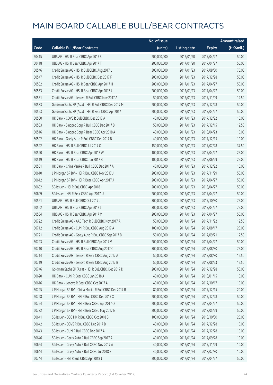|       |                                                        | No. of issue |                     |               | <b>Amount raised</b> |
|-------|--------------------------------------------------------|--------------|---------------------|---------------|----------------------|
| Code  | <b>Callable Bull/Bear Contracts</b>                    | (units)      | <b>Listing date</b> | <b>Expiry</b> | (HK\$mil.)           |
| 60415 | UBS AG - HSI R Bear CBBC Apr 2017 S                    | 200,000,000  | 2017/01/20          | 2017/04/27    | 50.00                |
| 60418 | UBS AG - HSI R Bear CBBC Apr 2017 T                    | 200,000,000  | 2017/01/20          | 2017/04/27    | 50.00                |
| 60546 | Credit Suisse AG - HSI R Bull CBBC Aug 2017 L          | 300,000,000  | 2017/01/23          | 2017/08/30    | 75.00                |
| 60547 | Credit Suisse AG - HSI R Bull CBBC Dec 2017 F          | 200,000,000  | 2017/01/23          | 2017/12/28    | 50.00                |
| 60552 | Credit Suisse AG - HSI R Bear CBBC Apr 2017 H          | 200,000,000  | 2017/01/23          | 2017/04/27    | 50.00                |
| 60553 | Credit Suisse AG - HSI R Bear CBBC Apr 2017 J          | 200,000,000  | 2017/01/23          | 2017/04/27    | 50.00                |
| 60551 | Credit Suisse AG - Lenovo R Bull CBBC Nov 2017 A       | 50,000,000   | 2017/01/23          | 2017/11/09    | 12.50                |
| 60583 | Goldman Sachs SP (Asia) - HSI R Bull CBBC Dec 2017 M   | 200,000,000  | 2017/01/23          | 2017/12/28    | 50.00                |
| 60523 | Goldman Sachs SP (Asia) - HSI R Bear CBBC Apr 2017 I   | 200,000,000  | 2017/01/23          | 2017/04/27    | 50.00                |
| 60500 | HK Bank - COVS R Bull CBBC Dec 2017 A                  | 40,000,000   | 2017/01/23          | 2017/12/22    | 10.00                |
| 60503 | HK Bank - Sinopec Corp R Bull CBBC Dec 2017 B          | 50,000,000   | 2017/01/23          | 2017/12/15    | 12.50                |
| 60516 | HK Bank - Sinopec Corp R Bear CBBC Apr 2018 A          | 40,000,000   | 2017/01/23          | 2018/04/23    | 10.00                |
| 60502 | HK Bank - Geely Auto R Bull CBBC Dec 2017 B            | 40,000,000   | 2017/01/23          | 2017/12/15    | 10.00                |
| 60522 | HK Bank - HSI R Bull CBBC Jul 2017 O                   | 150,000,000  | 2017/01/23          | 2017/07/28    | 37.50                |
| 60520 | HK Bank - HSI R Bear CBBC Apr 2017 W                   | 100,000,000  | 2017/01/23          | 2017/04/27    | 25.00                |
| 60519 | HK Bank - HSI R Bear CBBC Jun 2017 B                   | 100,000,000  | 2017/01/23          | 2017/06/29    | 25.00                |
| 60501 | HK Bank - China Vanke R Bull CBBC Dec 2017 A           | 40,000,000   | 2017/01/23          | 2017/12/22    | 10.00                |
| 60610 | J P Morgan SP BV - HSI R Bull CBBC Nov 2017 J          | 200,000,000  | 2017/01/23          | 2017/11/29    | 50.00                |
| 60612 | J P Morgan SP BV - HSI R Bear CBBC Apr 2017 J          | 200,000,000  | 2017/01/23          | 2017/04/27    | 50.00                |
| 60602 | SG Issuer - HSI R Bull CBBC Apr 2018 I                 | 200,000,000  | 2017/01/23          | 2018/04/27    | 50.00                |
| 60609 | SG Issuer - HSI R Bear CBBC Apr 2017 U                 | 200,000,000  | 2017/01/23          | 2017/04/27    | 50.00                |
| 60561 | UBS AG - HSI R Bull CBBC Oct 2017 J                    | 300,000,000  | 2017/01/23          | 2017/10/30    | 75.00                |
| 60562 | UBS AG - HSI R Bear CBBC Apr 2017 L                    | 300,000,000  | 2017/01/23          | 2017/04/27    | 75.00                |
| 60564 | UBS AG - HSI R Bear CBBC Apr 2017 M                    | 200,000,000  | 2017/01/23          | 2017/04/27    | 50.00                |
| 60722 | Credit Suisse AG - AAC Tech R Bull CBBC Nov 2017 A     | 50,000,000   | 2017/01/24          | 2017/11/22    | 12.50                |
| 60712 | Credit Suisse AG - CUni R Bull CBBC Aug 2017 A         | 100,000,000  | 2017/01/24          | 2017/08/17    | 25.00                |
| 60721 | Credit Suisse AG - Geely Auto R Bull CBBC Sep 2017 B   | 50,000,000   | 2017/01/24          | 2017/09/21    | 12.50                |
| 60723 | Credit Suisse AG - HSI R Bull CBBC Apr 2017 V          | 200,000,000  | 2017/01/24          | 2017/04/27    | 50.00                |
| 60710 | Credit Suisse AG - HSI R Bear CBBC Aug 2017 C          | 300,000,000  | 2017/01/24          | 2017/08/30    | 75.00                |
| 60714 | Credit Suisse AG - Lenovo R Bear CBBC Aug 2017 A       | 50,000,000   | 2017/01/24          | 2017/08/30    | 12.50                |
| 60719 | Credit Suisse AG - Lenovo R Bear CBBC Aug 2017 B       | 50,000,000   | 2017/01/24          | 2017/08/23    | 12.50                |
| 60746 | Goldman Sachs SP (Asia) - HSI R Bull CBBC Dec 2017 D   | 200,000,000  | 2017/01/24          | 2017/12/28    | 50.00                |
| 60620 | HK Bank - CUni R Bear CBBC Jan 2018 A                  | 40,000,000   | 2017/01/24          | 2018/01/15    | 10.00                |
| 60616 | HK Bank - Lenovo R Bear CBBC Oct 2017 A                | 40,000,000   | 2017/01/24          | 2017/10/17    | 10.00                |
| 60725 | J P Morgan SP BV - China Mobile R Bull CBBC Dec 2017 B | 80,000,000   | 2017/01/24          | 2017/12/15    | 20.00                |
| 60728 | J P Morgan SP BV - HSI R Bull CBBC Dec 2017 X          | 200,000,000  | 2017/01/24          | 2017/12/28    | 50.00                |
| 60724 | J P Morgan SP BV - HSI R Bear CBBC Apr 2017 O          | 200,000,000  | 2017/01/24          | 2017/04/27    | 50.00                |
| 60732 | J P Morgan SP BV - HSI R Bear CBBC May 2017 E          | 200,000,000  | 2017/01/24          | 2017/05/29    | 50.00                |
| 60641 | SG Issuer - BOC HK R Bull CBBC Oct 2018 B              | 100,000,000  | 2017/01/24          | 2018/10/30    | 25.00                |
| 60642 | SG Issuer - COVS R Bull CBBC Dec 2017 B                | 40,000,000   | 2017/01/24          | 2017/12/28    | 10.00                |
| 60643 | SG Issuer - CUni R Bull CBBC Dec 2017 A                | 40,000,000   | 2017/01/24          | 2017/12/28    | 10.00                |
| 60646 | SG Issuer - Geely Auto R Bull CBBC Sep 2017 A          | 40,000,000   | 2017/01/24          | 2017/09/28    | 10.00                |
| 60664 | SG Issuer - Geely Auto R Bull CBBC Nov 2017 A          | 40,000,000   | 2017/01/24          | 2017/11/29    | 10.00                |
| 60644 | SG Issuer - Geely Auto R Bull CBBC Jul 2018 B          | 40,000,000   | 2017/01/24          | 2018/07/30    | 10.00                |
| 60744 | SG Issuer - HSI R Bull CBBC Apr 2018 J                 | 200,000,000  | 2017/01/24          | 2018/04/27    | 50.00                |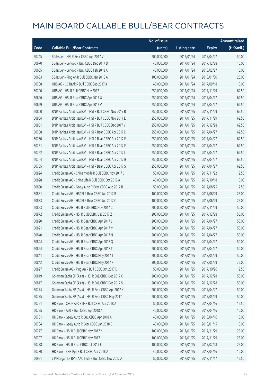|       |                                                          | No. of issue |                     |               | <b>Amount raised</b> |
|-------|----------------------------------------------------------|--------------|---------------------|---------------|----------------------|
| Code  | <b>Callable Bull/Bear Contracts</b>                      | (units)      | <b>Listing date</b> | <b>Expiry</b> | (HK\$mil.)           |
| 60745 | SG Issuer - HSI R Bear CBBC Apr 2017 V                   | 200,000,000  | 2017/01/24          | 2017/04/27    | 50.00                |
| 60670 | SG Issuer - Lenovo R Bull CBBC Dec 2017 D                | 40,000,000   | 2017/01/24          | 2017/12/28    | 10.00                |
| 60665 | SG Issuer - Lenovo R Bull CBBC Feb 2018 A                | 40,000,000   | 2017/01/24          | 2018/02/27    | 10.00                |
| 60683 | SG Issuer - Ping An R Bull CBBC Jan 2018 A               | 100,000,000  | 2017/01/24          | 2018/01/30    | 25.00                |
| 60708 | UBS AG - CC Bank R Bull CBBC Sep 2017 A                  | 40,000,000   | 2017/01/24          | 2017/09/18    | 10.00                |
| 60700 | UBS AG - HSI R Bull CBBC Nov 2017 I                      | 250,000,000  | 2017/01/24          | 2017/11/29    | 62.50                |
| 60696 | UBS AG - HSI R Bear CBBC Apr 2017 U                      | 250,000,000  | 2017/01/24          | 2017/04/27    | 62.50                |
| 60699 | UBS AG - HSI R Bear CBBC Apr 2017 V                      | 250,000,000  | 2017/01/24          | 2017/04/27    | 62.50                |
| 60800 | BNP Paribas Arbit Issu B.V. - HSI R Bull CBBC Nov 2017 B | 250,000,000  | 2017/01/25          | 2017/11/29    | 62.50                |
| 60804 | BNP Paribas Arbit Issu B.V. - HSI R Bull CBBC Nov 2017 E | 250,000,000  | 2017/01/25          | 2017/11/29    | 62.50                |
| 60801 | BNP Paribas Arbit Issu B.V. - HSI R Bull CBBC Dec 2017 V | 250,000,000  | 2017/01/25          | 2017/12/28    | 62.50                |
| 60758 | BNP Paribas Arbit Issu B.V. - HSI R Bear CBBC Apr 2017 D | 250,000,000  | 2017/01/25          | 2017/04/27    | 62.50                |
| 60760 | BNP Paribas Arbit Issu B.V. - HSI R Bear CBBC Apr 2017 E | 250,000,000  | 2017/01/25          | 2017/04/27    | 62.50                |
| 60761 | BNP Paribas Arbit Issu B.V. - HSI R Bear CBBC Apr 2017 F | 250,000,000  | 2017/01/25          | 2017/04/27    | 62.50                |
| 60762 | BNP Paribas Arbit Issu B.V. - HSI R Bear CBBC Apr 2017 L | 250,000,000  | 2017/01/25          | 2017/04/27    | 62.50                |
| 60764 | BNP Paribas Arbit Issu B.V. - HSI R Bear CBBC Apr 2017 R | 250,000,000  | 2017/01/25          | 2017/04/27    | 62.50                |
| 60765 | BNP Paribas Arbit Issu B.V. - HSI R Bear CBBC Apr 2017 S | 250,000,000  | 2017/01/25          | 2017/04/27    | 62.50                |
| 60824 | Credit Suisse AG - China Mobile R Bull CBBC Nov 2017 C   | 50,000,000   | 2017/01/25          | 2017/11/22    | 12.50                |
| 60828 | Credit Suisse AG - China Life R Bull CBBC Oct 2017 A     | 40,000,000   | 2017/01/25          | 2017/10/18    | 10.00                |
| 60880 | Credit Suisse AG - Geely Auto R Bear CBBC Aug 2017 B     | 50,000,000   | 2017/01/25          | 2017/08/25    | 12.50                |
| 60881 | Credit Suisse AG - HSCEI R Bear CBBC Jun 2017 B          | 100,000,000  | 2017/01/25          | 2017/06/29    | 25.00                |
| 60883 | Credit Suisse AG - HSCEI R Bear CBBC Jun 2017 C          | 100,000,000  | 2017/01/25          | 2017/06/29    | 25.00                |
| 60853 | Credit Suisse AG - HSI R Bull CBBC Nov 2017 C            | 200,000,000  | 2017/01/25          | 2017/11/29    | 50.00                |
| 60872 | Credit Suisse AG - HSI R Bull CBBC Dec 2017 Z            | 200,000,000  | 2017/01/25          | 2017/12/28    | 50.00                |
| 60820 | Credit Suisse AG - HSI R Bear CBBC Apr 2017 L            | 200,000,000  | 2017/01/25          | 2017/04/27    | 50.00                |
| 60821 | Credit Suisse AG - HSI R Bear CBBC Apr 2017 M            | 200,000,000  | 2017/01/25          | 2017/04/27    | 50.00                |
| 60840 | Credit Suisse AG - HSI R Bear CBBC Apr 2017 N            | 200,000,000  | 2017/01/25          | 2017/04/27    | 50.00                |
| 60844 | Credit Suisse AG - HSI R Bear CBBC Apr 2017 Q            | 200,000,000  | 2017/01/25          | 2017/04/27    | 50.00                |
| 60864 | Credit Suisse AG - HSI R Bear CBBC Apr 2017 T            | 200,000,000  | 2017/01/25          | 2017/04/27    | 50.00                |
| 60841 | Credit Suisse AG - HSI R Bear CBBC May 2017 J            | 200,000,000  | 2017/01/25          | 2017/05/29    | 50.00                |
| 60842 | Credit Suisse AG - HSI R Bear CBBC May 2017 K            | 300,000,000  | 2017/01/25          | 2017/05/29    | 75.00                |
| 60827 | Credit Suisse AG - Ping An R Bull CBBC Oct 2017 D        | 50,000,000   | 2017/01/25          | 2017/10/26    | 12.50                |
| 60819 | Goldman Sachs SP (Asia) - HSI R Bull CBBC Dec 2017 O     | 200,000,000  | 2017/01/25          | 2017/12/28    | 50.00                |
| 60817 | Goldman Sachs SP (Asia) - HSI R Bull CBBC Dec 2017 S     | 200,000,000  | 2017/01/25          | 2017/12/28    | 50.00                |
| 60774 | Goldman Sachs SP (Asia) - HSI R Bear CBBC Apr 2017 K     | 200,000,000  | 2017/01/25          | 2017/04/27    | 50.00                |
| 60775 | Goldman Sachs SP (Asia) - HSI R Bear CBBC May 2017 I     | 200,000,000  | 2017/01/25          | 2017/05/29    | 50.00                |
| 60791 | HK Bank - CSOP A50 ETF R Bull CBBC Apr 2018 A            | 50,000,000   | 2017/01/25          | 2018/04/16    | 12.50                |
| 60795 | HK Bank - A50 R Bull CBBC Apr 2018 A                     | 40,000,000   | 2017/01/25          | 2018/04/16    | 10.00                |
| 60781 | HK Bank - Geely Auto R Bull CBBC Apr 2018 A              | 40,000,000   | 2017/01/25          | 2018/04/16    | 10.00                |
| 60784 | HK Bank - Geely Auto R Bear CBBC Jan 2018 B              | 40,000,000   | 2017/01/25          | 2018/01/15    | 10.00                |
| 60777 | HK Bank - HSI R Bull CBBC Nov 2017 K                     | 100,000,000  | 2017/01/25          | 2017/11/29    | 25.00                |
| 60797 | HK Bank - HSI R Bull CBBC Nov 2017 L                     | 100,000,000  | 2017/01/25          | 2017/11/29    | 25.00                |
| 60778 | HK Bank - HSI R Bear CBBC Jul 2017 E                     | 100,000,000  | 2017/01/25          | 2017/07/28    | 25.00                |
| 60780 | HK Bank - SHK Ppt R Bull CBBC Apr 2018 A                 | 40,000,000   | 2017/01/25          | 2018/04/16    | 10.00                |
| 60951 | J P Morgan SP BV - AAC Tech R Bull CBBC Nov 2017 A       | 50,000,000   | 2017/01/25          | 2017/11/17    | 12.50                |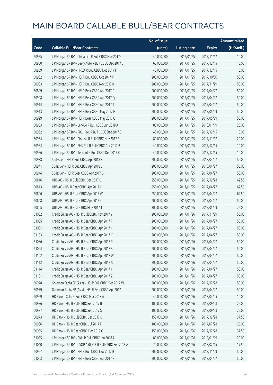|       |                                                        | No. of issue |                     |               | <b>Amount raised</b> |
|-------|--------------------------------------------------------|--------------|---------------------|---------------|----------------------|
| Code  | <b>Callable Bull/Bear Contracts</b>                    | (units)      | <b>Listing date</b> | <b>Expiry</b> | (HK\$mil.)           |
| 60955 | J P Morgan SP BV - China Life R Bull CBBC Nov 2017 C   | 40,000,000   | 2017/01/25          | 2017/11/17    | 10.00                |
| 60950 | J P Morgan SP BV - Geely Auto R Bull CBBC Dec 2017 C   | 60,000,000   | 2017/01/25          | 2017/12/15    | 15.00                |
| 60959 | J P Morgan SP BV - HKEX R Bull CBBC Dec 2017 I         | 40,000,000   | 2017/01/25          | 2017/12/15    | 10.00                |
| 60902 | J P Morgan SP BV - HSI R Bull CBBC Oct 2017 P          | 200,000,000  | 2017/01/25          | 2017/10/30    | 50.00                |
| 60903 | J P Morgan SP BV - HSI R Bull CBBC Nov 2017 K          | 200,000,000  | 2017/01/25          | 2017/11/29    | 50.00                |
| 60899 | J P Morgan SP BV - HSI R Bear CBBC Apr 2017 P          | 200,000,000  | 2017/01/25          | 2017/04/27    | 50.00                |
| 60908 | J P Morgan SP BV - HSI R Bear CBBC Apr 2017 Q          | 200,000,000  | 2017/01/25          | 2017/04/27    | 50.00                |
| 60914 | J P Morgan SP BV - HSI R Bear CBBC Apr 2017 T          | 200,000,000  | 2017/01/25          | 2017/04/27    | 50.00                |
| 60913 | J P Morgan SP BV - HSI R Bear CBBC May 2017 F          | 200,000,000  | 2017/01/25          | 2017/05/29    | 50.00                |
| 60929 | J P Morgan SP BV - HSI R Bear CBBC May 2017 G          | 200,000,000  | 2017/01/25          | 2017/05/29    | 50.00                |
| 60953 | J P Morgan SP BV - Lenovo R Bull CBBC Jan 2018 A       | 80,000,000   | 2017/01/25          | 2018/01/19    | 20.00                |
| 60962 | J P Morgan SP BV - PICC P&C R Bull CBBC Dec 2017 B     | 40,000,000   | 2017/01/25          | 2017/12/15    | 10.00                |
| 60954 | J P Morgan SP BV - Ping An R Bull CBBC Nov 2017 E      | 80,000,000   | 2017/01/25          | 2017/11/17    | 20.00                |
| 60964 | J P Morgan SP BV - SHK Ppt R Bull CBBC Dec 2017 B      | 40,000,000   | 2017/01/25          | 2017/12/15    | 10.00                |
| 60956 | J P Morgan SP BV - Tencent R Bull CBBC Dec 2017 K      | 40,000,000   | 2017/01/25          | 2017/12/15    | 10.00                |
| 60938 | SG Issuer - HSI R Bull CBBC Apr 2018 K                 | 200,000,000  | 2017/01/25          | 2018/04/27    | 50.00                |
| 60941 | SG Issuer - HSI R Bull CBBC Apr 2018 L                 | 200,000,000  | 2017/01/25          | 2018/04/27    | 50.00                |
| 60944 | SG Issuer - HSI R Bear CBBC Apr 2017 G                 | 200,000,000  | 2017/01/25          | 2017/04/27    | 50.00                |
| 60816 | UBS AG - HSI R Bull CBBC Dec 2017 D                    | 250,000,000  | 2017/01/25          | 2017/12/28    | 62.50                |
| 60813 | UBS AG - HSI R Bear CBBC Apr 2017 I                    | 250,000,000  | 2017/01/25          | 2017/04/27    | 62.50                |
| 60806 | UBS AG - HSI R Bear CBBC Apr 2017 W                    | 250,000,000  | 2017/01/25          | 2017/04/27    | 62.50                |
| 60808 | UBS AG - HSI R Bear CBBC Apr 2017 Y                    | 200,000,000  | 2017/01/25          | 2017/04/27    | 50.00                |
| 60805 | UBS AG - HSI R Bear CBBC May 2017 J                    | 300,000,000  | 2017/01/25          | 2017/05/29    | 75.00                |
| 61062 | Credit Suisse AG - HSI R Bull CBBC Nov 2017 Y          | 200,000,000  | 2017/01/26          | 2017/11/29    | 50.00                |
| 61065 | Credit Suisse AG - HSI R Bear CBBC Apr 2017 F          | 200,000,000  | 2017/01/26          | 2017/04/27    | 50.00                |
| 61081 | Credit Suisse AG - HSI R Bear CBBC Apr 2017 I          | 200,000,000  | 2017/01/26          | 2017/04/27    | 50.00                |
| 61133 | Credit Suisse AG - HSI R Bear CBBC Apr 2017 K          | 200,000,000  | 2017/01/26          | 2017/04/27    | 50.00                |
| 61086 | Credit Suisse AG - HSI R Bear CBBC Apr 2017 P          | 200,000,000  | 2017/01/26          | 2017/04/27    | 50.00                |
| 61094 | Credit Suisse AG - HSI R Bear CBBC Apr 2017 S          | 200,000,000  | 2017/01/26          | 2017/04/27    | 50.00                |
| 61102 | Credit Suisse AG - HSI R Bear CBBC Apr 2017 W          | 200,000,000  | 2017/01/26          | 2017/04/27    | 50.00                |
| 61112 | Credit Suisse AG - HSI R Bear CBBC Apr 2017 X          | 200,000,000  | 2017/01/26          | 2017/04/27    | 50.00                |
| 61114 | Credit Suisse AG - HSI R Bear CBBC Apr 2017 Y          | 200,000,000  | 2017/01/26          | 2017/04/27    | 50.00                |
| 61131 | Credit Suisse AG - HSI R Bear CBBC Apr 2017 Z          | 200,000,000  | 2017/01/26          | 2017/04/27    | 50.00                |
| 60978 | Goldman Sachs SP (Asia) - HSI R Bull CBBC Dec 2017 W   | 200,000,000  | 2017/01/26          | 2017/12/28    | 50.00                |
| 60979 | Goldman Sachs SP (Asia) - HSI R Bear CBBC Apr 2017 L   | 200,000,000  | 2017/01/26          | 2017/04/27    | 50.00                |
| 60969 | HK Bank - CUni R Bull CBBC Mar 2018 A                  | 40,000,000   | 2017/01/26          | 2018/03/05    | 10.00                |
| 60976 | HK Bank - HSI R Bull CBBC Sep 2017 R                   | 100,000,000  | 2017/01/26          | 2017/09/28    | 25.00                |
| 60977 | HK Bank - HSI R Bull CBBC Sep 2017 S                   | 100,000,000  | 2017/01/26          | 2017/09/28    | 25.00                |
| 60973 | HK Bank - HSI R Bull CBBC Dec 2017 D                   | 150,000,000  | 2017/01/26          | 2017/12/28    | 37.50                |
| 60966 | HK Bank - HSI R Bear CBBC Jul 2017 F                   | 100,000,000  | 2017/01/26          | 2017/07/28    | 25.00                |
| 60965 | HK Bank - HSI R Bear CBBC Dec 2017 C                   | 150,000,000  | 2017/01/26          | 2017/12/28    | 37.50                |
| 61035 | J P Morgan SP BV - CKH R Bull CBBC Jan 2018 A          | 80,000,000   | 2017/01/26          | 2018/01/19    | 20.00                |
| 61040 | J P Morgan SP BV - CSOP A50 ETF R Bull CBBC Feb 2018 A | 70,000,000   | 2017/01/26          | 2018/02/15    | 17.50                |
| 60997 | J P Morgan SP BV - HSI R Bull CBBC Nov 2017 R          | 200,000,000  | 2017/01/26          | 2017/11/29    | 50.00                |
| 61003 | J P Morgan SP BV - HSI R Bear CBBC Apr 2017 R          | 200,000,000  | 2017/01/26          | 2017/04/27    | 50.00                |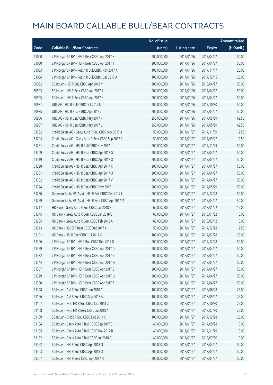|       |                                                      | No. of issue |                     |               | <b>Amount raised</b> |
|-------|------------------------------------------------------|--------------|---------------------|---------------|----------------------|
| Code  | <b>Callable Bull/Bear Contracts</b>                  | (units)      | <b>Listing date</b> | <b>Expiry</b> | (HK\$mil.)           |
| 61000 | J P Morgan SP BV - HSI R Bear CBBC Apr 2017 X        | 200,000,000  | 2017/01/26          | 2017/04/27    | 50.00                |
| 61030 | J P Morgan SP BV - HSI R Bear CBBC Apr 2017 Y        | 200,000,000  | 2017/01/26          | 2017/04/27    | 50.00                |
| 61033 | J P Morgan SP BV - PetCh R Bull CBBC Nov 2017 A      | 100,000,000  | 2017/01/26          | 2017/11/17    | 25.00                |
| 61034 | J P Morgan SP BV - PetCh R Bull CBBC Dec 2017 A      | 100,000,000  | 2017/01/26          | 2017/12/15    | 25.00                |
| 60992 | SG Issuer - HSI R Bull CBBC Apr 2018 M               | 200,000,000  | 2017/01/26          | 2018/04/27    | 50.00                |
| 60993 | SG Issuer - HSI R Bear CBBC Apr 2017 J               | 200,000,000  | 2017/01/26          | 2017/04/27    | 50.00                |
| 60995 | SG Issuer - HSI R Bear CBBC Apr 2017 K               | 200,000,000  | 2017/01/26          | 2017/04/27    | 50.00                |
| 60981 | UBS AG - HSI R Bull CBBC Oct 2017 N                  | 200,000,000  | 2017/01/26          | 2017/10/30    | 50.00                |
| 60985 | UBS AG - HSI R Bear CBBC Apr 2017 J                  | 200,000,000  | 2017/01/26          | 2017/04/27    | 50.00                |
| 60986 | UBS AG - HSI R Bear CBBC May 2017 K                  | 250,000,000  | 2017/01/26          | 2017/05/29    | 62.50                |
| 60987 | UBS AG - HSI R Bear CBBC May 2017 L                  | 250,000,000  | 2017/01/26          | 2017/05/29    | 62.50                |
| 61292 | Credit Suisse AG - Geely Auto R Bull CBBC Nov 2017 A | 50,000,000   | 2017/01/27          | 2017/11/09    | 12.50                |
| 61294 | Credit Suisse AG - Geely Auto R Bear CBBC Sep 2017 A | 50,000,000   | 2017/01/27          | 2017/09/27    | 12.50                |
| 61281 | Credit Suisse AG - HSI R Bull CBBC Nov 2017 I        | 200,000,000  | 2017/01/27          | 2017/11/29    | 50.00                |
| 61309 | Credit Suisse AG - HSI R Bear CBBC Apr 2017 G        | 200,000,000  | 2017/01/27          | 2017/04/27    | 50.00                |
| 61319 | Credit Suisse AG - HSI R Bear CBBC Apr 2017 O        | 200,000,000  | 2017/01/27          | 2017/04/27    | 50.00                |
| 61298 | Credit Suisse AG - HSI R Bear CBBC Apr 2017 R        | 200,000,000  | 2017/01/27          | 2017/04/27    | 50.00                |
| 61301 | Credit Suisse AG - HSI R Bear CBBC Apr 2017 U        | 200,000,000  | 2017/01/27          | 2017/04/27    | 50.00                |
| 61302 | Credit Suisse AG - HSI R Bear CBBC Apr 2017 V        | 200,000,000  | 2017/01/27          | 2017/04/27    | 50.00                |
| 61324 | Credit Suisse AG - HSI R Bear CBBC May 2017 L        | 200,000,000  | 2017/01/27          | 2017/05/29    | 50.00                |
| 61250 | Goldman Sachs SP (Asia) - HSI R Bull CBBC Dec 2017 U | 200,000,000  | 2017/01/27          | 2017/12/28    | 50.00                |
| 61259 | Goldman Sachs SP (Asia) - HSI R Bear CBBC Apr 2017 M | 200,000,000  | 2017/01/27          | 2017/04/27    | 50.00                |
| 61217 | HK Bank - Geely Auto R Bull CBBC Jan 2018 B          | 60,000,000   | 2017/01/27          | 2018/01/22    | 15.00                |
| 61245 | HK Bank - Geely Auto R Bear CBBC Jan 2018 C          | 60,000,000   | 2017/01/27          | 2018/01/22    | 15.00                |
| 61235 | HK Bank - Geely Auto R Bear CBBC Feb 2018 A          | 60,000,000   | 2017/01/27          | 2018/02/12    | 15.00                |
| 61213 | HK Bank - HSCEI R Bear CBBC Dec 2017 A               | 50,000,000   | 2017/01/27          | 2017/12/28    | 12.50                |
| 61191 | HK Bank - HSI R Bear CBBC Jul 2017 G                 | 100,000,000  | 2017/01/27          | 2017/07/28    | 25.00                |
| 61326 | J P Morgan SP BV - HSI R Bull CBBC Dec 2017 G        | 200,000,000  | 2017/01/27          | 2017/12/28    | 50.00                |
| 61359 | J P Morgan SP BV - HSI R Bear CBBC Apr 2017 D        | 200,000,000  | 2017/01/27          | 2017/04/27    | 50.00                |
| 61332 | J P Morgan SP BV - HSI R Bear CBBC Apr 2017 G        | 200,000,000  | 2017/01/27          | 2017/04/27    | 50.00                |
| 61344 | J P Morgan SP BV - HSI R Bear CBBC Apr 2017 H        | 200,000,000  | 2017/01/27          | 2017/04/27    | 50.00                |
| 61357 | J P Morgan SP BV - HSI R Bear CBBC Apr 2017 S        | 200,000,000  | 2017/01/27          | 2017/04/27    | 50.00                |
| 61329 | J P Morgan SP BV - HSI R Bear CBBC Apr 2017 U        | 200,000,000  | 2017/01/27          | 2017/04/27    | 50.00                |
| 61330 | J P Morgan SP BV - HSI R Bear CBBC Apr 2017 Z        | 200,000,000  | 2017/01/27          | 2017/04/27    | 50.00                |
| 61148 | SG Issuer - AIA R Bull CBBC Jun 2018 A               | 100,000,000  | 2017/01/27          | 2018/06/28    | 25.00                |
| 61166 | SG Issuer - AIA R Bull CBBC Sep 2018 A               | 100,000,000  | 2017/01/27          | 2018/09/27    | 25.00                |
| 61167 | SG Issuer - BOC HK R Bull CBBC Oct 2018 C            | 100,000,000  | 2017/01/27          | 2018/10/30    | 25.00                |
| 61168 | SG Issuer - BOC HK R Bear CBBC Jul 2018 A            | 100,000,000  | 2017/01/27          | 2018/07/30    | 25.00                |
| 61169 | SG Issuer - CMob R Bull CBBC Dec 2017 C              | 100,000,000  | 2017/01/27          | 2017/12/28    | 25.00                |
| 61184 | SG Issuer - Geely Auto R Bull CBBC Sep 2017 B        | 40,000,000   | 2017/01/27          | 2017/09/28    | 10.00                |
| 61185 | SG Issuer - Geely Auto R Bull CBBC Nov 2017 B        | 40,000,000   | 2017/01/27          | 2017/11/29    | 10.00                |
| 61182 | SG Issuer - Geely Auto R Bull CBBC Jul 2018 C        | 40,000,000   | 2017/01/27          | 2018/07/30    | 10.00                |
| 61362 | SG Issuer - HSI R Bull CBBC Apr 2018 N               | 200,000,000  | 2017/01/27          | 2018/04/27    | 50.00                |
| 61363 | SG Issuer - HSI R Bull CBBC Apr 2018 O               | 200,000,000  | 2017/01/27          | 2018/04/27    | 50.00                |
| 61367 | SG Issuer - HSI R Bear CBBC Apr 2017 N               | 200,000,000  | 2017/01/27          | 2017/04/27    | 50.00                |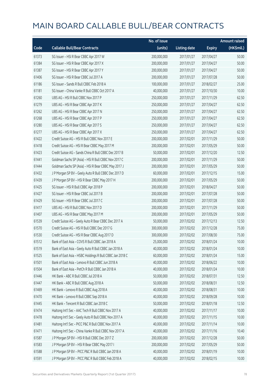|       |                                                          | No. of issue |                     |               | <b>Amount raised</b> |
|-------|----------------------------------------------------------|--------------|---------------------|---------------|----------------------|
| Code  | <b>Callable Bull/Bear Contracts</b>                      | (units)      | <b>Listing date</b> | <b>Expiry</b> | (HK\$mil.)           |
| 61373 | SG Issuer - HSI R Bear CBBC Apr 2017 W                   | 200,000,000  | 2017/01/27          | 2017/04/27    | 50.00                |
| 61384 | SG Issuer - HSI R Bear CBBC Apr 2017 X                   | 200,000,000  | 2017/01/27          | 2017/04/27    | 50.00                |
| 61387 | SG Issuer - HSI R Bear CBBC Apr 2017 Y                   | 200,000,000  | 2017/01/27          | 2017/04/27    | 50.00                |
| 61406 | SG Issuer - HSI R Bear CBBC Jul 2017 A                   | 200,000,000  | 2017/01/27          | 2017/07/28    | 50.00                |
| 61186 | SG Issuer - Sands R Bull CBBC Feb 2018 A                 | 100,000,000  | 2017/01/27          | 2018/02/27    | 25.00                |
| 61181 | SG Issuer - China Vanke R Bull CBBC Oct 2017 A           | 40,000,000   | 2017/01/27          | 2017/10/30    | 10.00                |
| 61260 | UBS AG - HSI R Bull CBBC Nov 2017 P                      | 250,000,000  | 2017/01/27          | 2017/11/29    | 62.50                |
| 61279 | UBS AG - HSI R Bear CBBC Apr 2017 K                      | 250,000,000  | 2017/01/27          | 2017/04/27    | 62.50                |
| 61262 | UBS AG - HSI R Bear CBBC Apr 2017 N                      | 250,000,000  | 2017/01/27          | 2017/04/27    | 62.50                |
| 61268 | UBS AG - HSI R Bear CBBC Apr 2017 P                      | 250,000,000  | 2017/01/27          | 2017/04/27    | 62.50                |
| 61280 | UBS AG - HSI R Bear CBBC Apr 2017 S                      | 250,000,000  | 2017/01/27          | 2017/04/27    | 62.50                |
| 61277 | UBS AG - HSI R Bear CBBC Apr 2017 X                      | 250,000,000  | 2017/01/27          | 2017/04/27    | 62.50                |
| 61422 | Credit Suisse AG - HSI R Bull CBBC Nov 2017 E            | 200,000,000  | 2017/02/01          | 2017/11/29    | 50.00                |
| 61418 | Credit Suisse AG - HSI R Bear CBBC May 2017 M            | 200,000,000  | 2017/02/01          | 2017/05/29    | 50.00                |
| 61423 | Credit Suisse AG - Sands China R Bull CBBC Dec 2017 B    | 50,000,000   | 2017/02/01          | 2017/12/20    | 12.50                |
| 61441 | Goldman Sachs SP (Asia) - HSI R Bull CBBC Nov 2017 C     | 200,000,000  | 2017/02/01          | 2017/11/29    | 50.00                |
| 61444 | Goldman Sachs SP (Asia) - HSI R Bear CBBC May 2017 J     | 200,000,000  | 2017/02/01          | 2017/05/29    | 50.00                |
| 61432 | J P Morgan SP BV - Geely Auto R Bull CBBC Dec 2017 D     | 60,000,000   | 2017/02/01          | 2017/12/15    | 15.00                |
| 61439 | J P Morgan SP BV - HSI R Bear CBBC May 2017 H            | 200,000,000  | 2017/02/01          | 2017/05/29    | 50.00                |
| 61425 | SG Issuer - HSI R Bull CBBC Apr 2018 P                   | 200,000,000  | 2017/02/01          | 2018/04/27    | 50.00                |
| 61427 | SG Issuer - HSI R Bear CBBC Jul 2017 B                   | 200,000,000  | 2017/02/01          | 2017/07/28    | 50.00                |
| 61429 | SG Issuer - HSI R Bear CBBC Jul 2017 C                   | 200,000,000  | 2017/02/01          | 2017/07/28    | 50.00                |
| 61417 | UBS AG - HSI R Bull CBBC Nov 2017 D                      | 200,000,000  | 2017/02/01          | 2017/11/29    | 50.00                |
| 61407 | UBS AG - HSI R Bear CBBC May 2017 M                      | 200,000,000  | 2017/02/01          | 2017/05/29    | 50.00                |
| 61539 | Credit Suisse AG - Geely Auto R Bear CBBC Dec 2017 A     | 50,000,000   | 2017/02/02          | 2017/12/13    | 12.50                |
| 61570 | Credit Suisse AG - HSI R Bull CBBC Dec 2017 G            | 300,000,000  | 2017/02/02          | 2017/12/28    | 75.00                |
| 61530 | Credit Suisse AG - HSI R Bear CBBC Aug 2017 D            | 300,000,000  | 2017/02/02          | 2017/08/30    | 75.00                |
| 61512 | Bank of East Asia - COVS R Bull CBBC Jan 2018 A          | 25,000,000   | 2017/02/02          | 2018/01/24    | 10.00                |
| 61519 | Bank of East Asia - Geely Auto R Bull CBBC Jan 2018 A    | 40,000,000   | 2017/02/02          | 2018/01/24    | 10.00                |
| 61525 | Bank of East Asia - HSBC Holdings R Bull CBBC Jan 2018 C | 60,000,000   | 2017/02/02          | 2018/01/24    | 15.00                |
| 61501 | Bank of East Asia - Lenovo R Bull CBBC Jun 2018 A        | 40,000,000   | 2017/02/02          | 2018/06/22    | 10.00                |
| 61504 | Bank of East Asia - PetCh R Bull CBBC Jan 2018 A         | 40,000,000   | 2017/02/02          | 2018/01/24    | 10.00                |
| 61446 | HK Bank - ABC R Bull CBBC Jul 2018 A                     | 50,000,000   | 2017/02/02          | 2018/07/31    | 12.50                |
| 61447 | HK Bank - ABC R Bull CBBC Aug 2018 A                     | 50,000,000   | 2017/02/02          | 2018/08/31    | 12.50                |
| 61469 | HK Bank - Lenovo R Bull CBBC Aug 2018 A                  | 40,000,000   | 2017/02/02          | 2018/08/31    | 10.00                |
| 61470 | HK Bank - Lenovo R Bull CBBC Sep 2018 A                  | 40,000,000   | 2017/02/02          | 2018/09/28    | 10.00                |
| 61445 | HK Bank - Tencent R Bull CBBC Jan 2018 C                 | 50,000,000   | 2017/02/02          | 2018/01/18    | 12.50                |
| 61474 | Haitong Int'l Sec - AAC Tech R Bull CBBC Nov 2017 A      | 40,000,000   | 2017/02/02          | 2017/11/17    | 10.00                |
| 61478 | Haitong Int'l Sec - Geely Auto R Bull CBBC Nov 2017 A    | 40,000,000   | 2017/02/02          | 2017/11/15    | 10.00                |
| 61481 | Haitong Int'l Sec - PICC P&C R Bull CBBC Nov 2017 A      | 40,000,000   | 2017/02/02          | 2017/11/14    | 10.00                |
| 61471 | Haitong Int'l Sec - China Vanke R Bull CBBC Nov 2017 A   | 40,000,000   | 2017/02/02          | 2017/11/16    | 10.40                |
| 61587 | J P Morgan SP BV - HSI R Bull CBBC Dec 2017 Z            | 200,000,000  | 2017/02/02          | 2017/12/28    | 50.00                |
| 61583 | J P Morgan SP BV - HSI R Bear CBBC May 2017 I            | 200,000,000  | 2017/02/02          | 2017/05/29    | 50.00                |
| 61588 | J P Morgan SP BV - PICC P&C R Bull CBBC Jan 2018 A       | 40,000,000   | 2017/02/02          | 2018/01/19    | 10.00                |
| 61591 | J P Morgan SP BV - PICC P&C R Bull CBBC Feb 2018 A       | 40,000,000   | 2017/02/02          | 2018/02/15    | 10.00                |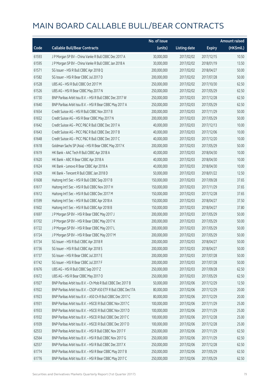|       |                                                               | No. of issue |                     |               | <b>Amount raised</b> |
|-------|---------------------------------------------------------------|--------------|---------------------|---------------|----------------------|
| Code  | <b>Callable Bull/Bear Contracts</b>                           | (units)      | <b>Listing date</b> | <b>Expiry</b> | (HK\$mil.)           |
| 61593 | J P Morgan SP BV - China Vanke R Bull CBBC Dec 2017 A         | 30,000,000   | 2017/02/02          | 2017/12/15    | 10.50                |
| 61595 | J P Morgan SP BV - China Vanke R Bull CBBC Jan 2018 A         | 30,000,000   | 2017/02/02          | 2018/01/19    | 13.50                |
| 61571 | SG Issuer - HSI R Bull CBBC Apr 2018 Q                        | 200,000,000  | 2017/02/02          | 2018/04/27    | 50.00                |
| 61582 | SG Issuer - HSI R Bear CBBC Jul 2017 D                        | 200,000,000  | 2017/02/02          | 2017/07/28    | 50.00                |
| 61528 | UBS AG - HSI R Bull CBBC Oct 2017 M                           | 250,000,000  | 2017/02/02          | 2017/10/30    | 62.50                |
| 61526 | UBS AG - HSI R Bear CBBC May 2017 N                           | 250,000,000  | 2017/02/02          | 2017/05/29    | 62.50                |
| 61730 | BNP Paribas Arbit Issu B.V. - HSI R Bull CBBC Dec 2017 W      | 250,000,000  | 2017/02/03          | 2017/12/28    | 62.50                |
| 61640 | BNP Paribas Arbit Issu B.V. - HSI R Bear CBBC May 2017 A      | 250,000,000  | 2017/02/03          | 2017/05/29    | 62.50                |
| 61654 | Credit Suisse AG - HSI R Bull CBBC Nov 2017 B                 | 200,000,000  | 2017/02/03          | 2017/11/29    | 50.00                |
| 61652 | Credit Suisse AG - HSI R Bear CBBC May 2017 N                 | 200,000,000  | 2017/02/03          | 2017/05/29    | 50.00                |
| 61642 | Credit Suisse AG - PICC P&C R Bull CBBC Dec 2017 A            | 40,000,000   | 2017/02/03          | 2017/12/13    | 10.00                |
| 61643 | Credit Suisse AG - PICC P&C R Bull CBBC Dec 2017 B            | 40,000,000   | 2017/02/03          | 2017/12/06    | 10.00                |
| 61648 | Credit Suisse AG - PICC P&C R Bull CBBC Dec 2017 C            | 40,000,000   | 2017/02/03          | 2017/12/20    | 10.00                |
| 61618 | Goldman Sachs SP (Asia) - HSI R Bear CBBC May 2017 K          | 200,000,000  | 2017/02/03          | 2017/05/29    | 50.00                |
| 61619 | HK Bank - AAC Tech R Bull CBBC Apr 2018 A                     | 40,000,000   | 2017/02/03          | 2018/04/30    | 10.00                |
| 61620 | HK Bank - ABC R Bear CBBC Apr 2018 A                          | 40,000,000   | 2017/02/03          | 2018/04/30    | 10.00                |
| 61624 | HK Bank - Lenovo R Bear CBBC Apr 2018 A                       | 40,000,000   | 2017/02/03          | 2018/04/30    | 10.00                |
| 61629 | HK Bank - Tencent R Bull CBBC Jan 2018 D                      | 50,000,000   | 2017/02/03          | 2018/01/22    | 12.50                |
| 61608 | Haitong Int'l Sec - HSI R Bull CBBC Sep 2017 B                | 150,000,000  | 2017/02/03          | 2017/09/28    | 37.65                |
| 61617 | Haitong Int'l Sec - HSI R Bull CBBC Nov 2017 H                | 150,000,000  | 2017/02/03          | 2017/11/29    | 37.65                |
| 61612 | Haitong Int'l Sec - HSI R Bull CBBC Dec 2017 M                | 150,000,000  | 2017/02/03          | 2017/12/28    | 37.65                |
| 61599 | Haitong Int'l Sec - HSI R Bull CBBC Apr 2018 A                | 150,000,000  | 2017/02/03          | 2018/04/27    | 37.50                |
| 61602 | Haitong Int'l Sec - HSI R Bull CBBC Apr 2018 B                | 150,000,000  | 2017/02/03          | 2018/04/27    | 37.80                |
| 61697 | J P Morgan SP BV - HSI R Bear CBBC May 2017 J                 | 200,000,000  | 2017/02/03          | 2017/05/29    | 50.00                |
| 61702 | J P Morgan SP BV - HSI R Bear CBBC May 2017 K                 | 200,000,000  | 2017/02/03          | 2017/05/29    | 50.00                |
| 61722 | J P Morgan SP BV - HSI R Bear CBBC May 2017 L                 | 200,000,000  | 2017/02/03          | 2017/05/29    | 50.00                |
| 61724 | J P Morgan SP BV - HSI R Bear CBBC May 2017 M                 | 200,000,000  | 2017/02/03          | 2017/05/29    | 50.00                |
| 61734 | SG Issuer - HSI R Bull CBBC Apr 2018 R                        | 200,000,000  | 2017/02/03          | 2018/04/27    | 50.00                |
| 61736 | SG Issuer - HSI R Bull CBBC Apr 2018 S                        | 200,000,000  | 2017/02/03          | 2018/04/27    | 50.00                |
| 61737 | SG Issuer - HSI R Bear CBBC Jul 2017 E                        | 200,000,000  | 2017/02/03          | 2017/07/28    | 50.00                |
| 61742 | SG Issuer - HSI R Bear CBBC Jul 2017 F                        | 200,000,000  | 2017/02/03          | 2017/07/28    | 50.00                |
| 61676 | UBS AG - HSI R Bull CBBC Sep 2017 Z                           | 250,000,000  | 2017/02/03          | 2017/09/28    | 62.50                |
| 61672 | UBS AG - HSI R Bear CBBC May 2017 O                           | 250,000,000  | 2017/02/03          | 2017/05/29    | 62.50                |
| 61927 | BNP Paribas Arbit Issu B.V. - Ch Mob R Bull CBBC Dec 2017 B   | 50,000,000   | 2017/02/06          | 2017/12/29    | 12.50                |
| 61922 | BNP Paribas Arbit Issu B.V. - CSOP A50 ETF R Bull CBBC Dec17A | 80,000,000   | 2017/02/06          | 2017/12/29    | 20.00                |
| 61923 | BNP Paribas Arbit Issu B.V. - A50 Ch R Bull CBBC Dec 2017 C   | 80,000,000   | 2017/02/06          | 2017/12/29    | 20.00                |
| 61931 | BNP Paribas Arbit Issu B.V. - HSCEI R Bull CBBC Nov 2017 C    | 100,000,000  | 2017/02/06          | 2017/11/29    | 25.00                |
| 61933 | BNP Paribas Arbit Issu B.V. - HSCEI R Bull CBBC Nov 2017 D    | 100,000,000  | 2017/02/06          | 2017/11/29    | 25.00                |
| 61932 | BNP Paribas Arbit Issu B.V. - HSCEI R Bull CBBC Dec 2017 C    | 100,000,000  | 2017/02/06          | 2017/12/28    | 25.00                |
| 61939 | BNP Paribas Arbit Issu B.V. - HSCEI R Bull CBBC Dec 2017 D    | 100,000,000  | 2017/02/06          | 2017/12/28    | 25.00                |
| 62553 | BNP Paribas Arbit Issu B.V. - HSI R Bull CBBC Nov 2017 F      | 250,000,000  | 2017/02/06          | 2017/11/29    | 62.50                |
| 62564 | BNP Paribas Arbit Issu B.V. - HSI R Bull CBBC Nov 2017 G      | 250,000,000  | 2017/02/06          | 2017/11/29    | 62.50                |
| 62557 | BNP Paribas Arbit Issu B.V. - HSI R Bull CBBC Dec 2017 X      | 250,000,000  | 2017/02/06          | 2017/12/28    | 62.50                |
| 61774 | BNP Paribas Arbit Issu B.V. - HSI R Bear CBBC May 2017 B      | 250,000,000  | 2017/02/06          | 2017/05/29    | 62.50                |
| 61776 | BNP Paribas Arbit Issu B.V. - HSI R Bear CBBC May 2017 C      | 250,000,000  | 2017/02/06          | 2017/05/29    | 62.50                |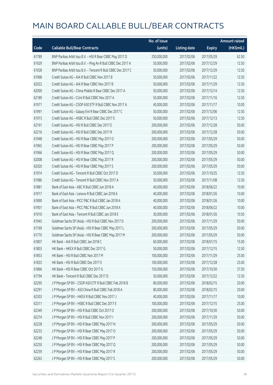|       |                                                              | No. of issue |                     |               | <b>Amount raised</b> |
|-------|--------------------------------------------------------------|--------------|---------------------|---------------|----------------------|
| Code  | <b>Callable Bull/Bear Contracts</b>                          | (units)      | <b>Listing date</b> | <b>Expiry</b> | (HK\$mil.)           |
| 61789 | BNP Paribas Arbit Issu B.V. - HSI R Bear CBBC May 2017 D     | 250,000,000  | 2017/02/06          | 2017/05/29    | 62.50                |
| 61929 | BNP Paribas Arbit Issu B.V. - Ping An R Bull CBBC Dec 2017 A | 50,000,000   | 2017/02/06          | 2017/12/29    | 12.50                |
| 61928 | BNP Paribas Arbit Issu B.V. - Tencent R Bull CBBC Dec 2017 C | 50,000,000   | 2017/02/06          | 2017/12/29    | 12.50                |
| 61968 | Credit Suisse AG - AIA R Bull CBBC Nov 2017 B                | 50,000,000   | 2017/02/06          | 2017/11/22    | 12.50                |
| 62022 | Credit Suisse AG - AIA R Bear CBBC Nov 2017 B                | 50,000,000   | 2017/02/06          | 2017/11/29    | 12.50                |
| 62000 | Credit Suisse AG - China Mobile R Bear CBBC Dec 2017 A       | 50,000,000   | 2017/02/06          | 2017/12/14    | 12.50                |
| 62189 | Credit Suisse AG - CUni R Bull CBBC Nov 2017 A               | 50,000,000   | 2017/02/06          | 2017/11/16    | 12.50                |
| 61971 | Credit Suisse AG - CSOP A50 ETF R Bull CBBC Nov 2017 A       | 40,000,000   | 2017/02/06          | 2017/11/17    | 10.00                |
| 61991 | Credit Suisse AG - Galaxy Ent R Bear CBBC Dec 2017 C         | 50,000,000   | 2017/02/06          | 2017/12/06    | 12.50                |
| 61973 | Credit Suisse AG - HSBC R Bull CBBC Dec 2017 E               | 50,000,000   | 2017/02/06          | 2017/12/13    | 12.50                |
| 62191 | Credit Suisse AG - HSI R Bull CBBC Dec 2017 E                | 200,000,000  | 2017/02/06          | 2017/12/28    | 50.00                |
| 62216 | Credit Suisse AG - HSI R Bull CBBC Dec 2017 R                | 200,000,000  | 2017/02/06          | 2017/12/28    | 50.00                |
| 61948 | Credit Suisse AG - HSI R Bear CBBC May 2017 O                | 200,000,000  | 2017/02/06          | 2017/05/29    | 50.00                |
| 61965 | Credit Suisse AG - HSI R Bear CBBC May 2017 P                | 200,000,000  | 2017/02/06          | 2017/05/29    | 50.00                |
| 61966 | Credit Suisse AG - HSI R Bear CBBC May 2017 Q                | 200,000,000  | 2017/02/06          | 2017/05/29    | 50.00                |
| 62008 | Credit Suisse AG - HSI R Bear CBBC May 2017 R                | 200,000,000  | 2017/02/06          | 2017/05/29    | 50.00                |
| 62020 | Credit Suisse AG - HSI R Bear CBBC May 2017 S                | 200,000,000  | 2017/02/06          | 2017/05/29    | 50.00                |
| 61974 | Credit Suisse AG - Tencent R Bull CBBC Oct 2017 D            | 50,000,000   | 2017/02/06          | 2017/10/25    | 12.50                |
| 61986 | Credit Suisse AG - Tencent R Bull CBBC Nov 2017 A            | 50,000,000   | 2017/02/06          | 2017/11/08    | 12.50                |
| 61881 | Bank of East Asia - ABC R Bull CBBC Jun 2018 A               | 40,000,000   | 2017/02/06          | 2018/06/22    | 10.00                |
| 61917 | Bank of East Asia - Lenovo R Bull CBBC Jan 2018 A            | 40,000,000   | 2017/02/06          | 2018/01/26    | 10.00                |
| 61890 | Bank of East Asia - PICC P&C R Bull CBBC Jan 2018 A          | 40,000,000   | 2017/02/06          | 2018/01/26    | 10.00                |
| 61901 | Bank of East Asia - PICC P&C R Bull CBBC Jun 2018 A          | 40,000,000   | 2017/02/06          | 2018/06/22    | 10.00                |
| 61910 | Bank of East Asia - Tencent R Bull CBBC Jan 2018 E           | 30,000,000   | 2017/02/06          | 2018/01/26    | 10.50                |
| 61945 | Goldman Sachs SP (Asia) - HSI R Bull CBBC Nov 2017 D         | 200,000,000  | 2017/02/06          | 2017/11/29    | 50.00                |
| 61769 | Goldman Sachs SP (Asia) - HSI R Bear CBBC May 2017 L         | 200,000,000  | 2017/02/06          | 2017/05/29    | 50.00                |
| 61770 | Goldman Sachs SP (Asia) - HSI R Bear CBBC May 2017 M         | 200,000,000  | 2017/02/06          | 2017/05/29    | 50.00                |
| 61807 | HK Bank - AIA R Bull CBBC Jan 2018 C                         | 60,000,000   | 2017/02/06          | 2018/01/15    | 15.00                |
| 61803 | HK Bank - HKEX R Bull CBBC Dec 2017 G                        | 50,000,000   | 2017/02/06          | 2017/12/15    | 12.50                |
| 61853 | HK Bank - HSI R Bull CBBC Nov 2017 M                         | 100,000,000  | 2017/02/06          | 2017/11/29    | 25.00                |
| 61833 | HK Bank - HSI R Bull CBBC Dec 2017 E                         | 100,000,000  | 2017/02/06          | 2017/12/28    | 25.00                |
| 61866 | HK Bank - HSI R Bear CBBC Oct 2017 G                         | 150,000,000  | 2017/02/06          | 2017/10/30    | 37.50                |
| 61794 | HK Bank - Tencent R Bull CBBC Dec 2017 D                     | 50,000,000   | 2017/02/06          | 2017/12/22    | 12.50                |
| 62295 | J P Morgan SP BV - CSOP A50 ETF R Bull CBBC Feb 2018 B       | 80,000,000   | 2017/02/06          | 2018/02/15    | 20.00                |
| 62291 | J P Morgan SP BV - A50 China R Bull CBBC Feb 2018 A          | 80,000,000   | 2017/02/06          | 2018/02/15    | 20.00                |
| 62303 | J P Morgan SP BV - HKEX R Bull CBBC Nov 2017 J               | 40,000,000   | 2017/02/06          | 2017/11/17    | 10.00                |
| 62311 | J P Morgan SP BV - HSBC R Bull CBBC Dec 2017 E               | 100,000,000  | 2017/02/06          | 2017/12/15    | 25.00                |
| 62349 | J P Morgan SP BV - HSI R Bull CBBC Oct 2017 O                | 200,000,000  | 2017/02/06          | 2017/10/30    | 50.00                |
| 62274 | J P Morgan SP BV - HSI R Bull CBBC Nov 2017 I                | 200,000,000  | 2017/02/06          | 2017/11/29    | 50.00                |
| 62228 | J P Morgan SP BV - HSI R Bear CBBC May 2017 N                | 200,000,000  | 2017/02/06          | 2017/05/29    | 50.00                |
| 62233 | J P Morgan SP BV - HSI R Bear CBBC May 2017 O                | 200,000,000  | 2017/02/06          | 2017/05/29    | 50.00                |
| 62248 | J P Morgan SP BV - HSI R Bear CBBC May 2017 P                | 200,000,000  | 2017/02/06          | 2017/05/29    | 50.00                |
| 62250 | J P Morgan SP BV - HSI R Bear CBBC May 2017 Q                | 200,000,000  | 2017/02/06          | 2017/05/29    | 50.00                |
| 62259 | J P Morgan SP BV - HSI R Bear CBBC May 2017 R                | 200,000,000  | 2017/02/06          | 2017/05/29    | 50.00                |
| 62263 | J P Morgan SP BV - HSI R Bear CBBC May 2017 S                | 200,000,000  | 2017/02/06          | 2017/05/29    | 50.00                |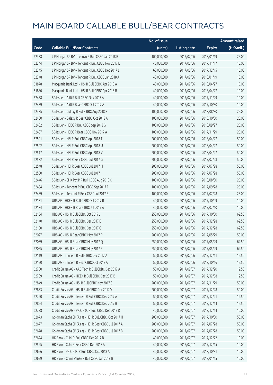|       |                                                      | No. of issue |                     |               | <b>Amount raised</b> |
|-------|------------------------------------------------------|--------------|---------------------|---------------|----------------------|
| Code  | <b>Callable Bull/Bear Contracts</b>                  | (units)      | <b>Listing date</b> | <b>Expiry</b> | (HK\$mil.)           |
| 62338 | J P Morgan SP BV - Lenovo R Bull CBBC Jan 2018 B     | 100,000,000  | 2017/02/06          | 2018/01/19    | 25.00                |
| 62344 | J P Morgan SP BV - Tencent R Bull CBBC Nov 2017 L    | 40,000,000   | 2017/02/06          | 2017/11/17    | 10.00                |
| 62345 | J P Morgan SP BV - Tencent R Bull CBBC Dec 2017 L    | 60,000,000   | 2017/02/06          | 2017/12/15    | 15.00                |
| 62348 | J P Morgan SP BV - Tencent R Bull CBBC Jan 2018 A    | 40,000,000   | 2017/02/06          | 2018/01/19    | 10.00                |
| 61878 | Macquarie Bank Ltd. - HSI R Bull CBBC Apr 2018 A     | 40,000,000   | 2017/02/06          | 2018/04/27    | 10.00                |
| 61880 | Macquarie Bank Ltd. - HSI R Bull CBBC Apr 2018 B     | 40,000,000   | 2017/02/06          | 2018/04/27    | 10.00                |
| 62438 | SG Issuer - A50 R Bull CBBC Nov 2017 A               | 40,000,000   | 2017/02/06          | 2017/11/29    | 10.00                |
| 62439 | SG Issuer - A50 R Bear CBBC Oct 2017 A               | 40,000,000   | 2017/02/06          | 2017/10/30    | 10.00                |
| 62385 | SG Issuer - Galaxy R Bull CBBC Aug 2018 B            | 100,000,000  | 2017/02/06          | 2018/08/30    | 25.00                |
| 62430 | SG Issuer - Galaxy R Bear CBBC Oct 2018 A            | 100,000,000  | 2017/02/06          | 2018/10/30    | 25.00                |
| 62432 | SG Issuer - HSBC R Bull CBBC Sep 2018 G              | 100,000,000  | 2017/02/06          | 2018/09/27    | 25.00                |
| 62437 | SG Issuer - HSBC R Bear CBBC Nov 2017 A              | 100,000,000  | 2017/02/06          | 2017/11/29    | 25.00                |
| 62501 | SG Issuer - HSI R Bull CBBC Apr 2018 T               | 200,000,000  | 2017/02/06          | 2018/04/27    | 50.00                |
| 62502 | SG Issuer - HSI R Bull CBBC Apr 2018 U               | 200,000,000  | 2017/02/06          | 2018/04/27    | 50.00                |
| 62517 | SG Issuer - HSI R Bull CBBC Apr 2018 V               | 200,000,000  | 2017/02/06          | 2018/04/27    | 50.00                |
| 62532 | SG Issuer - HSI R Bear CBBC Jul 2017 G               | 200,000,000  | 2017/02/06          | 2017/07/28    | 50.00                |
| 62548 | SG Issuer - HSI R Bear CBBC Jul 2017 H               | 200,000,000  | 2017/02/06          | 2017/07/28    | 50.00                |
| 62550 | SG Issuer - HSI R Bear CBBC Jul 2017 I               | 200,000,000  | 2017/02/06          | 2017/07/28    | 50.00                |
| 62446 | SG Issuer - SHK Ppt P R Bull CBBC Aug 2018 C         | 100,000,000  | 2017/02/06          | 2018/08/30    | 25.00                |
| 62484 | SG Issuer - Tencent R Bull CBBC Sep 2017 F           | 100,000,000  | 2017/02/06          | 2017/09/28    | 25.00                |
| 62489 | SG Issuer - Tencent R Bear CBBC Jul 2017 B           | 100,000,000  | 2017/02/06          | 2017/07/28    | 25.00                |
| 62131 | UBS AG - HKEX R Bull CBBC Oct 2017 B                 | 40,000,000   | 2017/02/06          | 2017/10/09    | 10.00                |
| 62134 | UBS AG - HKEX R Bear CBBC Jul 2017 A                 | 40,000,000   | 2017/02/06          | 2017/07/10    | 10.00                |
| 62164 | UBS AG - HSI R Bull CBBC Oct 2017 J                  | 250,000,000  | 2017/02/06          | 2017/10/30    | 62.50                |
| 62140 | UBS AG - HSI R Bull CBBC Dec 2017 E                  | 250,000,000  | 2017/02/06          | 2017/12/28    | 62.50                |
| 62180 | UBS AG - HSI R Bull CBBC Dec 2017 Q                  | 250,000,000  | 2017/02/06          | 2017/12/28    | 62.50                |
| 62027 | UBS AG - HSI R Bear CBBC May 2017 P                  | 200,000,000  | 2017/02/06          | 2017/05/29    | 50.00                |
| 62039 | UBS AG - HSI R Bear CBBC May 2017 Q                  | 250,000,000  | 2017/02/06          | 2017/05/29    | 62.50                |
| 62055 | UBS AG - HSI R Bear CBBC May 2017 R                  | 250,000,000  | 2017/02/06          | 2017/05/29    | 62.50                |
| 62119 | UBS AG - Tencent R Bull CBBC Dec 2017 A              | 50,000,000   | 2017/02/06          | 2017/12/11    | 12.50                |
| 62120 | UBS AG - Tencent R Bear CBBC Oct 2017 A              | 50,000,000   | 2017/02/06          | 2017/10/16    | 12.50                |
| 62780 | Credit Suisse AG - AAC Tech R Bull CBBC Dec 2017 A   | 50,000,000   | 2017/02/07          | 2017/12/20    | 12.50                |
| 62789 | Credit Suisse AG - HKEX R Bull CBBC Dec 2017 B       | 50,000,000   | 2017/02/07          | 2017/12/08    | 12.50                |
| 62849 | Credit Suisse AG - HSI R Bull CBBC Nov 2017 S        | 200,000,000  | 2017/02/07          | 2017/11/29    | 50.00                |
| 62833 | Credit Suisse AG - HSI R Bull CBBC Dec 2017 V        | 200,000,000  | 2017/02/07          | 2017/12/28    | 50.00                |
| 62790 | Credit Suisse AG - Lenovo R Bull CBBC Dec 2017 A     | 50,000,000   | 2017/02/07          | 2017/12/21    | 12.50                |
| 62824 | Credit Suisse AG - Lenovo R Bull CBBC Dec 2017 B     | 50,000,000   | 2017/02/07          | 2017/12/14    | 12.50                |
| 62788 | Credit Suisse AG - PICC P&C R Bull CBBC Dec 2017 D   | 40,000,000   | 2017/02/07          | 2017/12/14    | 10.00                |
| 62673 | Goldman Sachs SP (Asia) - HSI R Bull CBBC Oct 2017 H | 200,000,000  | 2017/02/07          | 2017/10/30    | 50.00                |
| 62677 | Goldman Sachs SP (Asia) - HSI R Bear CBBC Jul 2017 A | 200,000,000  | 2017/02/07          | 2017/07/28    | 50.00                |
| 62678 | Goldman Sachs SP (Asia) - HSI R Bear CBBC Jul 2017 B | 200,000,000  | 2017/02/07          | 2017/07/28    | 50.00                |
| 62624 | HK Bank - CUni R Bull CBBC Dec 2017 B                | 40,000,000   | 2017/02/07          | 2017/12/22    | 10.00                |
| 62595 | HK Bank - CUni R Bear CBBC Dec 2017 A                | 40,000,000   | 2017/02/07          | 2017/12/15    | 10.00                |
| 62626 | HK Bank - PICC P&C R Bull CBBC Oct 2018 A            | 40,000,000   | 2017/02/07          | 2018/10/31    | 10.00                |
| 62629 | HK Bank - China Vanke R Bull CBBC Jan 2018 B         | 40,000,000   | 2017/02/07          | 2018/01/15    | 10.00                |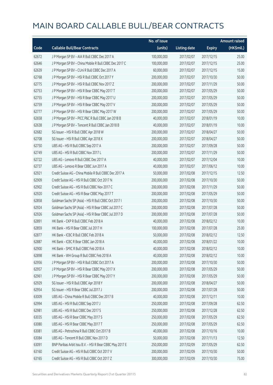|       |                                                          | No. of issue |                     |               | <b>Amount raised</b> |
|-------|----------------------------------------------------------|--------------|---------------------|---------------|----------------------|
| Code  | <b>Callable Bull/Bear Contracts</b>                      | (units)      | <b>Listing date</b> | <b>Expiry</b> | (HK\$mil.)           |
| 62672 | J P Morgan SP BV - AIA R Bull CBBC Dec 2017 A            | 100,000,000  | 2017/02/07          | 2017/12/15    | 25.00                |
| 62646 | J P Morgan SP BV - China Mobile R Bull CBBC Dec 2017 C   | 100,000,000  | 2017/02/07          | 2017/12/15    | 25.00                |
| 62639 | J P Morgan SP BV - CUni R Bull CBBC Dec 2017 A           | 60,000,000   | 2017/02/07          | 2017/12/15    | 15.00                |
| 62768 | J P Morgan SP BV - HSI R Bull CBBC Oct 2017 Y            | 200,000,000  | 2017/02/07          | 2017/10/30    | 50.00                |
| 62775 | J P Morgan SP BV - HSI R Bull CBBC Nov 2017 Z            | 200,000,000  | 2017/02/07          | 2017/11/29    | 50.00                |
| 62753 | J P Morgan SP BV - HSI R Bear CBBC May 2017 T            | 200,000,000  | 2017/02/07          | 2017/05/29    | 50.00                |
| 62755 | J P Morgan SP BV - HSI R Bear CBBC May 2017 U            | 200,000,000  | 2017/02/07          | 2017/05/29    | 50.00                |
| 62759 | J P Morgan SP BV - HSI R Bear CBBC May 2017 V            | 200,000,000  | 2017/02/07          | 2017/05/29    | 50.00                |
| 62777 | J P Morgan SP BV - HSI R Bear CBBC May 2017 W            | 200,000,000  | 2017/02/07          | 2017/05/29    | 50.00                |
| 62658 | J P Morgan SP BV - PICC P&C R Bull CBBC Jan 2018 B       | 40,000,000   | 2017/02/07          | 2018/01/19    | 10.00                |
| 62638 | J P Morgan SP BV - Tencent R Bull CBBC Jan 2018 B        | 40,000,000   | 2017/02/07          | 2018/01/19    | 10.00                |
| 62682 | SG Issuer - HSI R Bull CBBC Apr 2018 W                   | 200,000,000  | 2017/02/07          | 2018/04/27    | 50.00                |
| 62708 | SG Issuer - HSI R Bull CBBC Apr 2018 X                   | 200,000,000  | 2017/02/07          | 2018/04/27    | 50.00                |
| 62750 | UBS AG - HSI R Bull CBBC Sep 2017 A                      | 200,000,000  | 2017/02/07          | 2017/09/28    | 50.00                |
| 62749 | UBS AG - HSI R Bull CBBC Nov 2017 L                      | 200,000,000  | 2017/02/07          | 2017/11/29    | 50.00                |
| 62722 | UBS AG - Lenovo R Bull CBBC Dec 2017 A                   | 40,000,000   | 2017/02/07          | 2017/12/04    | 10.00                |
| 62737 | UBS AG - Lenovo R Bear CBBC Jun 2017 A                   | 40,000,000   | 2017/02/07          | 2017/06/12    | 10.00                |
| 62921 | Credit Suisse AG - China Mobile R Bull CBBC Dec 2017 A   | 50,000,000   | 2017/02/08          | 2017/12/15    | 12.50                |
| 62909 | Credit Suisse AG - HSI R Bull CBBC Oct 2017 N            | 200,000,000  | 2017/02/08          | 2017/10/30    | 50.00                |
| 62902 | Credit Suisse AG - HSI R Bull CBBC Nov 2017 C            | 200,000,000  | 2017/02/08          | 2017/11/29    | 50.00                |
| 62920 | Credit Suisse AG - HSI R Bear CBBC May 2017 T            | 200,000,000  | 2017/02/08          | 2017/05/29    | 50.00                |
| 62858 | Goldman Sachs SP (Asia) - HSI R Bull CBBC Oct 2017 I     | 200,000,000  | 2017/02/08          | 2017/10/30    | 50.00                |
| 62924 | Goldman Sachs SP (Asia) - HSI R Bear CBBC Jul 2017 C     | 200,000,000  | 2017/02/08          | 2017/07/28    | 50.00                |
| 62926 | Goldman Sachs SP (Asia) - HSI R Bear CBBC Jul 2017 D     | 200,000,000  | 2017/02/08          | 2017/07/28    | 50.00                |
| 62891 | HK Bank - CKP R Bull CBBC Feb 2018 A                     | 40,000,000   | 2017/02/08          | 2018/02/12    | 10.00                |
| 62859 | HK Bank - HSI R Bear CBBC Jul 2017 H                     | 100,000,000  | 2017/02/08          | 2017/07/28    | 25.00                |
| 62877 | HK Bank - ICBC R Bull CBBC Feb 2018 A                    | 50,000,000   | 2017/02/08          | 2018/02/12    | 12.50                |
| 62887 | HK Bank - ICBC R Bear CBBC Jan 2018 A                    | 40,000,000   | 2017/02/08          | 2018/01/22    | 10.00                |
| 62900 | HK Bank - SMIC R Bull CBBC Feb 2018 A                    | 40,000,000   | 2017/02/08          | 2018/02/12    | 10.00                |
| 62898 | HK Bank - WH Group R Bull CBBC Feb 2018 A                | 40,000,000   | 2017/02/08          | 2018/02/12    | 10.00                |
| 62956 | J P Morgan SP BV - HSI R Bull CBBC Oct 2017 A            | 200,000,000  | 2017/02/08          | 2017/10/30    | 50.00                |
| 62957 | J P Morgan SP BV - HSI R Bear CBBC May 2017 X            | 200,000,000  | 2017/02/08          | 2017/05/29    | 50.00                |
| 62961 | J P Morgan SP BV - HSI R Bear CBBC May 2017 Y            | 200,000,000  | 2017/02/08          | 2017/05/29    | 50.00                |
| 62929 | SG Issuer - HSI R Bull CBBC Apr 2018 Y                   | 200,000,000  | 2017/02/08          | 2018/04/27    | 50.00                |
| 62954 | SG Issuer - HSI R Bear CBBC Jul 2017 J                   | 200,000,000  | 2017/02/08          | 2017/07/28    | 50.00                |
| 63009 | UBS AG - China Mobile R Bull CBBC Dec 2017 B             | 40,000,000   | 2017/02/08          | 2017/12/11    | 10.00                |
| 62994 | UBS AG - HSI R Bull CBBC Sep 2017 J                      | 250,000,000  | 2017/02/08          | 2017/09/28    | 62.50                |
| 62981 | UBS AG - HSI R Bull CBBC Dec 2017 S                      | 250,000,000  | 2017/02/08          | 2017/12/28    | 62.50                |
| 63035 | UBS AG - HSI R Bear CBBC May 2017 S                      | 250,000,000  | 2017/02/08          | 2017/05/29    | 62.50                |
| 63080 | UBS AG - HSI R Bear CBBC May 2017 T                      | 250,000,000  | 2017/02/08          | 2017/05/29    | 62.50                |
| 63081 | UBS AG - Petrochina R Bull CBBC Oct 2017 B               | 40,000,000   | 2017/02/08          | 2017/10/16    | 10.00                |
| 63084 | UBS AG - Tencent R Bull CBBC Nov 2017 D                  | 50,000,000   | 2017/02/08          | 2017/11/13    | 12.50                |
| 63091 | BNP Paribas Arbit Issu B.V. - HSI R Bear CBBC May 2017 E | 250,000,000  | 2017/02/09          | 2017/05/29    | 62.50                |
| 63160 | Credit Suisse AG - HSI R Bull CBBC Oct 2017 V            | 200,000,000  | 2017/02/09          | 2017/10/30    | 50.00                |
| 63165 | Credit Suisse AG - HSI R Bull CBBC Oct 2017 Z            | 300,000,000  | 2017/02/09          | 2017/10/30    | 75.00                |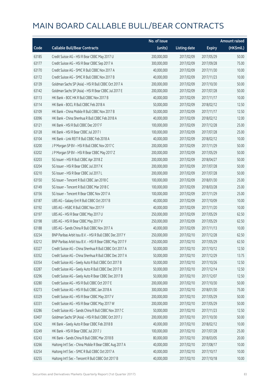|       |                                                          | No. of issue |                     |               | <b>Amount raised</b> |
|-------|----------------------------------------------------------|--------------|---------------------|---------------|----------------------|
| Code  | <b>Callable Bull/Bear Contracts</b>                      | (units)      | <b>Listing date</b> | <b>Expiry</b> | (HK\$mil.)           |
| 63185 | Credit Suisse AG - HSI R Bear CBBC May 2017 U            | 200,000,000  | 2017/02/09          | 2017/05/29    | 50.00                |
| 63177 | Credit Suisse AG - HSI R Bear CBBC Sep 2017 A            | 300,000,000  | 2017/02/09          | 2017/09/28    | 75.00                |
| 63170 | Credit Suisse AG - SMIC R Bull CBBC Nov 2017 A           | 40,000,000   | 2017/02/09          | 2017/11/30    | 10.00                |
| 63172 | Credit Suisse AG - SMIC R Bull CBBC Nov 2017 B           | 40,000,000   | 2017/02/09          | 2017/11/23    | 10.00                |
| 63139 | Goldman Sachs SP (Asia) - HSI R Bull CBBC Oct 2017 A     | 200,000,000  | 2017/02/09          | 2017/10/30    | 50.00                |
| 63142 | Goldman Sachs SP (Asia) - HSI R Bear CBBC Jul 2017 E     | 200,000,000  | 2017/02/09          | 2017/07/28    | 50.00                |
| 63113 | HK Bank - BOC HK R Bull CBBC Nov 2017 B                  | 40,000,000   | 2017/02/09          | 2017/11/17    | 10.00                |
| 63114 | HK Bank - BOCL R Bull CBBC Feb 2018 A                    | 50,000,000   | 2017/02/09          | 2018/02/12    | 12.50                |
| 63109 | HK Bank - China Mobile R Bull CBBC Nov 2017 B            | 50,000,000   | 2017/02/09          | 2017/11/17    | 12.50                |
| 63096 | HK Bank - China Shenhua R Bull CBBC Feb 2018 A           | 40,000,000   | 2017/02/09          | 2018/02/12    | 12.00                |
| 63121 | HK Bank - HSI R Bull CBBC Dec 2017 F                     | 100,000,000  | 2017/02/09          | 2017/12/28    | 25.00                |
| 63128 | HK Bank - HSI R Bear CBBC Jul 2017 I                     | 100,000,000  | 2017/02/09          | 2017/07/28    | 25.00                |
| 63104 | HK Bank - Link REIT R Bull CBBC Feb 2018 A               | 40,000,000   | 2017/02/09          | 2018/02/12    | 10.00                |
| 63200 | J P Morgan SP BV - HSI R Bull CBBC Nov 2017 C            | 200,000,000  | 2017/02/09          | 2017/11/29    | 50.00                |
| 63202 | J P Morgan SP BV - HSI R Bear CBBC May 2017 Z            | 200,000,000  | 2017/02/09          | 2017/05/29    | 50.00                |
| 63203 | SG Issuer - HSI R Bull CBBC Apr 2018 Z                   | 200,000,000  | 2017/02/09          | 2018/04/27    | 50.00                |
| 63204 | SG Issuer - HSI R Bear CBBC Jul 2017 K                   | 200,000,000  | 2017/02/09          | 2017/07/28    | 50.00                |
| 63210 | SG Issuer - HSI R Bear CBBC Jul 2017 L                   | 200,000,000  | 2017/02/09          | 2017/07/28    | 50.00                |
| 63150 | SG Issuer - Tencent R Bull CBBC Jan 2018 C               | 100,000,000  | 2017/02/09          | 2018/01/30    | 25.00                |
| 63149 | SG Issuer - Tencent R Bull CBBC Mar 2018 C               | 100,000,000  | 2017/02/09          | 2018/03/28    | 25.00                |
| 63156 | SG Issuer - Tencent R Bear CBBC Nov 2017 A               | 100,000,000  | 2017/02/09          | 2017/11/29    | 25.00                |
| 63187 | UBS AG - Galaxy Ent R Bull CBBC Oct 2017 B               | 40,000,000   | 2017/02/09          | 2017/10/09    | 10.00                |
| 63192 | UBS AG - HSBC R Bull CBBC Nov 2017 F                     | 40,000,000   | 2017/02/09          | 2017/11/20    | 10.00                |
| 63197 | UBS AG - HSI R Bear CBBC May 2017 U                      | 250,000,000  | 2017/02/09          | 2017/05/29    | 62.50                |
| 63198 | UBS AG - HSI R Bear CBBC May 2017 V                      | 250,000,000  | 2017/02/09          | 2017/05/29    | 62.50                |
| 63188 | UBS AG - Sands China R Bull CBBC Nov 2017 A              | 40,000,000   | 2017/02/09          | 2017/11/13    | 10.00                |
| 63234 | BNP Paribas Arbit Issu B.V. - HSI R Bull CBBC Dec 2017 Y | 250,000,000  | 2017/02/10          | 2017/12/28    | 62.50                |
| 63212 | BNP Paribas Arbit Issu B.V. - HSI R Bear CBBC May 2017 F | 250,000,000  | 2017/02/10          | 2017/05/29    | 62.50                |
| 63327 | Credit Suisse AG - China Shenhua R Bull CBBC Oct 2017 A  | 50,000,000   | 2017/02/10          | 2017/10/12    | 12.50                |
| 63352 | Credit Suisse AG - China Shenhua R Bull CBBC Dec 2017 A  | 50,000,000   | 2017/02/10          | 2017/12/29    | 13.75                |
| 63354 | Credit Suisse AG - Geely Auto R Bull CBBC Oct 2017 B     | 50,000,000   | 2017/02/10          | 2017/10/26    | 12.50                |
| 63287 | Credit Suisse AG - Geely Auto R Bull CBBC Dec 2017 B     | 50,000,000   | 2017/02/10          | 2017/12/14    | 12.50                |
| 63296 | Credit Suisse AG - Geely Auto R Bear CBBC Dec 2017 B     | 50,000,000   | 2017/02/10          | 2017/12/07    | 12.50                |
| 63280 | Credit Suisse AG - HSI R Bull CBBC Oct 2017 E            | 200,000,000  | 2017/02/10          | 2017/10/30    | 50.00                |
| 63273 | Credit Suisse AG - HSI R Bull CBBC Jan 2018 A            | 300,000,000  | 2017/02/10          | 2018/01/30    | 75.00                |
| 63329 | Credit Suisse AG - HSI R Bear CBBC May 2017 V            | 200,000,000  | 2017/02/10          | 2017/05/29    | 50.00                |
| 63331 | Credit Suisse AG - HSI R Bear CBBC May 2017 W            | 200,000,000  | 2017/02/10          | 2017/05/29    | 50.00                |
| 63286 | Credit Suisse AG - Sands China R Bull CBBC Nov 2017 C    | 50,000,000   | 2017/02/10          | 2017/11/23    | 12.50                |
| 63407 | Goldman Sachs SP (Asia) - HSI R Bull CBBC Oct 2017 J     | 200,000,000  | 2017/02/10          | 2017/10/30    | 50.00                |
| 63242 | HK Bank - Geely Auto R Bear CBBC Feb 2018 B              | 40,000,000   | 2017/02/10          | 2018/02/12    | 10.00                |
| 63249 | HK Bank - HSI R Bear CBBC Jul 2017 J                     | 100,000,000  | 2017/02/10          | 2017/07/28    | 25.00                |
| 63243 | HK Bank - Sands China R Bull CBBC Mar 2018 B             | 80,000,000   | 2017/02/10          | 2018/03/05    | 20.00                |
| 63266 | Haitong Int'l Sec - China Mobile R Bear CBBC Aug 2017 A  | 40,000,000   | 2017/02/10          | 2017/08/17    | 10.00                |
| 63254 | Haitong Int'l Sec - SMIC R Bull CBBC Oct 2017 A          | 40,000,000   | 2017/02/10          | 2017/10/17    | 10.00                |
| 63255 | Haitong Int'l Sec - Tencent R Bull CBBC Oct 2017 B       | 40,000,000   | 2017/02/10          | 2017/10/18    | 10.00                |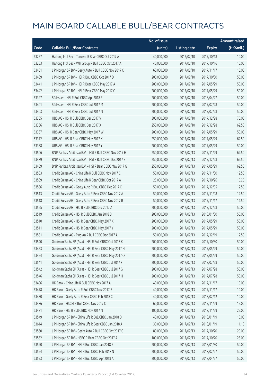|       |                                                          | No. of issue |                     |               | <b>Amount raised</b> |
|-------|----------------------------------------------------------|--------------|---------------------|---------------|----------------------|
| Code  | <b>Callable Bull/Bear Contracts</b>                      | (units)      | <b>Listing date</b> | <b>Expiry</b> | (HK\$mil.)           |
| 63257 | Haitong Int'l Sec - Tencent R Bear CBBC Oct 2017 A       | 40,000,000   | 2017/02/10          | 2017/10/18    | 10.00                |
| 63253 | Haitong Int'l Sec - WH Group R Bull CBBC Oct 2017 A      | 40,000,000   | 2017/02/10          | 2017/10/16    | 10.00                |
| 63451 | J P Morgan SP BV - Geely Auto R Bull CBBC Nov 2017 C     | 60,000,000   | 2017/02/10          | 2017/11/17    | 15.00                |
| 63439 | J P Morgan SP BV - HSI R Bull CBBC Oct 2017 D            | 200,000,000  | 2017/02/10          | 2017/10/30    | 50.00                |
| 63441 | J P Morgan SP BV - HSI R Bear CBBC May 2017 A            | 200,000,000  | 2017/02/10          | 2017/05/29    | 50.00                |
| 63442 | J P Morgan SP BV - HSI R Bear CBBC May 2017 C            | 200,000,000  | 2017/02/10          | 2017/05/29    | 50.00                |
| 63397 | SG Issuer - HSI R Bull CBBC Apr 2018 F                   | 200,000,000  | 2017/02/10          | 2018/04/27    | 50.00                |
| 63401 | SG Issuer - HSI R Bear CBBC Jul 2017 M                   | 200,000,000  | 2017/02/10          | 2017/07/28    | 50.00                |
| 63403 | SG Issuer - HSI R Bear CBBC Jul 2017 N                   | 200,000,000  | 2017/02/10          | 2017/07/28    | 50.00                |
| 63355 | UBS AG - HSI R Bull CBBC Dec 2017 V                      | 300,000,000  | 2017/02/10          | 2017/12/28    | 75.00                |
| 63366 | UBS AG - HSI R Bull CBBC Dec 2017 X                      | 250,000,000  | 2017/02/10          | 2017/12/28    | 62.50                |
| 63367 | UBS AG - HSI R Bear CBBC May 2017 W                      | 200,000,000  | 2017/02/10          | 2017/05/29    | 50.00                |
| 63372 | UBS AG - HSI R Bear CBBC May 2017 X                      | 250,000,000  | 2017/02/10          | 2017/05/29    | 62.50                |
| 63388 | UBS AG - HSI R Bear CBBC May 2017 Y                      | 200,000,000  | 2017/02/10          | 2017/05/29    | 50.00                |
| 63506 | BNP Paribas Arbit Issu B.V. - HSI R Bull CBBC Nov 2017 H | 250,000,000  | 2017/02/13          | 2017/11/29    | 62.50                |
| 63489 | BNP Paribas Arbit Issu B.V. - HSI R Bull CBBC Dec 2017 Z | 250,000,000  | 2017/02/13          | 2017/12/28    | 62.50                |
| 63459 | BNP Paribas Arbit Issu B.V. - HSI R Bear CBBC May 2017 G | 250,000,000  | 2017/02/13          | 2017/05/29    | 62.50                |
| 63533 | Credit Suisse AG - China Life R Bull CBBC Nov 2017 C     | 50,000,000   | 2017/02/13          | 2017/11/30    | 12.50                |
| 63539 | Credit Suisse AG - China Life R Bear CBBC Oct 2017 A     | 25,000,000   | 2017/02/13          | 2017/10/26    | 10.25                |
| 63536 | Credit Suisse AG - Geely Auto R Bull CBBC Dec 2017 C     | 50,000,000   | 2017/02/13          | 2017/12/05    | 12.50                |
| 63513 | Credit Suisse AG - Geely Auto R Bear CBBC Nov 2017 A     | 50,000,000   | 2017/02/13          | 2017/11/08    | 12.50                |
| 63518 | Credit Suisse AG - Geely Auto R Bear CBBC Nov 2017 B     | 50,000,000   | 2017/02/13          | 2017/11/17    | 14.50                |
| 63525 | Credit Suisse AG - HSI R Bull CBBC Dec 2017 Z            | 200,000,000  | 2017/02/13          | 2017/12/28    | 50.00                |
| 63519 | Credit Suisse AG - HSI R Bull CBBC Jan 2018 B            | 200,000,000  | 2017/02/13          | 2018/01/30    | 50.00                |
| 63510 | Credit Suisse AG - HSI R Bear CBBC May 2017 X            | 200,000,000  | 2017/02/13          | 2017/05/29    | 50.00                |
| 63511 | Credit Suisse AG - HSI R Bear CBBC May 2017 Y            | 200,000,000  | 2017/02/13          | 2017/05/29    | 50.00                |
| 63531 | Credit Suisse AG - Ping An R Bull CBBC Dec 2017 A        | 50,000,000   | 2017/02/13          | 2017/12/19    | 12.50                |
| 63540 | Goldman Sachs SP (Asia) - HSI R Bull CBBC Oct 2017 K     | 200,000,000  | 2017/02/13          | 2017/10/30    | 50.00                |
| 63453 | Goldman Sachs SP (Asia) - HSI R Bear CBBC May 2017 N     | 200,000,000  | 2017/02/13          | 2017/05/29    | 50.00                |
| 63454 | Goldman Sachs SP (Asia) - HSI R Bear CBBC May 2017 O     | 200,000,000  | 2017/02/13          | 2017/05/29    | 50.00                |
| 63541 | Goldman Sachs SP (Asia) - HSI R Bear CBBC Jul 2017 F     | 200,000,000  | 2017/02/13          | 2017/07/28    | 50.00                |
| 63542 | Goldman Sachs SP (Asia) - HSI R Bear CBBC Jul 2017 G     | 200,000,000  | 2017/02/13          | 2017/07/28    | 50.00                |
| 63546 | Goldman Sachs SP (Asia) - HSI R Bear CBBC Jul 2017 H     | 200,000,000  | 2017/02/13          | 2017/07/28    | 50.00                |
| 63496 | HK Bank - China Life R Bull CBBC Nov 2017 A              | 40,000,000   | 2017/02/13          | 2017/11/17    | 10.00                |
| 63478 | HK Bank - Geely Auto R Bull CBBC Nov 2017 B              | 40,000,000   | 2017/02/13          | 2017/11/17    | 10.00                |
| 63480 | HK Bank - Geely Auto R Bear CBBC Feb 2018 C              | 40,000,000   | 2017/02/13          | 2018/02/12    | 10.00                |
| 63486 | HK Bank - HSCEI R Bull CBBC Nov 2017 C                   | 60,000,000   | 2017/02/13          | 2017/11/29    | 15.00                |
| 63481 | HK Bank - HSI R Bull CBBC Nov 2017 N                     | 100,000,000  | 2017/02/13          | 2017/11/29    | 25.00                |
| 63549 | J P Morgan SP BV - China Life R Bull CBBC Jan 2018 D     | 40,000,000   | 2017/02/13          | 2018/01/19    | 10.00                |
| 63614 | J P Morgan SP BV - China Life R Bear CBBC Jan 2018 A     | 30,000,000   | 2017/02/13          | 2018/01/19    | 11.10                |
| 63560 | J P Morgan SP BV - Geely Auto R Bull CBBC Oct 2017 C     | 80,000,000   | 2017/02/13          | 2017/10/20    | 20.00                |
| 63552 | J P Morgan SP BV - HSBC R Bear CBBC Oct 2017 A           | 100,000,000  | 2017/02/13          | 2017/10/20    | 25.00                |
| 63590 | J P Morgan SP BV - HSI R Bull CBBC Jan 2018 R            | 200,000,000  | 2017/02/13          | 2018/01/30    | 50.00                |
| 63594 | J P Morgan SP BV - HSI R Bull CBBC Feb 2018 N            | 200,000,000  | 2017/02/13          | 2018/02/27    | 50.00                |
| 63593 | J P Morgan SP BV - HSI R Bull CBBC Apr 2018 A            | 200,000,000  | 2017/02/13          | 2018/04/27    | 50.00                |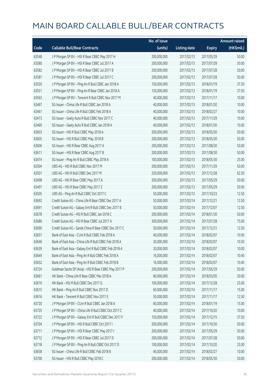|       |                                                       | No. of issue |                     |               | <b>Amount raised</b> |
|-------|-------------------------------------------------------|--------------|---------------------|---------------|----------------------|
| Code  | <b>Callable Bull/Bear Contracts</b>                   | (units)      | <b>Listing date</b> | <b>Expiry</b> | (HK\$mil.)           |
| 63548 | J P Morgan SP BV - HSI R Bear CBBC May 2017 H         | 200,000,000  | 2017/02/13          | 2017/05/29    | 50.00                |
| 63580 | J P Morgan SP BV - HSI R Bear CBBC Jul 2017 A         | 200,000,000  | 2017/02/13          | 2017/07/28    | 50.00                |
| 63582 | J P Morgan SP BV - HSI R Bear CBBC Jul 2017 B         | 200,000,000  | 2017/02/13          | 2017/07/28    | 50.00                |
| 63587 | J P Morgan SP BV - HSI R Bear CBBC Jul 2017 C         | 200,000,000  | 2017/02/13          | 2017/07/28    | 50.00                |
| 63550 | J P Morgan SP BV - Ping An R Bull CBBC Jan 2018 A     | 150,000,000  | 2017/02/13          | 2018/01/19    | 37.50                |
| 63551 | J P Morgan SP BV - Ping An R Bear CBBC Jan 2018 A     | 150,000,000  | 2017/02/13          | 2018/01/19    | 37.50                |
| 63563 | J P Morgan SP BV - Tencent R Bull CBBC Nov 2017 M     | 40,000,000   | 2017/02/13          | 2017/11/17    | 10.00                |
| 63467 | SG Issuer - China Life R Bull CBBC Jan 2018 A         | 40,000,000   | 2017/02/13          | 2018/01/30    | 10.00                |
| 63461 | SG Issuer - China Life R Bull CBBC Feb 2018 A         | 40,000,000   | 2017/02/13          | 2018/02/27    | 10.00                |
| 63473 | SG Issuer - Geely Auto R Bull CBBC Nov 2017 C         | 40,000,000   | 2017/02/13          | 2017/11/29    | 10.00                |
| 63469 | SG Issuer - Geely Auto R Bull CBBC Jan 2018 A         | 40,000,000   | 2017/02/13          | 2018/01/30    | 10.00                |
| 63603 | SG Issuer - HSI R Bull CBBC May 2018 A                | 200,000,000  | 2017/02/13          | 2018/05/30    | 50.00                |
| 63605 | SG Issuer - HSI R Bull CBBC May 2018 B                | 200,000,000  | 2017/02/13          | 2018/05/30    | 50.00                |
| 63606 | SG Issuer - HSI R Bear CBBC Aug 2017 A                | 200,000,000  | 2017/02/13          | 2017/08/30    | 50.00                |
| 63611 | SG Issuer - HSI R Bear CBBC Aug 2017 B                | 200,000,000  | 2017/02/13          | 2017/08/30    | 50.00                |
| 63474 | SG Issuer - Ping An R Bull CBBC May 2018 A            | 100,000,000  | 2017/02/13          | 2018/05/30    | 25.00                |
| 63504 | UBS AG - HSI R Bull CBBC Nov 2017 M                   | 200,000,000  | 2017/02/13          | 2017/11/29    | 50.00                |
| 63501 | UBS AG - HSI R Bull CBBC Dec 2017 M                   | 250,000,000  | 2017/02/13          | 2017/12/28    | 62.50                |
| 63498 | UBS AG - HSI R Bear CBBC May 2017 A                   | 200,000,000  | 2017/02/13          | 2017/05/29    | 50.00                |
| 63497 | UBS AG - HSI R Bear CBBC May 2017 Z                   | 200,000,000  | 2017/02/13          | 2017/05/29    | 50.00                |
| 63505 | UBS AG - Ping An R Bull CBBC Oct 2017 C               | 50,000,000   | 2017/02/13          | 2017/10/23    | 12.50                |
| 63692 | Credit Suisse AG - China Life R Bear CBBC Dec 2017 A  | 50,000,000   | 2017/02/14          | 2017/12/21    | 12.50                |
| 63691 | Credit Suisse AG - Galaxy Ent R Bull CBBC Dec 2017 B  | 50,000,000   | 2017/02/14          | 2017/12/07    | 12.50                |
| 63678 | Credit Suisse AG - HSI R Bull CBBC Jan 2018 C         | 200,000,000  | 2017/02/14          | 2018/01/30    | 50.00                |
| 63686 | Credit Suisse AG - HSI R Bear CBBC Jul 2017 A         | 300,000,000  | 2017/02/14          | 2017/07/28    | 75.00                |
| 63690 | Credit Suisse AG - Sands China R Bear CBBC Dec 2017 C | 50,000,000   | 2017/02/14          | 2017/12/21    | 12.50                |
| 63657 | Bank of East Asia - CUni R Bull CBBC Feb 2018 A       | 40,000,000   | 2017/02/14          | 2018/02/07    | 10.00                |
| 63646 | Bank of East Asia - China Life R Bull CBBC Feb 2018 A | 30,000,000   | 2017/02/14          | 2018/02/07    | 10.50                |
| 63639 | Bank of East Asia - Galaxy Ent R Bull CBBC Feb 2018 A | 20,000,000   | 2017/02/14          | 2018/02/07    | 10.00                |
| 63649 | Bank of East Asia - Ping An R Bull CBBC Feb 2018 A    | 16,000,000   | 2017/02/14          | 2018/02/07    | 10.40                |
| 63652 | Bank of East Asia - Ping An R Bull CBBC Feb 2018 B    | 16,000,000   | 2017/02/14          | 2018/02/07    | 10.40                |
| 63724 | Goldman Sachs SP (Asia) - HSI R Bear CBBC May 2017 P  | 200,000,000  | 2017/02/14          | 2017/05/29    | 50.00                |
| 63661 | HK Bank - China Life R Bear CBBC Mar 2018 A           | 80,000,000   | 2017/02/14          | 2018/03/05    | 20.00                |
| 63619 | HK Bank - HSI R Bull CBBC Dec 2017 G                  | 100,000,000  | 2017/02/14          | 2017/12/28    | 25.00                |
| 63615 | HK Bank - Ping An R Bull CBBC Nov 2017 D              | 60,000,000   | 2017/02/14          | 2017/11/17    | 15.00                |
| 63616 | HK Bank - Tencent R Bull CBBC Nov 2017 E              | 50,000,000   | 2017/02/14          | 2017/11/17    | 12.50                |
| 63720 | J P Morgan SP BV - CUni R Bull CBBC Jan 2018 A        | 60,000,000   | 2017/02/14          | 2018/01/19    | 15.00                |
| 63725 | J P Morgan SP BV - China Life R Bull CBBC Oct 2017 C  | 40,000,000   | 2017/02/14          | 2017/10/20    | 10.00                |
| 63722 | J P Morgan SP BV - Galaxy Ent R Bull CBBC Dec 2017 F  | 150,000,000  | 2017/02/14          | 2017/12/15    | 37.50                |
| 63704 | J P Morgan SP BV - HSI R Bull CBBC Oct 2017 I         | 200,000,000  | 2017/02/14          | 2017/10/30    | 50.00                |
| 63711 | J P Morgan SP BV - HSI R Bear CBBC May 2017 I         | 200,000,000  | 2017/02/14          | 2017/05/29    | 50.00                |
| 63712 | J P Morgan SP BV - HSI R Bear CBBC Jul 2017 D         | 200,000,000  | 2017/02/14          | 2017/07/28    | 50.00                |
| 63718 | J P Morgan SP BV - Ping An R Bull CBBC Oct 2017 D     | 100,000,000  | 2017/02/14          | 2017/10/20    | 25.00                |
| 63658 | SG Issuer - China Life R Bull CBBC Feb 2018 B         | 40,000,000   | 2017/02/14          | 2018/02/27    | 10.00                |
| 63700 | SG Issuer - HSI R Bull CBBC May 2018 C                | 200,000,000  | 2017/02/14          | 2018/05/30    | 50.00                |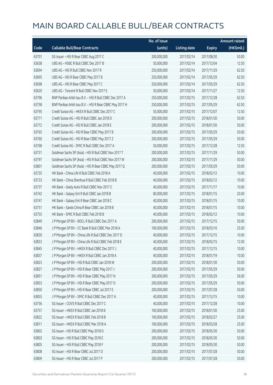|       |                                                          | No. of issue |                     |               | <b>Amount raised</b> |
|-------|----------------------------------------------------------|--------------|---------------------|---------------|----------------------|
| Code  | <b>Callable Bull/Bear Contracts</b>                      | (units)      | <b>Listing date</b> | <b>Expiry</b> | (HK\$mil.)           |
| 63701 | SG Issuer - HSI R Bear CBBC Aug 2017 C                   | 200,000,000  | 2017/02/14          | 2017/08/30    | 50.00                |
| 63638 | UBS AG - HSBC R Bull CBBC Dec 2017 B                     | 50,000,000   | 2017/02/14          | 2017/12/04    | 12.50                |
| 63694 | UBS AG - HSI R Bull CBBC Nov 2017 R                      | 250,000,000  | 2017/02/14          | 2017/11/29    | 62.50                |
| 63695 | UBS AG - HSI R Bear CBBC May 2017 B                      | 250,000,000  | 2017/02/14          | 2017/05/29    | 62.50                |
| 63698 | UBS AG - HSI R Bear CBBC May 2017 C                      | 250,000,000  | 2017/02/14          | 2017/05/29    | 62.50                |
| 63620 | UBS AG - Tencent R Bull CBBC Nov 2017 E                  | 50,000,000   | 2017/02/14          | 2017/11/27    | 12.50                |
| 63796 | BNP Paribas Arbit Issu B.V. - HSI R Bull CBBC Dec 2017 A | 250,000,000  | 2017/02/15          | 2017/12/28    | 62.50                |
| 63758 | BNP Paribas Arbit Issu B.V. - HSI R Bear CBBC May 2017 H | 250,000,000  | 2017/02/15          | 2017/05/29    | 62.50                |
| 63795 | Credit Suisse AG - HKEX R Bull CBBC Dec 2017 C           | 50,000,000   | 2017/02/15          | 2017/12/07    | 12.50                |
| 63771 | Credit Suisse AG - HSI R Bull CBBC Jan 2018 D            | 200,000,000  | 2017/02/15          | 2018/01/30    | 50.00                |
| 63772 | Credit Suisse AG - HSI R Bull CBBC Jan 2018 E            | 200,000,000  | 2017/02/15          | 2018/01/30    | 50.00                |
| 63765 | Credit Suisse AG - HSI R Bear CBBC May 2017 B            | 200,000,000  | 2017/02/15          | 2017/05/29    | 50.00                |
| 63760 | Credit Suisse AG - HSI R Bear CBBC May 2017 Z            | 200,000,000  | 2017/02/15          | 2017/05/29    | 50.00                |
| 63768 | Credit Suisse AG - SMIC R Bull CBBC Dec 2017 A           | 50,000,000   | 2017/02/15          | 2017/12/28    | 12.50                |
| 63731 | Goldman Sachs SP (Asia) - HSI R Bull CBBC Nov 2017 T     | 200,000,000  | 2017/02/15          | 2017/11/29    | 50.00                |
| 63797 | Goldman Sachs SP (Asia) - HSI R Bull CBBC Nov 2017 W     | 200,000,000  | 2017/02/15          | 2017/11/29    | 50.00                |
| 63801 | Goldman Sachs SP (Asia) - HSI R Bear CBBC May 2017 Q     | 200,000,000  | 2017/02/15          | 2017/05/29    | 50.00                |
| 63735 | HK Bank - China Life R Bull CBBC Feb 2018 A              | 40,000,000   | 2017/02/15          | 2018/02/12    | 10.00                |
| 63733 | HK Bank - China Shenhua R Bull CBBC Feb 2018 B           | 40,000,000   | 2017/02/15          | 2018/02/12    | 10.00                |
| 63737 | HK Bank - Geely Auto R Bull CBBC Nov 2017 C              | 40,000,000   | 2017/02/15          | 2017/11/17    | 10.00                |
| 63742 | HK Bank - Galaxy Ent R Bull CBBC Jan 2018 B              | 80,000,000   | 2017/02/15          | 2018/01/15    | 20.00                |
| 63747 | HK Bank - Galaxy Ent R Bear CBBC Jan 2018 C              | 40,000,000   | 2017/02/15          | 2018/01/15    | 10.00                |
| 63751 | HK Bank - Sands China R Bear CBBC Jan 2018 B             | 40,000,000   | 2017/02/15          | 2018/01/15    | 10.00                |
| 63755 | HK Bank - SMIC R Bull CBBC Feb 2018 B                    | 40,000,000   | 2017/02/15          | 2018/02/12    | 10.00                |
| 63849 | J P Morgan SP BV - BOCL R Bull CBBC Dec 2017 A           | 200,000,000  | 2017/02/15          | 2017/12/15    | 50.00                |
| 63846 | J P Morgan SP BV - CC Bank R Bull CBBC Mar 2018 A        | 100,000,000  | 2017/02/15          | 2018/03/16    | 25.00                |
| 63830 | J P Morgan SP BV - China Life R Bull CBBC Dec 2017 D     | 40,000,000   | 2017/02/15          | 2017/12/15    | 10.00                |
| 63833 | J P Morgan SP BV - China Life R Bull CBBC Feb 2018 E     | 40,000,000   | 2017/02/15          | 2018/02/15    | 12.00                |
| 63845 | J P Morgan SP BV - HKEX R Bull CBBC Dec 2017 J           | 40,000,000   | 2017/02/15          | 2017/12/15    | 10.00                |
| 63837 | J P Morgan SP BV - HKEX R Bull CBBC Jan 2018 A           | 40,000,000   | 2017/02/15          | 2018/01/19    | 10.00                |
| 63823 | J P Morgan SP BV - HSI R Bull CBBC Jan 2018 W            | 200,000,000  | 2017/02/15          | 2018/01/30    | 50.00                |
| 63827 | J P Morgan SP BV - HSI R Bear CBBC May 2017 J            | 200,000,000  | 2017/02/15          | 2017/05/29    | 50.00                |
| 63851 | J P Morgan SP BV - HSI R Bear CBBC May 2017 N            | 200,000,000  | 2017/02/15          | 2017/05/29    | 56.00                |
| 63853 | J P Morgan SP BV - HSI R Bear CBBC May 2017 O            | 200,000,000  | 2017/02/15          | 2017/05/29    | 50.00                |
| 63850 | J P Morgan SP BV - HSI R Bear CBBC Jul 2017 E            | 200,000,000  | 2017/02/15          | 2017/07/28    | 50.00                |
| 63855 | J P Morgan SP BV - SMIC R Bull CBBC Dec 2017 A           | 40,000,000   | 2017/02/15          | 2017/12/15    | 10.00                |
| 63756 | SG Issuer - COVS R Bull CBBC Dec 2017 C                  | 40,000,000   | 2017/02/15          | 2017/12/28    | 10.00                |
| 63757 | SG Issuer - HKEX R Bull CBBC Jan 2018 B                  | 100,000,000  | 2017/02/15          | 2018/01/30    | 25.00                |
| 63822 | SG Issuer - HKEX R Bull CBBC Feb 2018 B                  | 100,000,000  | 2017/02/15          | 2018/02/27    | 25.00                |
| 63811 | SG Issuer - HKEX R Bull CBBC Mar 2018 A                  | 100,000,000  | 2017/02/15          | 2018/03/28    | 25.00                |
| 63802 | SG Issuer - HSI R Bull CBBC May 2018 D                   | 200,000,000  | 2017/02/15          | 2018/05/30    | 50.00                |
| 63803 | SG Issuer - HSI R Bull CBBC May 2018 E                   | 200,000,000  | 2017/02/15          | 2018/05/30    | 50.00                |
| 63805 | SG Issuer - HSI R Bull CBBC May 2018 F                   | 200,000,000  | 2017/02/15          | 2018/05/30    | 50.00                |
| 63808 | SG Issuer - HSI R Bear CBBC Jul 2017 O                   | 200,000,000  | 2017/02/15          | 2017/07/28    | 50.00                |
| 63809 | SG Issuer - HSI R Bear CBBC Jul 2017 P                   | 200,000,000  | 2017/02/15          | 2017/07/28    | 50.00                |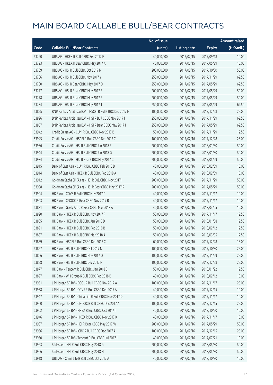|       |                                                            | No. of issue |                     |               | <b>Amount raised</b> |
|-------|------------------------------------------------------------|--------------|---------------------|---------------|----------------------|
| Code  | <b>Callable Bull/Bear Contracts</b>                        | (units)      | <b>Listing date</b> | <b>Expiry</b> | (HK\$mil.)           |
| 63790 | UBS AG - HKEX R Bull CBBC Sep 2017 E                       | 40,000,000   | 2017/02/15          | 2017/09/18    | 10.00                |
| 63793 | UBS AG - HKEX R Bear CBBC May 2017 A                       | 40,000,000   | 2017/02/15          | 2017/05/29    | 10.00                |
| 63789 | UBS AG - HSI R Bull CBBC Oct 2017 N                        | 200,000,000  | 2017/02/15          | 2017/10/30    | 50.00                |
| 63786 | UBS AG - HSI R Bull CBBC Nov 2017 Y                        | 250,000,000  | 2017/02/15          | 2017/11/29    | 62.50                |
| 63780 | UBS AG - HSI R Bear CBBC May 2017 D                        | 250,000,000  | 2017/02/15          | 2017/05/29    | 62.50                |
| 63777 | UBS AG - HSI R Bear CBBC May 2017 E                        | 200,000,000  | 2017/02/15          | 2017/05/29    | 50.00                |
| 63778 | UBS AG - HSI R Bear CBBC May 2017 F                        | 200,000,000  | 2017/02/15          | 2017/05/29    | 50.00                |
| 63784 | UBS AG - HSI R Bear CBBC May 2017 J                        | 250,000,000  | 2017/02/15          | 2017/05/29    | 62.50                |
| 63895 | BNP Paribas Arbit Issu B.V. - HSCEI R Bull CBBC Dec 2017 E | 100,000,000  | 2017/02/16          | 2017/12/28    | 25.00                |
| 63896 | BNP Paribas Arbit Issu B.V. - HSI R Bull CBBC Nov 2017 I   | 250,000,000  | 2017/02/16          | 2017/11/29    | 62.50                |
| 63857 | BNP Paribas Arbit Issu B.V. - HSI R Bear CBBC May 2017 I   | 250,000,000  | 2017/02/16          | 2017/05/29    | 62.50                |
| 63942 | Credit Suisse AG - CUni R Bull CBBC Nov 2017 B             | 50,000,000   | 2017/02/16          | 2017/11/29    | 12.50                |
| 63945 | Credit Suisse AG - HSCEI R Bull CBBC Dec 2017 C            | 100,000,000  | 2017/02/16          | 2017/12/28    | 25.00                |
| 63936 | Credit Suisse AG - HSI R Bull CBBC Jan 2018 F              | 200,000,000  | 2017/02/16          | 2018/01/30    | 50.00                |
| 63944 | Credit Suisse AG - HSI R Bull CBBC Jan 2018 G              | 200,000,000  | 2017/02/16          | 2018/01/30    | 50.00                |
| 63934 | Credit Suisse AG - HSI R Bear CBBC May 2017 C              | 200,000,000  | 2017/02/16          | 2017/05/29    | 50.00                |
| 63915 | Bank of East Asia - CUni R Bull CBBC Feb 2018 B            | 40,000,000   | 2017/02/16          | 2018/02/09    | 10.00                |
| 63914 | Bank of East Asia - HKEX R Bull CBBC Feb 2018 A            | 40,000,000   | 2017/02/16          | 2018/02/09    | 10.00                |
| 63912 | Goldman Sachs SP (Asia) - HSI R Bull CBBC Nov 2017 I       | 200,000,000  | 2017/02/16          | 2017/11/29    | 50.00                |
| 63908 | Goldman Sachs SP (Asia) - HSI R Bear CBBC May 2017 R       | 200,000,000  | 2017/02/16          | 2017/05/29    | 50.00                |
| 63904 | HK Bank - COVS R Bull CBBC Nov 2017 C                      | 40,000,000   | 2017/02/16          | 2017/11/17    | 10.00                |
| 63903 | HK Bank - CNOOC R Bear CBBC Nov 2017 B                     | 40,000,000   | 2017/02/16          | 2017/11/17    | 10.00                |
| 63881 | HK Bank - Geely Auto R Bear CBBC Mar 2018 A                | 40,000,000   | 2017/02/16          | 2018/03/05    | 10.00                |
| 63890 | HK Bank - HKEX R Bull CBBC Nov 2017 F                      | 50,000,000   | 2017/02/16          | 2017/11/17    | 12.50                |
| 63885 | HK Bank - HKEX R Bull CBBC Jan 2018 D                      | 50,000,000   | 2017/02/16          | 2018/01/08    | 12.50                |
| 63891 | HK Bank - HKEX R Bull CBBC Feb 2018 B                      | 50,000,000   | 2017/02/16          | 2018/02/12    | 12.50                |
| 63887 | HK Bank - HKEX R Bull CBBC Mar 2018 A                      | 50,000,000   | 2017/02/16          | 2018/03/05    | 12.50                |
| 63869 | HK Bank - HSCEI R Bull CBBC Dec 2017 C                     | 60,000,000   | 2017/02/16          | 2017/12/28    | 15.00                |
| 63867 | HK Bank - HSI R Bull CBBC Oct 2017 N                       | 100,000,000  | 2017/02/16          | 2017/10/30    | 25.00                |
| 63866 | HK Bank - HSI R Bull CBBC Nov 2017 O                       | 100,000,000  | 2017/02/16          | 2017/11/29    | 25.00                |
| 63858 | HK Bank - HSI R Bull CBBC Dec 2017 H                       | 100,000,000  | 2017/02/16          | 2017/12/28    | 25.00                |
| 63877 | HK Bank - Tencent R Bull CBBC Jan 2018 E                   | 50,000,000   | 2017/02/16          | 2018/01/22    | 12.50                |
| 63897 | HK Bank - WH Group R Bull CBBC Feb 2018 B                  | 40,000,000   | 2017/02/16          | 2018/02/12    | 10.00                |
| 63951 | J P Morgan SP BV - BOCL R Bull CBBC Nov 2017 A             | 100,000,000  | 2017/02/16          | 2017/11/17    | 25.00                |
| 63958 | J P Morgan SP BV - COVS R Bull CBBC Dec 2017 A             | 40,000,000   | 2017/02/16          | 2017/12/15    | 10.00                |
| 63947 | J P Morgan SP BV - China Life R Bull CBBC Nov 2017 D       | 40,000,000   | 2017/02/16          | 2017/11/17    | 10.00                |
| 63960 | J P Morgan SP BV - CNOOC R Bull CBBC Dec 2017 A            | 100,000,000  | 2017/02/16          | 2017/12/15    | 25.00                |
| 63962 | J P Morgan SP BV - HKEX R Bull CBBC Oct 2017 I             | 40,000,000   | 2017/02/16          | 2017/10/20    | 10.00                |
| 63946 | J P Morgan SP BV - HKEX R Bull CBBC Nov 2017 K             | 40,000,000   | 2017/02/16          | 2017/11/17    | 10.00                |
| 63907 | J P Morgan SP BV - HSI R Bear CBBC May 2017 W              | 200,000,000  | 2017/02/16          | 2017/05/29    | 50.00                |
| 63956 | J P Morgan SP BV - ICBC R Bull CBBC Dec 2017 A             | 100,000,000  | 2017/02/16          | 2017/12/15    | 25.00                |
| 63950 | J P Morgan SP BV - Tencent R Bull CBBC Jul 2017 I          | 40,000,000   | 2017/02/16          | 2017/07/21    | 10.00                |
| 63963 | SG Issuer - HSI R Bull CBBC May 2018 G                     | 200,000,000  | 2017/02/16          | 2018/05/30    | 50.00                |
| 63966 | SG Issuer - HSI R Bull CBBC May 2018 H                     | 200,000,000  | 2017/02/16          | 2018/05/30    | 50.00                |
| 63918 | UBS AG - China Life R Bull CBBC Oct 2017 A                 | 40,000,000   | 2017/02/16          | 2017/10/30    | 10.00                |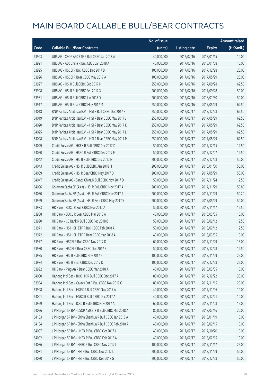|       |                                                          | No. of issue |                     |               | <b>Amount raised</b> |
|-------|----------------------------------------------------------|--------------|---------------------|---------------|----------------------|
| Code  | <b>Callable Bull/Bear Contracts</b>                      | (units)      | <b>Listing date</b> | <b>Expiry</b> | (HK\$mil.)           |
| 63923 | UBS AG - CSOP A50 ETF R Bull CBBC Jan 2018 A             | 40,000,000   | 2017/02/16          | 2018/01/15    | 10.00                |
| 63921 | UBS AG - A50 China R Bull CBBC Jan 2018 A                | 40,000,000   | 2017/02/16          | 2018/01/08    | 10.00                |
| 63925 | UBS AG - HSCEI R Bull CBBC Dec 2017 B                    | 100,000,000  | 2017/02/16          | 2017/12/28    | 25.00                |
| 63926 | UBS AG - HSCEI R Bear CBBC May 2017 A                    | 100,000,000  | 2017/02/16          | 2017/05/29    | 25.00                |
| 63927 | UBS AG - HSI R Bull CBBC Sep 2017 M                      | 250,000,000  | 2017/02/16          | 2017/09/28    | 62.50                |
| 63928 | UBS AG - HSI R Bull CBBC Sep 2017 X                      | 200,000,000  | 2017/02/16          | 2017/09/28    | 50.00                |
| 63931 | UBS AG - HSI R Bull CBBC Jan 2018 D                      | 200,000,000  | 2017/02/16          | 2018/01/30    | 50.00                |
| 63917 | UBS AG - HSI R Bear CBBC May 2017 M                      | 250,000,000  | 2017/02/16          | 2017/05/29    | 62.50                |
| 64018 | BNP Paribas Arbit Issu B.V. - HSI R Bull CBBC Dec 2017 B | 250,000,000  | 2017/02/17          | 2017/12/28    | 62.50                |
| 64019 | BNP Paribas Arbit Issu B.V. - HSI R Bear CBBC May 2017 J | 250,000,000  | 2017/02/17          | 2017/05/29    | 62.50                |
| 64020 | BNP Paribas Arbit Issu B.V. - HSI R Bear CBBC May 2017 K | 250,000,000  | 2017/02/17          | 2017/05/29    | 62.50                |
| 64025 | BNP Paribas Arbit Issu B.V. - HSI R Bear CBBC May 2017 L | 250,000,000  | 2017/02/17          | 2017/05/29    | 62.50                |
| 64028 | BNP Paribas Arbit Issu B.V. - HSI R Bear CBBC May 2017 M | 250,000,000  | 2017/02/17          | 2017/05/29    | 62.50                |
| 64049 | Credit Suisse AG - HKEX R Bull CBBC Dec 2017 D           | 50,000,000   | 2017/02/17          | 2017/12/15    | 12.50                |
| 64050 | Credit Suisse AG - HSBC R Bull CBBC Dec 2017 F           | 50,000,000   | 2017/02/17          | 2017/12/07    | 12.50                |
| 64042 | Credit Suisse AG - HSI R Bull CBBC Dec 2017 E            | 200,000,000  | 2017/02/17          | 2017/12/28    | 50.00                |
| 64043 | Credit Suisse AG - HSI R Bull CBBC Jan 2018 H            | 200,000,000  | 2017/02/17          | 2018/01/30    | 50.00                |
| 64039 | Credit Suisse AG - HSI R Bear CBBC May 2017 D            | 200,000,000  | 2017/02/17          | 2017/05/29    | 50.00                |
| 64047 | Credit Suisse AG - Sands China R Bull CBBC Nov 2017 D    | 50,000,000   | 2017/02/17          | 2017/11/24    | 12.50                |
| 64036 | Goldman Sachs SP (Asia) - HSI R Bull CBBC Nov 2017 A     | 200,000,000  | 2017/02/17          | 2017/11/29    | 50.80                |
| 64030 | Goldman Sachs SP (Asia) - HSI R Bull CBBC Nov 2017 R     | 200,000,000  | 2017/02/17          | 2017/11/29    | 50.20                |
| 63969 | Goldman Sachs SP (Asia) - HSI R Bear CBBC May 2017 S     | 200,000,000  | 2017/02/17          | 2017/05/29    | 50.00                |
| 63983 | HK Bank - BOCL R Bull CBBC Nov 2017 A                    | 50,000,000   | 2017/02/17          | 2017/11/17    | 12.50                |
| 63988 | HK Bank - BOCL R Bear CBBC Mar 2018 A                    | 40,000,000   | 2017/02/17          | 2018/03/05    | 10.00                |
| 63990 | HK Bank - CC Bank R Bull CBBC Feb 2018 B                 | 50,000,000   | 2017/02/17          | 2018/02/12    | 12.50                |
| 63971 | HK Bank - HS H-SH ETF R Bull CBBC Feb 2018 A             | 50,000,000   | 2017/02/17          | 2018/02/12    | 12.50                |
| 63972 | HK Bank - HS H-SH ETF R Bear CBBC Mar 2018 A             | 40,000,000   | 2017/02/17          | 2018/03/05    | 10.00                |
| 63977 | HK Bank - HSCEI R Bull CBBC Nov 2017 D                   | 60,000,000   | 2017/02/17          | 2017/11/29    | 15.00                |
| 63980 | HK Bank - HSCEI R Bear CBBC Dec 2017 B                   | 50,000,000   | 2017/02/17          | 2017/12/28    | 12.50                |
| 63975 | HK Bank - HSI R Bull CBBC Nov 2017 P                     | 100,000,000  | 2017/02/17          | 2017/11/29    | 25.00                |
| 63974 | HK Bank - HSI R Bear CBBC Dec 2017 D                     | 100,000,000  | 2017/02/17          | 2017/12/28    | 25.00                |
| 63992 | HK Bank - Ping An R Bear CBBC Mar 2018 A                 | 40,000,000   | 2017/02/17          | 2018/03/05    | 10.00                |
| 64000 | Haitong Int'l Sec - BOC HK R Bull CBBC Dec 2017 A        | 80,000,000   | 2017/02/17          | 2017/12/22    | 20.00                |
| 63994 | Haitong Int'l Sec - Galaxy Ent R Bull CBBC Nov 2017 C    | 80,000,000   | 2017/02/17          | 2017/11/15    | 20.00                |
| 63998 | Haitong Int'l Sec - HKEX R Bull CBBC Nov 2017 A          | 40,000,000   | 2017/02/17          | 2017/11/06    | 10.00                |
| 64001 | Haitong Int'l Sec - HSBC R Bull CBBC Dec 2017 A          | 40,000,000   | 2017/02/17          | 2017/12/21    | 10.00                |
| 63999 | Haitong Int'l Sec - ICBC R Bull CBBC Nov 2017 A          | 60,000,000   | 2017/02/17          | 2017/11/08    | 15.00                |
| 64096 | J P Morgan SP BV - CSOP A50 ETF R Bull CBBC Mar 2018 A   | 80,000,000   | 2017/02/17          | 2018/03/16    | 20.00                |
| 64103 | J P Morgan SP BV - China Shenhua R Bull CBBC Jan 2018 A  | 40,000,000   | 2017/02/17          | 2018/01/19    | 10.00                |
| 64104 | J P Morgan SP BV - China Shenhua R Bull CBBC Feb 2018 A  | 40,000,000   | 2017/02/17          | 2018/02/15    | 10.00                |
| 64087 | J P Morgan SP BV - HKEX R Bull CBBC Oct 2017 J           | 40,000,000   | 2017/02/17          | 2017/10/20    | 10.00                |
| 64092 | J P Morgan SP BV - HKEX R Bull CBBC Feb 2018 A           | 40,000,000   | 2017/02/17          | 2018/02/15    | 10.00                |
| 64086 | J P Morgan SP BV - HSBC R Bull CBBC Nov 2017 I           | 100,000,000  | 2017/02/17          | 2017/11/17    | 25.00                |
| 64081 | J P Morgan SP BV - HSI R Bull CBBC Nov 2017 L            | 200,000,000  | 2017/02/17          | 2017/11/29    | 56.00                |
| 64080 | J P Morgan SP BV - HSI R Bull CBBC Dec 2017 G            | 200,000,000  | 2017/02/17          | 2017/12/28    | 50.00                |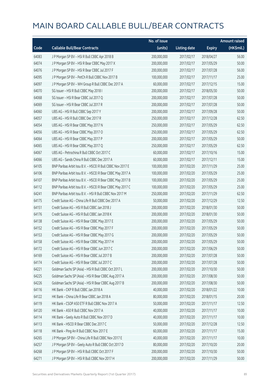|       |                                                            | No. of issue |                     |               | <b>Amount raised</b> |
|-------|------------------------------------------------------------|--------------|---------------------|---------------|----------------------|
| Code  | <b>Callable Bull/Bear Contracts</b>                        | (units)      | <b>Listing date</b> | <b>Expiry</b> | (HK\$mil.)           |
| 64083 | J P Morgan SP BV - HSI R Bull CBBC Apr 2018 B              | 200,000,000  | 2017/02/17          | 2018/04/27    | 56.00                |
| 64074 | J P Morgan SP BV - HSI R Bear CBBC May 2017 X              | 200,000,000  | 2017/02/17          | 2017/05/29    | 50.00                |
| 64076 | J P Morgan SP BV - HSI R Bear CBBC Jul 2017 F              | 200,000,000  | 2017/02/17          | 2017/07/28    | 56.00                |
| 64095 | J P Morgan SP BV - PetCh R Bull CBBC Nov 2017 B            | 100,000,000  | 2017/02/17          | 2017/11/17    | 25.00                |
| 64097 | J P Morgan SP BV - WH Group R Bull CBBC Dec 2017 A         | 60,000,000   | 2017/02/17          | 2017/12/15    | 15.00                |
| 64070 | SG Issuer - HSI R Bull CBBC May 2018 I                     | 200,000,000  | 2017/02/17          | 2018/05/30    | 50.00                |
| 64068 | SG Issuer - HSI R Bear CBBC Jul 2017 Q                     | 200,000,000  | 2017/02/17          | 2017/07/28    | 50.00                |
| 64069 | SG Issuer - HSI R Bear CBBC Jul 2017 R                     | 200,000,000  | 2017/02/17          | 2017/07/28    | 50.00                |
| 64060 | UBS AG - HSI R Bull CBBC Sep 2017 Y                        | 200,000,000  | 2017/02/17          | 2017/09/28    | 50.00                |
| 64057 | UBS AG - HSI R Bull CBBC Dec 2017 R                        | 250,000,000  | 2017/02/17          | 2017/12/28    | 62.50                |
| 64054 | UBS AG - HSI R Bear CBBC May 2017 N                        | 250,000,000  | 2017/02/17          | 2017/05/29    | 62.50                |
| 64056 | UBS AG - HSI R Bear CBBC May 2017 O                        | 250,000,000  | 2017/02/17          | 2017/05/29    | 62.50                |
| 64064 | UBS AG - HSI R Bear CBBC May 2017 P                        | 200,000,000  | 2017/02/17          | 2017/05/29    | 50.00                |
| 64065 | UBS AG - HSI R Bear CBBC May 2017 Q                        | 250,000,000  | 2017/02/17          | 2017/05/29    | 62.50                |
| 64067 | UBS AG - Petrochina R Bull CBBC Oct 2017 C                 | 60,000,000   | 2017/02/17          | 2017/10/16    | 15.00                |
| 64066 | UBS AG - Sands China R Bull CBBC Dec 2017 A                | 60,000,000   | 2017/02/17          | 2017/12/11    | 15.00                |
| 64105 | BNP Paribas Arbit Issu B.V. - HSCEI R Bull CBBC Nov 2017 E | 100,000,000  | 2017/02/20          | 2017/11/29    | 25.00                |
| 64106 | BNP Paribas Arbit Issu B.V. - HSCEI R Bear CBBC May 2017 A | 100,000,000  | 2017/02/20          | 2017/05/29    | 25.00                |
| 64107 | BNP Paribas Arbit Issu B.V. - HSCEI R Bear CBBC May 2017 B | 100,000,000  | 2017/02/20          | 2017/05/29    | 25.00                |
| 64112 | BNP Paribas Arbit Issu B.V. - HSCEI R Bear CBBC May 2017 C | 100,000,000  | 2017/02/20          | 2017/05/29    | 25.00                |
| 64241 | BNP Paribas Arbit Issu B.V. - HSI R Bull CBBC Nov 2017 M   | 250,000,000  | 2017/02/20          | 2017/11/29    | 62.50                |
| 64175 | Credit Suisse AG - China Life R Bull CBBC Dec 2017 A       | 50,000,000   | 2017/02/20          | 2017/12/29    | 12.50                |
| 64151 | Credit Suisse AG - HSI R Bull CBBC Jan 2018 J              | 200,000,000  | 2017/02/20          | 2018/01/30    | 50.00                |
| 64176 | Credit Suisse AG - HSI R Bull CBBC Jan 2018 K              | 200,000,000  | 2017/02/20          | 2018/01/30    | 50.00                |
| 64138 | Credit Suisse AG - HSI R Bear CBBC May 2017 E              | 200,000,000  | 2017/02/20          | 2017/05/29    | 50.00                |
| 64152 | Credit Suisse AG - HSI R Bear CBBC May 2017 F              | 200,000,000  | 2017/02/20          | 2017/05/29    | 50.00                |
| 64153 | Credit Suisse AG - HSI R Bear CBBC May 2017 G              | 200,000,000  | 2017/02/20          | 2017/05/29    | 50.00                |
| 64158 | Credit Suisse AG - HSI R Bear CBBC May 2017 H              | 200,000,000  | 2017/02/20          | 2017/05/29    | 50.00                |
| 64172 | Credit Suisse AG - HSI R Bear CBBC Jun 2017 C              | 200,000,000  | 2017/02/20          | 2017/06/29    | 50.00                |
| 64169 | Credit Suisse AG - HSI R Bear CBBC Jul 2017 B              | 200,000,000  | 2017/02/20          | 2017/07/28    | 50.00                |
| 64174 | Credit Suisse AG - HSI R Bear CBBC Jul 2017 C              | 200,000,000  | 2017/02/20          | 2017/07/28    | 50.00                |
| 64221 | Goldman Sachs SP (Asia) - HSI R Bull CBBC Oct 2017 L       | 200,000,000  | 2017/02/20          | 2017/10/30    | 50.00                |
| 64225 | Goldman Sachs SP (Asia) - HSI R Bear CBBC Aug 2017 A       | 200,000,000  | 2017/02/20          | 2017/08/30    | 50.00                |
| 64226 | Goldman Sachs SP (Asia) - HSI R Bear CBBC Aug 2017 B       | 200,000,000  | 2017/02/20          | 2017/08/30    | 50.00                |
| 64116 | HK Bank - CKP R Bull CBBC Jan 2018 A                       | 40,000,000   | 2017/02/20          | 2018/01/22    | 10.00                |
| 64122 | HK Bank - China Life R Bear CBBC Jan 2018 A                | 80,000,000   | 2017/02/20          | 2018/01/15    | 20.00                |
| 64119 | HK Bank - CSOP A50 ETF R Bull CBBC Nov 2017 A              | 50,000,000   | 2017/02/20          | 2017/11/17    | 12.50                |
| 64120 | HK Bank - A50 R Bull CBBC Nov 2017 A                       | 40,000,000   | 2017/02/20          | 2017/11/17    | 10.00                |
| 64114 | HK Bank - Geely Auto R Bull CBBC Nov 2017 D                | 40,000,000   | 2017/02/20          | 2017/11/17    | 10.00                |
| 64113 | HK Bank - HSCEI R Bear CBBC Dec 2017 C                     | 50,000,000   | 2017/02/20          | 2017/12/28    | 12.50                |
| 64118 | HK Bank - Ping An R Bull CBBC Nov 2017 E                   | 60,000,000   | 2017/02/20          | 2017/11/17    | 15.00                |
| 64265 | J P Morgan SP BV - China Life R Bull CBBC Nov 2017 E       | 40,000,000   | 2017/02/20          | 2017/11/17    | 10.00                |
| 64257 | J P Morgan SP BV - Geely Auto R Bull CBBC Oct 2017 D       | 80,000,000   | 2017/02/20          | 2017/10/20    | 20.00                |
| 64268 | J P Morgan SP BV - HSI R Bull CBBC Oct 2017 F              | 200,000,000  | 2017/02/20          | 2017/10/30    | 50.00                |
| 64271 | J P Morgan SP BV - HSI R Bull CBBC Nov 2017 H              | 200,000,000  | 2017/02/20          | 2017/11/29    | 50.00                |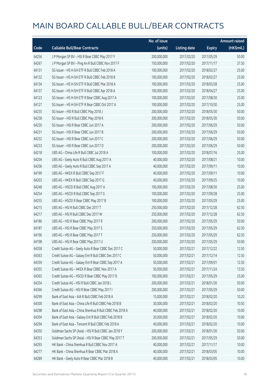|       |                                                          | No. of issue |                     |               | <b>Amount raised</b> |
|-------|----------------------------------------------------------|--------------|---------------------|---------------|----------------------|
| Code  | <b>Callable Bull/Bear Contracts</b>                      | (units)      | <b>Listing date</b> | <b>Expiry</b> | (HK\$mil.)           |
| 64256 | J P Morgan SP BV - HSI R Bear CBBC May 2017 Y            | 200,000,000  | 2017/02/20          | 2017/05/29    | 50.00                |
| 64267 | J P Morgan SP BV - Ping An R Bull CBBC Nov 2017 F        | 150,000,000  | 2017/02/20          | 2017/11/17    | 37.50                |
| 64131 | SG Issuer - HS H-SH ETF R Bull CBBC Feb 2018 A           | 100,000,000  | 2017/02/20          | 2018/02/27    | 25.00                |
| 64132 | SG Issuer - HS H-SH ETF R Bull CBBC Feb 2018 B           | 100,000,000  | 2017/02/20          | 2018/02/27    | 25.00                |
| 64134 | SG Issuer - HS H-SH ETF R Bull CBBC Mar 2018 A           | 100,000,000  | 2017/02/20          | 2018/03/28    | 25.00                |
| 64137 | SG Issuer - HS H-SH ETF R Bull CBBC Apr 2018 A           | 100,000,000  | 2017/02/20          | 2018/04/27    | 25.00                |
| 64123 | SG Issuer - HS H-SH ETF R Bear CBBC Aug 2017 A           | 100,000,000  | 2017/02/20          | 2017/08/30    | 25.00                |
| 64127 | SG Issuer - HS H-SH ETF R Bear CBBC Oct 2017 A           | 100,000,000  | 2017/02/20          | 2017/10/30    | 25.00                |
| 64235 | SG Issuer - HSI R Bull CBBC May 2018 J                   | 200,000,000  | 2017/02/20          | 2018/05/30    | 50.00                |
| 64238 | SG Issuer - HSI R Bull CBBC May 2018 K                   | 200,000,000  | 2017/02/20          | 2018/05/30    | 50.00                |
| 64230 | SG Issuer - HSI R Bear CBBC Jun 2017 A                   | 200,000,000  | 2017/02/20          | 2017/06/29    | 50.00                |
| 64231 | SG Issuer - HSI R Bear CBBC Jun 2017 B                   | 200,000,000  | 2017/02/20          | 2017/06/29    | 50.00                |
| 64232 | SG Issuer - HSI R Bear CBBC Jun 2017 C                   | 200,000,000  | 2017/02/20          | 2017/06/29    | 50.00                |
| 64233 | SG Issuer - HSI R Bear CBBC Jun 2017 D                   | 200,000,000  | 2017/02/20          | 2017/06/29    | 50.00                |
| 64218 | UBS AG - China Life R Bull CBBC Jul 2018 A               | 100,000,000  | 2017/02/20          | 2018/07/16    | 25.00                |
| 64204 | UBS AG - Geely Auto R Bull CBBC Aug 2017 A               | 40,000,000   | 2017/02/20          | 2017/08/21    | 10.00                |
| 64206 | UBS AG - Geely Auto R Bull CBBC Sep 2017 A               | 40,000,000   | 2017/02/20          | 2017/09/11    | 10.00                |
| 64199 | UBS AG - HKEX R Bull CBBC Sep 2017 F                     | 40,000,000   | 2017/02/20          | 2017/09/11    | 10.00                |
| 64203 | UBS AG - HKEX R Bull CBBC Sep 2017 G                     | 40,000,000   | 2017/02/20          | 2017/09/25    | 10.00                |
| 64248 | UBS AG - HSCEI R Bull CBBC Aug 2017 A                    | 100,000,000  | 2017/02/20          | 2017/08/30    | 25.00                |
| 64254 | UBS AG - HSCEI R Bull CBBC Sep 2017 G                    | 100,000,000  | 2017/02/20          | 2017/09/28    | 25.00                |
| 64255 | UBS AG - HSCEI R Bear CBBC May 2017 B                    | 100,000,000  | 2017/02/20          | 2017/05/29    | 25.00                |
| 64215 | UBS AG - HSI R Bull CBBC Dec 2017 T                      | 250,000,000  | 2017/02/20          | 2017/12/28    | 62.50                |
| 64217 | UBS AG - HSI R Bull CBBC Dec 2017 W                      | 250,000,000  | 2017/02/20          | 2017/12/28    | 62.50                |
| 64186 | UBS AG - HSI R Bear CBBC May 2017 R                      | 200,000,000  | 2017/02/20          | 2017/05/29    | 50.00                |
| 64187 | UBS AG - HSI R Bear CBBC May 2017 S                      | 250,000,000  | 2017/02/20          | 2017/05/29    | 62.50                |
| 64196 | UBS AG - HSI R Bear CBBC May 2017 T                      | 250,000,000  | 2017/02/20          | 2017/05/29    | 62.50                |
| 64198 | UBS AG - HSI R Bear CBBC May 2017 U                      | 200,000,000  | 2017/02/20          | 2017/05/29    | 50.00                |
| 64358 | Credit Suisse AG - Geely Auto R Bear CBBC Dec 2017 C     | 50,000,000   | 2017/02/21          | 2017/12/22    | 12.50                |
| 64363 | Credit Suisse AG - Galaxy Ent R Bull CBBC Dec 2017 C     | 50,000,000   | 2017/02/21          | 2017/12/14    | 12.50                |
| 64359 | Credit Suisse AG - Galaxy Ent R Bear CBBC Sep 2017 A     | 50,000,000   | 2017/02/21          | 2017/09/01    | 12.50                |
| 64355 | Credit Suisse AG - HKEX R Bear CBBC Nov 2017 A           | 50,000,000   | 2017/02/21          | 2017/11/24    | 13.50                |
| 64365 | Credit Suisse AG - HSCEI R Bear CBBC May 2017 B          | 100,000,000  | 2017/02/21          | 2017/05/29    | 25.00                |
| 64354 | Credit Suisse AG - HSI R Bull CBBC Jan 2018 L            | 200,000,000  | 2017/02/21          | 2018/01/30    | 50.00                |
| 64366 | Credit Suisse AG - HSI R Bear CBBC May 2017 I            | 200,000,000  | 2017/02/21          | 2017/05/29    | 50.00                |
| 64299 | Bank of East Asia - AIA R Bull CBBC Feb 2018 A           | 15,000,000   | 2017/02/21          | 2018/02/20    | 10.20                |
| 64300 | Bank of East Asia - China Life R Bull CBBC Feb 2018 B    | 30,000,000   | 2017/02/21          | 2018/02/20    | 10.50                |
| 64298 | Bank of East Asia - China Shenhua R Bull CBBC Feb 2018 A | 40,000,000   | 2017/02/21          | 2018/02/20    | 10.00                |
| 64304 | Bank of East Asia - Galaxy Ent R Bull CBBC Feb 2018 B    | 20,000,000   | 2017/02/21          | 2018/02/20    | 10.00                |
| 64294 | Bank of East Asia - Tencent R Bull CBBC Feb 2018 A       | 40,000,000   | 2017/02/21          | 2018/02/20    | 10.00                |
| 64350 | Goldman Sachs SP (Asia) - HSI R Bull CBBC Jan 2018 Y     | 200,000,000  | 2017/02/21          | 2018/01/30    | 50.00                |
| 64353 | Goldman Sachs SP (Asia) - HSI R Bear CBBC May 2017 T     | 200,000,000  | 2017/02/21          | 2017/05/29    | 50.00                |
| 64293 | HK Bank - China Shenhua R Bull CBBC Nov 2017 A           | 40,000,000   | 2017/02/21          | 2017/11/17    | 10.00                |
| 64277 | HK Bank - China Shenhua R Bear CBBC Mar 2018 A           | 40,000,000   | 2017/02/21          | 2018/03/05    | 10.00                |
| 64289 | HK Bank - Geely Auto R Bear CBBC Mar 2018 B              | 40,000,000   | 2017/02/21          | 2018/03/05    | 10.00                |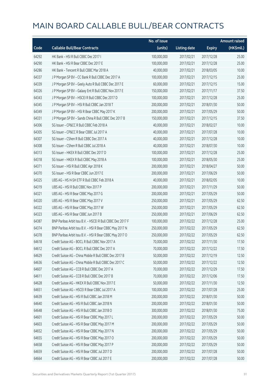|       |                                                            | No. of issue |                     |               | <b>Amount raised</b> |
|-------|------------------------------------------------------------|--------------|---------------------|---------------|----------------------|
| Code  | <b>Callable Bull/Bear Contracts</b>                        | (units)      | <b>Listing date</b> | <b>Expiry</b> | (HK\$mil.)           |
| 64292 | HK Bank - HSI R Bull CBBC Dec 2017 I                       | 100,000,000  | 2017/02/21          | 2017/12/28    | 25.00                |
| 64290 | HK Bank - HSI R Bear CBBC Dec 2017 E                       | 100,000,000  | 2017/02/21          | 2017/12/28    | 25.00                |
| 64286 | HK Bank - Tencent R Bull CBBC Mar 2018 A                   | 40,000,000   | 2017/02/21          | 2018/03/05    | 10.00                |
| 64337 | J P Morgan SP BV - CC Bank R Bull CBBC Dec 2017 A          | 100,000,000  | 2017/02/21          | 2017/12/15    | 25.00                |
| 64339 | J P Morgan SP BV - Geely Auto R Bull CBBC Dec 2017 E       | 60,000,000   | 2017/02/21          | 2017/12/15    | 15.00                |
| 64326 | J P Morgan SP BV - Galaxy Ent R Bull CBBC Nov 2017 E       | 150,000,000  | 2017/02/21          | 2017/11/17    | 37.50                |
| 64343 | J P Morgan SP BV - HSCEI R Bull CBBC Dec 2017 D            | 100,000,000  | 2017/02/21          | 2017/12/28    | 25.00                |
| 64345 | J P Morgan SP BV - HSI R Bull CBBC Jan 2018 T              | 200,000,000  | 2017/02/21          | 2018/01/30    | 50.00                |
| 64349 | J P Morgan SP BV - HSI R Bear CBBC May 2017 K              | 200,000,000  | 2017/02/21          | 2017/05/29    | 50.00                |
| 64331 | J P Morgan SP BV - Sands China R Bull CBBC Dec 2017 B      | 150,000,000  | 2017/02/21          | 2017/12/15    | 37.50                |
| 64306 | SG Issuer - CP&CC R Bull CBBC Feb 2018 A                   | 40,000,000   | 2017/02/21          | 2018/02/27    | 10.00                |
| 64305 | SG Issuer - CP&CC R Bear CBBC Jul 2017 A                   | 40,000,000   | 2017/02/21          | 2017/07/28    | 10.00                |
| 64307 | SG Issuer - CShen R Bull CBBC Dec 2017 A                   | 40,000,000   | 2017/02/21          | 2017/12/28    | 10.00                |
| 64308 | SG Issuer - CShen R Bull CBBC Jul 2018 A                   | 40,000,000   | 2017/02/21          | 2018/07/30    | 10.00                |
| 64313 | SG Issuer - HKEX R Bull CBBC Dec 2017 D                    | 100,000,000  | 2017/02/21          | 2017/12/28    | 25.00                |
| 64318 | SG Issuer - HKEX R Bull CBBC May 2018 A                    | 100,000,000  | 2017/02/21          | 2018/05/30    | 25.00                |
| 64371 | SG Issuer - HSI R Bull CBBC Apr 2018 K                     | 200,000,000  | 2017/02/21          | 2018/04/27    | 50.00                |
| 64370 | SG Issuer - HSI R Bear CBBC Jun 2017 E                     | 200,000,000  | 2017/02/21          | 2017/06/29    | 50.00                |
| 64325 | UBS AG - HS H-SH ETF R Bull CBBC Feb 2018 A                | 40,000,000   | 2017/02/21          | 2018/02/05    | 10.00                |
| 64319 | UBS AG - HSI R Bull CBBC Nov 2017 P                        | 200,000,000  | 2017/02/21          | 2017/11/29    | 50.00                |
| 64321 | UBS AG - HSI R Bear CBBC May 2017 G                        | 200,000,000  | 2017/02/21          | 2017/05/29    | 50.00                |
| 64320 | UBS AG - HSI R Bear CBBC May 2017 V                        | 250,000,000  | 2017/02/21          | 2017/05/29    | 62.50                |
| 64322 | UBS AG - HSI R Bear CBBC May 2017 W                        | 250,000,000  | 2017/02/21          | 2017/05/29    | 62.50                |
| 64323 | UBS AG - HSI R Bear CBBC Jun 2017 B                        | 250,000,000  | 2017/02/21          | 2017/06/29    | 62.50                |
| 64387 | BNP Paribas Arbit Issu B.V. - HSCEI R Bull CBBC Dec 2017 F | 100,000,000  | 2017/02/22          | 2017/12/28    | 25.00                |
| 64374 | BNP Paribas Arbit Issu B.V. - HSI R Bear CBBC May 2017 N   | 250,000,000  | 2017/02/22          | 2017/05/29    | 62.50                |
| 64378 | BNP Paribas Arbit Issu B.V. - HSI R Bear CBBC May 2017 O   | 250,000,000  | 2017/02/22          | 2017/05/29    | 62.50                |
| 64618 | Credit Suisse AG - BOCL R Bull CBBC Nov 2017 A             | 70,000,000   | 2017/02/22          | 2017/11/30    | 17.50                |
| 64612 | Credit Suisse AG - BOCL R Bull CBBC Dec 2017 A             | 70,000,000   | 2017/02/22          | 2017/12/22    | 17.50                |
| 64629 | Credit Suisse AG - China Mobile R Bull CBBC Dec 2017 B     | 50,000,000   | 2017/02/22          | 2017/12/19    | 12.50                |
| 64636 | Credit Suisse AG - China Mobile R Bull CBBC Dec 2017 C     | 50,000,000   | 2017/02/22          | 2017/12/22    | 12.50                |
| 64607 | Credit Suisse AG - CCB R Bull CBBC Dec 2017 A              | 70,000,000   | 2017/02/22          | 2017/12/29    | 17.50                |
| 64611 | Credit Suisse AG - CCB R Bull CBBC Dec 2017 B              | 70,000,000   | 2017/02/22          | 2017/12/06    | 17.50                |
| 64628 | Credit Suisse AG - HKEX R Bull CBBC Nov 2017 E             | 50,000,000   | 2017/02/22          | 2017/11/30    | 12.50                |
| 64651 | Credit Suisse AG - HSCEI R Bear CBBC Jul 2017 A            | 100,000,000  | 2017/02/22          | 2017/07/28    | 25.00                |
| 64639 | Credit Suisse AG - HSI R Bull CBBC Jan 2018 M              | 200,000,000  | 2017/02/22          | 2018/01/30    | 50.00                |
| 64640 | Credit Suisse AG - HSI R Bull CBBC Jan 2018 N              | 200,000,000  | 2017/02/22          | 2018/01/30    | 50.00                |
| 64648 | Credit Suisse AG - HSI R Bull CBBC Jan 2018 O              | 300,000,000  | 2017/02/22          | 2018/01/30    | 75.00                |
| 64601 | Credit Suisse AG - HSI R Bear CBBC May 2017 L              | 200,000,000  | 2017/02/22          | 2017/05/29    | 50.00                |
| 64603 | Credit Suisse AG - HSI R Bear CBBC May 2017 M              | 200,000,000  | 2017/02/22          | 2017/05/29    | 50.00                |
| 64652 | Credit Suisse AG - HSI R Bear CBBC May 2017 N              | 200,000,000  | 2017/02/22          | 2017/05/29    | 50.00                |
| 64655 | Credit Suisse AG - HSI R Bear CBBC May 2017 O              | 200,000,000  | 2017/02/22          | 2017/05/29    | 50.00                |
| 64658 | Credit Suisse AG - HSI R Bear CBBC May 2017 P              | 200,000,000  | 2017/02/22          | 2017/05/29    | 50.00                |
| 64659 | Credit Suisse AG - HSI R Bear CBBC Jul 2017 D              | 200,000,000  | 2017/02/22          | 2017/07/28    | 50.00                |
| 64664 | Credit Suisse AG - HSI R Bear CBBC Jul 2017 E              | 200,000,000  | 2017/02/22          | 2017/07/28    | 50.00                |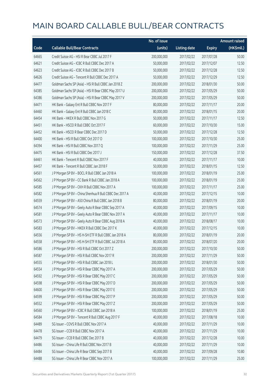|       |                                                         | No. of issue |                     |               | <b>Amount raised</b> |
|-------|---------------------------------------------------------|--------------|---------------------|---------------|----------------------|
| Code  | <b>Callable Bull/Bear Contracts</b>                     | (units)      | <b>Listing date</b> | <b>Expiry</b> | (HK\$mil.)           |
| 64665 | Credit Suisse AG - HSI R Bear CBBC Jul 2017 F           | 200,000,000  | 2017/02/22          | 2017/07/28    | 50.00                |
| 64621 | Credit Suisse AG - ICBC R Bull CBBC Dec 2017 A          | 50,000,000   | 2017/02/22          | 2017/12/07    | 12.50                |
| 64623 | Credit Suisse AG - ICBC R Bull CBBC Dec 2017 B          | 50,000,000   | 2017/02/22          | 2017/12/28    | 12.50                |
| 64626 | Credit Suisse AG - Tencent R Bull CBBC Dec 2017 A       | 50,000,000   | 2017/02/22          | 2017/12/29    | 12.50                |
| 64477 | Goldman Sachs SP (Asia) - HSI R Bull CBBC Jan 2018 Z    | 200,000,000  | 2017/02/22          | 2018/01/30    | 50.00                |
| 64385 | Goldman Sachs SP (Asia) - HSI R Bear CBBC May 2017 U    | 200,000,000  | 2017/02/22          | 2017/05/29    | 50.00                |
| 64386 | Goldman Sachs SP (Asia) - HSI R Bear CBBC May 2017 V    | 200,000,000  | 2017/02/22          | 2017/05/29    | 50.00                |
| 64471 | HK Bank - Galaxy Ent R Bull CBBC Nov 2017 F             | 80,000,000   | 2017/02/22          | 2017/11/17    | 20.00                |
| 64460 | HK Bank - Galaxy Ent R Bull CBBC Jan 2018 C             | 80,000,000   | 2017/02/22          | 2018/01/15    | 20.00                |
| 64454 | HK Bank - HKEX R Bull CBBC Nov 2017 G                   | 50,000,000   | 2017/02/22          | 2017/11/17    | 12.50                |
| 64451 | HK Bank - HSCEI R Bull CBBC Oct 2017 F                  | 60,000,000   | 2017/02/22          | 2017/10/30    | 15.00                |
| 64452 | HK Bank - HSCEI R Bear CBBC Dec 2017 D                  | 50,000,000   | 2017/02/22          | 2017/12/28    | 12.50                |
| 64400 | HK Bank - HSI R Bull CBBC Oct 2017 O                    | 100,000,000  | 2017/02/22          | 2017/10/30    | 25.00                |
| 64394 | HK Bank - HSI R Bull CBBC Nov 2017 Q                    | 100,000,000  | 2017/02/22          | 2017/11/29    | 25.00                |
| 64475 | HK Bank - HSI R Bull CBBC Dec 2017 J                    | 150,000,000  | 2017/02/22          | 2017/12/28    | 37.50                |
| 64461 | HK Bank - Tencent R Bull CBBC Nov 2017 F                | 40,000,000   | 2017/02/22          | 2017/11/17    | 10.00                |
| 64457 | HK Bank - Tencent R Bull CBBC Jan 2018 F                | 50,000,000   | 2017/02/22          | 2018/01/15    | 12.50                |
| 64561 | J P Morgan SP BV - BOCL R Bull CBBC Jan 2018 A          | 100,000,000  | 2017/02/22          | 2018/01/19    | 25.00                |
| 64562 | J P Morgan SP BV - CC Bank R Bull CBBC Jan 2018 A       | 100,000,000  | 2017/02/22          | 2018/01/19    | 25.00                |
| 64585 | J P Morgan SP BV - CKH R Bull CBBC Nov 2017 A           | 100,000,000  | 2017/02/22          | 2017/11/17    | 25.00                |
| 64582 | J P Morgan SP BV - China Shenhua R Bull CBBC Dec 2017 A | 40,000,000   | 2017/02/22          | 2017/12/15    | 10.00                |
| 64559 | J P Morgan SP BV - A50 China R Bull CBBC Jan 2018 B     | 80,000,000   | 2017/02/22          | 2018/01/19    | 20.00                |
| 64574 | J P Morgan SP BV - Geely Auto R Bear CBBC Sep 2017 A    | 40,000,000   | 2017/02/22          | 2017/09/15    | 10.00                |
| 64581 | J P Morgan SP BV - Geely Auto R Bear CBBC Nov 2017 A    | 40,000,000   | 2017/02/22          | 2017/11/17    | 10.00                |
| 64573 | J P Morgan SP BV - Geely Auto R Bear CBBC Aug 2018 A    | 40,000,000   | 2017/02/22          | 2018/08/17    | 10.00                |
| 64583 | J P Morgan SP BV - HKEX R Bull CBBC Dec 2017 K          | 40,000,000   | 2017/02/22          | 2017/12/15    | 10.00                |
| 64556 | J P Morgan SP BV - HS H-SH ETF R Bull CBBC Jan 2018 A   | 80,000,000   | 2017/02/22          | 2018/01/19    | 20.00                |
| 64558 | J P Morgan SP BV - HS H-SH ETF R Bull CBBC Jul 2018 A   | 80,000,000   | 2017/02/22          | 2018/07/20    | 20.00                |
| 64586 | J P Morgan SP BV - HSI R Bull CBBC Oct 2017 Z           | 200,000,000  | 2017/02/22          | 2017/10/30    | 50.00                |
| 64587 | J P Morgan SP BV - HSI R Bull CBBC Nov 2017 R           | 200,000,000  | 2017/02/22          | 2017/11/29    | 50.00                |
| 64555 | J P Morgan SP BV - HSI R Bull CBBC Jan 2018 L           | 200,000,000  | 2017/02/22          | 2018/01/30    | 50.00                |
| 64554 | J P Morgan SP BV - HSI R Bear CBBC May 2017 A           | 200,000,000  | 2017/02/22          | 2017/05/29    | 50.00                |
| 64592 | J P Morgan SP BV - HSI R Bear CBBC May 2017 C           | 200,000,000  | 2017/02/22          | 2017/05/29    | 50.00                |
| 64598 | J P Morgan SP BV - HSI R Bear CBBC May 2017 D           | 200,000,000  | 2017/02/22          | 2017/05/29    | 50.00                |
| 64600 | J P Morgan SP BV - HSI R Bear CBBC May 2017 E           | 200,000,000  | 2017/02/22          | 2017/05/29    | 50.00                |
| 64599 | J P Morgan SP BV - HSI R Bear CBBC May 2017 P           | 200,000,000  | 2017/02/22          | 2017/05/29    | 50.00                |
| 64552 | J P Morgan SP BV - HSI R Bear CBBC May 2017 Z           | 200,000,000  | 2017/02/22          | 2017/05/29    | 50.00                |
| 64560 | J P Morgan SP BV - ICBC R Bull CBBC Jan 2018 A          | 100,000,000  | 2017/02/22          | 2018/01/19    | 25.00                |
| 64584 | J P Morgan SP BV - Tencent R Bull CBBC Aug 2017 F       | 40,000,000   | 2017/02/22          | 2017/08/18    | 10.00                |
| 64489 | SG Issuer - COVS R Bull CBBC Nov 2017 A                 | 40,000,000   | 2017/02/22          | 2017/11/29    | 10.00                |
| 64478 | SG Issuer - CCB R Bull CBBC Nov 2017 A                  | 40,000,000   | 2017/02/22          | 2017/11/29    | 10.00                |
| 64479 | SG Issuer - CCB R Bull CBBC Dec 2017 B                  | 40,000,000   | 2017/02/22          | 2017/12/28    | 10.00                |
| 64486 | SG Issuer - China Life R Bull CBBC Nov 2017 B           | 40,000,000   | 2017/02/22          | 2017/11/29    | 10.00                |
| 64484 | SG Issuer - China Life R Bear CBBC Sep 2017 B           | 40,000,000   | 2017/02/22          | 2017/09/28    | 10.80                |
| 64488 | SG Issuer - China Life R Bear CBBC Nov 2017 A           | 100,000,000  | 2017/02/22          | 2017/11/29    | 25.00                |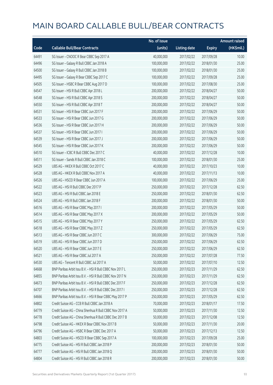|       |                                                          | No. of issue |                     |               | <b>Amount raised</b> |
|-------|----------------------------------------------------------|--------------|---------------------|---------------|----------------------|
| Code  | <b>Callable Bull/Bear Contracts</b>                      | (units)      | <b>Listing date</b> | <b>Expiry</b> | (HK\$mil.)           |
| 64491 | SG Issuer - CNOOC R Bear CBBC Sep 2017 A                 | 40,000,000   | 2017/02/22          | 2017/09/28    | 10.00                |
| 64496 | SG Issuer - Galaxy R Bull CBBC Jan 2018 A                | 100,000,000  | 2017/02/22          | 2018/01/30    | 25.00                |
| 64500 | SG Issuer - Galaxy R Bull CBBC Jan 2018 B                | 100,000,000  | 2017/02/22          | 2018/01/30    | 25.00                |
| 64495 | SG Issuer - Galaxy R Bear CBBC Sep 2017 C                | 100,000,000  | 2017/02/22          | 2017/09/28    | 25.00                |
| 64505 | SG Issuer - HSBC R Bear CBBC Aug 2017 D                  | 100,000,000  | 2017/02/22          | 2017/08/30    | 25.00                |
| 64547 | SG Issuer - HSI R Bull CBBC Apr 2018 L                   | 200,000,000  | 2017/02/22          | 2018/04/27    | 50.00                |
| 64548 | SG Issuer - HSI R Bull CBBC Apr 2018 S                   | 200,000,000  | 2017/02/22          | 2018/04/27    | 50.00                |
| 64550 | SG Issuer - HSI R Bull CBBC Apr 2018 T                   | 200,000,000  | 2017/02/22          | 2018/04/27    | 50.00                |
| 64531 | SG Issuer - HSI R Bear CBBC Jun 2017 F                   | 200,000,000  | 2017/02/22          | 2017/06/29    | 50.00                |
| 64533 | SG Issuer - HSI R Bear CBBC Jun 2017 G                   | 200,000,000  | 2017/02/22          | 2017/06/29    | 50.00                |
| 64536 | SG Issuer - HSI R Bear CBBC Jun 2017 H                   | 200,000,000  | 2017/02/22          | 2017/06/29    | 50.00                |
| 64537 | SG Issuer - HSI R Bear CBBC Jun 2017 I                   | 200,000,000  | 2017/02/22          | 2017/06/29    | 50.00                |
| 64539 | SG Issuer - HSI R Bear CBBC Jun 2017 J                   | 200,000,000  | 2017/02/22          | 2017/06/29    | 50.00                |
| 64545 | SG Issuer - HSI R Bear CBBC Jun 2017 K                   | 200,000,000  | 2017/02/22          | 2017/06/29    | 50.00                |
| 64510 | SG Issuer - ICBC R Bull CBBC Dec 2017 C                  | 40,000,000   | 2017/02/22          | 2017/12/28    | 10.00                |
| 64511 | SG Issuer - Sands R Bull CBBC Jan 2018 C                 | 100,000,000  | 2017/02/22          | 2018/01/30    | 25.00                |
| 64529 | UBS AG - HKEX R Bull CBBC Oct 2017 C                     | 40,000,000   | 2017/02/22          | 2017/10/23    | 10.00                |
| 64528 | UBS AG - HKEX R Bull CBBC Nov 2017 A                     | 40,000,000   | 2017/02/22          | 2017/11/13    | 10.00                |
| 64526 | UBS AG - HSCEI R Bear CBBC Jun 2017 A                    | 100,000,000  | 2017/02/22          | 2017/06/29    | 25.00                |
| 64522 | UBS AG - HSI R Bull CBBC Dec 2017 P                      | 250,000,000  | 2017/02/22          | 2017/12/28    | 62.50                |
| 64523 | UBS AG - HSI R Bull CBBC Jan 2018 E                      | 250,000,000  | 2017/02/22          | 2018/01/30    | 62.50                |
| 64524 | UBS AG - HSI R Bull CBBC Jan 2018 F                      | 200,000,000  | 2017/02/22          | 2018/01/30    | 50.00                |
| 64516 | UBS AG - HSI R Bear CBBC May 2017 I                      | 200,000,000  | 2017/02/22          | 2017/05/29    | 50.00                |
| 64514 | UBS AG - HSI R Bear CBBC May 2017 X                      | 200,000,000  | 2017/02/22          | 2017/05/29    | 50.00                |
| 64515 | UBS AG - HSI R Bear CBBC May 2017 Y                      | 250,000,000  | 2017/02/22          | 2017/05/29    | 62.50                |
| 64518 | UBS AG - HSI R Bear CBBC May 2017 Z                      | 250,000,000  | 2017/02/22          | 2017/05/29    | 62.50                |
| 64513 | UBS AG - HSI R Bear CBBC Jun 2017 C                      | 300,000,000  | 2017/02/22          | 2017/06/29    | 75.00                |
| 64519 | UBS AG - HSI R Bear CBBC Jun 2017 D                      | 250,000,000  | 2017/02/22          | 2017/06/29    | 62.50                |
| 64520 | UBS AG - HSI R Bear CBBC Jun 2017 E                      | 250,000,000  | 2017/02/22          | 2017/06/29    | 62.50                |
| 64521 | UBS AG - HSI R Bear CBBC Jul 2017 A                      | 250,000,000  | 2017/02/22          | 2017/07/28    | 77.50                |
| 64530 | UBS AG - Tencent R Bull CBBC Jul 2017 A                  | 50,000,000   | 2017/02/22          | 2017/07/10    | 12.50                |
| 64668 | BNP Paribas Arbit Issu B.V. - HSI R Bull CBBC Nov 2017 L | 250,000,000  | 2017/02/23          | 2017/11/29    | 62.50                |
| 64855 | BNP Paribas Arbit Issu B.V. - HSI R Bull CBBC Nov 2017 N | 250,000,000  | 2017/02/23          | 2017/11/29    | 62.50                |
| 64673 | BNP Paribas Arbit Issu B.V. - HSI R Bull CBBC Dec 2017 F | 250,000,000  | 2017/02/23          | 2017/12/28    | 62.50                |
| 64707 | BNP Paribas Arbit Issu B.V. - HSI R Bull CBBC Dec 2017 I | 250,000,000  | 2017/02/23          | 2017/12/28    | 62.50                |
| 64666 | BNP Paribas Arbit Issu B.V. - HSI R Bear CBBC May 2017 P | 250,000,000  | 2017/02/23          | 2017/05/29    | 62.50                |
| 64802 | Credit Suisse AG - CCB R Bull CBBC Jan 2018 A            | 70,000,000   | 2017/02/23          | 2018/01/17    | 17.50                |
| 64779 | Credit Suisse AG - China Shenhua R Bull CBBC Nov 2017 A  | 50,000,000   | 2017/02/23          | 2017/11/30    | 12.50                |
| 64778 | Credit Suisse AG - China Shenhua R Bull CBBC Dec 2017 B  | 50,000,000   | 2017/02/23          | 2017/12/08    | 12.50                |
| 64798 | Credit Suisse AG - HKEX R Bear CBBC Nov 2017 B           | 50,000,000   | 2017/02/23          | 2017/11/30    | 20.00                |
| 64796 | Credit Suisse AG - HSBC R Bear CBBC Dec 2017 A           | 50,000,000   | 2017/02/23          | 2017/12/13    | 12.50                |
| 64803 | Credit Suisse AG - HSCEI R Bear CBBC Sep 2017 A          | 100,000,000  | 2017/02/23          | 2017/09/28    | 25.00                |
| 64775 | Credit Suisse AG - HSI R Bull CBBC Jan 2018 P            | 200,000,000  | 2017/02/23          | 2018/01/30    | 50.00                |
| 64777 | Credit Suisse AG - HSI R Bull CBBC Jan 2018 Q            | 200,000,000  | 2017/02/23          | 2018/01/30    | 50.00                |
| 64804 | Credit Suisse AG - HSI R Bull CBBC Jan 2018 R            | 200,000,000  | 2017/02/23          | 2018/01/30    | 50.00                |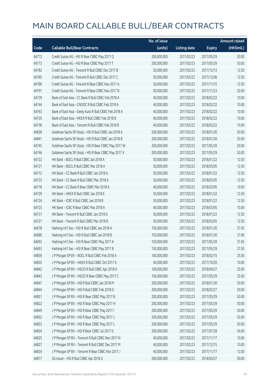|       |                                                       | No. of issue |                     |               | <b>Amount raised</b> |
|-------|-------------------------------------------------------|--------------|---------------------|---------------|----------------------|
| Code  | <b>Callable Bull/Bear Contracts</b>                   | (units)      | <b>Listing date</b> | <b>Expiry</b> | (HK\$mil.)           |
| 64772 | Credit Suisse AG - HSI R Bear CBBC May 2017 Q         | 200,000,000  | 2017/02/23          | 2017/05/29    | 50.00                |
| 64773 | Credit Suisse AG - HSI R Bear CBBC May 2017 T         | 200,000,000  | 2017/02/23          | 2017/05/29    | 50.00                |
| 64782 | Credit Suisse AG - Tencent R Bull CBBC Dec 2017 B     | 50,000,000   | 2017/02/23          | 2017/12/13    | 12.50                |
| 64785 | Credit Suisse AG - Tencent R Bull CBBC Dec 2017 C     | 50,000,000   | 2017/02/23          | 2017/12/06    | 12.50                |
| 64786 | Credit Suisse AG - Tencent R Bear CBBC Nov 2017 A     | 50,000,000   | 2017/02/23          | 2017/11/15    | 12.50                |
| 64791 | Credit Suisse AG - Tencent R Bear CBBC Nov 2017 B     | 50,000,000   | 2017/02/23          | 2017/11/23    | 20.00                |
| 64739 | Bank of East Asia - CC Bank R Bull CBBC Feb 2018 A    | 40,000,000   | 2017/02/23          | 2018/02/22    | 10.00                |
| 64744 | Bank of East Asia - CNOOC R Bull CBBC Feb 2018 A      | 40,000,000   | 2017/02/23          | 2018/02/22    | 10.00                |
| 64743 | Bank of East Asia - Geely Auto R Bull CBBC Feb 2018 A | 40,000,000   | 2017/02/23          | 2018/02/22    | 10.00                |
| 64735 | Bank of East Asia - HKEX R Bull CBBC Feb 2018 B       | 40,000,000   | 2017/02/23          | 2018/02/22    | 10.00                |
| 64738 | Bank of East Asia - Tencent R Bull CBBC Feb 2018 B    | 40,000,000   | 2017/02/23          | 2018/02/22    | 10.00                |
| 64838 | Goldman Sachs SP (Asia) - HSI R Bull CBBC Jan 2018 A  | 200,000,000  | 2017/02/23          | 2018/01/30    | 50.00                |
| 64841 | Goldman Sachs SP (Asia) - HSI R Bull CBBC Jan 2018 B  | 200,000,000  | 2017/02/23          | 2018/01/30    | 50.00                |
| 64745 | Goldman Sachs SP (Asia) - HSI R Bear CBBC May 2017 W  | 200,000,000  | 2017/02/23          | 2017/05/29    | 50.00                |
| 64746 | Goldman Sachs SP (Asia) - HSI R Bear CBBC May 2017 X  | 200,000,000  | 2017/02/23          | 2017/05/29    | 50.00                |
| 64722 | HK Bank - BOCL R Bull CBBC Jan 2018 A                 | 50,000,000   | 2017/02/23          | 2018/01/22    | 12.50                |
| 64721 | HK Bank - BOCL R Bull CBBC Mar 2018 A                 | 50,000,000   | 2017/02/23          | 2018/03/05    | 12.50                |
| 64712 | HK Bank - CC Bank R Bull CBBC Jan 2018 A              | 50,000,000   | 2017/02/23          | 2018/01/22    | 12.50                |
| 64733 | HK Bank - CC Bank R Bull CBBC Mar 2018 A              | 50,000,000   | 2017/02/23          | 2018/03/05    | 12.50                |
| 64718 | HK Bank - CC Bank R Bear CBBC Mar 2018 A              | 40,000,000   | 2017/02/23          | 2018/03/05    | 10.00                |
| 64729 | HK Bank - HKEX R Bull CBBC Jan 2018 E                 | 50,000,000   | 2017/02/23          | 2018/01/22    | 12.50                |
| 64724 | HK Bank - ICBC R Bull CBBC Jan 2018 B                 | 50,000,000   | 2017/02/23          | 2018/01/22    | 12.50                |
| 64725 | HK Bank - ICBC R Bear CBBC Mar 2018 A                 | 40,000,000   | 2017/02/23          | 2018/03/05    | 10.00                |
| 64731 | HK Bank - Tencent R Bull CBBC Jan 2018 G              | 50,000,000   | 2017/02/23          | 2018/01/22    | 12.50                |
| 64727 | HK Bank - Tencent R Bull CBBC Mar 2018 B              | 50,000,000   | 2017/02/23          | 2018/03/05    | 12.50                |
| 64678 | Haitong Int'l Sec - HSI R Bull CBBC Jan 2018 A        | 150,000,000  | 2017/02/23          | 2018/01/30    | 37.95                |
| 64680 | Haitong Int'l Sec - HSI R Bull CBBC Jan 2018 B        | 150,000,000  | 2017/02/23          | 2018/01/30    | 37.80                |
| 64692 | Haitong Int'l Sec - HSI R Bear CBBC May 2017 A        | 150,000,000  | 2017/02/23          | 2017/05/29    | 37.65                |
| 64693 | Haitong Int'l Sec - HSI R Bear CBBC May 2017 B        | 150,000,000  | 2017/02/23          | 2017/05/29    | 37.50                |
| 64836 | J P Morgan SP BV - BOCL R Bull CBBC Feb 2018 A        | 100,000,000  | 2017/02/23          | 2018/02/15    | 25.00                |
| 64835 | J P Morgan SP BV - HKEX R Bull CBBC Oct 2017 K        | 40,000,000   | 2017/02/23          | 2017/10/20    | 10.00                |
| 64842 | J P Morgan SP BV - HSCEI R Bull CBBC Apr 2018 A       | 100,000,000  | 2017/02/23          | 2018/04/27    | 25.00                |
| 64843 | J P Morgan SP BV - HSCEI R Bear CBBC May 2017 C       | 100,000,000  | 2017/02/23          | 2017/05/29    | 25.00                |
| 64847 | J P Morgan SP BV - HSI R Bull CBBC Jan 2018 M         | 200,000,000  | 2017/02/23          | 2018/01/30    | 50.00                |
| 64844 | J P Morgan SP BV - HSI R Bull CBBC Feb 2018 O         | 200,000,000  | 2017/02/23          | 2018/02/27    | 50.00                |
| 64851 | J P Morgan SP BV - HSI R Bear CBBC May 2017 B         | 200,000,000  | 2017/02/23          | 2017/05/29    | 50.00                |
| 64822 | J P Morgan SP BV - HSI R Bear CBBC May 2017 H         | 200,000,000  | 2017/02/23          | 2017/05/29    | 50.00                |
| 64849 | J P Morgan SP BV - HSI R Bear CBBC May 2017 I         | 200,000,000  | 2017/02/23          | 2017/05/29    | 50.00                |
| 64852 | J P Morgan SP BV - HSI R Bear CBBC May 2017 J         | 200,000,000  | 2017/02/23          | 2017/05/29    | 50.00                |
| 64853 | J P Morgan SP BV - HSI R Bear CBBC May 2017 L         | 200,000,000  | 2017/02/23          | 2017/05/29    | 50.00                |
| 64854 | J P Morgan SP BV - HSI R Bear CBBC Jul 2017 G         | 200,000,000  | 2017/02/23          | 2017/07/28    | 54.00                |
| 64825 | J P Morgan SP BV - Tencent R Bull CBBC Nov 2017 N     | 40,000,000   | 2017/02/23          | 2017/11/17    | 10.00                |
| 64827 | J P Morgan SP BV - Tencent R Bull CBBC Dec 2017 M     | 40,000,000   | 2017/02/23          | 2017/12/15    | 10.00                |
| 64834 | J P Morgan SP BV - Tencent R Bear CBBC Nov 2017 J     | 40,000,000   | 2017/02/23          | 2017/11/17    | 12.00                |
| 64817 | SG Issuer - HSI R Bull CBBC Apr 2018 U                | 200,000,000  | 2017/02/23          | 2018/04/27    | 50.00                |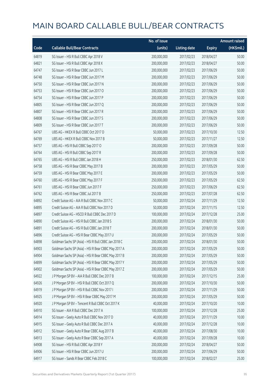|       |                                                      | No. of issue |                     |               | <b>Amount raised</b> |
|-------|------------------------------------------------------|--------------|---------------------|---------------|----------------------|
| Code  | <b>Callable Bull/Bear Contracts</b>                  | (units)      | <b>Listing date</b> | <b>Expiry</b> | (HK\$mil.)           |
| 64819 | SG Issuer - HSI R Bull CBBC Apr 2018 V               | 200,000,000  | 2017/02/23          | 2018/04/27    | 50.00                |
| 64821 | SG Issuer - HSI R Bull CBBC Apr 2018 X               | 200,000,000  | 2017/02/23          | 2018/04/27    | 50.00                |
| 64747 | SG Issuer - HSI R Bear CBBC Jun 2017 L               | 200,000,000  | 2017/02/23          | 2017/06/29    | 50.00                |
| 64748 | SG Issuer - HSI R Bear CBBC Jun 2017 M               | 200,000,000  | 2017/02/23          | 2017/06/29    | 50.00                |
| 64750 | SG Issuer - HSI R Bear CBBC Jun 2017 N               | 200,000,000  | 2017/02/23          | 2017/06/29    | 50.00                |
| 64753 | SG Issuer - HSI R Bear CBBC Jun 2017 O               | 200,000,000  | 2017/02/23          | 2017/06/29    | 50.00                |
| 64754 | SG Issuer - HSI R Bear CBBC Jun 2017 P               | 200,000,000  | 2017/02/23          | 2017/06/29    | 50.00                |
| 64805 | SG Issuer - HSI R Bear CBBC Jun 2017 Q               | 200,000,000  | 2017/02/23          | 2017/06/29    | 50.00                |
| 64807 | SG Issuer - HSI R Bear CBBC Jun 2017 R               | 200,000,000  | 2017/02/23          | 2017/06/29    | 50.00                |
| 64808 | SG Issuer - HSI R Bear CBBC Jun 2017 S               | 200,000,000  | 2017/02/23          | 2017/06/29    | 50.00                |
| 64809 | SG Issuer - HSI R Bear CBBC Jun 2017 T               | 200,000,000  | 2017/02/23          | 2017/06/29    | 50.00                |
| 64767 | UBS AG - HKEX R Bull CBBC Oct 2017 D                 | 50,000,000   | 2017/02/23          | 2017/10/30    | 12.50                |
| 64769 | UBS AG - HKEX R Bull CBBC Nov 2017 B                 | 50,000,000   | 2017/02/23          | 2017/11/27    | 12.50                |
| 64757 | UBS AG - HSI R Bull CBBC Sep 2017 O                  | 200,000,000  | 2017/02/23          | 2017/09/28    | 50.00                |
| 64764 | UBS AG - HSI R Bull CBBC Sep 2017 R                  | 200,000,000  | 2017/02/23          | 2017/09/28    | 50.00                |
| 64765 | UBS AG - HSI R Bull CBBC Jan 2018 H                  | 250,000,000  | 2017/02/23          | 2018/01/30    | 62.50                |
| 64758 | UBS AG - HSI R Bear CBBC May 2017 B                  | 200,000,000  | 2017/02/23          | 2017/05/29    | 50.00                |
| 64759 | UBS AG - HSI R Bear CBBC May 2017 E                  | 200,000,000  | 2017/02/23          | 2017/05/29    | 50.00                |
| 64760 | UBS AG - HSI R Bear CBBC May 2017 F                  | 250,000,000  | 2017/02/23          | 2017/05/29    | 62.50                |
| 64761 | UBS AG - HSI R Bear CBBC Jun 2017 F                  | 250,000,000  | 2017/02/23          | 2017/06/29    | 62.50                |
| 64762 | UBS AG - HSI R Bear CBBC Jul 2017 B                  | 250,000,000  | 2017/02/23          | 2017/07/28    | 62.50                |
| 64892 | Credit Suisse AG - AIA R Bull CBBC Nov 2017 C        | 50,000,000   | 2017/02/24          | 2017/11/29    | 12.50                |
| 64895 | Credit Suisse AG - AIA R Bull CBBC Nov 2017 D        | 50,000,000   | 2017/02/24          | 2017/11/15    | 12.50                |
| 64897 | Credit Suisse AG - HSCEI R Bull CBBC Dec 2017 D      | 100,000,000  | 2017/02/24          | 2017/12/28    | 25.00                |
| 64890 | Credit Suisse AG - HSI R Bull CBBC Jan 2018 S        | 200,000,000  | 2017/02/24          | 2018/01/30    | 50.00                |
| 64891 | Credit Suisse AG - HSI R Bull CBBC Jan 2018 T        | 200,000,000  | 2017/02/24          | 2018/01/30    | 50.00                |
| 64896 | Credit Suisse AG - HSI R Bear CBBC May 2017 U        | 200,000,000  | 2017/02/24          | 2017/05/29    | 50.00                |
| 64898 | Goldman Sachs SP (Asia) - HSI R Bull CBBC Jan 2018 C | 200,000,000  | 2017/02/24          | 2018/01/30    | 50.00                |
| 64903 | Goldman Sachs SP (Asia) - HSI R Bear CBBC May 2017 A | 200,000,000  | 2017/02/24          | 2017/05/29    | 50.00                |
| 64904 | Goldman Sachs SP (Asia) - HSI R Bear CBBC May 2017 B | 200,000,000  | 2017/02/24          | 2017/05/29    | 50.00                |
| 64899 | Goldman Sachs SP (Asia) - HSI R Bear CBBC May 2017 Y | 200,000,000  | 2017/02/24          | 2017/05/29    | 50.00                |
| 64902 | Goldman Sachs SP (Asia) - HSI R Bear CBBC May 2017 Z | 200,000,000  | 2017/02/24          | 2017/05/29    | 50.00                |
| 64922 | J P Morgan SP BV - AIA R Bull CBBC Dec 2017 B        | 100,000,000  | 2017/02/24          | 2017/12/15    | 25.00                |
| 64926 | J P Morgan SP BV - HSI R Bull CBBC Oct 2017 Q        | 200,000,000  | 2017/02/24          | 2017/10/30    | 50.00                |
| 64919 | J P Morgan SP BV - HSI R Bull CBBC Nov 2017 I        | 200,000,000  | 2017/02/24          | 2017/11/29    | 50.00                |
| 64925 | J P Morgan SP BV - HSI R Bear CBBC May 2017 M        | 200,000,000  | 2017/02/24          | 2017/05/29    | 50.00                |
| 64920 | J P Morgan SP BV - Tencent R Bull CBBC Oct 2017 K    | 40,000,000   | 2017/02/24          | 2017/10/20    | 10.00                |
| 64910 | SG Issuer - AIA R Bull CBBC Dec 2017 A               | 100,000,000  | 2017/02/24          | 2017/12/28    | 25.00                |
| 64914 | SG Issuer - Geely Auto R Bull CBBC Nov 2017 D        | 40,000,000   | 2017/02/24          | 2017/11/29    | 10.00                |
| 64915 | SG Issuer - Geely Auto R Bull CBBC Dec 2017 A        | 40,000,000   | 2017/02/24          | 2017/12/28    | 10.00                |
| 64912 | SG Issuer - Geely Auto R Bear CBBC Aug 2017 B        | 40,000,000   | 2017/02/24          | 2017/08/30    | 10.00                |
| 64913 | SG Issuer - Geely Auto R Bear CBBC Sep 2017 A        | 40,000,000   | 2017/02/24          | 2017/09/28    | 10.00                |
| 64908 | SG Issuer - HSI R Bull CBBC Apr 2018 Y               | 200,000,000  | 2017/02/24          | 2018/04/27    | 50.00                |
| 64906 | SG Issuer - HSI R Bear CBBC Jun 2017 U               | 200,000,000  | 2017/02/24          | 2017/06/29    | 50.00                |
| 64917 | SG Issuer - Sands R Bear CBBC Feb 2018 C             | 100,000,000  | 2017/02/24          | 2018/02/27    | 25.00                |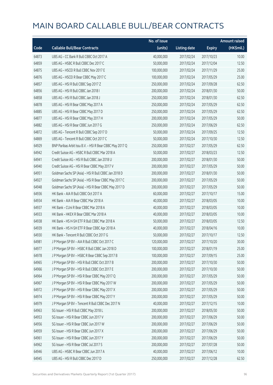|       |                                                          | No. of issue |                     |               | <b>Amount raised</b> |
|-------|----------------------------------------------------------|--------------|---------------------|---------------|----------------------|
| Code  | <b>Callable Bull/Bear Contracts</b>                      | (units)      | <b>Listing date</b> | <b>Expiry</b> | (HK\$mil.)           |
| 64873 | UBS AG - CC Bank R Bull CBBC Oct 2017 A                  | 40,000,000   | 2017/02/24          | 2017/10/23    | 10.00                |
| 64859 | UBS AG - HSBC R Bull CBBC Dec 2017 C                     | 50,000,000   | 2017/02/24          | 2017/12/04    | 12.50                |
| 64875 | UBS AG - HSCEI R Bull CBBC Nov 2017 E                    | 100,000,000  | 2017/02/24          | 2017/11/29    | 25.00                |
| 64876 | UBS AG - HSCEI R Bear CBBC May 2017 C                    | 100,000,000  | 2017/02/24          | 2017/05/29    | 25.00                |
| 64857 | UBS AG - HSI R Bull CBBC Sep 2017 Z                      | 250,000,000  | 2017/02/24          | 2017/09/28    | 62.50                |
| 64856 | UBS AG - HSI R Bull CBBC Jan 2018 I                      | 200,000,000  | 2017/02/24          | 2018/01/30    | 50.00                |
| 64858 | UBS AG - HSI R Bull CBBC Jan 2018 J                      | 250,000,000  | 2017/02/24          | 2018/01/30    | 62.50                |
| 64878 | UBS AG - HSI R Bear CBBC May 2017 A                      | 250,000,000  | 2017/02/24          | 2017/05/29    | 62.50                |
| 64885 | UBS AG - HSI R Bear CBBC May 2017 D                      | 250,000,000  | 2017/02/24          | 2017/05/29    | 62.50                |
| 64877 | UBS AG - HSI R Bear CBBC May 2017 H                      | 200,000,000  | 2017/02/24          | 2017/05/29    | 50.00                |
| 64882 | UBS AG - HSI R Bear CBBC Jun 2017 G                      | 250,000,000  | 2017/02/24          | 2017/06/29    | 62.50                |
| 64872 | UBS AG - Tencent R Bull CBBC Sep 2017 D                  | 50,000,000   | 2017/02/24          | 2017/09/25    | 12.50                |
| 64869 | UBS AG - Tencent R Bull CBBC Oct 2017 C                  | 50,000,000   | 2017/02/24          | 2017/10/30    | 12.50                |
| 64929 | BNP Paribas Arbit Issu B.V. - HSI R Bear CBBC May 2017 Q | 250,000,000  | 2017/02/27          | 2017/05/29    | 62.50                |
| 64942 | Credit Suisse AG - HSBC R Bull CBBC Mar 2018 A           | 50,000,000   | 2017/02/27          | 2018/03/23    | 12.50                |
| 64941 | Credit Suisse AG - HSI R Bull CBBC Jan 2018 U            | 200,000,000  | 2017/02/27          | 2018/01/30    | 50.00                |
| 64940 | Credit Suisse AG - HSI R Bear CBBC May 2017 V            | 200,000,000  | 2017/02/27          | 2017/05/29    | 50.00                |
| 64951 | Goldman Sachs SP (Asia) - HSI R Bull CBBC Jan 2018 D     | 200,000,000  | 2017/02/27          | 2018/01/30    | 50.00                |
| 64927 | Goldman Sachs SP (Asia) - HSI R Bear CBBC May 2017 C     | 200,000,000  | 2017/02/27          | 2017/05/29    | 50.00                |
| 64948 | Goldman Sachs SP (Asia) - HSI R Bear CBBC May 2017 D     | 200,000,000  | 2017/02/27          | 2017/05/29    | 50.00                |
| 64936 | HK Bank - AIA R Bull CBBC Oct 2017 A                     | 60,000,000   | 2017/02/27          | 2017/10/17    | 15.00                |
| 64934 | HK Bank - AIA R Bear CBBC Mar 2018 A                     | 40,000,000   | 2017/02/27          | 2018/03/05    | 10.00                |
| 64937 | HK Bank - CUni R Bear CBBC Mar 2018 A                    | 40,000,000   | 2017/02/27          | 2018/03/05    | 10.00                |
| 64933 | HK Bank - HKEX R Bear CBBC Mar 2018 A                    | 40,000,000   | 2017/02/27          | 2018/03/05    | 10.00                |
| 64938 | HK Bank - HS H-SH ETF R Bull CBBC Mar 2018 A             | 50,000,000   | 2017/02/27          | 2018/03/05    | 12.50                |
| 64939 | HK Bank - HS H-SH ETF R Bear CBBC Apr 2018 A             | 40,000,000   | 2017/02/27          | 2018/04/16    | 10.00                |
| 64930 | HK Bank - Tencent R Bull CBBC Oct 2017 G                 | 50,000,000   | 2017/02/27          | 2017/10/17    | 12.50                |
| 64981 | JP Morgan SP BV - AIA R Bull CBBC Oct 2017 C             | 120,000,000  | 2017/02/27          | 2017/10/20    | 30.00                |
| 64977 | J P Morgan SP BV - HSBC R Bull CBBC Jan 2018 D           | 100,000,000  | 2017/02/27          | 2018/01/19    | 25.00                |
| 64978 | J P Morgan SP BV - HSBC R Bear CBBC Sep 2017 B           | 100,000,000  | 2017/02/27          | 2017/09/15    | 25.00                |
| 64965 | JP Morgan SP BV - HSIR Bull CBBC Oct 2017 B              | 200,000,000  | 2017/02/27          | 2017/10/30    | 50.00                |
| 64966 | J P Morgan SP BV - HSI R Bull CBBC Oct 2017 E            | 200,000,000  | 2017/02/27          | 2017/10/30    | 50.00                |
| 64964 | J P Morgan SP BV - HSI R Bear CBBC May 2017 Q            | 200,000,000  | 2017/02/27          | 2017/05/29    | 50.00                |
| 64967 | J P Morgan SP BV - HSI R Bear CBBC May 2017 W            | 200,000,000  | 2017/02/27          | 2017/05/29    | 50.00                |
| 64972 | J P Morgan SP BV - HSI R Bear CBBC May 2017 X            | 200,000,000  | 2017/02/27          | 2017/05/29    | 50.00                |
| 64974 | J P Morgan SP BV - HSI R Bear CBBC May 2017 Y            | 200,000,000  | 2017/02/27          | 2017/05/29    | 50.00                |
| 64979 | J P Morgan SP BV - Tencent R Bull CBBC Dec 2017 N        | 40,000,000   | 2017/02/27          | 2017/12/15    | 10.00                |
| 64963 | SG Issuer - HSI R Bull CBBC May 2018 L                   | 200,000,000  | 2017/02/27          | 2018/05/30    | 50.00                |
| 64953 | SG Issuer - HSI R Bear CBBC Jun 2017 V                   | 200,000,000  | 2017/02/27          | 2017/06/29    | 50.00                |
| 64956 | SG Issuer - HSI R Bear CBBC Jun 2017 W                   | 200,000,000  | 2017/02/27          | 2017/06/29    | 50.00                |
| 64959 | SG Issuer - HSI R Bear CBBC Jun 2017 X                   | 200,000,000  | 2017/02/27          | 2017/06/29    | 50.00                |
| 64961 | SG Issuer - HSI R Bear CBBC Jun 2017 Y                   | 200,000,000  | 2017/02/27          | 2017/06/29    | 50.00                |
| 64962 | SG Issuer - HSI R Bear CBBC Jul 2017 S                   | 200,000,000  | 2017/02/27          | 2017/07/28    | 50.00                |
| 64946 | UBS AG - HSBC R Bear CBBC Jun 2017 A                     | 40,000,000   | 2017/02/27          | 2017/06/12    | 10.00                |
| 64945 | UBS AG - HSI R Bull CBBC Dec 2017 D                      | 250,000,000  | 2017/02/27          | 2017/12/28    | 62.50                |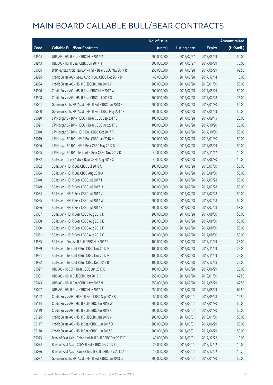|       |                                                          | No. of issue |                     |               | <b>Amount raised</b> |
|-------|----------------------------------------------------------|--------------|---------------------|---------------|----------------------|
| Code  | <b>Callable Bull/Bear Contracts</b>                      | (units)      | <b>Listing date</b> | <b>Expiry</b> | (HK\$mil.)           |
| 64944 | UBS AG - HSI R Bear CBBC May 2017 M                      | 200,000,000  | 2017/02/27          | 2017/05/29    | 50.00                |
| 64943 | UBS AG - HSI R Bear CBBC Jun 2017 H                      | 300,000,000  | 2017/02/27          | 2017/06/29    | 75.00                |
| 65005 | BNP Paribas Arbit Issu B.V. - HSI R Bear CBBC May 2017 R | 250,000,000  | 2017/02/28          | 2017/05/29    | 62.50                |
| 64995 | Credit Suisse AG - Geely Auto R Bull CBBC Dec 2017 D     | 40,000,000   | 2017/02/28          | 2017/12/14    | 10.00                |
| 64994 | Credit Suisse AG - HSI R Bull CBBC Jan 2018 V            | 200,000,000  | 2017/02/28          | 2018/01/30    | 50.00                |
| 64996 | Credit Suisse AG - HSI R Bear CBBC May 2017 W            | 200,000,000  | 2017/02/28          | 2017/05/29    | 50.00                |
| 64998 | Credit Suisse AG - HSI R Bear CBBC Jul 2017 G            | 300,000,000  | 2017/02/28          | 2017/07/28    | 75.00                |
| 65001 | Goldman Sachs SP (Asia) - HSI R Bull CBBC Jan 2018 E     | 200,000,000  | 2017/02/28          | 2018/01/30    | 50.00                |
| 65000 | Goldman Sachs SP (Asia) - HSI R Bear CBBC May 2017 E     | 200,000,000  | 2017/02/28          | 2017/05/29    | 50.00                |
| 65020 | J P Morgan SP BV - HSBC R Bear CBBC Sep 2017 C           | 100,000,000  | 2017/02/28          | 2017/09/15    | 25.00                |
| 65021 | J P Morgan SP BV - HSBC R Bear CBBC Oct 2017 B           | 100,000,000  | 2017/02/28          | 2017/10/20    | 25.00                |
| 65018 | J P Morgan SP BV - HSI R Bull CBBC Oct 2017 R            | 200,000,000  | 2017/02/28          | 2017/10/30    | 50.00                |
| 65019 | J P Morgan SP BV - HSI R Bull CBBC Jan 2018 N            | 200,000,000  | 2017/02/28          | 2018/01/30    | 50.00                |
| 65006 | J P Morgan SP BV - HSI R Bear CBBC May 2017 K            | 200,000,000  | 2017/02/28          | 2017/05/29    | 50.00                |
| 65025 | J P Morgan SP BV - Tencent R Bear CBBC Nov 2017 K        | 40,000,000   | 2017/02/28          | 2017/11/17    | 10.00                |
| 64982 | SG Issuer - Geely Auto R Bear CBBC Aug 2017 C            | 40,000,000   | 2017/02/28          | 2017/08/30    | 10.00                |
| 65062 | SG Issuer - HSI R Bull CBBC Jul 2018 A                   | 200,000,000  | 2017/02/28          | 2018/07/30    | 50.00                |
| 65064 | SG Issuer - HSI R Bull CBBC Aug 2018 A                   | 200,000,000  | 2017/02/28          | 2018/08/30    | 50.00                |
| 65048 | SG Issuer - HSI R Bear CBBC Jul 2017 T                   | 200,000,000  | 2017/02/28          | 2017/07/28    | 50.00                |
| 65049 | SG Issuer - HSI R Bear CBBC Jul 2017 U                   | 200,000,000  | 2017/02/28          | 2017/07/28    | 50.00                |
| 65054 | SG Issuer - HSI R Bear CBBC Jul 2017 V                   | 200,000,000  | 2017/02/28          | 2017/07/28    | 50.00                |
| 65055 | SG Issuer - HSI R Bear CBBC Jul 2017 W                   | 200,000,000  | 2017/02/28          | 2017/07/28    | 50.00                |
| 65056 | SG Issuer - HSI R Bear CBBC Jul 2017 X                   | 200,000,000  | 2017/02/28          | 2017/07/28    | 58.00                |
| 65057 | SG Issuer - HSI R Bear CBBC Aug 2017 D                   | 200,000,000  | 2017/02/28          | 2017/08/30    | 50.00                |
| 65058 | SG Issuer - HSI R Bear CBBC Aug 2017 E                   | 200,000,000  | 2017/02/28          | 2017/08/30    | 50.00                |
| 65060 | SG Issuer - HSI R Bear CBBC Aug 2017 F                   | 200,000,000  | 2017/02/28          | 2017/08/30    | 50.00                |
| 65061 | SG Issuer - HSI R Bear CBBC Aug 2017 G                   | 200,000,000  | 2017/02/28          | 2017/08/30    | 50.00                |
| 64985 | SG Issuer - Ping An R Bull CBBC Nov 2017 E               | 100,000,000  | 2017/02/28          | 2017/11/29    | 25.00                |
| 64989 | SG Issuer - Tencent R Bull CBBC Nov 2017 F               | 100,000,000  | 2017/02/28          | 2017/11/29    | 25.00                |
| 64991 | SG Issuer - Tencent R Bull CBBC Nov 2017 G               | 100,000,000  | 2017/02/28          | 2017/11/29    | 25.00                |
| 64992 | SG Issuer - Tencent R Bull CBBC Dec 2017 B               | 100,000,000  | 2017/02/28          | 2017/12/28    | 25.00                |
| 65027 | UBS AG - HSCEI R Bear CBBC Jun 2017 B                    | 100,000,000  | 2017/02/28          | 2017/06/29    | 25.00                |
| 65031 | UBS AG - HSI R Bull CBBC Jan 2018 K                      | 250,000,000  | 2017/02/28          | 2018/01/30    | 62.50                |
| 65043 | UBS AG - HSI R Bear CBBC May 2017 N                      | 250,000,000  | 2017/02/28          | 2017/05/29    | 62.50                |
| 65047 | UBS AG - HSI R Bear CBBC May 2017 O                      | 250,000,000  | 2017/02/28          | 2017/05/29    | 62.50                |
| 65122 | Credit Suisse AG - HSBC R Bear CBBC Sep 2017 B           | 50,000,000   | 2017/03/01          | 2017/09/28    | 12.50                |
| 65114 | Credit Suisse AG - HSI R Bull CBBC Jan 2018 W            | 200,000,000  | 2017/03/01          | 2018/01/30    | 50.00                |
| 65119 | Credit Suisse AG - HSI R Bull CBBC Jan 2018 X            | 200,000,000  | 2017/03/01          | 2018/01/30    | 50.00                |
| 65125 | Credit Suisse AG - HSI R Bull CBBC Jan 2018 Y            | 200,000,000  | 2017/03/01          | 2018/01/30    | 50.00                |
| 65117 | Credit Suisse AG - HSI R Bear CBBC Jun 2017 D            | 200,000,000  | 2017/03/01          | 2017/06/29    | 50.00                |
| 65118 | Credit Suisse AG - HSI R Bear CBBC Jun 2017 E            | 200,000,000  | 2017/03/01          | 2017/06/29    | 50.00                |
| 65073 | Bank of East Asia - China Mobile R Bull CBBC Dec 2017 D  | 40,000,000   | 2017/03/01          | 2017/12/22    | 10.00                |
| 65074 | Bank of East Asia - COVS R Bull CBBC Dec 2017 C          | 25,000,000   | 2017/03/01          | 2017/12/22    | 10.00                |
| 65076 | Bank of East Asia - Sands China R Bull CBBC Dec 2017 A   | 15,000,000   | 2017/03/01          | 2017/12/22    | 10.20                |
| 65077 | Goldman Sachs SP (Asia) - HSI R Bull CBBC Jan 2018 G     | 200,000,000  | 2017/03/01          | 2018/01/30    | 50.00                |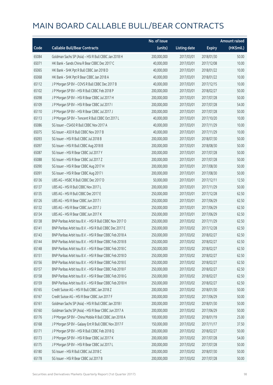|       |                                                          | No. of issue |                     |               | <b>Amount raised</b> |
|-------|----------------------------------------------------------|--------------|---------------------|---------------|----------------------|
| Code  | <b>Callable Bull/Bear Contracts</b>                      | (units)      | <b>Listing date</b> | <b>Expiry</b> | (HK\$mil.)           |
| 65084 | Goldman Sachs SP (Asia) - HSI R Bull CBBC Jan 2018 H     | 200,000,000  | 2017/03/01          | 2018/01/30    | 50.00                |
| 65071 | HK Bank - Sands China R Bear CBBC Dec 2017 C             | 40,000,000   | 2017/03/01          | 2017/12/08    | 10.00                |
| 65065 | HK Bank - SHK Ppt R Bull CBBC Jan 2018 D                 | 40,000,000   | 2017/03/01          | 2018/01/22    | 10.00                |
| 65068 | HK Bank - SHK Ppt R Bear CBBC Jan 2018 A                 | 40,000,000   | 2017/03/01          | 2018/01/22    | 10.00                |
| 65112 | J P Morgan SP BV - COVS R Bull CBBC Dec 2017 B           | 40,000,000   | 2017/03/01          | 2017/12/15    | 10.00                |
| 65102 | J P Morgan SP BV - HSI R Bull CBBC Feb 2018 P            | 200,000,000  | 2017/03/01          | 2018/02/27    | 50.00                |
| 65098 | J P Morgan SP BV - HSI R Bear CBBC Jul 2017 H            | 200,000,000  | 2017/03/01          | 2017/07/28    | 50.00                |
| 65109 | J P Morgan SP BV - HSI R Bear CBBC Jul 2017 I            | 200,000,000  | 2017/03/01          | 2017/07/28    | 54.00                |
| 65110 | J P Morgan SP BV - HSI R Bear CBBC Jul 2017 J            | 200,000,000  | 2017/03/01          | 2017/07/28    | 50.00                |
| 65113 | J P Morgan SP BV - Tencent R Bull CBBC Oct 2017 L        | 40,000,000   | 2017/03/01          | 2017/10/20    | 10.00                |
| 65086 | SG Issuer - CSA50 R Bull CBBC Nov 2017 A                 | 40,000,000   | 2017/03/01          | 2017/11/29    | 10.00                |
| 65075 | SG Issuer - A50 R Bull CBBC Nov 2017 B                   | 40,000,000   | 2017/03/01          | 2017/11/29    | 10.00                |
| 65093 | SG Issuer - HSI R Bull CBBC Jul 2018 B                   | 200,000,000  | 2017/03/01          | 2018/07/30    | 50.00                |
| 65097 | SG Issuer - HSI R Bull CBBC Aug 2018 B                   | 200,000,000  | 2017/03/01          | 2018/08/30    | 50.00                |
| 65087 | SG Issuer - HSI R Bear CBBC Jul 2017 Y                   | 200,000,000  | 2017/03/01          | 2017/07/28    | 50.00                |
| 65088 | SG Issuer - HSI R Bear CBBC Jul 2017 Z                   | 200,000,000  | 2017/03/01          | 2017/07/28    | 50.00                |
| 65090 | SG Issuer - HSI R Bear CBBC Aug 2017 H                   | 200,000,000  | 2017/03/01          | 2017/08/30    | 50.00                |
| 65091 | SG Issuer - HSI R Bear CBBC Aug 2017 I                   | 200,000,000  | 2017/03/01          | 2017/08/30    | 50.00                |
| 65136 | UBS AG - HSBC R Bull CBBC Dec 2017 D                     | 50,000,000   | 2017/03/01          | 2017/12/11    | 12.50                |
| 65137 | UBS AG - HSI R Bull CBBC Nov 2017 L                      | 200,000,000  | 2017/03/01          | 2017/11/29    | 50.00                |
| 65135 | UBS AG - HSI R Bull CBBC Dec 2017 E                      | 250,000,000  | 2017/03/01          | 2017/12/28    | 62.50                |
| 65126 | UBS AG - HSI R Bear CBBC Jun 2017 I                      | 250,000,000  | 2017/03/01          | 2017/06/29    | 62.50                |
| 65132 | UBS AG - HSI R Bear CBBC Jun 2017 J                      | 250,000,000  | 2017/03/01          | 2017/06/29    | 62.50                |
| 65134 | UBS AG - HSI R Bear CBBC Jun 2017 K                      | 250,000,000  | 2017/03/01          | 2017/06/29    | 62.50                |
| 65138 | BNP Paribas Arbit Issu B.V. - HSI R Bull CBBC Nov 2017 O | 250,000,000  | 2017/03/02          | 2017/11/29    | 62.50                |
| 65141 | BNP Paribas Arbit Issu B.V. - HSI R Bull CBBC Dec 2017 E | 250,000,000  | 2017/03/02          | 2017/12/28    | 62.50                |
| 65143 | BNP Paribas Arbit Issu B.V. - HSI R Bear CBBC Feb 2018 A | 250,000,000  | 2017/03/02          | 2018/02/27    | 62.50                |
| 65144 | BNP Paribas Arbit Issu B.V. - HSI R Bear CBBC Feb 2018 B | 250,000,000  | 2017/03/02          | 2018/02/27    | 62.50                |
| 65148 | BNP Paribas Arbit Issu B.V. - HSI R Bear CBBC Feb 2018 C | 250,000,000  | 2017/03/02          | 2018/02/27    | 62.50                |
| 65151 | BNP Paribas Arbit Issu B.V. - HSI R Bear CBBC Feb 2018 D | 250,000,000  | 2017/03/02          | 2018/02/27    | 62.50                |
| 65156 | BNP Paribas Arbit Issu B.V. - HSI R Bear CBBC Feb 2018 E | 250,000,000  | 2017/03/02          | 2018/02/27    | 62.50                |
| 65157 | BNP Paribas Arbit Issu B.V. - HSI R Bear CBBC Feb 2018 F | 250,000,000  | 2017/03/02          | 2018/02/27    | 62.50                |
| 65158 | BNP Paribas Arbit Issu B.V. - HSI R Bear CBBC Feb 2018 G | 250,000,000  | 2017/03/02          | 2018/02/27    | 62.50                |
| 65159 | BNP Paribas Arbit Issu B.V. - HSI R Bear CBBC Feb 2018 H | 250,000,000  | 2017/03/02          | 2018/02/27    | 62.50                |
| 65165 | Credit Suisse AG - HSI R Bull CBBC Jan 2018 Z            | 200,000,000  | 2017/03/02          | 2018/01/30    | 50.00                |
| 65167 | Credit Suisse AG - HSI R Bear CBBC Jun 2017 F            | 200,000,000  | 2017/03/02          | 2017/06/29    | 50.00                |
| 65161 | Goldman Sachs SP (Asia) - HSI R Bull CBBC Jan 2018 I     | 200,000,000  | 2017/03/02          | 2018/01/30    | 50.00                |
| 65160 | Goldman Sachs SP (Asia) - HSI R Bear CBBC Jun 2017 A     | 200,000,000  | 2017/03/02          | 2017/06/29    | 50.00                |
| 65176 | J P Morgan SP BV - China Mobile R Bull CBBC Jan 2018 A   | 100,000,000  | 2017/03/02          | 2018/01/19    | 25.00                |
| 65168 | J P Morgan SP BV - Galaxy Ent R Bull CBBC Nov 2017 F     | 150,000,000  | 2017/03/02          | 2017/11/17    | 37.50                |
| 65171 | J P Morgan SP BV - HSI R Bull CBBC Feb 2018 Q            | 200,000,000  | 2017/03/02          | 2018/02/27    | 50.00                |
| 65173 | J P Morgan SP BV - HSI R Bear CBBC Jul 2017 K            | 200,000,000  | 2017/03/02          | 2017/07/28    | 54.00                |
| 65175 | J P Morgan SP BV - HSI R Bear CBBC Jul 2017 L            | 200,000,000  | 2017/03/02          | 2017/07/28    | 50.00                |
| 65180 | SG Issuer - HSI R Bull CBBC Jul 2018 C                   | 200,000,000  | 2017/03/02          | 2018/07/30    | 50.00                |
| 65178 | SG Issuer - HSI R Bear CBBC Jul 2017 B                   | 200,000,000  | 2017/03/02          | 2017/07/28    | 50.00                |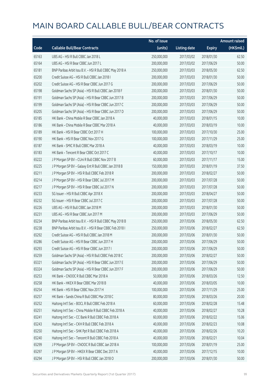|       |                                                          | No. of issue |                     |               | <b>Amount raised</b> |
|-------|----------------------------------------------------------|--------------|---------------------|---------------|----------------------|
| Code  | <b>Callable Bull/Bear Contracts</b>                      | (units)      | <b>Listing date</b> | <b>Expiry</b> | (HK\$mil.)           |
| 65163 | UBS AG - HSI R Bull CBBC Jan 2018 L                      | 250,000,000  | 2017/03/02          | 2018/01/30    | 62.50                |
| 65164 | UBS AG - HSI R Bear CBBC Jun 2017 L                      | 200,000,000  | 2017/03/02          | 2017/06/29    | 50.00                |
| 65181 | BNP Paribas Arbit Issu B.V. - HSI R Bull CBBC May 2018 A | 250,000,000  | 2017/03/03          | 2018/05/30    | 62.50                |
| 65200 | Credit Suisse AG - HSI R Bull CBBC Jan 2018 I            | 200,000,000  | 2017/03/03          | 2018/01/30    | 50.00                |
| 65202 | Credit Suisse AG - HSI R Bear CBBC Jun 2017 G            | 200,000,000  | 2017/03/03          | 2017/06/29    | 50.00                |
| 65198 | Goldman Sachs SP (Asia) - HSI R Bull CBBC Jan 2018 F     | 200,000,000  | 2017/03/03          | 2018/01/30    | 50.00                |
| 65191 | Goldman Sachs SP (Asia) - HSI R Bear CBBC Jun 2017 B     | 200,000,000  | 2017/03/03          | 2017/06/29    | 50.00                |
| 65199 | Goldman Sachs SP (Asia) - HSI R Bear CBBC Jun 2017 C     | 200,000,000  | 2017/03/03          | 2017/06/29    | 50.00                |
| 65205 | Goldman Sachs SP (Asia) - HSI R Bear CBBC Jun 2017 D     | 200,000,000  | 2017/03/03          | 2017/06/29    | 50.00                |
| 65185 | HK Bank - China Mobile R Bear CBBC Jan 2018 A            | 40,000,000   | 2017/03/03          | 2018/01/15    | 10.00                |
| 65186 | HK Bank - China Mobile R Bear CBBC Mar 2018 A            | 40,000,000   | 2017/03/03          | 2018/03/19    | 10.00                |
| 65189 | HK Bank - HSI R Bear CBBC Oct 2017 H                     | 100,000,000  | 2017/03/03          | 2017/10/30    | 25.00                |
| 65190 | HK Bank - HSI R Bear CBBC Nov 2017 G                     | 100,000,000  | 2017/03/03          | 2017/11/29    | 25.00                |
| 65187 | HK Bank - SMIC R Bull CBBC Mar 2018 A                    | 40,000,000   | 2017/03/03          | 2018/03/19    | 10.00                |
| 65183 | HK Bank - Tencent R Bear CBBC Oct 2017 C                 | 40,000,000   | 2017/03/03          | 2017/10/17    | 10.00                |
| 65222 | J P Morgan SP BV - CUni R Bull CBBC Nov 2017 B           | 60,000,000   | 2017/03/03          | 2017/11/17    | 15.00                |
| 65225 | J P Morgan SP BV - Galaxy Ent R Bull CBBC Jan 2018 B     | 150,000,000  | 2017/03/03          | 2018/01/19    | 37.50                |
| 65211 | J P Morgan SP BV - HSI R Bull CBBC Feb 2018 R            | 200,000,000  | 2017/03/03          | 2018/02/27    | 50.00                |
| 65214 | J P Morgan SP BV - HSI R Bear CBBC Jul 2017 M            | 200,000,000  | 2017/03/03          | 2017/07/28    | 50.00                |
| 65217 | J P Morgan SP BV - HSI R Bear CBBC Jul 2017 N            | 200,000,000  | 2017/03/03          | 2017/07/28    | 50.00                |
| 65233 | SG Issuer - HSI R Bull CBBC Apr 2018 X                   | 200,000,000  | 2017/03/03          | 2018/04/27    | 50.00                |
| 65232 | SG Issuer - HSI R Bear CBBC Jul 2017 C                   | 200,000,000  | 2017/03/03          | 2017/07/28    | 50.00                |
| 65226 | UBS AG - HSI R Bull CBBC Jan 2018 M                      | 200,000,000  | 2017/03/03          | 2018/01/30    | 50.00                |
| 65231 | UBS AG - HSI R Bear CBBC Jun 2017 M                      | 200,000,000  | 2017/03/03          | 2017/06/29    | 50.00                |
| 65234 | BNP Paribas Arbit Issu B.V. - HSI R Bull CBBC May 2018 B | 250,000,000  | 2017/03/06          | 2018/05/30    | 62.50                |
| 65238 | BNP Paribas Arbit Issu B.V. - HSI R Bear CBBC Feb 2018 I | 250,000,000  | 2017/03/06          | 2018/02/27    | 62.50                |
| 65292 | Credit Suisse AG - HSI R Bull CBBC Jan 2018 M            | 200,000,000  | 2017/03/06          | 2018/01/30    | 50.00                |
| 65286 | Credit Suisse AG - HSI R Bear CBBC Jun 2017 H            | 200,000,000  | 2017/03/06          | 2017/06/29    | 50.00                |
| 65293 | Credit Suisse AG - HSI R Bear CBBC Jun 2017 I            | 200,000,000  | 2017/03/06          | 2017/06/29    | 50.00                |
| 65259 | Goldman Sachs SP (Asia) - HSI R Bull CBBC Feb 2018 C     | 200,000,000  | 2017/03/06          | 2018/02/27    | 50.00                |
| 65321 | Goldman Sachs SP (Asia) - HSI R Bear CBBC Jun 2017 E     | 200,000,000  | 2017/03/06          | 2017/06/29    | 50.00                |
| 65324 | Goldman Sachs SP (Asia) - HSI R Bear CBBC Jun 2017 F     | 200,000,000  | 2017/03/06          | 2017/06/29    | 50.00                |
| 65253 | HK Bank - CNOOC R Bull CBBC Mar 2018 A                   | 50,000,000   | 2017/03/06          | 2018/03/26    | 12.50                |
| 65258 | HK Bank - HKEX R Bear CBBC Mar 2018 B                    | 40,000,000   | 2017/03/06          | 2018/03/05    | 10.00                |
| 65254 | HK Bank - HSI R Bear CBBC Nov 2017 H                     | 100,000,000  | 2017/03/06          | 2017/11/29    | 25.00                |
| 65257 | HK Bank - Sands China R Bull CBBC Mar 2018 C             | 80,000,000   | 2017/03/06          | 2018/03/26    | 20.00                |
| 65252 | Haitong Int'l Sec - BOCL R Bull CBBC Feb 2018 A          | 60,000,000   | 2017/03/06          | 2018/02/28    | 15.48                |
| 65251 | Haitong Int'l Sec - China Mobile R Bull CBBC Feb 2018 A  | 40,000,000   | 2017/03/06          | 2018/02/27    | 10.28                |
| 65241 | Haitong Int'l Sec - CC Bank R Bull CBBC Feb 2018 A       | 60,000,000   | 2017/03/06          | 2018/02/22    | 15.06                |
| 65243 | Haitong Int'l Sec - CKH R Bull CBBC Feb 2018 A           | 40,000,000   | 2017/03/06          | 2018/02/23    | 10.08                |
| 65250 | Haitong Int'l Sec - SHK Ppt R Bull CBBC Feb 2018 A       | 40,000,000   | 2017/03/06          | 2018/02/26    | 10.20                |
| 65240 | Haitong Int'l Sec - Tencent R Bull CBBC Feb 2018 A       | 40,000,000   | 2017/03/06          | 2018/02/21    | 10.04                |
| 65299 | J P Morgan SP BV - CNOOC R Bull CBBC Jan 2018 A          | 100,000,000  | 2017/03/06          | 2018/01/19    | 25.00                |
| 65297 | J P Morgan SP BV - HKEX R Bear CBBC Dec 2017 A           | 40,000,000   | 2017/03/06          | 2017/12/15    | 10.00                |
| 65294 | J P Morgan SP BV - HSI R Bull CBBC Jan 2018 O            | 200,000,000  | 2017/03/06          | 2018/01/30    | 50.00                |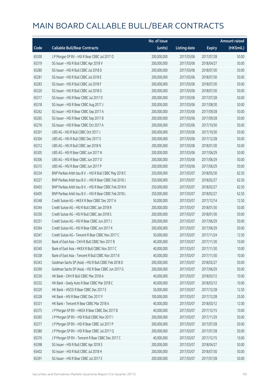|       |                                                          | No. of issue |                     |               | <b>Amount raised</b> |
|-------|----------------------------------------------------------|--------------|---------------------|---------------|----------------------|
| Code  | <b>Callable Bull/Bear Contracts</b>                      | (units)      | <b>Listing date</b> | <b>Expiry</b> | (HK\$mil.)           |
| 65300 | J P Morgan SP BV - HSI R Bear CBBC Jul 2017 O            | 200,000,000  | 2017/03/06          | 2017/07/28    | 50.00                |
| 65319 | SG Issuer - HSI R Bull CBBC Apr 2018 V                   | 200,000,000  | 2017/03/06          | 2018/04/27    | 50.00                |
| 65280 | SG Issuer - HSI R Bull CBBC Jul 2018 D                   | 200,000,000  | 2017/03/06          | 2018/07/30    | 50.00                |
| 65281 | SG Issuer - HSI R Bull CBBC Jul 2018 E                   | 200,000,000  | 2017/03/06          | 2018/07/30    | 50.00                |
| 65283 | SG Issuer - HSI R Bull CBBC Jul 2018 F                   | 200,000,000  | 2017/03/06          | 2018/07/30    | 50.00                |
| 65320 | SG Issuer - HSI R Bull CBBC Jul 2018 G                   | 200,000,000  | 2017/03/06          | 2018/07/30    | 50.00                |
| 65317 | SG Issuer - HSI R Bear CBBC Jul 2017 D                   | 200,000,000  | 2017/03/06          | 2017/07/28    | 50.00                |
| 65318 | SG Issuer - HSI R Bear CBBC Aug 2017 J                   | 200,000,000  | 2017/03/06          | 2017/08/30    | 50.00                |
| 65262 | SG Issuer - HSI R Bear CBBC Sep 2017 A                   | 200,000,000  | 2017/03/06          | 2017/09/28    | 50.00                |
| 65265 | SG Issuer - HSI R Bear CBBC Sep 2017 B                   | 200,000,000  | 2017/03/06          | 2017/09/28    | 50.00                |
| 65276 | SG Issuer - HSI R Bear CBBC Oct 2017 A                   | 200,000,000  | 2017/03/06          | 2017/10/30    | 50.00                |
| 65301 | UBS AG - HSI R Bull CBBC Oct 2017 J                      | 200,000,000  | 2017/03/06          | 2017/10/30    | 50.00                |
| 65304 | UBS AG - HSI R Bull CBBC Dec 2017 S                      | 200,000,000  | 2017/03/06          | 2017/12/28    | 50.00                |
| 65312 | UBS AG - HSI R Bull CBBC Jan 2018 N                      | 200,000,000  | 2017/03/06          | 2018/01/30    | 50.00                |
| 65305 | UBS AG - HSI R Bear CBBC Jun 2017 N                      | 200,000,000  | 2017/03/06          | 2017/06/29    | 50.00                |
| 65306 | UBS AG - HSI R Bear CBBC Jun 2017 O                      | 200,000,000  | 2017/03/06          | 2017/06/29    | 50.00                |
| 65315 | UBS AG - HSI R Bear CBBC Jun 2017 P                      | 200,000,000  | 2017/03/06          | 2017/06/29    | 50.00                |
| 65334 | BNP Paribas Arbit Issu B.V. - HSI R Bull CBBC May 2018 C | 250,000,000  | 2017/03/07          | 2018/05/30    | 62.50                |
| 65327 | BNP Paribas Arbit Issu B.V. - HSI R Bear CBBC Feb 2018 J | 250,000,000  | 2017/03/07          | 2018/02/27    | 62.50                |
| 65403 | BNP Paribas Arbit Issu B.V. - HSI R Bear CBBC Feb 2018 K | 250,000,000  | 2017/03/07          | 2018/02/27    | 62.50                |
| 65405 | BNP Paribas Arbit Issu B.V. - HSI R Bear CBBC Feb 2018 L | 250,000,000  | 2017/03/07          | 2018/02/27    | 62.50                |
| 65348 | Credit Suisse AG - HKEX R Bear CBBC Dec 2017 A           | 50,000,000   | 2017/03/07          | 2017/12/14    | 12.50                |
| 65344 | Credit Suisse AG - HSI R Bull CBBC Jan 2018 R            | 200,000,000  | 2017/03/07          | 2018/01/30    | 50.00                |
| 65350 | Credit Suisse AG - HSI R Bull CBBC Jan 2018 S            | 200,000,000  | 2017/03/07          | 2018/01/30    | 50.00                |
| 65351 | Credit Suisse AG - HSI R Bear CBBC Jun 2017 J            | 200,000,000  | 2017/03/07          | 2017/06/29    | 50.00                |
| 65364 | Credit Suisse AG - HSI R Bear CBBC Jun 2017 K            | 200,000,000  | 2017/03/07          | 2017/06/29    | 50.00                |
| 65347 | Credit Suisse AG - Tencent R Bear CBBC Nov 2017 C        | 50,000,000   | 2017/03/07          | 2017/11/24    | 12.50                |
| 65335 | Bank of East Asia - CKH R Bull CBBC Nov 2017 B           | 40,000,000   | 2017/03/07          | 2017/11/30    | 10.00                |
| 65340 | Bank of East Asia - HKEX R Bull CBBC Nov 2017 C          | 40,000,000   | 2017/03/07          | 2017/11/30    | 10.00                |
| 65338 | Bank of East Asia - Tencent R Bull CBBC Nov 2017 B       | 40,000,000   | 2017/03/07          | 2017/11/30    | 10.00                |
| 65343 | Goldman Sachs SP (Asia) - HSI R Bull CBBC Feb 2018 D     | 200,000,000  | 2017/03/07          | 2018/02/27    | 50.00                |
| 65390 | Goldman Sachs SP (Asia) - HSI R Bear CBBC Jun 2017 G     | 200,000,000  | 2017/03/07          | 2017/06/29    | 50.00                |
| 65330 | HK Bank - CKH R Bull CBBC Mar 2018 A                     | 40,000,000   | 2017/03/07          | 2018/03/12    | 10.00                |
| 65332 | HK Bank - Geely Auto R Bear CBBC Mar 2018 C              | 40,000,000   | 2017/03/07          | 2018/03/12    | 10.00                |
| 65329 | HK Bank - HSCEI R Bear CBBC Dec 2017 E                   | 50,000,000   | 2017/03/07          | 2017/12/28    | 12.50                |
| 65328 | HK Bank - HSI R Bear CBBC Dec 2017 F                     | 100,000,000  | 2017/03/07          | 2017/12/28    | 25.00                |
| 65331 | HK Bank - Tencent R Bear CBBC Mar 2018 A                 | 40,000,000   | 2017/03/07          | 2018/03/12    | 12.00                |
| 65375 | J P Morgan SP BV - HKEX R Bear CBBC Dec 2017 B           | 40,000,000   | 2017/03/07          | 2017/12/15    | 10.00                |
| 65365 | J P Morgan SP BV - HSI R Bull CBBC Nov 2017 I            | 200,000,000  | 2017/03/07          | 2017/11/29    | 50.00                |
| 65377 | J P Morgan SP BV - HSI R Bear CBBC Jul 2017 P            | 200,000,000  | 2017/03/07          | 2017/07/28    | 50.00                |
| 65380 | J P Morgan SP BV - HSI R Bear CBBC Jul 2017 Q            | 200,000,000  | 2017/03/07          | 2017/07/28    | 50.00                |
| 65376 | J P Morgan SP BV - Tencent R Bear CBBC Dec 2017 C        | 40,000,000   | 2017/03/07          | 2017/12/15    | 10.00                |
| 65398 | SG Issuer - HSI R Bull CBBC Apr 2018 S                   | 200,000,000  | 2017/03/07          | 2018/04/27    | 50.00                |
| 65402 | SG Issuer - HSI R Bull CBBC Jul 2018 H                   | 200,000,000  | 2017/03/07          | 2018/07/30    | 50.00                |
| 65391 | SG Issuer - HSI R Bear CBBC Jul 2017 E                   | 200,000,000  | 2017/03/07          | 2017/07/28    | 50.00                |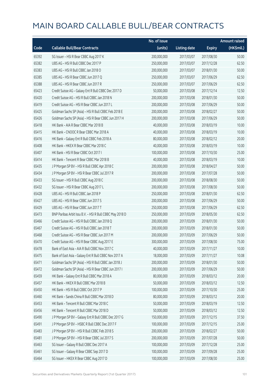|       |                                                          | No. of issue |                     |               | <b>Amount raised</b> |
|-------|----------------------------------------------------------|--------------|---------------------|---------------|----------------------|
| Code  | <b>Callable Bull/Bear Contracts</b>                      | (units)      | <b>Listing date</b> | <b>Expiry</b> | (HK\$mil.)           |
| 65392 | SG Issuer - HSI R Bear CBBC Aug 2017 K                   | 200,000,000  | 2017/03/07          | 2017/08/30    | 50.00                |
| 65382 | UBS AG - HSI R Bull CBBC Dec 2017 P                      | 250,000,000  | 2017/03/07          | 2017/12/28    | 62.50                |
| 65383 | UBS AG - HSI R Bull CBBC Jan 2018 O                      | 200,000,000  | 2017/03/07          | 2018/01/30    | 50.00                |
| 65385 | UBS AG - HSI R Bear CBBC Jun 2017 Q                      | 250,000,000  | 2017/03/07          | 2017/06/29    | 62.50                |
| 65388 | UBS AG - HSI R Bear CBBC Jun 2017 R                      | 250,000,000  | 2017/03/07          | 2017/06/29    | 62.50                |
| 65423 | Credit Suisse AG - Galaxy Ent R Bull CBBC Dec 2017 D     | 50,000,000   | 2017/03/08          | 2017/12/14    | 12.50                |
| 65420 | Credit Suisse AG - HSI R Bull CBBC Jan 2018 N            | 200,000,000  | 2017/03/08          | 2018/01/30    | 50.00                |
| 65419 | Credit Suisse AG - HSI R Bear CBBC Jun 2017 L            | 200,000,000  | 2017/03/08          | 2017/06/29    | 50.00                |
| 65425 | Goldman Sachs SP (Asia) - HSI R Bull CBBC Feb 2018 E     | 200,000,000  | 2017/03/08          | 2018/02/27    | 50.00                |
| 65426 | Goldman Sachs SP (Asia) - HSI R Bear CBBC Jun 2017 H     | 200,000,000  | 2017/03/08          | 2017/06/29    | 50.00                |
| 65418 | HK Bank - AIA R Bear CBBC Mar 2018 B                     | 40,000,000   | 2017/03/08          | 2018/03/19    | 10.00                |
| 65415 | HK Bank - CNOOC R Bear CBBC Mar 2018 A                   | 40,000,000   | 2017/03/08          | 2018/03/19    | 10.00                |
| 65416 | HK Bank - Galaxy Ent R Bull CBBC Feb 2018 A              | 80,000,000   | 2017/03/08          | 2018/02/12    | 20.00                |
| 65408 | HK Bank - HKEX R Bear CBBC Mar 2018 C                    | 40,000,000   | 2017/03/08          | 2018/03/19    | 10.00                |
| 65407 | HK Bank - HSI R Bear CBBC Oct 2017 I                     | 100,000,000  | 2017/03/08          | 2017/10/30    | 25.00                |
| 65414 | HK Bank - Tencent R Bear CBBC Mar 2018 B                 | 40,000,000   | 2017/03/08          | 2018/03/19    | 10.00                |
| 65435 | J P Morgan SP BV - HSI R Bull CBBC Apr 2018 C            | 200,000,000  | 2017/03/08          | 2018/04/27    | 50.00                |
| 65434 | J P Morgan SP BV - HSI R Bear CBBC Jul 2017 R            | 200,000,000  | 2017/03/08          | 2017/07/28    | 50.00                |
| 65433 | SG Issuer - HSI R Bull CBBC Aug 2018 C                   | 200,000,000  | 2017/03/08          | 2018/08/30    | 50.00                |
| 65432 | SG Issuer - HSI R Bear CBBC Aug 2017 L                   | 200,000,000  | 2017/03/08          | 2017/08/30    | 50.00                |
| 65428 | UBS AG - HSI R Bull CBBC Jan 2018 P                      | 250,000,000  | 2017/03/08          | 2018/01/30    | 62.50                |
| 65427 | UBS AG - HSI R Bear CBBC Jun 2017 S                      | 200,000,000  | 2017/03/08          | 2017/06/29    | 50.00                |
| 65429 | UBS AG - HSI R Bear CBBC Jun 2017 T                      | 250,000,000  | 2017/03/08          | 2017/06/29    | 62.50                |
| 65473 | BNP Paribas Arbit Issu B.V. - HSI R Bull CBBC May 2018 D | 250,000,000  | 2017/03/09          | 2018/05/30    | 62.50                |
| 65466 | Credit Suisse AG - HSI R Bull CBBC Jan 2018 Q            | 200,000,000  | 2017/03/09          | 2018/01/30    | 50.00                |
| 65467 | Credit Suisse AG - HSI R Bull CBBC Jan 2018 T            | 200,000,000  | 2017/03/09          | 2018/01/30    | 50.00                |
| 65468 | Credit Suisse AG - HSI R Bear CBBC Jun 2017 M            | 200,000,000  | 2017/03/09          | 2017/06/29    | 50.00                |
| 65470 | Credit Suisse AG - HSI R Bear CBBC Aug 2017 E            | 300,000,000  | 2017/03/09          | 2017/08/30    | 75.00                |
| 65478 | Bank of East Asia - AIA R Bull CBBC Nov 2017 C           | 40,000,000   | 2017/03/09          | 2017/11/27    | 10.00                |
| 65475 | Bank of East Asia - Galaxy Ent R Bull CBBC Nov 2017 A    | 18,000,000   | 2017/03/09          | 2017/11/27    | 10.08                |
| 65471 | Goldman Sachs SP (Asia) - HSI R Bull CBBC Jan 2018 J     | 200,000,000  | 2017/03/09          | 2018/01/30    | 50.00                |
| 65472 | Goldman Sachs SP (Asia) - HSI R Bear CBBC Jun 2017 I     | 200,000,000  | 2017/03/09          | 2017/06/29    | 50.00                |
| 65459 | HK Bank - Galaxy Ent R Bull CBBC Mar 2018 A              | 80,000,000   | 2017/03/09          | 2018/03/12    | 20.00                |
| 65457 | HK Bank - HKEX R Bull CBBC Mar 2018 B                    | 50,000,000   | 2017/03/09          | 2018/03/12    | 12.50                |
| 65450 | HK Bank - HSI R Bull CBBC Oct 2017 P                     | 100,000,000  | 2017/03/09          | 2017/10/30    | 25.00                |
| 65460 | HK Bank - Sands China R Bull CBBC Mar 2018 D             | 80,000,000   | 2017/03/09          | 2018/03/12    | 20.00                |
| 65453 | HK Bank - Tencent R Bull CBBC Mar 2018 C                 | 50,000,000   | 2017/03/09          | 2018/03/19    | 12.50                |
| 65456 | HK Bank - Tencent R Bull CBBC Mar 2018 D                 | 50,000,000   | 2017/03/09          | 2018/03/12    | 12.50                |
| 65490 | J P Morgan SP BV - Galaxy Ent R Bull CBBC Dec 2017 G     | 150,000,000  | 2017/03/09          | 2017/12/15    | 37.50                |
| 65491 | J P Morgan SP BV - HSBC R Bull CBBC Dec 2017 F           | 100,000,000  | 2017/03/09          | 2017/12/15    | 25.00                |
| 65483 | J P Morgan SP BV - HSI R Bull CBBC Feb 2018 S            | 200,000,000  | 2017/03/09          | 2018/02/27    | 50.00                |
| 65481 | J P Morgan SP BV - HSI R Bear CBBC Jul 2017 S            | 200,000,000  | 2017/03/09          | 2017/07/28    | 50.00                |
| 65463 | SG Issuer - Galaxy R Bull CBBC Dec 2017 A                | 100,000,000  | 2017/03/09          | 2017/12/28    | 25.00                |
| 65461 | SG Issuer - Galaxy R Bear CBBC Sep 2017 D                | 100,000,000  | 2017/03/09          | 2017/09/28    | 25.00                |
| 65464 | SG Issuer - HKEX R Bear CBBC Aug 2017 D                  | 100,000,000  | 2017/03/09          | 2017/08/30    | 25.00                |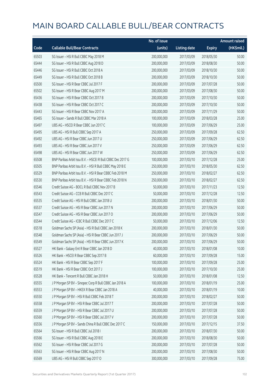|       |                                                            | No. of issue |                     |               | <b>Amount raised</b> |
|-------|------------------------------------------------------------|--------------|---------------------|---------------|----------------------|
| Code  | <b>Callable Bull/Bear Contracts</b>                        | (units)      | <b>Listing date</b> | <b>Expiry</b> | (HK\$mil.)           |
| 65503 | SG Issuer - HSI R Bull CBBC May 2018 M                     | 200,000,000  | 2017/03/09          | 2018/05/30    | 50.00                |
| 65444 | SG Issuer - HSI R Bull CBBC Aug 2018 D                     | 200,000,000  | 2017/03/09          | 2018/08/30    | 50.00                |
| 65446 | SG Issuer - HSI R Bull CBBC Oct 2018 A                     | 200,000,000  | 2017/03/09          | 2018/10/30    | 50.00                |
| 65449 | SG Issuer - HSI R Bull CBBC Oct 2018 B                     | 200,000,000  | 2017/03/09          | 2018/10/30    | 50.00                |
| 65500 | SG Issuer - HSI R Bear CBBC Jul 2017 F                     | 200,000,000  | 2017/03/09          | 2017/07/28    | 50.00                |
| 65502 | SG Issuer - HSI R Bear CBBC Aug 2017 M                     | 200,000,000  | 2017/03/09          | 2017/08/30    | 50.00                |
| 65436 | SG Issuer - HSI R Bear CBBC Oct 2017 B                     | 200,000,000  | 2017/03/09          | 2017/10/30    | 50.00                |
| 65438 | SG Issuer - HSI R Bear CBBC Oct 2017 C                     | 200,000,000  | 2017/03/09          | 2017/10/30    | 50.00                |
| 65443 | SG Issuer - HSI R Bear CBBC Nov 2017 A                     | 200,000,000  | 2017/03/09          | 2017/11/29    | 50.00                |
| 65465 | SG Issuer - Sands R Bull CBBC Mar 2018 A                   | 100,000,000  | 2017/03/09          | 2018/03/28    | 25.00                |
| 65497 | UBS AG - HSCEI R Bear CBBC Jun 2017 C                      | 100,000,000  | 2017/03/09          | 2017/06/29    | 25.00                |
| 65495 | UBS AG - HSI R Bull CBBC Sep 2017 A                        | 250,000,000  | 2017/03/09          | 2017/09/28    | 62.50                |
| 65492 | UBS AG - HSI R Bear CBBC Jun 2017 U                        | 250,000,000  | 2017/03/09          | 2017/06/29    | 62.50                |
| 65493 | UBS AG - HSI R Bear CBBC Jun 2017 V                        | 250,000,000  | 2017/03/09          | 2017/06/29    | 62.50                |
| 65498 | UBS AG - HSI R Bear CBBC Jun 2017 W                        | 250,000,000  | 2017/03/09          | 2017/06/29    | 62.50                |
| 65508 | BNP Paribas Arbit Issu B.V. - HSCEI R Bull CBBC Dec 2017 G | 100,000,000  | 2017/03/10          | 2017/12/28    | 25.00                |
| 65505 | BNP Paribas Arbit Issu B.V. - HSI R Bull CBBC May 2018 E   | 250,000,000  | 2017/03/10          | 2018/05/30    | 62.50                |
| 65529 | BNP Paribas Arbit Issu B.V. - HSI R Bear CBBC Feb 2018 M   | 250,000,000  | 2017/03/10          | 2018/02/27    | 62.50                |
| 65530 | BNP Paribas Arbit Issu B.V. - HSI R Bear CBBC Feb 2018 N   | 250,000,000  | 2017/03/10          | 2018/02/27    | 62.50                |
| 65546 | Credit Suisse AG - BOCL R Bull CBBC Nov 2017 B             | 50,000,000   | 2017/03/10          | 2017/11/23    | 12.50                |
| 65543 | Credit Suisse AG - CCB R Bull CBBC Dec 2017 C              | 50,000,000   | 2017/03/10          | 2017/12/28    | 12.50                |
| 65535 | Credit Suisse AG - HSI R Bull CBBC Jan 2018 U              | 200,000,000  | 2017/03/10          | 2018/01/30    | 50.00                |
| 65537 | Credit Suisse AG - HSI R Bear CBBC Jun 2017 N              | 200,000,000  | 2017/03/10          | 2017/06/29    | 50.00                |
| 65547 | Credit Suisse AG - HSI R Bear CBBC Jun 2017 O              | 200,000,000  | 2017/03/10          | 2017/06/29    | 50.00                |
| 65544 | Credit Suisse AG - ICBC R Bull CBBC Dec 2017 C             | 50,000,000   | 2017/03/10          | 2017/12/06    | 12.50                |
| 65518 | Goldman Sachs SP (Asia) - HSI R Bull CBBC Jan 2018 K       | 200,000,000  | 2017/03/10          | 2018/01/30    | 50.00                |
| 65548 | Goldman Sachs SP (Asia) - HSI R Bear CBBC Jun 2017 J       | 200,000,000  | 2017/03/10          | 2017/06/29    | 50.00                |
| 65549 | Goldman Sachs SP (Asia) - HSI R Bear CBBC Jun 2017 K       | 200,000,000  | 2017/03/10          | 2017/06/29    | 50.00                |
| 65527 | HK Bank - Galaxy Ent R Bear CBBC Jan 2018 D                | 40,000,000   | 2017/03/10          | 2018/01/08    | 10.00                |
| 65526 | HK Bank - HSCEI R Bear CBBC Sep 2017 B                     | 60,000,000   | 2017/03/10          | 2017/09/28    | 15.00                |
| 65524 | HK Bank - HSI R Bear CBBC Sep 2017 F                       | 100,000,000  | 2017/03/10          | 2017/09/28    | 25.00                |
| 65519 | HK Bank - HSI R Bear CBBC Oct 2017 J                       | 100,000,000  | 2017/03/10          | 2017/10/30    | 25.00                |
| 65528 | HK Bank - Tencent R Bull CBBC Jan 2018 H                   | 50,000,000   | 2017/03/10          | 2018/01/08    | 12.50                |
| 65555 | J P Morgan SP BV - Sinopec Corp R Bull CBBC Jan 2018 A     | 100,000,000  | 2017/03/10          | 2018/01/19    | 25.00                |
| 65553 | J P Morgan SP BV - HKEX R Bear CBBC Jan 2018 A             | 40,000,000   | 2017/03/10          | 2018/01/19    | 10.00                |
| 65550 | J P Morgan SP BV - HSI R Bull CBBC Feb 2018 T              | 200,000,000  | 2017/03/10          | 2018/02/27    | 50.00                |
| 65558 | J P Morgan SP BV - HSI R Bear CBBC Jul 2017 T              | 200,000,000  | 2017/03/10          | 2017/07/28    | 50.00                |
| 65559 | J P Morgan SP BV - HSI R Bear CBBC Jul 2017 U              | 200,000,000  | 2017/03/10          | 2017/07/28    | 50.00                |
| 65560 | J P Morgan SP BV - HSI R Bear CBBC Jul 2017 V              | 200,000,000  | 2017/03/10          | 2017/07/28    | 50.00                |
| 65556 | J P Morgan SP BV - Sands China R Bull CBBC Dec 2017 C      | 150,000,000  | 2017/03/10          | 2017/12/15    | 37.50                |
| 65564 | SG Issuer - HSI R Bull CBBC Jul 2018 I                     | 200,000,000  | 2017/03/10          | 2018/07/30    | 50.00                |
| 65566 | SG Issuer - HSI R Bull CBBC Aug 2018 E                     | 200,000,000  | 2017/03/10          | 2018/08/30    | 50.00                |
| 65562 | SG Issuer - HSI R Bear CBBC Jul 2017 G                     | 200,000,000  | 2017/03/10          | 2017/07/28    | 50.00                |
| 65563 | SG Issuer - HSI R Bear CBBC Aug 2017 N                     | 200,000,000  | 2017/03/10          | 2017/08/30    | 50.00                |
| 65569 | UBS AG - HSI R Bull CBBC Sep 2017 O                        | 300,000,000  | 2017/03/10          | 2017/09/28    | 75.00                |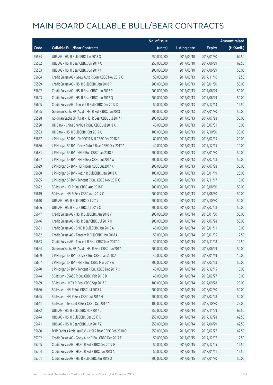|       |                                                          | No. of issue |                     |               | <b>Amount raised</b> |
|-------|----------------------------------------------------------|--------------|---------------------|---------------|----------------------|
| Code  | <b>Callable Bull/Bear Contracts</b>                      | (units)      | <b>Listing date</b> | <b>Expiry</b> | (HK\$mil.)           |
| 65574 | UBS AG - HSI R Bull CBBC Jan 2018 Q                      | 250,000,000  | 2017/03/10          | 2018/01/30    | 62.50                |
| 65582 | UBS AG - HSI R Bear CBBC Jun 2017 X                      | 250,000,000  | 2017/03/10          | 2017/06/29    | 62.50                |
| 65583 | UBS AG - HSI R Bear CBBC Jun 2017 Y                      | 200,000,000  | 2017/03/10          | 2017/06/29    | 50.00                |
| 65604 | Credit Suisse AG - Geely Auto R Bear CBBC Nov 2017 C     | 50,000,000   | 2017/03/13          | 2017/11/16    | 12.50                |
| 65599 | Credit Suisse AG - HSI R Bull CBBC Jan 2018 P            | 200,000,000  | 2017/03/13          | 2018/01/30    | 50.00                |
| 65602 | Credit Suisse AG - HSI R Bear CBBC Jun 2017 P            | 200,000,000  | 2017/03/13          | 2017/06/29    | 50.00                |
| 65603 | Credit Suisse AG - HSI R Bear CBBC Jun 2017 Q            | 200,000,000  | 2017/03/13          | 2017/06/29    | 50.00                |
| 65605 | Credit Suisse AG - Tencent R Bull CBBC Dec 2017 D        | 50,000,000   | 2017/03/13          | 2017/12/13    | 12.50                |
| 65595 | Goldman Sachs SP (Asia) - HSI R Bull CBBC Jan 2018 L     | 200,000,000  | 2017/03/13          | 2018/01/30    | 50.00                |
| 65598 | Goldman Sachs SP (Asia) - HSI R Bear CBBC Jul 2017 I     | 200,000,000  | 2017/03/13          | 2017/07/28    | 50.00                |
| 65590 | HK Bank - China Shenhua R Bull CBBC Jul 2018 A           | 40,000,000   | 2017/03/13          | 2018/07/31    | 16.00                |
| 65593 | HK Bank - HSI R Bull CBBC Oct 2017 Q                     | 100,000,000  | 2017/03/13          | 2017/10/30    | 25.00                |
| 65637 | J P Morgan SP BV - CNOOC R Bull CBBC Feb 2018 A          | 80,000,000   | 2017/03/13          | 2018/02/15    | 20.00                |
| 65636 | J P Morgan SP BV - Geely Auto R Bear CBBC Dec 2017 A     | 40,000,000   | 2017/03/13          | 2017/12/15    | 10.00                |
| 65631 | J P Morgan SP BV - HSI R Bull CBBC Jan 2018 P            | 200,000,000  | 2017/03/13          | 2018/01/30    | 50.00                |
| 65627 | J P Morgan SP BV - HSI R Bear CBBC Jul 2017 W            | 200,000,000  | 2017/03/13          | 2017/07/28    | 50.00                |
| 65629 | J P Morgan SP BV - HSI R Bear CBBC Jul 2017 X            | 200,000,000  | 2017/03/13          | 2017/07/28    | 50.00                |
| 65638 | J P Morgan SP BV - PetCh R Bull CBBC Jan 2018 A          | 100,000,000  | 2017/03/13          | 2018/01/19    | 25.00                |
| 65635 | J P Morgan SP BV - Tencent R Bull CBBC Nov 2017 O        | 40,000,000   | 2017/03/13          | 2017/11/17    | 10.00                |
| 65622 | SG Issuer - HSI R Bull CBBC Aug 2018 F                   | 200,000,000  | 2017/03/13          | 2018/08/30    | 50.00                |
| 65619 | SG Issuer - HSI R Bear CBBC Aug 2017 O                   | 200,000,000  | 2017/03/13          | 2017/08/30    | 50.00                |
| 65610 | UBS AG - HSI R Bull CBBC Oct 2017 J                      | 200,000,000  | 2017/03/13          | 2017/10/30    | 50.00                |
| 65606 | UBS AG - HSI R Bear CBBC Jul 2017 C                      | 200,000,000  | 2017/03/13          | 2017/07/28    | 50.00                |
| 65647 | Credit Suisse AG - HSI R Bull CBBC Jan 2018 V            | 200,000,000  | 2017/03/14          | 2018/01/30    | 50.00                |
| 65646 | Credit Suisse AG - HSI R Bear CBBC Jul 2017 H            | 200,000,000  | 2017/03/14          | 2017/07/28    | 50.00                |
| 65661 | Credit Suisse AG - SMIC R Bull CBBC Jan 2018 A           | 40,000,000   | 2017/03/14          | 2018/01/11    | 10.00                |
| 65662 | Credit Suisse AG - Tencent R Bull CBBC Jan 2018 A        | 50,000,000   | 2017/03/14          | 2018/01/05    | 12.50                |
| 65663 | Credit Suisse AG - Tencent R Bear CBBC Nov 2017 D        | 50,000,000   | 2017/03/14          | 2017/11/08    | 12.50                |
| 65664 | Goldman Sachs SP (Asia) - HSI R Bear CBBC Jun 2017 L     | 200,000,000  | 2017/03/14          | 2017/06/29    | 50.00                |
| 65669 | J P Morgan SP BV - COVS R Bull CBBC Jan 2018 A           | 40,000,000   | 2017/03/14          | 2018/01/19    | 10.00                |
| 65667 | J P Morgan SP BV - HSI R Bull CBBC Mar 2018 A            | 200,000,000  | 2017/03/14          | 2018/03/28    | 50.00                |
| 65670 | J P Morgan SP BV - Tencent R Bull CBBC Dec 2017 O        | 40,000,000   | 2017/03/14          | 2017/12/15    | 10.00                |
| 65644 | SG Issuer - CSA50 R Bull CBBC Feb 2018 B                 | 40,000,000   | 2017/03/14          | 2018/02/27    | 10.00                |
| 65639 | SG Issuer - HKEX R Bear CBBC Sep 2017 C                  | 100,000,000  | 2017/03/14          | 2017/09/28    | 25.00                |
| 65666 | SG Issuer - HSI R Bull CBBC Jul 2018 J                   | 200,000,000  | 2017/03/14          | 2018/07/30    | 50.00                |
| 65665 | SG Issuer - HSI R Bear CBBC Jul 2017 H                   | 200,000,000  | 2017/03/14          | 2017/07/28    | 50.00                |
| 65641 | SG Issuer - Tencent R Bear CBBC Oct 2017 A               | 100,000,000  | 2017/03/14          | 2017/10/30    | 25.00                |
| 65672 | UBS AG - HSI R Bull CBBC Nov 2017 L                      | 250,000,000  | 2017/03/14          | 2017/11/29    | 62.50                |
| 65674 | UBS AG - HSI R Bull CBBC Dec 2017 D                      | 250,000,000  | 2017/03/14          | 2017/12/28    | 62.50                |
| 65671 | UBS AG - HSI R Bear CBBC Jun 2017 Z                      | 250,000,000  | 2017/03/14          | 2017/06/29    | 62.50                |
| 65680 | BNP Paribas Arbit Issu B.V. - HSI R Bear CBBC Feb 2018 O | 250,000,000  | 2017/03/15          | 2018/02/27    | 62.50                |
| 65702 | Credit Suisse AG - Geely Auto R Bull CBBC Dec 2017 E     | 50,000,000   | 2017/03/15          | 2017/12/07    | 12.50                |
| 65705 | Credit Suisse AG - HSBC R Bull CBBC Dec 2017 G           | 50,000,000   | 2017/03/15          | 2017/12/05    | 12.50                |
| 65704 | Credit Suisse AG - HSBC R Bull CBBC Jan 2018 A           | 50,000,000   | 2017/03/15          | 2018/01/11    | 12.50                |
| 65701 | Credit Suisse AG - HSI R Bull CBBC Jan 2018 O            | 200,000,000  | 2017/03/15          | 2018/01/30    | 50.00                |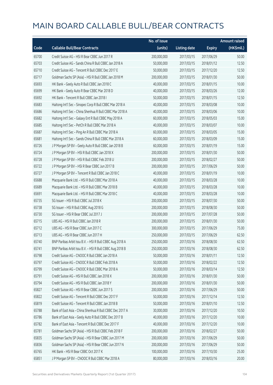|       |                                                          | No. of issue |                     |               | <b>Amount raised</b> |
|-------|----------------------------------------------------------|--------------|---------------------|---------------|----------------------|
| Code  | <b>Callable Bull/Bear Contracts</b>                      | (units)      | <b>Listing date</b> | <b>Expiry</b> | (HK\$mil.)           |
| 65700 | Credit Suisse AG - HSI R Bear CBBC Jun 2017 R            | 200,000,000  | 2017/03/15          | 2017/06/29    | 50.00                |
| 65703 | Credit Suisse AG - Sands China R Bull CBBC Jan 2018 A    | 50,000,000   | 2017/03/15          | 2018/01/12    | 12.50                |
| 65710 | Credit Suisse AG - Tencent R Bull CBBC Dec 2017 E        | 50,000,000   | 2017/03/15          | 2017/12/20    | 12.50                |
| 65717 | Goldman Sachs SP (Asia) - HSI R Bull CBBC Jan 2018 M     | 200,000,000  | 2017/03/15          | 2018/01/30    | 50.00                |
| 65693 | HK Bank - Geely Auto R Bull CBBC Jan 2018 C              | 40,000,000   | 2017/03/15          | 2018/01/15    | 10.00                |
| 65699 | HK Bank - Geely Auto R Bear CBBC Mar 2018 D              | 40,000,000   | 2017/03/15          | 2018/03/26    | 12.00                |
| 65692 | HK Bank - Tencent R Bull CBBC Jan 2018 I                 | 50,000,000   | 2017/03/15          | 2018/01/15    | 12.50                |
| 65683 | Haitong Int'l Sec - Sinopec Corp R Bull CBBC Mar 2018 A  | 40,000,000   | 2017/03/15          | 2018/03/08    | 10.00                |
| 65686 | Haitong Int'l Sec - China Shenhua R Bull CBBC Mar 2018 A | 40,000,000   | 2017/03/15          | 2018/03/06    | 10.00                |
| 65682 | Haitong Int'l Sec - Galaxy Ent R Bull CBBC May 2018 A    | 60,000,000   | 2017/03/15          | 2018/05/03    | 15.00                |
| 65685 | Haitong Int'l Sec - PetCh R Bull CBBC Mar 2018 A         | 40,000,000   | 2017/03/15          | 2018/03/07    | 10.00                |
| 65687 | Haitong Int'l Sec - Ping An R Bull CBBC Mar 2018 A       | 60,000,000   | 2017/03/15          | 2018/03/05    | 15.00                |
| 65681 | Haitong Int'l Sec - Sands China R Bull CBBC Mar 2018 A   | 60,000,000   | 2017/03/15          | 2018/03/09    | 15.00                |
| 65726 | J P Morgan SP BV - Geely Auto R Bull CBBC Jan 2018 B     | 60,000,000   | 2017/03/15          | 2018/01/19    | 15.00                |
| 65724 | J P Morgan SP BV - HSI R Bull CBBC Jan 2018 X            | 200,000,000  | 2017/03/15          | 2018/01/30    | 50.00                |
| 65728 | J P Morgan SP BV - HSI R Bull CBBC Feb 2018 U            | 200,000,000  | 2017/03/15          | 2018/02/27    | 50.00                |
| 65722 | J P Morgan SP BV - HSI R Bear CBBC Jun 2017 B            | 200,000,000  | 2017/03/15          | 2017/06/29    | 50.00                |
| 65727 | J P Morgan SP BV - Tencent R Bull CBBC Jan 2018 C        | 40,000,000   | 2017/03/15          | 2018/01/19    | 10.00                |
| 65688 | Macquarie Bank Ltd. - HSI R Bull CBBC Mar 2018 A         | 40,000,000   | 2017/03/15          | 2018/03/28    | 10.00                |
| 65689 | Macquarie Bank Ltd. - HSI R Bull CBBC Mar 2018 B         | 40,000,000   | 2017/03/15          | 2018/03/28    | 10.00                |
| 65691 | Macquarie Bank Ltd. - HSI R Bull CBBC Mar 2018 C         | 40,000,000   | 2017/03/15          | 2018/03/28    | 10.00                |
| 65735 | SG Issuer - HSI R Bull CBBC Jul 2018 K                   | 200,000,000  | 2017/03/15          | 2018/07/30    | 50.00                |
| 65738 | SG Issuer - HSI R Bull CBBC Aug 2018 G                   | 200,000,000  | 2017/03/15          | 2018/08/30    | 50.00                |
| 65730 | SG Issuer - HSI R Bear CBBC Jul 2017 J                   | 200,000,000  | 2017/03/15          | 2017/07/28    | 50.00                |
| 65715 | UBS AG - HSI R Bull CBBC Jan 2018 R                      | 200,000,000  | 2017/03/15          | 2018/01/30    | 50.00                |
| 65712 | UBS AG - HSI R Bear CBBC Jun 2017 C                      | 300,000,000  | 2017/03/15          | 2017/06/29    | 75.00                |
| 65713 | UBS AG - HSI R Bear CBBC Jun 2017 H                      | 250,000,000  | 2017/03/15          | 2017/06/29    | 62.50                |
| 65740 | BNP Paribas Arbit Issu B.V. - HSI R Bull CBBC Aug 2018 A | 250,000,000  | 2017/03/16          | 2018/08/30    | 62.50                |
| 65741 | BNP Paribas Arbit Issu B.V. - HSI R Bull CBBC Aug 2018 B | 250,000,000  | 2017/03/16          | 2018/08/30    | 62.50                |
| 65798 | Credit Suisse AG - CNOOC R Bull CBBC Jan 2018 A          | 50,000,000   | 2017/03/16          | 2018/01/11    | 12.50                |
| 65797 | Credit Suisse AG - CNOOC R Bull CBBC Feb 2018 A          | 50,000,000   | 2017/03/16          | 2018/02/22    | 12.50                |
| 65799 | Credit Suisse AG - CNOOC R Bull CBBC Mar 2018 A          | 50,000,000   | 2017/03/16          | 2018/03/14    | 12.50                |
| 65791 | Credit Suisse AG - HSI R Bull CBBC Jan 2018 X            | 200,000,000  | 2017/03/16          | 2018/01/30    | 50.00                |
| 65794 | Credit Suisse AG - HSI R Bull CBBC Jan 2018 Y            | 200,000,000  | 2017/03/16          | 2018/01/30    | 50.00                |
| 65827 | Credit Suisse AG - HSI R Bear CBBC Jun 2017 S            | 200,000,000  | 2017/03/16          | 2017/06/29    | 50.00                |
| 65822 | Credit Suisse AG - Tencent R Bull CBBC Dec 2017 F        | 50,000,000   | 2017/03/16          | 2017/12/14    | 12.50                |
| 65819 | Credit Suisse AG - Tencent R Bull CBBC Jan 2018 B        | 50,000,000   | 2017/03/16          | 2018/01/10    | 12.50                |
| 65788 | Bank of East Asia - China Shenhua R Bull CBBC Dec 2017 A | 30,000,000   | 2017/03/16          | 2017/12/20    | 10.50                |
| 65786 | Bank of East Asia - Geely Auto R Bull CBBC Dec 2017 B    | 40,000,000   | 2017/03/16          | 2017/12/20    | 10.00                |
| 65782 | Bank of East Asia - Tencent R Bull CBBC Dec 2017 F       | 40,000,000   | 2017/03/16          | 2017/12/20    | 10.00                |
| 65781 | Goldman Sachs SP (Asia) - HSI R Bull CBBC Feb 2018 F     | 200,000,000  | 2017/03/16          | 2018/02/27    | 50.00                |
| 65835 | Goldman Sachs SP (Asia) - HSI R Bear CBBC Jun 2017 M     | 200,000,000  | 2017/03/16          | 2017/06/29    | 50.00                |
| 65836 | Goldman Sachs SP (Asia) - HSI R Bear CBBC Jun 2017 N     | 200,000,000  | 2017/03/16          | 2017/06/29    | 50.00                |
| 65765 | HK Bank - HSI R Bear CBBC Oct 2017 K                     | 100,000,000  | 2017/03/16          | 2017/10/30    | 25.00                |
| 65851 | J P Morgan SP BV - CNOOC R Bull CBBC Mar 2018 A          | 80,000,000   | 2017/03/16          | 2018/03/16    | 20.00                |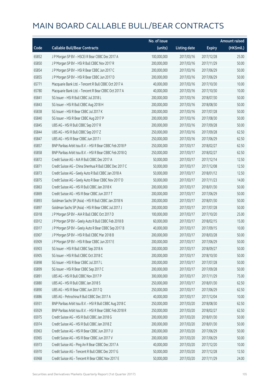|       |                                                          | No. of issue |                     |               | <b>Amount raised</b> |
|-------|----------------------------------------------------------|--------------|---------------------|---------------|----------------------|
| Code  | <b>Callable Bull/Bear Contracts</b>                      | (units)      | <b>Listing date</b> | <b>Expiry</b> | (HK\$mil.)           |
| 65852 | J P Morgan SP BV - HSCEI R Bear CBBC Dec 2017 A          | 100,000,000  | 2017/03/16          | 2017/12/28    | 25.00                |
| 65850 | J P Morgan SP BV - HSI R Bull CBBC Nov 2017 R            | 200,000,000  | 2017/03/16          | 2017/11/29    | 50.00                |
| 65854 | J P Morgan SP BV - HSI R Bear CBBC Jun 2017 C            | 200,000,000  | 2017/03/16          | 2017/06/29    | 50.00                |
| 65855 | J P Morgan SP BV - HSI R Bear CBBC Jun 2017 D            | 200,000,000  | 2017/03/16          | 2017/06/29    | 50.00                |
| 65771 | Macquarie Bank Ltd. - Tencent R Bull CBBC Oct 2017 A     | 40,000,000   | 2017/03/16          | 2017/10/30    | 10.00                |
| 65780 | Macquarie Bank Ltd. - Tencent R Bear CBBC Oct 2017 A     | 40,000,000   | 2017/03/16          | 2017/10/30    | 10.00                |
| 65841 | SG Issuer - HSI R Bull CBBC Jul 2018 L                   | 200,000,000  | 2017/03/16          | 2018/07/30    | 50.00                |
| 65843 | SG Issuer - HSI R Bull CBBC Aug 2018 H                   | 200,000,000  | 2017/03/16          | 2018/08/30    | 50.00                |
| 65838 | SG Issuer - HSI R Bear CBBC Jul 2017 K                   | 200,000,000  | 2017/03/16          | 2017/07/28    | 50.00                |
| 65840 | SG Issuer - HSI R Bear CBBC Aug 2017 P                   | 200,000,000  | 2017/03/16          | 2017/08/30    | 50.00                |
| 65845 | UBS AG - HSI R Bull CBBC Sep 2017 R                      | 200,000,000  | 2017/03/16          | 2017/09/28    | 50.00                |
| 65844 | UBS AG - HSI R Bull CBBC Sep 2017 Z                      | 250,000,000  | 2017/03/16          | 2017/09/28    | 62.50                |
| 65847 | UBS AG - HSI R Bear CBBC Jun 2017 I                      | 250,000,000  | 2017/03/16          | 2017/06/29    | 62.50                |
| 65857 | BNP Paribas Arbit Issu B.V. - HSI R Bear CBBC Feb 2018 P | 250,000,000  | 2017/03/17          | 2018/02/27    | 62.50                |
| 65858 | BNP Paribas Arbit Issu B.V. - HSI R Bear CBBC Feb 2018 Q | 250,000,000  | 2017/03/17          | 2018/02/27    | 62.50                |
| 65872 | Credit Suisse AG - AIA R Bull CBBC Dec 2017 A            | 50,000,000   | 2017/03/17          | 2017/12/14    | 12.50                |
| 65871 | Credit Suisse AG - China Shenhua R Bull CBBC Dec 2017 C  | 50,000,000   | 2017/03/17          | 2017/12/08    | 12.50                |
| 65873 | Credit Suisse AG - Geely Auto R Bull CBBC Jan 2018 A     | 50,000,000   | 2017/03/17          | 2018/01/12    | 12.50                |
| 65875 | Credit Suisse AG - Geely Auto R Bear CBBC Nov 2017 D     | 50,000,000   | 2017/03/17          | 2017/11/23    | 14.00                |
| 65863 | Credit Suisse AG - HSI R Bull CBBC Jan 2018 K            | 200,000,000  | 2017/03/17          | 2018/01/30    | 50.00                |
| 65869 | Credit Suisse AG - HSI R Bear CBBC Jun 2017 T            | 200,000,000  | 2017/03/17          | 2017/06/29    | 50.00                |
| 65893 | Goldman Sachs SP (Asia) - HSI R Bull CBBC Jan 2018 N     | 200,000,000  | 2017/03/17          | 2018/01/30    | 50.00                |
| 65897 | Goldman Sachs SP (Asia) - HSI R Bear CBBC Jul 2017 J     | 200,000,000  | 2017/03/17          | 2017/07/28    | 50.00                |
| 65918 | J P Morgan SP BV - AIA R Bull CBBC Oct 2017 D            | 100,000,000  | 2017/03/17          | 2017/10/20    | 25.00                |
| 65912 | J P Morgan SP BV - Geely Auto R Bull CBBC Feb 2018 B     | 60,000,000   | 2017/03/17          | 2018/02/15    | 15.00                |
| 65917 | J P Morgan SP BV - Geely Auto R Bear CBBC Sep 2017 B     | 40,000,000   | 2017/03/17          | 2017/09/15    | 10.00                |
| 65907 | J P Morgan SP BV - HSI R Bull CBBC Mar 2018 B            | 200,000,000  | 2017/03/17          | 2018/03/28    | 50.00                |
| 65909 | J P Morgan SP BV - HSI R Bear CBBC Jun 2017 E            | 200,000,000  | 2017/03/17          | 2017/06/29    | 50.00                |
| 65903 | SG Issuer - HSI R Bull CBBC Sep 2018 A                   | 200,000,000  | 2017/03/17          | 2018/09/27    | 50.00                |
| 65905 | SG Issuer - HSI R Bull CBBC Oct 2018 C                   | 200,000,000  | 2017/03/17          | 2018/10/30    | 50.00                |
| 65898 | SG Issuer - HSI R Bear CBBC Jul 2017 L                   | 200,000,000  | 2017/03/17          | 2017/07/28    | 50.00                |
| 65899 | SG Issuer - HSI R Bear CBBC Sep 2017 C                   | 200,000,000  | 2017/03/17          | 2017/09/28    | 50.00                |
| 65891 | UBS AG - HSI R Bull CBBC Nov 2017 P                      | 300,000,000  | 2017/03/17          | 2017/11/29    | 75.00                |
| 65880 | UBS AG - HSI R Bull CBBC Jan 2018 S                      | 250,000,000  | 2017/03/17          | 2018/01/30    | 62.50                |
| 65890 | UBS AG - HSI R Bear CBBC Jun 2017 Q                      | 250,000,000  | 2017/03/17          | 2017/06/29    | 62.50                |
| 65886 | UBS AG - Petrochina R Bull CBBC Dec 2017 A               | 40,000,000   | 2017/03/17          | 2017/12/04    | 10.00                |
| 65931 | BNP Paribas Arbit Issu B.V. - HSI R Bull CBBC Aug 2018 C | 250,000,000  | 2017/03/20          | 2018/08/30    | 62.50                |
| 65929 | BNP Paribas Arbit Issu B.V. - HSI R Bear CBBC Feb 2018 R | 250,000,000  | 2017/03/20          | 2018/02/27    | 62.50                |
| 65975 | Credit Suisse AG - HSI R Bull CBBC Jan 2018 G            | 200,000,000  | 2017/03/20          | 2018/01/30    | 50.00                |
| 65974 | Credit Suisse AG - HSI R Bull CBBC Jan 2018 Z            | 200,000,000  | 2017/03/20          | 2018/01/30    | 50.00                |
| 65963 | Credit Suisse AG - HSI R Bear CBBC Jun 2017 U            | 200,000,000  | 2017/03/20          | 2017/06/29    | 50.00                |
| 65965 | Credit Suisse AG - HSI R Bear CBBC Jun 2017 V            | 200,000,000  | 2017/03/20          | 2017/06/29    | 50.00                |
| 65973 | Credit Suisse AG - Ping An R Bear CBBC Dec 2017 A        | 40,000,000   | 2017/03/20          | 2017/12/20    | 10.00                |
| 65970 | Credit Suisse AG - Tencent R Bull CBBC Dec 2017 G        | 50,000,000   | 2017/03/20          | 2017/12/28    | 12.50                |
| 65968 | Credit Suisse AG - Tencent R Bear CBBC Nov 2017 E        | 50,000,000   | 2017/03/20          | 2017/11/29    | 24.00                |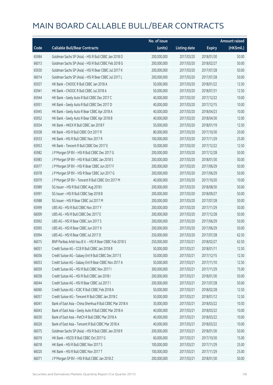|       |                                                          | No. of issue |                     |               | <b>Amount raised</b> |
|-------|----------------------------------------------------------|--------------|---------------------|---------------|----------------------|
| Code  | <b>Callable Bull/Bear Contracts</b>                      | (units)      | <b>Listing date</b> | <b>Expiry</b> | (HK\$mil.)           |
| 65984 | Goldman Sachs SP (Asia) - HSI R Bull CBBC Jan 2018 O     | 200,000,000  | 2017/03/20          | 2018/01/30    | 50.00                |
| 66013 | Goldman Sachs SP (Asia) - HSI R Bull CBBC Feb 2018 G     | 200,000,000  | 2017/03/20          | 2018/02/27    | 50.00                |
| 65930 | Goldman Sachs SP (Asia) - HSI R Bear CBBC Jul 2017 K     | 200,000,000  | 2017/03/20          | 2017/07/28    | 50.00                |
| 66014 | Goldman Sachs SP (Asia) - HSI R Bear CBBC Jul 2017 L     | 200,000,000  | 2017/03/20          | 2017/07/28    | 50.00                |
| 65937 | HK Bank - CNOOC R Bull CBBC Jan 2018 A                   | 50,000,000   | 2017/03/20          | 2018/01/22    | 12.50                |
| 65941 | HK Bank - CNOOC R Bull CBBC Jul 2018 A                   | 50,000,000   | 2017/03/20          | 2018/07/31    | 12.50                |
| 65944 | HK Bank - Geely Auto R Bull CBBC Dec 2017 C              | 40,000,000   | 2017/03/20          | 2017/12/22    | 10.00                |
| 65951 | HK Bank - Geely Auto R Bull CBBC Dec 2017 D              | 40,000,000   | 2017/03/20          | 2017/12/15    | 10.00                |
| 65945 | HK Bank - Geely Auto R Bear CBBC Apr 2018 A              | 40,000,000   | 2017/03/20          | 2018/04/23    | 10.00                |
| 65952 | HK Bank - Geely Auto R Bear CBBC Apr 2018 B              | 40,000,000   | 2017/03/20          | 2018/04/30    | 12.00                |
| 65934 | HK Bank - HKEX R Bull CBBC Jan 2018 F                    | 50,000,000   | 2017/03/20          | 2018/01/19    | 12.50                |
| 65938 | HK Bank - HSI R Bull CBBC Oct 2017 R                     | 80,000,000   | 2017/03/20          | 2017/10/30    | 20.00                |
| 65933 | HK Bank - HSI R Bull CBBC Nov 2017 R                     | 100,000,000  | 2017/03/20          | 2017/11/29    | 25.00                |
| 65953 | HK Bank - Tencent R Bull CBBC Dec 2017 E                 | 50,000,000   | 2017/03/20          | 2017/12/22    | 12.50                |
| 65982 | J P Morgan SP BV - HSI R Bull CBBC Dec 2017 G            | 200,000,000  | 2017/03/20          | 2017/12/28    | 50.00                |
| 65983 | JP Morgan SP BV - HSIR Bull CBBC Jan 2018 S              | 200,000,000  | 2017/03/20          | 2018/01/30    | 50.00                |
| 65977 | J P Morgan SP BV - HSI R Bear CBBC Jun 2017 F            | 200,000,000  | 2017/03/20          | 2017/06/29    | 50.00                |
| 65978 | J P Morgan SP BV - HSI R Bear CBBC Jun 2017 G            | 200,000,000  | 2017/03/20          | 2017/06/29    | 50.00                |
| 65979 | J P Morgan SP BV - Tencent R Bull CBBC Oct 2017 M        | 40,000,000   | 2017/03/20          | 2017/10/20    | 10.00                |
| 65989 | SG Issuer - HSI R Bull CBBC Aug 2018 I                   | 200,000,000  | 2017/03/20          | 2018/08/30    | 50.00                |
| 65991 | SG Issuer - HSI R Bull CBBC Sep 2018 B                   | 200,000,000  | 2017/03/20          | 2018/09/27    | 50.00                |
| 65988 | SG Issuer - HSI R Bear CBBC Jul 2017 M                   | 200,000,000  | 2017/03/20          | 2017/07/28    | 50.00                |
| 65999 | UBS AG - HSI R Bull CBBC Nov 2017 Y                      | 200,000,000  | 2017/03/20          | 2017/11/29    | 50.00                |
| 66009 | UBS AG - HSI R Bull CBBC Dec 2017 E                      | 200,000,000  | 2017/03/20          | 2017/12/28    | 50.00                |
| 65992 | UBS AG - HSI R Bear CBBC Jun 2017 S                      | 200,000,000  | 2017/03/20          | 2017/06/29    | 50.00                |
| 65995 | UBS AG - HSI R Bear CBBC Jun 2017 X                      | 200,000,000  | 2017/03/20          | 2017/06/29    | 50.00                |
| 65994 | UBS AG - HSI R Bear CBBC Jul 2017 D                      | 250,000,000  | 2017/03/20          | 2017/07/28    | 62.50                |
| 66015 | BNP Paribas Arbit Issu B.V. - HSI R Bear CBBC Feb 2018 S | 250,000,000  | 2017/03/21          | 2018/02/27    | 62.50                |
| 66051 | Credit Suisse AG - CCB R Bull CBBC Jan 2018 B            | 50,000,000   | 2017/03/21          | 2018/01/11    | 12.50                |
| 66056 | Credit Suisse AG - Galaxy Ent R Bull CBBC Dec 2017 E     | 50,000,000   | 2017/03/21          | 2017/12/15    | 12.50                |
| 66053 | Credit Suisse AG - Galaxy Ent R Bear CBBC Nov 2017 A     | 50,000,000   | 2017/03/21          | 2017/11/10    | 12.50                |
| 66059 | Credit Suisse AG - HSI R Bull CBBC Nov 2017 I            | 300,000,000  | 2017/03/21          | 2017/11/29    | 75.00                |
| 66058 | Credit Suisse AG - HSI R Bull CBBC Jan 2018 I            | 200,000,000  | 2017/03/21          | 2018/01/30    | 50.00                |
| 66044 | Credit Suisse AG - HSI R Bear CBBC Jul 2017 I            | 200,000,000  | 2017/03/21          | 2017/07/28    | 50.00                |
| 66060 | Credit Suisse AG - ICBC R Bull CBBC Feb 2018 A           | 50,000,000   | 2017/03/21          | 2018/02/28    | 12.50                |
| 66057 | Credit Suisse AG - Tencent R Bull CBBC Jan 2018 C        | 50,000,000   | 2017/03/21          | 2018/01/12    | 12.50                |
| 66041 | Bank of East Asia - China Shenhua R Bull CBBC Mar 2018 A | 30,000,000   | 2017/03/21          | 2018/03/22    | 10.50                |
| 66043 | Bank of East Asia - Geely Auto R Bull CBBC Mar 2018 A    | 40,000,000   | 2017/03/21          | 2018/03/22    | 10.00                |
| 66030 | Bank of East Asia - PetCh R Bull CBBC Mar 2018 A         | 40,000,000   | 2017/03/21          | 2018/03/22    | 10.00                |
| 66026 | Bank of East Asia - Tencent R Bull CBBC Mar 2018 A       | 40,000,000   | 2017/03/21          | 2018/03/22    | 10.00                |
| 66075 | Goldman Sachs SP (Asia) - HSI R Bull CBBC Jan 2018 R     | 200,000,000  | 2017/03/21          | 2018/01/30    | 50.00                |
| 66019 | HK Bank - HSCEI R Bull CBBC Oct 2017 G                   | 60,000,000   | 2017/03/21          | 2017/10/30    | 15.00                |
| 66018 | HK Bank - HSI R Bull CBBC Nov 2017 S                     | 100,000,000  | 2017/03/21          | 2017/11/29    | 25.00                |
| 66020 | HK Bank - HSI R Bull CBBC Nov 2017 T                     | 100,000,000  | 2017/03/21          | 2017/11/29    | 25.00                |
| 66071 | J P Morgan SP BV - HSI R Bull CBBC Jan 2018 Z            | 200,000,000  | 2017/03/21          | 2018/01/30    | 50.00                |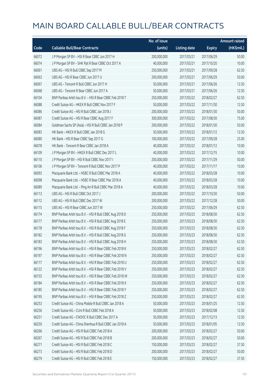|       |                                                          | No. of issue |                     |               | <b>Amount raised</b> |
|-------|----------------------------------------------------------|--------------|---------------------|---------------|----------------------|
| Code  | <b>Callable Bull/Bear Contracts</b>                      | (units)      | <b>Listing date</b> | <b>Expiry</b> | (HK\$mil.)           |
| 66072 | JP Morgan SP BV - HSIR Bear CBBC Jun 2017 H              | 200,000,000  | 2017/03/21          | 2017/06/29    | 50.00                |
| 66074 | J P Morgan SP BV - SHK Ppt R Bear CBBC Oct 2017 A        | 40,000,000   | 2017/03/21          | 2017/10/20    | 10.00                |
| 66061 | UBS AG - HSI R Bull CBBC Sep 2017 M                      | 250,000,000  | 2017/03/21          | 2017/09/28    | 62.50                |
| 66063 | UBS AG - HSI R Bear CBBC Jun 2017 U                      | 200,000,000  | 2017/03/21          | 2017/06/29    | 50.00                |
| 66067 | UBS AG - Tencent R Bull CBBC Jun 2017 H                  | 50,000,000   | 2017/03/21          | 2017/06/26    | 12.50                |
| 66068 | UBS AG - Tencent R Bear CBBC Jun 2017 A                  | 50,000,000   | 2017/03/21          | 2017/06/26    | 12.50                |
| 66104 | BNP Paribas Arbit Issu B.V. - HSI R Bear CBBC Feb 2018 T | 250,000,000  | 2017/03/22          | 2018/02/27    | 62.50                |
| 66088 | Credit Suisse AG - HKEX R Bull CBBC Nov 2017 F           | 50,000,000   | 2017/03/22          | 2017/11/30    | 12.50                |
| 66086 | Credit Suisse AG - HSI R Bull CBBC Jan 2018 J            | 200,000,000  | 2017/03/22          | 2018/01/30    | 50.00                |
| 66087 | Credit Suisse AG - HSI R Bear CBBC Aug 2017 F            | 300,000,000  | 2017/03/22          | 2017/08/30    | 75.00                |
| 66084 | Goldman Sachs SP (Asia) - HSI R Bull CBBC Jan 2018 P     | 200,000,000  | 2017/03/22          | 2018/01/30    | 50.00                |
| 66083 | HK Bank - HKEX R Bull CBBC Jan 2018 G                    | 50,000,000   | 2017/03/22          | 2018/01/12    | 12.50                |
| 66080 | HK Bank - HSI R Bear CBBC Sep 2017 G                     | 100,000,000  | 2017/03/22          | 2017/09/28    | 25.00                |
| 66078 | HK Bank - Tencent R Bear CBBC Jan 2018 A                 | 40,000,000   | 2017/03/22          | 2018/01/12    | 10.00                |
| 66109 | J P Morgan SP BV - HKEX R Bull CBBC Dec 2017 L           | 40,000,000   | 2017/03/22          | 2017/12/15    | 10.00                |
| 66110 | J P Morgan SP BV - HSI R Bull CBBC Nov 2017 I            | 200,000,000  | 2017/03/22          | 2017/11/29    | 50.00                |
| 66106 | J P Morgan SP BV - Tencent R Bull CBBC Nov 2017 P        | 40,000,000   | 2017/03/22          | 2017/11/17    | 10.00                |
| 66093 | Macquarie Bank Ltd. - HSBC R Bull CBBC Mar 2018 A        | 40,000,000   | 2017/03/22          | 2018/03/28    | 10.00                |
| 66098 | Macquarie Bank Ltd. - HSBC R Bear CBBC Mar 2018 A        | 40,000,000   | 2017/03/22          | 2018/03/28    | 10.00                |
| 66089 | Macquarie Bank Ltd. - Ping An R Bull CBBC Mar 2018 A     | 40,000,000   | 2017/03/22          | 2018/03/28    | 10.00                |
| 66113 | UBS AG - HSI R Bull CBBC Oct 2017 J                      | 200,000,000  | 2017/03/22          | 2017/10/30    | 50.00                |
| 66112 | UBS AG - HSI R Bull CBBC Dec 2017 W                      | 200,000,000  | 2017/03/22          | 2017/12/28    | 50.00                |
| 66115 | UBS AG - HSI R Bear CBBC Jun 2017 W                      | 250,000,000  | 2017/03/22          | 2017/06/29    | 62.50                |
| 66174 | BNP Paribas Arbit Issu B.V. - HSI R Bull CBBC Aug 2018 D | 250,000,000  | 2017/03/23          | 2018/08/30    | 62.50                |
| 66177 | BNP Paribas Arbit Issu B.V. - HSI R Bull CBBC Aug 2018 E | 250,000,000  | 2017/03/23          | 2018/08/30    | 62.50                |
| 66178 | BNP Paribas Arbit Issu B.V. - HSI R Bull CBBC Aug 2018 F | 250,000,000  | 2017/03/23          | 2018/08/30    | 62.50                |
| 66182 | BNP Paribas Arbit Issu B.V. - HSI R Bull CBBC Aug 2018 G | 250,000,000  | 2017/03/23          | 2018/08/30    | 62.50                |
| 66183 | BNP Paribas Arbit Issu B.V. - HSI R Bull CBBC Aug 2018 H | 250,000,000  | 2017/03/23          | 2018/08/30    | 62.50                |
| 66196 | BNP Paribas Arbit Issu B.V. - HSI R Bear CBBC Feb 2018 K | 250,000,000  | 2017/03/23          | 2018/02/27    | 62.50                |
| 66197 | BNP Paribas Arbit Issu B.V. - HSI R Bear CBBC Feb 2018 N | 250,000,000  | 2017/03/23          | 2018/02/27    | 62.50                |
| 66117 | BNP Paribas Arbit Issu B.V. - HSI R Bear CBBC Feb 2018 U | 250,000,000  | 2017/03/23          | 2018/02/27    | 62.50                |
| 66122 | BNP Paribas Arbit Issu B.V. - HSI R Bear CBBC Feb 2018 V | 250,000,000  | 2017/03/23          | 2018/02/27    | 62.50                |
| 66155 | BNP Paribas Arbit Issu B.V. - HSI R Bear CBBC Feb 2018 W | 250,000,000  | 2017/03/23          | 2018/02/27    | 62.50                |
| 66184 | BNP Paribas Arbit Issu B.V. - HSI R Bear CBBC Feb 2018 X | 250,000,000  | 2017/03/23          | 2018/02/27    | 62.50                |
| 66185 | BNP Paribas Arbit Issu B.V. - HSI R Bear CBBC Feb 2018 Y | 250,000,000  | 2017/03/23          | 2018/02/27    | 62.50                |
| 66195 | BNP Paribas Arbit Issu B.V. - HSI R Bear CBBC Feb 2018 Z | 250,000,000  | 2017/03/23          | 2018/02/27    | 62.50                |
| 66253 | Credit Suisse AG - China Mobile R Bull CBBC Jan 2018 A   | 50,000,000   | 2017/03/23          | 2018/01/25    | 12.50                |
| 66256 | Credit Suisse AG - CUni R Bull CBBC Feb 2018 A           | 50,000,000   | 2017/03/23          | 2018/02/08    | 12.50                |
| 66251 | Credit Suisse AG - CNOOC R Bull CBBC Dec 2017 A          | 50,000,000   | 2017/03/23          | 2017/12/13    | 12.50                |
| 66250 | Credit Suisse AG - China Shenhua R Bull CBBC Jan 2018 A  | 50,000,000   | 2017/03/23          | 2018/01/05    | 12.50                |
| 66266 | Credit Suisse AG - HSI R Bull CBBC Feb 2018 A            | 200,000,000  | 2017/03/23          | 2018/02/27    | 50.00                |
| 66267 | Credit Suisse AG - HSI R Bull CBBC Feb 2018 B            | 200,000,000  | 2017/03/23          | 2018/02/27    | 50.00                |
| 66271 | Credit Suisse AG - HSI R Bull CBBC Feb 2018 C            | 150,000,000  | 2017/03/23          | 2018/02/27    | 37.50                |
| 66273 | Credit Suisse AG - HSI R Bull CBBC Feb 2018 D            | 200,000,000  | 2017/03/23          | 2018/02/27    | 50.00                |
| 66279 | Credit Suisse AG - HSI R Bull CBBC Feb 2018 E            | 150,000,000  | 2017/03/23          | 2018/02/27    | 37.50                |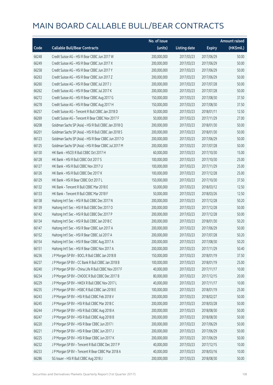|       |                                                      | No. of issue |                     |               | <b>Amount raised</b> |
|-------|------------------------------------------------------|--------------|---------------------|---------------|----------------------|
| Code  | <b>Callable Bull/Bear Contracts</b>                  | (units)      | <b>Listing date</b> | <b>Expiry</b> | (HK\$mil.)           |
| 66248 | Credit Suisse AG - HSI R Bear CBBC Jun 2017 W        | 200,000,000  | 2017/03/23          | 2017/06/29    | 50.00                |
| 66249 | Credit Suisse AG - HSI R Bear CBBC Jun 2017 X        | 200,000,000  | 2017/03/23          | 2017/06/29    | 50.00                |
| 66258 | Credit Suisse AG - HSI R Bear CBBC Jun 2017 Y        | 200,000,000  | 2017/03/23          | 2017/06/29    | 50.00                |
| 66263 | Credit Suisse AG - HSI R Bear CBBC Jun 2017 Z        | 200,000,000  | 2017/03/23          | 2017/06/29    | 50.00                |
| 66260 | Credit Suisse AG - HSI R Bear CBBC Jul 2017 J        | 200,000,000  | 2017/03/23          | 2017/07/28    | 50.00                |
| 66262 | Credit Suisse AG - HSI R Bear CBBC Jul 2017 K        | 200,000,000  | 2017/03/23          | 2017/07/28    | 50.00                |
| 66272 | Credit Suisse AG - HSI R Bear CBBC Aug 2017 G        | 150,000,000  | 2017/03/23          | 2017/08/30    | 37.50                |
| 66278 | Credit Suisse AG - HSI R Bear CBBC Aug 2017 H        | 150,000,000  | 2017/03/23          | 2017/08/30    | 37.50                |
| 66257 | Credit Suisse AG - Tencent R Bull CBBC Jan 2018 D    | 50,000,000   | 2017/03/23          | 2018/01/11    | 12.50                |
| 66269 | Credit Suisse AG - Tencent R Bear CBBC Nov 2017 F    | 50,000,000   | 2017/03/23          | 2017/11/29    | 27.00                |
| 66208 | Goldman Sachs SP (Asia) - HSI R Bull CBBC Jan 2018 Q | 200,000,000  | 2017/03/23          | 2018/01/30    | 50.00                |
| 66201 | Goldman Sachs SP (Asia) - HSI R Bull CBBC Jan 2018 S | 200,000,000  | 2017/03/23          | 2018/01/30    | 50.00                |
| 66123 | Goldman Sachs SP (Asia) - HSI R Bear CBBC Jun 2017 O | 200,000,000  | 2017/03/23          | 2017/06/29    | 50.00                |
| 66125 | Goldman Sachs SP (Asia) - HSI R Bear CBBC Jul 2017 M | 200,000,000  | 2017/03/23          | 2017/07/28    | 50.00                |
| 66130 | HK Bank - HSCEI R Bull CBBC Oct 2017 H               | 60,000,000   | 2017/03/23          | 2017/10/30    | 15.00                |
| 66128 | HK Bank - HSI R Bull CBBC Oct 2017 S                 | 100,000,000  | 2017/03/23          | 2017/10/30    | 25.00                |
| 66127 | HK Bank - HSI R Bull CBBC Nov 2017 U                 | 100,000,000  | 2017/03/23          | 2017/11/29    | 25.00                |
| 66126 | HK Bank - HSI R Bull CBBC Dec 2017 K                 | 100,000,000  | 2017/03/23          | 2017/12/28    | 25.00                |
| 66129 | HK Bank - HSI R Bear CBBC Oct 2017 L                 | 150,000,000  | 2017/03/23          | 2017/10/30    | 37.50                |
| 66132 | HK Bank - Tencent R Bull CBBC Mar 2018 E             | 50,000,000   | 2017/03/23          | 2018/03/12    | 12.50                |
| 66133 | HK Bank - Tencent R Bull CBBC Mar 2018 F             | 50,000,000   | 2017/03/23          | 2018/03/26    | 12.50                |
| 66138 | Haitong Int'l Sec - HSI R Bull CBBC Dec 2017 N       | 200,000,000  | 2017/03/23          | 2017/12/28    | 50.20                |
| 66139 | Haitong Int'l Sec - HSI R Bull CBBC Dec 2017 O       | 200,000,000  | 2017/03/23          | 2017/12/28    | 50.00                |
| 66142 | Haitong Int'l Sec - HSI R Bull CBBC Dec 2017 P       | 200,000,000  | 2017/03/23          | 2017/12/28    | 50.00                |
| 66134 | Haitong Int'l Sec - HSI R Bull CBBC Jan 2018 C       | 200,000,000  | 2017/03/23          | 2018/01/30    | 50.20                |
| 66147 | Haitong Int'l Sec - HSI R Bear CBBC Jun 2017 A       | 200,000,000  | 2017/03/23          | 2017/06/29    | 50.00                |
| 66152 | Haitong Int'l Sec - HSI R Bear CBBC Jul 2017 A       | 200,000,000  | 2017/03/23          | 2017/07/28    | 50.20                |
| 66154 | Haitong Int'l Sec - HSI R Bear CBBC Aug 2017 A       | 200,000,000  | 2017/03/23          | 2017/08/30    | 50.20                |
| 66151 | Haitong Int'l Sec - HSI R Bear CBBC Nov 2017 A       | 200,000,000  | 2017/03/23          | 2017/11/29    | 50.40                |
| 66236 | J P Morgan SP BV - BOCL R Bull CBBC Jan 2018 B       | 150,000,000  | 2017/03/23          | 2018/01/19    | 37.50                |
| 66237 | J P Morgan SP BV - CC Bank R Bull CBBC Jan 2018 B    | 100,000,000  | 2017/03/23          | 2018/01/19    | 25.00                |
| 66240 | J P Morgan SP BV - China Life R Bull CBBC Nov 2017 F | 40,000,000   | 2017/03/23          | 2017/11/17    | 10.00                |
| 66234 | J P Morgan SP BV - CNOOC R Bull CBBC Dec 2017 B      | 80,000,000   | 2017/03/23          | 2017/12/15    | 20.00                |
| 66229 | J P Morgan SP BV - HKEX R Bull CBBC Nov 2017 L       | 40,000,000   | 2017/03/23          | 2017/11/17    | 10.00                |
| 66235 | J P Morgan SP BV - HSBC R Bull CBBC Jan 2018 E       | 100,000,000  | 2017/03/23          | 2018/01/19    | 25.00                |
| 66243 | J P Morgan SP BV - HSI R Bull CBBC Feb 2018 V        | 200,000,000  | 2017/03/23          | 2018/02/27    | 50.00                |
| 66245 | J P Morgan SP BV - HSI R Bull CBBC Mar 2018 C        | 200,000,000  | 2017/03/23          | 2018/03/28    | 50.00                |
| 66244 | J P Morgan SP BV - HSI R Bull CBBC Aug 2018 A        | 200,000,000  | 2017/03/23          | 2018/08/30    | 50.00                |
| 66247 | J P Morgan SP BV - HSI R Bull CBBC Aug 2018 B        | 200,000,000  | 2017/03/23          | 2018/08/30    | 50.00                |
| 66220 | JP Morgan SP BV - HSIR Bear CBBC Jun 2017 I          | 200,000,000  | 2017/03/23          | 2017/06/29    | 50.00                |
| 66221 | J P Morgan SP BV - HSI R Bear CBBC Jun 2017 J        | 200,000,000  | 2017/03/23          | 2017/06/29    | 50.00                |
| 66225 | J P Morgan SP BV - HSI R Bear CBBC Jun 2017 K        | 200,000,000  | 2017/03/23          | 2017/06/29    | 50.00                |
| 66232 | J P Morgan SP BV - Tencent R Bull CBBC Dec 2017 P    | 40,000,000   | 2017/03/23          | 2017/12/15    | 10.00                |
| 66233 | J P Morgan SP BV - Tencent R Bear CBBC Mar 2018 A    | 40,000,000   | 2017/03/23          | 2018/03/16    | 10.00                |
| 66286 | SG Issuer - HSI R Bull CBBC Aug 2018 J               | 200,000,000  | 2017/03/23          | 2018/08/30    | 50.00                |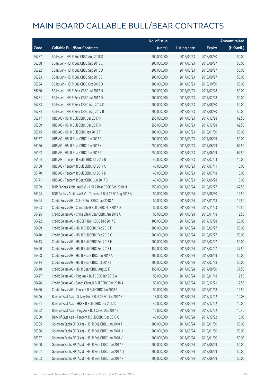|       |                                                              | No. of issue |                     |               | <b>Amount raised</b> |
|-------|--------------------------------------------------------------|--------------|---------------------|---------------|----------------------|
| Code  | <b>Callable Bull/Bear Contracts</b>                          | (units)      | <b>Listing date</b> | <b>Expiry</b> | (HK\$mil.)           |
| 66287 | SG Issuer - HSI R Bull CBBC Aug 2018 K                       | 200,000,000  | 2017/03/23          | 2018/08/30    | 50.00                |
| 66288 | SG Issuer - HSI R Bull CBBC Sep 2018 C                       | 200,000,000  | 2017/03/23          | 2018/09/27    | 50.00                |
| 66292 | SG Issuer - HSI R Bull CBBC Sep 2018 D                       | 200,000,000  | 2017/03/23          | 2018/09/27    | 50.00                |
| 66293 | SG Issuer - HSI R Bull CBBC Sep 2018 E                       | 200,000,000  | 2017/03/23          | 2018/09/27    | 50.00                |
| 66294 | SG Issuer - HSI R Bull CBBC Oct 2018 D                       | 200,000,000  | 2017/03/23          | 2018/10/30    | 50.00                |
| 66280 | SG Issuer - HSI R Bear CBBC Jul 2017 N                       | 200,000,000  | 2017/03/23          | 2017/07/28    | 50.00                |
| 66281 | SG Issuer - HSI R Bear CBBC Jul 2017 O                       | 200,000,000  | 2017/03/23          | 2017/07/28    | 50.00                |
| 66283 | SG Issuer - HSI R Bear CBBC Aug 2017 Q                       | 200,000,000  | 2017/03/23          | 2017/08/30    | 50.00                |
| 66284 | SG Issuer - HSI R Bear CBBC Aug 2017 R                       | 200,000,000  | 2017/03/23          | 2017/08/30    | 50.00                |
| 66217 | UBS AG - HSI R Bull CBBC Dec 2017 P                          | 250,000,000  | 2017/03/23          | 2017/12/28    | 62.50                |
| 66209 | UBS AG - HSI R Bull CBBC Dec 2017 R                          | 250,000,000  | 2017/03/23          | 2017/12/28    | 62.50                |
| 66215 | UBS AG - HSI R Bull CBBC Jan 2018 T                          | 200,000,000  | 2017/03/23          | 2018/01/30    | 50.00                |
| 66157 | UBS AG - HSI R Bear CBBC Jun 2017 R                          | 200,000,000  | 2017/03/23          | 2017/06/29    | 50.00                |
| 66156 | UBS AG - HSI R Bear CBBC Jun 2017 Y                          | 250,000,000  | 2017/03/23          | 2017/06/29    | 62.50                |
| 66162 | UBS AG - HSI R Bear CBBC Jun 2017 Z                          | 250,000,000  | 2017/03/23          | 2017/06/29    | 62.50                |
| 66164 | UBS AG - Tencent R Bull CBBC Jul 2017 B                      | 40,000,000   | 2017/03/23          | 2017/07/04    | 10.00                |
| 66168 | UBS AG - Tencent R Bull CBBC Jul 2017 C                      | 40,000,000   | 2017/03/23          | 2017/07/11    | 10.00                |
| 66170 | UBS AG - Tencent R Bull CBBC Jul 2017 D                      | 40,000,000   | 2017/03/23          | 2017/07/18    | 10.00                |
| 66171 | UBS AG - Tencent R Bear CBBC Jun 2017 B                      | 40,000,000   | 2017/03/23          | 2017/06/28    | 10.00                |
| 66299 | BNP Paribas Arbit Issu B.V. - HSI R Bear CBBC Feb 2018 M     | 250,000,000  | 2017/03/24          | 2018/02/27    | 62.50                |
| 66344 | BNP Paribas Arbit Issu B.V. - Tencent R Bull CBBC Aug 2018 A | 50,000,000   | 2017/03/24          | 2018/08/30    | 12.50                |
| 66424 | Credit Suisse AG - CUni R Bull CBBC Jan 2018 A               | 50,000,000   | 2017/03/24          | 2018/01/18    | 12.50                |
| 66423 | Credit Suisse AG - China Life R Bull CBBC Nov 2017 D         | 50,000,000   | 2017/03/24          | 2017/11/23    | 12.50                |
| 66425 | Credit Suisse AG - China Life R Bear CBBC Jan 2018 A         | 50,000,000   | 2017/03/24          | 2018/01/18    | 12.50                |
| 66422 | Credit Suisse AG - HSCEI R Bull CBBC Dec 2017 E              | 100,000,000  | 2017/03/24          | 2017/12/28    | 25.00                |
| 66409 | Credit Suisse AG - HSI R Bull CBBC Feb 2018 F                | 200,000,000  | 2017/03/24          | 2018/02/27    | 50.00                |
| 66410 | Credit Suisse AG - HSI R Bull CBBC Feb 2018 G                | 200,000,000  | 2017/03/24          | 2018/02/27    | 50.00                |
| 66413 | Credit Suisse AG - HSI R Bull CBBC Feb 2018 H                | 200,000,000  | 2017/03/24          | 2018/02/27    | 50.00                |
| 66420 | Credit Suisse AG - HSI R Bull CBBC Feb 2018 I                | 150,000,000  | 2017/03/24          | 2018/02/27    | 37.50                |
| 66428 | Credit Suisse AG - HSI R Bear CBBC Jun 2017 A                | 200,000,000  | 2017/03/24          | 2017/06/29    | 50.00                |
| 66414 | Credit Suisse AG - HSI R Bear CBBC Jul 2017 L                | 200,000,000  | 2017/03/24          | 2017/07/28    | 50.00                |
| 66418 | Credit Suisse AG - HSI R Bear CBBC Aug 2017 I                | 150,000,000  | 2017/03/24          | 2017/08/30    | 37.50                |
| 66427 | Credit Suisse AG - Ping An R Bull CBBC Jan 2018 A            | 50,000,000   | 2017/03/24          | 2018/01/18    | 12.50                |
| 66426 | Credit Suisse AG - Sands China R Bull CBBC Dec 2018 A        | 50,000,000   | 2017/03/24          | 2018/12/21    | 12.50                |
| 66460 | Credit Suisse AG - Tencent R Bull CBBC Jan 2018 E            | 50,000,000   | 2017/03/24          | 2018/01/18    | 12.50                |
| 66346 | Bank of East Asia - Galaxy Ent R Bull CBBC Dec 2017 F        | 18,000,000   | 2017/03/24          | 2017/12/22    | 10.08                |
| 66351 | Bank of East Asia - HKEX R Bull CBBC Dec 2017 D              | 40,000,000   | 2017/03/24          | 2017/12/22    | 10.00                |
| 66352 | Bank of East Asia - Ping An R Bull CBBC Dec 2017 E           | 16,000,000   | 2017/03/24          | 2017/12/22    | 10.40                |
| 66350 | Bank of East Asia - Tencent R Bull CBBC Dec 2017 G           | 40,000,000   | 2017/03/24          | 2017/12/22    | 10.00                |
| 66335 | Goldman Sachs SP (Asia) - HSI R Bull CBBC Jan 2018 T         | 200,000,000  | 2017/03/24          | 2018/01/30    | 50.00                |
| 66336 | Goldman Sachs SP (Asia) - HSI R Bull CBBC Jan 2018 U         | 200,000,000  | 2017/03/24          | 2018/01/30    | 50.00                |
| 66337 | Goldman Sachs SP (Asia) - HSI R Bull CBBC Jan 2018 V         | 200,000,000  | 2017/03/24          | 2018/01/30    | 50.00                |
| 66300 | Goldman Sachs SP (Asia) - HSI R Bear CBBC Jun 2017 P         | 200,000,000  | 2017/03/24          | 2017/06/29    | 50.00                |
| 66301 | Goldman Sachs SP (Asia) - HSI R Bear CBBC Jun 2017 Q         | 200,000,000  | 2017/03/24          | 2017/06/29    | 50.00                |
| 66303 | Goldman Sachs SP (Asia) - HSI R Bear CBBC Jun 2017 R         | 200,000,000  | 2017/03/24          | 2017/06/29    | 50.00                |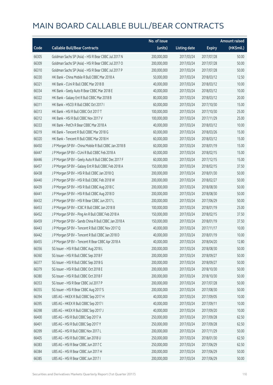|       |                                                        | No. of issue |                     |               | <b>Amount raised</b> |
|-------|--------------------------------------------------------|--------------|---------------------|---------------|----------------------|
| Code  | <b>Callable Bull/Bear Contracts</b>                    | (units)      | <b>Listing date</b> | <b>Expiry</b> | (HK\$mil.)           |
| 66305 | Goldman Sachs SP (Asia) - HSI R Bear CBBC Jul 2017 N   | 200,000,000  | 2017/03/24          | 2017/07/28    | 50.00                |
| 66309 | Goldman Sachs SP (Asia) - HSI R Bear CBBC Jul 2017 O   | 200,000,000  | 2017/03/24          | 2017/07/28    | 50.00                |
| 66310 | Goldman Sachs SP (Asia) - HSI R Bear CBBC Jul 2017 P   | 200,000,000  | 2017/03/24          | 2017/07/28    | 50.00                |
| 66330 | HK Bank - China Mobile R Bull CBBC Mar 2018 A          | 50,000,000   | 2017/03/24          | 2018/03/12    | 12.50                |
| 66321 | HK Bank - CUni R Bull CBBC Mar 2018 B                  | 40,000,000   | 2017/03/24          | 2018/03/12    | 10.00                |
| 66334 | HK Bank - Geely Auto R Bear CBBC Mar 2018 E            | 40,000,000   | 2017/03/24          | 2018/03/12    | 10.00                |
| 66322 | HK Bank - Galaxy Ent R Bull CBBC Mar 2018 B            | 80,000,000   | 2017/03/24          | 2018/03/12    | 20.00                |
| 66311 | HK Bank - HSCEI R Bull CBBC Oct 2017 I                 | 60,000,000   | 2017/03/24          | 2017/10/30    | 15.00                |
| 66313 | HK Bank - HSI R Bull CBBC Oct 2017 T                   | 100,000,000  | 2017/03/24          | 2017/10/30    | 25.00                |
| 66312 | HK Bank - HSI R Bull CBBC Nov 2017 V                   | 100,000,000  | 2017/03/24          | 2017/11/29    | 25.00                |
| 66333 | HK Bank - PetCh R Bear CBBC Mar 2018 A                 | 40,000,000   | 2017/03/24          | 2018/03/12    | 10.00                |
| 66319 | HK Bank - Tencent R Bull CBBC Mar 2018 G               | 60,000,000   | 2017/03/24          | 2018/03/26    | 15.00                |
| 66320 | HK Bank - Tencent R Bull CBBC Mar 2018 H               | 60,000,000   | 2017/03/24          | 2018/03/12    | 15.00                |
| 66450 | J P Morgan SP BV - China Mobile R Bull CBBC Jan 2018 B | 60,000,000   | 2017/03/24          | 2018/01/19    | 15.00                |
| 66447 | J P Morgan SP BV - CUni R Bull CBBC Feb 2018 A         | 60,000,000   | 2017/03/24          | 2018/02/15    | 15.00                |
| 66446 | J P Morgan SP BV - Geely Auto R Bull CBBC Dec 2017 F   | 60,000,000   | 2017/03/24          | 2017/12/15    | 15.00                |
| 66457 | J P Morgan SP BV - Galaxy Ent R Bull CBBC Feb 2018 A   | 150,000,000  | 2017/03/24          | 2018/02/15    | 37.50                |
| 66438 | J P Morgan SP BV - HSI R Bull CBBC Jan 2018 Q          | 200,000,000  | 2017/03/24          | 2018/01/30    | 50.00                |
| 66440 | J P Morgan SP BV - HSI R Bull CBBC Feb 2018 W          | 200,000,000  | 2017/03/24          | 2018/02/27    | 50.00                |
| 66439 | J P Morgan SP BV - HSI R Bull CBBC Aug 2018 C          | 200,000,000  | 2017/03/24          | 2018/08/30    | 50.00                |
| 66441 | J P Morgan SP BV - HSI R Bull CBBC Aug 2018 D          | 200,000,000  | 2017/03/24          | 2018/08/30    | 50.00                |
| 66432 | J P Morgan SP BV - HSI R Bear CBBC Jun 2017 L          | 200,000,000  | 2017/03/24          | 2017/06/29    | 50.00                |
| 66453 | J P Morgan SP BV - ICBC R Bull CBBC Jan 2018 B         | 100,000,000  | 2017/03/24          | 2018/01/19    | 25.00                |
| 66452 | J P Morgan SP BV - Ping An R Bull CBBC Feb 2018 A      | 150,000,000  | 2017/03/24          | 2018/02/15    | 37.50                |
| 66459 | J P Morgan SP BV - Sands China R Bull CBBC Jan 2018 A  | 150,000,000  | 2017/03/24          | 2018/01/19    | 37.50                |
| 66443 | J P Morgan SP BV - Tencent R Bull CBBC Nov 2017 Q      | 40,000,000   | 2017/03/24          | 2017/11/17    | 10.00                |
| 66442 | J P Morgan SP BV - Tencent R Bull CBBC Jan 2018 D      | 40,000,000   | 2017/03/24          | 2018/01/19    | 10.00                |
| 66455 | J P Morgan SP BV - Tencent R Bear CBBC Apr 2018 A      | 40,000,000   | 2017/03/24          | 2018/04/20    | 12.80                |
| 66356 | SG Issuer - HSI R Bull CBBC Aug 2018 L                 | 200,000,000  | 2017/03/24          | 2018/08/30    | 50.00                |
| 66360 | SG Issuer - HSI R Bull CBBC Sep 2018 F                 | 200,000,000  | 2017/03/24          | 2018/09/27    | 50.00                |
| 66377 | SG Issuer - HSI R Bull CBBC Sep 2018 G                 | 200,000,000  | 2017/03/24          | 2018/09/27    | 50.00                |
| 66379 | SG Issuer - HSI R Bull CBBC Oct 2018 E                 | 200,000,000  | 2017/03/24          | 2018/10/30    | 50.00                |
| 66380 | SG Issuer - HSI R Bull CBBC Oct 2018 F                 | 200,000,000  | 2017/03/24          | 2018/10/30    | 50.00                |
| 66353 | SG Issuer - HSI R Bear CBBC Jul 2017 P                 | 200,000,000  | 2017/03/24          | 2017/07/28    | 50.00                |
| 66355 | SG Issuer - HSI R Bear CBBC Aug 2017 S                 | 200,000,000  | 2017/03/24          | 2017/08/30    | 50.00                |
| 66394 | UBS AG - HKEX R Bull CBBC Sep 2017 H                   | 40,000,000   | 2017/03/24          | 2017/09/05    | 10.00                |
| 66395 | UBS AG - HKEX R Bull CBBC Sep 2017 I                   | 40,000,000   | 2017/03/24          | 2017/09/11    | 10.00                |
| 66398 | UBS AG - HKEX R Bull CBBC Sep 2017 J                   | 40,000,000   | 2017/03/24          | 2017/09/20    | 10.00                |
| 66400 | UBS AG - HSI R Bull CBBC Sep 2017 A                    | 250,000,000  | 2017/03/24          | 2017/09/28    | 62.50                |
| 66401 | UBS AG - HSI R Bull CBBC Sep 2017 Y                    | 250,000,000  | 2017/03/24          | 2017/09/28    | 62.50                |
| 66399 | UBS AG - HSI R Bull CBBC Nov 2017 L                    | 200,000,000  | 2017/03/24          | 2017/11/29    | 50.00                |
| 66405 | UBS AG - HSI R Bull CBBC Jan 2018 U                    | 250,000,000  | 2017/03/24          | 2018/01/30    | 62.50                |
| 66383 | UBS AG - HSI R Bear CBBC Jun 2017 C                    | 250,000,000  | 2017/03/24          | 2017/06/29    | 62.50                |
| 66384 | UBS AG - HSI R Bear CBBC Jun 2017 H                    | 200,000,000  | 2017/03/24          | 2017/06/29    | 50.00                |
| 66385 | UBS AG - HSI R Bear CBBC Jun 2017 I                    | 200,000,000  | 2017/03/24          | 2017/06/29    | 50.00                |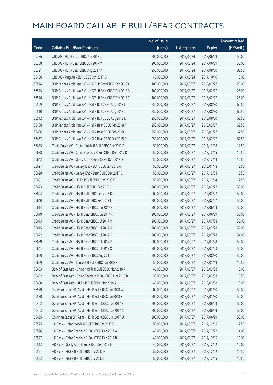|       |                                                            | No. of issue |                     |               | <b>Amount raised</b> |
|-------|------------------------------------------------------------|--------------|---------------------|---------------|----------------------|
| Code  | <b>Callable Bull/Bear Contracts</b>                        | (units)      | <b>Listing date</b> | <b>Expiry</b> | (HK\$mil.)           |
| 66386 | UBS AG - HSI R Bear CBBC Jun 2017 L                        | 200,000,000  | 2017/03/24          | 2017/06/29    | 50.00                |
| 66388 | UBS AG - HSI R Bear CBBC Jun 2017 M                        | 200,000,000  | 2017/03/24          | 2017/06/29    | 50.00                |
| 66391 | UBS AG - HSI R Bear CBBC Aug 2017 A                        | 250,000,000  | 2017/03/24          | 2017/08/30    | 82.50                |
| 66406 | UBS AG - Ping An R Bull CBBC Oct 2017 D                    | 40,000,000   | 2017/03/24          | 2017/10/10    | 10.00                |
| 66574 | BNP Paribas Arbit Issu B.V. - HSCEI R Bear CBBC Feb 2018 A | 100,000,000  | 2017/03/27          | 2018/02/27    | 25.00                |
| 66575 | BNP Paribas Arbit Issu B.V. - HSCEI R Bear CBBC Feb 2018 B | 100,000,000  | 2017/03/27          | 2018/02/27    | 25.00                |
| 66576 | BNP Paribas Arbit Issu B.V. - HSCEI R Bear CBBC Feb 2018 C | 100,000,000  | 2017/03/27          | 2018/02/27    | 25.00                |
| 66509 | BNP Paribas Arbit Issu B.V. - HSI R Bull CBBC Aug 2018 I   | 250,000,000  | 2017/03/27          | 2018/08/30    | 62.50                |
| 66510 | BNP Paribas Arbit Issu B.V. - HSI R Bull CBBC Aug 2018 J   | 250,000,000  | 2017/03/27          | 2018/08/30    | 62.50                |
| 66512 | BNP Paribas Arbit Issu B.V. - HSI R Bull CBBC Aug 2018 K   | 250,000,000  | 2017/03/27          | 2018/08/30    | 62.50                |
| 66468 | BNP Paribas Arbit Issu B.V. - HSI R Bear CBBC Feb 2018 A   | 250,000,000  | 2017/03/27          | 2018/02/27    | 62.50                |
| 66466 | BNP Paribas Arbit Issu B.V. - HSI R Bear CBBC Feb 2018 L   | 250,000,000  | 2017/03/27          | 2018/02/27    | 62.50                |
| 66467 | BNP Paribas Arbit Issu B.V. - HSI R Bear CBBC Feb 2018 O   | 250,000,000  | 2017/03/27          | 2018/02/27    | 62.50                |
| 66635 | Credit Suisse AG - China Mobile R Bull CBBC Dec 2017 D     | 50,000,000   | 2017/03/27          | 2017/12/08    | 12.50                |
| 66638 | Credit Suisse AG - China Shenhua R Bull CBBC Dec 2017 D    | 50,000,000   | 2017/03/27          | 2017/12/15    | 12.50                |
| 66642 | Credit Suisse AG - Geely Auto R Bear CBBC Dec 2017 D       | 50,000,000   | 2017/03/27          | 2017/12/14    | 12.50                |
| 66627 | Credit Suisse AG - Galaxy Ent R Bull CBBC Jan 2018 A       | 50,000,000   | 2017/03/27          | 2018/01/18    | 12.50                |
| 66628 | Credit Suisse AG - Galaxy Ent R Bear CBBC Dec 2017 D       | 50,000,000   | 2017/03/27          | 2017/12/08    | 12.50                |
| 66631 | Credit Suisse AG - HKEX R Bull CBBC Dec 2017 E             | 50,000,000   | 2017/03/27          | 2017/12/14    | 12.50                |
| 66623 | Credit Suisse AG - HSI R Bull CBBC Feb 2018 J              | 200,000,000  | 2017/03/27          | 2018/02/27    | 50.00                |
| 66624 | Credit Suisse AG - HSI R Bull CBBC Feb 2018 K              | 200,000,000  | 2017/03/27          | 2018/02/27    | 50.00                |
| 66640 | Credit Suisse AG - HSI R Bull CBBC Feb 2018 L              | 200,000,000  | 2017/03/27          | 2018/02/27    | 50.00                |
| 66614 | Credit Suisse AG - HSI R Bear CBBC Jun 2017 B              | 200,000,000  | 2017/03/27          | 2017/06/29    | 50.00                |
| 66619 | Credit Suisse AG - HSI R Bear CBBC Jun 2017 K              | 200,000,000  | 2017/03/27          | 2017/06/29    | 50.00                |
| 66613 | Credit Suisse AG - HSI R Bear CBBC Jul 2017 M              | 200,000,000  | 2017/03/27          | 2017/07/28    | 50.00                |
| 66615 | Credit Suisse AG - HSI R Bear CBBC Jul 2017 N              | 200,000,000  | 2017/03/27          | 2017/07/28    | 50.00                |
| 66622 | Credit Suisse AG - HSI R Bear CBBC Jul 2017 O              | 200,000,000  | 2017/03/27          | 2017/07/28    | 54.00                |
| 66639 | Credit Suisse AG - HSI R Bear CBBC Jul 2017 P              | 200,000,000  | 2017/03/27          | 2017/07/28    | 50.00                |
| 66641 | Credit Suisse AG - HSI R Bear CBBC Jul 2017 Q              | 200,000,000  | 2017/03/27          | 2017/07/28    | 50.00                |
| 66620 | Credit Suisse AG - HSI R Bear CBBC Aug 2017 J              | 200,000,000  | 2017/03/27          | 2017/08/30    | 50.00                |
| 66629 | Credit Suisse AG - Tencent R Bull CBBC Jan 2018 F          | 50,000,000   | 2017/03/27          | 2018/01/19    | 12.50                |
| 66483 | Bank of East Asia - China Mobile R Bull CBBC Mar 2018 A    | 40,000,000   | 2017/03/27          | 2018/03/08    | 10.00                |
| 66482 | Bank of East Asia - China Shenhua R Bull CBBC Mar 2018 B   | 30,000,000   | 2017/03/27          | 2018/03/08    | 10.50                |
| 66480 | Bank of East Asia - HKEX R Bull CBBC Mar 2018 A            | 40,000,000   | 2017/03/27          | 2018/03/08    | 10.00                |
| 66579 | Goldman Sachs SP (Asia) - HSI R Bull CBBC Jan 2018 W       | 200,000,000  | 2017/03/27          | 2018/01/30    | 50.00                |
| 66580 | Goldman Sachs SP (Asia) - HSI R Bull CBBC Jan 2018 X       | 200,000,000  | 2017/03/27          | 2018/01/30    | 50.00                |
| 66462 | Goldman Sachs SP (Asia) - HSI R Bear CBBC Jun 2017 S       | 200,000,000  | 2017/03/27          | 2017/06/29    | 50.00                |
| 66463 | Goldman Sachs SP (Asia) - HSI R Bear CBBC Jun 2017 T       | 200,000,000  | 2017/03/27          | 2017/06/29    | 50.00                |
| 66465 | Goldman Sachs SP (Asia) - HSI R Bear CBBC Jun 2017 U       | 200,000,000  | 2017/03/27          | 2017/06/29    | 50.00                |
| 66525 | HK Bank - China Mobile R Bull CBBC Dec 2017 C              | 50,000,000   | 2017/03/27          | 2017/12/15    | 12.50                |
| 66526 | HK Bank - China Shenhua R Bull CBBC Dec 2017 A             | 40,000,000   | 2017/03/27          | 2017/12/22    | 14.00                |
| 66527 | HK Bank - China Shenhua R Bull CBBC Dec 2017 B             | 40,000,000   | 2017/03/27          | 2017/12/15    | 10.00                |
| 66513 | HK Bank - Geely Auto R Bull CBBC Dec 2017 E                | 40,000,000   | 2017/03/27          | 2017/12/22    | 10.00                |
| 66521 | HK Bank - HKEX R Bull CBBC Dec 2017 H                      | 50,000,000   | 2017/03/27          | 2017/12/22    | 12.50                |
| 66523 | HK Bank - HKEX R Bull CBBC Dec 2017 I                      | 50,000,000   | 2017/03/27          | 2017/12/15    | 12.50                |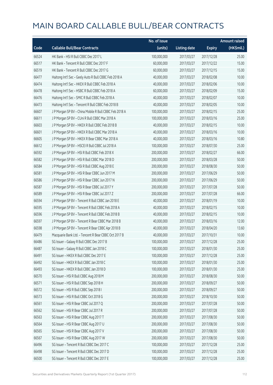|       |                                                        | No. of issue |                     |               | <b>Amount raised</b> |
|-------|--------------------------------------------------------|--------------|---------------------|---------------|----------------------|
| Code  | <b>Callable Bull/Bear Contracts</b>                    | (units)      | <b>Listing date</b> | <b>Expiry</b> | (HK\$mil.)           |
| 66524 | HK Bank - HSI R Bull CBBC Dec 2017 L                   | 100,000,000  | 2017/03/27          | 2017/12/28    | 25.00                |
| 66517 | HK Bank - Tencent R Bull CBBC Dec 2017 F               | 60,000,000   | 2017/03/27          | 2017/12/22    | 15.00                |
| 66519 | HK Bank - Tencent R Bull CBBC Dec 2017 G               | 60,000,000   | 2017/03/27          | 2017/12/15    | 15.00                |
| 66477 | Haitong Int'l Sec - Geely Auto R Bull CBBC Feb 2018 A  | 40,000,000   | 2017/03/27          | 2018/02/08    | 10.00                |
| 66474 | Haitong Int'l Sec - HKEX R Bull CBBC Feb 2018 A        | 40,000,000   | 2017/03/27          | 2018/02/06    | 10.00                |
| 66478 | Haitong Int'l Sec - HSBC R Bull CBBC Feb 2018 A        | 60,000,000   | 2017/03/27          | 2018/02/09    | 15.00                |
| 66476 | Haitong Int'l Sec - SMIC R Bull CBBC Feb 2018 A        | 40,000,000   | 2017/03/27          | 2018/02/07    | 10.00                |
| 66473 | Haitong Int'l Sec - Tencent R Bull CBBC Feb 2018 B     | 40,000,000   | 2017/03/27          | 2018/02/05    | 10.00                |
| 66607 | J P Morgan SP BV - China Mobile R Bull CBBC Feb 2018 A | 100,000,000  | 2017/03/27          | 2018/02/15    | 25.00                |
| 66611 | J P Morgan SP BV - CUni R Bull CBBC Mar 2018 A         | 100,000,000  | 2017/03/27          | 2018/03/16    | 25.00                |
| 66603 | J P Morgan SP BV - HKEX R Bull CBBC Feb 2018 B         | 40,000,000   | 2017/03/27          | 2018/02/15    | 10.00                |
| 66601 | J P Morgan SP BV - HKEX R Bull CBBC Mar 2018 A         | 40,000,000   | 2017/03/27          | 2018/03/16    | 10.00                |
| 66605 | J P Morgan SP BV - HKEX R Bear CBBC Mar 2018 A         | 40,000,000   | 2017/03/27          | 2018/03/16    | 10.80                |
| 66612 | J P Morgan SP BV - HSCEI R Bull CBBC Jul 2018 A        | 100,000,000  | 2017/03/27          | 2018/07/30    | 25.00                |
| 66592 | J P Morgan SP BV - HSI R Bull CBBC Feb 2018 X          | 200,000,000  | 2017/03/27          | 2018/02/27    | 66.00                |
| 66582 | J P Morgan SP BV - HSI R Bull CBBC Mar 2018 D          | 200,000,000  | 2017/03/27          | 2018/03/28    | 50.00                |
| 66584 | J P Morgan SP BV - HSI R Bull CBBC Aug 2018 E          | 200,000,000  | 2017/03/27          | 2018/08/30    | 50.00                |
| 66581 | J P Morgan SP BV - HSI R Bear CBBC Jun 2017 M          | 200,000,000  | 2017/03/27          | 2017/06/29    | 50.00                |
| 66586 | J P Morgan SP BV - HSI R Bear CBBC Jun 2017 N          | 200,000,000  | 2017/03/27          | 2017/06/29    | 50.00                |
| 66587 | J P Morgan SP BV - HSI R Bear CBBC Jul 2017 Y          | 200,000,000  | 2017/03/27          | 2017/07/28    | 50.00                |
| 66589 | J P Morgan SP BV - HSI R Bear CBBC Jul 2017 Z          | 200,000,000  | 2017/03/27          | 2017/07/28    | 66.00                |
| 66594 | J P Morgan SP BV - Tencent R Bull CBBC Jan 2018 E      | 40,000,000   | 2017/03/27          | 2018/01/19    | 10.00                |
| 66595 | J P Morgan SP BV - Tencent R Bull CBBC Feb 2018 A      | 40,000,000   | 2017/03/27          | 2018/02/15    | 10.00                |
| 66596 | J P Morgan SP BV - Tencent R Bull CBBC Feb 2018 B      | 40,000,000   | 2017/03/27          | 2018/02/15    | 10.00                |
| 66597 | J P Morgan SP BV - Tencent R Bear CBBC Mar 2018 B      | 40,000,000   | 2017/03/27          | 2018/03/16    | 12.00                |
| 66598 | J P Morgan SP BV - Tencent R Bear CBBC Apr 2018 B      | 40,000,000   | 2017/03/27          | 2018/04/20    | 13.60                |
| 66479 | Macquarie Bank Ltd. - Tencent R Bear CBBC Oct 2017 B   | 40,000,000   | 2017/03/27          | 2017/10/31    | 10.00                |
| 66486 | SG Issuer - Galaxy R Bull CBBC Dec 2017 B              | 100,000,000  | 2017/03/27          | 2017/12/28    | 25.00                |
| 66487 | SG Issuer - Galaxy R Bull CBBC Jan 2018 C              | 100,000,000  | 2017/03/27          | 2018/01/30    | 25.00                |
| 66491 | SG Issuer - HKEX R Bull CBBC Dec 2017 E                | 100,000,000  | 2017/03/27          | 2017/12/28    | 25.00                |
| 66492 | SG Issuer - HKEX R Bull CBBC Jan 2018 C                | 100,000,000  | 2017/03/27          | 2018/01/30    | 25.00                |
| 66493 | SG Issuer - HKEX R Bull CBBC Jan 2018 D                | 100,000,000  | 2017/03/27          | 2018/01/30    | 25.00                |
| 66570 | SG Issuer - HSI R Bull CBBC Aug 2018 M                 | 200,000,000  | 2017/03/27          | 2018/08/30    | 50.00                |
| 66571 | SG Issuer - HSI R Bull CBBC Sep 2018 H                 | 200,000,000  | 2017/03/27          | 2018/09/27    | 50.00                |
| 66572 | SG Issuer - HSI R Bull CBBC Sep 2018 I                 | 200,000,000  | 2017/03/27          | 2018/09/27    | 50.00                |
| 66573 | SG Issuer - HSI R Bull CBBC Oct 2018 G                 | 200,000,000  | 2017/03/27          | 2018/10/30    | 50.00                |
| 66561 | SG Issuer - HSI R Bear CBBC Jul 2017 Q                 | 200,000,000  | 2017/03/27          | 2017/07/28    | 50.00                |
| 66562 | SG Issuer - HSI R Bear CBBC Jul 2017 R                 | 200,000,000  | 2017/03/27          | 2017/07/28    | 50.00                |
| 66563 | SG Issuer - HSI R Bear CBBC Aug 2017 T                 | 200,000,000  | 2017/03/27          | 2017/08/30    | 50.00                |
| 66564 | SG Issuer - HSI R Bear CBBC Aug 2017 U                 | 200,000,000  | 2017/03/27          | 2017/08/30    | 50.00                |
| 66565 | SG Issuer - HSI R Bear CBBC Aug 2017 V                 | 200,000,000  | 2017/03/27          | 2017/08/30    | 50.00                |
| 66567 | SG Issuer - HSI R Bear CBBC Aug 2017 W                 | 200,000,000  | 2017/03/27          | 2017/08/30    | 50.00                |
| 66496 | SG Issuer - Tencent R Bull CBBC Dec 2017 C             | 100,000,000  | 2017/03/27          | 2017/12/28    | 25.00                |
| 66498 | SG Issuer - Tencent R Bull CBBC Dec 2017 D             | 100,000,000  | 2017/03/27          | 2017/12/28    | 25.00                |
| 66500 | SG Issuer - Tencent R Bull CBBC Dec 2017 E             | 100,000,000  | 2017/03/27          | 2017/12/28    | 25.00                |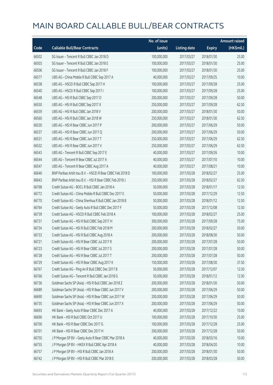|       |                                                            | No. of issue |                     |               | <b>Amount raised</b> |
|-------|------------------------------------------------------------|--------------|---------------------|---------------|----------------------|
| Code  | <b>Callable Bull/Bear Contracts</b>                        | (units)      | <b>Listing date</b> | <b>Expiry</b> | (HK\$mil.)           |
| 66502 | SG Issuer - Tencent R Bull CBBC Jan 2018 D                 | 100,000,000  | 2017/03/27          | 2018/01/30    | 25.00                |
| 66503 | SG Issuer - Tencent R Bull CBBC Jan 2018 E                 | 100,000,000  | 2017/03/27          | 2018/01/30    | 25.00                |
| 66506 | SG Issuer - Tencent R Bull CBBC Jan 2018 F                 | 100,000,000  | 2017/03/27          | 2018/01/30    | 25.00                |
| 66577 | UBS AG - China Mobile R Bull CBBC Sep 2017 A               | 40,000,000   | 2017/03/27          | 2017/09/25    | 10.00                |
| 66538 | UBS AG - HSCEI R Bull CBBC Sep 2017 H                      | 100,000,000  | 2017/03/27          | 2017/09/28    | 25.00                |
| 66540 | UBS AG - HSCEI R Bull CBBC Sep 2017 I                      | 100,000,000  | 2017/03/27          | 2017/09/28    | 25.00                |
| 66548 | UBS AG - HSI R Bull CBBC Sep 2017 O                        | 200,000,000  | 2017/03/27          | 2017/09/28    | 50.00                |
| 66550 | UBS AG - HSI R Bull CBBC Sep 2017 X                        | 250,000,000  | 2017/03/27          | 2017/09/28    | 62.50                |
| 66559 | UBS AG - HSI R Bull CBBC Jan 2018 V                        | 200,000,000  | 2017/03/27          | 2018/01/30    | 50.00                |
| 66560 | UBS AG - HSI R Bull CBBC Jan 2018 W                        | 250,000,000  | 2017/03/27          | 2018/01/30    | 62.50                |
| 66530 | UBS AG - HSI R Bear CBBC Jun 2017 P                        | 200,000,000  | 2017/03/27          | 2017/06/29    | 50.00                |
| 66537 | UBS AG - HSI R Bear CBBC Jun 2017 Q                        | 200,000,000  | 2017/03/27          | 2017/06/29    | 50.00                |
| 66531 | UBS AG - HSI R Bear CBBC Jun 2017 T                        | 250,000,000  | 2017/03/27          | 2017/06/29    | 62.50                |
| 66532 | UBS AG - HSI R Bear CBBC Jun 2017 V                        | 250,000,000  | 2017/03/27          | 2017/06/29    | 62.50                |
| 66543 | UBS AG - Tencent R Bull CBBC Sep 2017 E                    | 40,000,000   | 2017/03/27          | 2017/09/26    | 10.00                |
| 66544 | UBS AG - Tencent R Bear CBBC Jul 2017 A                    | 40,000,000   | 2017/03/27          | 2017/07/10    | 10.00                |
| 66547 | UBS AG - Tencent R Bear CBBC Aug 2017 A                    | 40,000,000   | 2017/03/27          | 2017/08/21    | 10.00                |
| 66646 | BNP Paribas Arbit Issu B.V. - HSCEI R Bear CBBC Feb 2018 D | 100,000,000  | 2017/03/28          | 2018/02/27    | 25.00                |
| 66643 | BNP Paribas Arbit Issu B.V. - HSI R Bear CBBC Feb 2018 J   | 250,000,000  | 2017/03/28          | 2018/02/27    | 62.50                |
| 66768 | Credit Suisse AG - BOCL R Bull CBBC Jan 2018 A             | 50,000,000   | 2017/03/28          | 2018/01/17    | 12.50                |
| 66772 | Credit Suisse AG - China Mobile R Bull CBBC Dec 2017 E     | 50,000,000   | 2017/03/28          | 2017/12/29    | 12.50                |
| 66770 | Credit Suisse AG - China Shenhua R Bull CBBC Jan 2018 B    | 50,000,000   | 2017/03/28          | 2018/01/12    | 12.50                |
| 66764 | Credit Suisse AG - Geely Auto R Bull CBBC Dec 2017 F       | 50,000,000   | 2017/03/28          | 2017/12/08    | 12.50                |
| 66739 | Credit Suisse AG - HSCEI R Bull CBBC Feb 2018 A            | 100,000,000  | 2017/03/28          | 2018/02/27    | 25.00                |
| 66731 | Credit Suisse AG - HSI R Bull CBBC Sep 2017 H              | 300,000,000  | 2017/03/28          | 2017/09/28    | 75.00                |
| 66734 | Credit Suisse AG - HSI R Bull CBBC Feb 2018 M              | 200,000,000  | 2017/03/28          | 2018/02/27    | 50.00                |
| 66733 | Credit Suisse AG - HSI R Bull CBBC Aug 2018 A              | 200,000,000  | 2017/03/28          | 2018/08/30    | 50.00                |
| 66721 | Credit Suisse AG - HSI R Bear CBBC Jul 2017 R              | 200,000,000  | 2017/03/28          | 2017/07/28    | 50.00                |
| 66723 | Credit Suisse AG - HSI R Bear CBBC Jul 2017 S              | 200,000,000  | 2017/03/28          | 2017/07/28    | 50.00                |
| 66728 | Credit Suisse AG - HSI R Bear CBBC Jul 2017 T              | 200,000,000  | 2017/03/28          | 2017/07/28    | 50.00                |
| 66729 | Credit Suisse AG - HSI R Bear CBBC Aug 2017 K              | 150,000,000  | 2017/03/28          | 2017/08/30    | 37.50                |
| 66767 | Credit Suisse AG - Ping An R Bull CBBC Dec 2017 B          | 50,000,000   | 2017/03/28          | 2017/12/07    | 12.50                |
| 66766 | Credit Suisse AG - Tencent R Bull CBBC Jan 2018 G          | 50,000,000   | 2017/03/28          | 2018/01/12    | 12.50                |
| 66736 | Goldman Sachs SP (Asia) - HSI R Bull CBBC Jan 2018 Z       | 200,000,000  | 2017/03/28          | 2018/01/30    | 50.00                |
| 66689 | Goldman Sachs SP (Asia) - HSI R Bear CBBC Jun 2017 V       | 200,000,000  | 2017/03/28          | 2017/06/29    | 50.00                |
| 66690 | Goldman Sachs SP (Asia) - HSI R Bear CBBC Jun 2017 W       | 200,000,000  | 2017/03/28          | 2017/06/29    | 50.00                |
| 66735 | Goldman Sachs SP (Asia) - HSI R Bear CBBC Jun 2017 X       | 200,000,000  | 2017/03/28          | 2017/06/29    | 50.00                |
| 66693 | HK Bank - Geely Auto R Bear CBBC Dec 2017 A                | 40,000,000   | 2017/03/28          | 2017/12/22    | 10.00                |
| 66696 | HK Bank - HSI R Bull CBBC Oct 2017 U                       | 100,000,000  | 2017/03/28          | 2017/10/30    | 25.00                |
| 66700 | HK Bank - HSI R Bear CBBC Dec 2017 G                       | 100,000,000  | 2017/03/28          | 2017/12/28    | 25.00                |
| 66701 | HK Bank - HSI R Bear CBBC Dec 2017 H                       | 200,000,000  | 2017/03/28          | 2017/12/28    | 50.00                |
| 66750 | J P Morgan SP BV - Geely Auto R Bear CBBC Mar 2018 A       | 40,000,000   | 2017/03/28          | 2018/03/16    | 10.00                |
| 66755 | J P Morgan SP BV - HKEX R Bull CBBC Apr 2018 A             | 40,000,000   | 2017/03/28          | 2018/04/20    | 10.00                |
| 66757 | J P Morgan SP BV - HSI R Bull CBBC Jan 2018 A              | 200,000,000  | 2017/03/28          | 2018/01/30    | 50.00                |
| 66742 | J P Morgan SP BV - HSI R Bull CBBC Mar 2018 E              | 200,000,000  | 2017/03/28          | 2018/03/28    | 50.00                |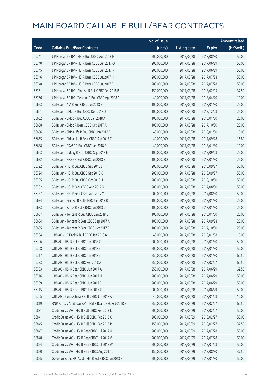|       |                                                          | No. of issue |                     |               | <b>Amount raised</b> |
|-------|----------------------------------------------------------|--------------|---------------------|---------------|----------------------|
| Code  | <b>Callable Bull/Bear Contracts</b>                      | (units)      | <b>Listing date</b> | <b>Expiry</b> | (HK\$mil.)           |
| 66741 | J P Morgan SP BV - HSI R Bull CBBC Aug 2018 F            | 200,000,000  | 2017/03/28          | 2018/08/30    | 50.00                |
| 66740 | J P Morgan SP BV - HSI R Bear CBBC Jun 2017 O            | 200,000,000  | 2017/03/28          | 2017/06/29    | 50.00                |
| 66745 | J P Morgan SP BV - HSI R Bear CBBC Jun 2017 P            | 200,000,000  | 2017/03/28          | 2017/06/29    | 50.00                |
| 66746 | J P Morgan SP BV - HSI R Bear CBBC Jul 2017 H            | 200,000,000  | 2017/03/28          | 2017/07/28    | 50.00                |
| 66748 | J P Morgan SP BV - HSI R Bear CBBC Jul 2017 P            | 200,000,000  | 2017/03/28          | 2017/07/28    | 58.00                |
| 66751 | J P Morgan SP BV - Ping An R Bull CBBC Feb 2018 B        | 150,000,000  | 2017/03/28          | 2018/02/15    | 37.50                |
| 66756 | J P Morgan SP BV - Tencent R Bull CBBC Apr 2018 A        | 40,000,000   | 2017/03/28          | 2018/04/20    | 10.00                |
| 66653 | SG Issuer - AIA R Bull CBBC Jan 2018 B                   | 100,000,000  | 2017/03/28          | 2018/01/30    | 25.00                |
| 66661 | SG Issuer - CMob R Bull CBBC Dec 2017 D                  | 100,000,000  | 2017/03/28          | 2017/12/28    | 25.00                |
| 66662 | SG Issuer - CMob R Bull CBBC Jan 2018 A                  | 100,000,000  | 2017/03/28          | 2018/01/30    | 25.00                |
| 66658 | SG Issuer - CMob R Bear CBBC Oct 2017 A                  | 100,000,000  | 2017/03/28          | 2017/10/30    | 25.00                |
| 66656 | SG Issuer - China Life R Bull CBBC Jan 2018 B            | 40,000,000   | 2017/03/28          | 2018/01/30    | 10.00                |
| 66655 | SG Issuer - China Life R Bear CBBC Sep 2017 C            | 40,000,000   | 2017/03/28          | 2017/09/28    | 16.80                |
| 66688 | SG Issuer - CSA50 R Bull CBBC Jan 2018 A                 | 40,000,000   | 2017/03/28          | 2018/01/30    | 10.00                |
| 66663 | SG Issuer - Galaxy R Bear CBBC Sep 2017 E                | 100,000,000  | 2017/03/28          | 2017/09/28    | 25.00                |
| 66672 | SG Issuer - HKEX R Bull CBBC Jan 2018 E                  | 100,000,000  | 2017/03/28          | 2018/01/30    | 25.00                |
| 66792 | SG Issuer - HSI R Bull CBBC Sep 2018 J                   | 200,000,000  | 2017/03/28          | 2018/09/27    | 50.00                |
| 66794 | SG Issuer - HSI R Bull CBBC Sep 2018 K                   | 200,000,000  | 2017/03/28          | 2018/09/27    | 50.00                |
| 66795 | SG Issuer - HSI R Bull CBBC Oct 2018 H                   | 200,000,000  | 2017/03/28          | 2018/10/30    | 50.00                |
| 66782 | SG Issuer - HSI R Bear CBBC Aug 2017 X                   | 200,000,000  | 2017/03/28          | 2017/08/30    | 50.00                |
| 66787 | SG Issuer - HSI R Bear CBBC Aug 2017 Y                   | 200,000,000  | 2017/03/28          | 2017/08/30    | 50.00                |
| 66674 | SG Issuer - Ping An R Bull CBBC Jan 2018 B               | 100,000,000  | 2017/03/28          | 2018/01/30    | 25.00                |
| 66683 | SG Issuer - Sands R Bull CBBC Jan 2018 D                 | 100,000,000  | 2017/03/28          | 2018/01/30    | 25.00                |
| 66687 | SG Issuer - Tencent R Bull CBBC Jan 2018 G               | 100,000,000  | 2017/03/28          | 2018/01/30    | 25.00                |
| 66684 | SG Issuer - Tencent R Bear CBBC Sep 2017 A               | 100,000,000  | 2017/03/28          | 2017/09/28    | 25.00                |
| 66685 | SG Issuer - Tencent R Bear CBBC Oct 2017 B               | 100,000,000  | 2017/03/28          | 2017/10/30    | 25.00                |
| 66704 | UBS AG - CC Bank R Bull CBBC Jan 2018 A                  | 40,000,000   | 2017/03/28          | 2018/01/08    | 10.00                |
| 66706 | UBS AG - HSI R Bull CBBC Jan 2018 X                      | 200,000,000  | 2017/03/28          | 2018/01/30    | 50.00                |
| 66708 | UBS AG - HSI R Bull CBBC Jan 2018 Y                      | 200,000,000  | 2017/03/28          | 2018/01/30    | 50.00                |
| 66717 | UBS AG - HSI R Bull CBBC Jan 2018 Z                      | 250,000,000  | 2017/03/28          | 2018/01/30    | 62.50                |
| 66773 | UBS AG - HSI R Bull CBBC Feb 2018 A                      | 250,000,000  | 2017/03/28          | 2018/02/27    | 62.50                |
| 66703 | UBS AG - HSI R Bear CBBC Jun 2017 A                      | 250,000,000  | 2017/03/28          | 2017/06/29    | 62.50                |
| 66716 | UBS AG - HSI R Bear CBBC Jun 2017 N                      | 200,000,000  | 2017/03/28          | 2017/06/29    | 50.00                |
| 66709 | UBS AG - HSI R Bear CBBC Jun 2017 S                      | 200,000,000  | 2017/03/28          | 2017/06/29    | 50.00                |
| 66715 | UBS AG - HSI R Bear CBBC Jun 2017 X                      | 200,000,000  | 2017/03/28          | 2017/06/29    | 50.00                |
| 66705 | UBS AG - Sands China R Bull CBBC Jan 2018 A              | 40,000,000   | 2017/03/28          | 2018/01/08    | 10.00                |
| 66819 | BNP Paribas Arbit Issu B.V. - HSI R Bear CBBC Feb 2018 B | 250,000,000  | 2017/03/29          | 2018/02/27    | 62.50                |
| 66831 | Credit Suisse AG - HSI R Bull CBBC Feb 2018 N            | 200,000,000  | 2017/03/29          | 2018/02/27    | 50.00                |
| 66841 | Credit Suisse AG - HSI R Bull CBBC Feb 2018 O            | 200,000,000  | 2017/03/29          | 2018/02/27    | 50.00                |
| 66845 | Credit Suisse AG - HSI R Bull CBBC Feb 2018 P            | 150,000,000  | 2017/03/29          | 2018/02/27    | 37.50                |
| 66847 | Credit Suisse AG - HSI R Bear CBBC Jul 2017 U            | 200,000,000  | 2017/03/29          | 2017/07/28    | 50.00                |
| 66848 | Credit Suisse AG - HSI R Bear CBBC Jul 2017 V            | 200,000,000  | 2017/03/29          | 2017/07/28    | 50.00                |
| 66854 | Credit Suisse AG - HSI R Bear CBBC Jul 2017 W            | 200,000,000  | 2017/03/29          | 2017/07/28    | 50.00                |
| 66850 | Credit Suisse AG - HSI R Bear CBBC Aug 2017 L            | 150,000,000  | 2017/03/29          | 2017/08/30    | 37.50                |
| 66855 | Goldman Sachs SP (Asia) - HSI R Bull CBBC Jan 2018 B     | 200,000,000  | 2017/03/29          | 2018/01/30    | 50.00                |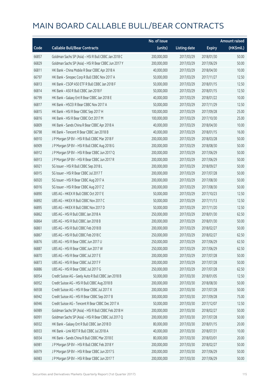|       |                                                      | No. of issue |                     |               | <b>Amount raised</b> |
|-------|------------------------------------------------------|--------------|---------------------|---------------|----------------------|
| Code  | <b>Callable Bull/Bear Contracts</b>                  | (units)      | <b>Listing date</b> | <b>Expiry</b> | (HK\$mil.)           |
| 66857 | Goldman Sachs SP (Asia) - HSI R Bull CBBC Jan 2018 C | 200,000,000  | 2017/03/29          | 2018/01/30    | 50.00                |
| 66829 | Goldman Sachs SP (Asia) - HSI R Bear CBBC Jun 2017 Y | 200,000,000  | 2017/03/29          | 2017/06/29    | 50.00                |
| 66811 | HK Bank - China Mobile R Bear CBBC Apr 2018 A        | 40,000,000   | 2017/03/29          | 2018/04/30    | 10.00                |
| 66797 | HK Bank - Sinopec Corp R Bull CBBC Nov 2017 A        | 50,000,000   | 2017/03/29          | 2017/11/27    | 12.50                |
| 66813 | HK Bank - CSOP A50 ETF R Bull CBBC Jan 2018 F        | 50,000,000   | 2017/03/29          | 2018/01/15    | 12.50                |
| 66814 | HK Bank - A50 R Bull CBBC Jan 2018 F                 | 50,000,000   | 2017/03/29          | 2018/01/15    | 12.50                |
| 66799 | HK Bank - Galaxy Ent R Bear CBBC Jan 2018 E          | 40,000,000   | 2017/03/29          | 2018/01/22    | 10.00                |
| 66817 | HK Bank - HSCEI R Bear CBBC Nov 2017 A               | 50,000,000   | 2017/03/29          | 2017/11/29    | 12.50                |
| 66815 | HK Bank - HSI R Bear CBBC Sep 2017 H                 | 100,000,000  | 2017/03/29          | 2017/09/28    | 25.00                |
| 66816 | HK Bank - HSI R Bear CBBC Oct 2017 M                 | 100,000,000  | 2017/03/29          | 2017/10/30    | 25.00                |
| 66809 | HK Bank - Sands China R Bear CBBC Apr 2018 A         | 40,000,000   | 2017/03/29          | 2018/04/30    | 10.00                |
| 66798 | HK Bank - Tencent R Bear CBBC Jan 2018 B             | 40,000,000   | 2017/03/29          | 2018/01/15    | 16.00                |
| 66910 | JP Morgan SP BV - HSIR Bull CBBC Mar 2018 F          | 200,000,000  | 2017/03/29          | 2018/03/28    | 50.00                |
| 66909 | J P Morgan SP BV - HSI R Bull CBBC Aug 2018 G        | 200,000,000  | 2017/03/29          | 2018/08/30    | 50.00                |
| 66912 | J P Morgan SP BV - HSI R Bear CBBC Jun 2017 Q        | 200,000,000  | 2017/03/29          | 2017/06/29    | 50.00                |
| 66913 | J P Morgan SP BV - HSI R Bear CBBC Jun 2017 R        | 200,000,000  | 2017/03/29          | 2017/06/29    | 50.00                |
| 66921 | SG Issuer - HSI R Bull CBBC Sep 2018 L               | 200,000,000  | 2017/03/29          | 2018/09/27    | 50.00                |
| 66915 | SG Issuer - HSI R Bear CBBC Jul 2017 T               | 200,000,000  | 2017/03/29          | 2017/07/28    | 50.00                |
| 66920 | SG Issuer - HSI R Bear CBBC Aug 2017 A               | 200,000,000  | 2017/03/29          | 2017/08/30    | 50.00                |
| 66916 | SG Issuer - HSI R Bear CBBC Aug 2017 Z               | 200,000,000  | 2017/03/29          | 2017/08/30    | 50.00                |
| 66890 | UBS AG - HKEX R Bull CBBC Oct 2017 E                 | 50,000,000   | 2017/03/29          | 2017/10/23    | 12.50                |
| 66892 | UBS AG - HKEX R Bull CBBC Nov 2017 C                 | 50,000,000   | 2017/03/29          | 2017/11/13    | 12.50                |
| 66895 | UBS AG - HKEX R Bull CBBC Nov 2017 D                 | 50,000,000   | 2017/03/29          | 2017/11/20    | 12.50                |
| 66862 | UBS AG - HSI R Bull CBBC Jan 2018 A                  | 250,000,000  | 2017/03/29          | 2018/01/30    | 62.50                |
| 66864 | UBS AG - HSI R Bull CBBC Jan 2018 B                  | 200,000,000  | 2017/03/29          | 2018/01/30    | 50.00                |
| 66861 | UBS AG - HSI R Bull CBBC Feb 2018 B                  | 200,000,000  | 2017/03/29          | 2018/02/27    | 50.00                |
| 66867 | UBS AG - HSI R Bull CBBC Feb 2018 C                  | 250,000,000  | 2017/03/29          | 2018/02/27    | 62.50                |
| 66876 | UBS AG - HSI R Bear CBBC Jun 2017 U                  | 250,000,000  | 2017/03/29          | 2017/06/29    | 62.50                |
| 66887 | UBS AG - HSI R Bear CBBC Jun 2017 W                  | 250,000,000  | 2017/03/29          | 2017/06/29    | 62.50                |
| 66870 | UBS AG - HSI R Bear CBBC Jul 2017 E                  | 200,000,000  | 2017/03/29          | 2017/07/28    | 50.00                |
| 66873 | UBS AG - HSI R Bear CBBC Jul 2017 F                  | 200,000,000  | 2017/03/29          | 2017/07/28    | 50.00                |
| 66886 | UBS AG - HSI R Bear CBBC Jul 2017 G                  | 250,000,000  | 2017/03/29          | 2017/07/28    | 62.50                |
| 66954 | Credit Suisse AG - Geely Auto R Bull CBBC Jan 2018 B | 50,000,000   | 2017/03/30          | 2018/01/05    | 12.50                |
| 66952 | Credit Suisse AG - HSI R Bull CBBC Aug 2018 B        | 200,000,000  | 2017/03/30          | 2018/08/30    | 50.00                |
| 66938 | Credit Suisse AG - HSI R Bear CBBC Jul 2017 X        | 200,000,000  | 2017/03/30          | 2017/07/28    | 50.00                |
| 66942 | Credit Suisse AG - HSI R Bear CBBC Sep 2017 B        | 300,000,000  | 2017/03/30          | 2017/09/28    | 75.00                |
| 66946 | Credit Suisse AG - Tencent R Bear CBBC Dec 2017 A    | 50,000,000   | 2017/03/30          | 2017/12/07    | 12.50                |
| 66989 | Goldman Sachs SP (Asia) - HSI R Bull CBBC Feb 2018 H | 200,000,000  | 2017/03/30          | 2018/02/27    | 50.00                |
| 66991 | Goldman Sachs SP (Asia) - HSI R Bear CBBC Jul 2017 Q | 200,000,000  | 2017/03/30          | 2017/07/28    | 50.00                |
| 66932 | HK Bank - Galaxy Ent R Bull CBBC Jan 2018 D          | 80,000,000   | 2017/03/30          | 2018/01/15    | 20.00                |
| 66933 | HK Bank - Link REIT R Bull CBBC Jul 2018 A           | 40,000,000   | 2017/03/30          | 2018/07/31    | 10.00                |
| 66934 | HK Bank - Sands China R Bull CBBC Mar 2018 E         | 80,000,000   | 2017/03/30          | 2018/03/01    | 20.00                |
| 66981 | J P Morgan SP BV - HSI R Bull CBBC Feb 2018 Y        | 200,000,000  | 2017/03/30          | 2018/02/27    | 50.00                |
| 66979 | J P Morgan SP BV - HSI R Bear CBBC Jun 2017 S        | 200,000,000  | 2017/03/30          | 2017/06/29    | 50.00                |
| 66983 | J P Morgan SP BV - HSI R Bear CBBC Jun 2017 T        | 200,000,000  | 2017/03/30          | 2017/06/29    | 50.00                |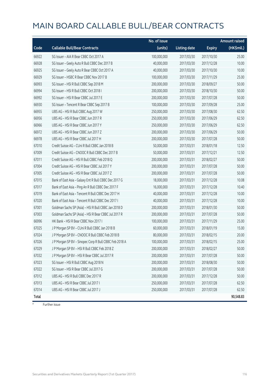|       |                                                        | No. of issue |                     |               | Amount raised |
|-------|--------------------------------------------------------|--------------|---------------------|---------------|---------------|
| Code  | <b>Callable Bull/Bear Contracts</b>                    | (units)      | <b>Listing date</b> | <b>Expiry</b> | (HK\$mil.)    |
| 66922 | SG Issuer - AIA R Bear CBBC Oct 2017 A                 | 100,000,000  | 2017/03/30          | 2017/10/30    | 25.00         |
| 66928 | SG Issuer - Geely Auto R Bull CBBC Dec 2017 B          | 40,000,000   | 2017/03/30          | 2017/12/28    | 10.00         |
| 66925 | SG Issuer - Geely Auto R Bear CBBC Oct 2017 A          | 40,000,000   | 2017/03/30          | 2017/10/30    | 10.00         |
| 66929 | SG Issuer - HSBC R Bear CBBC Nov 2017 B                | 100,000,000  | 2017/03/30          | 2017/11/29    | 25.00         |
| 66993 | SG Issuer - HSI R Bull CBBC Sep 2018 M                 | 200,000,000  | 2017/03/30          | 2018/09/27    | 50.00         |
| 66994 | SG Issuer - HSI R Bull CBBC Oct 2018 I                 | 200,000,000  | 2017/03/30          | 2018/10/30    | 50.00         |
| 66992 | SG Issuer - HSI R Bear CBBC Jul 2017 E                 | 200,000,000  | 2017/03/30          | 2017/07/28    | 50.00         |
| 66930 | SG Issuer - Tencent R Bear CBBC Sep 2017 B             | 100,000,000  | 2017/03/30          | 2017/09/28    | 25.00         |
| 66955 | UBS AG - HSI R Bull CBBC Aug 2017 W                    | 250,000,000  | 2017/03/30          | 2017/08/30    | 62.50         |
| 66956 | UBS AG - HSI R Bear CBBC Jun 2017 R                    | 250,000,000  | 2017/03/30          | 2017/06/29    | 62.50         |
| 66966 | UBS AG - HSI R Bear CBBC Jun 2017 Y                    | 250,000,000  | 2017/03/30          | 2017/06/29    | 62.50         |
| 66972 | UBS AG - HSI R Bear CBBC Jun 2017 Z                    | 200,000,000  | 2017/03/30          | 2017/06/29    | 50.00         |
| 66978 | UBS AG - HSI R Bear CBBC Jul 2017 H                    | 200,000,000  | 2017/03/30          | 2017/07/28    | 50.00         |
| 67010 | Credit Suisse AG - CUni R Bull CBBC Jan 2018 B         | 50,000,000   | 2017/03/31          | 2018/01/18    | 12.50         |
| 67009 | Credit Suisse AG - CNOOC R Bull CBBC Dec 2017 B        | 50,000,000   | 2017/03/31          | 2017/12/21    | 12.50         |
| 67011 | Credit Suisse AG - HSI R Bull CBBC Feb 2018 Q          | 200,000,000  | 2017/03/31          | 2018/02/27    | 50.00         |
| 67004 | Credit Suisse AG - HSI R Bear CBBC Jul 2017 Y          | 200,000,000  | 2017/03/31          | 2017/07/28    | 50.00         |
| 67005 | Credit Suisse AG - HSI R Bear CBBC Jul 2017 Z          | 200,000,000  | 2017/03/31          | 2017/07/28    | 50.00         |
| 67015 | Bank of East Asia - Galaxy Ent R Bull CBBC Dec 2017 G  | 18,000,000   | 2017/03/31          | 2017/12/28    | 10.08         |
| 67017 | Bank of East Asia - Ping An R Bull CBBC Dec 2017 F     | 16,000,000   | 2017/03/31          | 2017/12/28    | 10.40         |
| 67019 | Bank of East Asia - Tencent R Bull CBBC Dec 2017 H     | 40,000,000   | 2017/03/31          | 2017/12/28    | 10.00         |
| 67020 | Bank of East Asia - Tencent R Bull CBBC Dec 2017 I     | 40,000,000   | 2017/03/31          | 2017/12/28    | 10.00         |
| 67001 | Goldman Sachs SP (Asia) - HSI R Bull CBBC Jan 2018 D   | 200,000,000  | 2017/03/31          | 2018/01/30    | 50.00         |
| 67003 | Goldman Sachs SP (Asia) - HSI R Bear CBBC Jul 2017 R   | 200,000,000  | 2017/03/31          | 2017/07/28    | 50.00         |
| 66996 | HK Bank - HSI R Bear CBBC Nov 2017 I                   | 100,000,000  | 2017/03/31          | 2017/11/29    | 25.00         |
| 67025 | J P Morgan SP BV - CUni R Bull CBBC Jan 2018 B         | 60,000,000   | 2017/03/31          | 2018/01/19    | 15.00         |
| 67024 | J P Morgan SP BV - CNOOC R Bull CBBC Feb 2018 B        | 80,000,000   | 2017/03/31          | 2018/02/15    | 20.00         |
| 67026 | J P Morgan SP BV - Sinopec Corp R Bull CBBC Feb 2018 A | 100,000,000  | 2017/03/31          | 2018/02/15    | 25.00         |
| 67029 | J P Morgan SP BV - HSI R Bull CBBC Feb 2018 Z          | 200,000,000  | 2017/03/31          | 2018/02/27    | 50.00         |
| 67032 | J P Morgan SP BV - HSI R Bear CBBC Jul 2017 R          | 200,000,000  | 2017/03/31          | 2017/07/28    | 50.00         |
| 67023 | SG Issuer - HSI R Bull CBBC Aug 2018 N                 | 200,000,000  | 2017/03/31          | 2018/08/30    | 50.00         |
| 67022 | SG Issuer - HSI R Bear CBBC Jul 2017 G                 | 200,000,000  | 2017/03/31          | 2017/07/28    | 50.00         |
| 67012 | UBS AG - HSI R Bull CBBC Dec 2017 R                    | 200,000,000  | 2017/03/31          | 2017/12/28    | 50.00         |
| 67013 | UBS AG - HSI R Bear CBBC Jul 2017 I                    | 250,000,000  | 2017/03/31          | 2017/07/28    | 62.50         |
| 67014 | UBS AG - HSI R Bear CBBC Jul 2017 J                    | 250,000,000  | 2017/03/31          | 2017/07/28    | 62.50         |
| Total |                                                        |              |                     |               | 90,548.83     |

# Further issue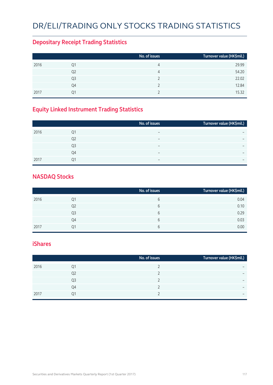# DR/ELI/TRADING ONLY STOCKS TRADING STATISTICS

### **Depositary Receipt Trading Statistics**

|      |                | No. of issues | Turnover value (HK\$mil.) |
|------|----------------|---------------|---------------------------|
| 2016 | Q1             | 4             | 29.99                     |
|      | Q <sub>2</sub> | 4             | 54.20                     |
|      | Q <sub>3</sub> |               | 22.02                     |
|      | Q4             |               | 12.84                     |
| 2017 | Q1             |               | 15.32                     |

## **Equity Linked Instrument Trading Statistics**

|      |                | No. of issues            | Turnover value (HK\$mil.) |
|------|----------------|--------------------------|---------------------------|
| 2016 | Q1             | $\overline{\phantom{0}}$ |                           |
|      | Q <sub>2</sub> | $\overline{\phantom{0}}$ | -                         |
|      | Q3             | $\overline{\phantom{0}}$ | -                         |
|      | Q4             | $\overline{\phantom{0}}$ |                           |
| 2017 | 01             | $\overline{\phantom{0}}$ | -                         |

### **NASDAQ Stocks**

|      |    | No. of issues | Turnover value (HK\$mil.) |
|------|----|---------------|---------------------------|
| 2016 | Q1 | 6             | 0.04                      |
|      | Q2 | 6             | 0.10                      |
|      | Q3 | 6             | 0.29                      |
|      | Q4 | 6             | 0.03                      |
| 2017 | Ο1 | 6             | 0.00                      |

### **iShares**

|      |                | No. of issues | Turnover value (HK\$mil.) |
|------|----------------|---------------|---------------------------|
| 2016 | Q1             |               | -                         |
|      | Q <sub>2</sub> |               | $\overline{\phantom{0}}$  |
|      | Q3             |               | $\overline{\phantom{0}}$  |
|      | Q4             |               | -                         |
| 2017 | Q1             |               | $\overline{\phantom{0}}$  |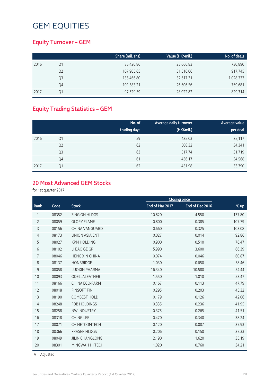### **Equity Turnover – GEM**

|      |    | Share (mil. shs) | Value (HK\$mil.) | No. of deals |
|------|----|------------------|------------------|--------------|
| 2016 | Q1 | 85,420.86        | 25,666.83        | 730,890      |
|      | Q2 | 107,905.65       | 31,516.06        | 917,745      |
|      | Q3 | 135,466.80       | 32,617.31        | 1,028,333    |
|      | Q4 | 101,583.21       | 26,606.56        | 769,681      |
| 2017 | Q1 | 97,529.59        | 28,022.82        | 829,314      |

## **Equity Trading Statistics – GEM**

|      |                | No. of<br>trading days | Average daily turnover<br>(HK\$mil.) | <b>Average value</b><br>per deal |
|------|----------------|------------------------|--------------------------------------|----------------------------------|
| 2016 | Q1             | 59                     | 435.03                               | 35,117                           |
|      | Q <sub>2</sub> | 62                     | 508.32                               | 34,341                           |
|      | Q <sub>3</sub> | 63                     | 517.74                               | 31,719                           |
|      | Q4             | 61                     | 436.17                               | 34,568                           |
| 2017 | Q1             | 62                     | 451.98                               | 33,790                           |

#### **20 Most Advanced GEM Stocks**

for 1st quarter 2017

|                |       |                        |                 | <b>Closing price</b> |        |  |
|----------------|-------|------------------------|-----------------|----------------------|--------|--|
| Rank           | Code  | <b>Stock</b>           | End of Mar 2017 | End of Dec 2016      | $%$ up |  |
| 1              | 08352 | SING ON HLDGS          | 10.820          | 4.550                | 137.80 |  |
| $\overline{2}$ | 08059 | <b>GLORY FLAME</b>     | 0.800           | 0.385                | 107.79 |  |
| 3              | 08156 | CHINA VANGUARD         | 0.660           | 0.325                | 103.08 |  |
| 4              | 08173 | <b>UNION ASIA ENT</b>  | 0.027           | 0.014                | 92.86  |  |
| 5              | 08027 | <b>KPM HOLDING</b>     | 0.900           | 0.510                | 76.47  |  |
| 6              | 08102 | LI BAO GE GP           | 5.990           | 3.600                | 66.39  |  |
| 7              | 08046 | <b>HENG XIN CHINA</b>  | 0.074           | 0.046                | 60.87  |  |
| 8              | 08137 | <b>HONBRIDGE</b>       | 1.030           | 0.650                | 58.46  |  |
| 9              | 08058 | <b>LUOXIN PHARMA</b>   | 16.340          | 10.580               | 54.44  |  |
| 10             | 08093 | ODELLALEATHER          | 1.550           | 1.010                | 53.47  |  |
| 11             | 08166 | CHINA ECO-FARM         | 0.167           | 0.113                | 47.79  |  |
| 12             | 08018 | <b>FINSOFT FIN</b>     | 0.295           | 0.203                | 45.32  |  |
| 13             | 08190 | <b>COMBEST HOLD</b>    | 0.179           | 0.126                | 42.06  |  |
| 14             | 08248 | <b>FDB HOLDINGS</b>    | 0.335           | 0.236                | 41.95  |  |
| 15             | 08258 | <b>NW INDUSTRY</b>     | 0.375           | 0.265                | 41.51  |  |
| 16             | 08318 | <b>CHING LEE</b>       | 0.470           | 0.340                | 38.24  |  |
| 17             | 08071 | CH NETCOMTECH          | 0.120           | 0.087                | 37.93  |  |
| 18             | 08366 | <b>FRASER HLDGS</b>    | 0.206           | 0.150                | 37.33  |  |
| 19             | 08049 | <b>JILIN CHANGLONG</b> | 2.190           | 1.620                | 35.19  |  |
| 20             | 08301 | MINGWAH HI TECH        | 1.020           | 0.760                | 34.21  |  |

A Adjusted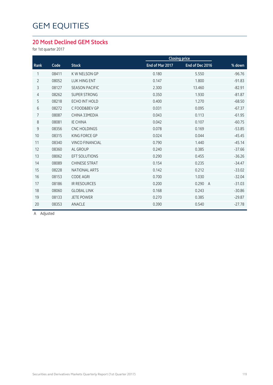### **20 Most Declined GEM Stocks**

for 1st quarter 2017

|                |       |                        |                 | <b>Closing price</b>    |          |
|----------------|-------|------------------------|-----------------|-------------------------|----------|
| Rank           | Code  | <b>Stock</b>           | End of Mar 2017 | End of Dec 2016         | % down   |
| 1              | 08411 | K W NELSON GP          | 0.180           | 5.550                   | $-96.76$ |
| $\overline{2}$ | 08052 | <b>LUK HING ENT</b>    | 0.147           | 1.800                   | $-91.83$ |
| 3              | 08127 | <b>SEASON PACIFIC</b>  | 2.300           | 13.460                  | $-82.91$ |
| $\overline{4}$ | 08262 | <b>SUPER STRONG</b>    | 0.350           | 1.930                   | $-81.87$ |
| 5              | 08218 | ECHO INT HOLD          | 0.400           | 1.270                   | $-68.50$ |
| 6              | 08272 | C FOOD&BEV GP          | 0.031           | 0.095                   | $-67.37$ |
| $\overline{7}$ | 08087 | CHINA 33MEDIA          | 0.043           | 0.113                   | $-61.95$ |
| 8              | 08081 | <b>IE CHINA</b>        | 0.042           | 0.107                   | $-60.75$ |
| 9              | 08356 | <b>CNC HOLDINGS</b>    | 0.078           | 0.169                   | $-53.85$ |
| 10             | 08315 | <b>KING FORCE GP</b>   | 0.024           | 0.044                   | $-45.45$ |
| 11             | 08340 | <b>VINCO FINANCIAL</b> | 0.790           | 1.440                   | $-45.14$ |
| 12             | 08360 | AL GROUP               | 0.240           | 0.385                   | $-37.66$ |
| 13             | 08062 | <b>EFT SOLUTIONS</b>   | 0.290           | 0.455                   | $-36.26$ |
| 14             | 08089 | <b>CHINESE STRAT</b>   | 0.154           | 0.235                   | $-34.47$ |
| 15             | 08228 | <b>NATIONAL ARTS</b>   | 0.142           | 0.212                   | $-33.02$ |
| 16             | 08153 | <b>CODE AGRI</b>       | 0.700           | 1.030                   | $-32.04$ |
| 17             | 08186 | <b>IR RESOURCES</b>    | 0.200           | 0.290<br>$\overline{A}$ | $-31.03$ |
| 18             | 08060 | <b>GLOBAL LINK</b>     | 0.168           | 0.243                   | $-30.86$ |
| 19             | 08133 | <b>JETE POWER</b>      | 0.270           | 0.385                   | $-29.87$ |
| 20             | 08353 | ANACLE                 | 0.390           | 0.540                   | $-27.78$ |
|                |       |                        |                 |                         |          |

A Adjusted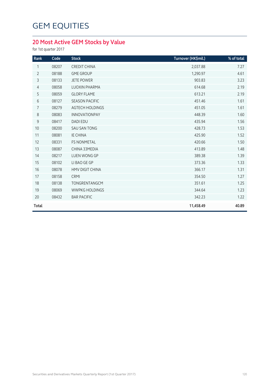## **20 Most Active GEM Stocks by Value**

for 1st quarter 2017

| Rank           | Code  | <b>Stock</b>           | Turnover (HK\$mil.) | % of total |
|----------------|-------|------------------------|---------------------|------------|
| 1              | 08207 | <b>CREDIT CHINA</b>    | 2,037.88            | 7.27       |
| $\overline{2}$ | 08188 | <b>GME GROUP</b>       | 1,290.97            | 4.61       |
| 3              | 08133 | <b>JETE POWER</b>      | 903.83              | 3.23       |
| $\overline{4}$ | 08058 | <b>LUOXIN PHARMA</b>   | 614.68              | 2.19       |
| 5              | 08059 | <b>GLORY FLAME</b>     | 613.21              | 2.19       |
| 6              | 08127 | <b>SEASON PACIFIC</b>  | 451.46              | 1.61       |
| 7              | 08279 | <b>AGTECH HOLDINGS</b> | 451.05              | 1.61       |
| $\,8\,$        | 08083 | INNOVATIONPAY          | 448.39              | 1.60       |
| $\mathsf g$    | 08417 | <b>DADI EDU</b>        | 435.94              | 1.56       |
| 10             | 08200 | <b>SAU SAN TONG</b>    | 428.73              | 1.53       |
| 11             | 08081 | <b>IE CHINA</b>        | 425.90              | 1.52       |
| 12             | 08331 | <b>FS NONMETAL</b>     | 420.66              | 1.50       |
| 13             | 08087 | CHINA 33MEDIA          | 413.89              | 1.48       |
| 14             | 08217 | <b>LUEN WONG GP</b>    | 389.38              | 1.39       |
| 15             | 08102 | LI BAO GE GP           | 373.36              | 1.33       |
| 16             | 08078 | <b>HMV DIGIT CHINA</b> | 366.17              | 1.31       |
| 17             | 08158 | CRMI                   | 354.50              | 1.27       |
| 18             | 08138 | TONGRENTANGCM          | 351.61              | 1.25       |
| 19             | 08069 | <b>WWPKG HOLDINGS</b>  | 344.64              | 1.23       |
| 20             | 08432 | <b>BAR PACIFIC</b>     | 342.23              | 1.22       |
| Total          |       |                        | 11,458.49           | 40.89      |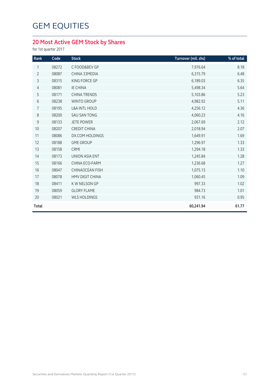## **20 Most Active GEM Stock by Shares**

for 1st quarter 2017

| Rank           | Code  | <b>Stock</b>             | Turnover (mil. shs) | % of total |
|----------------|-------|--------------------------|---------------------|------------|
| 1              | 08272 | C FOOD&BEV GP            | 7,976.64            | 8.18       |
| $\overline{2}$ | 08087 | CHINA 33MEDIA            | 6,315.79            | 6.48       |
| 3              | 08315 | KING FORCE GP            | 6,189.03            | 6.35       |
| $\overline{4}$ | 08081 | <b>IE CHINA</b>          | 5,498.34            | 5.64       |
| 5              | 08171 | <b>CHINA TRENDS</b>      | 5,103.86            | 5.23       |
| 6              | 08238 | <b>WINTO GROUP</b>       | 4,982.92            | 5.11       |
| 7              | 08195 | <b>L&amp;A INTL HOLD</b> | 4,256.12            | 4.36       |
| $\,8\,$        | 08200 | <b>SAU SAN TONG</b>      | 4,060.23            | 4.16       |
| 9              | 08133 | <b>JETE POWER</b>        | 2,067.69            | 2.12       |
| 10             | 08207 | <b>CREDIT CHINA</b>      | 2,018.94            | 2.07       |
| 11             | 08086 | DX.COM HOLDINGS          | 1,649.91            | 1.69       |
| 12             | 08188 | <b>GME GROUP</b>         | 1,296.97            | 1.33       |
| 13             | 08158 | <b>CRMI</b>              | 1,294.18            | 1.33       |
| 14             | 08173 | UNION ASIA ENT           | 1,245.84            | 1.28       |
| 15             | 08166 | CHINA ECO-FARM           | 1,236.68            | 1.27       |
| 16             | 08047 | <b>CHINAOCEAN FISH</b>   | 1,075.13            | 1.10       |
| 17             | 08078 | <b>HMV DIGIT CHINA</b>   | 1,060.45            | 1.09       |
| 18             | 08411 | K W NELSON GP            | 997.33              | 1.02       |
| 19             | 08059 | <b>GLORY FLAME</b>       | 984.73              | 1.01       |
| 20             | 08021 | <b>WLS HOLDINGS</b>      | 931.16              | 0.95       |
| <b>Total</b>   |       |                          | 60,241.94           | 61.77      |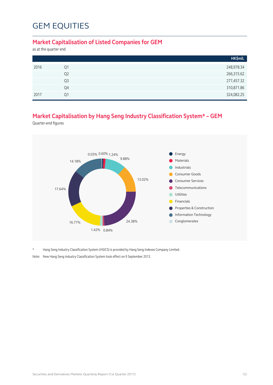#### **Market Capitalisation of Listed Companies for GEM**

as at the quarter end

|      |                | HK\$mil.   |
|------|----------------|------------|
| 2016 | Q1             | 248,978.34 |
|      | Q <sub>2</sub> | 266,315.62 |
|      | Q <sub>3</sub> | 277,457.32 |
|      | Q4             | 310,871.86 |
| 2017 | O <sub>1</sub> | 324,082.25 |

### **Market Capitalisation by Hang Seng Industry Classification System\* – GEM**

Quarter-end figures



\* Hang Seng Industry Classification System (HSICS) is provided by Hang Seng Indexes Company Limited.

Note: New Hang Seng Industry Classification System took effect on 9 September 2013.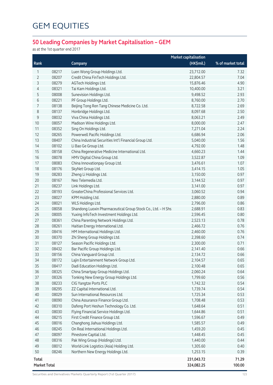## **50 Leading Companies by Market Capitalisation – GEM**

as at the 1st quarter end 2017

|              | <b>Market capitalisation</b> |                                                              |            |                   |
|--------------|------------------------------|--------------------------------------------------------------|------------|-------------------|
| Rank         |                              | Company                                                      | (HK\$mil.) | % of market total |
| 1            | 08217                        | Luen Wong Group Holdings Ltd.                                | 23,712.00  | 7.32              |
| 2            | 08207                        | Credit China FinTech Holdings Ltd.                           | 22,804.57  | 7.04              |
| 3            | 08279                        | AGTech Holdings Ltd.                                         | 15,876.46  | 4.90              |
| 4            | 08321                        | Tai Kam Holdings Ltd.                                        | 10,400.00  | 3.21              |
| 5            | 08008                        | Sunevision Holdings Ltd.                                     | 9,498.52   | 2.93              |
| 6            | 08221                        | PF Group Holdings Ltd.                                       | 8,760.00   | 2.70              |
| 7            | 08138                        | Beijing Tong Ren Tang Chinese Medicine Co. Ltd.              | 8,722.58   | 2.69              |
| 8            | 08137                        | Honbridge Holdings Ltd.                                      | 8,097.68   | 2.50              |
| 9            | 08032                        | Viva China Holdings Ltd.                                     | 8,063.21   | 2.49              |
| $10$         | 08057                        | Madison Wine Holdings Ltd.                                   | 8,000.00   | 2.47              |
| 11           | 08352                        | Sing On Holdings Ltd.                                        | 7,271.04   | 2.24              |
| 12           | 08265                        | Powerwell Pacific Holdings Ltd.                              | 6,686.94   | 2.06              |
| 13           | 08407                        | China Industrial Securities Int'l Financial Group Ltd.       | 5,040.00   | 1.56              |
| 14           | 08102                        | Li Bao Ge Group Ltd.                                         | 4,792.00   | 1.48              |
| 15           | 08158                        | China Regenerative Medicine International Ltd.               | 4,660.23   | 1.44              |
| 16           | 08078                        | HMV Digital China Group Ltd.                                 | 3,522.87   | 1.09              |
| 17           | 08083                        | China Innovationpay Group Ltd.                               | 3,476.61   | 1.07              |
| 18           | 08176                        | SkyNet Group Ltd.                                            | 3,414.15   | 1.05              |
| 19           | 08283                        | Zheng Li Holdings Ltd.                                       | 3,150.00   | 0.97              |
| 20           | 08167                        | Neo Telemedia Ltd.                                           | 3,144.52   | 0.97              |
| 21           | 08237                        | Link Holdings Ltd.                                           | 3,141.00   | 0.97              |
| 22           | 08193                        | GreaterChina Professional Services Ltd.                      | 3,060.52   | 0.94              |
| 23           | 08027                        | KPM Holding Ltd.                                             | 2,880.00   | 0.89              |
| 24           | 08021                        | WLS Holdings Ltd.                                            | 2,796.00   | 0.86              |
| 25           | 08058                        | Shandong Luoxin Pharmaceutical Group Stock Co., Ltd. - H Shs | 2,688.91   | 0.83              |
| 26           | 08005                        | Yuxing InfoTech Investment Holdings Ltd.                     | 2,596.45   | 0.80              |
| 27           | 08361                        | China Parenting Network Holdings Ltd.                        | 2,523.13   | 0.78              |
| 28           | 08261                        | Haitian Energy International Ltd.                            | 2,466.72   | 0.76              |
| 29           | 08416                        | HM International Holdings Ltd.                               | 2,460.00   | 0.76              |
| 30           | 08370                        | Zhi Sheng Group Holdings Ltd.                                | 2,398.60   | 0.74              |
| 31           | 08127                        | Season Pacific Holdings Ltd.                                 | 2,300.00   | 0.71              |
| 32           | 08432                        | Bar Pacific Group Holdings Ltd.                              | 2,141.40   | 0.66              |
| 33           | 08156                        | China Vanguard Group Ltd.                                    | 2,134.72   | 0.66              |
| 34           | 08172                        | Lajin Entertainment Network Group Ltd.                       | 2,104.57   | 0.65              |
| 35           | 08417                        | Dadi Education Holdings Ltd.                                 | 2,100.48   | 0.65              |
| 36           | 08325                        | China Smartpay Group Holdings Ltd.                           | 2,060.24   | 0.64              |
| 37           | 08326                        | Tonking New Energy Group Holdings Ltd.                       | 1,799.60   | 0.56              |
| 38           | 08233                        | CIG Yangtze Ports PLC                                        | 1,742.32   | 0.54              |
| 39           | 08295                        | ZZ Capital International Ltd.                                | 1,739.74   | 0.54              |
| 40           | 08029                        | Sun International Resources Ltd.                             | 1,725.34   | 0.53              |
| 41           | 08090                        | China Assurance Finance Group Ltd.                           | 1,708.48   | 0.53              |
| 42           | 08310                        | Dafeng Port Heshun Technology Co. Ltd.                       | 1,648.64   | 0.51              |
| 43           | 08030                        | Flying Financial Service Holdings Ltd.                       | 1,644.86   | 0.51              |
| 44           | 08215                        | First Credit Finance Group Ltd.                              | 1,596.67   | 0.49              |
| 45           | 08016                        | Changhong Jiahua Holdings Ltd.                               | 1,585.57   | 0.49              |
| 46           | 08245                        | On Real International Holdings Ltd.                          | 1,459.20   | 0.45              |
| 47           | 08097                        | Pinestone Captial Ltd.                                       | 1,448.45   | 0.45              |
| 48           | 08316                        | Pak Wing Group (Holdings) Ltd.                               | 1,440.00   | 0.44              |
| 49           | 08012                        | World-Link Logistics (Asia) Holding Ltd.                     | 1,305.60   | 0.40              |
| 50           | 08246                        | Northern New Energy Holdings Ltd.                            | 1,253.15   | 0.39              |
| <b>Total</b> |                              |                                                              | 231,043.72 | 71.29             |
|              | Market Total                 |                                                              | 324,082.25 | 100.00            |

Securities and Derivatives Markets Quarterly Report (1st Quarter 2017) 123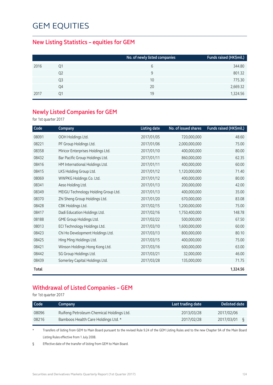#### **New Listing Statistics – equities for GEM**

|      |    | No. of newly listed companies | Funds raised (HK\$mil.) |
|------|----|-------------------------------|-------------------------|
| 2016 | Q1 | $\mathfrak b$                 | 344.80                  |
|      | Q2 | 9                             | 801.32                  |
|      | Q3 | 10                            | 775.30                  |
|      | Q4 | 20                            | 2,669.32                |
| 2017 | 01 | 19                            | 1,324.56                |

### **Newly Listed Companies for GEM**

for 1st quarter 2017

| Code  | Company                             | <b>Listing date</b> | No. of issued shares | Funds raised (HK\$mil.) |
|-------|-------------------------------------|---------------------|----------------------|-------------------------|
| 08091 | OOH Holdings Ltd.                   | 2017/01/05          | 720,000,000          | 48.60                   |
| 08221 | PF Group Holdings Ltd.              | 2017/01/06          | 2,000,000,000        | 75.00                   |
| 08358 | Miricor Enterprises Holdings Ltd.   | 2017/01/10          | 400,000,000          | 80.00                   |
| 08432 | Bar Pacific Group Holdings Ltd.     | 2017/01/11          | 860,000,000          | 62.35                   |
| 08416 | HM International Holdings Ltd.      | 2017/01/11          | 400,000,000          | 60.00                   |
| 08415 | LKS Holding Group Ltd.              | 2017/01/12          | 1,120,000,000        | 71.40                   |
| 08069 | WWPKG Holdings Co. Ltd.             | 2017/01/12          | 400,000,000          | 80.00                   |
| 08341 | Aeso Holding Ltd.                   | 2017/01/13          | 200,000,000          | 42.00                   |
| 08349 | MEIGU Technology Holding Group Ltd. | 2017/01/13          | 400,000,000          | 35.00                   |
| 08370 | Zhi Sheng Group Holdings Ltd.       | 2017/01/20          | 670,000,000          | 83.08                   |
| 08428 | CBK Holdings Ltd.                   | 2017/02/15          | 1,200,000,000        | 75.00                   |
| 08417 | Dadi Education Holdings Ltd.        | 2017/02/16          | 1,750,400,000        | 148.78                  |
| 08188 | GME Group Holdings Ltd.             | 2017/02/22          | 500,000,000          | 67.50                   |
| 08013 | ECI Technology Holdings Ltd.        | 2017/03/10          | 1,600,000,000        | 60.00                   |
| 08423 | Chi Ho Development Holdings Ltd.    | 2017/03/13          | 800,000,000          | 80.10                   |
| 08425 | Hing Ming Holdings Ltd.             | 2017/03/15          | 400,000,000          | 75.00                   |
| 08421 | Winson Holdings Hong Kong Ltd.      | 2017/03/16          | 600,000,000          | 63.00                   |
| 08442 | SG Group Holdings Ltd.              | 2017/03/21          | 32,000,000           | 46.00                   |
| 08439 | Somerley Capital Holdings Ltd.      | 2017/03/28          | 135,000,000          | 71.75                   |
| Total |                                     |                     |                      | 1,324.56                |

### **Withdrawal of Listed Companies – GEM**

for 1st quarter 2017

| Code  | Company                                  | Last trading date | Delisted date |
|-------|------------------------------------------|-------------------|---------------|
| 08096 | Ruifeng Petroleum Chemical Holdings Ltd. | 2013/03/28        | 2017/02/06    |
| 08216 | Bamboos Health Care Holdings Ltd. *      | 2017/02/28        | 2017/03/01    |

\* Transfers of listing from GEM to Main Board pursuant to the revised Rule 9.24 of the GEM Listing Rules and to the new Chapter 9A of the Main Board Listing Rules effective from 1 July 2008.

§ Effective date of the transfer of listing from GEM to Main Board.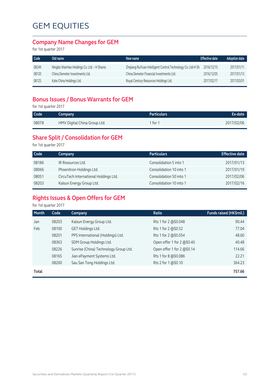#### **Company Name Changes for GEM**

for 1st quarter 2017

| Code  | Old name                                   | New name                                                     | <b>Effective date</b> | <b>Adoption date</b> |
|-------|--------------------------------------------|--------------------------------------------------------------|-----------------------|----------------------|
| 08249 | Ningbo WanHao Holdings Co. Ltd. - H Shares | Zhejiang RuiYuan Intelligent Control Technology Co. Ltd-H Sh | 2016/12/15            | 2017/01/11           |
| 08120 | China Demeter Investments Ltd.             | China Demeter Financial Investments Ltd.                     | 2016/12/05            | 2017/01/13           |
| 08125 | Kate China Holdings Ltd.                   | Royal Century Resources Holdings Ltd.                        | 2017/02/17            | 2017/03/01           |

## **Bonus Issues / Bonus Warrants for GEM**

for 1st quarter 2017

| Code  | Company                      | <b>Particulars</b> | Ex-date    |
|-------|------------------------------|--------------------|------------|
| 08078 | HMV Digital China Group Ltd. | 1 for $1$          | 2017/02/06 |

## **Share Split / Consolidation for GEM**

for 1st quarter 2017

| Code  | Company                               | <b>Particulars</b>      | <b>Effective date</b> |
|-------|---------------------------------------|-------------------------|-----------------------|
| 08186 | IR Resources Ltd.                     | Consolidation 5 into 1  | 2017/01/13            |
| 08066 | Phoenitron Holdings Ltd.              | Consolidation 10 into 1 | 2017/01/19            |
| 08051 | CircuTech International Holdings Ltd. | Consolidation 50 into 1 | 2017/02/06            |
| 08203 | Kaisun Energy Group Ltd.              | Consolidation 10 into 1 | 2017/02/16            |

### **Rights Issues & Open Offers for GEM**

for 1st quarter 2017

| Month | Code  | Company                               | <b>Ratio</b>               | Funds raised (HK\$mil.) |
|-------|-------|---------------------------------------|----------------------------|-------------------------|
| Jan   | 08203 | Kaisun Energy Group Ltd.              | Rts 1 for 2 @\$0.048       | 90.44                   |
| Feb   | 08100 | <b>GET Holdings Ltd.</b>              | Rts 1 for 2 @\$0.52        | 77.04                   |
|       | 08201 | PPS International (Holdings) Ltd.     | Rts 1 for 2 @\$0.054       | 48.60                   |
|       | 08363 | SDM Group Holdings Ltd.               | Open offer 1 for 2 @\$0.40 | 40.48                   |
|       | 08226 | Sunrise (China) Technology Group Ltd. | Open offer 1 for 2 @\$0.14 | 114.66                  |
|       | 08165 | Jian ePayment Systems Ltd.            | Rts 1 for 8 @\$0.086       | 22.21                   |
|       | 08200 | Sau San Tong Holdings Ltd.            | Rts 2 for 1 @\$0.10        | 364.23                  |
| Total |       |                                       |                            | 757.66                  |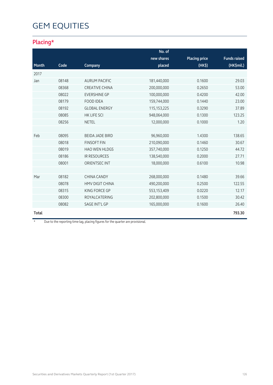## **Placing\***

|       |       |                        | No. of        |                      |                     |
|-------|-------|------------------------|---------------|----------------------|---------------------|
|       |       |                        | new shares    | <b>Placing price</b> | <b>Funds raised</b> |
| Month | Code  | Company                | placed        | $(HK\$               | (HK\$mil.)          |
| 2017  |       |                        |               |                      |                     |
| Jan   | 08148 | <b>AURUM PACIFIC</b>   | 181,440,000   | 0.1600               | 29.03               |
|       | 08368 | <b>CREATIVE CHINA</b>  | 200,000,000   | 0.2650               | 53.00               |
|       | 08022 | <b>EVERSHINE GP</b>    | 100,000,000   | 0.4200               | 42.00               |
|       | 08179 | <b>FOOD IDEA</b>       | 159,744,000   | 0.1440               | 23.00               |
|       | 08192 | <b>GLOBAL ENERGY</b>   | 115, 153, 225 | 0.3290               | 37.89               |
|       | 08085 | <b>HK LIFE SCI</b>     | 948,064,000   | 0.1300               | 123.25              |
|       | 08256 | <b>NETEL</b>           | 12,000,000    | 0.1000               | 1.20                |
|       |       |                        |               |                      |                     |
| Feb   | 08095 | <b>BEIDA JADE BIRD</b> | 96,960,000    | 1.4300               | 138.65              |
|       | 08018 | <b>FINSOFT FIN</b>     | 210,090,000   | 0.1460               | 30.67               |
|       | 08019 | <b>HAO WEN HLDGS</b>   | 357,740,000   | 0.1250               | 44.72               |
|       | 08186 | <b>IR RESOURCES</b>    | 138,540,000   | 0.2000               | 27.71               |
|       | 08001 | ORIENTSEC INT          | 18,000,000    | 0.6100               | 10.98               |
|       |       |                        |               |                      |                     |
| Mar   | 08182 | <b>CHINA CANDY</b>     | 268,000,000   | 0.1480               | 39.66               |
|       | 08078 | <b>HMV DIGIT CHINA</b> | 490,200,000   | 0.2500               | 122.55              |
|       | 08315 | KING FORCE GP          | 553,153,409   | 0.0220               | 12.17               |
|       | 08300 | <b>ROYALCATERING</b>   | 202,800,000   | 0.1500               | 30.42               |
|       | 08082 | SAGE INT'L GP          | 165,000,000   | 0.1600               | 26.40               |
| Total |       |                        |               |                      | 793.30              |

\* Due to the reporting time-lag, placing figures for the quarter are provisional.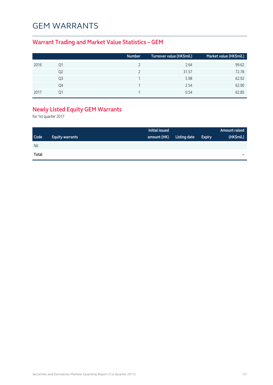## GEM WARRANTS

## **Warrant Trading and Market Value Statistics – GEM**

|      |    | Number | Turnover value (HK\$mil.) | Market value (HK\$mil.) |
|------|----|--------|---------------------------|-------------------------|
| 2016 | Q1 |        | 2.64                      | 99.62                   |
|      | Q2 |        | 31.57                     | 72.78                   |
|      | Q3 |        | 5.98                      | 62.92                   |
|      | Q4 |        | 2.54                      | 62.90                   |
| 2017 | า1 |        | 0.54                      | 62.85                   |

## **Newly Listed Equity GEM Warrants**

for 1st quarter 2017

|       |                        | Initial issued |              |               | <b>Amount raised</b> |
|-------|------------------------|----------------|--------------|---------------|----------------------|
| Code  | <b>Equity warrants</b> | amount (HK)    | Listing date | <b>Expiry</b> | (HK\$mil.)           |
| Nil   |                        |                |              |               |                      |
| Total |                        |                |              |               | $\sim$               |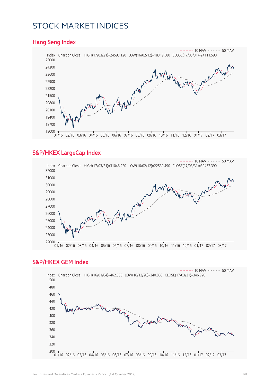## STOCK MARKET INDICES



#### **S&P/HKEX LargeCap Index**



#### **S&P/HKEX GEM Index**

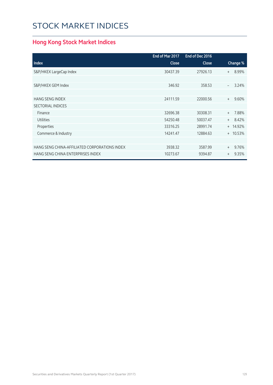## STOCK MARKET INDICES

## **Hong Kong Stock Market Indices**

|                                               | End of Mar 2017 | End of Dec 2016 |                                   |
|-----------------------------------------------|-----------------|-----------------|-----------------------------------|
| <b>Index</b>                                  | <b>Close</b>    | Close           | Change %                          |
| S&P/HKEX LargeCap Index                       | 30437.39        | 27926.13        | 8.99%<br>$+$                      |
|                                               |                 |                 |                                   |
| S&P/HKEX GEM Index                            | 346.92          | 358.53          | 3.24%<br>$\overline{\phantom{0}}$ |
|                                               |                 |                 |                                   |
| <b>HANG SENG INDEX</b>                        | 24111.59        | 22000.56        | 9.60%<br>$+$                      |
| <b>SECTORIAL INDICES</b>                      |                 |                 |                                   |
| Finance                                       | 32696.38        | 30308.31        | 7.88%<br>$+$                      |
| <b>Utilities</b>                              | 54250.48        | 50037.47        | 8.42%<br>$+$                      |
| Properties                                    | 33316.25        | 28991.74        | + 14.92%                          |
| Commerce & Industry                           | 14241.47        | 12884.63        | + 10.53%                          |
|                                               |                 |                 |                                   |
| HANG SENG CHINA-AFFILIATED CORPORATIONS INDEX | 3938.32         | 3587.99         | 9.76%<br>$+$                      |
| HANG SENG CHINA ENTERPRISES INDEX             | 10273.67        | 9394.87         | 9.35%<br>$^{+}$                   |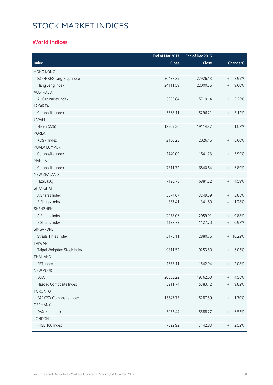# STOCK MARKET INDICES

### **World Indices**

|                             | End of Mar 2017 | End of Dec 2016 |                                  |          |
|-----------------------------|-----------------|-----------------|----------------------------------|----------|
| Index                       | Close           | Close           |                                  | Change % |
| <b>HONG KONG</b>            |                 |                 |                                  |          |
| S&P/HKEX LargeCap Index     | 30437.39        | 27926.13        | $\begin{array}{c} + \end{array}$ | 8.99%    |
| Hang Seng Index             | 24111.59        | 22000.56        | $\begin{array}{c} + \end{array}$ | 9.60%    |
| <b>AUSTRALIA</b>            |                 |                 |                                  |          |
| All Ordinaries Index        | 5903.84         | 5719.14         | $\, +$                           | 3.23%    |
| <b>JAKARTA</b>              |                 |                 |                                  |          |
| Composite Index             | 5568.11         | 5296.71         | $\begin{array}{c} + \end{array}$ | 5.12%    |
| <b>JAPAN</b>                |                 |                 |                                  |          |
| Nikkei (225)                | 18909.26        | 19114.37        | $\overline{\phantom{a}}$         | 1.07%    |
| <b>KOREA</b>                |                 |                 |                                  |          |
| KOSPI Index                 | 2160.23         | 2026.46         | $\begin{array}{c} + \end{array}$ | 6.60%    |
| <b>KUALA LUMPUR</b>         |                 |                 |                                  |          |
| Composite Index             | 1740.09         | 1641.73         | $\begin{array}{c} + \end{array}$ | 5.99%    |
| <b>MANILA</b>               |                 |                 |                                  |          |
| Composite Index             | 7311.72         | 6840.64         | $\begin{array}{c} + \end{array}$ | 6.89%    |
| <b>NEW ZEALAND</b>          |                 |                 |                                  |          |
| <b>NZSE (50)</b>            | 7196.78         | 6881.22         | $\begin{array}{c} + \end{array}$ | 4.59%    |
| SHANGHAI                    |                 |                 |                                  |          |
| A Shares Index              | 3374.67         | 3249.59         | $\begin{array}{c} + \end{array}$ | 3.85%    |
| <b>B Shares Index</b>       | 337.41          | 341.80          | $\overline{\phantom{a}}$         | 1.28%    |
| <b>SHENZHEN</b>             |                 |                 |                                  |          |
| A Shares Index              | 2078.06         | 2059.91         | $\begin{array}{c} + \end{array}$ | 0.88%    |
| <b>B Shares Index</b>       | 1138.73         | 1127.70         | $^+$                             | 0.98%    |
| <b>SINGAPORE</b>            |                 |                 |                                  |          |
| <b>Straits Times Index</b>  | 3175.11         | 2880.76         |                                  | + 10.22% |
| <b>TAIWAN</b>               |                 |                 |                                  |          |
| Taipei Weighted Stock Index | 9811.52         | 9253.50         | $^{+}$                           | 6.03%    |
| THAILAND                    |                 |                 |                                  |          |
| SET Index                   | 1575.11         | 1542.94         | $^{+}$                           | 2.08%    |
| <b>NEW YORK</b>             |                 |                 |                                  |          |
| <b>DJIA</b>                 | 20663.22        | 19762.60        | $\begin{array}{c} + \end{array}$ | 4.56%    |
| Nasdaq Composite Index      | 5911.74         | 5383.12         | $^{+}$                           | 9.82%    |
| <b>TORONTO</b>              |                 |                 |                                  |          |
| S&P/TSX Composite Index     | 15547.75        | 15287.59        | $^{+}$                           | 1.70%    |
| <b>GERMANY</b>              |                 |                 |                                  |          |
| DAX Kursindex               | 5953.44         | 5588.27         | $^{+}$                           | 6.53%    |
| LONDON                      |                 |                 |                                  |          |
| FTSE 100 Index              | 7322.92         | 7142.83         | $^{+}$                           | 2.52%    |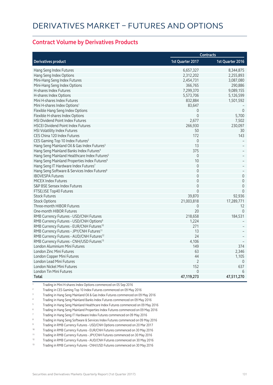#### **Contract Volume by Derivatives Products**

| <b>Contracts</b>                                         |                  |                     |
|----------------------------------------------------------|------------------|---------------------|
| <b>Derivatives product</b>                               | 1st Quarter 2017 | 1st Quarter 2016    |
| Hang Seng Index Futures                                  | 6,657,327        | 8,344,875           |
| Hang Seng Index Options                                  | 2,312,202        | 2,255,893           |
| Mini-Hang Seng Index Futures                             | 2,454,731        | 3,087,080           |
| Mini-Hang Seng Index Options                             | 366,765          | 290,886             |
| H-shares Index Futures                                   | 7,299,370        | 9,089,155           |
| H-shares Index Options                                   | 5,573,706        | 5,126,599           |
| Mini H-shares Index Futures                              | 832,884          | 1,501,592           |
| Mini H-shares Index Options <sup>1</sup>                 | 83,647           |                     |
| Flexible Hang Seng Index Options                         | 0                | $\mathbf{0}$        |
| Flexible H-shares Index Options                          | $\mathbf 0$      | 5,700               |
| <b>HSI Dividend Point Index Futures</b>                  | 2,677            | 7,502               |
| <b>HSCEI Dividend Point Index Futures</b>                | 266,930          | 230,097             |
| HSI Volatility Index Futures                             | 50               | 30                  |
| CES China 120 Index Futures                              | 172              | 143                 |
| CES Gaming Top 10 Index Futures <sup>2</sup>             | $\Omega$         |                     |
| Hang Seng Mainland Oil & Gas Index Futures <sup>3</sup>  | 13               |                     |
| Hang Seng Mainland Banks Index Futures <sup>4</sup>      | 375              |                     |
| Hang Seng Mainland Healthcare Index Futures <sup>5</sup> | $\Omega$         |                     |
| Hang Seng Mainland Properties Index Futures <sup>6</sup> | 10               |                     |
| Hang Seng IT Hardware Index Futures7                     | $\Omega$         |                     |
| Hang Seng Software & Services Index Futures <sup>8</sup> | $\Omega$         |                     |
| <b>IBOVESPA Futures</b>                                  | $\overline{0}$   | $\mathsf{O}\xspace$ |
| <b>MICEX Index Futures</b>                               | $\mathbf 0$      | $\mathsf{O}\xspace$ |
| S&P BSE Sensex Index Futures                             | $\mathbf{0}$     | $\mathbf 0$         |
| FTSE/JSE Top40 Futures                                   | $\Omega$         | $\Omega$            |
| <b>Stock Futures</b>                                     | 39,870           | 92,936              |
| <b>Stock Options</b>                                     | 21,003,818       | 17,289,771          |
| Three-month HIBOR Futures                                | $\Omega$         | 12                  |
| One-month HIBOR Futures                                  | 20               | $\mathbf{0}$        |
| RMB Currency Futures - USD/CNH Futures                   | 218,658          | 184,531             |
| RMB Currency Futures - USD/CNH Options <sup>9</sup>      | 1,224            |                     |
| RMB Currency Futures - EUR/CNH Futures <sup>10</sup>     | 271              |                     |
| RMB Currency Futures - JPY/CNH Futures <sup>11</sup>     | 13               |                     |
| RMB Currency Futures - AUD/CNH Futures <sup>12</sup>     | 24               |                     |
| RMB Currency Futures - CNH/USD Futures <sup>13</sup>     | 4,106            |                     |
| London Aluminium Mini Futures                            | 149              | 374                 |
| London Zinc Mini Futures                                 | 63               | 2,346               |
| London Copper Mini Futures                               | 44               | 1,105               |
| London Lead Mini Futures                                 | $\overline{2}$   | $\mathbf{0}$        |
| London Nickel Mini Futures                               | 152              | 637                 |
| London Tin Mini Futures                                  | $\Omega$         | 6                   |
| Total                                                    | 47,119,273       | 47,511,270          |

1 Trading in Mini H-shares Index Options commenced on 05 Sep 2016

- 2 Trading in CES Gaming Top 10 Index Futures commenced on 09 May 2016
- 3 Trading in Hang Seng Mainland Oil & Gas Index Futures commenced on 09 May 2016
- 4 Trading in Hang Seng Mainland Banks Index Futures commenced on 09 May 2016
- 5 Trading in Hang Seng Mainland Healthcare Index Futures commenced on 09 May 2016
- 6 Trading in Hang Seng Mainland Properties Index Futures commenced on 09 May 2016
- 7 Trading in Hang Seng IT Hardware Index Futures commenced on 09 May 2016
- 8 Trading in Hang Seng Software & Services Index Futures commenced on 09 May 2016
- 9 Trading in RMB Currency Futures USD/CNH Options commenced on 20 Mar 2017
- 10 Trading in RMB Currency Futures EUR/CNH Futures commenced on 30 May 2016
- 11 Trading in RMB Currency Futures JPY/CNH Futures commenced on 30 May 2016
- <sup>12</sup> Trading in RMB Currency Futures AUD/CNH Futures commenced on 30 May 2016
- 13 Trading in RMB Currency Futures CNH/USD Futures commenced on 30 May 2016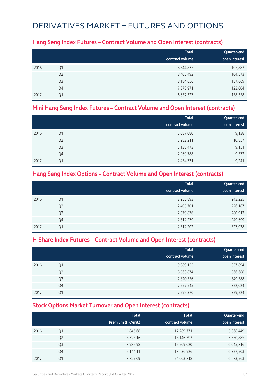## DERIVATIVES MARKET – FUTURES AND OPTIONS

### **Hang Seng Index Futures – Contract Volume and Open Interest (contracts)**

|      |                | <b>Total</b>    | Quarter-end   |
|------|----------------|-----------------|---------------|
|      |                | contract volume | open interest |
| 2016 | Q1             | 8,344,875       | 105,887       |
|      | Q <sub>2</sub> | 8,405,492       | 104,573       |
|      | Q <sub>3</sub> | 8,184,656       | 157,669       |
|      | Q4             | 7,378,971       | 123,004       |
| 2017 | Q1             | 6,657,327       | 158,358       |

### **Mini Hang Seng Index Futures – Contract Volume and Open Interest (contracts)**

|      |                | <b>Total</b><br>contract volume | Quarter-end<br>open interest |
|------|----------------|---------------------------------|------------------------------|
| 2016 | Q1             | 3,087,080                       | 9,138                        |
|      | Q <sub>2</sub> | 3,282,211                       | 10,857                       |
|      | Q <sub>3</sub> | 3,138,473                       | 9,151                        |
|      | Q4             | 2,969,788                       | 9,572                        |
| 2017 | Q1             | 2,454,731                       | 9,241                        |

### **Hang Seng Index Options – Contract Volume and Open Interest (contracts)**

|      |                | <b>Total</b>    | Quarter-end   |
|------|----------------|-----------------|---------------|
|      |                | contract volume | open interest |
| 2016 | Q1             | 2,255,893       | 243,225       |
|      | Q <sub>2</sub> | 2,405,701       | 226,187       |
|      | Q <sub>3</sub> | 2,379,876       | 280,913       |
|      | Q4             | 2,312,279       | 249,699       |
| 2017 | Q <sub>1</sub> | 2,312,202       | 327,038       |

### **H-Share Index Futures – Contract Volume and Open Interest (contracts)**

|      |                | <b>Total</b><br>contract volume | Quarter-end<br>open interest |
|------|----------------|---------------------------------|------------------------------|
| 2016 | Q1             | 9,089,155                       | 357,894                      |
|      | Q <sub>2</sub> | 8,563,874                       | 366,688                      |
|      | Q <sub>3</sub> | 7,820,556                       | 349,588                      |
|      | Q4             | 7,557,545                       | 322,024                      |
| 2017 | Q1             | 7,299,370                       | 329,224                      |

### **Stock Options Market Turnover and Open Interest (contracts)**

|      |                | <b>Total</b><br>Premium (HK\$mil.) | <b>Total</b><br>contract volume | Quarter-end<br>open interest |
|------|----------------|------------------------------------|---------------------------------|------------------------------|
| 2016 | Q1             | 11,846.68                          | 17,289,771                      | 5,368,449                    |
|      | Q <sub>2</sub> | 8,723.16                           | 18,146,397                      | 5,550,885                    |
|      | Q3             | 8,985.98                           | 19,509,020                      | 6,045,816                    |
|      | Q4             | 9,144.11                           | 18,636,926                      | 6,327,503                    |
| 2017 | Q1             | 8,727.09                           | 21,003,818                      | 6,673,563                    |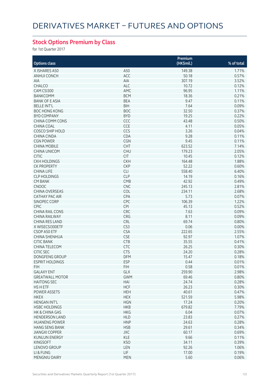## **Stock Options Premium by Class**

for 1st Quarter 2017

|                        |                 | Premium    |            |
|------------------------|-----------------|------------|------------|
| <b>Options class</b>   |                 | (HK\$mil.) | % of total |
| X ISHARES A50          | A50             | 149.38     | 1.71%      |
| <b>ANHUI CONCH</b>     | ACC             | 50.18      | 0.57%      |
| AIA                    | AIA             | 307.19     | 3.52%      |
| CHALCO                 | <b>ALC</b>      | 10.72      | 0.12%      |
| CAM CSI300             | AMC             | 96.95      | 1.11%      |
| <b>BANKCOMM</b>        | <b>BCM</b>      | 18.36      | 0.21%      |
| <b>BANK OF E ASIA</b>  | <b>BEA</b>      | 9.47       | 0.11%      |
| <b>BELLE INT'L</b>     | <b>BIH</b>      | 7.64       | 0.09%      |
| <b>BOC HONG KONG</b>   | <b>BOC</b>      | 32.50      | 0.37%      |
| <b>BYD COMPANY</b>     |                 |            |            |
|                        | <b>BYD</b>      | 19.25      | 0.22%      |
| <b>CHINA COMM CONS</b> | CCC             | 43.48      | 0.50%      |
| <b>CHINA COAL</b>      | CCE             | 4.11       | 0.05%      |
| <b>COSCO SHIP HOLD</b> | CCS             | 3.26       | 0.04%      |
| <b>CHINA CINDA</b>     | CDA             | 9.28       | 0.11%      |
| <b>CGN POWER</b>       | <b>CGN</b>      | 9.45       | 0.11%      |
| <b>CHINA MOBILE</b>    | <b>CHT</b>      | 623.52     | 7.14%      |
| <b>CHINA UNICOM</b>    | <b>CHU</b>      | 179.23     | 2.05%      |
| <b>CITIC</b>           | <b>CIT</b>      | 10.45      | 0.12%      |
| <b>CKH HOLDINGS</b>    | <b>CKH</b>      | 164.48     | 1.88%      |
| <b>CK PROPERTY</b>     | <b>CKP</b>      | 52.22      | 0.60%      |
| <b>CHINA LIFE</b>      | <b>CLI</b>      | 558.40     | 6.40%      |
| <b>CLP HOLDINGS</b>    | <b>CLP</b>      | 14.19      | 0.16%      |
| <b>CM BANK</b>         | <b>CMB</b>      | 42.92      | 0.49%      |
| <b>CNOOC</b>           | <b>CNC</b>      | 245.13     | 2.81%      |
| <b>CHINA OVERSEAS</b>  | COL             | 234.11     | 2.68%      |
| <b>CATHAY PAC AIR</b>  | <b>CPA</b>      | 5.73       | 0.07%      |
| <b>SINOPEC CORP</b>    | <b>CPC</b>      | 106.39     | 1.22%      |
| <b>CPIC</b>            | <b>CPI</b>      | 45.13      | 0.52%      |
| <b>CHINA RAIL CONS</b> | CRC             | 7.63       | 0.09%      |
| <b>CHINA RAILWAY</b>   | CRG             | 8.11       | 0.09%      |
| <b>CHINA RES LAND</b>  | <b>CRL</b>      | 69.74      | 0.80%      |
| X WISECSI300ETF        | CS <sub>3</sub> | 0.06       | 0.00%      |
| CSOP A50 ETF           | <b>CSA</b>      | 222.65     | 2.55%      |
| CHINA SHENHUA          | <b>CSE</b>      | 92.97      | 1.07%      |
| <b>CITIC BANK</b>      | <b>CTB</b>      | 35.55      | 0.41%      |
| CHINA TELECOM          | <b>CTC</b>      | 26.25      | 0.30%      |
| <b>CITIC SEC</b>       | <b>CTS</b>      | 24.20      | 0.28%      |
| <b>DONGFENG GROUP</b>  | <b>DFM</b>      | 15.47      | 0.18%      |
| <b>ESPRIT HOLDINGS</b> | <b>ESP</b>      | 0.44       | 0.01%      |
| <b>FIH</b>             | <b>FIH</b>      | 0.58       | 0.01%      |
| <b>GALAXY ENT</b>      | GLX             | 259.90     | 2.98%      |
| <b>GREATWALL MOTOR</b> | <b>GWM</b>      | 69.46      | 0.80%      |
| <b>HAITONG SEC</b>     | HAI             | 24.74      | 0.28%      |
| HS H ETF               | <b>HCF</b>      | 26.23      | 0.30%      |
| POWER ASSETS           | <b>HEH</b>      | 40.61      | 0.47%      |
| <b>HKEX</b>            | <b>HEX</b>      | 521.59     | 5.98%      |
| <b>HENGAN INT'L</b>    | <b>HGN</b>      | 17.24      | 0.20%      |
| <b>HSBC HOLDINGS</b>   | <b>HKB</b>      | 679.82     | 7.79%      |
| HK & CHINA GAS         | <b>HKG</b>      | 6.04       | 0.07%      |
| <b>HENDERSON LAND</b>  | <b>HLD</b>      | 23.83      | 0.27%      |
| <b>HUANENG POWER</b>   | <b>HNP</b>      | 24.63      | 0.28%      |
| <b>HANG SENG BANK</b>  | <b>HSB</b>      | 29.61      | 0.34%      |
| <b>JIANGXI COPPER</b>  | JXC             | 60.17      | 0.69%      |
| <b>KUNLUN ENERGY</b>   | <b>KLE</b>      | 9.66       | 0.11%      |
| <b>KINGSOFT</b>        | <b>KSO</b>      | 34.11      | 0.39%      |
| LENOVO GROUP           | LEN             | 92.26      | 1.06%      |
| LI & FUNG              | LIF             | 17.00      | 0.19%      |
| MENGNIU DAIRY          | MEN             | 5.60       | 0.06%      |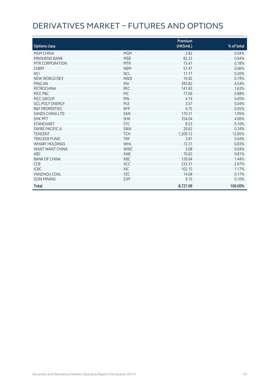## DERIVATIVES MARKET – FUTURES AND OPTIONS

|                           |            | Premium    |            |
|---------------------------|------------|------------|------------|
| <b>Options class</b>      |            | (HK\$mil.) | % of total |
| MGM CHINA                 | <b>MGM</b> | 3.82       | 0.04%      |
| <b>MINSHENG BANK</b>      | <b>MSB</b> | 82.33      | 0.94%      |
| MTR CORPORATION           | <b>MTR</b> | 15.41      | 0.18%      |
| <b>CNBM</b>               | <b>NBM</b> | 57.47      | 0.66%      |
| <b>NCI</b>                | <b>NCL</b> | 17.17      | 0.20%      |
| NEW WORLD DEV             | <b>NWD</b> | 16.92      | 0.19%      |
| PING AN                   | PAI        | 395.82     | 4.54%      |
| PETROCHINA                | PEC        | 141.93     | 1.63%      |
| PICC P&C                  | <b>PIC</b> | 77.06      | 0.88%      |
| PICC GROUP                | PIN        | 4.74       | 0.05%      |
| <b>GCL-POLY ENERGY</b>    | PLE        | 3.57       | 0.04%      |
| <b>R&amp;F PROPERTIES</b> | <b>RFP</b> | 4.75       | 0.05%      |
| <b>SANDS CHINA LTD</b>    | <b>SAN</b> | 170.31     | 1.95%      |
| <b>SHK PPT</b>            | <b>SHK</b> | 354.04     | 4.06%      |
| <b>STANCHART</b>          | <b>STC</b> | 8.53       | 0.10%      |
| SWIRE PACIFIC A           | <b>SWA</b> | 29.62      | 0.34%      |
| <b>TENCENT</b>            | <b>TCH</b> | 1,209.12   | 13.85%     |
| <b>TRACKER FUND</b>       | <b>TRF</b> | 3.87       | 0.04%      |
| <b>WHARF HOLDINGS</b>     | WHL        | 72.31      | 0.83%      |
| WANT WANT CHINA           | <b>WWC</b> | 3.08       | 0.04%      |
| <b>ABC</b>                | <b>XAB</b> | 70.62      | 0.81%      |
| <b>BANK OF CHINA</b>      | XBC        | 126.04     | 1.44%      |
| <b>CCB</b>                | <b>XCC</b> | 233.31     | 2.67%      |
| <b>ICBC</b>               | <b>XIC</b> | 102.15     | 1.17%      |
| YANZHOU COAL              | <b>YZC</b> | 14.68      | 0.17%      |
| <b>ZIJIN MINING</b>       | <b>ZJM</b> | 9.15       | 0.10%      |
| <b>Total</b>              |            | 8,727.09   | 100.00%    |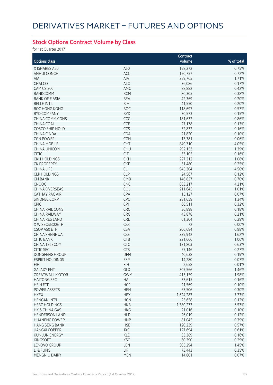## **Stock Options Contract Volume by Class**

for 1st Quarter 2017

|                        |            | Contract  |            |
|------------------------|------------|-----------|------------|
| <b>Options class</b>   |            | volume    | % of total |
| X ISHARES A50          | A50        | 158,272   | 0.75%      |
| <b>ANHUI CONCH</b>     | ACC        | 150,757   | 0.72%      |
|                        |            |           |            |
| AIA                    | AIA        | 359,765   | 1.71%      |
| CHALCO                 | <b>ALC</b> | 36,086    | 0.17%      |
| CAM CSI300             | AMC        | 88,882    | 0.42%      |
| <b>BANKCOMM</b>        | <b>BCM</b> | 80,305    | 0.38%      |
| <b>BANK OF E ASIA</b>  | <b>BEA</b> | 42,369    | 0.20%      |
| <b>BELLE INT'L</b>     | <b>BIH</b> | 41,550    | 0.20%      |
| <b>BOC HONG KONG</b>   | <b>BOC</b> | 118,697   | 0.57%      |
| <b>BYD COMPANY</b>     | <b>BYD</b> | 30,573    | 0.15%      |
| CHINA COMM CONS        | CCC        | 181,632   | 0.86%      |
| <b>CHINA COAL</b>      | CCE        | 27,178    | 0.13%      |
| <b>COSCO SHIP HOLD</b> | CCS        | 32,832    | 0.16%      |
| CHINA CINDA            | CDA        | 21,820    | 0.10%      |
| <b>CGN POWER</b>       | CGN        | 13,381    | 0.06%      |
| <b>CHINA MOBILE</b>    | <b>CHT</b> | 849,710   | 4.05%      |
| <b>CHINA UNICOM</b>    | <b>CHU</b> | 292,153   | 1.39%      |
| <b>CITIC</b>           | <b>CIT</b> | 33,105    | 0.16%      |
| <b>CKH HOLDINGS</b>    | <b>CKH</b> | 227,212   | 1.08%      |
| <b>CK PROPERTY</b>     | <b>CKP</b> | 51,480    | 0.25%      |
| <b>CHINA LIFE</b>      | <b>CLI</b> | 945,304   | 4.50%      |
| <b>CLP HOLDINGS</b>    | <b>CLP</b> | 24,567    | 0.12%      |
| <b>CM BANK</b>         | CMB        | 146,827   | 0.70%      |
| <b>CNOOC</b>           | <b>CNC</b> | 883,217   | 4.21%      |
| <b>CHINA OVERSEAS</b>  | COL        | 211,645   | 1.01%      |
| <b>CATHAY PAC AIR</b>  | CPA        | 15,127    | 0.07%      |
| SINOPEC CORP           | CPC        | 281,659   | 1.34%      |
| <b>CPIC</b>            | <b>CPI</b> | 66,511    | 0.32%      |
| <b>CHINA RAIL CONS</b> | CRC        | 36,898    | 0.18%      |
|                        |            |           |            |
| <b>CHINA RAILWAY</b>   | CRG        | 43,878    | 0.21%      |
| CHINA RES LAND         | CRL        | 61,304    | 0.29%      |
| X WISECSI300ETF        | CS3        | 72        | 0.00%      |
| CSOP A50 ETF           | <b>CSA</b> | 206,684   | 0.98%      |
| CHINA SHENHUA          | <b>CSE</b> | 339,942   | 1.62%      |
| <b>CITIC BANK</b>      | CTB        | 221,666   | 1.06%      |
| CHINA TELECOM          | CTC        | 131,803   | 0.63%      |
| <b>CITIC SEC</b>       | <b>CTS</b> | 57,146    | 0.27%      |
| <b>DONGFENG GROUP</b>  | <b>DFM</b> | 40,638    | 0.19%      |
| <b>ESPRIT HOLDINGS</b> | ESP        | 14,280    | 0.07%      |
| <b>FIH</b>             | <b>FIH</b> | 2,658     | 0.01%      |
| <b>GALAXY ENT</b>      | GLX        | 307,566   | 1.46%      |
| <b>GREATWALL MOTOR</b> | <b>GWM</b> | 415,159   | 1.98%      |
| <b>HAITONG SEC</b>     | HAI        | 33,615    | 0.16%      |
| HS H ETF               | <b>HCF</b> | 21,569    | 0.10%      |
| POWER ASSETS           | <b>HEH</b> | 63,506    | 0.30%      |
| <b>HKEX</b>            | <b>HEX</b> | 1,624,287 | 7.73%      |
| <b>HENGAN INT'L</b>    | <b>HGN</b> | 25,658    | 0.12%      |
| <b>HSBC HOLDINGS</b>   | <b>HKB</b> | 1,380,273 | 6.57%      |
| HK & CHINA GAS         | <b>HKG</b> | 21,016    | 0.10%      |
| <b>HENDERSON LAND</b>  | <b>HLD</b> | 26,019    | 0.12%      |
| <b>HUANENG POWER</b>   | <b>HNP</b> | 81,045    | 0.39%      |
| <b>HANG SENG BANK</b>  | <b>HSB</b> | 120,239   | 0.57%      |
| <b>JIANGXI COPPER</b>  | <b>JXC</b> | 127,694   | 0.61%      |
| <b>KUNLUN ENERGY</b>   | KLE        | 33,389    | 0.16%      |
| <b>KINGSOFT</b>        | <b>KSO</b> | 60,390    | 0.29%      |
| LENOVO GROUP           | LEN        | 305,294   | 1.45%      |
| LI & FUNG              | LIF        | 73,443    | 0.35%      |
|                        | MEN        |           |            |
| MENGNIU DAIRY          |            | 14,801    | 0.07%      |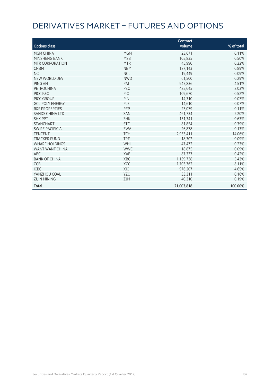## DERIVATIVES MARKET – FUTURES AND OPTIONS

|                           |            | Contract   |            |
|---------------------------|------------|------------|------------|
| <b>Options class</b>      |            | volume     | % of total |
| MGM CHINA                 | <b>MGM</b> | 23,671     | 0.11%      |
| MINSHENG BANK             | <b>MSB</b> | 105,835    | 0.50%      |
| MTR CORPORATION           | <b>MTR</b> | 45,990     | 0.22%      |
| <b>CNBM</b>               | <b>NBM</b> | 187,143    | 0.89%      |
| <b>NCI</b>                | <b>NCL</b> | 19,449     | 0.09%      |
| NEW WORLD DEV             | <b>NWD</b> | 61,500     | 0.29%      |
| PING AN                   | PAI        | 947,836    | 4.51%      |
| PETROCHINA                | PEC        | 425,645    | 2.03%      |
| PICC P&C                  | <b>PIC</b> | 109,670    | 0.52%      |
| PICC GROUP                | PIN        | 14,310     | 0.07%      |
| <b>GCL-POLY ENERGY</b>    | PLE        | 14,610     | 0.07%      |
| <b>R&amp;F PROPERTIES</b> | <b>RFP</b> | 23,079     | 0.11%      |
| <b>SANDS CHINA LTD</b>    | <b>SAN</b> | 461,734    | 2.20%      |
| <b>SHK PPT</b>            | <b>SHK</b> | 131,341    | 0.63%      |
| <b>STANCHART</b>          | <b>STC</b> | 81,854     | 0.39%      |
| SWIRE PACIFIC A           | SWA        | 26,878     | 0.13%      |
| <b>TENCENT</b>            | <b>TCH</b> | 2,953,411  | 14.06%     |
| <b>TRACKER FUND</b>       | <b>TRF</b> | 18,302     | 0.09%      |
| <b>WHARF HOLDINGS</b>     | WHL        | 47,472     | 0.23%      |
| WANT WANT CHINA           | <b>WWC</b> | 18,875     | 0.09%      |
| ABC                       | <b>XAB</b> | 87,337     | 0.42%      |
| <b>BANK OF CHINA</b>      | XBC        | 1,139,738  | 5.43%      |
| <b>CCB</b>                | <b>XCC</b> | 1,703,762  | 8.11%      |
| <b>ICBC</b>               | XIC        | 976,207    | 4.65%      |
| YANZHOU COAL              | <b>YZC</b> | 33,311     | 0.16%      |
| <b>ZIJIN MINING</b>       | <b>ZJM</b> | 40,310     | 0.19%      |
| Total                     |            | 21,003,818 | 100.00%    |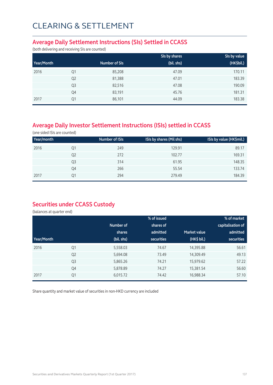### **Average Daily Settlement Instructions (SIs) Settled in CCASS**

(both delivering and receiving SIs are counted)

|            |                |               | SIs by shares | SIs by value |
|------------|----------------|---------------|---------------|--------------|
| Year/Month |                | Number of SIs | (bil. shs)    | (HK\$bil.)   |
| 2016       | Q1             | 85,208        | 47.09         | 170.11       |
|            | Q <sub>2</sub> | 81,388        | 47.01         | 183.39       |
|            | Q <sub>3</sub> | 82,516        | 47.08         | 190.09       |
|            | Q4             | 83,191        | 45.76         | 181.31       |
| 2017       | Q1             | 86,101        | 44.09         | 183.38       |

## **Average Daily Investor Settlement Instructions (ISIs) settled in CCASS**

(one sided ISIs are counted)

| Year/month |                | <b>Number of ISIs</b> | ISIs by shares (Mil shs) | ISIs by value (HK\$mil.) |
|------------|----------------|-----------------------|--------------------------|--------------------------|
| 2016       | Q1             | 249                   | 129.91                   | 89.17                    |
|            | Q <sub>2</sub> | 272                   | 102.77                   | 169.31                   |
|            | Q <sub>3</sub> | 314                   | 61.95                    | 148.35                   |
|            | Q4             | 266                   | 55.54                    | 133.74                   |
| 2017       | Q1             | 294                   | 279.49                   | 184.39                   |

### **Securities under CCASS Custody**

(balances at quarter end)

|            |                |            | % of issued       |                     | % of market       |
|------------|----------------|------------|-------------------|---------------------|-------------------|
|            |                | Number of  | shares of         |                     | capitalisation of |
|            |                | shares     | admitted          | <b>Market value</b> | admitted          |
| Year/Month |                | (bil. shs) | <b>securities</b> | (HK\$ bil.)         | <b>securities</b> |
| 2016       | Q1             | 5,558.03   | 74.67             | 14,395.88           | 56.61             |
|            | Q <sub>2</sub> | 5,694.08   | 73.49             | 14,309.49           | 49.13             |
|            | Q <sub>3</sub> | 5,865.26   | 74.21             | 15,979.62           | 57.22             |
|            | Q4             | 5,878.89   | 74.27             | 15,381.54           | 56.60             |
| 2017       | Q1             | 6,015.72   | 74.42             | 16,988.34           | 57.10             |

Share quantity and market value of securities in non-HKD currency are included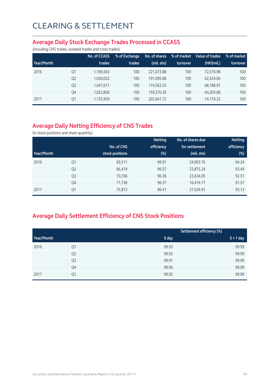#### **Average Daily Stock Exchange Trades Processed in CCASS**

(including CNS trades, isolated trades and cross trades)

|            |                | No. of CCASS | % of Exchange | No. of shares | % of market | Value of trades | % of market |
|------------|----------------|--------------|---------------|---------------|-------------|-----------------|-------------|
| Year/Month |                | trades       | trades        | (mil. shs)    | turnover    | (HK\$mil.)      | turnover    |
| 2016       | Q1             | 1,196,563    | 100           | 221,073.88    | 100         | 72.576.98       | 100         |
|            | Q <sub>2</sub> | 1,030,032    | 100           | 191,095.88    | 100         | 62.524.66       | 100         |
|            | Q <sub>3</sub> | 1,047,611    | 100           | 174,563.55    | 100         | 68,188.97       | 100         |
|            | Q4             | 1,052,858    | 100           | 159.370.39    | 100         | 64,205.68       | 100         |
| 2017       | Q1             | 1,125,959    | 100           | 202,641.72    | 100         | 74,176.32       | 100         |

## **Average Daily Netting Efficiency of CNS Trades**

(in stock positions and share quantity)

|            |                |                 | <b>Netting</b> | No. of shares due | <b>Netting</b> |
|------------|----------------|-----------------|----------------|-------------------|----------------|
|            |                | No. of CNS      | efficiency     | for settlement    | efficiency     |
| Year/Month |                | stock positions | $(\%)$         | (mil. shs)        | (%)            |
| 2016       | Q1             | 69,511          | 96.91          | 24,993.76         | 94.24          |
|            | Q <sub>2</sub> | 66,419          | 96.57          | 23,875.24         | 93.49          |
|            | Q <sub>3</sub> | 70,706          | 96.36          | 23,634.05         | 92.51          |
|            | Q4             | 71,738          | 96.37          | 16,416.17         | 91.57          |
| 2017       | Q1             | 75,873          | 96.41          | 27,626.91         | 93.13          |

## **Average Daily Settlement Efficiency of CNS Stock Positions**

|            |                | Settlement efficiency (%) |             |  |
|------------|----------------|---------------------------|-------------|--|
| Year/Month |                | S day                     | $S + 1$ day |  |
| 2016       | Q1             | 99.93                     | 99.99       |  |
|            | Q <sub>2</sub> | 99.92                     | 99.99       |  |
|            | Q3             | 99.91                     | 99.99       |  |
|            | Q4             | 99.90                     | 99.99       |  |
| 2017       | Q1             | 99.92                     | 99.99       |  |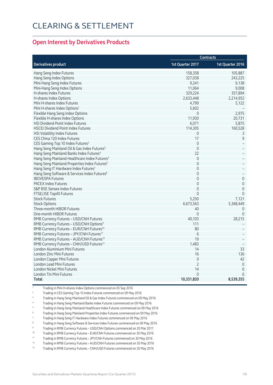#### **Open Interest by Derivatives Products**

| <b>Contracts</b>                                         |                  |                     |
|----------------------------------------------------------|------------------|---------------------|
| <b>Derivatives product</b>                               | 1st Quarter 2017 | 1st Quarter 2016    |
| Hang Seng Index Futures                                  | 158,358          | 105,887             |
| Hang Seng Index Options                                  | 327,038          | 243,225             |
| Mini-Hang Seng Index Futures                             | 9,241            | 9,138               |
| Mini-Hang Seng Index Options                             | 11,064           | 9,008               |
| H-shares Index Futures                                   | 329,224          | 357,894             |
| H-shares Index Options                                   | 2,633,448        | 2,214,952           |
| Mini H-shares Index Futures                              | 4,799            | 5,122               |
| Mini H-shares Index Options <sup>1</sup>                 | 5,602            |                     |
| Flexible Hang Seng Index Options                         | 0                | 2,975               |
| Flexible H-shares Index Options                          | 11,930           | 20,731              |
| HSI Dividend Point Index Futures                         | 6,071            | 5,875               |
| <b>HSCEI Dividend Point Index Futures</b>                | 114,305          | 160,528             |
| HSI Volatility Index Futures                             | $\mathbf 0$      | 3                   |
| CES China 120 Index Futures                              | 17               | 9                   |
| CES Gaming Top 10 Index Futures <sup>2</sup>             | $\mathbf 0$      |                     |
| Hang Seng Mainland Oil & Gas Index Futures <sup>3</sup>  | $\mathbf 0$      |                     |
| Hang Seng Mainland Banks Index Futures <sup>4</sup>      | 22               |                     |
| Hang Seng Mainland Healthcare Index Futures <sup>5</sup> | $\Omega$         |                     |
| Hang Seng Mainland Properties Index Futures <sup>6</sup> | $\Omega$         |                     |
| Hang Seng IT Hardware Index Futures7                     | $\mathbf 0$      |                     |
| Hang Seng Software & Services Index Futures <sup>8</sup> | $\mathbf 0$      |                     |
| <b>IBOVESPA Futures</b>                                  | $\Omega$         | $\mathsf{O}\xspace$ |
| MICEX Index Futures                                      | $\Omega$         | $\mathbf 0$         |
| S&P BSE Sensex Index Futures                             | $\Omega$         | $\mathbf 0$         |
| FTSE/JSE Top40 Futures                                   | $\Omega$         | $\Omega$            |
| <b>Stock Futures</b>                                     | 5,250            | 7,121               |
| <b>Stock Options</b>                                     | 6,673,563        | 5,368,449           |
| Three-month HIBOR Futures                                | 40               | $\Omega$            |
| One-month HIBOR Futures                                  | $\Omega$         | $\Omega$            |
| RMB Currency Futures - USD/CNH Futures                   | 40,103           | 28,215              |
| RMB Currency Futures - USD/CNH Options <sup>9</sup>      | 111              |                     |
| RMB Currency Futures - EUR/CNH Futures <sup>10</sup>     | 80               |                     |
| RMB Currency Futures - JPY/CNH Futures <sup>11</sup>     | 6                |                     |
| RMB Currency Futures - AUD/CNH Futures <sup>12</sup>     | 19               |                     |
| RMB Currency Futures - CNH/USD Futures <sup>13</sup>     | 1,483            |                     |
| London Aluminium Mini Futures                            | 14               | 33                  |
| London Zinc Mini Futures                                 | 16               | 136                 |
| London Copper Mini Futures                               | $\mathbf 0$      | 42                  |
| London Lead Mini Futures                                 | $\overline{2}$   | $\mathbf{0}$        |
| London Nickel Mini Futures                               | 14               | 6                   |
| London Tin Mini Futures                                  | $\Omega$         | 6                   |
| Total                                                    | 10,331,820       | 8,539,355           |

1 Trading in Mini H-shares Index Options commenced on 05 Sep 2016

- 2 Trading in CES Gaming Top 10 Index Futures commenced on 09 May 2016
- 3 Trading in Hang Seng Mainland Oil & Gas Index Futures commenced on 09 May 2016
- 4 Trading in Hang Seng Mainland Banks Index Futures commenced on 09 May 2016
- 5 Trading in Hang Seng Mainland Healthcare Index Futures commenced on 09 May 2016

6 Trading in Hang Seng Mainland Properties Index Futures commenced on 09 May 2016

- 7 Trading in Hang Seng IT Hardware Index Futures commenced on 09 May 2016
- 8 Trading in Hang Seng Software & Services Index Futures commenced on 09 May 2016
- <sup>9</sup> Trading in RMB Currency Futures USD/CNH Options commenced on 20 Mar 2017<br>Trading in RMB Currency Futures FUB/CNH Futures commenced on 20 May 2016
- <sup>10</sup> Trading in RMB Currency Futures EUR/CNH Futures commenced on 30 May 2016<br><sup>11</sup> Trading in RMB Currency Futures IPY/CNH Futures commenced on 30 May 2016
- <sup>11</sup> Trading in RMB Currency Futures JPY/CNH Futures commenced on 30 May 2016<br><sup>12</sup> Trading in RMB Currency Futures ALID/CNH Futures commenced on 30 May 2011
- 12 Trading in RMB Currency Futures AUD/CNH Futures commenced on 30 May 2016

13 Trading in RMB Currency Futures – CNH/USD Futures commenced on 30 May 2016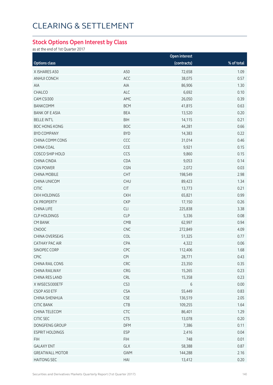### **Stock Options Open Interest by Class**

as at the end of 1st Quarter 2017

|                        |                       | Open interest |            |  |
|------------------------|-----------------------|---------------|------------|--|
| <b>Options class</b>   |                       | (contracts)   | % of total |  |
| X ISHARES A50          | A50                   | 72,658        | 1.09       |  |
| <b>ANHUI CONCH</b>     | ACC                   | 38,075        | 0.57       |  |
| AIA                    | AIA                   | 86,906        | 1.30       |  |
| CHALCO                 | ALC                   | 6,692         | 0.10       |  |
| CAM CSI300             | AMC                   | 26,050        | 0.39       |  |
| <b>BANKCOMM</b>        | <b>BCM</b>            | 41,815        | 0.63       |  |
| <b>BANK OF E ASIA</b>  | <b>BEA</b>            | 13,520        | 0.20       |  |
| <b>BELLE INT'L</b>     | <b>BIH</b>            | 14,115        | 0.21       |  |
| <b>BOC HONG KONG</b>   | <b>BOC</b>            | 44,281        | 0.66       |  |
| <b>BYD COMPANY</b>     | <b>BYD</b>            | 14,383        | 0.22       |  |
| <b>CHINA COMM CONS</b> | CCC                   | 31,014        | 0.46       |  |
| CHINA COAL             | CCE                   | 9,921         | 0.15       |  |
| COSCO SHIP HOLD        | CCS                   | 9,860         | 0.15       |  |
| CHINA CINDA            | CDA                   | 9,053         | 0.14       |  |
| <b>CGN POWER</b>       | CGN                   | 2,072         | 0.03       |  |
| <b>CHINA MOBILE</b>    | CHT                   | 198,549       | 2.98       |  |
| <b>CHINA UNICOM</b>    | CHU                   | 89,423        | 1.34       |  |
| <b>CITIC</b>           | CIT                   | 13,773        | 0.21       |  |
| <b>CKH HOLDINGS</b>    | <b>CKH</b>            | 65,821        | 0.99       |  |
| <b>CK PROPERTY</b>     | <b>CKP</b>            | 17,150        | 0.26       |  |
| <b>CHINA LIFE</b>      | CLI                   | 225,838       | 3.38       |  |
| <b>CLP HOLDINGS</b>    | <b>CLP</b>            | 5,336         | 0.08       |  |
| <b>CM BANK</b>         | CMB                   | 62,997        | 0.94       |  |
| CNOOC                  | CNC                   | 272,849       | 4.09       |  |
| <b>CHINA OVERSEAS</b>  | COL                   | 51,325        | 0.77       |  |
| <b>CATHAY PAC AIR</b>  | CPA                   | 4,322         | 0.06       |  |
| SINOPEC CORP           | CPC                   | 112,406       | 1.68       |  |
| CPIC.                  | <b>CPI</b>            | 28,771        | 0.43       |  |
| CHINA RAIL CONS        | CRC                   | 23,350        | 0.35       |  |
| CHINA RAILWAY          | CRG                   | 15,265        | 0.23       |  |
| CHINA RES LAND         | CRL                   | 15,358        | 0.23       |  |
| X WISECSI300ETF        | CS3                   | 6             | 0.00       |  |
| CSOP A50 ETF           | <b>CSA</b>            | 55,449        | 0.83       |  |
| CHINA SHENHUA          | $\mathsf{CSE}\xspace$ | 136,519       | 2.05       |  |
| <b>CITIC BANK</b>      | <b>CTB</b>            | 109,255       | 1.64       |  |
| CHINA TELECOM          | <b>CTC</b>            | 86,401        | 1.29       |  |
| CITIC SEC              | <b>CTS</b>            | 13,078        | 0.20       |  |
| DONGFENG GROUP         | DFM                   | 7,386         | 0.11       |  |
| <b>ESPRIT HOLDINGS</b> | <b>ESP</b>            | 2,416         | 0.04       |  |
| <b>FIH</b>             | <b>FIH</b>            | 748           | 0.01       |  |
| <b>GALAXY ENT</b>      | GLX                   | 58,388        | 0.87       |  |
| <b>GREATWALL MOTOR</b> | <b>GWM</b>            | 144,288       | 2.16       |  |
| <b>HAITONG SEC</b>     | HAI                   | 13,412        | 0.20       |  |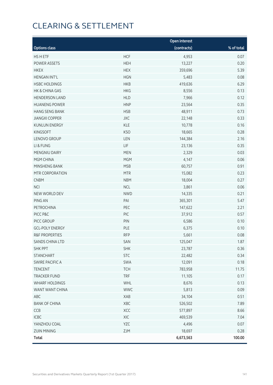|                           | <b>Open interest</b> |             |            |
|---------------------------|----------------------|-------------|------------|
| <b>Options class</b>      |                      | (contracts) | % of total |
| HS H ETF                  | <b>HCF</b>           | 4,953       | 0.07       |
| POWER ASSETS              | <b>HEH</b>           | 13,227      | 0.20       |
| <b>HKEX</b>               | <b>HEX</b>           | 359,696     | 5.39       |
| HENGAN INT'L              | <b>HGN</b>           | 5,483       | 0.08       |
| <b>HSBC HOLDINGS</b>      | <b>HKB</b>           | 419,636     | 6.29       |
| HK & CHINA GAS            | <b>HKG</b>           | 8,556       | 0.13       |
| <b>HENDERSON LAND</b>     | <b>HLD</b>           | 7,966       | 0.12       |
| <b>HUANENG POWER</b>      | <b>HNP</b>           | 23,564      | 0.35       |
| <b>HANG SENG BANK</b>     | <b>HSB</b>           | 48,911      | 0.73       |
| <b>JIANGXI COPPER</b>     | <b>JXC</b>           | 22,148      | 0.33       |
| <b>KUNLUN ENERGY</b>      | <b>KLE</b>           | 10,778      | 0.16       |
| <b>KINGSOFT</b>           | <b>KSO</b>           | 18,665      | 0.28       |
| LENOVO GROUP              | LEN                  | 144,384     | 2.16       |
| LI & FUNG                 | LIF                  | 23,136      | 0.35       |
| MENGNIU DAIRY             | <b>MEN</b>           | 2,329       | 0.03       |
| MGM CHINA                 | <b>MGM</b>           | 4,147       | 0.06       |
| MINSHENG BANK             | <b>MSB</b>           | 60,757      | 0.91       |
| MTR CORPORATION           | <b>MTR</b>           | 15,082      | 0.23       |
| <b>CNBM</b>               | <b>NBM</b>           | 18,004      | 0.27       |
| <b>NCI</b>                | <b>NCL</b>           | 3,861       | 0.06       |
| NEW WORLD DEV             | <b>NWD</b>           | 14,335      | 0.21       |
| PING AN                   | PAI                  | 365,301     | 5.47       |
| PETROCHINA                | PEC                  | 147,622     | 2.21       |
| PICC P&C                  | PIC                  | 37,912      | 0.57       |
| PICC GROUP                | PIN                  | 6,586       | 0.10       |
| <b>GCL-POLY ENERGY</b>    | PLE                  | 6,375       | 0.10       |
| <b>R&amp;F PROPERTIES</b> | <b>RFP</b>           | 5,661       | 0.08       |
| SANDS CHINA LTD           | SAN                  | 125,047     | 1.87       |
| <b>SHK PPT</b>            | <b>SHK</b>           | 23,787      | 0.36       |
| STANCHART                 | <b>STC</b>           | 22,482      | 0.34       |
| <b>SWIRE PACIFIC A</b>    | SWA                  | 12,091      | 0.18       |
| <b>TENCENT</b>            | <b>TCH</b>           | 783,958     | 11.75      |
| <b>TRACKER FUND</b>       | <b>TRF</b>           | 11,105      | 0.17       |
| <b>WHARF HOLDINGS</b>     | WHL                  | 8,676       | 0.13       |
| WANT WANT CHINA           | <b>WWC</b>           | 5,813       | 0.09       |
| ABC                       | XAB                  | 34,104      | 0.51       |
| <b>BANK OF CHINA</b>      | XBC                  | 526,502     | 7.89       |
| CCB                       | XCC                  | 577,897     | 8.66       |
| ICBC                      | XIC                  | 469,539     | 7.04       |
| YANZHOU COAL              | YZC                  | 4,496       | 0.07       |
| <b>ZIJIN MINING</b>       | ZJM                  | 18,697      | 0.28       |
| <b>Total</b>              |                      | 6,673,563   | 100.00     |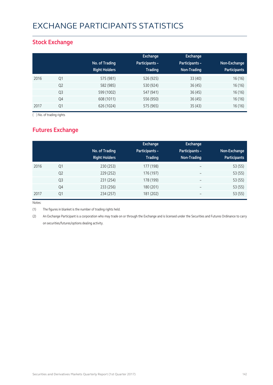## EXCHANGE PARTICIPANTS STATISTICS

### **Stock Exchange**

|      |                | No. of Trading<br><b>Right Holders</b> | Exchange<br><b>Participants -</b><br><b>Trading</b> | Exchange<br><b>Participants -</b><br>Non-Trading | Non-Exchange<br><b>Participants</b> |
|------|----------------|----------------------------------------|-----------------------------------------------------|--------------------------------------------------|-------------------------------------|
| 2016 | Q1             | 575 (981)                              | 526 (925)                                           | 33(40)                                           | 16 (16)                             |
|      | Q <sub>2</sub> | 582 (985)                              | 530 (924)                                           | 36(45)                                           | 16(16)                              |
|      | Q <sub>3</sub> | 599 (1002)                             | 547 (941)                                           | 36(45)                                           | 16(16)                              |
|      | Q4             | 608 (1011)                             | 556 (950)                                           | 36(45)                                           | 16(16)                              |
| 2017 | Q1             | 626 (1024)                             | 575 (965)                                           | 35(43)                                           | 16(16)                              |

( ) No. of trading rights

## **Futures Exchange**

|      |                | No. of Trading<br><b>Right Holders</b> | Exchange<br><b>Participants -</b><br><b>Trading</b> | <b>Exchange</b><br>Participants -<br>Non-Trading | Non-Exchange<br><b>Participants</b> |
|------|----------------|----------------------------------------|-----------------------------------------------------|--------------------------------------------------|-------------------------------------|
| 2016 | Q <sub>1</sub> | 230 (253)                              | 177 (198)                                           | $\overline{\phantom{m}}$                         | 53 (55)                             |
|      | Q <sub>2</sub> | 229 (252)                              | 176 (197)                                           | $\overline{\phantom{a}}$                         | 53 (55)                             |
|      | Q <sub>3</sub> | 231 (254)                              | 178 (199)                                           | $\overline{\phantom{a}}$                         | 53 (55)                             |
|      | Q4             | 233 (256)                              | 180 (201)                                           | $\overline{\phantom{a}}$                         | 53 (55)                             |
| 2017 | Q1             | 234 (257)                              | 181 (202)                                           |                                                  | 53 (55)                             |

Notes:

(1) The figures in blanket is the number of trading rights held.

(2) An Exchange Participant is a corporation who may trade on or through the Exchange and is licensed under the Securities and Futures Ordinance to carry on securities/futures/options dealing activity.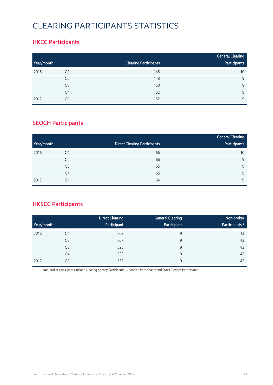## CLEARING PARTICIPANTS STATISTICS

### **HKCC Participants**

|            |                |                              | <b>General Clearing</b> |
|------------|----------------|------------------------------|-------------------------|
| Year/month |                | <b>Clearing Participants</b> | Participants            |
| 2016       | Q1             | 148                          | 10                      |
|            | Q <sub>2</sub> | 148                          | 9                       |
|            | Q <sub>3</sub> | 150                          | $\mathsf{Q}$            |
|            | Q4             | 152                          | $\mathsf{Q}$            |
| 2017       | Q1             | 152                          | $\mathsf{Q}$            |

### **SEOCH Participants**

|            |                |                                     | <b>General Clearing</b> |
|------------|----------------|-------------------------------------|-------------------------|
| Year/month |                | <b>Direct Clearing Participants</b> | Participants            |
| 2016       | Q1             | 66                                  | 10 <sup>°</sup>         |
|            | Q <sub>2</sub> | 66                                  | 9                       |
|            | Q <sub>3</sub> | 65                                  | 9                       |
|            | Q4             | 65                                  | 9                       |
| 2017       | Q1             | 64                                  | 9                       |

## **HKSCC Participants**

|            |                | <b>Direct Clearing</b> | <b>General Clearing</b> | Non-broker     |
|------------|----------------|------------------------|-------------------------|----------------|
| Year/month |                | Participant            | Participant             | Participants * |
| 2016       | Q1             | 503                    | 9                       | 43             |
|            | Q <sub>2</sub> | 507                    | 9                       | 43             |
|            | Q <sub>3</sub> | 525                    | 9                       | 43             |
|            | Q4             | 533                    | 9                       | 42             |
| 2017       | Q1             | 552                    | 9                       | 45             |

\* Non-broker participants include Clearing Agency Participants, Custodian Participants and Stock Pledgee Participants.